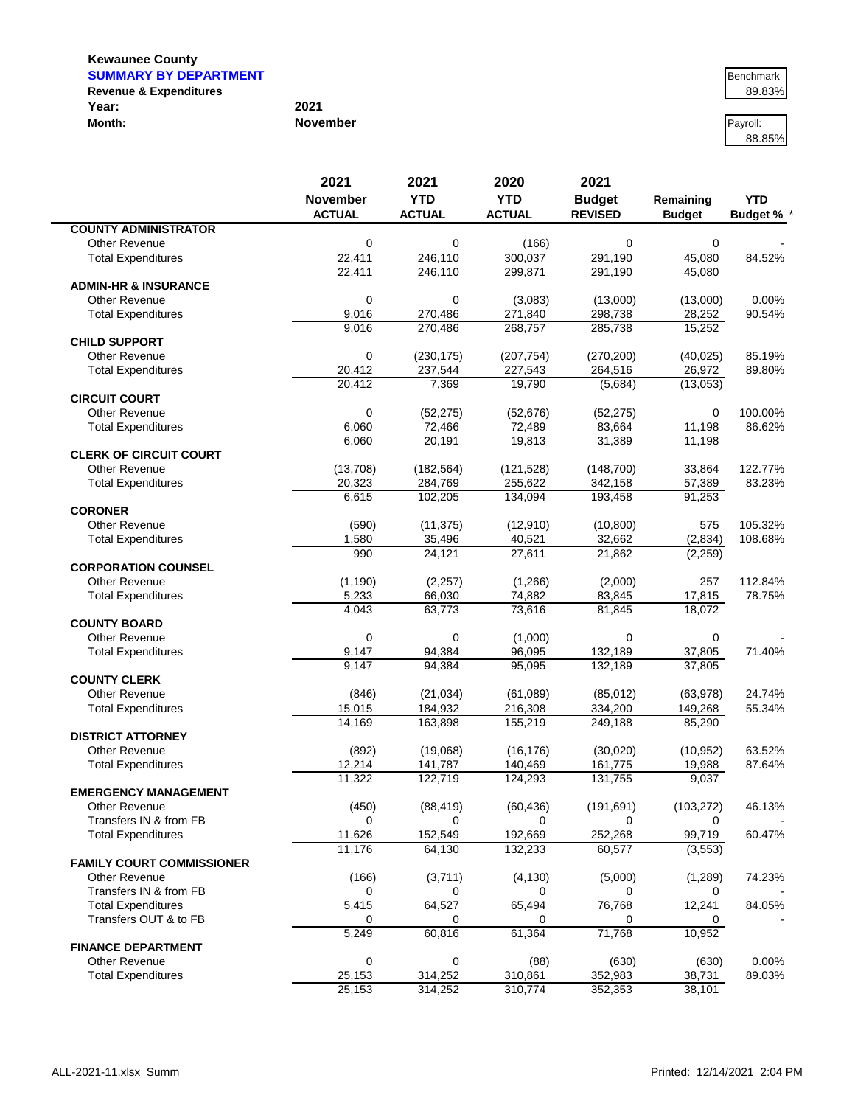**Kewaunee County**

 $\blacksquare$ 

| <b>SUMMARY BY DEPARTMENT</b>      |                 | Benchmark |
|-----------------------------------|-----------------|-----------|
| <b>Revenue &amp; Expenditures</b> |                 | 89.83%    |
| Year:                             | 2021            |           |
| Month:                            | <b>November</b> | Pavroll:  |

# 88.85%

|                                  | 2021             | 2021               | 2020               | 2021               |                  |                 |
|----------------------------------|------------------|--------------------|--------------------|--------------------|------------------|-----------------|
|                                  | <b>November</b>  | <b>YTD</b>         | <b>YTD</b>         | <b>Budget</b>      | Remaining        | <b>YTD</b>      |
|                                  | <b>ACTUAL</b>    | <b>ACTUAL</b>      | <b>ACTUAL</b>      | <b>REVISED</b>     | <b>Budget</b>    | <b>Budget %</b> |
| <b>COUNTY ADMINISTRATOR</b>      |                  |                    |                    |                    |                  |                 |
| <b>Other Revenue</b>             | 0                | 0                  | (166)              | 0                  | $\mathbf 0$      |                 |
| <b>Total Expenditures</b>        | 22,411           | 246,110            | 300,037            | 291,190            | 45,080           | 84.52%          |
| <b>ADMIN-HR &amp; INSURANCE</b>  | 22.411           | 246,110            | 299.871            | 291,190            | 45,080           |                 |
| Other Revenue                    | $\mathbf 0$      | $\mathbf 0$        | (3,083)            | (13,000)           | (13,000)         | 0.00%           |
| <b>Total Expenditures</b>        | 9,016            | 270,486            | 271,840            | 298,738            | 28,252           | 90.54%          |
|                                  | 9,016            | 270,486            | 268,757            | 285,738            | 15,252           |                 |
| <b>CHILD SUPPORT</b>             |                  |                    |                    |                    |                  |                 |
| <b>Other Revenue</b>             | $\mathbf 0$      | (230, 175)         | (207, 754)         | (270, 200)         | (40, 025)        | 85.19%          |
| <b>Total Expenditures</b>        | 20,412           | 237,544            | 227,543            | 264,516            | 26,972           | 89.80%          |
|                                  | 20,412           | 7,369              | 19,790             | (5,684)            | (13,053)         |                 |
| <b>CIRCUIT COURT</b>             |                  |                    |                    |                    |                  |                 |
| <b>Other Revenue</b>             | $\mathbf 0$      | (52, 275)          | (52, 676)          | (52, 275)          | 0                | 100.00%         |
| <b>Total Expenditures</b>        | 6,060<br>6,060   | 72,466<br>20,191   | 72,489<br>19,813   | 83,664<br>31,389   | 11,198<br>11,198 | 86.62%          |
| <b>CLERK OF CIRCUIT COURT</b>    |                  |                    |                    |                    |                  |                 |
| <b>Other Revenue</b>             | (13,708)         | (182, 564)         | (121, 528)         | (148, 700)         | 33,864           | 122.77%         |
| <b>Total Expenditures</b>        | 20,323           | 284,769            | 255,622            | 342,158            | 57,389           | 83.23%          |
|                                  | 6,615            | 102,205            | 134.094            | 193,458            | 91,253           |                 |
| <b>CORONER</b>                   |                  |                    |                    |                    |                  |                 |
| Other Revenue                    | (590)            | (11, 375)          | (12,910)           | (10, 800)          | 575              | 105.32%         |
| <b>Total Expenditures</b>        | 1,580            | 35,496             | 40,521             | 32,662             | (2,834)          | 108.68%         |
|                                  | 990              | 24,121             | 27,611             | 21,862             | (2,259)          |                 |
| <b>CORPORATION COUNSEL</b>       |                  |                    |                    |                    |                  |                 |
| <b>Other Revenue</b>             | (1, 190)         | (2, 257)           | (1,266)            | (2,000)            | 257              | 112.84%         |
| <b>Total Expenditures</b>        | 5,233            | 66,030             | 74,882             | 83,845             | 17,815           | 78.75%          |
| <b>COUNTY BOARD</b>              | 4,043            | 63,773             | 73,616             | 81,845             | 18,072           |                 |
| <b>Other Revenue</b>             | $\mathbf 0$      | 0                  | (1,000)            | 0                  | 0                |                 |
| <b>Total Expenditures</b>        | 9,147            | 94,384             | 96,095             | 132,189            | 37,805           | 71.40%          |
|                                  | 9,147            | 94,384             | 95,095             | 132,189            | 37,805           |                 |
| <b>COUNTY CLERK</b>              |                  |                    |                    |                    |                  |                 |
| <b>Other Revenue</b>             | (846)            | (21, 034)          | (61,089)           | (85,012)           | (63,978)         | 24.74%          |
| <b>Total Expenditures</b>        | 15,015           | 184,932            | 216,308            | 334,200            | 149,268          | 55.34%          |
|                                  | 14,169           | 163,898            | 155,219            | 249,188            | 85,290           |                 |
| <b>DISTRICT ATTORNEY</b>         |                  |                    |                    |                    |                  |                 |
| <b>Other Revenue</b>             | (892)            | (19,068)           | (16, 176)          | (30,020)           | (10, 952)        | 63.52%          |
| <b>Total Expenditures</b>        | 12,214<br>11,322 | 141,787<br>122,719 | 140,469<br>124,293 | 161,775<br>131,755 | 19,988<br>9,037  | 87.64%          |
| <b>EMERGENCY MANAGEMENT</b>      |                  |                    |                    |                    |                  |                 |
| Other Revenue                    | (450)            | (88, 419)          | (60, 436)          | (191, 691)         | (103, 272)       | 46.13%          |
| Transfers IN & from FB           | 0                | 0                  | 0                  | 0                  | 0                |                 |
| <b>Total Expenditures</b>        | 11,626           | 152,549            | 192,669            | 252,268            | 99,719           | 60.47%          |
|                                  | 11,176           | 64,130             | 132,233            | 60,577             | (3, 553)         |                 |
| <b>FAMILY COURT COMMISSIONER</b> |                  |                    |                    |                    |                  |                 |
| <b>Other Revenue</b>             | (166)            | (3,711)            | (4, 130)           | (5,000)            | (1,289)          | 74.23%          |
| Transfers IN & from FB           | 0                | 0                  | 0                  | 0                  | 0                |                 |
| <b>Total Expenditures</b>        | 5,415            | 64,527             | 65,494             | 76,768             | 12,241           | 84.05%          |
| Transfers OUT & to FB            | 0                | 0                  | 0                  | 0                  | 0                |                 |
| <b>FINANCE DEPARTMENT</b>        | 5,249            | 60,816             | 61,364             | 71,768             | 10,952           |                 |
| <b>Other Revenue</b>             | $\mathbf 0$      | 0                  | (88)               | (630)              | (630)            | 0.00%           |
| <b>Total Expenditures</b>        | 25,153           | 314,252            | 310,861            | 352,983            | 38,731           | 89.03%          |
|                                  | 25,153           | 314,252            | 310,774            | 352,353            | 38,101           |                 |
|                                  |                  |                    |                    |                    |                  |                 |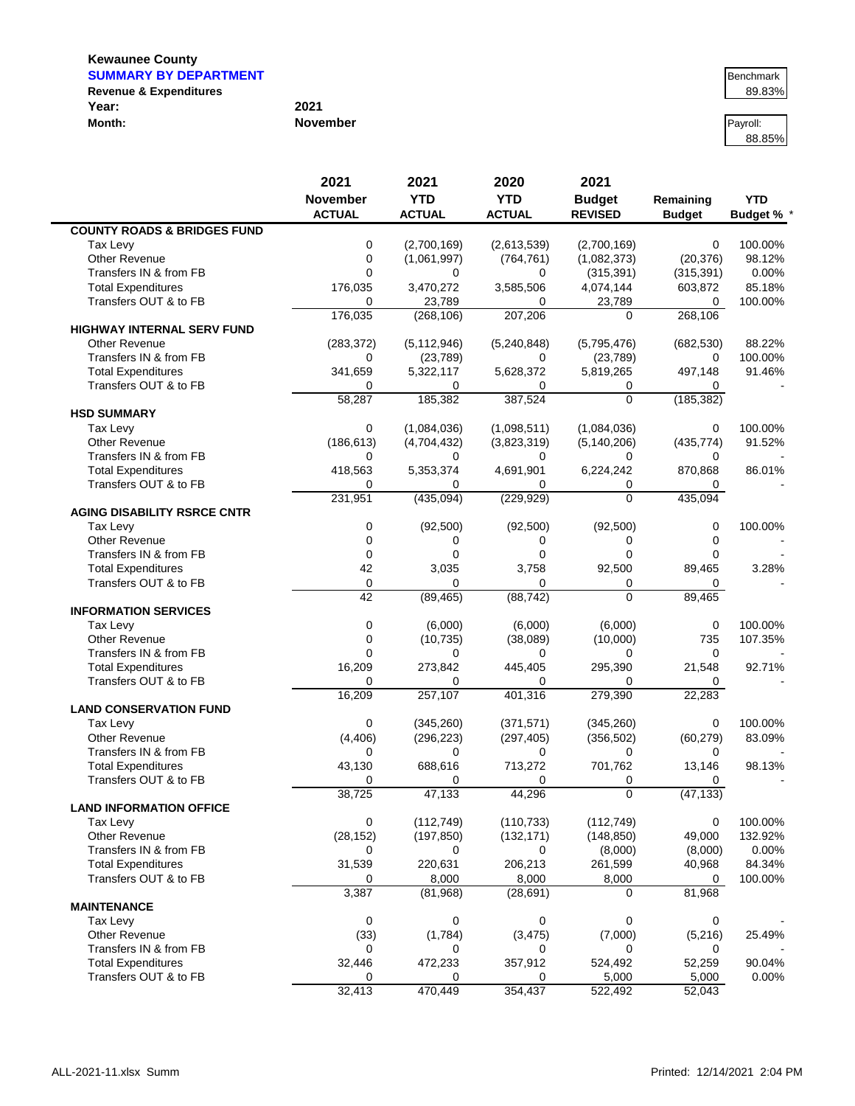#### **Kewaunee County SUMMARY BY DEPARTMENT** Benchmark

**COUNTY ROADS & BRIDGES FUND**

**HIGHWAY INTERNAL SERV FUND**

**HSD SUMMARY**

|                                   |                 | .        |
|-----------------------------------|-----------------|----------|
| <b>Revenue &amp; Expenditures</b> |                 | 89.83%   |
| Year:                             | 2021            |          |
| Month:                            | <b>November</b> | Pavroll: |

| Month:                               | <b>November</b>                          |                                     |                                     |                                         |                            | Payroll:<br>88.85%              |
|--------------------------------------|------------------------------------------|-------------------------------------|-------------------------------------|-----------------------------------------|----------------------------|---------------------------------|
|                                      | 2021<br><b>November</b><br><b>ACTUAL</b> | 2021<br><b>YTD</b><br><b>ACTUAL</b> | 2020<br><b>YTD</b><br><b>ACTUAL</b> | 2021<br><b>Budget</b><br><b>REVISED</b> | Remaining<br><b>Budget</b> | <b>YTD</b><br><b>Budget % *</b> |
| <b>UNTY ROADS &amp; BRIDGES FUND</b> |                                          |                                     |                                     |                                         |                            |                                 |
| Tax Levy                             | 0                                        | (2,700,169)                         | (2,613,539)                         | (2,700,169)                             | $\Omega$                   | 100.00%                         |
| Other Revenue                        | 0                                        | (1,061,997)                         | (764, 761)                          | (1,082,373)                             | (20, 376)                  | 98.12%                          |
| Transfers IN & from FB               |                                          | 0                                   | 0                                   | (315, 391)                              | (315, 391)                 | $0.00\%$                        |
| Total Expenditures                   | 176,035                                  | 3,470,272                           | 3,585,506                           | 4,074,144                               | 603,872                    | 85.18%                          |
| Transfers OUT & to FB                | 0                                        | 23,789                              | 0                                   | 23,789                                  | 0                          | 100.00%                         |
|                                      | 176,035                                  | (268, 106)                          | 207,206                             | 0                                       | 268,106                    |                                 |
| HWAY INTERNAL SERV FUND              |                                          |                                     |                                     |                                         |                            |                                 |
| Other Revenue                        | (283, 372)                               | (5, 112, 946)                       | (5,240,848)                         | (5,795,476)                             | (682, 530)                 | 88.22%                          |
| Transfers IN & from FB               | 0                                        | (23, 789)                           | 0                                   | (23, 789)                               | 0                          | 100.00%                         |
| <b>Total Expenditures</b>            | 341,659                                  | 5,322,117                           | 5,628,372                           | 5,819,265                               | 497,148                    | 91.46%                          |
| Transfers OUT & to FB                | 0                                        | 0                                   | 0                                   | 0                                       |                            |                                 |
|                                      | 58,287                                   | 185,382                             | 387,524                             | $\Omega$                                | (185, 382)                 |                                 |
| <b>D SUMMARY</b>                     |                                          |                                     |                                     |                                         |                            |                                 |
| Tax Levy                             | 0                                        | (1,084,036)                         | (1,098,511)                         | (1,084,036)                             | $\Omega$                   | 100.00%                         |
| Other Revenue                        | (186, 613)                               | (4,704,432)                         | (3,823,319)                         | (5, 140, 206)                           | (435, 774)                 | 91.52%                          |
| Transfers IN & from FB               | U                                        | O                                   |                                     |                                         |                            |                                 |
| Total Expenditures                   | 418,563                                  | 5,353,374                           | 4,691,901                           | 6,224,242                               | 870,868                    | 86.01%                          |

| Transfers OUT & to FB              | 0               | 0          | 0          | 0          | 0         |         |
|------------------------------------|-----------------|------------|------------|------------|-----------|---------|
|                                    | 231,951         | (435,094)  | (229, 929) | $\Omega$   | 435,094   |         |
| <b>AGING DISABILITY RSRCE CNTR</b> |                 |            |            |            |           |         |
| Tax Levy                           | 0               | (92, 500)  | (92, 500)  | (92, 500)  | 0         | 100.00% |
| <b>Other Revenue</b>               | 0               | 0          | 0          | 0          | 0         |         |
| Transfers IN & from FB             | 0               | 0          | 0          | 0          | 0         |         |
| <b>Total Expenditures</b>          | 42              | 3,035      | 3,758      | 92,500     | 89,465    | 3.28%   |
| Transfers OUT & to FB              | 0               | $\Omega$   | 0          | 0          | 0         |         |
|                                    | $\overline{42}$ | (89, 465)  | (88, 742)  | $\Omega$   | 89,465    |         |
| <b>INFORMATION SERVICES</b>        |                 |            |            |            |           |         |
| <b>Tax Levy</b>                    | 0               | (6,000)    | (6,000)    | (6,000)    | 0         | 100.00% |
| <b>Other Revenue</b>               | 0               | (10, 735)  | (38,089)   | (10,000)   | 735       | 107.35% |
| Transfers IN & from FB             | 0               | $\Omega$   | 0          | $\Omega$   | 0         |         |
| <b>Total Expenditures</b>          | 16,209          | 273,842    | 445,405    | 295,390    | 21,548    | 92.71%  |
| Transfers OUT & to FB              | 0               | 0          | 0          | $\Omega$   | 0         |         |
|                                    | 16,209          | 257,107    | 401,316    | 279,390    | 22,283    |         |
| <b>LAND CONSERVATION FUND</b>      |                 |            |            |            |           |         |
| Tax Levy                           | 0               | (345, 260) | (371, 571) | (345, 260) | 0         | 100.00% |
| Other Revenue                      | (4, 406)        | (296, 223) | (297, 405) | (356, 502) | (60, 279) | 83.09%  |
| Transfers IN & from FB             | 0               | 0          | 0          | $\Omega$   | 0         |         |
| <b>Total Expenditures</b>          | 43,130          | 688,616    | 713,272    | 701,762    | 13,146    | 98.13%  |
| Transfers OUT & to FB              | 0               | 0          | 0          | 0          | 0         |         |
|                                    | 38,725          | 47,133     | 44,296     | $\Omega$   | (47, 133) |         |
| <b>LAND INFORMATION OFFICE</b>     |                 |            |            |            |           |         |
| <b>Tax Levy</b>                    | 0               | (112, 749) | (110, 733) | (112, 749) | 0         | 100.00% |
| <b>Other Revenue</b>               | (28, 152)       | (197, 850) | (132, 171) | (148, 850) | 49,000    | 132.92% |
| Transfers IN & from FB             | 0               | 0          | 0          | (8,000)    | (8,000)   | 0.00%   |
| <b>Total Expenditures</b>          | 31,539          | 220,631    | 206,213    | 261,599    | 40,968    | 84.34%  |
| Transfers OUT & to FB              | 0               | 8,000      | 8,000      | 8,000      | 0         | 100.00% |
|                                    | 3,387           | (81,968)   | (28, 691)  | $\Omega$   | 81,968    |         |
| <b>MAINTENANCE</b>                 |                 |            |            |            |           |         |
| <b>Tax Levy</b>                    | 0               | 0          | 0          | 0          | 0         |         |
| <b>Other Revenue</b>               | (33)            | (1,784)    | (3, 475)   | (7,000)    | (5,216)   | 25.49%  |
| Transfers IN & from FB             | $\Omega$        | 0          | 0          | $\Omega$   | 0         |         |
| <b>Total Expenditures</b>          | 32,446          | 472,233    | 357,912    | 524,492    | 52,259    | 90.04%  |
| Transfers OUT & to FB              | 0               | 0          | 0          | 5,000      | 5,000     | 0.00%   |
|                                    | 32,413          | 470,449    | 354,437    | 522,492    | 52,043    |         |
|                                    |                 |            |            |            |           |         |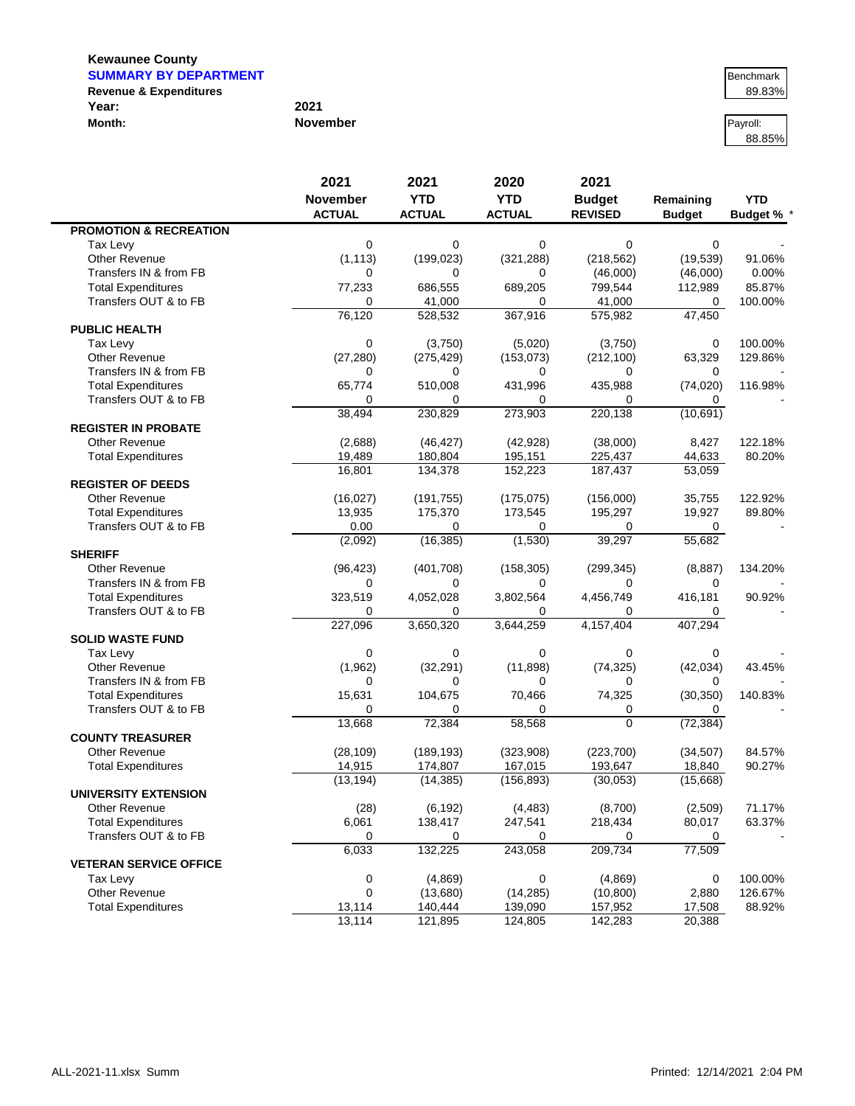#### **Kewaunee County SUMMARY BY DEPARTMENT BENCHMARY BY DEPARTMENT**

 $\blacksquare$ 

|                                   |                 | .        |
|-----------------------------------|-----------------|----------|
| <b>Revenue &amp; Expenditures</b> |                 | 89.83%   |
| Year:                             | 2021            |          |
| Month:                            | <b>November</b> | Payroll: |

| Benchmark<br>89.83% |        |
|---------------------|--------|
|                     | 89.83% |

88.85%

|                                   | 2021          | 2021          | 2020          | 2021           |                     |                 |
|-----------------------------------|---------------|---------------|---------------|----------------|---------------------|-----------------|
|                                   | November      | <b>YTD</b>    | <b>YTD</b>    | <b>Budget</b>  | Remaining           | <b>YTD</b>      |
|                                   | <b>ACTUAL</b> | <b>ACTUAL</b> | <b>ACTUAL</b> | <b>REVISED</b> | <b>Budget</b>       | <b>Budget %</b> |
| <b>PROMOTION &amp; RECREATION</b> |               |               |               |                |                     |                 |
| Tax Levy                          | 0             | 0             | 0             | 0              | 0                   |                 |
| <b>Other Revenue</b>              | (1, 113)      | (199, 023)    | (321, 288)    | (218, 562)     | (19,539)            | 91.06%          |
| Transfers IN & from FB            | 0             | 0             | 0             | (46,000)       | (46,000)            | 0.00%           |
| <b>Total Expenditures</b>         | 77,233        | 686,555       | 689,205       | 799,544        | 112,989             | 85.87%          |
| Transfers OUT & to FB             | 0             | 41,000        | 0             | 41,000         | 0                   | 100.00%         |
|                                   | 76,120        | 528,532       | 367,916       | 575,982        | 47,450              |                 |
| <b>PUBLIC HEALTH</b>              |               |               |               |                |                     |                 |
| Tax Levy                          | 0             | (3,750)       | (5,020)       | (3,750)        | 0                   | 100.00%         |
| <b>Other Revenue</b>              | (27, 280)     | (275, 429)    | (153, 073)    | (212, 100)     | 63,329              | 129.86%         |
| Transfers IN & from FB            | 0             | 0             | 0             | 0              | 0                   |                 |
| <b>Total Expenditures</b>         | 65,774        | 510,008       | 431,996       | 435,988        | (74, 020)           | 116.98%         |
| Transfers OUT & to FB             | 0             | 0             | $\Omega$      | $\Omega$       | 0                   |                 |
|                                   | 38,494        | 230,829       | 273,903       | 220,138        | (10, 691)           |                 |
| <b>REGISTER IN PROBATE</b>        |               |               |               |                |                     |                 |
| <b>Other Revenue</b>              | (2,688)       | (46, 427)     | (42, 928)     | (38,000)       | 8,427               | 122.18%         |
| <b>Total Expenditures</b>         | 19,489        | 180,804       | 195,151       | 225,437        | 44,633              | 80.20%          |
|                                   | 16,801        | 134,378       | 152,223       | 187,437        | $\overline{53,059}$ |                 |
| <b>REGISTER OF DEEDS</b>          |               |               |               |                |                     |                 |
| <b>Other Revenue</b>              | (16, 027)     | (191, 755)    | (175, 075)    | (156,000)      | 35,755              | 122.92%         |
| <b>Total Expenditures</b>         | 13,935        | 175,370       | 173,545       | 195,297        | 19,927              | 89.80%          |
| Transfers OUT & to FB             | 0.00          | 0             | 0             | 0              | 0                   |                 |
|                                   | (2,092)       | (16, 385)     | (1,530)       | 39,297         | 55,682              |                 |
| <b>SHERIFF</b>                    |               |               |               |                |                     |                 |
| <b>Other Revenue</b>              | (96, 423)     | (401, 708)    | (158, 305)    | (299, 345)     | (8, 887)            | 134.20%         |
| Transfers IN & from FB            | 0             | 0             | 0             | 0              | 0                   |                 |
| <b>Total Expenditures</b>         | 323,519       | 4,052,028     | 3,802,564     | 4,456,749      | 416,181             | 90.92%          |
| Transfers OUT & to FB             | 0             | 0             | 0             | 0              | 0                   |                 |
|                                   | 227,096       | 3,650,320     | 3,644,259     | 4,157,404      | 407,294             |                 |
| <b>SOLID WASTE FUND</b>           |               |               |               |                |                     |                 |
| Tax Levy                          | $\mathbf 0$   | 0             | $\mathbf 0$   | $\Omega$       | 0                   |                 |
| <b>Other Revenue</b>              | (1,962)       | (32, 291)     | (11, 898)     | (74, 325)      | (42, 034)           | 43.45%          |
| Transfers IN & from FB            | 0             | 0             | 0             | 0              | 0                   |                 |
| <b>Total Expenditures</b>         | 15,631        | 104,675       | 70,466        | 74,325         | (30, 350)           | 140.83%         |
| Transfers OUT & to FB             | $\Omega$      | 0             | 0             | 0              | 0                   |                 |
|                                   | 13,668        | 72,384        | 58,568        | $\Omega$       | (72, 384)           |                 |
| <b>COUNTY TREASURER</b>           |               |               |               |                |                     |                 |
| <b>Other Revenue</b>              | (28, 109)     | (189, 193)    | (323,908)     | (223, 700)     | (34, 507)           | 84.57%          |
| <b>Total Expenditures</b>         | 14,915        | 174,807       | 167,015       | 193,647        | 18,840              | 90.27%          |
|                                   | (13, 194)     | (14, 385)     | (156, 893)    | (30,053)       | (15,668)            |                 |
| <b>UNIVERSITY EXTENSION</b>       |               |               |               |                |                     |                 |
| Other Revenue                     | (28)          | (6, 192)      | (4, 483)      | (8,700)        | (2,509)             | 71.17%          |
| <b>Total Expenditures</b>         | 6,061         | 138,417       | 247,541       | 218,434        | 80,017              | 63.37%          |
| Transfers OUT & to FB             | 0             | 0             | 0             | 0              | 0                   |                 |
|                                   | 6,033         | 132,225       | 243,058       | 209,734        | 77,509              |                 |
| <b>VETERAN SERVICE OFFICE</b>     |               |               |               |                |                     |                 |
| Tax Levy                          | $\pmb{0}$     | (4,869)       | 0             | (4,869)        | 0                   | 100.00%         |
| Other Revenue                     | 0             | (13,680)      | (14, 285)     | (10, 800)      | 2,880               | 126.67%         |
| <b>Total Expenditures</b>         | 13,114        | 140,444       | 139,090       | 157,952        | 17,508              | 88.92%          |
|                                   | 13,114        | 121,895       | 124,805       | 142,283        | 20,388              |                 |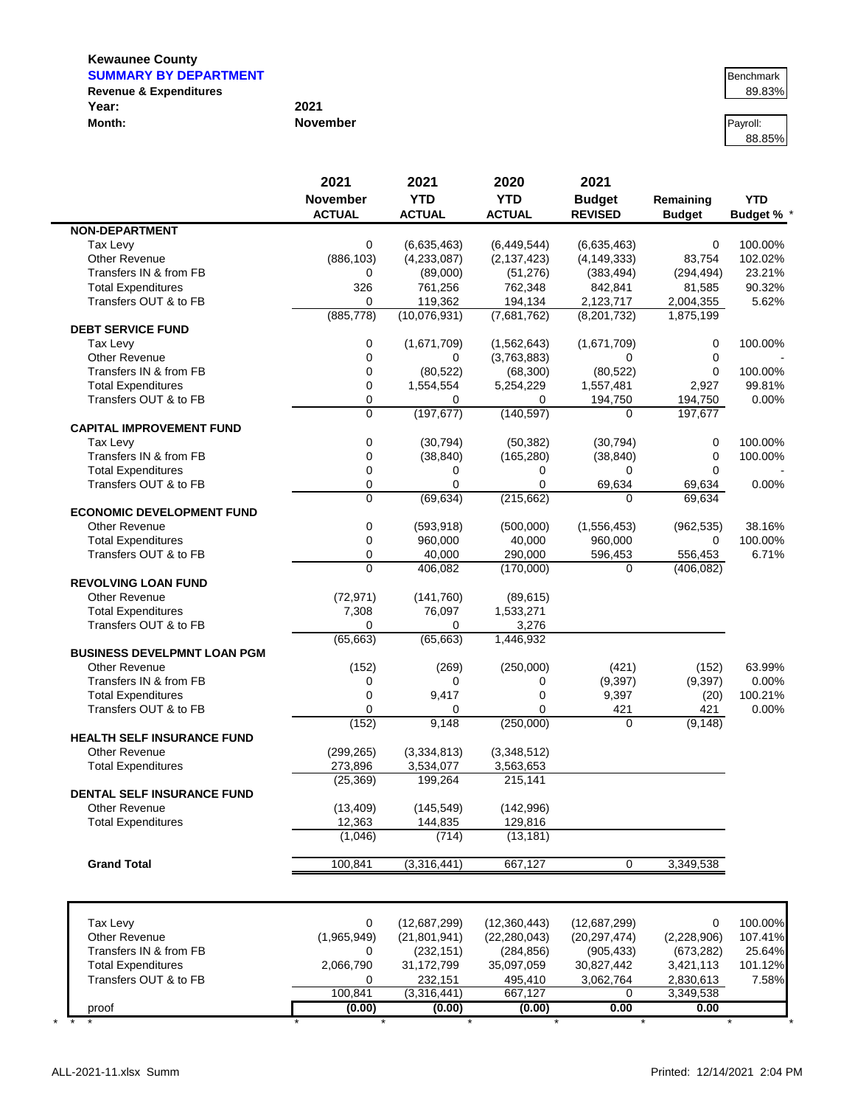## **Kewaunee County SUMMARY BY DEPARTMENT**

 $\blacksquare$ 

| <b>Revenue &amp; Expenditures</b> |                 | 89.83%   |
|-----------------------------------|-----------------|----------|
| Year:                             | 2021            |          |
| Month:                            | <b>November</b> | Payroll: |

| Benchmark |
|-----------|
| 89.83%    |

88.85%

|                                    | 2021            | 2021           | 2020           | 2021           |               |                 |
|------------------------------------|-----------------|----------------|----------------|----------------|---------------|-----------------|
|                                    | <b>November</b> | <b>YTD</b>     | <b>YTD</b>     | <b>Budget</b>  | Remaining     | <b>YTD</b>      |
|                                    | <b>ACTUAL</b>   | <b>ACTUAL</b>  | <b>ACTUAL</b>  | <b>REVISED</b> | <b>Budget</b> | <b>Budget %</b> |
| <b>NON-DEPARTMENT</b>              |                 |                |                |                |               |                 |
| Tax Levy                           | 0               | (6,635,463)    | (6,449,544)    | (6,635,463)    | $\mathbf 0$   | 100.00%         |
| Other Revenue                      | (886, 103)      | (4,233,087)    | (2, 137, 423)  | (4, 149, 333)  | 83,754        | 102.02%         |
| Transfers IN & from FB             | 0               | (89,000)       | (51, 276)      | (383, 494)     | (294, 494)    | 23.21%          |
| <b>Total Expenditures</b>          | 326             | 761,256        | 762,348        | 842,841        | 81,585        | 90.32%          |
| Transfers OUT & to FB              | 0               | 119,362        | 194,134        | 2,123,717      | 2,004,355     | 5.62%           |
|                                    | (885, 778)      | (10,076,931)   | (7,681,762)    | (8,201,732)    | 1,875,199     |                 |
| <b>DEBT SERVICE FUND</b>           |                 |                |                |                |               |                 |
| Tax Levy                           | 0               | (1,671,709)    | (1,562,643)    | (1,671,709)    | 0             | 100.00%         |
| <b>Other Revenue</b>               | 0               | $\Omega$       | (3,763,883)    | $\Omega$       | $\mathbf 0$   |                 |
| Transfers IN & from FB             | 0               | (80, 522)      | (68, 300)      | (80, 522)      | $\mathbf 0$   | 100.00%         |
| <b>Total Expenditures</b>          | 0               | 1,554,554      | 5,254,229      | 1,557,481      | 2,927         | 99.81%          |
| Transfers OUT & to FB              | 0               | 0              | 0              | 194,750        | 194,750       | 0.00%           |
|                                    | 0               | (197, 677)     | (140, 597)     | $\Omega$       | 197,677       |                 |
| <b>CAPITAL IMPROVEMENT FUND</b>    |                 |                |                |                |               |                 |
| Tax Levy                           | 0               | (30, 794)      | (50, 382)      | (30, 794)      | 0             | 100.00%         |
| Transfers IN & from FB             | $\mathbf 0$     | (38, 840)      | (165, 280)     | (38, 840)      | 0             | 100.00%         |
| <b>Total Expenditures</b>          | $\mathbf 0$     | 0              | 0              | $\Omega$       | $\Omega$      |                 |
| Transfers OUT & to FB              | 0               | 0              | $\Omega$       | 69,634         | 69,634        | 0.00%           |
|                                    | 0               | (69, 634)      | (215, 662)     | $\Omega$       | 69,634        |                 |
| <b>ECONOMIC DEVELOPMENT FUND</b>   |                 |                |                |                |               |                 |
| <b>Other Revenue</b>               | 0               | (593, 918)     | (500,000)      | (1,556,453)    | (962, 535)    | 38.16%          |
| <b>Total Expenditures</b>          | $\mathbf 0$     | 960,000        | 40,000         | 960,000        | 0             | 100.00%         |
| Transfers OUT & to FB              | $\mathbf 0$     | 40,000         | 290,000        | 596,453        | 556,453       | 6.71%           |
|                                    | $\Omega$        | 406,082        | (170,000)      | $\Omega$       | (406, 082)    |                 |
| <b>REVOLVING LOAN FUND</b>         |                 |                |                |                |               |                 |
| <b>Other Revenue</b>               | (72, 971)       | (141,760)      | (89, 615)      |                |               |                 |
| <b>Total Expenditures</b>          | 7,308           | 76,097         | 1,533,271      |                |               |                 |
| Transfers OUT & to FB              | $\Omega$        | 0              | 3,276          |                |               |                 |
|                                    | (65, 663)       | (65, 663)      | 1,446,932      |                |               |                 |
| <b>BUSINESS DEVELPMNT LOAN PGM</b> |                 |                |                |                |               |                 |
| <b>Other Revenue</b>               | (152)           | (269)          | (250,000)      | (421)          | (152)         | 63.99%          |
| Transfers IN & from FB             | 0               | 0              | 0              | (9, 397)       | (9,397)       | 0.00%           |
| <b>Total Expenditures</b>          | $\mathbf 0$     | 9,417          | 0              | 9,397          | (20)          | 100.21%         |
| Transfers OUT & to FB              | $\mathbf 0$     | 0              | $\Omega$       | 421            | 421           | 0.00%           |
|                                    | (152)           | 9,148          | (250,000)      | $\mathbf 0$    | (9, 148)      |                 |
| <b>HEALTH SELF INSURANCE FUND</b>  |                 |                |                |                |               |                 |
| <b>Other Revenue</b>               | (299, 265)      | (3,334,813)    | (3,348,512)    |                |               |                 |
| <b>Total Expenditures</b>          | 273,896         | 3,534,077      | 3,563,653      |                |               |                 |
|                                    | (25, 369)       | 199,264        | 215,141        |                |               |                 |
| <b>DENTAL SELF INSURANCE FUND</b>  |                 |                |                |                |               |                 |
| Other Revenue                      | (13, 409)       | (145, 549)     | (142, 996)     |                |               |                 |
| <b>Total Expenditures</b>          | 12,363          | 144,835        | 129,816        |                |               |                 |
|                                    | (1,046)         | (714)          | (13, 181)      |                |               |                 |
|                                    |                 |                |                |                |               |                 |
| <b>Grand Total</b>                 | 100,841         | (3,316,441)    | 667,127        | $\mathbf 0$    | 3,349,538     |                 |
|                                    |                 |                |                |                |               |                 |
|                                    |                 |                |                |                |               |                 |
| Tax Levy                           | 0               | (12,687,299)   | (12,360,443)   | (12,687,299)   | 0             | 100.00%         |
| <b>Other Revenue</b>               | (1,965,949)     | (21, 801, 941) | (22, 280, 043) | (20, 297, 474) | (2,228,906)   | 107.41%         |
| Transfers IN & from FB             | 0               | (232, 151)     | (284, 856)     | (905, 433)     | (673, 282)    | 25.64%          |
| <b>Total Expenditures</b>          | 2,066,790       | 31,172,799     | 35,097,059     | 30,827,442     | 3,421,113     | 101.12%         |
| Transfers OUT & to FB              | 0               | 232,151        | 495,410        | 3,062,764      | 2,830,613     | 7.58%           |
|                                    | 100,841         | (3,316,441)    | 667,127        | 0              | 3,349,538     |                 |
| proof                              | (0.00)          | (0.00)         | (0.00)         | 0.00           | 0.00          |                 |

\* \* \* \* \* \* \* \* \* \*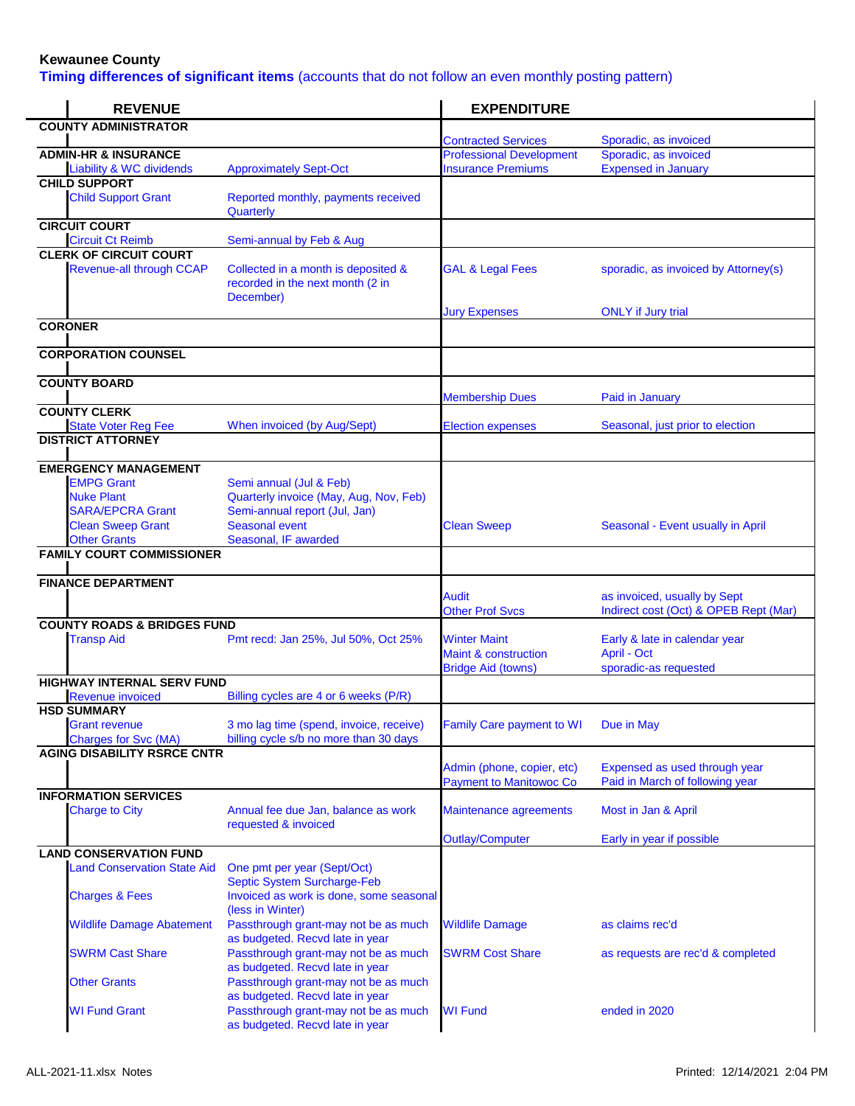## **Kewaunee County**

**Timing differences of significant items** (accounts that do not follow an even monthly posting pattern)

| <b>REVENUE</b>                                                                                                                                      |                                                                                                                                              | <b>EXPENDITURE</b>                                                       |                                                                       |
|-----------------------------------------------------------------------------------------------------------------------------------------------------|----------------------------------------------------------------------------------------------------------------------------------------------|--------------------------------------------------------------------------|-----------------------------------------------------------------------|
| <b>COUNTY ADMINISTRATOR</b>                                                                                                                         |                                                                                                                                              |                                                                          |                                                                       |
| <b>ADMIN-HR &amp; INSURANCE</b>                                                                                                                     |                                                                                                                                              | <b>Contracted Services</b><br><b>Professional Development</b>            | Sporadic, as invoiced<br>Sporadic, as invoiced                        |
| <b>Liability &amp; WC dividends</b>                                                                                                                 | <b>Approximately Sept-Oct</b>                                                                                                                | <b>Insurance Premiums</b>                                                | <b>Expensed in January</b>                                            |
| <b>CHILD SUPPORT</b><br><b>Child Support Grant</b>                                                                                                  | Reported monthly, payments received<br>Quarterly                                                                                             |                                                                          |                                                                       |
| <b>CIRCUIT COURT</b><br><b>Circuit Ct Reimb</b>                                                                                                     | Semi-annual by Feb & Aug                                                                                                                     |                                                                          |                                                                       |
| <b>CLERK OF CIRCUIT COURT</b><br><b>Revenue-all through CCAP</b>                                                                                    | Collected in a month is deposited &<br>recorded in the next month (2 in<br>December)                                                         | <b>GAL &amp; Legal Fees</b>                                              | sporadic, as invoiced by Attorney(s)                                  |
| <b>CORONER</b>                                                                                                                                      |                                                                                                                                              | <b>Jury Expenses</b>                                                     | <b>ONLY</b> if Jury trial                                             |
| <b>CORPORATION COUNSEL</b>                                                                                                                          |                                                                                                                                              |                                                                          |                                                                       |
| <b>COUNTY BOARD</b>                                                                                                                                 |                                                                                                                                              |                                                                          |                                                                       |
| <b>COUNTY CLERK</b>                                                                                                                                 |                                                                                                                                              | <b>Membership Dues</b>                                                   | Paid in January                                                       |
| <b>State Voter Reg Fee</b>                                                                                                                          | When invoiced (by Aug/Sept)                                                                                                                  | <b>Election expenses</b>                                                 | Seasonal, just prior to election                                      |
| <b>DISTRICT ATTORNEY</b>                                                                                                                            |                                                                                                                                              |                                                                          |                                                                       |
| <b>EMERGENCY MANAGEMENT</b><br><b>EMPG Grant</b><br><b>Nuke Plant</b><br><b>SARA/EPCRA Grant</b><br><b>Clean Sweep Grant</b><br><b>Other Grants</b> | Semi annual (Jul & Feb)<br>Quarterly invoice (May, Aug, Nov, Feb)<br>Semi-annual report (Jul, Jan)<br>Seasonal event<br>Seasonal, IF awarded | <b>Clean Sweep</b>                                                       | Seasonal - Event usually in April                                     |
| <b>FAMILY COURT COMMISSIONER</b>                                                                                                                    |                                                                                                                                              |                                                                          |                                                                       |
| <b>FINANCE DEPARTMENT</b>                                                                                                                           |                                                                                                                                              | <b>Audit</b><br><b>Other Prof Svcs</b>                                   | as invoiced, usually by Sept<br>Indirect cost (Oct) & OPEB Rept (Mar) |
| <b>COUNTY ROADS &amp; BRIDGES FUND</b><br><b>Transp Aid</b>                                                                                         | Pmt recd: Jan 25%, Jul 50%, Oct 25%                                                                                                          | <b>Winter Maint</b><br>Maint & construction<br><b>Bridge Aid (towns)</b> | Early & late in calendar year<br>April - Oct<br>sporadic-as requested |
| <b>HIGHWAY INTERNAL SERV FUND</b>                                                                                                                   |                                                                                                                                              |                                                                          |                                                                       |
| <b>Revenue invoiced</b><br><b>HSD SUMMARY</b><br>Grant revenue<br><b>Charges for Svc (MA)</b>                                                       | Billing cycles are 4 or 6 weeks (P/R)<br>3 mo lag time (spend, invoice, receive)<br>billing cycle s/b no more than 30 days                   | <b>Family Care payment to WI</b>                                         | Due in May                                                            |
| <b>AGING DISABILITY RSRCE CNTR</b>                                                                                                                  |                                                                                                                                              | Admin (phone, copier, etc)<br><b>Payment to Manitowoc Co</b>             | Expensed as used through year<br>Paid in March of following year      |
| <b>INFORMATION SERVICES</b><br><b>Charge to City</b>                                                                                                | Annual fee due Jan, balance as work<br>requested & invoiced                                                                                  | Maintenance agreements                                                   | Most in Jan & April                                                   |
|                                                                                                                                                     |                                                                                                                                              | Outlay/Computer                                                          | Early in year if possible                                             |
| <b>LAND CONSERVATION FUND</b><br><b>Land Conservation State Aid</b><br><b>Charges &amp; Fees</b>                                                    | One pmt per year (Sept/Oct)<br>Septic System Surcharge-Feb<br>Invoiced as work is done, some seasonal                                        |                                                                          |                                                                       |
| <b>Wildlife Damage Abatement</b>                                                                                                                    | (less in Winter)<br>Passthrough grant-may not be as much                                                                                     | <b>Wildlife Damage</b>                                                   | as claims rec'd                                                       |
| <b>SWRM Cast Share</b>                                                                                                                              | as budgeted. Recvd late in year<br>Passthrough grant-may not be as much                                                                      | <b>SWRM Cost Share</b>                                                   | as requests are rec'd & completed                                     |
| <b>Other Grants</b>                                                                                                                                 | as budgeted. Recvd late in year<br>Passthrough grant-may not be as much<br>as budgeted. Recvd late in year                                   |                                                                          |                                                                       |
| <b>WI Fund Grant</b>                                                                                                                                | Passthrough grant-may not be as much<br>as budgeted. Recvd late in year                                                                      | <b>WI Fund</b>                                                           | ended in 2020                                                         |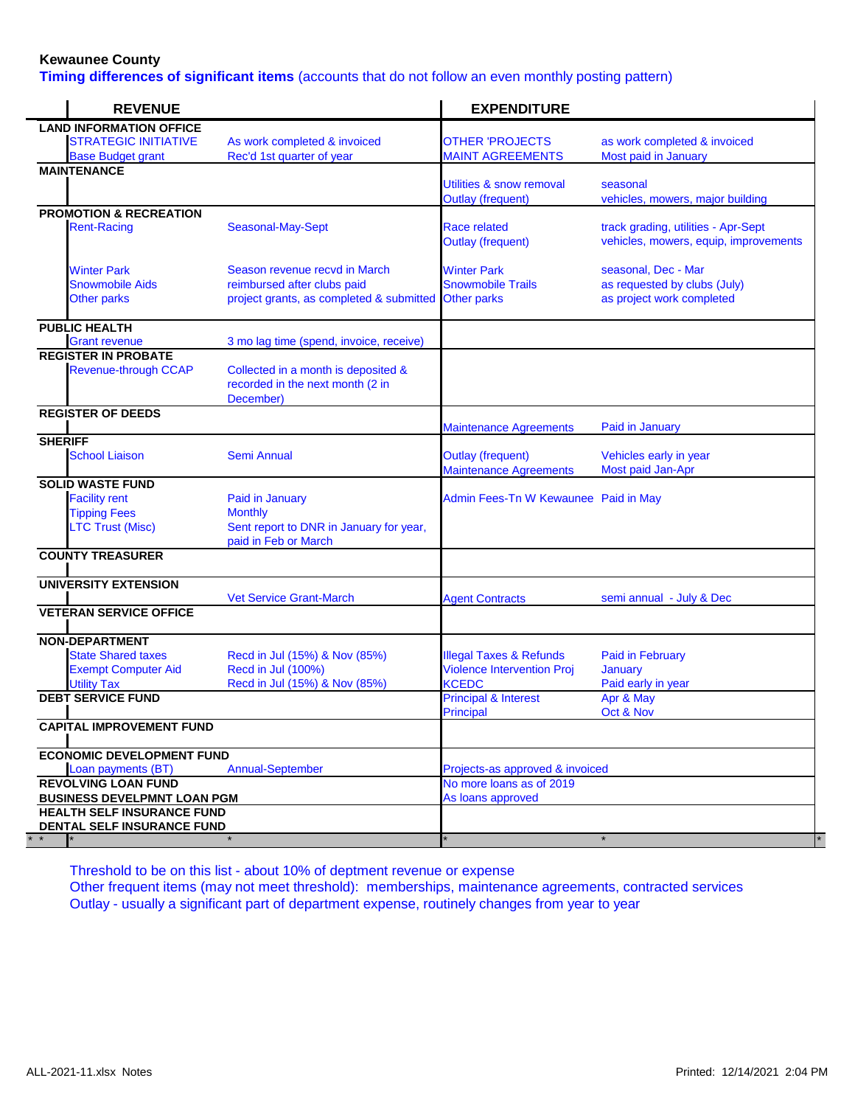## **Kewaunee County**

**Timing differences of significant items** (accounts that do not follow an even monthly posting pattern)

| <b>REVENUE</b>                                                         |                                                                                                                      | <b>EXPENDITURE</b>                                        |                                                                                  |
|------------------------------------------------------------------------|----------------------------------------------------------------------------------------------------------------------|-----------------------------------------------------------|----------------------------------------------------------------------------------|
| <b>LAND INFORMATION OFFICE</b>                                         |                                                                                                                      |                                                           |                                                                                  |
| <b>STRATEGIC INITIATIVE</b>                                            | As work completed & invoiced                                                                                         | <b>OTHER 'PROJECTS</b>                                    | as work completed & invoiced                                                     |
| <b>Base Budget grant</b>                                               | Rec'd 1st quarter of year                                                                                            | <b>MAINT AGREEMENTS</b>                                   | Most paid in January                                                             |
| <b>MAINTENANCE</b>                                                     |                                                                                                                      |                                                           |                                                                                  |
|                                                                        |                                                                                                                      | Utilities & snow removal                                  | seasonal<br>vehicles, mowers, major building                                     |
| <b>PROMOTION &amp; RECREATION</b>                                      |                                                                                                                      | <b>Outlay (frequent)</b>                                  |                                                                                  |
| <b>Rent-Racing</b>                                                     | Seasonal-May-Sept                                                                                                    | Race related<br><b>Outlay (frequent)</b>                  | track grading, utilities - Apr-Sept<br>vehicles, mowers, equip, improvements     |
| <b>Winter Park</b><br><b>Snowmobile Aids</b><br><b>Other parks</b>     | Season revenue recvd in March<br>reimbursed after clubs paid<br>project grants, as completed & submitted Other parks | <b>Winter Park</b><br><b>Snowmobile Trails</b>            | seasonal, Dec - Mar<br>as requested by clubs (July)<br>as project work completed |
| <b>PUBLIC HEALTH</b>                                                   |                                                                                                                      |                                                           |                                                                                  |
| <b>Grant revenue</b>                                                   | 3 mo lag time (spend, invoice, receive)                                                                              |                                                           |                                                                                  |
| <b>REGISTER IN PROBATE</b><br><b>Revenue-through CCAP</b>              | Collected in a month is deposited &<br>recorded in the next month (2 in<br>December)                                 |                                                           |                                                                                  |
| <b>REGISTER OF DEEDS</b>                                               |                                                                                                                      | <b>Maintenance Agreements</b>                             | Paid in January                                                                  |
| <b>SHERIFF</b>                                                         |                                                                                                                      |                                                           |                                                                                  |
| <b>School Liaison</b>                                                  | Semi Annual                                                                                                          | <b>Outlay (frequent)</b><br><b>Maintenance Agreements</b> | Vehicles early in year<br>Most paid Jan-Apr                                      |
| <b>SOLID WASTE FUND</b>                                                |                                                                                                                      |                                                           |                                                                                  |
| <b>Facility rent</b>                                                   | Paid in January                                                                                                      | Admin Fees-Tn W Kewaunee Paid in May                      |                                                                                  |
| <b>Tipping Fees</b><br><b>LTC Trust (Misc)</b>                         | <b>Monthly</b><br>Sent report to DNR in January for year,<br>paid in Feb or March                                    |                                                           |                                                                                  |
| <b>COUNTY TREASURER</b>                                                |                                                                                                                      |                                                           |                                                                                  |
| <b>UNIVERSITY EXTENSION</b>                                            | <b>Vet Service Grant-March</b>                                                                                       | <b>Agent Contracts</b>                                    | semi annual - July & Dec                                                         |
| <b>VETERAN SERVICE OFFICE</b>                                          |                                                                                                                      |                                                           |                                                                                  |
| <b>NON-DEPARTMENT</b>                                                  |                                                                                                                      |                                                           |                                                                                  |
| <b>State Shared taxes</b>                                              | Recd in Jul (15%) & Nov (85%)                                                                                        | <b>Illegal Taxes &amp; Refunds</b>                        | <b>Paid in February</b>                                                          |
| <b>Exempt Computer Aid</b>                                             | Recd in Jul (100%)                                                                                                   | <b>Violence Intervention Proj</b>                         | January                                                                          |
| <b>Utility Tax</b>                                                     | Recd in Jul (15%) & Nov (85%)                                                                                        | <b>KCEDC</b>                                              | Paid early in year                                                               |
| <b>DEBT SERVICE FUND</b>                                               |                                                                                                                      | <b>Principal &amp; Interest</b><br>Principal              | Apr & May<br>Oct & Nov                                                           |
| <b>CAPITAL IMPROVEMENT FUND</b>                                        |                                                                                                                      |                                                           |                                                                                  |
| <b>ECONOMIC DEVELOPMENT FUND</b>                                       |                                                                                                                      |                                                           |                                                                                  |
| Loan payments (BT)                                                     | <b>Annual-September</b>                                                                                              | Projects-as approved & invoiced                           |                                                                                  |
| <b>REVOLVING LOAN FUND</b>                                             |                                                                                                                      | No more loans as of 2019                                  |                                                                                  |
| <b>BUSINESS DEVELPMNT LOAN PGM</b>                                     |                                                                                                                      | As loans approved                                         |                                                                                  |
| <b>HEALTH SELF INSURANCE FUND</b><br><b>DENTAL SELF INSURANCE FUND</b> |                                                                                                                      |                                                           |                                                                                  |
|                                                                        |                                                                                                                      |                                                           |                                                                                  |

Threshold to be on this list - about 10% of deptment revenue or expense Other frequent items (may not meet threshold): memberships, maintenance agreements, contracted services Outlay - usually a significant part of department expense, routinely changes from year to year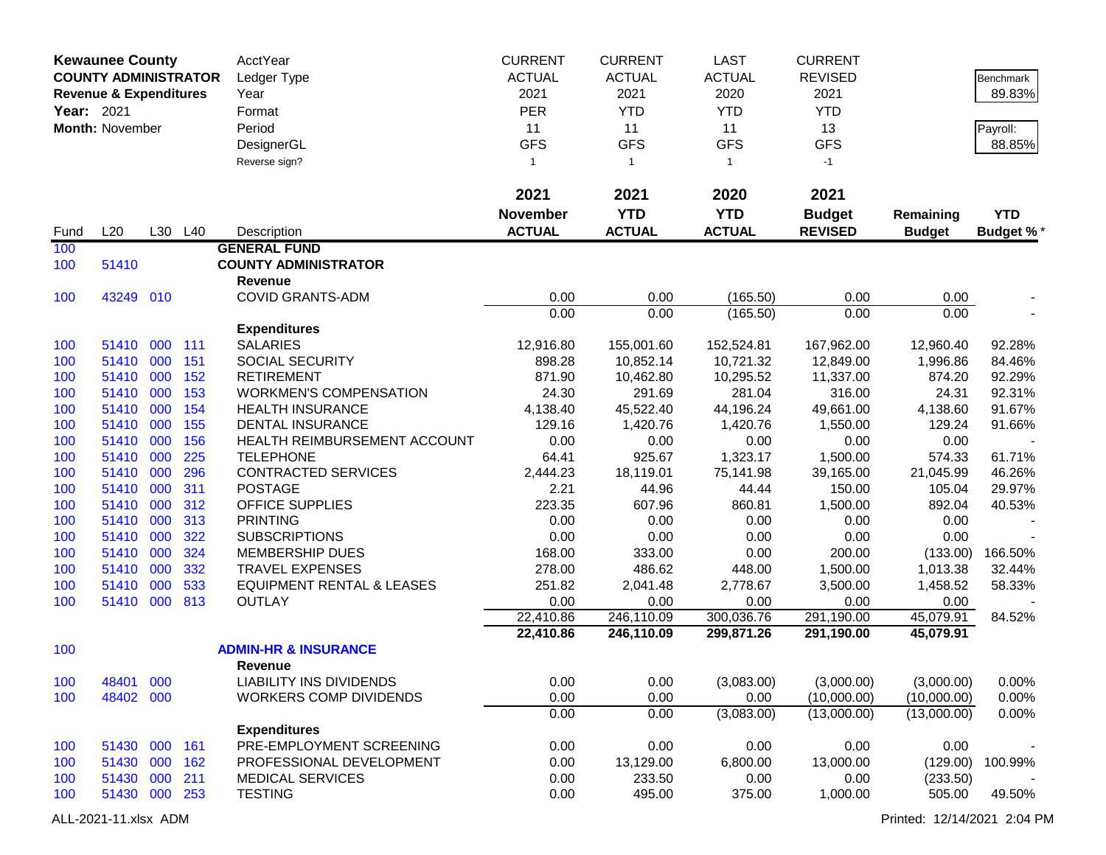|            | <b>Kewaunee County</b><br><b>COUNTY ADMINISTRATOR</b> |     |         | AcctYear<br>Ledger Type              | <b>CURRENT</b><br><b>ACTUAL</b> | <b>CURRENT</b><br><b>ACTUAL</b> | LAST<br><b>ACTUAL</b> | <b>CURRENT</b><br><b>REVISED</b> |               | Benchmark        |
|------------|-------------------------------------------------------|-----|---------|--------------------------------------|---------------------------------|---------------------------------|-----------------------|----------------------------------|---------------|------------------|
|            | <b>Revenue &amp; Expenditures</b>                     |     |         | Year                                 | 2021                            | 2021                            | 2020                  | 2021                             |               | 89.83%           |
| Year: 2021 |                                                       |     |         | Format                               | <b>PER</b>                      | <b>YTD</b>                      | <b>YTD</b>            | <b>YTD</b>                       |               |                  |
|            | Month: November                                       |     |         | Period                               | 11                              | 11                              | 11                    | 13                               |               | Payroll:         |
|            |                                                       |     |         | DesignerGL                           | <b>GFS</b>                      | <b>GFS</b>                      | <b>GFS</b>            | <b>GFS</b>                       |               | 88.85%           |
|            |                                                       |     |         | Reverse sign?                        | $\mathbf{1}$                    | $\mathbf{1}$                    | $\mathbf{1}$          | $-1$                             |               |                  |
|            |                                                       |     |         |                                      | 2021                            | 2021                            | 2020                  | 2021                             |               |                  |
|            |                                                       |     |         |                                      | <b>November</b>                 | <b>YTD</b>                      | <b>YTD</b>            | <b>Budget</b>                    | Remaining     | <b>YTD</b>       |
| Fund       | L20                                                   |     | L30 L40 | Description                          | <b>ACTUAL</b>                   | <b>ACTUAL</b>                   | <b>ACTUAL</b>         | <b>REVISED</b>                   | <b>Budget</b> | <b>Budget %*</b> |
| 100        |                                                       |     |         | <b>GENERAL FUND</b>                  |                                 |                                 |                       |                                  |               |                  |
| 100        | 51410                                                 |     |         | <b>COUNTY ADMINISTRATOR</b>          |                                 |                                 |                       |                                  |               |                  |
|            |                                                       |     |         | <b>Revenue</b>                       |                                 |                                 |                       |                                  |               |                  |
| 100        | 43249 010                                             |     |         | <b>COVID GRANTS-ADM</b>              | 0.00                            | 0.00                            | (165.50)              | 0.00                             | 0.00          |                  |
|            |                                                       |     |         |                                      | 0.00                            | 0.00                            | (165.50)              | 0.00                             | 0.00          |                  |
|            |                                                       |     |         | <b>Expenditures</b>                  |                                 |                                 |                       |                                  |               |                  |
| 100        | 51410                                                 | 000 | 111     | <b>SALARIES</b>                      | 12,916.80                       | 155,001.60                      | 152,524.81            | 167,962.00                       | 12,960.40     | 92.28%           |
| 100        | 51410 000                                             |     | 151     | SOCIAL SECURITY                      | 898.28                          | 10,852.14                       | 10,721.32             | 12,849.00                        | 1,996.86      | 84.46%           |
| 100        | 51410                                                 | 000 | 152     | <b>RETIREMENT</b>                    | 871.90                          | 10,462.80                       | 10,295.52             | 11,337.00                        | 874.20        | 92.29%           |
| 100        | 51410                                                 | 000 | 153     | <b>WORKMEN'S COMPENSATION</b>        | 24.30                           | 291.69                          | 281.04                | 316.00                           | 24.31         | 92.31%           |
| 100        | 51410                                                 | 000 | 154     | <b>HEALTH INSURANCE</b>              | 4,138.40                        | 45,522.40                       | 44,196.24             | 49,661.00                        | 4,138.60      | 91.67%           |
| 100        | 51410                                                 | 000 | 155     | <b>DENTAL INSURANCE</b>              | 129.16                          | 1,420.76                        | 1,420.76              | 1,550.00                         | 129.24        | 91.66%           |
| 100        | 51410                                                 | 000 | 156     | HEALTH REIMBURSEMENT ACCOUNT         | 0.00                            | 0.00                            | 0.00                  | 0.00                             | 0.00          |                  |
| 100        | 51410                                                 | 000 | 225     | <b>TELEPHONE</b>                     | 64.41                           | 925.67                          | 1,323.17              | 1,500.00                         | 574.33        | 61.71%           |
| 100        | 51410                                                 | 000 | 296     | <b>CONTRACTED SERVICES</b>           | 2,444.23                        | 18,119.01                       | 75,141.98             | 39,165.00                        | 21,045.99     | 46.26%           |
| 100        | 51410                                                 | 000 | 311     | <b>POSTAGE</b>                       | 2.21                            | 44.96                           | 44.44                 | 150.00                           | 105.04        | 29.97%           |
| 100        | 51410                                                 | 000 | 312     | OFFICE SUPPLIES                      | 223.35                          | 607.96                          | 860.81                | 1,500.00                         | 892.04        | 40.53%           |
| 100        | 51410                                                 | 000 | 313     | <b>PRINTING</b>                      | 0.00                            | 0.00                            | 0.00                  | 0.00                             | 0.00          |                  |
| 100        | 51410                                                 | 000 | 322     | <b>SUBSCRIPTIONS</b>                 | 0.00                            | 0.00                            | 0.00                  | 0.00                             | 0.00          |                  |
| 100        | 51410                                                 | 000 | 324     | <b>MEMBERSHIP DUES</b>               | 168.00                          | 333.00                          | 0.00                  | 200.00                           | (133.00)      | 166.50%          |
| 100        | 51410                                                 | 000 | 332     | <b>TRAVEL EXPENSES</b>               | 278.00                          | 486.62                          | 448.00                | 1,500.00                         | 1,013.38      | 32.44%           |
| 100        | 51410                                                 | 000 | 533     | <b>EQUIPMENT RENTAL &amp; LEASES</b> | 251.82                          | 2,041.48                        | 2,778.67              | 3,500.00                         | 1,458.52      | 58.33%           |
| 100        | 51410                                                 | 000 | 813     | <b>OUTLAY</b>                        | 0.00                            | 0.00                            | 0.00                  | 0.00                             | 0.00          |                  |
|            |                                                       |     |         |                                      | 22,410.86                       | 246,110.09                      | 300,036.76            | 291,190.00                       | 45,079.91     | 84.52%           |
|            |                                                       |     |         |                                      | 22,410.86                       | 246,110.09                      | 299,871.26            | 291,190.00                       | 45,079.91     |                  |
| 100        |                                                       |     |         | <b>ADMIN-HR &amp; INSURANCE</b>      |                                 |                                 |                       |                                  |               |                  |
|            |                                                       |     |         | <b>Revenue</b>                       |                                 |                                 |                       |                                  |               |                  |
| 100        | 48401 000                                             |     |         | LIABILITY INS DIVIDENDS              | 0.00                            | 0.00                            | (3,083.00)            | (3,000.00)                       | (3,000.00)    | $0.00\%$         |
| 100        | 48402 000                                             |     |         | <b>WORKERS COMP DIVIDENDS</b>        | 0.00                            | 0.00                            | 0.00                  | (10,000.00)                      | (10,000.00)   | 0.00%            |
|            |                                                       |     |         |                                      | 0.00                            | 0.00                            | (3,083.00)            | (13,000.00)                      | (13,000.00)   | 0.00%            |
|            |                                                       |     |         | <b>Expenditures</b>                  |                                 |                                 |                       |                                  |               |                  |
| 100        | 51430 000 161                                         |     |         | PRE-EMPLOYMENT SCREENING             | 0.00                            | 0.00                            | 0.00                  | 0.00                             | 0.00          |                  |
| 100        | 51430 000 162                                         |     |         | PROFESSIONAL DEVELOPMENT             | 0.00                            | 13,129.00                       | 6,800.00              | 13,000.00                        | (129.00)      | 100.99%          |
| 100        | 51430 000                                             |     | 211     | <b>MEDICAL SERVICES</b>              | 0.00                            | 233.50                          | 0.00                  | 0.00                             | (233.50)      |                  |
| 100        | 51430 000 253                                         |     |         | <b>TESTING</b>                       | 0.00                            | 495.00                          | 375.00                | 1,000.00                         | 505.00        | 49.50%           |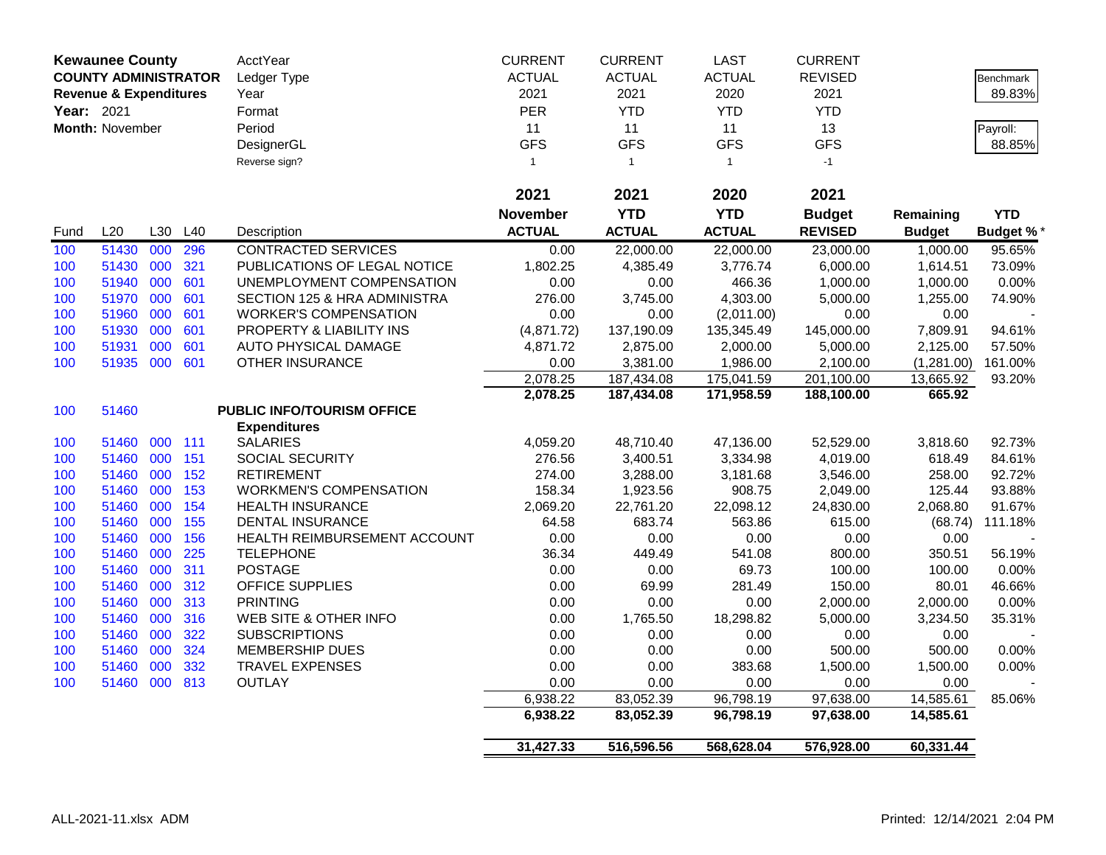|            | <b>Kewaunee County</b>            |     |     | AcctYear                      | <b>CURRENT</b> | <b>CURRENT</b> | <b>LAST</b>   | <b>CURRENT</b> |               |                  |
|------------|-----------------------------------|-----|-----|-------------------------------|----------------|----------------|---------------|----------------|---------------|------------------|
|            | <b>COUNTY ADMINISTRATOR</b>       |     |     | Ledger Type                   | <b>ACTUAL</b>  | <b>ACTUAL</b>  | <b>ACTUAL</b> | <b>REVISED</b> |               | <b>Benchmark</b> |
|            | <b>Revenue &amp; Expenditures</b> |     |     | Year                          | 2021           | 2021           | 2020          | 2021           |               | 89.83%           |
| Year: 2021 |                                   |     |     | Format                        | PER            | <b>YTD</b>     | <b>YTD</b>    | <b>YTD</b>     |               |                  |
|            | Month: November                   |     |     | Period                        | 11             | 11             | 11            | 13             |               | Payroll:         |
|            |                                   |     |     | DesignerGL                    | <b>GFS</b>     | <b>GFS</b>     | <b>GFS</b>    | <b>GFS</b>     |               | 88.85%           |
|            |                                   |     |     | Reverse sign?                 | $\overline{1}$ | $\mathbf{1}$   | $\mathbf{1}$  | $-1$           |               |                  |
|            |                                   |     |     |                               |                |                |               |                |               |                  |
|            |                                   |     |     |                               | 2021           | 2021           | 2020          | 2021           |               |                  |
|            |                                   |     |     |                               | November       | <b>YTD</b>     | <b>YTD</b>    | <b>Budget</b>  | Remaining     | <b>YTD</b>       |
| Fund       | L20                               | L30 | L40 | Description                   | <b>ACTUAL</b>  | <b>ACTUAL</b>  | <b>ACTUAL</b> | <b>REVISED</b> | <b>Budget</b> | <b>Budget %*</b> |
| 100        | 51430 000                         |     | 296 | <b>CONTRACTED SERVICES</b>    | 0.00           | 22,000.00      | 22,000.00     | 23,000,00      | 1.000.00      | 95.65%           |
| 100        | 51430 000                         |     | 321 | PUBLICATIONS OF LEGAL NOTICE  | 1,802.25       | 4,385.49       | 3,776.74      | 6,000.00       | 1,614.51      | 73.09%           |
| 100        | 51940                             | 000 | 601 | UNEMPLOYMENT COMPENSATION     | 0.00           | 0.00           | 466.36        | 1,000.00       | 1,000.00      | 0.00%            |
| 100        | 51970                             | 000 | 601 | SECTION 125 & HRA ADMINISTRA  | 276.00         | 3,745.00       | 4,303.00      | 5,000.00       | 1,255.00      | 74.90%           |
| 100        | 51960                             | 000 | 601 | <b>WORKER'S COMPENSATION</b>  | 0.00           | 0.00           | (2,011.00)    | 0.00           | 0.00          |                  |
| 100        | 51930                             | 000 | 601 | PROPERTY & LIABILITY INS      | (4,871.72)     | 137,190.09     | 135,345.49    | 145,000.00     | 7,809.91      | 94.61%           |
| 100        | 51931                             | 000 | 601 | <b>AUTO PHYSICAL DAMAGE</b>   | 4,871.72       | 2,875.00       | 2,000.00      | 5,000.00       | 2,125.00      | 57.50%           |
| 100        | 51935 000                         |     | 601 | OTHER INSURANCE               | 0.00           | 3,381.00       | 1,986.00      | 2,100.00       | (1,281.00)    | 161.00%          |
|            |                                   |     |     |                               | 2,078.25       | 187,434.08     | 175,041.59    | 201,100.00     | 13,665.92     | 93.20%           |
|            |                                   |     |     |                               | 2,078.25       | 187,434.08     | 171,958.59    | 188,100.00     | 665.92        |                  |
| 100        | 51460                             |     |     | PUBLIC INFO/TOURISM OFFICE    |                |                |               |                |               |                  |
|            |                                   |     |     | <b>Expenditures</b>           |                |                |               |                |               |                  |
| 100        | 51460                             | 000 | 111 | <b>SALARIES</b>               | 4,059.20       | 48,710.40      | 47,136.00     | 52,529.00      | 3,818.60      | 92.73%           |
| 100        | 51460 000                         |     | 151 | SOCIAL SECURITY               | 276.56         | 3,400.51       | 3,334.98      | 4,019.00       | 618.49        | 84.61%           |
| 100        | 51460 000                         |     | 152 | <b>RETIREMENT</b>             | 274.00         | 3,288.00       | 3,181.68      | 3,546.00       | 258.00        | 92.72%           |
| 100        | 51460                             | 000 | 153 | <b>WORKMEN'S COMPENSATION</b> | 158.34         | 1,923.56       | 908.75        | 2,049.00       | 125.44        | 93.88%           |
| 100        | 51460                             | 000 | 154 | <b>HEALTH INSURANCE</b>       | 2,069.20       | 22,761.20      | 22,098.12     | 24,830.00      | 2,068.80      | 91.67%           |
| 100        | 51460                             | 000 | 155 | <b>DENTAL INSURANCE</b>       | 64.58          | 683.74         | 563.86        | 615.00         | (68.74)       | 111.18%          |
| 100        | 51460                             | 000 | 156 | HEALTH REIMBURSEMENT ACCOUNT  | 0.00           | 0.00           | 0.00          | 0.00           | 0.00          |                  |
| 100        | 51460                             | 000 | 225 | <b>TELEPHONE</b>              | 36.34          | 449.49         | 541.08        | 800.00         | 350.51        | 56.19%           |
| 100        | 51460                             | 000 | 311 | <b>POSTAGE</b>                | 0.00           | 0.00           | 69.73         | 100.00         | 100.00        | 0.00%            |
| 100        | 51460                             | 000 | 312 | <b>OFFICE SUPPLIES</b>        | 0.00           | 69.99          | 281.49        | 150.00         | 80.01         | 46.66%           |
| 100        | 51460 000                         |     | 313 | <b>PRINTING</b>               | 0.00           | 0.00           | 0.00          | 2,000.00       | 2,000.00      | 0.00%            |
| 100        | 51460                             | 000 | 316 | WEB SITE & OTHER INFO         | 0.00           | 1,765.50       | 18,298.82     | 5,000.00       | 3,234.50      | 35.31%           |
| 100        | 51460                             | 000 | 322 | <b>SUBSCRIPTIONS</b>          | 0.00           | 0.00           | 0.00          | 0.00           | 0.00          |                  |
| 100        | 51460                             | 000 | 324 | MEMBERSHIP DUES               | 0.00           | 0.00           | 0.00          | 500.00         | 500.00        | 0.00%            |
| 100        | 51460                             | 000 | 332 | <b>TRAVEL EXPENSES</b>        | 0.00           | 0.00           | 383.68        | 1,500.00       | 1,500.00      | 0.00%            |
| 100        | 51460 000 813                     |     |     | <b>OUTLAY</b>                 | 0.00           | 0.00           | 0.00          | 0.00           | 0.00          |                  |
|            |                                   |     |     |                               | 6,938.22       | 83,052.39      | 96,798.19     | 97,638.00      | 14,585.61     | 85.06%           |
|            |                                   |     |     |                               | 6,938.22       | 83,052.39      | 96,798.19     | 97,638.00      | 14,585.61     |                  |
|            |                                   |     |     |                               | 31,427.33      | 516,596.56     | 568,628.04    | 576,928.00     | 60,331.44     |                  |
|            |                                   |     |     |                               |                |                |               |                |               |                  |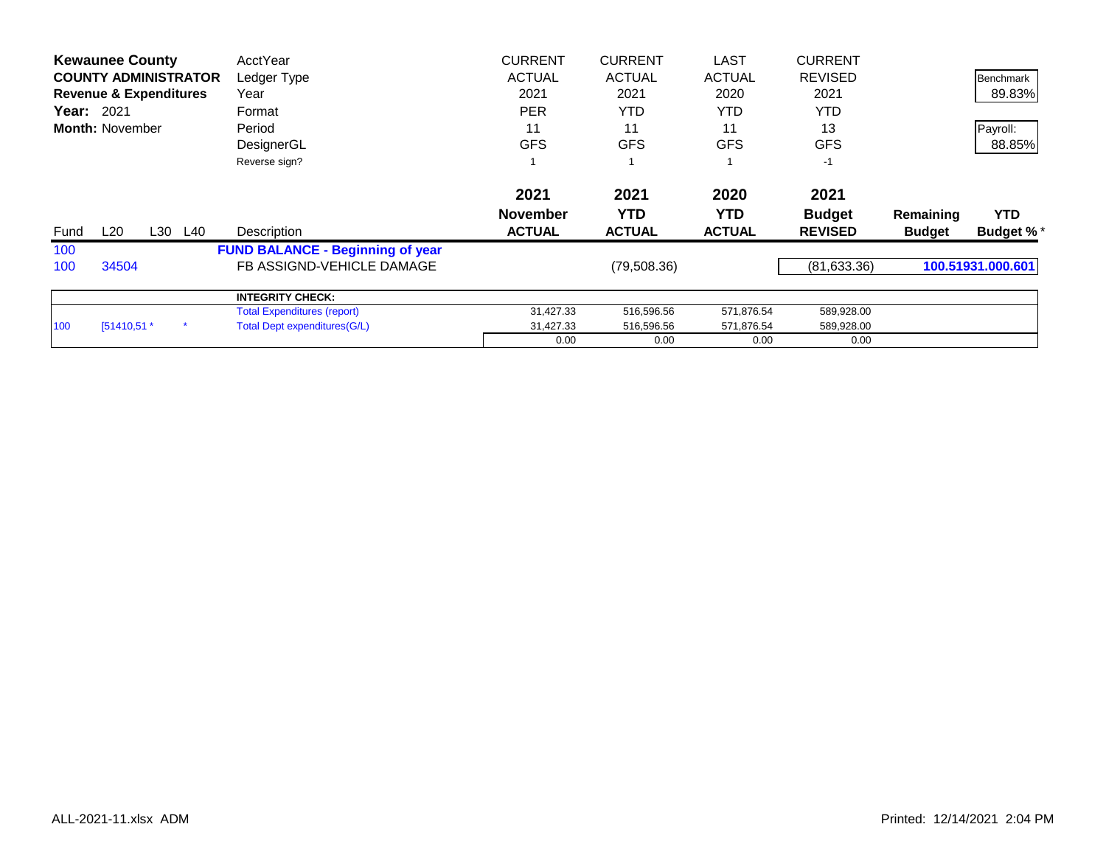|      | <b>Kewaunee County</b>            |     |     | AcctYear                                | <b>CURRENT</b>  | <b>CURRENT</b> | <b>LAST</b>   | <b>CURRENT</b> |               |                   |
|------|-----------------------------------|-----|-----|-----------------------------------------|-----------------|----------------|---------------|----------------|---------------|-------------------|
|      | <b>COUNTY ADMINISTRATOR</b>       |     |     | Ledger Type                             | <b>ACTUAL</b>   | <b>ACTUAL</b>  | <b>ACTUAL</b> | <b>REVISED</b> |               | <b>Benchmark</b>  |
|      | <b>Revenue &amp; Expenditures</b> |     |     | Year                                    | 2021            | 2021           | 2020          | 2021           |               | 89.83%            |
|      | <b>Year:</b> 2021                 |     |     | Format                                  | <b>PER</b>      | <b>YTD</b>     | YTD.          | <b>YTD</b>     |               |                   |
|      | <b>Month: November</b>            |     |     | Period                                  | 11              | 11             | 11            | 13             |               | Payroll:          |
|      |                                   |     |     | DesignerGL                              | <b>GFS</b>      | <b>GFS</b>     | <b>GFS</b>    | <b>GFS</b>     |               | 88.85%            |
|      |                                   |     |     | Reverse sign?                           |                 |                |               | $-1$           |               |                   |
|      |                                   |     |     |                                         | 2021            | 2021           | 2020          | 2021           |               |                   |
|      |                                   |     |     |                                         | <b>November</b> | <b>YTD</b>     | <b>YTD</b>    | <b>Budget</b>  | Remaining     | <b>YTD</b>        |
| Fund | L20                               | L30 | L40 | Description                             | <b>ACTUAL</b>   | <b>ACTUAL</b>  | <b>ACTUAL</b> | <b>REVISED</b> | <b>Budget</b> | <b>Budget %*</b>  |
| 100  |                                   |     |     | <b>FUND BALANCE - Beginning of year</b> |                 |                |               |                |               |                   |
| 100  | 34504                             |     |     | FB ASSIGND-VEHICLE DAMAGE               |                 | (79,508.36)    |               | (81, 633.36)   |               | 100.51931.000.601 |
|      |                                   |     |     | <b>INTEGRITY CHECK:</b>                 |                 |                |               |                |               |                   |
|      |                                   |     |     | <b>Total Expenditures (report)</b>      | 31,427.33       | 516,596.56     | 571,876.54    | 589,928.00     |               |                   |
| 100  | $[51410,51.*$                     |     |     | Total Dept expenditures (G/L)           | 31,427.33       | 516,596.56     | 571,876.54    | 589,928.00     |               |                   |
|      |                                   |     |     |                                         | 0.00            | 0.00           | 0.00          | 0.00           |               |                   |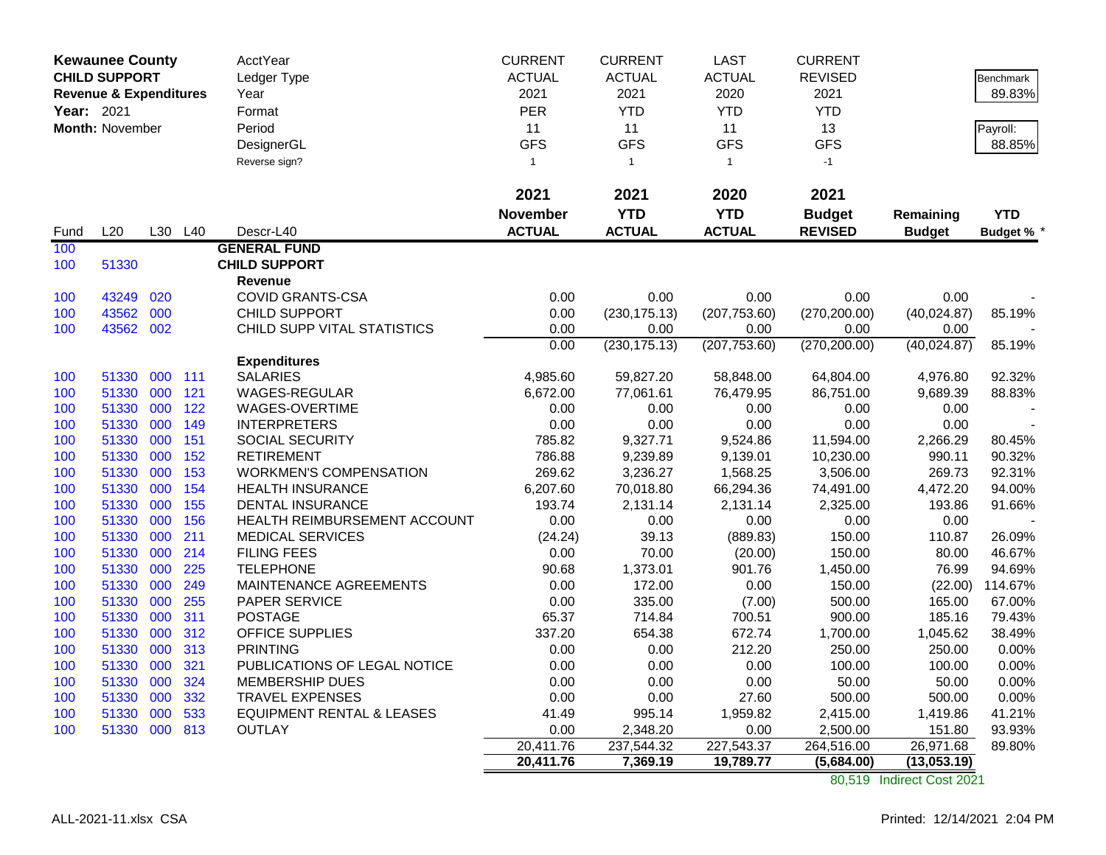|            | <b>Kewaunee County</b>            |         |     | <b>AcctYear</b>               | <b>CURRENT</b> | <b>CURRENT</b> | <b>LAST</b>   | <b>CURRENT</b> |               |                 |
|------------|-----------------------------------|---------|-----|-------------------------------|----------------|----------------|---------------|----------------|---------------|-----------------|
|            | <b>CHILD SUPPORT</b>              |         |     | Ledger Type                   | <b>ACTUAL</b>  | <b>ACTUAL</b>  | <b>ACTUAL</b> | <b>REVISED</b> |               | Benchmark       |
|            | <b>Revenue &amp; Expenditures</b> |         |     | Year                          | 2021           | 2021           | 2020          | 2021           |               | 89.83%          |
| Year: 2021 |                                   |         |     | Format                        | <b>PER</b>     | <b>YTD</b>     | <b>YTD</b>    | <b>YTD</b>     |               |                 |
|            | Month: November                   |         |     | Period                        | 11             | 11             | 11            | 13             |               | Payroll:        |
|            |                                   |         |     | DesignerGL                    | <b>GFS</b>     | <b>GFS</b>     | <b>GFS</b>    | <b>GFS</b>     |               | 88.85%          |
|            |                                   |         |     | Reverse sign?                 | $\mathbf{1}$   | $\overline{1}$ | $\mathbf{1}$  | $-1$           |               |                 |
|            |                                   |         |     |                               |                |                |               |                |               |                 |
|            |                                   |         |     |                               | 2021           | 2021           | 2020          | 2021           |               |                 |
|            |                                   |         |     |                               | November       | <b>YTD</b>     | <b>YTD</b>    | <b>Budget</b>  | Remaining     | <b>YTD</b>      |
| Fund       | L20                               | L30     | L40 | Descr-L40                     | <b>ACTUAL</b>  | <b>ACTUAL</b>  | <b>ACTUAL</b> | <b>REVISED</b> | <b>Budget</b> | <b>Budget %</b> |
| 100        |                                   |         |     | <b>GENERAL FUND</b>           |                |                |               |                |               |                 |
| 100        | 51330                             |         |     | <b>CHILD SUPPORT</b>          |                |                |               |                |               |                 |
|            |                                   |         |     | Revenue                       |                |                |               |                |               |                 |
| 100        | 43249                             | 020     |     | <b>COVID GRANTS-CSA</b>       | 0.00           | 0.00           | 0.00          | 0.00           | 0.00          |                 |
| 100        | 43562                             | 000     |     | <b>CHILD SUPPORT</b>          | 0.00           | (230, 175.13)  | (207, 753.60) | (270, 200.00)  | (40,024.87)   | 85.19%          |
| 100        | 43562 002                         |         |     | CHILD SUPP VITAL STATISTICS   | 0.00           | 0.00           | 0.00          | 0.00           | 0.00          |                 |
|            |                                   |         |     |                               | 0.00           | (230, 175.13)  | (207, 753.60) | (270, 200.00)  | (40,024.87)   | 85.19%          |
|            |                                   |         |     | <b>Expenditures</b>           |                |                |               |                |               |                 |
| 100        | 51330                             | 000 111 |     | <b>SALARIES</b>               | 4,985.60       | 59,827.20      | 58,848.00     | 64,804.00      | 4,976.80      | 92.32%          |
| 100        | 51330                             | 000     | 121 | <b>WAGES-REGULAR</b>          | 6,672.00       | 77,061.61      | 76,479.95     | 86,751.00      | 9,689.39      | 88.83%          |
| 100        | 51330                             | 000     | 122 | WAGES-OVERTIME                | 0.00           | 0.00           | 0.00          | 0.00           | 0.00          |                 |
| 100        | 51330                             | 000     | 149 | <b>INTERPRETERS</b>           | 0.00           | 0.00           | 0.00          | 0.00           | 0.00          |                 |
| 100        | 51330                             | 000     | 151 | SOCIAL SECURITY               | 785.82         | 9,327.71       | 9,524.86      | 11,594.00      | 2,266.29      | 80.45%          |
| 100        | 51330                             | 000     | 152 | <b>RETIREMENT</b>             | 786.88         | 9,239.89       | 9,139.01      | 10,230.00      | 990.11        | 90.32%          |
| 100        | 51330                             | 000     | 153 | <b>WORKMEN'S COMPENSATION</b> | 269.62         | 3,236.27       | 1,568.25      | 3,506.00       | 269.73        | 92.31%          |
| 100        | 51330                             | 000     | 154 | <b>HEALTH INSURANCE</b>       | 6,207.60       | 70,018.80      | 66,294.36     | 74,491.00      | 4,472.20      | 94.00%          |
| 100        | 51330                             | 000     | 155 | <b>DENTAL INSURANCE</b>       | 193.74         | 2,131.14       | 2,131.14      | 2,325.00       | 193.86        | 91.66%          |
| 100        | 51330                             | 000     | 156 | HEALTH REIMBURSEMENT ACCOUNT  | 0.00           | 0.00           | 0.00          | 0.00           | 0.00          |                 |
| 100        | 51330                             | 000     | 211 | <b>MEDICAL SERVICES</b>       | (24.24)        | 39.13          | (889.83)      | 150.00         | 110.87        | 26.09%          |
| 100        | 51330                             | 000     | 214 | <b>FILING FEES</b>            | 0.00           | 70.00          | (20.00)       | 150.00         | 80.00         | 46.67%          |
| 100        | 51330                             | 000     | 225 | <b>TELEPHONE</b>              | 90.68          | 1,373.01       | 901.76        | 1,450.00       | 76.99         | 94.69%          |
| 100        | 51330                             | 000     | 249 | MAINTENANCE AGREEMENTS        | 0.00           | 172.00         | 0.00          | 150.00         | (22.00)       | 114.67%         |
| 100        | 51330                             | 000     | 255 | PAPER SERVICE                 | 0.00           | 335.00         | (7.00)        | 500.00         | 165.00        | 67.00%          |
| 100        | 51330                             | 000     | 311 | <b>POSTAGE</b>                | 65.37          | 714.84         | 700.51        | 900.00         | 185.16        | 79.43%          |
| 100        | 51330                             | 000     | 312 | OFFICE SUPPLIES               | 337.20         | 654.38         | 672.74        | 1,700.00       | 1,045.62      | 38.49%          |
| 100        | 51330                             | 000     | 313 | <b>PRINTING</b>               | 0.00           | 0.00           | 212.20        | 250.00         | 250.00        | 0.00%           |
| 100        | 51330                             | 000     | 321 | PUBLICATIONS OF LEGAL NOTICE  | 0.00           | 0.00           | 0.00          | 100.00         | 100.00        | 0.00%           |
| 100        | 51330                             | 000     | 324 | MEMBERSHIP DUES               | 0.00           | 0.00           | 0.00          | 50.00          | 50.00         | 0.00%           |
| 100        | 51330                             | 000     | 332 | <b>TRAVEL EXPENSES</b>        | 0.00           | 0.00           | 27.60         | 500.00         | 500.00        | 0.00%           |
| 100        | 51330                             | 000     | 533 | EQUIPMENT RENTAL & LEASES     | 41.49          | 995.14         | 1,959.82      | 2,415.00       | 1,419.86      | 41.21%          |
| 100        | 51330 000                         |         | 813 | <b>OUTLAY</b>                 | 0.00           | 2,348.20       | 0.00          | 2,500.00       | 151.80        | 93.93%          |
|            |                                   |         |     |                               | 20,411.76      | 237,544.32     | 227,543.37    | 264,516.00     | 26,971.68     | 89.80%          |
|            |                                   |         |     |                               | 20,411.76      | 7,369.19       | 19,789.77     | (5,684.00)     | (13,053.19)   |                 |

80,519 Indirect Cost 2021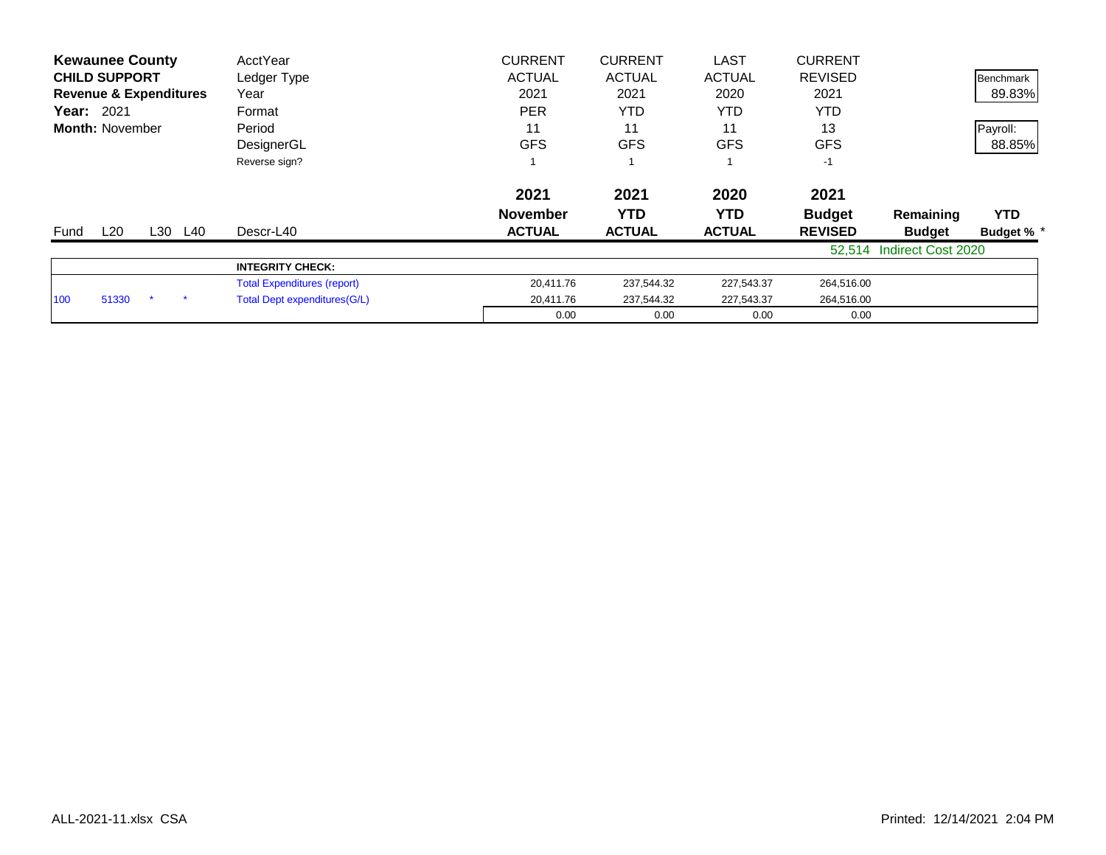| <b>Kewaunee County</b>            | AcctYear                           | <b>CURRENT</b>  | <b>CURRENT</b> | <b>LAST</b>   | <b>CURRENT</b> |                           |                  |
|-----------------------------------|------------------------------------|-----------------|----------------|---------------|----------------|---------------------------|------------------|
| <b>CHILD SUPPORT</b>              | Ledger Type                        | <b>ACTUAL</b>   | <b>ACTUAL</b>  | <b>ACTUAL</b> | <b>REVISED</b> |                           | <b>Benchmark</b> |
| <b>Revenue &amp; Expenditures</b> | Year                               | 2021            | 2021           | 2020          | 2021           |                           | 89.83%           |
| <b>Year: 2021</b>                 | Format                             | <b>PER</b>      | <b>YTD</b>     | YTD           | YTD            |                           |                  |
| <b>Month: November</b>            | Period                             | 11              | 11             | 11            | 13             |                           | Payroll:         |
|                                   | DesignerGL                         | <b>GFS</b>      | <b>GFS</b>     | <b>GFS</b>    | <b>GFS</b>     |                           | 88.85%           |
|                                   | Reverse sign?                      |                 |                |               | $-1$           |                           |                  |
|                                   |                                    | 2021            | 2021           | 2020          | 2021           |                           |                  |
|                                   |                                    | <b>November</b> | YTD            | YTD.          | <b>Budget</b>  | Remaining                 | <b>YTD</b>       |
| L20<br>L30 L40<br>Fund            | Descr-L40                          | <b>ACTUAL</b>   | <b>ACTUAL</b>  | <b>ACTUAL</b> | <b>REVISED</b> | <b>Budget</b>             | <b>Budget %</b>  |
|                                   |                                    |                 |                |               | 52.514         | <b>Indirect Cost 2020</b> |                  |
|                                   | <b>INTEGRITY CHECK:</b>            |                 |                |               |                |                           |                  |
|                                   | <b>Total Expenditures (report)</b> | 20,411.76       | 237,544.32     | 227,543.37    | 264,516.00     |                           |                  |
| 51330<br>100                      | Total Dept expenditures (G/L)      | 20,411.76       | 237,544.32     | 227,543.37    | 264,516.00     |                           |                  |
|                                   |                                    | 0.00            | 0.00           | 0.00          | 0.00           |                           |                  |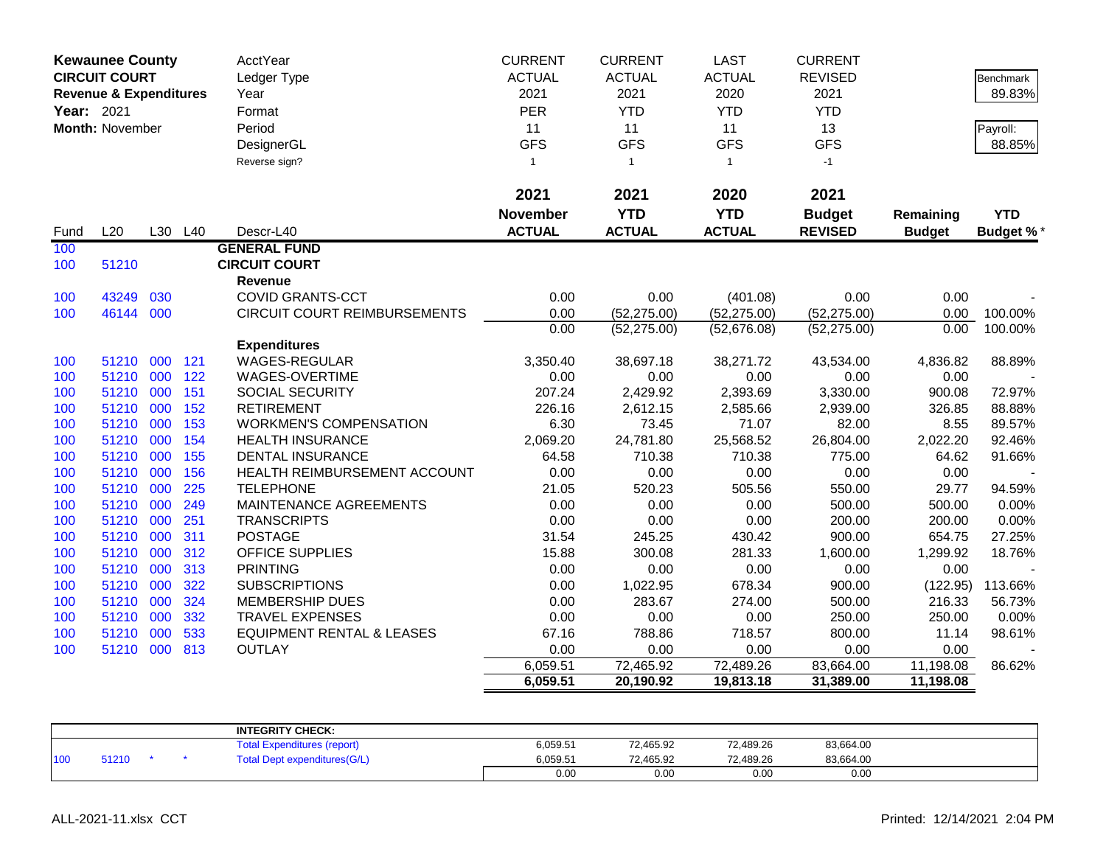|            | <b>Kewaunee County</b><br><b>CIRCUIT COURT</b><br><b>Revenue &amp; Expenditures</b> |     |         | <b>AcctYear</b><br>Ledger Type<br>Year | <b>CURRENT</b><br><b>ACTUAL</b><br>2021 | <b>CURRENT</b><br><b>ACTUAL</b><br>2021 | <b>LAST</b><br><b>ACTUAL</b><br>2020 | <b>CURRENT</b><br><b>REVISED</b><br>2021 |               | Benchmark<br>89.83% |
|------------|-------------------------------------------------------------------------------------|-----|---------|----------------------------------------|-----------------------------------------|-----------------------------------------|--------------------------------------|------------------------------------------|---------------|---------------------|
| Year: 2021 |                                                                                     |     |         | Format                                 | PER                                     | <b>YTD</b>                              | <b>YTD</b>                           | <b>YTD</b>                               |               |                     |
|            | Month: November                                                                     |     |         | Period                                 | 11                                      | 11                                      | 11                                   | 13                                       |               | Payroll:            |
|            |                                                                                     |     |         | DesignerGL                             | <b>GFS</b>                              | <b>GFS</b>                              | <b>GFS</b>                           | <b>GFS</b>                               |               | 88.85%              |
|            |                                                                                     |     |         | Reverse sign?                          | 1                                       | $\overline{1}$                          | $\mathbf{1}$                         | $-1$                                     |               |                     |
|            |                                                                                     |     |         |                                        | 2021                                    | 2021                                    | 2020                                 | 2021                                     |               |                     |
|            |                                                                                     |     |         |                                        | <b>November</b>                         | <b>YTD</b>                              | <b>YTD</b>                           | <b>Budget</b>                            | Remaining     | <b>YTD</b>          |
| Fund       | L20                                                                                 |     | L30 L40 | Descr-L40                              | <b>ACTUAL</b>                           | <b>ACTUAL</b>                           | <b>ACTUAL</b>                        | <b>REVISED</b>                           | <b>Budget</b> | <b>Budget %*</b>    |
| 100        |                                                                                     |     |         | <b>GENERAL FUND</b>                    |                                         |                                         |                                      |                                          |               |                     |
| 100        | 51210                                                                               |     |         | <b>CIRCUIT COURT</b>                   |                                         |                                         |                                      |                                          |               |                     |
|            |                                                                                     |     |         | <b>Revenue</b>                         |                                         |                                         |                                      |                                          |               |                     |
| 100        | 43249                                                                               | 030 |         | <b>COVID GRANTS-CCT</b>                | 0.00                                    | 0.00                                    | (401.08)                             | 0.00                                     | 0.00          |                     |
| 100        | 46144                                                                               | 000 |         | CIRCUIT COURT REIMBURSEMENTS           | 0.00                                    | (52, 275.00)                            | (52, 275.00)                         | (52, 275.00)                             | 0.00          | 100.00%             |
|            |                                                                                     |     |         |                                        | 0.00                                    | (52, 275.00)                            | (52,676.08)                          | (52, 275.00)                             | 0.00          | 100.00%             |
|            |                                                                                     |     |         | <b>Expenditures</b>                    |                                         |                                         |                                      |                                          |               |                     |
| 100        | 51210                                                                               | 000 | 121     | WAGES-REGULAR                          | 3,350.40                                | 38,697.18                               | 38,271.72                            | 43,534.00                                | 4,836.82      | 88.89%              |
| 100        | 51210 000                                                                           |     | 122     | WAGES-OVERTIME                         | 0.00                                    | 0.00                                    | 0.00                                 | 0.00                                     | 0.00          |                     |
| 100        | 51210 000                                                                           |     | 151     | SOCIAL SECURITY                        | 207.24                                  | 2,429.92                                | 2,393.69                             | 3,330.00                                 | 900.08        | 72.97%              |
| 100        | 51210 000                                                                           |     | 152     | <b>RETIREMENT</b>                      | 226.16                                  | 2,612.15                                | 2,585.66                             | 2,939.00                                 | 326.85        | 88.88%              |
| 100        | 51210                                                                               | 000 | 153     | <b>WORKMEN'S COMPENSATION</b>          | 6.30                                    | 73.45                                   | 71.07                                | 82.00                                    | 8.55          | 89.57%              |
| 100        | 51210 000                                                                           |     | 154     | <b>HEALTH INSURANCE</b>                | 2,069.20                                | 24,781.80                               | 25,568.52                            | 26,804.00                                | 2,022.20      | 92.46%              |
| 100        | 51210 000                                                                           |     | 155     | <b>DENTAL INSURANCE</b>                | 64.58                                   | 710.38                                  | 710.38                               | 775.00                                   | 64.62         | 91.66%              |
| 100        | 51210 000                                                                           |     | 156     | HEALTH REIMBURSEMENT ACCOUNT           | 0.00                                    | 0.00                                    | 0.00                                 | 0.00                                     | 0.00          |                     |
| 100        | 51210                                                                               | 000 | 225     | <b>TELEPHONE</b>                       | 21.05                                   | 520.23                                  | 505.56                               | 550.00                                   | 29.77         | 94.59%              |
| 100        | 51210                                                                               | 000 | 249     | MAINTENANCE AGREEMENTS                 | 0.00                                    | 0.00                                    | 0.00                                 | 500.00                                   | 500.00        | 0.00%               |
| 100        | 51210 000                                                                           |     | 251     | <b>TRANSCRIPTS</b>                     | 0.00                                    | 0.00                                    | 0.00                                 | 200.00                                   | 200.00        | 0.00%               |
| 100        | 51210                                                                               | 000 | 311     | <b>POSTAGE</b>                         | 31.54                                   | 245.25                                  | 430.42                               | 900.00                                   | 654.75        | 27.25%              |
| 100        | 51210                                                                               | 000 | 312     | OFFICE SUPPLIES                        | 15.88                                   | 300.08                                  | 281.33                               | 1,600.00                                 | 1,299.92      | 18.76%              |
| 100        | 51210                                                                               | 000 | 313     | <b>PRINTING</b>                        | 0.00                                    | 0.00                                    | 0.00                                 | 0.00                                     | 0.00          |                     |
| 100        | 51210 000                                                                           |     | 322     | <b>SUBSCRIPTIONS</b>                   | 0.00                                    | 1,022.95                                | 678.34                               | 900.00                                   | (122.95)      | 113.66%             |
| 100        | 51210                                                                               | 000 | 324     | <b>MEMBERSHIP DUES</b>                 | 0.00                                    | 283.67                                  | 274.00                               | 500.00                                   | 216.33        | 56.73%              |
| 100        | 51210                                                                               | 000 | 332     | <b>TRAVEL EXPENSES</b>                 | 0.00                                    | 0.00                                    | 0.00                                 | 250.00                                   | 250.00        | 0.00%               |
| 100        | 51210                                                                               | 000 | 533     | <b>EQUIPMENT RENTAL &amp; LEASES</b>   | 67.16                                   | 788.86                                  | 718.57                               | 800.00                                   | 11.14         | 98.61%              |
| 100        | 51210 000                                                                           |     | 813     | <b>OUTLAY</b>                          | 0.00                                    | 0.00                                    | 0.00                                 | 0.00                                     | 0.00          |                     |
|            |                                                                                     |     |         |                                        | 6,059.51                                | 72,465.92                               | 72,489.26                            | 83,664.00                                | 11,198.08     | 86.62%              |
|            |                                                                                     |     |         |                                        | 6,059.51                                | 20,190.92                               | 19,813.18                            | 31,389.00                                | 11,198.08     |                     |

|     |       |  | <b>INTEGRITY CHECK:</b>                    |          |           |           |           |  |
|-----|-------|--|--------------------------------------------|----------|-----------|-----------|-----------|--|
|     |       |  | <b>f</b> otal F<br>l Expenditures (report) | 6,059.51 | 72,465.92 | 72,489.26 | 83,664.00 |  |
| 100 | 51210 |  | <b>Total Dept expenditures(G/L)</b>        | 6,059.51 | 72,465.92 | 72,489.26 | 83,664.00 |  |
|     |       |  |                                            | 0.00     | 0.00      | 0.00      | 0.00      |  |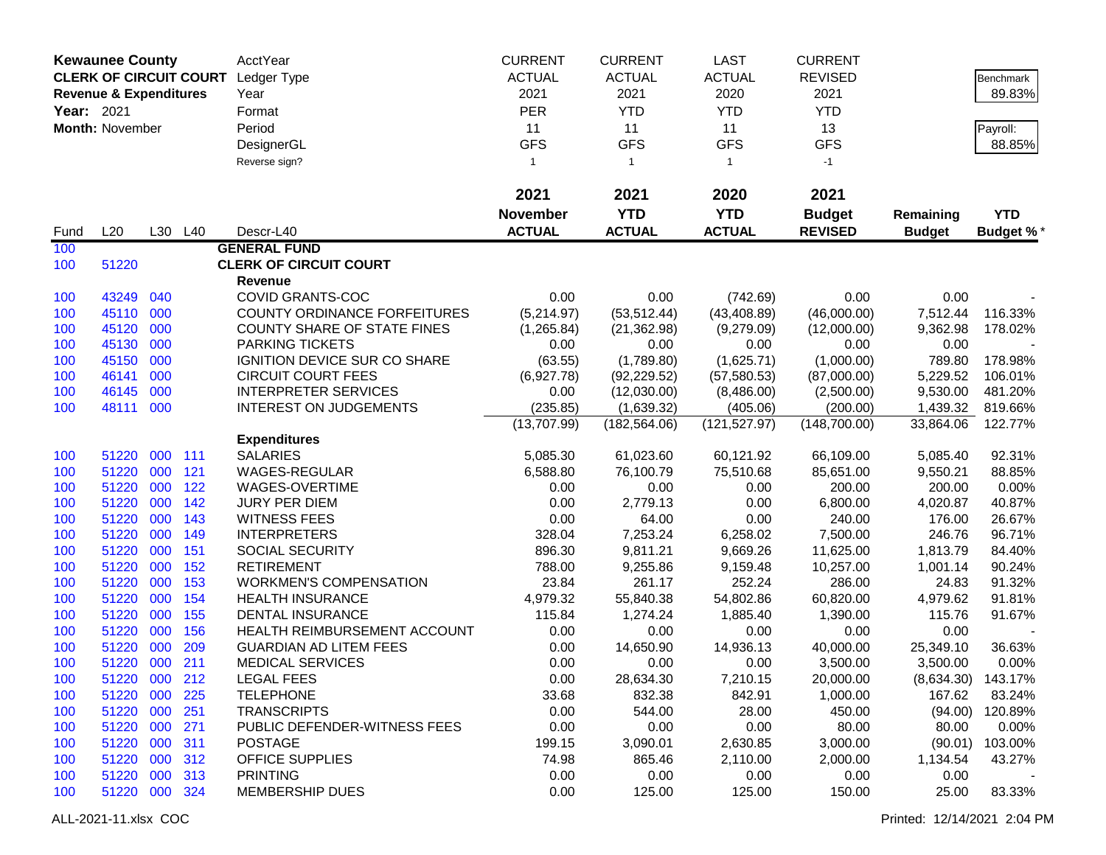|            | <b>Kewaunee County</b>            |     |         | AcctYear                            | <b>CURRENT</b>   | <b>CURRENT</b>   | <b>LAST</b>      | <b>CURRENT</b>   |               |                      |
|------------|-----------------------------------|-----|---------|-------------------------------------|------------------|------------------|------------------|------------------|---------------|----------------------|
|            | <b>CLERK OF CIRCUIT COURT</b>     |     |         | Ledger Type                         | <b>ACTUAL</b>    | <b>ACTUAL</b>    | <b>ACTUAL</b>    | <b>REVISED</b>   |               | Benchmark            |
|            | <b>Revenue &amp; Expenditures</b> |     |         | Year                                | 2021             | 2021             | 2020             | 2021             |               | 89.83%               |
| Year: 2021 |                                   |     |         | Format                              | <b>PER</b>       | <b>YTD</b>       | <b>YTD</b>       | <b>YTD</b>       |               |                      |
|            |                                   |     |         |                                     |                  |                  |                  |                  |               |                      |
|            | Month: November                   |     |         | Period                              | 11<br><b>GFS</b> | 11<br><b>GFS</b> | 11<br><b>GFS</b> | 13<br><b>GFS</b> |               | Payroll:             |
|            |                                   |     |         | DesignerGL                          |                  |                  |                  |                  |               | 88.85%               |
|            |                                   |     |         | Reverse sign?                       | $\mathbf{1}$     | $\mathbf{1}$     | $\mathbf{1}$     | $-1$             |               |                      |
|            |                                   |     |         |                                     | 2021             | 2021             | 2020             | 2021             |               |                      |
|            |                                   |     |         |                                     | <b>November</b>  | <b>YTD</b>       | <b>YTD</b>       | <b>Budget</b>    | Remaining     | <b>YTD</b>           |
| Fund       | L20                               |     | L30 L40 | Descr-L40                           | <b>ACTUAL</b>    | <b>ACTUAL</b>    | <b>ACTUAL</b>    | <b>REVISED</b>   | <b>Budget</b> | <b>Budget %*</b>     |
| 100        |                                   |     |         | <b>GENERAL FUND</b>                 |                  |                  |                  |                  |               |                      |
| 100        | 51220                             |     |         | <b>CLERK OF CIRCUIT COURT</b>       |                  |                  |                  |                  |               |                      |
|            |                                   |     |         | Revenue                             |                  |                  |                  |                  |               |                      |
| 100        | 43249                             | 040 |         | COVID GRANTS-COC                    | 0.00             | 0.00             | (742.69)         | 0.00             | 0.00          |                      |
| 100        | 45110 000                         |     |         | <b>COUNTY ORDINANCE FORFEITURES</b> | (5,214.97)       | (53, 512.44)     | (43, 408.89)     | (46,000.00)      | 7,512.44      | 116.33%              |
| 100        | 45120                             | 000 |         | <b>COUNTY SHARE OF STATE FINES</b>  | (1,265.84)       | (21, 362.98)     | (9,279.09)       | (12,000.00)      | 9,362.98      | 178.02%              |
| 100        | 45130                             | 000 |         | PARKING TICKETS                     | 0.00             | 0.00             | 0.00             | 0.00             | 0.00          |                      |
| 100        | 45150                             | 000 |         | IGNITION DEVICE SUR CO SHARE        | (63.55)          | (1,789.80)       | (1,625.71)       | (1,000.00)       | 789.80        | 178.98%              |
| 100        | 46141                             | 000 |         | <b>CIRCUIT COURT FEES</b>           | (6,927.78)       | (92, 229.52)     | (57, 580.53)     | (87,000.00)      | 5,229.52      | 106.01%              |
| 100        | 46145                             | 000 |         | <b>INTERPRETER SERVICES</b>         | 0.00             | (12,030.00)      | (8,486.00)       | (2,500.00)       | 9,530.00      | 481.20%              |
| 100        | 48111                             | 000 |         | <b>INTEREST ON JUDGEMENTS</b>       | (235.85)         | (1,639.32)       | (405.06)         | (200.00)         | 1,439.32      | 819.66%              |
|            |                                   |     |         |                                     | (13,707.99)      | (182, 564.06)    | (121, 527.97)    | (148,700.00)     | 33,864.06     | 122.77%              |
|            |                                   |     |         | <b>Expenditures</b>                 |                  |                  |                  |                  |               |                      |
| 100        | 51220                             | 000 | 111     | <b>SALARIES</b>                     | 5,085.30         | 61,023.60        | 60,121.92        | 66,109.00        | 5,085.40      | 92.31%               |
| 100        | 51220                             | 000 | 121     | WAGES-REGULAR                       | 6,588.80         | 76,100.79        | 75,510.68        | 85,651.00        | 9,550.21      | 88.85%               |
| 100        | 51220                             | 000 | 122     | WAGES-OVERTIME                      | 0.00             | 0.00             | 0.00             | 200.00           | 200.00        | 0.00%                |
| 100        | 51220                             | 000 | 142     | <b>JURY PER DIEM</b>                | 0.00             | 2,779.13         | 0.00             | 6,800.00         | 4,020.87      | 40.87%               |
| 100        | 51220                             | 000 | 143     | <b>WITNESS FEES</b>                 | 0.00             | 64.00            | 0.00             | 240.00           | 176.00        | 26.67%               |
| 100        | 51220                             | 000 | 149     | <b>INTERPRETERS</b>                 | 328.04           | 7,253.24         | 6,258.02         | 7,500.00         | 246.76        | 96.71%               |
| 100        | 51220                             | 000 | 151     | <b>SOCIAL SECURITY</b>              | 896.30           | 9,811.21         | 9,669.26         | 11,625.00        | 1,813.79      | 84.40%               |
| 100        | 51220                             | 000 | 152     | <b>RETIREMENT</b>                   | 788.00           | 9,255.86         | 9,159.48         | 10,257.00        | 1,001.14      | 90.24%               |
| 100        | 51220                             | 000 | 153     | <b>WORKMEN'S COMPENSATION</b>       | 23.84            | 261.17           | 252.24           | 286.00           | 24.83         | 91.32%               |
| 100        | 51220                             | 000 | 154     | <b>HEALTH INSURANCE</b>             | 4,979.32         | 55,840.38        | 54,802.86        | 60,820.00        | 4,979.62      | 91.81%               |
| 100        | 51220                             | 000 | 155     | <b>DENTAL INSURANCE</b>             | 115.84           | 1,274.24         | 1,885.40         | 1,390.00         | 115.76        | 91.67%               |
| 100        | 51220                             | 000 | 156     | HEALTH REIMBURSEMENT ACCOUNT        | 0.00             | 0.00             | 0.00             | 0.00             | 0.00          |                      |
| 100        | 51220                             | 000 | 209     | <b>GUARDIAN AD LITEM FEES</b>       | 0.00             | 14,650.90        | 14,936.13        | 40,000.00        | 25,349.10     | 36.63%               |
| 100        | 51220 000                         |     | 211     | <b>MEDICAL SERVICES</b>             | 0.00             | 0.00             | 0.00             | 3,500.00         | 3,500.00      | 0.00%                |
| 100        | 51220                             | 000 | 212     | <b>LEGAL FEES</b>                   | 0.00             | 28,634.30        | 7,210.15         | 20,000.00        |               | $(8,634.30)$ 143.17% |
| 100        | 51220 000                         |     | 225     | <b>TELEPHONE</b>                    | 33.68            | 832.38           | 842.91           | 1,000.00         | 167.62        | 83.24%               |
| 100        | 51220 000                         |     | 251     | <b>TRANSCRIPTS</b>                  | 0.00             | 544.00           | 28.00            | 450.00           | (94.00)       | 120.89%              |
| 100        | 51220 000                         |     | 271     | PUBLIC DEFENDER-WITNESS FEES        | 0.00             | 0.00             | 0.00             | 80.00            | 80.00         | 0.00%                |
| 100        | 51220 000                         |     | 311     | <b>POSTAGE</b>                      | 199.15           | 3,090.01         | 2,630.85         | 3,000.00         | (90.01)       | 103.00%              |
| 100        | 51220 000                         |     | 312     | <b>OFFICE SUPPLIES</b>              | 74.98            | 865.46           | 2,110.00         | 2,000.00         | 1,134.54      | 43.27%               |
| 100        | 51220 000                         |     | 313     | <b>PRINTING</b>                     | 0.00             | 0.00             | 0.00             | 0.00             | 0.00          |                      |
| 100        | 51220 000                         |     | 324     | <b>MEMBERSHIP DUES</b>              | 0.00             | 125.00           | 125.00           | 150.00           | 25.00         | 83.33%               |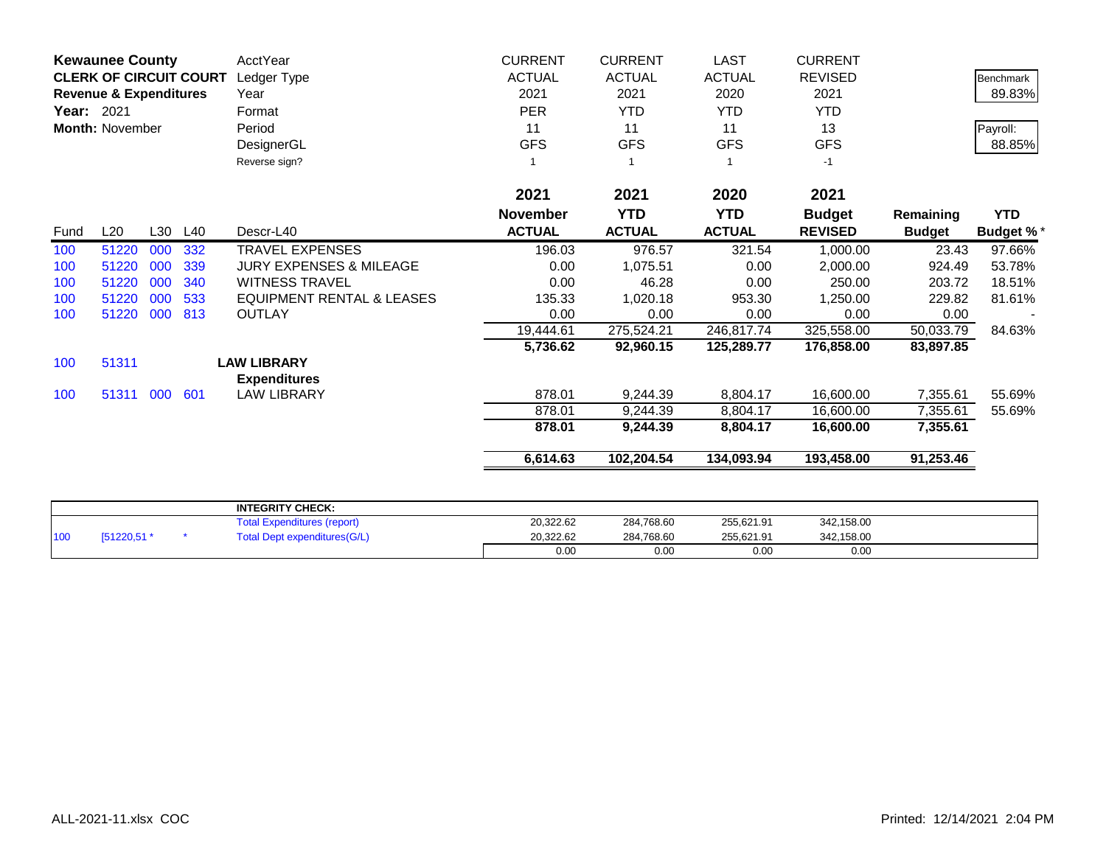|            | <b>Kewaunee County</b>            |     |     | AcctYear                             | <b>CURRENT</b>  | <b>CURRENT</b> | LAST            | <b>CURRENT</b> |               |                  |
|------------|-----------------------------------|-----|-----|--------------------------------------|-----------------|----------------|-----------------|----------------|---------------|------------------|
|            | <b>CLERK OF CIRCUIT COURT</b>     |     |     | Ledger Type                          | <b>ACTUAL</b>   | <b>ACTUAL</b>  | <b>ACTUAL</b>   | <b>REVISED</b> |               | <b>Benchmark</b> |
|            | <b>Revenue &amp; Expenditures</b> |     |     | Year                                 | 2021            | 2021           | 2020            | 2021           |               | 89.83%           |
| Year: 2021 |                                   |     |     | Format                               | <b>PER</b>      | <b>YTD</b>     | <b>YTD</b>      | <b>YTD</b>     |               |                  |
|            | <b>Month: November</b>            |     |     | Period                               | 11              | 11             | 11              | 13             |               | Payroll:         |
|            |                                   |     |     | DesignerGL                           | <b>GFS</b>      | <b>GFS</b>     | <b>GFS</b>      | <b>GFS</b>     |               | 88.85%           |
|            |                                   |     |     | Reverse sign?                        |                 |                |                 | $-1$           |               |                  |
|            |                                   |     |     |                                      | 2021            | 2021           | 2020            | 2021           |               |                  |
|            |                                   |     |     |                                      | <b>November</b> | <b>YTD</b>     | <b>YTD</b>      | <b>Budget</b>  | Remaining     | <b>YTD</b>       |
| Fund       | L20                               | L30 | L40 | Descr-L40                            | <b>ACTUAL</b>   | <b>ACTUAL</b>  | <b>ACTUAL</b>   | <b>REVISED</b> | <b>Budget</b> | <b>Budget %*</b> |
| 100        | 51220                             | 000 | 332 | <b>TRAVEL EXPENSES</b>               | 196.03          | 976.57         | 321.54          | 1,000.00       | 23.43         | 97.66%           |
| 100        | 51220                             | 000 | 339 | <b>JURY EXPENSES &amp; MILEAGE</b>   | 0.00            | 1,075.51       | 0.00            | 2,000.00       | 924.49        | 53.78%           |
| 100        | 51220                             | 000 | 340 | <b>WITNESS TRAVEL</b>                | 0.00            | 46.28          | 0.00            | 250.00         | 203.72        | 18.51%           |
| 100        | 51220                             | 000 | 533 | <b>EQUIPMENT RENTAL &amp; LEASES</b> | 135.33          | 1,020.18       | 953.30          | 1,250.00       | 229.82        | 81.61%           |
| 100        | 51220                             | 000 | 813 | <b>OUTLAY</b>                        | 0.00            | 0.00           | 0.00            | 0.00           | 0.00          |                  |
|            |                                   |     |     |                                      | 19,444.61       | 275,524.21     | 246,817.74      | 325,558.00     | 50,033.79     | 84.63%           |
|            |                                   |     |     |                                      | 5,736.62        | 92,960.15      | 125,289.77      | 176,858.00     | 83,897.85     |                  |
| 100        | 51311                             |     |     | <b>LAW LIBRARY</b>                   |                 |                |                 |                |               |                  |
|            |                                   |     |     | <b>Expenditures</b>                  |                 |                |                 |                |               |                  |
| 100        | 51311 000                         |     | 601 | <b>LAW LIBRARY</b>                   | 878.01          | 9,244.39       | 8,804.17        | 16,600.00      | 7,355.61      | 55.69%           |
|            |                                   |     |     |                                      | 878.01          | 9,244.39       | 8,804.17        | 16,600.00      | 7,355.61      | 55.69%           |
|            |                                   |     |     |                                      | 878.01          | 9,244.39       | 8,804.17        | 16,600.00      | 7,355.61      |                  |
|            |                                   |     |     |                                      | 6,614.63        | 102,204.54     | 134,093.94      | 193,458.00     | 91,253.46     |                  |
|            |                                   |     |     |                                      |                 |                |                 |                |               |                  |
|            |                                   |     |     | <b>INTEGRITY CHECK:</b>              |                 |                |                 |                |               |                  |
|            |                                   |     |     | エンティー                                | 00.000.00       | 00170000       | $OCP$ $OQ$ $OA$ | 0.40.450.00    |               |                  |

|     |             | <b>INTEGRITY CHECK:</b>            |           |            |            |            |  |
|-----|-------------|------------------------------------|-----------|------------|------------|------------|--|
|     |             | <b>Total Expenditures (report)</b> | 20,322.62 | 284,768.60 | 255,621.91 | 342,158.00 |  |
| 100 | [51220,51 * | Total Dept expenditures(G/L)       | 20.322.62 | 284,768.60 | 255.621.91 | 342,158.00 |  |
|     |             |                                    | 0.00      | 0.00       | 0.00       | 0.00       |  |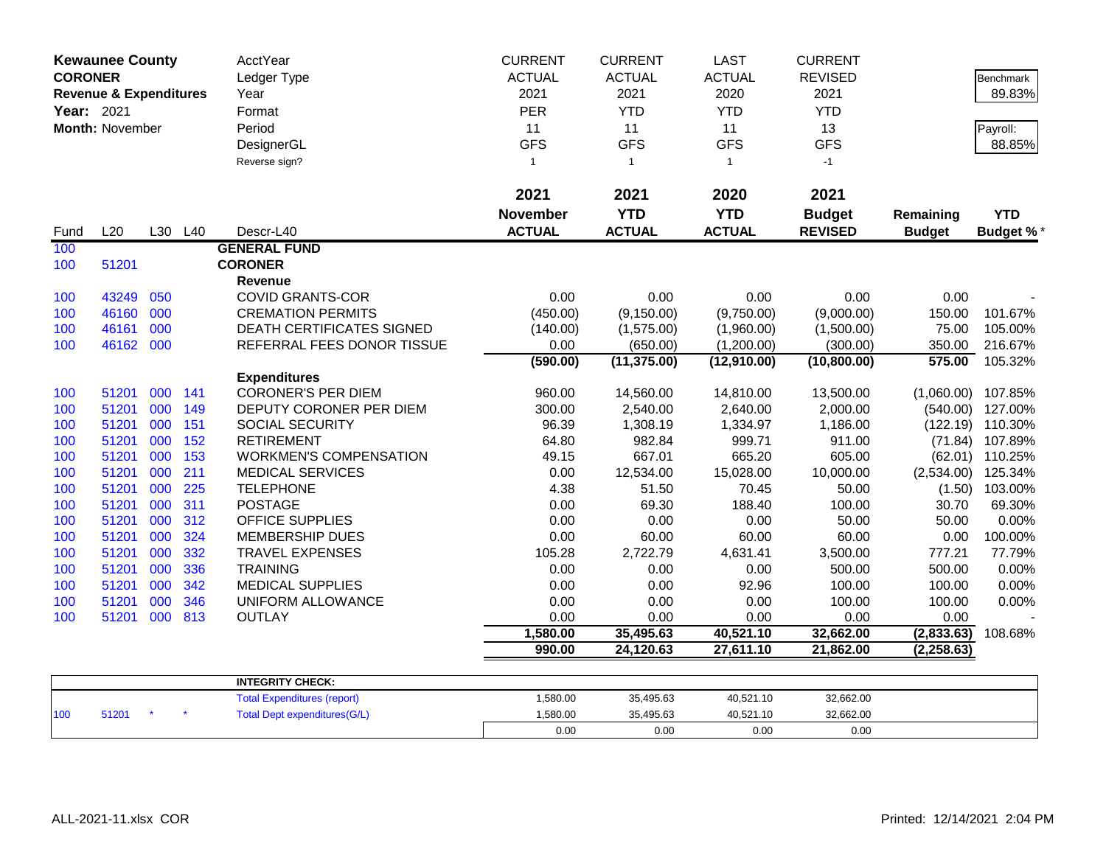| <b>CORONER</b><br>Year: 2021 | <b>Kewaunee County</b><br><b>Revenue &amp; Expenditures</b><br>Month: November |     |     | <b>AcctYear</b><br>Ledger Type<br>Year<br>Format<br>Period<br>DesignerGL<br>Reverse sign? | <b>CURRENT</b><br><b>ACTUAL</b><br>2021<br>PER<br>11<br><b>GFS</b><br>$\mathbf{1}$ | <b>CURRENT</b><br><b>ACTUAL</b><br>2021<br><b>YTD</b><br>11<br><b>GFS</b><br>$\mathbf{1}$ | <b>LAST</b><br><b>ACTUAL</b><br>2020<br><b>YTD</b><br>11<br><b>GFS</b><br>$\mathbf{1}$ | <b>CURRENT</b><br><b>REVISED</b><br>2021<br><b>YTD</b><br>13<br><b>GFS</b><br>$-1$ |               | Benchmark<br>89.83%<br>Payroll:<br>88.85% |
|------------------------------|--------------------------------------------------------------------------------|-----|-----|-------------------------------------------------------------------------------------------|------------------------------------------------------------------------------------|-------------------------------------------------------------------------------------------|----------------------------------------------------------------------------------------|------------------------------------------------------------------------------------|---------------|-------------------------------------------|
|                              |                                                                                |     |     |                                                                                           | 2021                                                                               | 2021                                                                                      | 2020                                                                                   | 2021                                                                               |               |                                           |
|                              |                                                                                |     |     |                                                                                           | <b>November</b>                                                                    | <b>YTD</b>                                                                                | <b>YTD</b>                                                                             | <b>Budget</b>                                                                      | Remaining     | <b>YTD</b>                                |
| Fund                         | L20                                                                            | L30 | L40 | Descr-L40                                                                                 | <b>ACTUAL</b>                                                                      | <b>ACTUAL</b>                                                                             | <b>ACTUAL</b>                                                                          | <b>REVISED</b>                                                                     | <b>Budget</b> | <b>Budget %*</b>                          |
| 100                          |                                                                                |     |     | <b>GENERAL FUND</b>                                                                       |                                                                                    |                                                                                           |                                                                                        |                                                                                    |               |                                           |
| 100                          | 51201                                                                          |     |     | <b>CORONER</b>                                                                            |                                                                                    |                                                                                           |                                                                                        |                                                                                    |               |                                           |
|                              |                                                                                |     |     | <b>Revenue</b>                                                                            |                                                                                    |                                                                                           |                                                                                        |                                                                                    |               |                                           |
| 100                          | 43249                                                                          | 050 |     | <b>COVID GRANTS-COR</b>                                                                   | 0.00                                                                               | 0.00                                                                                      | 0.00                                                                                   | 0.00                                                                               | 0.00          |                                           |
| 100                          | 46160                                                                          | 000 |     | <b>CREMATION PERMITS</b>                                                                  | (450.00)                                                                           | (9, 150.00)                                                                               | (9,750.00)                                                                             | (9,000.00)                                                                         | 150.00        | 101.67%                                   |
| 100                          | 46161                                                                          | 000 |     | <b>DEATH CERTIFICATES SIGNED</b>                                                          | (140.00)                                                                           | (1,575.00)                                                                                | (1,960.00)                                                                             | (1,500.00)                                                                         | 75.00         | 105.00%                                   |
| 100                          | 46162 000                                                                      |     |     | REFERRAL FEES DONOR TISSUE                                                                | 0.00                                                                               | (650.00)                                                                                  | (1,200.00)                                                                             | (300.00)                                                                           | 350.00        | 216.67%                                   |
|                              |                                                                                |     |     |                                                                                           | (590.00)                                                                           | (11, 375.00)                                                                              | (12,910.00)                                                                            | (10, 800.00)                                                                       | 575.00        | 105.32%                                   |
|                              |                                                                                |     |     | <b>Expenditures</b>                                                                       |                                                                                    |                                                                                           |                                                                                        |                                                                                    |               |                                           |
| 100                          | 51201                                                                          | 000 | 141 | <b>CORONER'S PER DIEM</b>                                                                 | 960.00                                                                             | 14,560.00                                                                                 | 14,810.00                                                                              | 13,500.00                                                                          |               | $(1,060.00)$ 107.85%                      |
| 100                          | 51201                                                                          | 000 | 149 | DEPUTY CORONER PER DIEM                                                                   | 300.00                                                                             | 2,540.00                                                                                  | 2,640.00                                                                               | 2,000.00                                                                           | (540.00)      | 127.00%                                   |
| 100                          | 51201                                                                          | 000 | 151 | SOCIAL SECURITY                                                                           | 96.39                                                                              | 1,308.19                                                                                  | 1,334.97                                                                               | 1,186.00                                                                           |               | (122.19) 110.30%                          |
| 100                          | 51201                                                                          | 000 | 152 | <b>RETIREMENT</b>                                                                         | 64.80                                                                              | 982.84                                                                                    | 999.71                                                                                 | 911.00                                                                             |               | (71.84) 107.89%                           |
| 100                          | 51201                                                                          | 000 | 153 | <b>WORKMEN'S COMPENSATION</b>                                                             | 49.15                                                                              | 667.01                                                                                    | 665.20                                                                                 | 605.00                                                                             |               | (62.01) 110.25%                           |
| 100                          | 51201                                                                          | 000 | 211 | <b>MEDICAL SERVICES</b>                                                                   | 0.00                                                                               | 12,534.00                                                                                 | 15,028.00                                                                              | 10,000.00                                                                          | (2,534.00)    | 125.34%                                   |
| 100                          | 51201                                                                          | 000 | 225 | <b>TELEPHONE</b>                                                                          | 4.38                                                                               | 51.50                                                                                     | 70.45                                                                                  | 50.00                                                                              |               | $(1.50)$ 103.00%                          |
| 100                          | 51201                                                                          | 000 | 311 | <b>POSTAGE</b>                                                                            | 0.00                                                                               | 69.30                                                                                     | 188.40                                                                                 | 100.00                                                                             | 30.70         | 69.30%                                    |
| 100                          | 51201                                                                          | 000 | 312 | <b>OFFICE SUPPLIES</b>                                                                    | 0.00                                                                               | 0.00                                                                                      | 0.00                                                                                   | 50.00                                                                              | 50.00         | 0.00%                                     |
| 100                          | 51201                                                                          | 000 | 324 | <b>MEMBERSHIP DUES</b>                                                                    | 0.00                                                                               | 60.00                                                                                     | 60.00                                                                                  | 60.00                                                                              | 0.00          | 100.00%                                   |
| 100                          | 51201                                                                          | 000 | 332 | <b>TRAVEL EXPENSES</b>                                                                    | 105.28                                                                             | 2,722.79                                                                                  | 4,631.41                                                                               | 3,500.00                                                                           | 777.21        | 77.79%                                    |
| 100                          | 51201                                                                          | 000 | 336 | <b>TRAINING</b>                                                                           | 0.00                                                                               | 0.00                                                                                      | 0.00                                                                                   | 500.00                                                                             | 500.00        | 0.00%                                     |
| 100                          | 51201                                                                          | 000 | 342 | <b>MEDICAL SUPPLIES</b>                                                                   | 0.00                                                                               | 0.00                                                                                      | 92.96                                                                                  | 100.00                                                                             | 100.00        | 0.00%                                     |
| 100                          | 51201                                                                          | 000 | 346 | UNIFORM ALLOWANCE                                                                         | 0.00                                                                               | 0.00                                                                                      | 0.00                                                                                   | 100.00                                                                             | 100.00        | 0.00%                                     |
| 100                          | 51201                                                                          | 000 | 813 | <b>OUTLAY</b>                                                                             | 0.00                                                                               | 0.00                                                                                      | 0.00                                                                                   | 0.00                                                                               | 0.00          |                                           |
|                              |                                                                                |     |     |                                                                                           | 1,580.00                                                                           | 35,495.63                                                                                 | 40,521.10                                                                              | 32,662.00                                                                          | (2,833.63)    | 108.68%                                   |
|                              |                                                                                |     |     |                                                                                           | 990.00                                                                             | 24,120.63                                                                                 | 27,611.10                                                                              | 21,862.00                                                                          | (2, 258.63)   |                                           |
|                              |                                                                                |     |     |                                                                                           |                                                                                    |                                                                                           |                                                                                        |                                                                                    |               |                                           |
|                              |                                                                                |     |     | <b>INTEGRITY CHECK:</b><br><b>Total Expenditures (report)</b>                             | 1,580.00                                                                           | 35,495.63                                                                                 | 40,521.10                                                                              | 32,662.00                                                                          |               |                                           |
| 100                          | 51201                                                                          |     |     | <b>Total Dept expenditures(G/L)</b>                                                       | 1,580.00                                                                           | 35,495.63                                                                                 | 40,521.10                                                                              | 32,662.00                                                                          |               |                                           |
|                              |                                                                                |     |     |                                                                                           | 0.00                                                                               | 0.00                                                                                      | 0.00                                                                                   | 0.00                                                                               |               |                                           |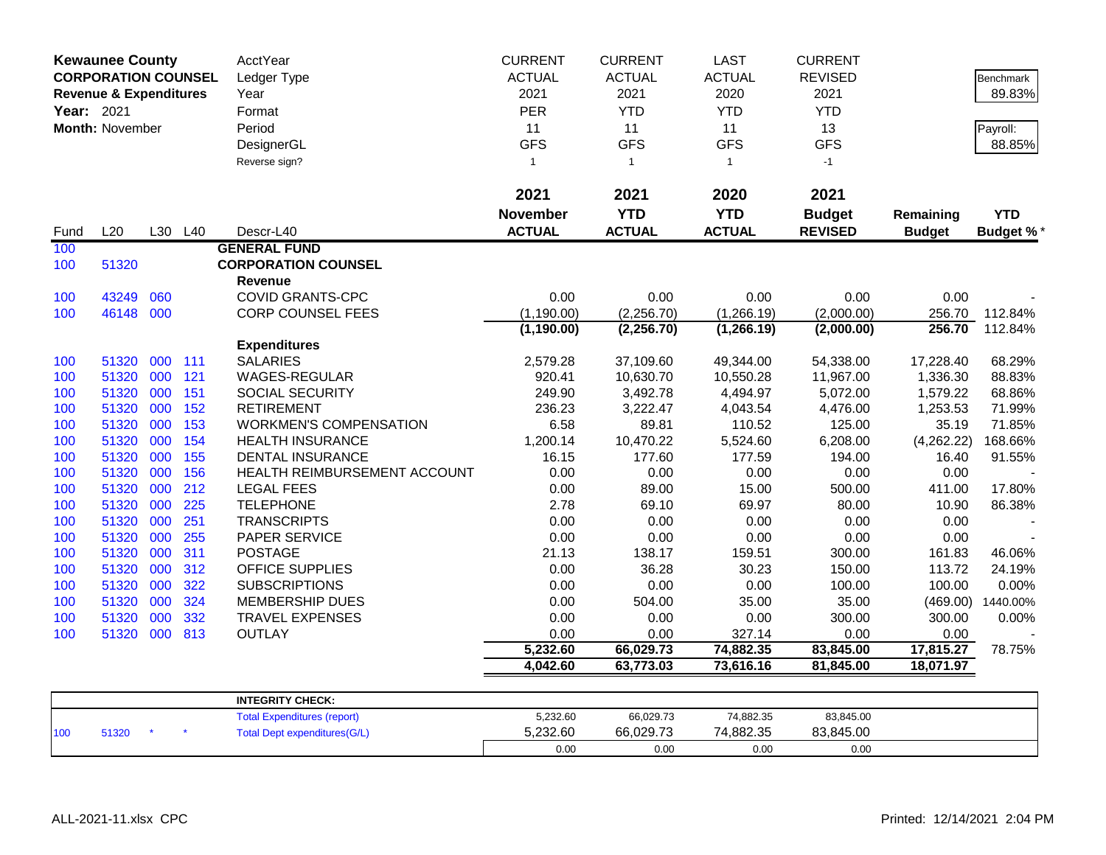| <b>Kewaunee County</b><br><b>CORPORATION COUNSEL</b> |                                   |         |     | AcctYear                            | <b>CURRENT</b>  | <b>CURRENT</b> | <b>LAST</b>   | <b>CURRENT</b> |               |                  |
|------------------------------------------------------|-----------------------------------|---------|-----|-------------------------------------|-----------------|----------------|---------------|----------------|---------------|------------------|
|                                                      |                                   |         |     | Ledger Type                         | <b>ACTUAL</b>   | <b>ACTUAL</b>  | <b>ACTUAL</b> | <b>REVISED</b> |               | <b>Benchmark</b> |
|                                                      | <b>Revenue &amp; Expenditures</b> |         |     | Year                                | 2021            | 2021           | 2020          | 2021           |               | 89.83%           |
| Year: 2021                                           |                                   |         |     | Format                              | PER             | <b>YTD</b>     | <b>YTD</b>    | <b>YTD</b>     |               |                  |
|                                                      | Month: November                   |         |     | Period                              | 11              | 11             | 11            | 13             |               | Payroll:         |
|                                                      |                                   |         |     | DesignerGL                          | <b>GFS</b>      | <b>GFS</b>     | <b>GFS</b>    | <b>GFS</b>     |               | 88.85%           |
|                                                      |                                   |         |     | Reverse sign?                       | $\mathbf{1}$    | $\overline{1}$ | $\mathbf{1}$  | $-1$           |               |                  |
|                                                      |                                   |         |     |                                     |                 |                |               |                |               |                  |
|                                                      |                                   |         |     |                                     | 2021            | 2021           | 2020          | 2021           |               |                  |
|                                                      |                                   |         |     |                                     | <b>November</b> | <b>YTD</b>     | <b>YTD</b>    | <b>Budget</b>  | Remaining     | <b>YTD</b>       |
| Fund                                                 | L20                               | L30 L40 |     | Descr-L40                           | <b>ACTUAL</b>   | <b>ACTUAL</b>  | <b>ACTUAL</b> | <b>REVISED</b> | <b>Budget</b> | <b>Budget %*</b> |
| 100                                                  |                                   |         |     | <b>GENERAL FUND</b>                 |                 |                |               |                |               |                  |
| 100                                                  | 51320                             |         |     | <b>CORPORATION COUNSEL</b>          |                 |                |               |                |               |                  |
|                                                      |                                   |         |     | Revenue                             |                 |                |               |                |               |                  |
| 100                                                  | 43249                             | 060     |     | <b>COVID GRANTS-CPC</b>             | 0.00            | 0.00           | 0.00          | 0.00           | 0.00          |                  |
| 100                                                  | 46148 000                         |         |     | <b>CORP COUNSEL FEES</b>            | (1, 190.00)     | (2,256.70)     | (1,266.19)    | (2,000.00)     | 256.70        | 112.84%          |
|                                                      |                                   |         |     |                                     | (1, 190.00)     | (2, 256.70)    | (1,266.19)    | (2,000.00)     | 256.70        | 112.84%          |
|                                                      |                                   |         |     | <b>Expenditures</b>                 |                 |                |               |                |               |                  |
| 100                                                  | 51320                             | 000     | 111 | <b>SALARIES</b>                     | 2,579.28        | 37,109.60      | 49,344.00     | 54,338.00      | 17,228.40     | 68.29%           |
| 100                                                  | 51320                             | 000     | 121 | WAGES-REGULAR                       | 920.41          | 10,630.70      | 10,550.28     | 11,967.00      | 1,336.30      | 88.83%           |
| 100                                                  | 51320                             | 000     | 151 | SOCIAL SECURITY                     | 249.90          | 3,492.78       | 4,494.97      | 5,072.00       | 1,579.22      | 68.86%           |
| 100                                                  | 51320                             | 000     | 152 | <b>RETIREMENT</b>                   | 236.23          | 3,222.47       | 4,043.54      | 4,476.00       | 1,253.53      | 71.99%           |
| 100                                                  | 51320                             | 000     | 153 | <b>WORKMEN'S COMPENSATION</b>       | 6.58            | 89.81          | 110.52        | 125.00         | 35.19         | 71.85%           |
| 100                                                  | 51320                             | 000     | 154 | <b>HEALTH INSURANCE</b>             | 1,200.14        | 10,470.22      | 5,524.60      | 6,208.00       | (4,262.22)    | 168.66%          |
| 100                                                  | 51320                             | 000     | 155 | DENTAL INSURANCE                    | 16.15           | 177.60         | 177.59        | 194.00         | 16.40         | 91.55%           |
| 100                                                  | 51320                             | 000     | 156 | HEALTH REIMBURSEMENT ACCOUNT        | 0.00            | 0.00           | 0.00          | 0.00           | 0.00          |                  |
| 100                                                  | 51320                             | 000     | 212 | <b>LEGAL FEES</b>                   | 0.00            | 89.00          | 15.00         | 500.00         | 411.00        | 17.80%           |
| 100                                                  | 51320                             | 000     | 225 | <b>TELEPHONE</b>                    | 2.78            | 69.10          | 69.97         | 80.00          | 10.90         | 86.38%           |
| 100                                                  | 51320                             | 000     | 251 | <b>TRANSCRIPTS</b>                  | 0.00            | 0.00           | 0.00          | 0.00           | 0.00          |                  |
| 100                                                  | 51320                             | 000     | 255 | PAPER SERVICE                       | 0.00            | 0.00           | 0.00          | 0.00           | 0.00          |                  |
| 100                                                  | 51320                             | 000     | 311 | <b>POSTAGE</b>                      | 21.13           | 138.17         | 159.51        | 300.00         | 161.83        | 46.06%           |
| 100                                                  | 51320                             | 000     | 312 | <b>OFFICE SUPPLIES</b>              | 0.00            | 36.28          | 30.23         | 150.00         | 113.72        | 24.19%           |
| 100                                                  | 51320                             | 000     | 322 | <b>SUBSCRIPTIONS</b>                | 0.00            | 0.00           | 0.00          | 100.00         | 100.00        | 0.00%            |
| 100                                                  | 51320                             | 000     | 324 | <b>MEMBERSHIP DUES</b>              | 0.00            | 504.00         | 35.00         | 35.00          | (469.00)      | 1440.00%         |
| 100                                                  | 51320                             | 000     | 332 | <b>TRAVEL EXPENSES</b>              | 0.00            | 0.00           | 0.00          | 300.00         | 300.00        | 0.00%            |
| 100                                                  | 51320                             | 000     | 813 | <b>OUTLAY</b>                       | 0.00            | 0.00           | 327.14        | 0.00           | 0.00          |                  |
|                                                      |                                   |         |     |                                     | 5,232.60        | 66,029.73      | 74,882.35     | 83,845.00      | 17,815.27     | 78.75%           |
|                                                      |                                   |         |     |                                     | 4,042.60        | 63,773.03      | 73,616.16     | 81,845.00      | 18,071.97     |                  |
|                                                      |                                   |         |     |                                     |                 |                |               |                |               |                  |
|                                                      |                                   |         |     | <b>INTEGRITY CHECK:</b>             |                 |                |               |                |               |                  |
|                                                      |                                   |         |     | <b>Total Expenditures (report)</b>  | 5,232.60        | 66,029.73      | 74,882.35     | 83,845.00      |               |                  |
| 100                                                  | 51320                             |         |     | <b>Total Dept expenditures(G/L)</b> | 5,232.60        | 66,029.73      | 74,882.35     | 83,845.00      |               |                  |
|                                                      |                                   |         |     |                                     | 0.00            | 0.00           | 0.00          | 0.00           |               |                  |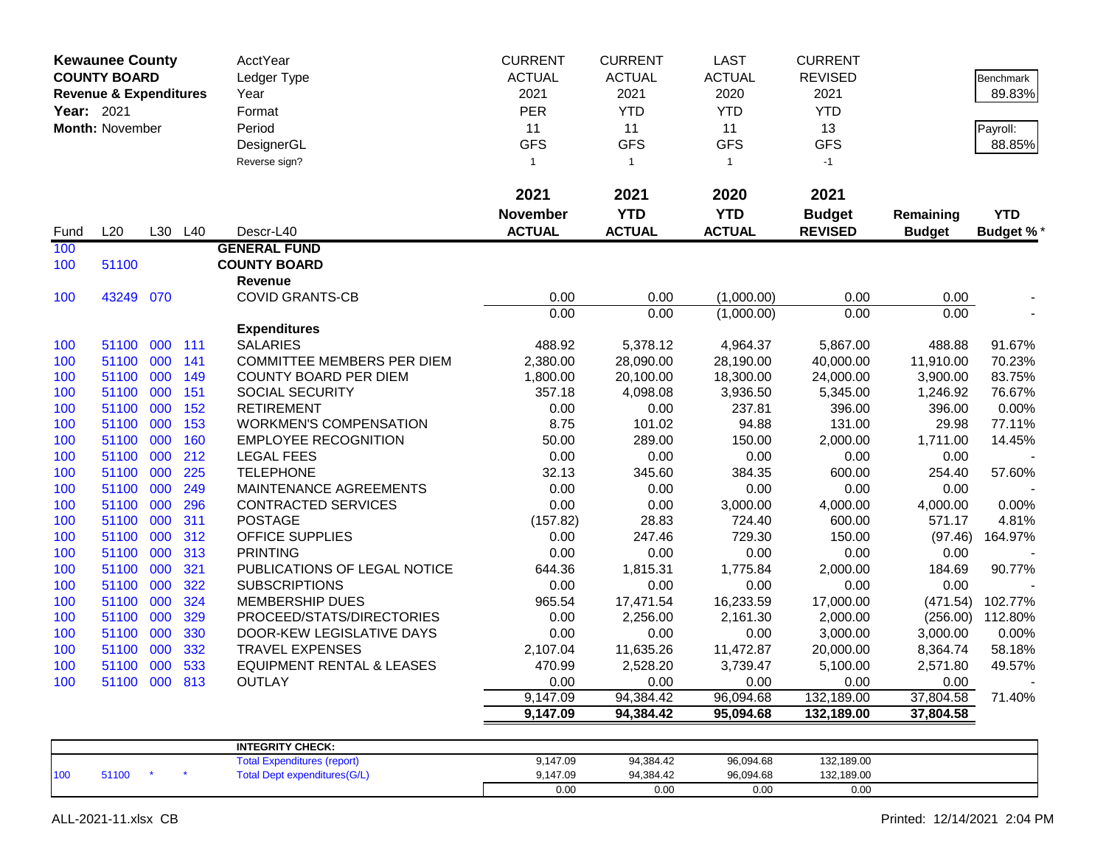| <b>Kewaunee County</b> |                                   |     |         | AcctYear                             | <b>CURRENT</b>  | <b>CURRENT</b> | <b>LAST</b>   | <b>CURRENT</b> |               |                  |
|------------------------|-----------------------------------|-----|---------|--------------------------------------|-----------------|----------------|---------------|----------------|---------------|------------------|
|                        | <b>COUNTY BOARD</b>               |     |         | Ledger Type                          | <b>ACTUAL</b>   | <b>ACTUAL</b>  | <b>ACTUAL</b> | <b>REVISED</b> |               | <b>Benchmark</b> |
|                        | <b>Revenue &amp; Expenditures</b> |     |         | Year                                 | 2021            | 2021           | 2020          | 2021           |               | 89.83%           |
| <b>Year: 2021</b>      |                                   |     |         | Format                               | <b>PER</b>      | <b>YTD</b>     | <b>YTD</b>    | <b>YTD</b>     |               |                  |
|                        | Month: November                   |     |         | Period                               | 11              | 11             | 11            | 13             |               | Payroll:         |
|                        |                                   |     |         | DesignerGL                           | <b>GFS</b>      | <b>GFS</b>     | <b>GFS</b>    | <b>GFS</b>     |               | 88.85%           |
|                        |                                   |     |         | Reverse sign?                        | $\mathbf{1}$    | $\mathbf{1}$   | $\mathbf{1}$  | $-1$           |               |                  |
|                        |                                   |     |         |                                      |                 |                |               |                |               |                  |
|                        |                                   |     |         |                                      | 2021            | 2021           | 2020          | 2021           |               |                  |
|                        |                                   |     |         |                                      | <b>November</b> | <b>YTD</b>     | <b>YTD</b>    | <b>Budget</b>  | Remaining     | <b>YTD</b>       |
| Fund                   | L20                               |     | L30 L40 | Descr-L40                            | <b>ACTUAL</b>   | <b>ACTUAL</b>  | <b>ACTUAL</b> | <b>REVISED</b> | <b>Budget</b> | <b>Budget %</b>  |
| 100                    |                                   |     |         | <b>GENERAL FUND</b>                  |                 |                |               |                |               |                  |
| 100                    | 51100                             |     |         | <b>COUNTY BOARD</b>                  |                 |                |               |                |               |                  |
|                        |                                   |     |         | <b>Revenue</b>                       |                 |                |               |                |               |                  |
| 100                    | 43249 070                         |     |         | <b>COVID GRANTS-CB</b>               | 0.00            | 0.00           | (1,000.00)    | 0.00           | 0.00          |                  |
|                        |                                   |     |         |                                      | 0.00            | 0.00           | (1,000.00)    | 0.00           | 0.00          |                  |
|                        |                                   |     |         | <b>Expenditures</b>                  |                 |                |               |                |               |                  |
| 100                    | 51100                             | 000 | 111     | <b>SALARIES</b>                      | 488.92          | 5,378.12       | 4,964.37      | 5,867.00       | 488.88        | 91.67%           |
| 100                    | 51100                             | 000 | 141     | <b>COMMITTEE MEMBERS PER DIEM</b>    | 2,380.00        | 28,090.00      | 28,190.00     | 40,000.00      | 11,910.00     | 70.23%           |
| 100                    | 51100                             | 000 | 149     | <b>COUNTY BOARD PER DIEM</b>         | 1,800.00        | 20,100.00      | 18,300.00     | 24,000.00      | 3,900.00      | 83.75%           |
| 100                    | 51100                             | 000 | 151     | <b>SOCIAL SECURITY</b>               | 357.18          | 4,098.08       | 3,936.50      | 5,345.00       | 1,246.92      | 76.67%           |
| 100                    | 51100                             | 000 | 152     | <b>RETIREMENT</b>                    | 0.00            | 0.00           | 237.81        | 396.00         | 396.00        | 0.00%            |
| 100                    | 51100                             | 000 | 153     | <b>WORKMEN'S COMPENSATION</b>        | 8.75            | 101.02         | 94.88         | 131.00         | 29.98         | 77.11%           |
| 100                    | 51100                             | 000 | 160     | <b>EMPLOYEE RECOGNITION</b>          | 50.00           | 289.00         | 150.00        | 2,000.00       | 1,711.00      | 14.45%           |
| 100                    | 51100                             | 000 | 212     | <b>LEGAL FEES</b>                    | 0.00            | 0.00           | 0.00          | 0.00           | 0.00          |                  |
| 100                    | 51100                             | 000 | 225     | <b>TELEPHONE</b>                     | 32.13           | 345.60         | 384.35        | 600.00         | 254.40        | 57.60%           |
| 100                    | 51100                             | 000 | 249     | MAINTENANCE AGREEMENTS               | 0.00            | 0.00           | 0.00          | 0.00           | 0.00          |                  |
| 100                    | 51100                             | 000 | 296     | <b>CONTRACTED SERVICES</b>           | 0.00            | 0.00           | 3,000.00      | 4,000.00       | 4,000.00      | 0.00%            |
| 100                    | 51100                             | 000 | 311     | <b>POSTAGE</b>                       | (157.82)        | 28.83          | 724.40        | 600.00         | 571.17        | 4.81%            |
| 100                    | 51100                             | 000 | 312     | OFFICE SUPPLIES                      | 0.00            | 247.46         | 729.30        | 150.00         | (97.46)       | 164.97%          |
| 100                    | 51100                             | 000 | 313     | <b>PRINTING</b>                      | 0.00            | 0.00           | 0.00          | 0.00           | 0.00          |                  |
| 100                    | 51100                             | 000 | 321     | PUBLICATIONS OF LEGAL NOTICE         | 644.36          | 1,815.31       | 1,775.84      | 2,000.00       | 184.69        | 90.77%           |
| 100                    | 51100                             | 000 | 322     | <b>SUBSCRIPTIONS</b>                 | 0.00            | 0.00           | 0.00          | 0.00           | 0.00          |                  |
| 100                    | 51100                             | 000 | 324     | MEMBERSHIP DUES                      | 965.54          | 17,471.54      | 16,233.59     | 17,000.00      | (471.54)      | 102.77%          |
| 100                    | 51100                             | 000 | 329     | PROCEED/STATS/DIRECTORIES            | 0.00            | 2,256.00       | 2,161.30      | 2,000.00       | (256.00)      | 112.80%          |
| 100                    | 51100                             | 000 | 330     | DOOR-KEW LEGISLATIVE DAYS            | 0.00            | 0.00           | 0.00          | 3,000.00       | 3,000.00      | 0.00%            |
| 100                    | 51100                             | 000 | 332     | <b>TRAVEL EXPENSES</b>               | 2,107.04        | 11,635.26      | 11,472.87     | 20,000.00      | 8,364.74      | 58.18%           |
| 100                    | 51100                             | 000 | 533     | <b>EQUIPMENT RENTAL &amp; LEASES</b> | 470.99          | 2,528.20       | 3,739.47      | 5,100.00       | 2,571.80      | 49.57%           |
| 100                    | 51100 000 813                     |     |         | <b>OUTLAY</b>                        | 0.00            | 0.00           | 0.00          | 0.00           | 0.00          |                  |
|                        |                                   |     |         |                                      | 9,147.09        | 94,384.42      | 96,094.68     | 132,189.00     | 37,804.58     | 71.40%           |
|                        |                                   |     |         |                                      | 9,147.09        | 94,384.42      | 95,094.68     | 132,189.00     | 37,804.58     |                  |
|                        |                                   |     |         |                                      |                 |                |               |                |               |                  |
|                        |                                   |     |         | <b>INTEGRITY CHECK:</b>              |                 |                |               |                |               |                  |
|                        |                                   |     |         | Total Evnandituran (ranort)          | 0.11700         | $0A$ 20 $AD$   | 0600160       | 122.190.00     |               |                  |

|     |       |  | <b>Total Expenditures (report)</b> | 9,147.09 | 94,384.42 | 96,094.68 | 132,189.00 |  |
|-----|-------|--|------------------------------------|----------|-----------|-----------|------------|--|
| 100 | 51100 |  | Total Dept expenditures(G/L)       | 9,147.09 | 94.384.42 | 96,094.68 | 132,189.00 |  |
|     |       |  |                                    | 0.00     | 0.00      | 0.00      | 0.00       |  |
|     |       |  |                                    |          |           |           |            |  |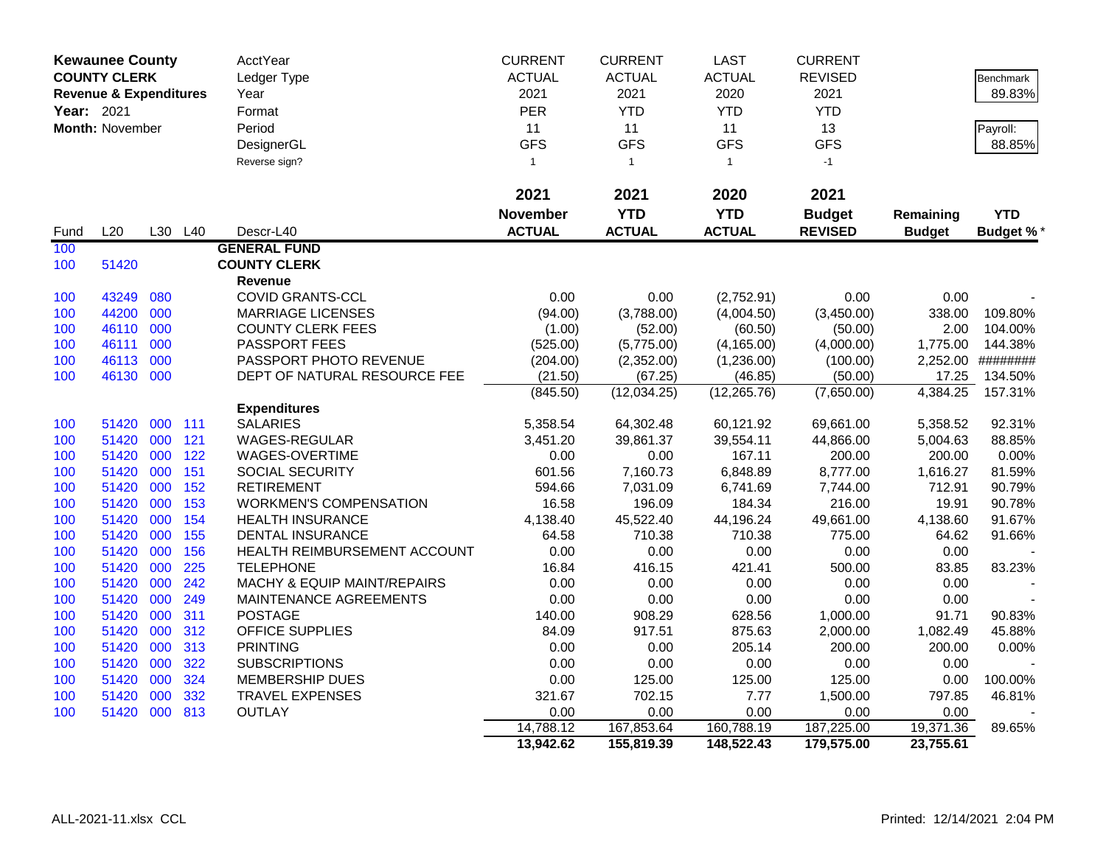|            | <b>Kewaunee County</b>            |            |            | AcctYear                                 | <b>CURRENT</b>  | <b>CURRENT</b>   | <b>LAST</b>      | <b>CURRENT</b>     |                    |                  |
|------------|-----------------------------------|------------|------------|------------------------------------------|-----------------|------------------|------------------|--------------------|--------------------|------------------|
|            | <b>COUNTY CLERK</b>               |            |            | Ledger Type                              | <b>ACTUAL</b>   | <b>ACTUAL</b>    | <b>ACTUAL</b>    | <b>REVISED</b>     |                    | <b>Benchmark</b> |
|            | <b>Revenue &amp; Expenditures</b> |            |            | Year                                     | 2021            | 2021             | 2020             | 2021               |                    | 89.83%           |
| Year: 2021 |                                   |            |            | Format                                   | PER             | <b>YTD</b>       | <b>YTD</b>       | <b>YTD</b>         |                    |                  |
|            | Month: November                   |            |            | Period                                   | 11              | 11               | 11               | 13                 |                    | Payroll:         |
|            |                                   |            |            | DesignerGL                               | <b>GFS</b>      | <b>GFS</b>       | <b>GFS</b>       | <b>GFS</b>         |                    | 88.85%           |
|            |                                   |            |            | Reverse sign?                            | $\mathbf{1}$    | $\mathbf{1}$     | $\mathbf{1}$     | $-1$               |                    |                  |
|            |                                   |            |            |                                          |                 |                  |                  |                    |                    |                  |
|            |                                   |            |            |                                          | 2021            | 2021             | 2020             | 2021               |                    |                  |
|            |                                   |            |            |                                          | <b>November</b> | <b>YTD</b>       | <b>YTD</b>       | <b>Budget</b>      | Remaining          | <b>YTD</b>       |
| Fund       | L20                               | L30        | L40        | Descr-L40                                | <b>ACTUAL</b>   | <b>ACTUAL</b>    | <b>ACTUAL</b>    | <b>REVISED</b>     | <b>Budget</b>      | <b>Budget %*</b> |
| 100        |                                   |            |            | <b>GENERAL FUND</b>                      |                 |                  |                  |                    |                    |                  |
| 100        | 51420                             |            |            | <b>COUNTY CLERK</b>                      |                 |                  |                  |                    |                    |                  |
|            |                                   |            |            | <b>Revenue</b>                           |                 |                  |                  |                    |                    |                  |
| 100        | 43249                             | 080        |            | <b>COVID GRANTS-CCL</b>                  | 0.00            | 0.00             | (2,752.91)       | 0.00               | 0.00               |                  |
| 100        | 44200                             | 000        |            | <b>MARRIAGE LICENSES</b>                 | (94.00)         | (3,788.00)       | (4,004.50)       | (3,450.00)         | 338.00             | 109.80%          |
| 100        | 46110                             | 000        |            | <b>COUNTY CLERK FEES</b>                 | (1.00)          | (52.00)          | (60.50)          | (50.00)            | 2.00               | 104.00%          |
| 100        | 46111                             | 000        |            | PASSPORT FEES                            | (525.00)        | (5,775.00)       | (4, 165.00)      | (4,000.00)         | 1,775.00           | 144.38%          |
| 100        | 46113                             | 000        |            | PASSPORT PHOTO REVENUE                   | (204.00)        | (2,352.00)       | (1,236.00)       | (100.00)           | 2,252.00           | ########         |
| 100        | 46130                             | 000        |            | DEPT OF NATURAL RESOURCE FEE             | (21.50)         | (67.25)          | (46.85)          | (50.00)            | 17.25              | 134.50%          |
|            |                                   |            |            |                                          | (845.50)        | (12,034.25)      | (12, 265.76)     | (7,650.00)         | 4,384.25           | 157.31%          |
|            |                                   |            |            | <b>Expenditures</b>                      |                 |                  |                  |                    |                    |                  |
| 100        | 51420                             | 000        | 111        | <b>SALARIES</b>                          | 5,358.54        | 64,302.48        | 60,121.92        | 69,661.00          | 5,358.52           | 92.31%           |
| 100        | 51420                             | 000        | 121        | WAGES-REGULAR                            | 3,451.20        | 39,861.37        | 39,554.11        | 44,866.00          | 5,004.63           | 88.85%           |
| 100        | 51420                             | 000        | 122        | WAGES-OVERTIME                           | 0.00            | 0.00             | 167.11           | 200.00             | 200.00             | 0.00%            |
| 100        | 51420                             | 000        | 151        | SOCIAL SECURITY                          | 601.56          | 7,160.73         | 6,848.89         | 8,777.00           | 1,616.27           | 81.59%           |
| 100        | 51420                             | 000        | 152        | <b>RETIREMENT</b>                        | 594.66          | 7,031.09         | 6,741.69         | 7,744.00           | 712.91             | 90.79%           |
| 100        | 51420                             | 000        | 153        | <b>WORKMEN'S COMPENSATION</b>            | 16.58           | 196.09           | 184.34           | 216.00             | 19.91              | 90.78%           |
| 100        | 51420                             | 000        | 154        | <b>HEALTH INSURANCE</b>                  | 4,138.40        | 45,522.40        | 44,196.24        | 49,661.00          | 4,138.60           | 91.67%           |
| 100        | 51420                             | 000        | 155        | <b>DENTAL INSURANCE</b>                  | 64.58           | 710.38           | 710.38           | 775.00             | 64.62              | 91.66%           |
| 100        | 51420                             | 000        | 156        | HEALTH REIMBURSEMENT ACCOUNT             | 0.00            | 0.00             | 0.00             | 0.00               | 0.00               |                  |
| 100        | 51420                             | 000        | 225        | <b>TELEPHONE</b>                         | 16.84           | 416.15           | 421.41           | 500.00             | 83.85              | 83.23%           |
| 100        | 51420                             | 000        | 242        | MACHY & EQUIP MAINT/REPAIRS              | 0.00            | 0.00             | 0.00             | 0.00               | 0.00               |                  |
| 100        | 51420                             | 000        | 249        | MAINTENANCE AGREEMENTS                   | 0.00            | 0.00             | 0.00             | 0.00               | 0.00               |                  |
| 100        | 51420<br>51420                    | 000<br>000 | 311<br>312 | <b>POSTAGE</b><br><b>OFFICE SUPPLIES</b> | 140.00<br>84.09 | 908.29<br>917.51 | 628.56<br>875.63 | 1,000.00           | 91.71              | 90.83%<br>45.88% |
| 100<br>100 | 51420                             | 000        | 313        | <b>PRINTING</b>                          | 0.00            | 0.00             | 205.14           | 2,000.00<br>200.00 | 1,082.49<br>200.00 | 0.00%            |
| 100        | 51420                             | 000        | 322        | <b>SUBSCRIPTIONS</b>                     | 0.00            | 0.00             | 0.00             | 0.00               | 0.00               |                  |
|            | 51420                             | 000        | 324        | <b>MEMBERSHIP DUES</b>                   | 0.00            | 125.00           | 125.00           | 125.00             | 0.00               | 100.00%          |
| 100<br>100 | 51420                             | 000        | 332        | <b>TRAVEL EXPENSES</b>                   | 321.67          | 702.15           | 7.77             | 1,500.00           | 797.85             | 46.81%           |
| 100        | 51420                             | 000        | 813        | <b>OUTLAY</b>                            | 0.00            | 0.00             | 0.00             | 0.00               | 0.00               |                  |
|            |                                   |            |            |                                          | 14,788.12       | 167,853.64       | 160,788.19       | 187,225.00         | 19,371.36          | 89.65%           |
|            |                                   |            |            |                                          | 13,942.62       | 155,819.39       | 148,522.43       | 179,575.00         | 23,755.61          |                  |
|            |                                   |            |            |                                          |                 |                  |                  |                    |                    |                  |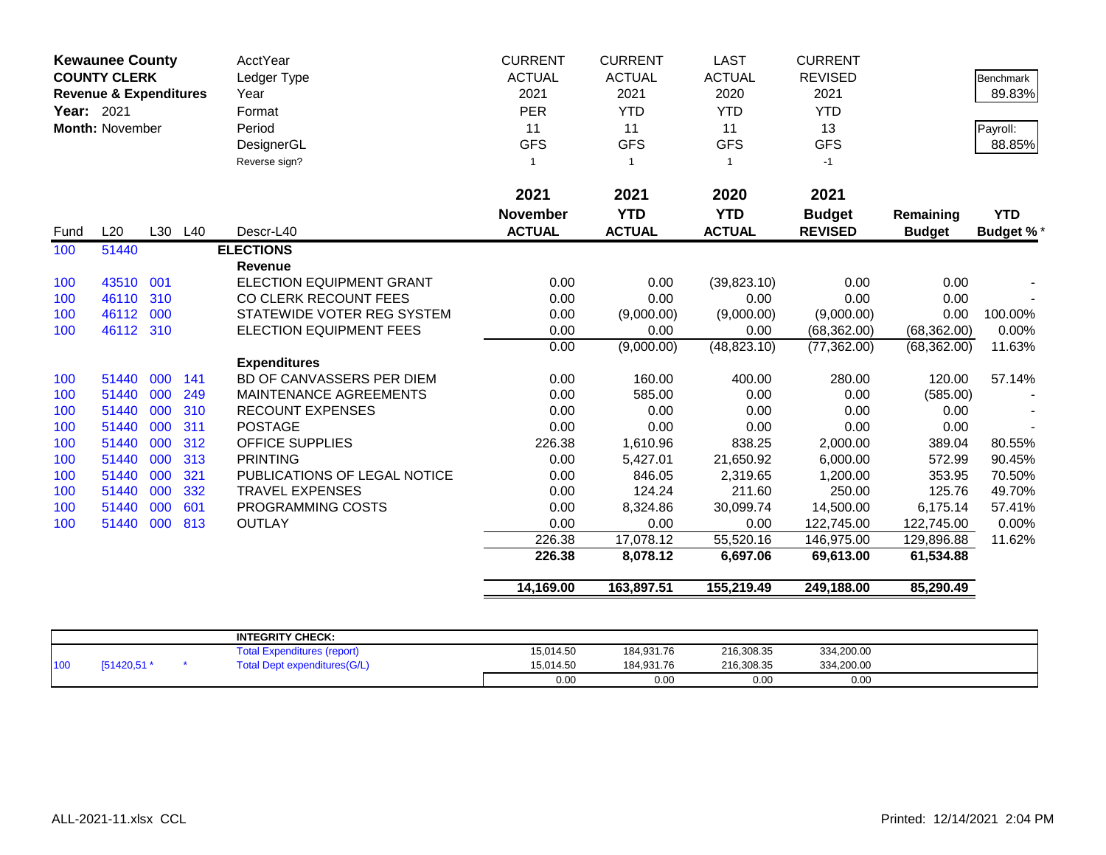|            | <b>Kewaunee County</b>            |     |         | <b>AcctYear</b>                 | <b>CURRENT</b>  | <b>CURRENT</b> | <b>LAST</b>   | <b>CURRENT</b> |               |                  |
|------------|-----------------------------------|-----|---------|---------------------------------|-----------------|----------------|---------------|----------------|---------------|------------------|
|            | <b>COUNTY CLERK</b>               |     |         | Ledger Type                     | <b>ACTUAL</b>   | <b>ACTUAL</b>  | <b>ACTUAL</b> | <b>REVISED</b> |               | <b>Benchmark</b> |
|            | <b>Revenue &amp; Expenditures</b> |     |         | Year                            | 2021            | 2021           | 2020          | 2021           |               | 89.83%           |
| Year: 2021 |                                   |     |         | Format                          | <b>PER</b>      | <b>YTD</b>     | <b>YTD</b>    | <b>YTD</b>     |               |                  |
|            | Month: November                   |     |         | Period                          | 11              | 11             | 11            | 13             |               | Payroll:         |
|            |                                   |     |         | DesignerGL                      | <b>GFS</b>      | <b>GFS</b>     | <b>GFS</b>    | <b>GFS</b>     |               | 88.85%           |
|            |                                   |     |         | Reverse sign?                   | $\overline{1}$  | $\overline{1}$ | $\mathbf{1}$  | $-1$           |               |                  |
|            |                                   |     |         |                                 | 2021            | 2021           | 2020          | 2021           |               |                  |
|            |                                   |     |         |                                 | <b>November</b> | <b>YTD</b>     | <b>YTD</b>    | <b>Budget</b>  | Remaining     | <b>YTD</b>       |
| Fund       | L20                               |     | L30 L40 | Descr-L40                       | <b>ACTUAL</b>   | <b>ACTUAL</b>  | <b>ACTUAL</b> | <b>REVISED</b> | <b>Budget</b> | <b>Budget %*</b> |
| 100        | 51440                             |     |         | <b>ELECTIONS</b>                |                 |                |               |                |               |                  |
|            |                                   |     |         | <b>Revenue</b>                  |                 |                |               |                |               |                  |
| 100        | 43510                             | 001 |         | <b>ELECTION EQUIPMENT GRANT</b> | 0.00            | 0.00           | (39, 823.10)  | 0.00           | 0.00          |                  |
| 100        | 46110                             | 310 |         | CO CLERK RECOUNT FEES           | 0.00            | 0.00           | 0.00          | 0.00           | 0.00          |                  |
| 100        | 46112                             | 000 |         | STATEWIDE VOTER REG SYSTEM      | 0.00            | (9,000.00)     | (9,000.00)    | (9,000.00)     | 0.00          | 100.00%          |
| 100        | 46112 310                         |     |         | ELECTION EQUIPMENT FEES         | 0.00            | 0.00           | 0.00          | (68, 362.00)   | (68, 362.00)  | 0.00%            |
|            |                                   |     |         |                                 | 0.00            | (9,000.00)     | (48, 823.10)  | (77, 362.00)   | (68, 362.00)  | 11.63%           |
|            |                                   |     |         | <b>Expenditures</b>             |                 |                |               |                |               |                  |
| 100        | 51440                             | 000 | 141     | BD OF CANVASSERS PER DIEM       | 0.00            | 160.00         | 400.00        | 280.00         | 120.00        | 57.14%           |
| 100        | 51440                             | 000 | 249     | MAINTENANCE AGREEMENTS          | 0.00            | 585.00         | 0.00          | 0.00           | (585.00)      |                  |
| 100        | 51440                             | 000 | 310     | <b>RECOUNT EXPENSES</b>         | 0.00            | 0.00           | 0.00          | 0.00           | 0.00          |                  |
| 100        | 51440                             | 000 | 311     | <b>POSTAGE</b>                  | 0.00            | 0.00           | 0.00          | 0.00           | 0.00          |                  |
| 100        | 51440                             | 000 | 312     | <b>OFFICE SUPPLIES</b>          | 226.38          | 1,610.96       | 838.25        | 2,000.00       | 389.04        | 80.55%           |
| 100        | 51440                             | 000 | 313     | <b>PRINTING</b>                 | 0.00            | 5,427.01       | 21,650.92     | 6,000.00       | 572.99        | 90.45%           |
| 100        | 51440                             | 000 | 321     | PUBLICATIONS OF LEGAL NOTICE    | 0.00            | 846.05         | 2,319.65      | 1,200.00       | 353.95        | 70.50%           |
| 100        | 51440                             | 000 | 332     | <b>TRAVEL EXPENSES</b>          | 0.00            | 124.24         | 211.60        | 250.00         | 125.76        | 49.70%           |
| 100        | 51440                             | 000 | 601     | PROGRAMMING COSTS               | 0.00            | 8,324.86       | 30,099.74     | 14,500.00      | 6,175.14      | 57.41%           |
| 100        | 51440                             | 000 | 813     | <b>OUTLAY</b>                   | 0.00            | 0.00           | 0.00          | 122,745.00     | 122,745.00    | 0.00%            |
|            |                                   |     |         |                                 | 226.38          | 17,078.12      | 55,520.16     | 146,975.00     | 129,896.88    | 11.62%           |
|            |                                   |     |         |                                 | 226.38          | 8,078.12       | 6,697.06      | 69,613.00      | 61,534.88     |                  |
|            |                                   |     |         |                                 | 14,169.00       | 163,897.51     | 155,219.49    | 249,188.00     | 85,290.49     |                  |

|     |            | <b>INTEGRITY CHECK:</b>             |           |            |            |            |  |
|-----|------------|-------------------------------------|-----------|------------|------------|------------|--|
|     |            | Expenditures (report)<br>⊺otal      | 15,014.50 | 184,931.76 | 216,308.35 | 334,200.00 |  |
| 100 | [51420,51] | <b>Total Dept expenditures(G/L)</b> | 15.014.50 | 184.931.76 | 216,308.35 | 334,200.00 |  |
|     |            |                                     | 0.00      | 0.00       | 0.00       | 0.00       |  |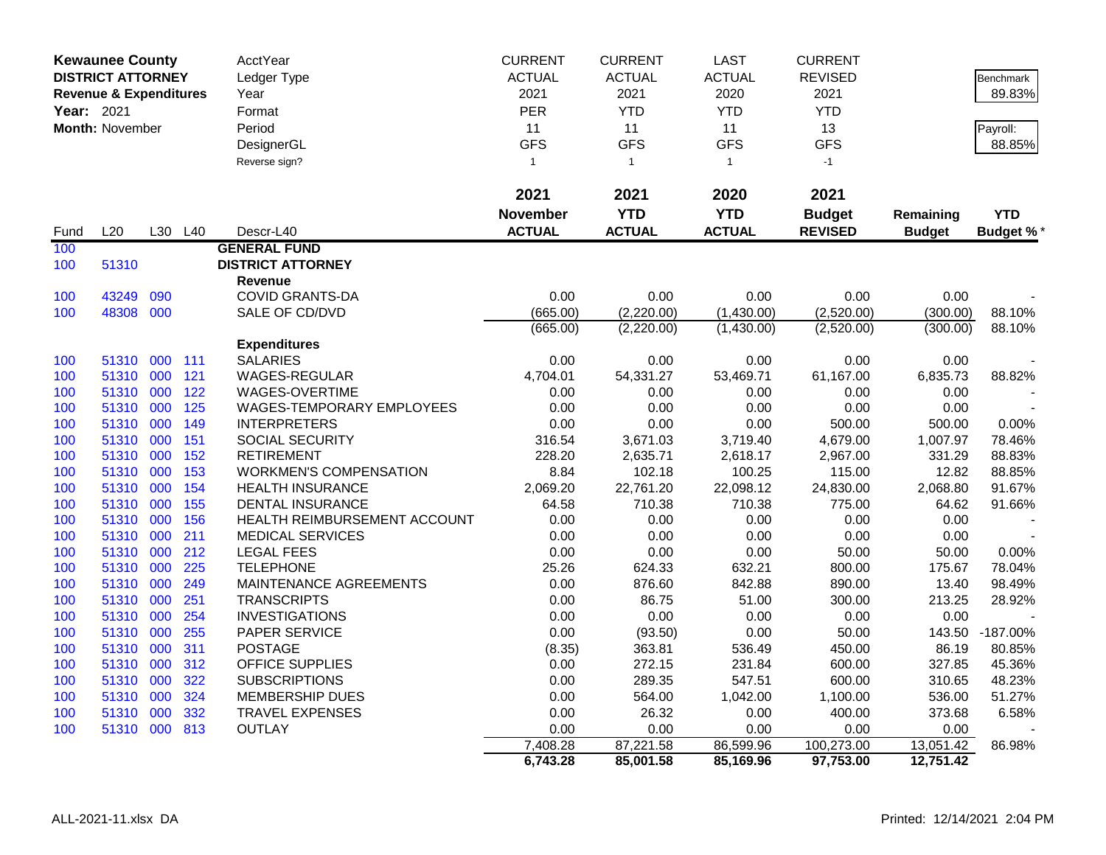|            | <b>Kewaunee County</b>            |     |         | AcctYear                      | <b>CURRENT</b>   | <b>CURRENT</b>    | <b>LAST</b>       | <b>CURRENT</b>     |                   |                  |
|------------|-----------------------------------|-----|---------|-------------------------------|------------------|-------------------|-------------------|--------------------|-------------------|------------------|
|            | <b>DISTRICT ATTORNEY</b>          |     |         | Ledger Type                   | <b>ACTUAL</b>    | <b>ACTUAL</b>     | <b>ACTUAL</b>     | <b>REVISED</b>     |                   | <b>Benchmark</b> |
|            | <b>Revenue &amp; Expenditures</b> |     |         | Year                          | 2021             | 2021              | 2020              | 2021               |                   | 89.83%           |
| Year: 2021 |                                   |     |         | Format                        | PER              | <b>YTD</b>        | <b>YTD</b>        | <b>YTD</b>         |                   |                  |
|            | <b>Month: November</b>            |     |         | Period                        | 11               | 11                | 11                | 13                 |                   | Payroll:         |
|            |                                   |     |         | DesignerGL                    | <b>GFS</b>       | <b>GFS</b>        | <b>GFS</b>        | <b>GFS</b>         |                   | 88.85%           |
|            |                                   |     |         | Reverse sign?                 | $\mathbf{1}$     | $\mathbf{1}$      | $\mathbf{1}$      | $-1$               |                   |                  |
|            |                                   |     |         |                               |                  |                   |                   |                    |                   |                  |
|            |                                   |     |         |                               | 2021             | 2021              | 2020              | 2021               |                   |                  |
|            |                                   |     |         |                               | November         | <b>YTD</b>        | <b>YTD</b>        | <b>Budget</b>      | Remaining         | <b>YTD</b>       |
| Fund       | L20                               |     | L30 L40 | Descr-L40                     | <b>ACTUAL</b>    | <b>ACTUAL</b>     | <b>ACTUAL</b>     | <b>REVISED</b>     | <b>Budget</b>     | <b>Budget %*</b> |
| 100        |                                   |     |         | <b>GENERAL FUND</b>           |                  |                   |                   |                    |                   |                  |
| 100        | 51310                             |     |         | <b>DISTRICT ATTORNEY</b>      |                  |                   |                   |                    |                   |                  |
|            |                                   |     |         | Revenue                       |                  |                   |                   |                    |                   |                  |
| 100        | 43249                             | 090 |         | <b>COVID GRANTS-DA</b>        | 0.00             | 0.00              | 0.00              | 0.00               | 0.00              |                  |
| 100        | 48308 000                         |     |         | SALE OF CD/DVD                | (665.00)         | (2,220.00)        | (1,430.00)        | (2,520.00)         | (300.00)          | 88.10%           |
|            |                                   |     |         |                               | (665.00)         | (2,220.00)        | (1,430.00)        | (2,520.00)         | (300.00)          | 88.10%           |
|            |                                   |     |         | <b>Expenditures</b>           |                  |                   |                   |                    |                   |                  |
| 100        | 51310 000 111                     |     |         | <b>SALARIES</b>               | 0.00             | 0.00              | 0.00              | 0.00               | 0.00              |                  |
| 100        | 51310 000                         |     | 121     | WAGES-REGULAR                 | 4,704.01         | 54,331.27         | 53,469.71         | 61,167.00          | 6,835.73          | 88.82%           |
| 100        | 51310                             | 000 | 122     | WAGES-OVERTIME                | 0.00             | 0.00              | 0.00              | 0.00               | 0.00              |                  |
| 100        | 51310 000                         |     | 125     | WAGES-TEMPORARY EMPLOYEES     | 0.00             | 0.00              | 0.00              | 0.00               | 0.00              |                  |
| 100        | 51310 000                         |     | 149     | <b>INTERPRETERS</b>           | 0.00             | 0.00              | 0.00              | 500.00             | 500.00            | 0.00%            |
| 100        | 51310                             | 000 | 151     | SOCIAL SECURITY               | 316.54           | 3,671.03          | 3,719.40          | 4,679.00           | 1,007.97          | 78.46%           |
| 100        | 51310 000                         |     | 152     | <b>RETIREMENT</b>             | 228.20           | 2,635.71          | 2,618.17          | 2,967.00           | 331.29            | 88.83%           |
| 100        | 51310 000                         |     | 153     | <b>WORKMEN'S COMPENSATION</b> | 8.84             | 102.18            | 100.25            | 115.00             | 12.82             | 88.85%           |
| 100        | 51310                             | 000 | 154     | <b>HEALTH INSURANCE</b>       | 2,069.20         | 22,761.20         | 22,098.12         | 24,830.00          | 2,068.80          | 91.67%           |
| 100        | 51310 000                         |     | 155     | <b>DENTAL INSURANCE</b>       | 64.58            | 710.38            | 710.38            | 775.00             | 64.62             | 91.66%           |
| 100        | 51310 000                         |     | 156     | HEALTH REIMBURSEMENT ACCOUNT  | 0.00             | 0.00              | 0.00              | 0.00               | 0.00              |                  |
| 100        | 51310                             | 000 | 211     | <b>MEDICAL SERVICES</b>       | 0.00             | 0.00              | 0.00              | 0.00               | 0.00              |                  |
| 100        | 51310 000                         |     | 212     | <b>LEGAL FEES</b>             | 0.00             | 0.00              | 0.00              | 50.00              | 50.00             | 0.00%            |
| 100        | 51310 000                         |     | 225     | <b>TELEPHONE</b>              | 25.26            | 624.33            | 632.21            | 800.00             | 175.67            | 78.04%           |
| 100        | 51310                             | 000 | 249     | MAINTENANCE AGREEMENTS        | 0.00             | 876.60            | 842.88            | 890.00             | 13.40             | 98.49%           |
| 100        | 51310 000                         |     | 251     | <b>TRANSCRIPTS</b>            | 0.00             | 86.75             | 51.00             | 300.00             | 213.25            | 28.92%           |
| 100        | 51310 000                         |     | 254     | <b>INVESTIGATIONS</b>         | 0.00             | 0.00              | 0.00              | 0.00               | 0.00              |                  |
| 100        | 51310                             | 000 | 255     | PAPER SERVICE                 | 0.00             | (93.50)           | 0.00              | 50.00              | 143.50            | $-187.00%$       |
| 100        | 51310 000                         |     | 311     | <b>POSTAGE</b>                | (8.35)           | 363.81            | 536.49            | 450.00             | 86.19             | 80.85%           |
| 100        | 51310 000                         |     | 312     | <b>OFFICE SUPPLIES</b>        | 0.00             | 272.15            | 231.84            | 600.00             | 327.85            | 45.36%           |
| 100        | 51310                             | 000 | 322     | <b>SUBSCRIPTIONS</b>          | 0.00             | 289.35            | 547.51            | 600.00             | 310.65            | 48.23%           |
| 100        | 51310 000                         |     | 324     | <b>MEMBERSHIP DUES</b>        | 0.00             | 564.00            | 1,042.00          | 1,100.00           | 536.00            | 51.27%           |
| 100        | 51310<br>51310 000 813            | 000 | 332     | <b>TRAVEL EXPENSES</b>        | 0.00             | 26.32             | 0.00              | 400.00             | 373.68            | 6.58%            |
| 100        |                                   |     |         | <b>OUTLAY</b>                 | 0.00<br>7,408.28 | 0.00<br>87,221.58 | 0.00<br>86,599.96 | 0.00<br>100,273.00 | 0.00<br>13,051.42 | 86.98%           |
|            |                                   |     |         |                               | 6,743.28         | 85,001.58         | 85,169.96         | 97,753.00          | 12,751.42         |                  |
|            |                                   |     |         |                               |                  |                   |                   |                    |                   |                  |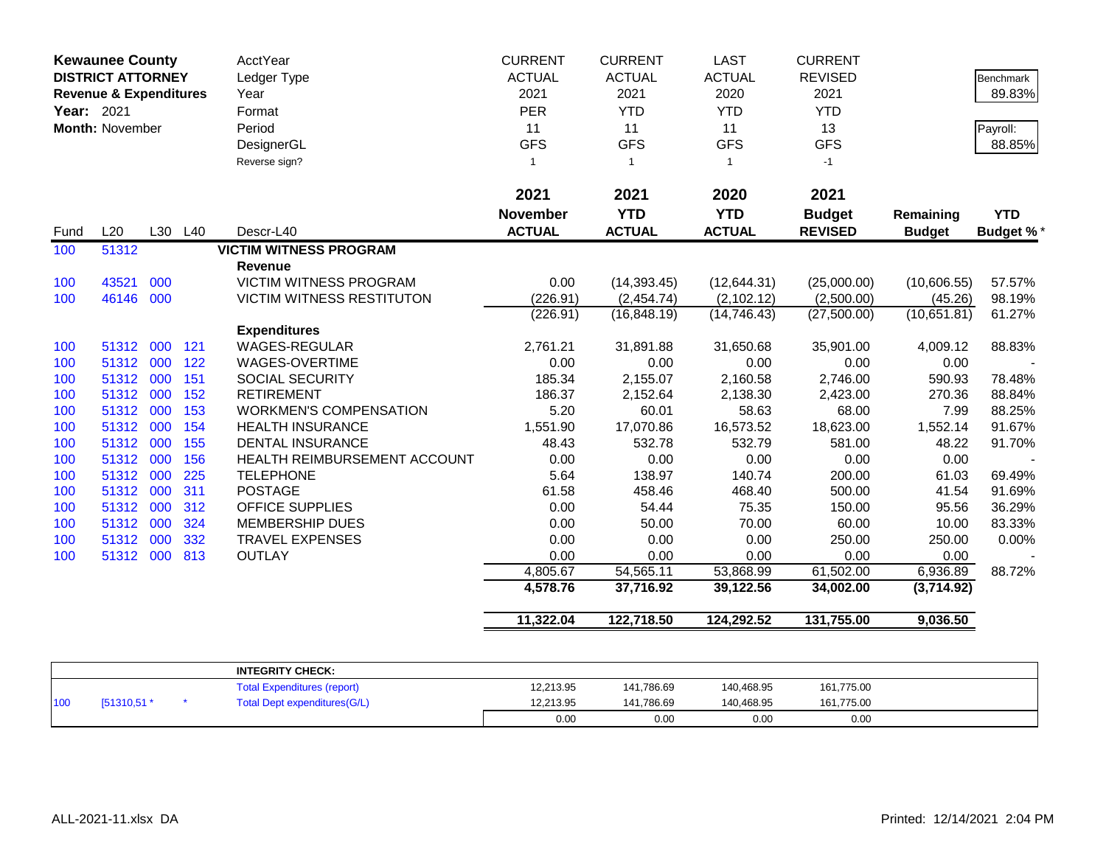| 2021<br>2021<br>2021<br>2020<br><b>YTD</b><br><b>YTD</b><br><b>November</b><br><b>Budget</b><br>Remaining<br><b>ACTUAL</b><br>L20<br>L30 L40<br><b>ACTUAL</b><br><b>ACTUAL</b><br><b>REVISED</b><br>Descr-L40<br><b>Budget</b><br>Fund<br>51312<br><b>VICTIM WITNESS PROGRAM</b><br>100<br>Revenue<br>VICTIM WITNESS PROGRAM<br>43521<br>000<br>0.00<br>(14, 393.45)<br>(12,644.31)<br>(25,000.00)<br>100<br>46146 000<br><b>VICTIM WITNESS RESTITUTON</b><br>(226.91)<br>(2,454.74)<br>(2, 102.12)<br>(2,500.00)<br>100<br>(226.91)<br>(16, 848.19)<br>(14, 746.43)<br>(27,500.00)<br><b>Expenditures</b><br>WAGES-REGULAR<br>51312<br>000<br>121<br>2,761.21<br>31,891.88<br>31,650.68<br>35,901.00<br>100<br>51312 000<br>122<br>WAGES-OVERTIME<br>0.00<br>0.00<br>0.00<br>0.00<br>100<br>51312 000<br>151<br>SOCIAL SECURITY<br>185.34<br>2,155.07<br>2,160.58<br>100<br>2,746.00<br>51312 000<br><b>RETIREMENT</b><br>186.37<br>152<br>2,152.64<br>2,138.30<br>2,423.00<br>100<br>51312 000<br>5.20<br>153<br><b>WORKMEN'S COMPENSATION</b><br>60.01<br>58.63<br>68.00<br>100<br>51312 000<br>154<br><b>HEALTH INSURANCE</b><br>1,551.90<br>17,070.86<br>16,573.52<br>100<br>18,623.00<br>51312 000<br>155<br><b>DENTAL INSURANCE</b><br>48.43<br>581.00<br>532.78<br>532.79<br>100<br>51312 000<br>0.00<br>0.00<br>156<br>HEALTH REIMBURSEMENT ACCOUNT<br>0.00<br>0.00<br>100<br>51312 000<br>225<br><b>TELEPHONE</b><br>5.64<br>138.97<br>140.74<br>200.00<br>100<br>51312 000<br>311<br><b>POSTAGE</b><br>61.58<br>458.46<br>500.00<br>100<br>468.40<br>51312 000<br><b>OFFICE SUPPLIES</b><br>54.44<br>150.00<br>100<br>312<br>0.00<br>75.35<br>50.00<br>60.00<br>51312 000<br>324<br><b>MEMBERSHIP DUES</b><br>0.00<br>70.00<br>100<br>0.00<br>0.00<br>51312 000<br>332<br><b>TRAVEL EXPENSES</b><br>0.00<br>250.00<br>100<br>51312 000<br>813<br><b>OUTLAY</b><br>0.00<br>0.00<br>0.00<br>0.00<br>100<br>61,502.00<br>4,805.67<br>54,565.11<br>53,868.99 | Benchmark<br>89.83%<br>Payroll:<br>88.85% |
|---------------------------------------------------------------------------------------------------------------------------------------------------------------------------------------------------------------------------------------------------------------------------------------------------------------------------------------------------------------------------------------------------------------------------------------------------------------------------------------------------------------------------------------------------------------------------------------------------------------------------------------------------------------------------------------------------------------------------------------------------------------------------------------------------------------------------------------------------------------------------------------------------------------------------------------------------------------------------------------------------------------------------------------------------------------------------------------------------------------------------------------------------------------------------------------------------------------------------------------------------------------------------------------------------------------------------------------------------------------------------------------------------------------------------------------------------------------------------------------------------------------------------------------------------------------------------------------------------------------------------------------------------------------------------------------------------------------------------------------------------------------------------------------------------------------------------------------------------------------------------------------------------------------------------------------------------------------------|-------------------------------------------|
|                                                                                                                                                                                                                                                                                                                                                                                                                                                                                                                                                                                                                                                                                                                                                                                                                                                                                                                                                                                                                                                                                                                                                                                                                                                                                                                                                                                                                                                                                                                                                                                                                                                                                                                                                                                                                                                                                                                                                                     |                                           |
|                                                                                                                                                                                                                                                                                                                                                                                                                                                                                                                                                                                                                                                                                                                                                                                                                                                                                                                                                                                                                                                                                                                                                                                                                                                                                                                                                                                                                                                                                                                                                                                                                                                                                                                                                                                                                                                                                                                                                                     | <b>YTD</b><br><b>Budget %*</b>            |
|                                                                                                                                                                                                                                                                                                                                                                                                                                                                                                                                                                                                                                                                                                                                                                                                                                                                                                                                                                                                                                                                                                                                                                                                                                                                                                                                                                                                                                                                                                                                                                                                                                                                                                                                                                                                                                                                                                                                                                     |                                           |
|                                                                                                                                                                                                                                                                                                                                                                                                                                                                                                                                                                                                                                                                                                                                                                                                                                                                                                                                                                                                                                                                                                                                                                                                                                                                                                                                                                                                                                                                                                                                                                                                                                                                                                                                                                                                                                                                                                                                                                     |                                           |
|                                                                                                                                                                                                                                                                                                                                                                                                                                                                                                                                                                                                                                                                                                                                                                                                                                                                                                                                                                                                                                                                                                                                                                                                                                                                                                                                                                                                                                                                                                                                                                                                                                                                                                                                                                                                                                                                                                                                                                     | (10,606.55)<br>57.57%                     |
|                                                                                                                                                                                                                                                                                                                                                                                                                                                                                                                                                                                                                                                                                                                                                                                                                                                                                                                                                                                                                                                                                                                                                                                                                                                                                                                                                                                                                                                                                                                                                                                                                                                                                                                                                                                                                                                                                                                                                                     | (45.26)<br>98.19%                         |
|                                                                                                                                                                                                                                                                                                                                                                                                                                                                                                                                                                                                                                                                                                                                                                                                                                                                                                                                                                                                                                                                                                                                                                                                                                                                                                                                                                                                                                                                                                                                                                                                                                                                                                                                                                                                                                                                                                                                                                     | (10,651.81)<br>61.27%                     |
|                                                                                                                                                                                                                                                                                                                                                                                                                                                                                                                                                                                                                                                                                                                                                                                                                                                                                                                                                                                                                                                                                                                                                                                                                                                                                                                                                                                                                                                                                                                                                                                                                                                                                                                                                                                                                                                                                                                                                                     |                                           |
|                                                                                                                                                                                                                                                                                                                                                                                                                                                                                                                                                                                                                                                                                                                                                                                                                                                                                                                                                                                                                                                                                                                                                                                                                                                                                                                                                                                                                                                                                                                                                                                                                                                                                                                                                                                                                                                                                                                                                                     | 4,009.12<br>88.83%                        |
|                                                                                                                                                                                                                                                                                                                                                                                                                                                                                                                                                                                                                                                                                                                                                                                                                                                                                                                                                                                                                                                                                                                                                                                                                                                                                                                                                                                                                                                                                                                                                                                                                                                                                                                                                                                                                                                                                                                                                                     | 0.00                                      |
|                                                                                                                                                                                                                                                                                                                                                                                                                                                                                                                                                                                                                                                                                                                                                                                                                                                                                                                                                                                                                                                                                                                                                                                                                                                                                                                                                                                                                                                                                                                                                                                                                                                                                                                                                                                                                                                                                                                                                                     | 78.48%<br>590.93                          |
|                                                                                                                                                                                                                                                                                                                                                                                                                                                                                                                                                                                                                                                                                                                                                                                                                                                                                                                                                                                                                                                                                                                                                                                                                                                                                                                                                                                                                                                                                                                                                                                                                                                                                                                                                                                                                                                                                                                                                                     | 270.36<br>88.84%                          |
|                                                                                                                                                                                                                                                                                                                                                                                                                                                                                                                                                                                                                                                                                                                                                                                                                                                                                                                                                                                                                                                                                                                                                                                                                                                                                                                                                                                                                                                                                                                                                                                                                                                                                                                                                                                                                                                                                                                                                                     | 88.25%<br>7.99                            |
|                                                                                                                                                                                                                                                                                                                                                                                                                                                                                                                                                                                                                                                                                                                                                                                                                                                                                                                                                                                                                                                                                                                                                                                                                                                                                                                                                                                                                                                                                                                                                                                                                                                                                                                                                                                                                                                                                                                                                                     | 1,552.14<br>91.67%                        |
|                                                                                                                                                                                                                                                                                                                                                                                                                                                                                                                                                                                                                                                                                                                                                                                                                                                                                                                                                                                                                                                                                                                                                                                                                                                                                                                                                                                                                                                                                                                                                                                                                                                                                                                                                                                                                                                                                                                                                                     | 48.22<br>91.70%                           |
|                                                                                                                                                                                                                                                                                                                                                                                                                                                                                                                                                                                                                                                                                                                                                                                                                                                                                                                                                                                                                                                                                                                                                                                                                                                                                                                                                                                                                                                                                                                                                                                                                                                                                                                                                                                                                                                                                                                                                                     | 0.00                                      |
|                                                                                                                                                                                                                                                                                                                                                                                                                                                                                                                                                                                                                                                                                                                                                                                                                                                                                                                                                                                                                                                                                                                                                                                                                                                                                                                                                                                                                                                                                                                                                                                                                                                                                                                                                                                                                                                                                                                                                                     | 61.03<br>69.49%<br>41.54<br>91.69%        |
|                                                                                                                                                                                                                                                                                                                                                                                                                                                                                                                                                                                                                                                                                                                                                                                                                                                                                                                                                                                                                                                                                                                                                                                                                                                                                                                                                                                                                                                                                                                                                                                                                                                                                                                                                                                                                                                                                                                                                                     | 95.56<br>36.29%                           |
|                                                                                                                                                                                                                                                                                                                                                                                                                                                                                                                                                                                                                                                                                                                                                                                                                                                                                                                                                                                                                                                                                                                                                                                                                                                                                                                                                                                                                                                                                                                                                                                                                                                                                                                                                                                                                                                                                                                                                                     | 10.00<br>83.33%                           |
|                                                                                                                                                                                                                                                                                                                                                                                                                                                                                                                                                                                                                                                                                                                                                                                                                                                                                                                                                                                                                                                                                                                                                                                                                                                                                                                                                                                                                                                                                                                                                                                                                                                                                                                                                                                                                                                                                                                                                                     | 250.00<br>0.00%                           |
|                                                                                                                                                                                                                                                                                                                                                                                                                                                                                                                                                                                                                                                                                                                                                                                                                                                                                                                                                                                                                                                                                                                                                                                                                                                                                                                                                                                                                                                                                                                                                                                                                                                                                                                                                                                                                                                                                                                                                                     | 0.00                                      |
|                                                                                                                                                                                                                                                                                                                                                                                                                                                                                                                                                                                                                                                                                                                                                                                                                                                                                                                                                                                                                                                                                                                                                                                                                                                                                                                                                                                                                                                                                                                                                                                                                                                                                                                                                                                                                                                                                                                                                                     | 6,936.89<br>88.72%                        |
| 4,578.76<br>37,716.92<br>39,122.56<br>34,002.00                                                                                                                                                                                                                                                                                                                                                                                                                                                                                                                                                                                                                                                                                                                                                                                                                                                                                                                                                                                                                                                                                                                                                                                                                                                                                                                                                                                                                                                                                                                                                                                                                                                                                                                                                                                                                                                                                                                     | (3,714.92)                                |
| 122,718.50<br>11,322.04<br>124,292.52<br>131,755.00                                                                                                                                                                                                                                                                                                                                                                                                                                                                                                                                                                                                                                                                                                                                                                                                                                                                                                                                                                                                                                                                                                                                                                                                                                                                                                                                                                                                                                                                                                                                                                                                                                                                                                                                                                                                                                                                                                                 | 9,036.50                                  |

|     |              | <b>INTEGRITY CHECK:</b>            |           |            |            |            |  |
|-----|--------------|------------------------------------|-----------|------------|------------|------------|--|
|     |              | <b>Total Expenditures (report)</b> | 12,213.95 | 141,786.69 | 140,468.95 | 161,775.00 |  |
| 100 | $[51310,51*$ | Total Dept expenditures (G/L)      | 12,213.95 | 141.786.69 | 140,468.95 | 161,775.00 |  |
|     |              |                                    | 0.00      | 0.00       | 0.00       | 0.00       |  |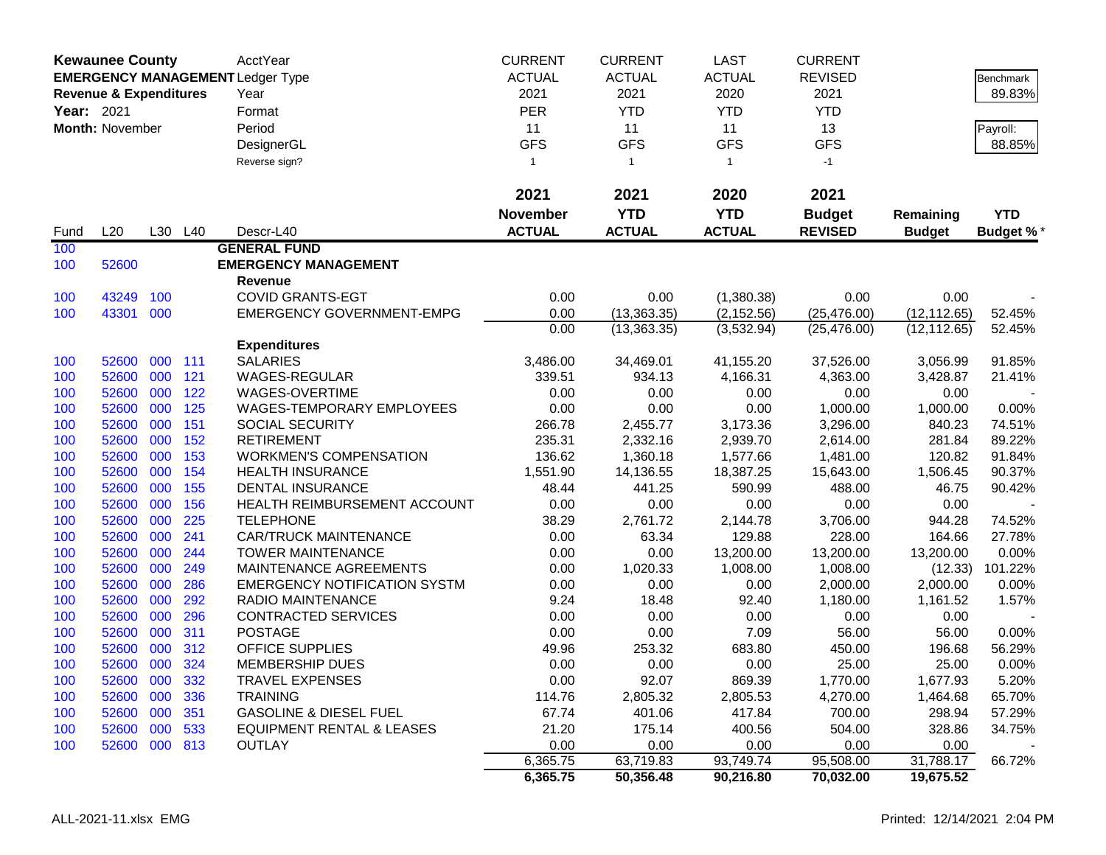|                   | <b>Kewaunee County</b>            |     |         | AcctYear                                | <b>CURRENT</b>  | <b>CURRENT</b> | <b>LAST</b>   | <b>CURRENT</b> |               |                  |
|-------------------|-----------------------------------|-----|---------|-----------------------------------------|-----------------|----------------|---------------|----------------|---------------|------------------|
|                   |                                   |     |         | <b>EMERGENCY MANAGEMENT Ledger Type</b> | <b>ACTUAL</b>   | <b>ACTUAL</b>  | <b>ACTUAL</b> | <b>REVISED</b> |               | <b>Benchmark</b> |
|                   | <b>Revenue &amp; Expenditures</b> |     |         | Year                                    | 2021            | 2021           | 2020          | 2021           |               | 89.83%           |
| <b>Year: 2021</b> |                                   |     |         | Format                                  | <b>PER</b>      | <b>YTD</b>     | <b>YTD</b>    | <b>YTD</b>     |               |                  |
|                   | Month: November                   |     |         | Period                                  | 11              | 11             | 11            | 13             |               | Payroll:         |
|                   |                                   |     |         | DesignerGL                              | <b>GFS</b>      | <b>GFS</b>     | <b>GFS</b>    | <b>GFS</b>     |               | 88.85%           |
|                   |                                   |     |         |                                         | $\mathbf{1}$    |                | $\mathbf{1}$  |                |               |                  |
|                   |                                   |     |         | Reverse sign?                           |                 | $\mathbf{1}$   |               | $-1$           |               |                  |
|                   |                                   |     |         |                                         | 2021            | 2021           | 2020          | 2021           |               |                  |
|                   |                                   |     |         |                                         | <b>November</b> | <b>YTD</b>     | <b>YTD</b>    | <b>Budget</b>  | Remaining     | <b>YTD</b>       |
| Fund              | L20                               |     | L30 L40 | Descr-L40                               | <b>ACTUAL</b>   | <b>ACTUAL</b>  | <b>ACTUAL</b> | <b>REVISED</b> | <b>Budget</b> | <b>Budget %*</b> |
| 100               |                                   |     |         | <b>GENERAL FUND</b>                     |                 |                |               |                |               |                  |
| 100               | 52600                             |     |         | <b>EMERGENCY MANAGEMENT</b>             |                 |                |               |                |               |                  |
|                   |                                   |     |         | Revenue                                 |                 |                |               |                |               |                  |
| 100               | 43249                             | 100 |         | <b>COVID GRANTS-EGT</b>                 | 0.00            | 0.00           | (1,380.38)    | 0.00           | 0.00          |                  |
| 100               | 43301 000                         |     |         | <b>EMERGENCY GOVERNMENT-EMPG</b>        | 0.00            | (13, 363.35)   | (2, 152.56)   | (25, 476.00)   | (12, 112.65)  | 52.45%           |
|                   |                                   |     |         |                                         | 0.00            | (13, 363.35)   | (3,532.94)    | (25, 476.00)   | (12, 112.65)  | 52.45%           |
|                   |                                   |     |         | <b>Expenditures</b>                     |                 |                |               |                |               |                  |
| 100               | 52600                             | 000 | 111     | <b>SALARIES</b>                         | 3,486.00        | 34,469.01      | 41,155.20     | 37,526.00      | 3,056.99      | 91.85%           |
| 100               | 52600                             | 000 | 121     | WAGES-REGULAR                           | 339.51          | 934.13         | 4,166.31      | 4,363.00       | 3,428.87      | 21.41%           |
| 100               | 52600                             | 000 | 122     | WAGES-OVERTIME                          | 0.00            | 0.00           | 0.00          | 0.00           | 0.00          |                  |
| 100               | 52600                             | 000 | 125     | WAGES-TEMPORARY EMPLOYEES               | 0.00            | 0.00           | 0.00          | 1,000.00       | 1,000.00      | 0.00%            |
| 100               | 52600                             | 000 | 151     | <b>SOCIAL SECURITY</b>                  | 266.78          | 2,455.77       | 3,173.36      | 3,296.00       | 840.23        | 74.51%           |
| 100               | 52600                             | 000 | 152     | <b>RETIREMENT</b>                       | 235.31          | 2,332.16       | 2,939.70      | 2,614.00       | 281.84        | 89.22%           |
| 100               | 52600                             | 000 | 153     | <b>WORKMEN'S COMPENSATION</b>           | 136.62          | 1,360.18       | 1,577.66      | 1,481.00       | 120.82        | 91.84%           |
| 100               | 52600                             | 000 | 154     | <b>HEALTH INSURANCE</b>                 | 1,551.90        | 14,136.55      | 18,387.25     | 15,643.00      | 1,506.45      | 90.37%           |
| 100               | 52600                             | 000 | 155     | <b>DENTAL INSURANCE</b>                 | 48.44           | 441.25         | 590.99        | 488.00         | 46.75         | 90.42%           |
| 100               | 52600                             | 000 | 156     | HEALTH REIMBURSEMENT ACCOUNT            | 0.00            | 0.00           | 0.00          | 0.00           | 0.00          |                  |
| 100               | 52600                             | 000 | 225     | <b>TELEPHONE</b>                        | 38.29           | 2,761.72       | 2,144.78      | 3,706.00       | 944.28        | 74.52%           |
| 100               | 52600                             | 000 | 241     | <b>CAR/TRUCK MAINTENANCE</b>            | 0.00            | 63.34          | 129.88        | 228.00         | 164.66        | 27.78%           |
| 100               | 52600                             | 000 | 244     | <b>TOWER MAINTENANCE</b>                | 0.00            | 0.00           | 13,200.00     | 13,200.00      | 13,200.00     | 0.00%            |
| 100               | 52600                             | 000 | 249     | MAINTENANCE AGREEMENTS                  | 0.00            | 1,020.33       | 1,008.00      | 1,008.00       | (12.33)       | 101.22%          |
| 100               | 52600                             | 000 | 286     | <b>EMERGENCY NOTIFICATION SYSTM</b>     | 0.00            | 0.00           | 0.00          | 2,000.00       | 2,000.00      | 0.00%            |
| 100               | 52600                             | 000 | 292     | RADIO MAINTENANCE                       | 9.24            | 18.48          | 92.40         | 1,180.00       | 1,161.52      | 1.57%            |
| 100               | 52600                             | 000 | 296     | <b>CONTRACTED SERVICES</b>              | 0.00            | 0.00           | 0.00          | 0.00           | 0.00          |                  |
| 100               | 52600                             | 000 | 311     | <b>POSTAGE</b>                          | 0.00            | 0.00           | 7.09          | 56.00          | 56.00         | 0.00%            |
| 100               | 52600                             | 000 | 312     | <b>OFFICE SUPPLIES</b>                  | 49.96           | 253.32         | 683.80        | 450.00         | 196.68        | 56.29%           |
| 100               | 52600 000                         |     | 324     | <b>MEMBERSHIP DUES</b>                  | 0.00            | 0.00           | 0.00          | 25.00          | 25.00         | 0.00%            |
| 100               | 52600 000 332                     |     |         | <b>TRAVEL EXPENSES</b>                  | 0.00            | 92.07          | 869.39        | 1,770.00       | 1,677.93      | 5.20%            |
| 100               | 52600 000                         |     | 336     | <b>TRAINING</b>                         | 114.76          | 2,805.32       | 2,805.53      | 4,270.00       | 1,464.68      | 65.70%           |
| 100               | 52600 000                         |     | 351     | <b>GASOLINE &amp; DIESEL FUEL</b>       | 67.74           | 401.06         | 417.84        | 700.00         | 298.94        | 57.29%           |
| 100               | 52600 000 533                     |     |         | <b>EQUIPMENT RENTAL &amp; LEASES</b>    | 21.20           | 175.14         | 400.56        | 504.00         | 328.86        | 34.75%           |
| 100               | 52600 000 813                     |     |         | <b>OUTLAY</b>                           | 0.00            | 0.00           | 0.00          | 0.00           | 0.00          |                  |
|                   |                                   |     |         |                                         | 6,365.75        | 63,719.83      | 93,749.74     | 95,508.00      | 31,788.17     | 66.72%           |
|                   |                                   |     |         |                                         | 6,365.75        | 50,356.48      | 90,216.80     | 70,032.00      | 19,675.52     |                  |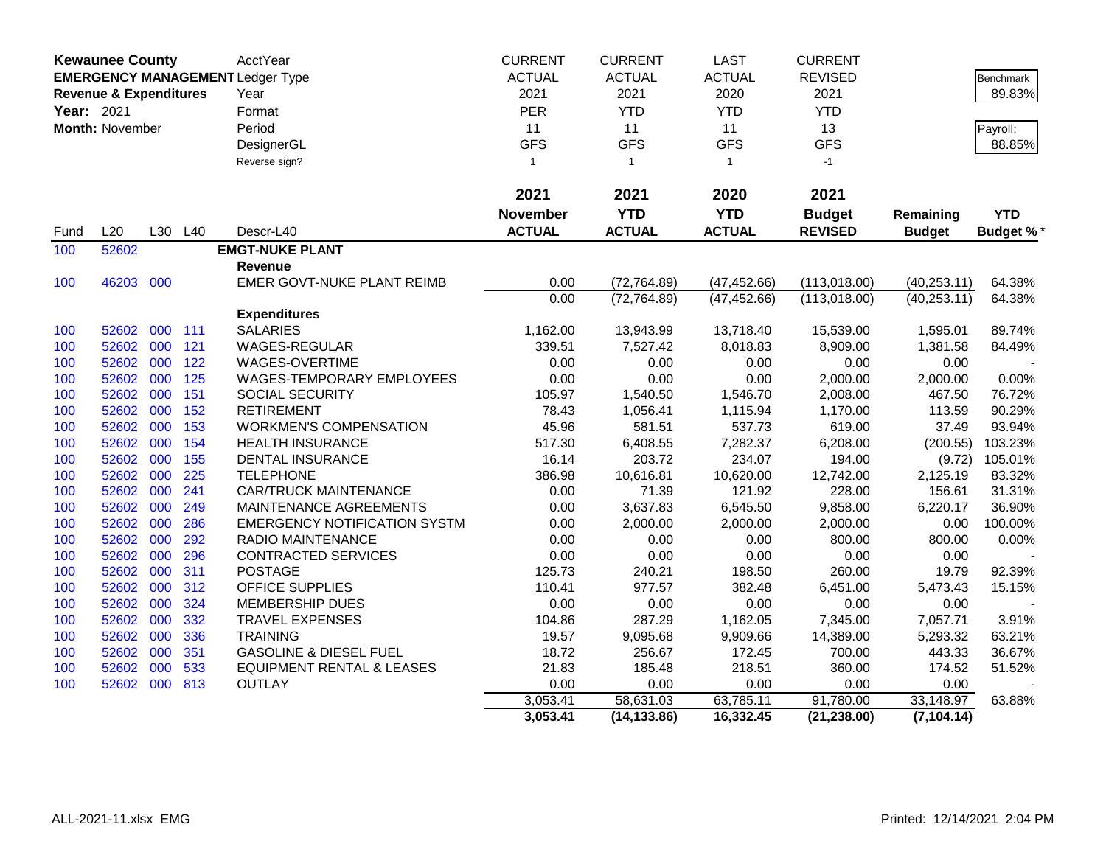| <b>Kewaunee County</b> |                                   |     | <b>AcctYear</b> | <b>CURRENT</b>                          | <b>CURRENT</b>  | <b>LAST</b>   | <b>CURRENT</b> |                |                            |                  |
|------------------------|-----------------------------------|-----|-----------------|-----------------------------------------|-----------------|---------------|----------------|----------------|----------------------------|------------------|
|                        |                                   |     |                 | <b>EMERGENCY MANAGEMENT Ledger Type</b> | <b>ACTUAL</b>   | <b>ACTUAL</b> | <b>ACTUAL</b>  | <b>REVISED</b> |                            | Benchmark        |
|                        | <b>Revenue &amp; Expenditures</b> |     |                 | Year                                    | 2021            | 2021          | 2020           | 2021           |                            | 89.83%           |
| Year: 2021             |                                   |     |                 | Format                                  | <b>PER</b>      | <b>YTD</b>    | <b>YTD</b>     | <b>YTD</b>     |                            |                  |
|                        | Month: November                   |     |                 | Period                                  | 11              | 11            | 11             | 13             |                            | Payroll:         |
|                        |                                   |     |                 | DesignerGL                              | <b>GFS</b>      | <b>GFS</b>    | <b>GFS</b>     | <b>GFS</b>     |                            | 88.85%           |
|                        |                                   |     |                 | Reverse sign?                           | $\mathbf{1}$    | $\mathbf{1}$  | $\mathbf{1}$   | $-1$           |                            |                  |
|                        |                                   |     |                 |                                         | 2021            | 2021          | 2020           | 2021           |                            |                  |
|                        |                                   |     |                 |                                         | <b>November</b> | <b>YTD</b>    | <b>YTD</b>     | <b>Budget</b>  |                            | <b>YTD</b>       |
| Fund                   | L20                               |     | L30 L40         | Descr-L40                               | <b>ACTUAL</b>   | <b>ACTUAL</b> | <b>ACTUAL</b>  | <b>REVISED</b> | Remaining<br><b>Budget</b> | <b>Budget %*</b> |
| 100                    | 52602                             |     |                 | <b>EMGT-NUKE PLANT</b>                  |                 |               |                |                |                            |                  |
|                        |                                   |     |                 | Revenue                                 |                 |               |                |                |                            |                  |
| 100                    | 46203                             | 000 |                 | EMER GOVT-NUKE PLANT REIMB              | 0.00            | (72, 764.89)  | (47, 452.66)   | (113,018.00)   | (40, 253.11)               | 64.38%           |
|                        |                                   |     |                 |                                         | 0.00            | (72, 764.89)  | (47, 452.66)   | (113,018.00)   | (40, 253.11)               | 64.38%           |
|                        |                                   |     |                 | <b>Expenditures</b>                     |                 |               |                |                |                            |                  |
| 100                    | 52602                             | 000 | 111             | <b>SALARIES</b>                         | 1,162.00        | 13,943.99     | 13,718.40      | 15,539.00      | 1,595.01                   | 89.74%           |
| 100                    | 52602                             | 000 | 121             | <b>WAGES-REGULAR</b>                    | 339.51          | 7,527.42      | 8,018.83       | 8,909.00       | 1,381.58                   | 84.49%           |
| 100                    | 52602                             | 000 | 122             | WAGES-OVERTIME                          | 0.00            | 0.00          | 0.00           | 0.00           | 0.00                       |                  |
| 100                    | 52602                             | 000 | 125             | WAGES-TEMPORARY EMPLOYEES               | 0.00            | 0.00          | 0.00           | 2,000.00       | 2,000.00                   | 0.00%            |
| 100                    | 52602                             | 000 | 151             | SOCIAL SECURITY                         | 105.97          | 1,540.50      | 1,546.70       | 2,008.00       | 467.50                     | 76.72%           |
| 100                    | 52602                             | 000 | 152             | <b>RETIREMENT</b>                       | 78.43           | 1,056.41      | 1,115.94       | 1,170.00       | 113.59                     | 90.29%           |
| 100                    | 52602                             | 000 | 153             | <b>WORKMEN'S COMPENSATION</b>           | 45.96           | 581.51        | 537.73         | 619.00         | 37.49                      | 93.94%           |
| 100                    | 52602                             | 000 | 154             | <b>HEALTH INSURANCE</b>                 | 517.30          | 6,408.55      | 7,282.37       | 6,208.00       | (200.55)                   | 103.23%          |
| 100                    | 52602                             | 000 | 155             | <b>DENTAL INSURANCE</b>                 | 16.14           | 203.72        | 234.07         | 194.00         | (9.72)                     | 105.01%          |
| 100                    | 52602                             | 000 | 225             | <b>TELEPHONE</b>                        | 386.98          | 10,616.81     | 10,620.00      | 12,742.00      | 2,125.19                   | 83.32%           |
| 100                    | 52602                             | 000 | 241             | <b>CAR/TRUCK MAINTENANCE</b>            | 0.00            | 71.39         | 121.92         | 228.00         | 156.61                     | 31.31%           |
| 100                    | 52602                             | 000 | 249             | MAINTENANCE AGREEMENTS                  | 0.00            | 3,637.83      | 6,545.50       | 9,858.00       | 6,220.17                   | 36.90%           |
| 100                    | 52602                             | 000 | 286             | <b>EMERGENCY NOTIFICATION SYSTM</b>     | 0.00            | 2,000.00      | 2,000.00       | 2,000.00       | 0.00                       | 100.00%          |
| 100                    | 52602                             | 000 | 292             | RADIO MAINTENANCE                       | 0.00            | 0.00          | 0.00           | 800.00         | 800.00                     | 0.00%            |
| 100                    | 52602                             | 000 | 296             | CONTRACTED SERVICES                     | 0.00            | 0.00          | 0.00           | 0.00           | 0.00                       |                  |
| 100                    | 52602                             | 000 | 311             | <b>POSTAGE</b>                          | 125.73          | 240.21        | 198.50         | 260.00         | 19.79                      | 92.39%           |
| 100                    | 52602                             | 000 | 312             | OFFICE SUPPLIES                         | 110.41          | 977.57        | 382.48         | 6,451.00       | 5,473.43                   | 15.15%           |
| 100                    | 52602                             | 000 | 324             | MEMBERSHIP DUES                         | 0.00            | 0.00          | 0.00           | 0.00           | 0.00                       |                  |
| 100                    | 52602                             | 000 | 332             | <b>TRAVEL EXPENSES</b>                  | 104.86          | 287.29        | 1,162.05       | 7,345.00       | 7,057.71                   | 3.91%            |
| 100                    | 52602                             | 000 | 336             | <b>TRAINING</b>                         | 19.57           | 9,095.68      | 9,909.66       | 14,389.00      | 5,293.32                   | 63.21%           |
| 100                    | 52602                             | 000 | 351             | <b>GASOLINE &amp; DIESEL FUEL</b>       | 18.72           | 256.67        | 172.45         | 700.00         | 443.33                     | 36.67%           |
| 100                    | 52602                             | 000 | 533             | <b>EQUIPMENT RENTAL &amp; LEASES</b>    | 21.83           | 185.48        | 218.51         | 360.00         | 174.52                     | 51.52%           |
| 100                    | 52602                             | 000 | 813             | <b>OUTLAY</b>                           | 0.00            | 0.00          | 0.00           | 0.00           | 0.00                       |                  |
|                        |                                   |     |                 |                                         | 3,053.41        | 58,631.03     | 63,785.11      | 91,780.00      | 33,148.97                  | 63.88%           |
|                        |                                   |     |                 |                                         | 3,053.41        | (14, 133.86)  | 16,332.45      | (21, 238.00)   | (7, 104.14)                |                  |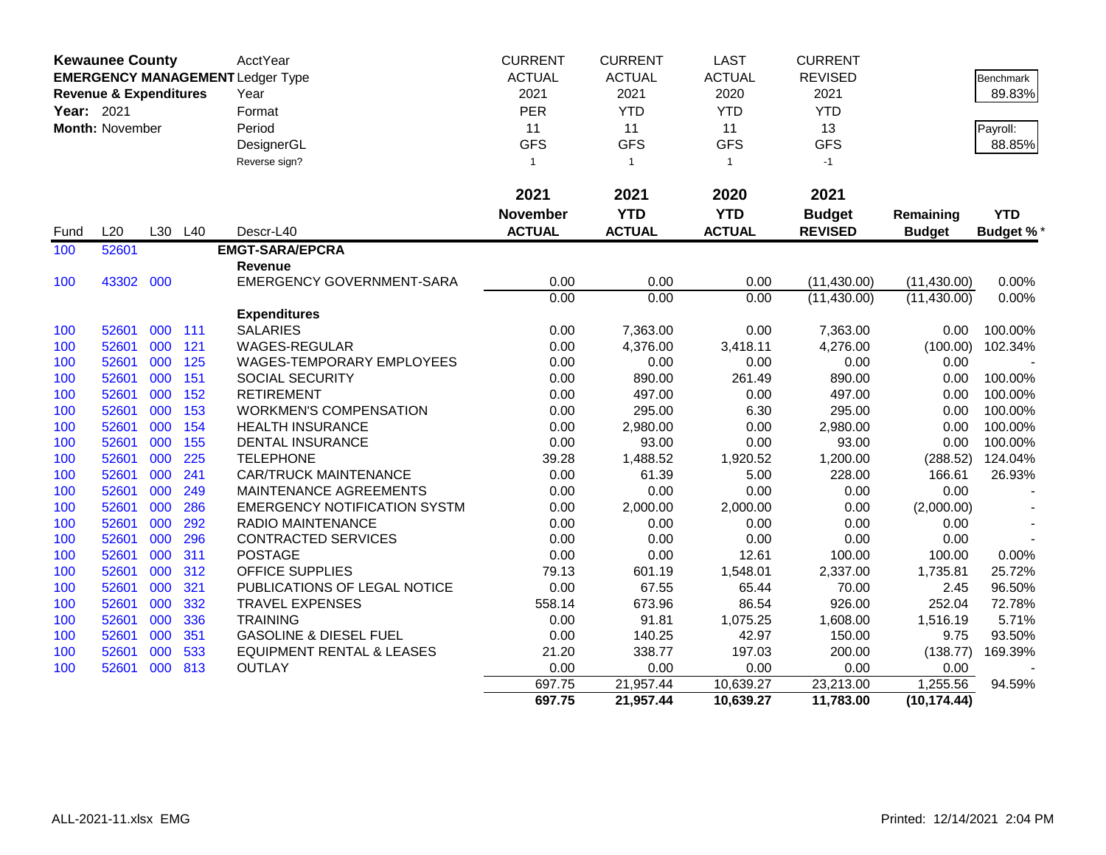|            | <b>Kewaunee County</b>            |         |     | AcctYear                                | <b>CURRENT</b>  | <b>CURRENT</b> | <b>LAST</b>   | <b>CURRENT</b> |               |                  |
|------------|-----------------------------------|---------|-----|-----------------------------------------|-----------------|----------------|---------------|----------------|---------------|------------------|
|            |                                   |         |     | <b>EMERGENCY MANAGEMENT Ledger Type</b> | <b>ACTUAL</b>   | <b>ACTUAL</b>  | <b>ACTUAL</b> | <b>REVISED</b> |               | <b>Benchmark</b> |
|            | <b>Revenue &amp; Expenditures</b> |         |     | Year                                    | 2021            | 2021           | 2020          | 2021           |               | 89.83%           |
| Year: 2021 |                                   |         |     | Format                                  | PER             | <b>YTD</b>     | <b>YTD</b>    | <b>YTD</b>     |               |                  |
|            | Month: November                   |         |     | Period                                  | 11              | 11             | 11            | 13             |               | Payroll:         |
|            |                                   |         |     | DesignerGL                              | <b>GFS</b>      | <b>GFS</b>     | <b>GFS</b>    | <b>GFS</b>     |               | 88.85%           |
|            |                                   |         |     | Reverse sign?                           | $\mathbf{1}$    | $\overline{1}$ | $\mathbf{1}$  | $-1$           |               |                  |
|            |                                   |         |     |                                         |                 |                |               |                |               |                  |
|            |                                   |         |     |                                         | 2021            | 2021           | 2020          | 2021           |               |                  |
|            |                                   |         |     |                                         | <b>November</b> | <b>YTD</b>     | <b>YTD</b>    | <b>Budget</b>  | Remaining     | <b>YTD</b>       |
| Fund       | L20                               | L30     | L40 | Descr-L40                               | <b>ACTUAL</b>   | <b>ACTUAL</b>  | <b>ACTUAL</b> | <b>REVISED</b> | <b>Budget</b> | <b>Budget %*</b> |
| 100        | 52601                             |         |     | <b>EMGT-SARA/EPCRA</b>                  |                 |                |               |                |               |                  |
|            |                                   |         |     | Revenue                                 |                 |                |               |                |               |                  |
| 100        | 43302 000                         |         |     | <b>EMERGENCY GOVERNMENT-SARA</b>        | 0.00            | 0.00           | 0.00          | (11, 430.00)   | (11, 430.00)  | 0.00%            |
|            |                                   |         |     |                                         | 0.00            | 0.00           | 0.00          | (11, 430.00)   | (11, 430.00)  | 0.00%            |
|            |                                   |         |     | <b>Expenditures</b>                     |                 |                |               |                |               |                  |
| 100        | 52601                             | 000 111 |     | <b>SALARIES</b>                         | 0.00            | 7,363.00       | 0.00          | 7,363.00       | 0.00          | 100.00%          |
| 100        | 52601                             | 000     | 121 | WAGES-REGULAR                           | 0.00            | 4,376.00       | 3,418.11      | 4,276.00       | (100.00)      | 102.34%          |
| 100        | 52601                             | 000     | 125 | WAGES-TEMPORARY EMPLOYEES               | 0.00            | 0.00           | 0.00          | 0.00           | 0.00          |                  |
| 100        | 52601                             | 000     | 151 | <b>SOCIAL SECURITY</b>                  | 0.00            | 890.00         | 261.49        | 890.00         | 0.00          | 100.00%          |
| 100        | 52601                             | 000     | 152 | <b>RETIREMENT</b>                       | 0.00            | 497.00         | 0.00          | 497.00         | 0.00          | 100.00%          |
| 100        | 52601                             | 000     | 153 | <b>WORKMEN'S COMPENSATION</b>           | 0.00            | 295.00         | 6.30          | 295.00         | 0.00          | 100.00%          |
| 100        | 52601                             | 000     | 154 | <b>HEALTH INSURANCE</b>                 | 0.00            | 2,980.00       | 0.00          | 2,980.00       | 0.00          | 100.00%          |
| 100        | 52601                             | 000     | 155 | <b>DENTAL INSURANCE</b>                 | 0.00            | 93.00          | 0.00          | 93.00          | 0.00          | 100.00%          |
| 100        | 52601                             | 000     | 225 | <b>TELEPHONE</b>                        | 39.28           | 1,488.52       | 1,920.52      | 1,200.00       | (288.52)      | 124.04%          |
| 100        | 52601                             | 000     | 241 | <b>CAR/TRUCK MAINTENANCE</b>            | 0.00            | 61.39          | 5.00          | 228.00         | 166.61        | 26.93%           |
| 100        | 52601                             | 000     | 249 | MAINTENANCE AGREEMENTS                  | 0.00            | 0.00           | 0.00          | 0.00           | 0.00          |                  |
| 100        | 52601                             | 000     | 286 | <b>EMERGENCY NOTIFICATION SYSTM</b>     | 0.00            | 2,000.00       | 2,000.00      | 0.00           | (2,000.00)    |                  |
| 100        | 52601                             | 000     | 292 | <b>RADIO MAINTENANCE</b>                | 0.00            | 0.00           | 0.00          | 0.00           | 0.00          |                  |
| 100        | 52601                             | 000     | 296 | <b>CONTRACTED SERVICES</b>              | 0.00            | 0.00           | 0.00          | 0.00           | 0.00          |                  |
| 100        | 52601                             | 000     | 311 | <b>POSTAGE</b>                          | 0.00            | 0.00           | 12.61         | 100.00         | 100.00        | 0.00%            |
| 100        | 52601                             | 000     | 312 | <b>OFFICE SUPPLIES</b>                  | 79.13           | 601.19         | 1,548.01      | 2,337.00       | 1,735.81      | 25.72%           |
| 100        | 52601                             | 000     | 321 | PUBLICATIONS OF LEGAL NOTICE            | 0.00            | 67.55          | 65.44         | 70.00          | 2.45          | 96.50%           |
| 100        | 52601                             | 000     | 332 | <b>TRAVEL EXPENSES</b>                  | 558.14          | 673.96         | 86.54         | 926.00         | 252.04        | 72.78%           |
| 100        | 52601                             | 000     | 336 | <b>TRAINING</b>                         | 0.00            | 91.81          | 1,075.25      | 1,608.00       | 1,516.19      | 5.71%            |
| 100        | 52601                             | 000     | 351 | <b>GASOLINE &amp; DIESEL FUEL</b>       | 0.00            | 140.25         | 42.97         | 150.00         | 9.75          | 93.50%           |
| 100        | 52601                             | 000     | 533 | <b>EQUIPMENT RENTAL &amp; LEASES</b>    | 21.20           | 338.77         | 197.03        | 200.00         | (138.77)      | 169.39%          |
| 100        | 52601                             | 000     | 813 | <b>OUTLAY</b>                           | 0.00            | 0.00           | 0.00          | 0.00           | 0.00          |                  |
|            |                                   |         |     |                                         | 697.75          | 21,957.44      | 10,639.27     | 23,213.00      | 1,255.56      | 94.59%           |
|            |                                   |         |     |                                         | 697.75          | 21,957.44      | 10,639.27     | 11,783.00      | (10, 174.44)  |                  |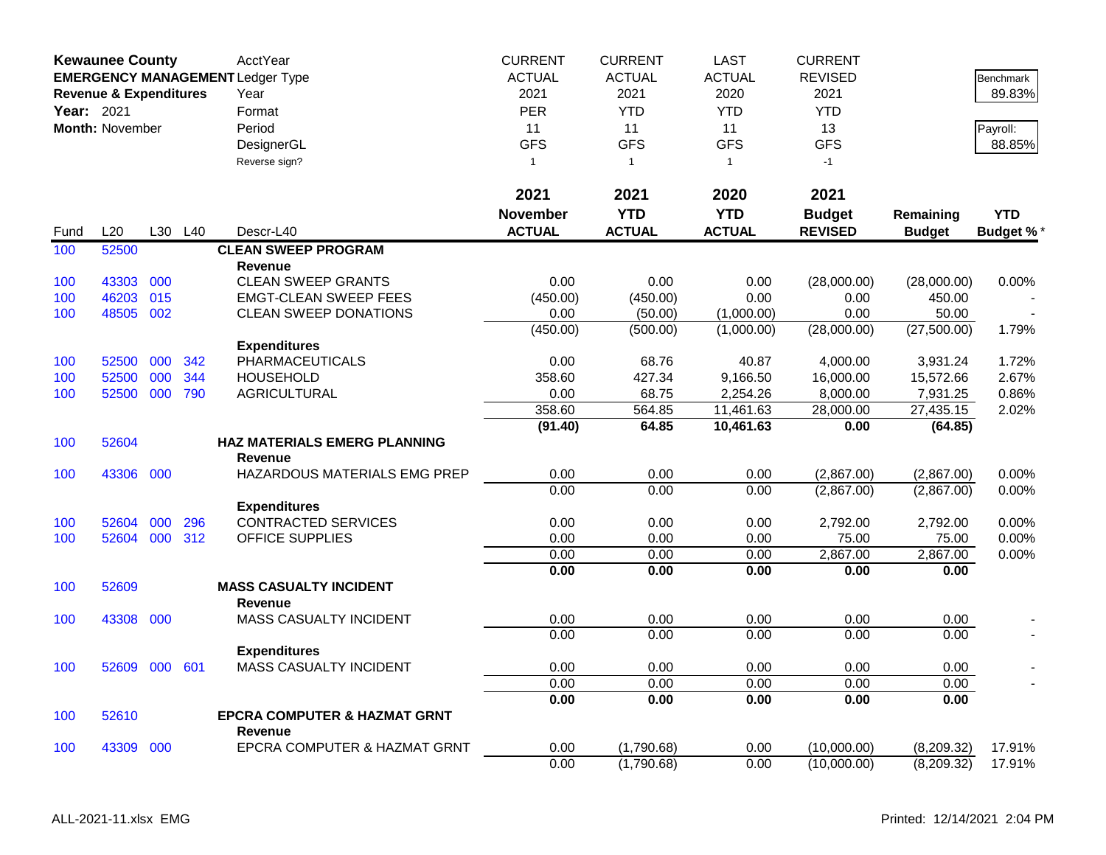| <b>Kewaunee County</b> |                                                 |      |      | AcctYear                                | <b>CURRENT</b>  | <b>CURRENT</b> | <b>LAST</b>   | <b>CURRENT</b> |               |                  |
|------------------------|-------------------------------------------------|------|------|-----------------------------------------|-----------------|----------------|---------------|----------------|---------------|------------------|
|                        |                                                 |      |      | <b>EMERGENCY MANAGEMENT Ledger Type</b> | <b>ACTUAL</b>   | <b>ACTUAL</b>  | <b>ACTUAL</b> | <b>REVISED</b> |               | Benchmark        |
|                        | <b>Revenue &amp; Expenditures</b><br>Year: 2021 | Year | 2021 | 2021                                    | 2020            | 2021           |               | 89.83%         |               |                  |
|                        |                                                 |      |      | Format                                  | <b>PER</b>      | <b>YTD</b>     | <b>YTD</b>    | <b>YTD</b>     |               |                  |
|                        | <b>Month: November</b>                          |      |      | Period                                  | 11              | 11             | 11            | 13             |               | Payroll:         |
|                        |                                                 |      |      | DesignerGL                              | <b>GFS</b>      | <b>GFS</b>     | <b>GFS</b>    | <b>GFS</b>     |               | 88.85%           |
|                        |                                                 |      |      | Reverse sign?                           | $\mathbf{1}$    | $\overline{1}$ | $\mathbf{1}$  | $-1$           |               |                  |
|                        |                                                 |      |      |                                         |                 |                |               |                |               |                  |
|                        |                                                 |      |      |                                         | 2021            | 2021           | 2020          | 2021           |               |                  |
|                        |                                                 |      |      |                                         | <b>November</b> | <b>YTD</b>     | <b>YTD</b>    | <b>Budget</b>  | Remaining     | <b>YTD</b>       |
| Fund                   | L20                                             | L30  | L40  | Descr-L40                               | <b>ACTUAL</b>   | <b>ACTUAL</b>  | <b>ACTUAL</b> | <b>REVISED</b> | <b>Budget</b> | <b>Budget %*</b> |
| 100                    | 52500                                           |      |      | <b>CLEAN SWEEP PROGRAM</b>              |                 |                |               |                |               |                  |
|                        |                                                 |      |      | <b>Revenue</b>                          |                 |                |               |                |               |                  |
| 100                    | 43303                                           | 000  |      | <b>CLEAN SWEEP GRANTS</b>               | 0.00            | 0.00           | 0.00          | (28,000.00)    | (28,000.00)   | 0.00%            |
| 100                    | 46203                                           | 015  |      | <b>EMGT-CLEAN SWEEP FEES</b>            | (450.00)        | (450.00)       | 0.00          | 0.00           | 450.00        |                  |
| 100                    | 48505                                           | 002  |      | <b>CLEAN SWEEP DONATIONS</b>            | 0.00            | (50.00)        | (1,000.00)    | 0.00           | 50.00         |                  |
|                        |                                                 |      |      |                                         | (450.00)        | (500.00)       | (1,000.00)    | (28,000.00)    | (27,500.00)   | 1.79%            |
|                        |                                                 |      |      | <b>Expenditures</b>                     |                 |                |               |                |               |                  |
| 100                    | 52500                                           | 000  | 342  | PHARMACEUTICALS                         | 0.00            | 68.76          | 40.87         | 4,000.00       | 3,931.24      | 1.72%            |
| 100                    | 52500                                           | 000  | 344  | <b>HOUSEHOLD</b>                        | 358.60          | 427.34         | 9,166.50      | 16,000.00      | 15,572.66     | 2.67%            |
| 100                    | 52500                                           | 000  | 790  | <b>AGRICULTURAL</b>                     | 0.00            | 68.75          | 2,254.26      | 8,000.00       | 7,931.25      | 0.86%            |
|                        |                                                 |      |      |                                         | 358.60          | 564.85         | 11,461.63     | 28,000.00      | 27,435.15     | 2.02%            |
|                        |                                                 |      |      |                                         | (91.40)         | 64.85          | 10,461.63     | 0.00           | (64.85)       |                  |
| 100                    | 52604                                           |      |      | <b>HAZ MATERIALS EMERG PLANNING</b>     |                 |                |               |                |               |                  |
|                        |                                                 |      |      | <b>Revenue</b>                          |                 |                |               |                |               |                  |
| 100                    | 43306                                           | 000  |      | HAZARDOUS MATERIALS EMG PREP            | 0.00            | 0.00           | 0.00          | (2,867.00)     | (2,867.00)    | $0.00\%$         |
|                        |                                                 |      |      |                                         | 0.00            | 0.00           | 0.00          | (2,867.00)     | (2,867.00)    | 0.00%            |
|                        |                                                 |      |      | <b>Expenditures</b>                     |                 |                |               |                |               |                  |
| 100                    | 52604                                           | 000  | 296  | <b>CONTRACTED SERVICES</b>              | 0.00            | 0.00           | 0.00          | 2,792.00       | 2,792.00      | 0.00%            |
| 100                    | 52604 000                                       |      | 312  | <b>OFFICE SUPPLIES</b>                  | 0.00            | 0.00           | 0.00          | 75.00          | 75.00         | 0.00%            |
|                        |                                                 |      |      |                                         | 0.00            | 0.00           | 0.00          | 2,867.00       | 2,867.00      | 0.00%            |
|                        |                                                 |      |      |                                         | 0.00            | 0.00           | 0.00          | 0.00           | 0.00          |                  |
| 100                    | 52609                                           |      |      | <b>MASS CASUALTY INCIDENT</b>           |                 |                |               |                |               |                  |
|                        |                                                 |      |      | <b>Revenue</b>                          |                 |                |               |                |               |                  |
| 100                    | 43308                                           | 000  |      | <b>MASS CASUALTY INCIDENT</b>           | 0.00            | 0.00           | 0.00          | 0.00           | 0.00          |                  |
|                        |                                                 |      |      |                                         | 0.00            | 0.00           | 0.00          | 0.00           | 0.00          |                  |
|                        |                                                 |      |      | <b>Expenditures</b>                     |                 |                |               |                |               |                  |
| 100                    | 52609                                           | 000  | 601  | MASS CASUALTY INCIDENT                  | 0.00            | 0.00           | 0.00          | 0.00           | 0.00          |                  |
|                        |                                                 |      |      |                                         | 0.00            | 0.00           | 0.00          | 0.00           | 0.00          |                  |
|                        |                                                 |      |      |                                         | 0.00            | 0.00           | 0.00          | 0.00           | 0.00          |                  |
| 100                    | 52610                                           |      |      | <b>EPCRA COMPUTER &amp; HAZMAT GRNT</b> |                 |                |               |                |               |                  |
|                        |                                                 |      |      | <b>Revenue</b>                          |                 |                |               |                |               |                  |
| 100                    | 43309                                           | 000  |      | EPCRA COMPUTER & HAZMAT GRNT            | 0.00            | (1,790.68)     | 0.00          | (10,000.00)    | (8,209.32)    | 17.91%           |
|                        |                                                 |      |      |                                         | 0.00            | (1,790.68)     | 0.00          | (10,000.00)    | (8,209.32)    | 17.91%           |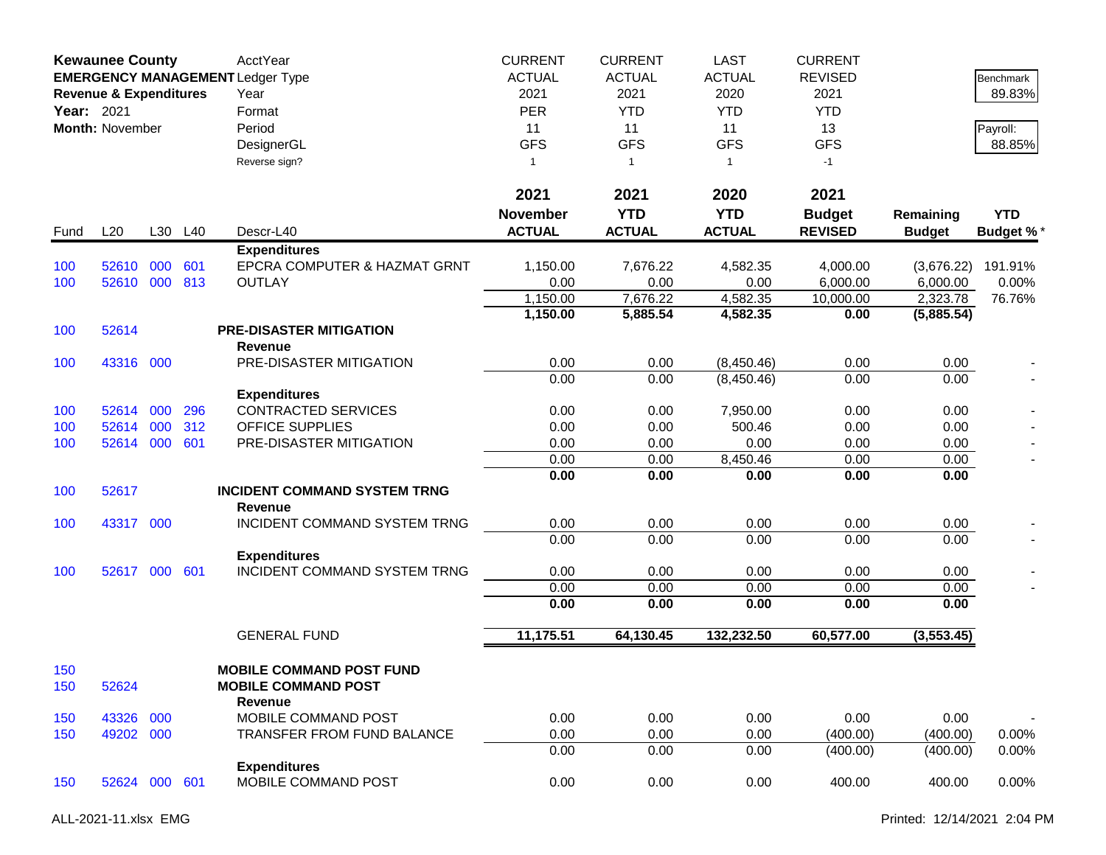|            | <b>Kewaunee County</b><br><b>EMERGENCY MANAGEMENT Ledger Type</b><br><b>Revenue &amp; Expenditures</b><br>Year: 2021<br>Month: November |     |         | AcctYear<br>Year<br>Format<br>Period<br>DesignerGL<br>Reverse sign? | <b>CURRENT</b><br><b>ACTUAL</b><br>2021<br><b>PER</b><br>11<br><b>GFS</b><br>$\mathbf{1}$ | <b>CURRENT</b><br><b>ACTUAL</b><br>2021<br><b>YTD</b><br>11<br><b>GFS</b><br>$\overline{1}$ | <b>LAST</b><br><b>ACTUAL</b><br>2020<br><b>YTD</b><br>11<br><b>GFS</b><br>$\mathbf{1}$ | <b>CURRENT</b><br><b>REVISED</b><br>2021<br><b>YTD</b><br>13<br><b>GFS</b><br>$-1$ |                            | Benchmark<br>89.83%<br>Payroll:<br>88.85% |
|------------|-----------------------------------------------------------------------------------------------------------------------------------------|-----|---------|---------------------------------------------------------------------|-------------------------------------------------------------------------------------------|---------------------------------------------------------------------------------------------|----------------------------------------------------------------------------------------|------------------------------------------------------------------------------------|----------------------------|-------------------------------------------|
|            |                                                                                                                                         |     |         |                                                                     | 2021                                                                                      | 2021                                                                                        | 2020                                                                                   | 2021                                                                               |                            |                                           |
| Fund       | L20                                                                                                                                     |     | L30 L40 | Descr-L40                                                           | <b>November</b><br><b>ACTUAL</b>                                                          | <b>YTD</b><br><b>ACTUAL</b>                                                                 | <b>YTD</b><br><b>ACTUAL</b>                                                            | <b>Budget</b><br><b>REVISED</b>                                                    | Remaining<br><b>Budget</b> | <b>YTD</b><br><b>Budget %*</b>            |
|            |                                                                                                                                         |     |         | <b>Expenditures</b>                                                 |                                                                                           |                                                                                             |                                                                                        |                                                                                    |                            |                                           |
| 100        | 52610                                                                                                                                   | 000 | 601     | EPCRA COMPUTER & HAZMAT GRNT                                        | 1,150.00                                                                                  | 7,676.22                                                                                    | 4,582.35                                                                               | 4,000.00                                                                           | (3,676.22)                 | 191.91%                                   |
| 100        | 52610 000                                                                                                                               |     | 813     | <b>OUTLAY</b>                                                       | 0.00                                                                                      | 0.00                                                                                        | 0.00                                                                                   | 6,000.00                                                                           | 6,000.00                   | 0.00%                                     |
|            |                                                                                                                                         |     |         |                                                                     | 1,150.00                                                                                  | 7,676.22                                                                                    | 4,582.35                                                                               | 10,000.00                                                                          | 2,323.78                   | 76.76%                                    |
|            |                                                                                                                                         |     |         |                                                                     | 1,150.00                                                                                  | 5,885.54                                                                                    | 4,582.35                                                                               | 0.00                                                                               | (5,885.54)                 |                                           |
| 100        | 52614                                                                                                                                   |     |         | <b>PRE-DISASTER MITIGATION</b>                                      |                                                                                           |                                                                                             |                                                                                        |                                                                                    |                            |                                           |
| 100        | 43316 000                                                                                                                               |     |         | Revenue<br>PRE-DISASTER MITIGATION                                  | 0.00                                                                                      | 0.00                                                                                        | (8,450.46)                                                                             | 0.00                                                                               | 0.00                       |                                           |
|            |                                                                                                                                         |     |         |                                                                     | 0.00                                                                                      | 0.00                                                                                        | (8,450.46)                                                                             | 0.00                                                                               | 0.00                       |                                           |
|            |                                                                                                                                         |     |         | <b>Expenditures</b>                                                 |                                                                                           |                                                                                             |                                                                                        |                                                                                    |                            |                                           |
| 100        | 52614                                                                                                                                   | 000 | 296     | <b>CONTRACTED SERVICES</b>                                          | 0.00                                                                                      | 0.00                                                                                        | 7,950.00                                                                               | 0.00                                                                               | 0.00                       |                                           |
| 100        | 52614                                                                                                                                   | 000 | 312     | <b>OFFICE SUPPLIES</b>                                              | 0.00                                                                                      | 0.00                                                                                        | 500.46                                                                                 | 0.00                                                                               | 0.00                       |                                           |
| 100        | 52614 000                                                                                                                               |     | 601     | PRE-DISASTER MITIGATION                                             | 0.00                                                                                      | 0.00                                                                                        | 0.00                                                                                   | 0.00                                                                               | 0.00                       |                                           |
|            |                                                                                                                                         |     |         |                                                                     | 0.00                                                                                      | 0.00                                                                                        | 8,450.46                                                                               | 0.00                                                                               | 0.00                       |                                           |
|            |                                                                                                                                         |     |         |                                                                     | 0.00                                                                                      | 0.00                                                                                        | 0.00                                                                                   | 0.00                                                                               | 0.00                       |                                           |
| 100        | 52617                                                                                                                                   |     |         | <b>INCIDENT COMMAND SYSTEM TRNG</b><br><b>Revenue</b>               |                                                                                           |                                                                                             |                                                                                        |                                                                                    |                            |                                           |
| 100        | 43317 000                                                                                                                               |     |         | INCIDENT COMMAND SYSTEM TRNG                                        | 0.00                                                                                      | 0.00                                                                                        | 0.00                                                                                   | 0.00                                                                               | 0.00                       |                                           |
|            |                                                                                                                                         |     |         |                                                                     | 0.00                                                                                      | 0.00                                                                                        | 0.00                                                                                   | 0.00                                                                               | 0.00                       |                                           |
|            |                                                                                                                                         |     |         | <b>Expenditures</b>                                                 |                                                                                           |                                                                                             |                                                                                        |                                                                                    |                            |                                           |
| 100        | 52617 000                                                                                                                               |     | 601     | INCIDENT COMMAND SYSTEM TRNG                                        | 0.00<br>0.00                                                                              | 0.00<br>0.00                                                                                | 0.00<br>0.00                                                                           | 0.00                                                                               | 0.00<br>0.00               |                                           |
|            |                                                                                                                                         |     |         |                                                                     | 0.00                                                                                      | 0.00                                                                                        | 0.00                                                                                   | 0.00<br>0.00                                                                       | 0.00                       |                                           |
|            |                                                                                                                                         |     |         |                                                                     |                                                                                           |                                                                                             |                                                                                        |                                                                                    |                            |                                           |
|            |                                                                                                                                         |     |         | <b>GENERAL FUND</b>                                                 | 11,175.51                                                                                 | 64,130.45                                                                                   | 132,232.50                                                                             | 60,577.00                                                                          | (3,553.45)                 |                                           |
| 150<br>150 | 52624                                                                                                                                   |     |         | <b>MOBILE COMMAND POST FUND</b><br><b>MOBILE COMMAND POST</b>       |                                                                                           |                                                                                             |                                                                                        |                                                                                    |                            |                                           |
|            | 43326                                                                                                                                   | 000 |         | <b>Revenue</b><br>MOBILE COMMAND POST                               | 0.00                                                                                      | 0.00                                                                                        | 0.00                                                                                   | 0.00                                                                               | 0.00                       |                                           |
| 150<br>150 | 49202 000                                                                                                                               |     |         | TRANSFER FROM FUND BALANCE                                          | 0.00                                                                                      | 0.00                                                                                        | 0.00                                                                                   | (400.00)                                                                           | (400.00)                   | $0.00\%$                                  |
|            |                                                                                                                                         |     |         |                                                                     | 0.00                                                                                      | 0.00                                                                                        | 0.00                                                                                   | (400.00)                                                                           | (400.00)                   | 0.00%                                     |
|            |                                                                                                                                         |     |         | <b>Expenditures</b>                                                 |                                                                                           |                                                                                             |                                                                                        |                                                                                    |                            |                                           |
| 150        | 52624 000 601                                                                                                                           |     |         | MOBILE COMMAND POST                                                 | 0.00                                                                                      | 0.00                                                                                        | 0.00                                                                                   | 400.00                                                                             | 400.00                     | 0.00%                                     |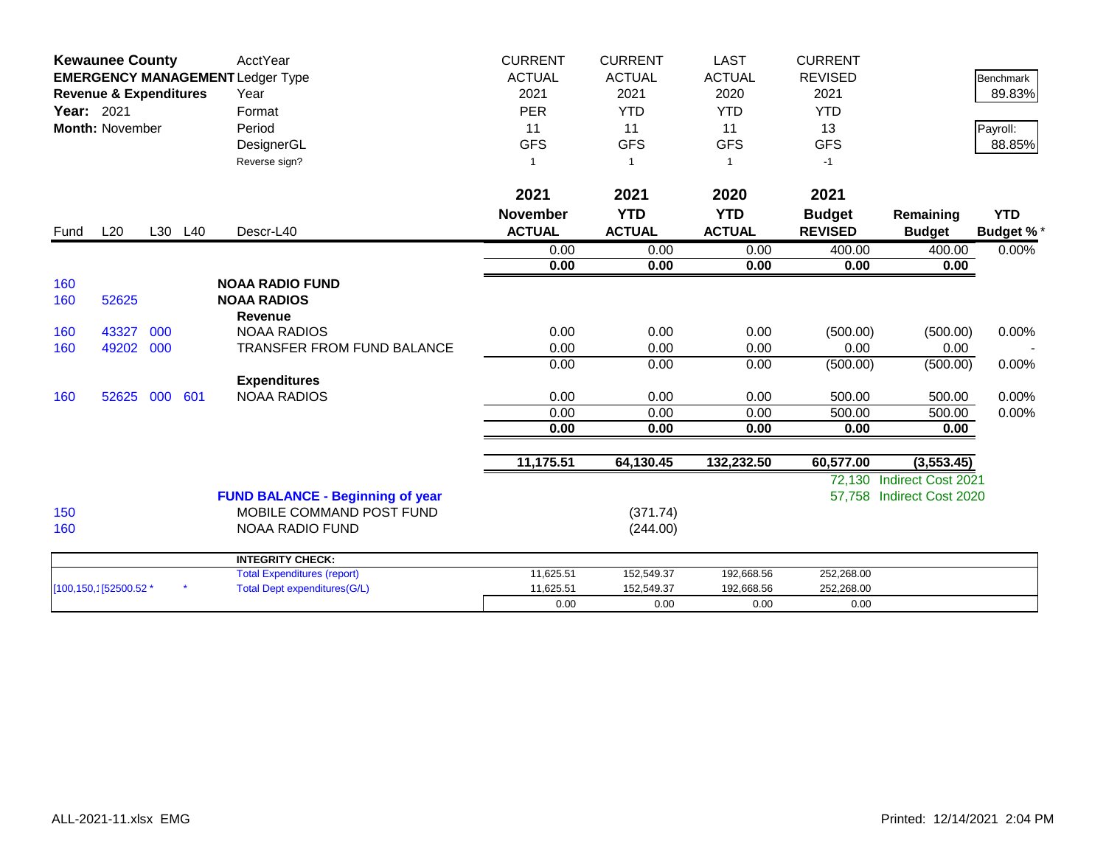|            | <b>Kewaunee County</b>            |     |         | AcctYear                                | <b>CURRENT</b>  | <b>CURRENT</b> | <b>LAST</b>    | <b>CURRENT</b> |                           |                  |
|------------|-----------------------------------|-----|---------|-----------------------------------------|-----------------|----------------|----------------|----------------|---------------------------|------------------|
|            |                                   |     |         | <b>EMERGENCY MANAGEMENT Ledger Type</b> | <b>ACTUAL</b>   | <b>ACTUAL</b>  | <b>ACTUAL</b>  | <b>REVISED</b> |                           | <b>Benchmark</b> |
|            | <b>Revenue &amp; Expenditures</b> |     |         | Year                                    | 2021            | 2021           | 2020           | 2021           |                           | 89.83%           |
| Year: 2021 |                                   |     |         | Format                                  | <b>PER</b>      | <b>YTD</b>     | <b>YTD</b>     | <b>YTD</b>     |                           |                  |
|            | Month: November                   |     |         | Period                                  | 11              | 11             | 11             | 13             |                           | Payroll:         |
|            |                                   |     |         | DesignerGL                              | <b>GFS</b>      | <b>GFS</b>     | <b>GFS</b>     | <b>GFS</b>     |                           | 88.85%           |
|            |                                   |     |         | Reverse sign?                           |                 | $\overline{1}$ | $\overline{1}$ | $-1$           |                           |                  |
|            |                                   |     |         |                                         | 2021            | 2021           | 2020           | 2021           |                           |                  |
|            |                                   |     |         |                                         | <b>November</b> | <b>YTD</b>     | <b>YTD</b>     | <b>Budget</b>  | Remaining                 | <b>YTD</b>       |
| Fund       | L20                               |     | L30 L40 | Descr-L40                               | <b>ACTUAL</b>   | <b>ACTUAL</b>  | <b>ACTUAL</b>  | <b>REVISED</b> | <b>Budget</b>             | <b>Budget %*</b> |
|            |                                   |     |         |                                         | 0.00            | 0.00           | 0.00           | 400.00         | 400.00                    | 0.00%            |
|            |                                   |     |         |                                         | 0.00            | 0.00           | 0.00           | 0.00           | 0.00                      |                  |
| 160        |                                   |     |         | <b>NOAA RADIO FUND</b>                  |                 |                |                |                |                           |                  |
| 160        | 52625                             |     |         | <b>NOAA RADIOS</b>                      |                 |                |                |                |                           |                  |
|            |                                   |     |         | <b>Revenue</b>                          |                 |                |                |                |                           |                  |
| 160        | 43327                             | 000 |         | <b>NOAA RADIOS</b>                      | 0.00            | 0.00           | 0.00           | (500.00)       | (500.00)                  | 0.00%            |
| 160        | 49202                             | 000 |         | <b>TRANSFER FROM FUND BALANCE</b>       | 0.00            | 0.00           | 0.00           | 0.00           | 0.00                      |                  |
|            |                                   |     |         |                                         | 0.00            | 0.00           | 0.00           | (500.00)       | (500.00)                  | 0.00%            |
|            |                                   |     |         | <b>Expenditures</b>                     |                 |                |                |                |                           |                  |
| 160        | 52625                             | 000 | 601     | <b>NOAA RADIOS</b>                      | 0.00            | 0.00           | 0.00           | 500.00         | 500.00                    | 0.00%            |
|            |                                   |     |         |                                         | 0.00            | 0.00           | 0.00           | 500.00         | 500.00                    | 0.00%            |
|            |                                   |     |         |                                         | 0.00            | 0.00           | 0.00           | 0.00           | 0.00                      |                  |
|            |                                   |     |         |                                         | 11,175.51       | 64,130.45      | 132,232.50     | 60,577.00      | (3, 553.45)               |                  |
|            |                                   |     |         |                                         |                 |                |                | 72.130         | <b>Indirect Cost 2021</b> |                  |
|            |                                   |     |         | <b>FUND BALANCE - Beginning of year</b> |                 |                |                |                | 57,758 Indirect Cost 2020 |                  |
| 150        |                                   |     |         | MOBILE COMMAND POST FUND                |                 | (371.74)       |                |                |                           |                  |
| 160        |                                   |     |         | NOAA RADIO FUND                         |                 | (244.00)       |                |                |                           |                  |
|            |                                   |     |         | <b>INTEGRITY CHECK:</b>                 |                 |                |                |                |                           |                  |
|            |                                   |     |         | <b>Total Expenditures (report)</b>      | 11,625.51       | 152,549.37     | 192,668.56     | 252,268.00     |                           |                  |
|            | [100,150,1]52500.52 *             |     |         | <b>Total Dept expenditures(G/L)</b>     | 11,625.51       | 152,549.37     | 192,668.56     | 252,268.00     |                           |                  |
|            |                                   |     |         |                                         | 0.00            | 0.00           | 0.00           | 0.00           |                           |                  |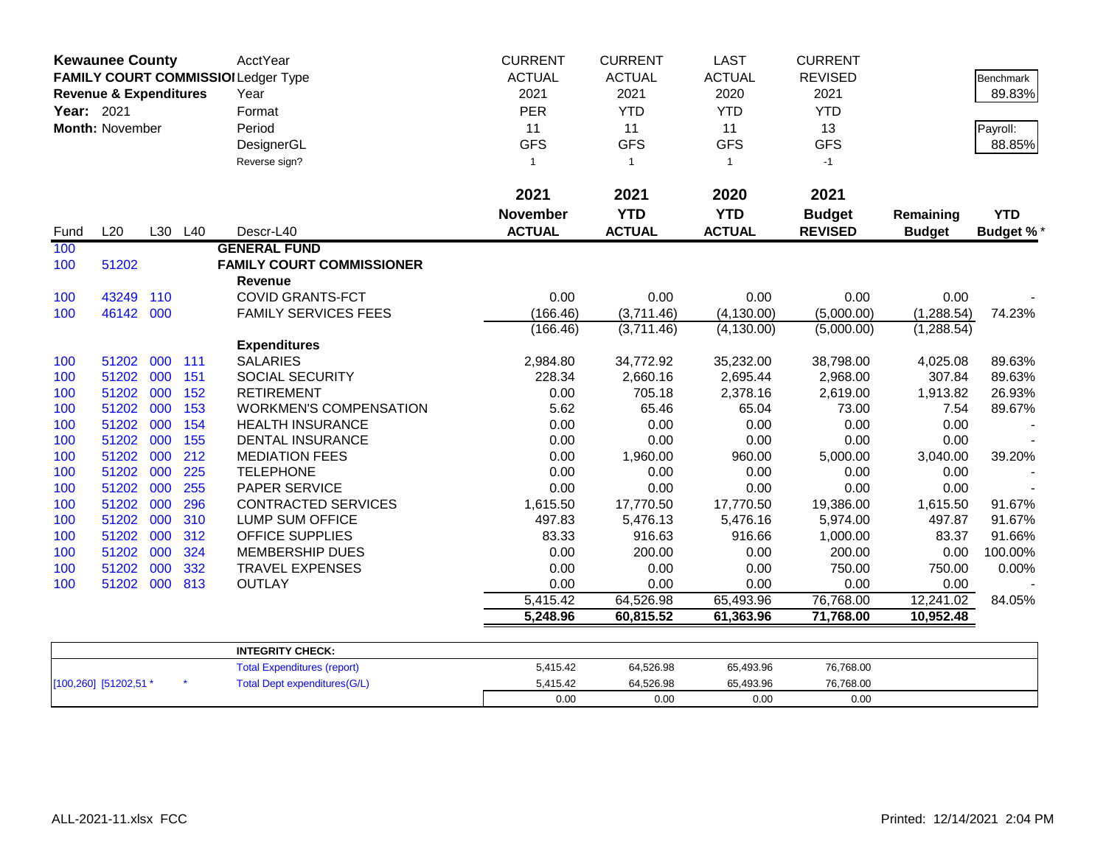|            | <b>Kewaunee County</b><br><b>Revenue &amp; Expenditures</b> |     |         | AcctYear<br>FAMILY COURT COMMISSIOI Ledger Type<br>Year | <b>CURRENT</b><br><b>ACTUAL</b><br>2021 | <b>CURRENT</b><br><b>ACTUAL</b><br>2021 | <b>LAST</b><br><b>ACTUAL</b><br>2020 | <b>CURRENT</b><br><b>REVISED</b><br>2021 |               | Benchmark<br>89.83% |
|------------|-------------------------------------------------------------|-----|---------|---------------------------------------------------------|-----------------------------------------|-----------------------------------------|--------------------------------------|------------------------------------------|---------------|---------------------|
| Year: 2021 |                                                             |     |         | Format                                                  | PER                                     | <b>YTD</b>                              | <b>YTD</b>                           | <b>YTD</b>                               |               |                     |
|            | Month: November                                             |     |         | Period                                                  | 11                                      | 11                                      | 11                                   | 13                                       |               | Payroll:            |
|            |                                                             |     |         | DesignerGL                                              | <b>GFS</b>                              | <b>GFS</b>                              | <b>GFS</b>                           | <b>GFS</b>                               |               | 88.85%              |
|            |                                                             |     |         | Reverse sign?                                           | $\mathbf{1}$                            | $\mathbf{1}$                            | $\overline{1}$                       | $-1$                                     |               |                     |
|            |                                                             |     |         |                                                         |                                         |                                         |                                      |                                          |               |                     |
|            |                                                             |     |         |                                                         | 2021                                    | 2021                                    | 2020                                 | 2021                                     |               |                     |
|            |                                                             |     |         |                                                         | <b>November</b>                         | <b>YTD</b>                              | <b>YTD</b>                           | <b>Budget</b>                            | Remaining     | <b>YTD</b>          |
| Fund       | L20                                                         |     | L30 L40 | Descr-L40                                               | <b>ACTUAL</b>                           | <b>ACTUAL</b>                           | <b>ACTUAL</b>                        | <b>REVISED</b>                           | <b>Budget</b> | <b>Budget %*</b>    |
| 100        |                                                             |     |         | <b>GENERAL FUND</b>                                     |                                         |                                         |                                      |                                          |               |                     |
| 100        | 51202                                                       |     |         | <b>FAMILY COURT COMMISSIONER</b>                        |                                         |                                         |                                      |                                          |               |                     |
|            |                                                             |     |         | Revenue                                                 |                                         |                                         |                                      |                                          |               |                     |
| 100        | 43249                                                       | 110 |         | <b>COVID GRANTS-FCT</b>                                 | 0.00                                    | 0.00                                    | 0.00                                 | 0.00                                     | 0.00          |                     |
| 100        | 46142 000                                                   |     |         | <b>FAMILY SERVICES FEES</b>                             | (166.46)                                | (3,711.46)                              | (4, 130.00)                          | (5,000.00)                               | (1, 288.54)   | 74.23%              |
|            |                                                             |     |         | <b>Expenditures</b>                                     | (166.46)                                | (3,711.46)                              | (4, 130.00)                          | (5,000.00)                               | (1,288.54)    |                     |
| 100        | 51202 000 111                                               |     |         | <b>SALARIES</b>                                         | 2,984.80                                | 34,772.92                               | 35,232.00                            | 38,798.00                                | 4,025.08      | 89.63%              |
| 100        | 51202 000                                                   |     | 151     | <b>SOCIAL SECURITY</b>                                  | 228.34                                  | 2,660.16                                | 2,695.44                             | 2,968.00                                 | 307.84        | 89.63%              |
| 100        | 51202 000                                                   |     | 152     | <b>RETIREMENT</b>                                       | 0.00                                    | 705.18                                  | 2,378.16                             | 2,619.00                                 | 1,913.82      | 26.93%              |
| 100        | 51202 000                                                   |     | 153     | <b>WORKMEN'S COMPENSATION</b>                           | 5.62                                    | 65.46                                   | 65.04                                | 73.00                                    | 7.54          | 89.67%              |
| 100        | 51202 000                                                   |     | 154     | <b>HEALTH INSURANCE</b>                                 | 0.00                                    | 0.00                                    | 0.00                                 | 0.00                                     | 0.00          |                     |
| 100        | 51202 000                                                   |     | 155     | <b>DENTAL INSURANCE</b>                                 | 0.00                                    | 0.00                                    | 0.00                                 | 0.00                                     | 0.00          |                     |
| 100        | 51202 000                                                   |     | 212     | <b>MEDIATION FEES</b>                                   | 0.00                                    | 1,960.00                                | 960.00                               | 5,000.00                                 | 3,040.00      | 39.20%              |
| 100        | 51202 000                                                   |     | 225     | <b>TELEPHONE</b>                                        | 0.00                                    | 0.00                                    | 0.00                                 | 0.00                                     | 0.00          |                     |
| 100        | 51202 000                                                   |     | 255     | PAPER SERVICE                                           | 0.00                                    | 0.00                                    | 0.00                                 | 0.00                                     | 0.00          |                     |
| 100        | 51202                                                       | 000 | 296     | <b>CONTRACTED SERVICES</b>                              | 1,615.50                                | 17,770.50                               | 17,770.50                            | 19,386.00                                | 1,615.50      | 91.67%              |
| 100        | 51202 000                                                   |     | 310     | <b>LUMP SUM OFFICE</b>                                  | 497.83                                  | 5,476.13                                | 5,476.16                             | 5,974.00                                 | 497.87        | 91.67%              |
| 100        | 51202 000                                                   |     | 312     | <b>OFFICE SUPPLIES</b>                                  | 83.33                                   | 916.63                                  | 916.66                               | 1,000.00                                 | 83.37         | 91.66%              |
| 100        | 51202 000                                                   |     | 324     | <b>MEMBERSHIP DUES</b>                                  | 0.00                                    | 200.00                                  | 0.00                                 | 200.00                                   | 0.00          | 100.00%             |
| 100        | 51202 000                                                   |     | 332     | <b>TRAVEL EXPENSES</b>                                  | 0.00                                    | 0.00                                    | 0.00                                 | 750.00                                   | 750.00        | 0.00%               |
| 100        | 51202 000                                                   |     | 813     | <b>OUTLAY</b>                                           | 0.00                                    | 0.00                                    | 0.00                                 | 0.00                                     | 0.00          |                     |
|            |                                                             |     |         |                                                         | 5,415.42                                | 64,526.98                               | 65,493.96                            | 76,768.00                                | 12,241.02     | 84.05%              |
|            |                                                             |     |         |                                                         | 5,248.96                                | 60,815.52                               | 61,363.96                            | 71,768.00                                | 10,952.48     |                     |
|            |                                                             |     |         | <b>INTEGRITY CHECK:</b>                                 |                                         |                                         |                                      |                                          |               |                     |
|            |                                                             |     |         | <b>Total Expenditures (report)</b>                      | 5,415.42                                | 64,526.98                               | 65,493.96                            | 76,768.00                                |               |                     |
|            | [100,260] [51202,51 *                                       |     |         | <b>Total Dept expenditures(G/L)</b>                     | 5,415.42                                | 64,526.98                               | 65.493.96                            | 76.768.00                                |               |                     |

0.00 0.00 0.00 0.00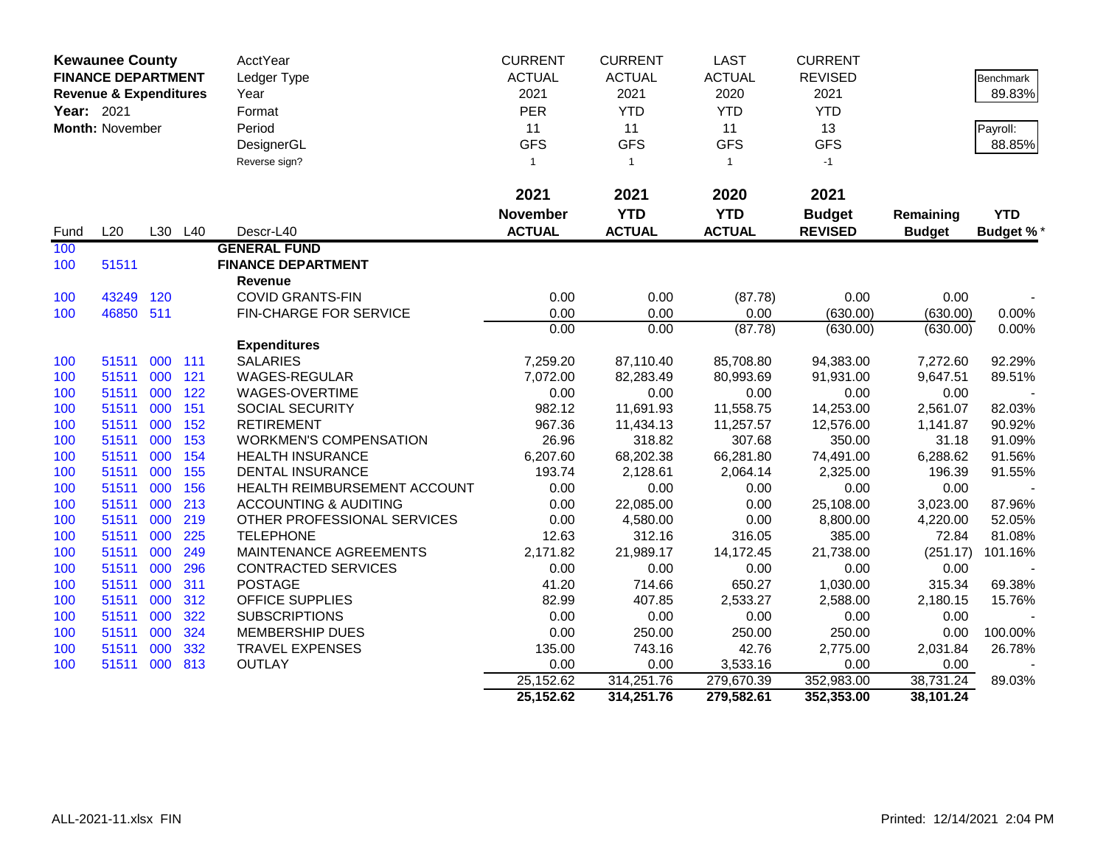|            | <b>Kewaunee County</b><br><b>FINANCE DEPARTMENT</b><br><b>Revenue &amp; Expenditures</b> |            |     | AcctYear<br>Ledger Type<br>Year  | <b>CURRENT</b><br><b>ACTUAL</b><br>2021 | <b>CURRENT</b><br><b>ACTUAL</b><br>2021 | <b>LAST</b><br><b>ACTUAL</b><br>2020 | <b>CURRENT</b><br><b>REVISED</b><br>2021 |                   | Benchmark<br>89.83% |
|------------|------------------------------------------------------------------------------------------|------------|-----|----------------------------------|-----------------------------------------|-----------------------------------------|--------------------------------------|------------------------------------------|-------------------|---------------------|
| Year: 2021 |                                                                                          |            |     | Format                           | <b>PER</b>                              | <b>YTD</b>                              | <b>YTD</b>                           | <b>YTD</b>                               |                   |                     |
|            | Month: November                                                                          |            |     | Period                           | 11                                      | 11                                      | 11                                   | 13                                       |                   | Payroll:            |
|            |                                                                                          |            |     | DesignerGL                       | <b>GFS</b>                              | <b>GFS</b>                              | <b>GFS</b>                           | <b>GFS</b>                               |                   | 88.85%              |
|            |                                                                                          |            |     | Reverse sign?                    | $\mathbf{1}$                            | $\overline{1}$                          | $\mathbf{1}$                         | $-1$                                     |                   |                     |
|            |                                                                                          |            |     |                                  |                                         |                                         |                                      |                                          |                   |                     |
|            |                                                                                          |            |     |                                  | 2021                                    | 2021                                    | 2020                                 | 2021                                     |                   |                     |
|            |                                                                                          |            |     |                                  | <b>November</b>                         | <b>YTD</b>                              | <b>YTD</b>                           | <b>Budget</b>                            | Remaining         | <b>YTD</b>          |
| Fund       | L20                                                                                      | L30        | L40 | Descr-L40                        | <b>ACTUAL</b>                           | <b>ACTUAL</b>                           | <b>ACTUAL</b>                        | <b>REVISED</b>                           | <b>Budget</b>     | <b>Budget %*</b>    |
| 100        |                                                                                          |            |     | <b>GENERAL FUND</b>              |                                         |                                         |                                      |                                          |                   |                     |
| 100        | 51511                                                                                    |            |     | <b>FINANCE DEPARTMENT</b>        |                                         |                                         |                                      |                                          |                   |                     |
|            |                                                                                          |            |     | <b>Revenue</b>                   |                                         |                                         |                                      |                                          |                   |                     |
| 100        | 43249                                                                                    | 120        |     | <b>COVID GRANTS-FIN</b>          | 0.00                                    | 0.00                                    | (87.78)                              | 0.00                                     | 0.00              |                     |
| 100        | 46850 511                                                                                |            |     | <b>FIN-CHARGE FOR SERVICE</b>    | 0.00                                    | 0.00                                    | 0.00                                 | (630.00)                                 | (630.00)          | 0.00%               |
|            |                                                                                          |            |     |                                  | 0.00                                    | 0.00                                    | (87.78)                              | (630.00)                                 | (630.00)          | 0.00%               |
|            |                                                                                          |            |     | <b>Expenditures</b>              |                                         |                                         |                                      |                                          |                   |                     |
| 100        | 51511                                                                                    | 000        | 111 | <b>SALARIES</b>                  | 7,259.20                                | 87,110.40                               | 85,708.80                            | 94,383.00                                | 7,272.60          | 92.29%              |
| 100        | 51511                                                                                    | 000        | 121 | WAGES-REGULAR                    | 7,072.00                                | 82,283.49                               | 80,993.69                            | 91,931.00                                | 9,647.51          | 89.51%              |
| 100        | 51511                                                                                    | 000        | 122 | WAGES-OVERTIME                   | 0.00                                    | 0.00                                    | 0.00                                 | 0.00                                     | 0.00              |                     |
| 100        | 51511                                                                                    | 000        | 151 | SOCIAL SECURITY                  | 982.12                                  | 11,691.93                               | 11,558.75                            | 14,253.00                                | 2,561.07          | 82.03%              |
| 100        | 51511                                                                                    | 000        | 152 | <b>RETIREMENT</b>                | 967.36                                  | 11,434.13                               | 11,257.57                            | 12,576.00                                | 1,141.87          | 90.92%              |
| 100        | 51511                                                                                    | 000        | 153 | <b>WORKMEN'S COMPENSATION</b>    | 26.96                                   | 318.82                                  | 307.68                               | 350.00                                   | 31.18             | 91.09%              |
| 100        | 51511                                                                                    | 000        | 154 | <b>HEALTH INSURANCE</b>          | 6,207.60                                | 68,202.38                               | 66,281.80                            | 74,491.00                                | 6,288.62          | 91.56%              |
| 100        | 51511                                                                                    | 000        | 155 | <b>DENTAL INSURANCE</b>          | 193.74                                  | 2,128.61                                | 2,064.14                             | 2,325.00                                 | 196.39            | 91.55%              |
| 100        | 51511                                                                                    | 000        | 156 | HEALTH REIMBURSEMENT ACCOUNT     | 0.00                                    | 0.00                                    | 0.00                                 | 0.00                                     | 0.00              |                     |
| 100        | 51511                                                                                    | 000        | 213 | <b>ACCOUNTING &amp; AUDITING</b> | 0.00                                    | 22,085.00                               | 0.00                                 | 25,108.00                                | 3,023.00          | 87.96%              |
| 100        | 51511                                                                                    | 000        | 219 | OTHER PROFESSIONAL SERVICES      | 0.00                                    | 4,580.00                                | 0.00                                 | 8,800.00                                 | 4,220.00          | 52.05%              |
| 100        | 51511                                                                                    | 000        | 225 | <b>TELEPHONE</b>                 | 12.63                                   | 312.16                                  | 316.05                               | 385.00                                   | 72.84             | 81.08%              |
| 100        | 51511                                                                                    | 000        | 249 | MAINTENANCE AGREEMENTS           | 2,171.82                                | 21,989.17                               | 14,172.45                            | 21,738.00                                | (251.17)          | 101.16%             |
| 100        | 51511                                                                                    | 000        | 296 | <b>CONTRACTED SERVICES</b>       | 0.00                                    | 0.00                                    | 0.00                                 | 0.00                                     | 0.00              |                     |
| 100        | 51511                                                                                    | 000        | 311 | <b>POSTAGE</b>                   | 41.20                                   | 714.66                                  | 650.27                               | 1,030.00                                 | 315.34            | 69.38%              |
| 100        | 51511                                                                                    | 000        | 312 | <b>OFFICE SUPPLIES</b>           | 82.99                                   | 407.85                                  | 2,533.27                             | 2,588.00                                 | 2,180.15          | 15.76%              |
| 100        | 51511                                                                                    | 000        | 322 | <b>SUBSCRIPTIONS</b>             | 0.00                                    | 0.00                                    | 0.00                                 | 0.00                                     | 0.00              |                     |
| 100        | 51511                                                                                    | 000<br>000 | 324 | <b>MEMBERSHIP DUES</b>           | 0.00                                    | 250.00                                  | 250.00                               | 250.00                                   | 0.00              | 100.00%             |
| 100        |                                                                                          |            | 332 | <b>TRAVEL EXPENSES</b>           | 135.00                                  | 743.16                                  | 42.76                                | 2,775.00                                 | 2,031.84          | 26.78%              |
|            | 51511                                                                                    |            |     |                                  |                                         |                                         |                                      |                                          |                   |                     |
| 100        | 51511                                                                                    | 000        | 813 | <b>OUTLAY</b>                    | 0.00<br>25,152.62                       | 0.00<br>314,251.76                      | 3,533.16<br>279,670.39               | 0.00<br>352,983.00                       | 0.00<br>38,731.24 | 89.03%              |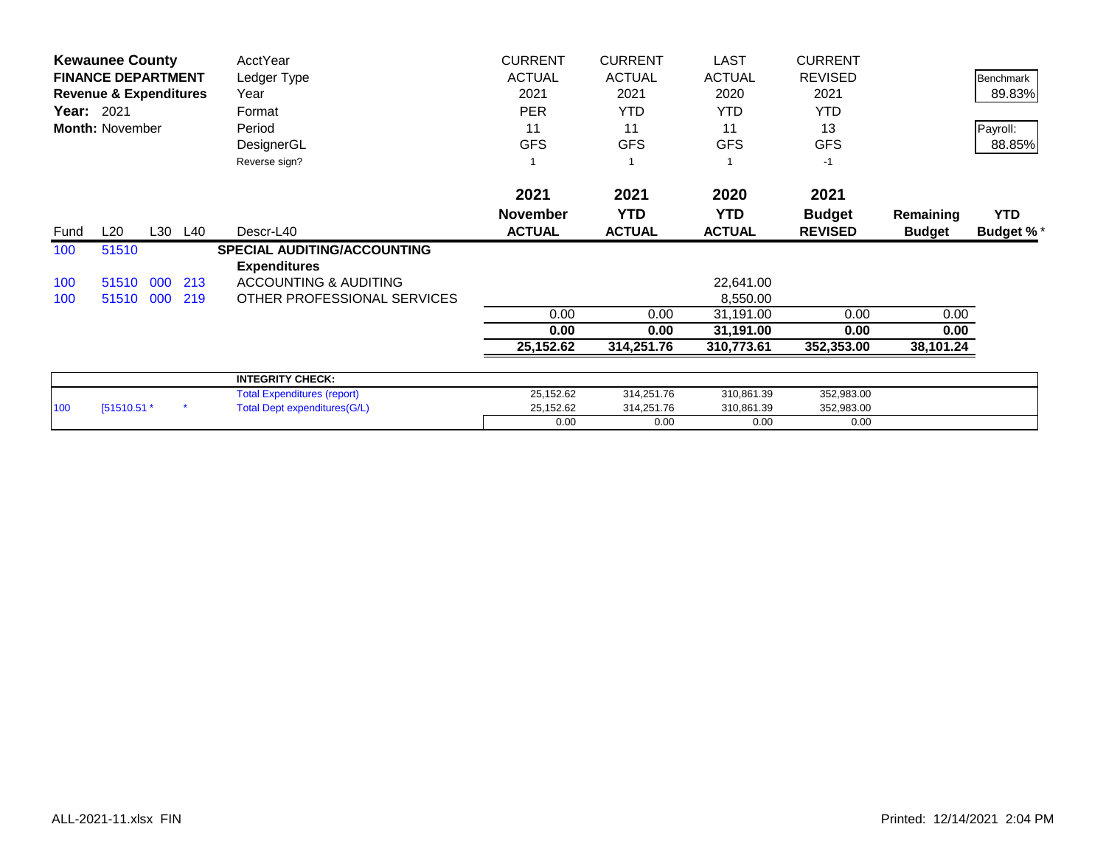|            | <b>Kewaunee County</b>            |     |         | AcctYear                            | <b>CURRENT</b>  | <b>CURRENT</b> | <b>LAST</b>   | <b>CURRENT</b> |               |                  |
|------------|-----------------------------------|-----|---------|-------------------------------------|-----------------|----------------|---------------|----------------|---------------|------------------|
|            | <b>FINANCE DEPARTMENT</b>         |     |         | Ledger Type                         | <b>ACTUAL</b>   | <b>ACTUAL</b>  | <b>ACTUAL</b> | <b>REVISED</b> |               | Benchmark        |
|            | <b>Revenue &amp; Expenditures</b> |     |         | Year                                | 2021            | 2021           | 2020          | 2021           |               | 89.83%           |
| Year: 2021 |                                   |     |         | Format                              | <b>PER</b>      | <b>YTD</b>     | <b>YTD</b>    | <b>YTD</b>     |               |                  |
|            | <b>Month: November</b>            |     |         | Period                              | 11              | 11             | 11            | 13             |               | Payroll:         |
|            |                                   |     |         | DesignerGL                          | <b>GFS</b>      | <b>GFS</b>     | <b>GFS</b>    | <b>GFS</b>     |               | 88.85%           |
|            |                                   |     |         | Reverse sign?                       |                 |                |               | $-1$           |               |                  |
|            |                                   |     |         |                                     | 2021            | 2021           | 2020          | 2021           |               |                  |
|            |                                   |     |         |                                     | <b>November</b> | <b>YTD</b>     | <b>YTD</b>    | <b>Budget</b>  | Remaining     | <b>YTD</b>       |
| Fund       | L20                               |     | L30 L40 | Descr-L40                           | <b>ACTUAL</b>   | <b>ACTUAL</b>  | <b>ACTUAL</b> | <b>REVISED</b> | <b>Budget</b> | <b>Budget %*</b> |
| 100        | 51510                             |     |         | <b>SPECIAL AUDITING/ACCOUNTING</b>  |                 |                |               |                |               |                  |
|            |                                   |     |         | <b>Expenditures</b>                 |                 |                |               |                |               |                  |
| 100        | 51510 000                         |     | 213     | <b>ACCOUNTING &amp; AUDITING</b>    |                 |                | 22,641.00     |                |               |                  |
| 100        | 51510                             | 000 | 219     | OTHER PROFESSIONAL SERVICES         |                 |                | 8,550.00      |                |               |                  |
|            |                                   |     |         |                                     | 0.00            | 0.00           | 31,191.00     | 0.00           | 0.00          |                  |
|            |                                   |     |         |                                     | 0.00            | 0.00           | 31,191.00     | 0.00           | 0.00          |                  |
|            |                                   |     |         |                                     | 25,152.62       | 314,251.76     | 310,773.61    | 352,353.00     | 38,101.24     |                  |
|            |                                   |     |         | <b>INTEGRITY CHECK:</b>             |                 |                |               |                |               |                  |
|            |                                   |     |         | <b>Total Expenditures (report)</b>  | 25,152.62       | 314,251.76     | 310,861.39    | 352,983.00     |               |                  |
| 100        | [51510.51 *                       |     |         | <b>Total Dept expenditures(G/L)</b> | 25,152.62       | 314,251.76     | 310,861.39    | 352,983.00     |               |                  |
|            |                                   |     |         |                                     | 0.00            | 0.00           | 0.00          | 0.00           |               |                  |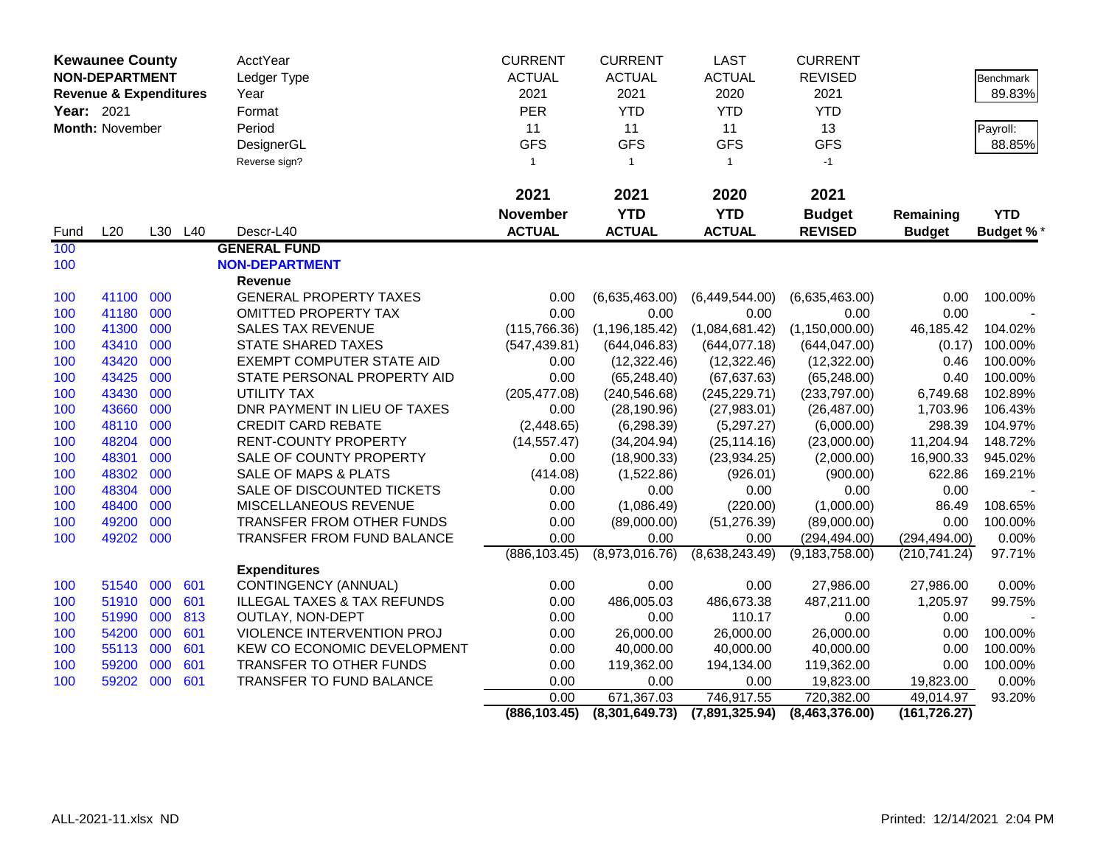|            | <b>Kewaunee County</b>            |     |         | <b>AcctYear</b>                        | <b>CURRENT</b>  | <b>CURRENT</b>   | <b>LAST</b>    | <b>CURRENT</b>   |               |                  |
|------------|-----------------------------------|-----|---------|----------------------------------------|-----------------|------------------|----------------|------------------|---------------|------------------|
|            | <b>NON-DEPARTMENT</b>             |     |         | Ledger Type                            | <b>ACTUAL</b>   | <b>ACTUAL</b>    | <b>ACTUAL</b>  | <b>REVISED</b>   |               | Benchmark        |
|            | <b>Revenue &amp; Expenditures</b> |     |         | Year                                   | 2021            | 2021             | 2020           | 2021             |               | 89.83%           |
| Year: 2021 |                                   |     |         | Format                                 | <b>PER</b>      | <b>YTD</b>       | <b>YTD</b>     | <b>YTD</b>       |               |                  |
|            | Month: November                   |     |         | Period                                 | 11              | 11               | 11             | 13               |               | Payroll:         |
|            |                                   |     |         | DesignerGL                             | <b>GFS</b>      | <b>GFS</b>       | <b>GFS</b>     | <b>GFS</b>       |               | 88.85%           |
|            |                                   |     |         | Reverse sign?                          | $\mathbf{1}$    | $\mathbf{1}$     | $\mathbf{1}$   | $-1$             |               |                  |
|            |                                   |     |         |                                        |                 |                  |                |                  |               |                  |
|            |                                   |     |         |                                        | 2021            | 2021             | 2020           | 2021             |               |                  |
|            |                                   |     |         |                                        | <b>November</b> | <b>YTD</b>       | <b>YTD</b>     | <b>Budget</b>    | Remaining     | <b>YTD</b>       |
| Fund       | L20                               |     | L30 L40 | Descr-L40                              | <b>ACTUAL</b>   | <b>ACTUAL</b>    | <b>ACTUAL</b>  | <b>REVISED</b>   | <b>Budget</b> | <b>Budget %*</b> |
| 100        |                                   |     |         | <b>GENERAL FUND</b>                    |                 |                  |                |                  |               |                  |
| 100        |                                   |     |         | <b>NON-DEPARTMENT</b>                  |                 |                  |                |                  |               |                  |
|            |                                   |     |         | Revenue                                |                 |                  |                |                  |               |                  |
| 100        | 41100 000                         |     |         | <b>GENERAL PROPERTY TAXES</b>          | 0.00            | (6,635,463.00)   | (6,449,544.00) | (6,635,463.00)   | 0.00          | 100.00%          |
| 100        | 41180                             | 000 |         | OMITTED PROPERTY TAX                   | 0.00            | 0.00             | 0.00           | 0.00             | 0.00          |                  |
| 100        | 41300                             | 000 |         | <b>SALES TAX REVENUE</b>               | (115, 766.36)   | (1, 196, 185.42) | (1,084,681.42) | (1, 150, 000.00) | 46,185.42     | 104.02%          |
| 100        | 43410                             | 000 |         | <b>STATE SHARED TAXES</b>              | (547, 439.81)   | (644, 046.83)    | (644, 077.18)  | (644, 047.00)    | (0.17)        | 100.00%          |
| 100        | 43420                             | 000 |         | <b>EXEMPT COMPUTER STATE AID</b>       | 0.00            | (12, 322.46)     | (12, 322.46)   | (12,322.00)      | 0.46          | 100.00%          |
| 100        | 43425                             | 000 |         | STATE PERSONAL PROPERTY AID            | 0.00            | (65, 248.40)     | (67, 637.63)   | (65, 248.00)     | 0.40          | 100.00%          |
| 100        | 43430                             | 000 |         | UTILITY TAX                            | (205, 477.08)   | (240, 546.68)    | (245, 229.71)  | (233,797.00)     | 6,749.68      | 102.89%          |
| 100        | 43660                             | 000 |         | DNR PAYMENT IN LIEU OF TAXES           | 0.00            | (28, 190.96)     | (27,983.01)    | (26, 487.00)     | 1,703.96      | 106.43%          |
| 100        | 48110                             | 000 |         | <b>CREDIT CARD REBATE</b>              | (2,448.65)      | (6, 298.39)      | (5,297.27)     | (6,000.00)       | 298.39        | 104.97%          |
| 100        | 48204                             | 000 |         | <b>RENT-COUNTY PROPERTY</b>            | (14, 557.47)    | (34, 204.94)     | (25, 114.16)   | (23,000.00)      | 11,204.94     | 148.72%          |
| 100        | 48301                             | 000 |         | SALE OF COUNTY PROPERTY                | 0.00            | (18,900.33)      | (23, 934.25)   | (2,000.00)       | 16,900.33     | 945.02%          |
| 100        | 48302                             | 000 |         | <b>SALE OF MAPS &amp; PLATS</b>        | (414.08)        | (1,522.86)       | (926.01)       | (900.00)         | 622.86        | 169.21%          |
| 100        | 48304                             | 000 |         | SALE OF DISCOUNTED TICKETS             | 0.00            | 0.00             | 0.00           | 0.00             | 0.00          |                  |
| 100        | 48400                             | 000 |         | MISCELLANEOUS REVENUE                  | 0.00            | (1,086.49)       | (220.00)       | (1,000.00)       | 86.49         | 108.65%          |
| 100        | 49200                             | 000 |         | TRANSFER FROM OTHER FUNDS              | 0.00            | (89,000.00)      | (51, 276.39)   | (89,000.00)      | 0.00          | 100.00%          |
| 100        | 49202                             | 000 |         | TRANSFER FROM FUND BALANCE             | 0.00            | 0.00             | 0.00           | (294, 494.00)    | (294, 494.00) | 0.00%            |
|            |                                   |     |         |                                        | (886, 103.45)   | (8,973,016.76)   | (8,638,243.49) | (9, 183, 758.00) | (210, 741.24) | 97.71%           |
|            |                                   |     |         | <b>Expenditures</b>                    |                 |                  |                |                  |               |                  |
| 100        | 51540                             | 000 | 601     | CONTINGENCY (ANNUAL)                   | 0.00            | 0.00             | 0.00           | 27,986.00        | 27,986.00     | 0.00%            |
| 100        | 51910                             | 000 | 601     | <b>ILLEGAL TAXES &amp; TAX REFUNDS</b> | 0.00            | 486,005.03       | 486,673.38     | 487,211.00       | 1,205.97      | 99.75%           |
| 100        | 51990 000                         |     | 813     | OUTLAY, NON-DEPT                       | 0.00            | 0.00             | 110.17         | 0.00             | 0.00          |                  |
| 100        | 54200                             | 000 | 601     | VIOLENCE INTERVENTION PROJ             | 0.00            | 26,000.00        | 26,000.00      | 26,000.00        | 0.00          | 100.00%          |
| 100        | 55113                             | 000 | 601     | KEW CO ECONOMIC DEVELOPMENT            | 0.00            | 40,000.00        | 40,000.00      | 40,000.00        | 0.00          | 100.00%          |
| 100        | 59200                             | 000 | 601     | TRANSFER TO OTHER FUNDS                | 0.00            | 119,362.00       | 194,134.00     | 119,362.00       | 0.00          | 100.00%          |
| 100        | 59202                             | 000 | 601     | TRANSFER TO FUND BALANCE               | 0.00            | 0.00             | 0.00           | 19,823.00        | 19,823.00     | 0.00%            |
|            |                                   |     |         |                                        | 0.00            | 671,367.03       | 746,917.55     | 720,382.00       | 49,014.97     | 93.20%           |
|            |                                   |     |         |                                        | (886, 103.45)   | (8,301,649.73)   | (7,891,325.94) | (8,463,376.00)   | (161, 726.27) |                  |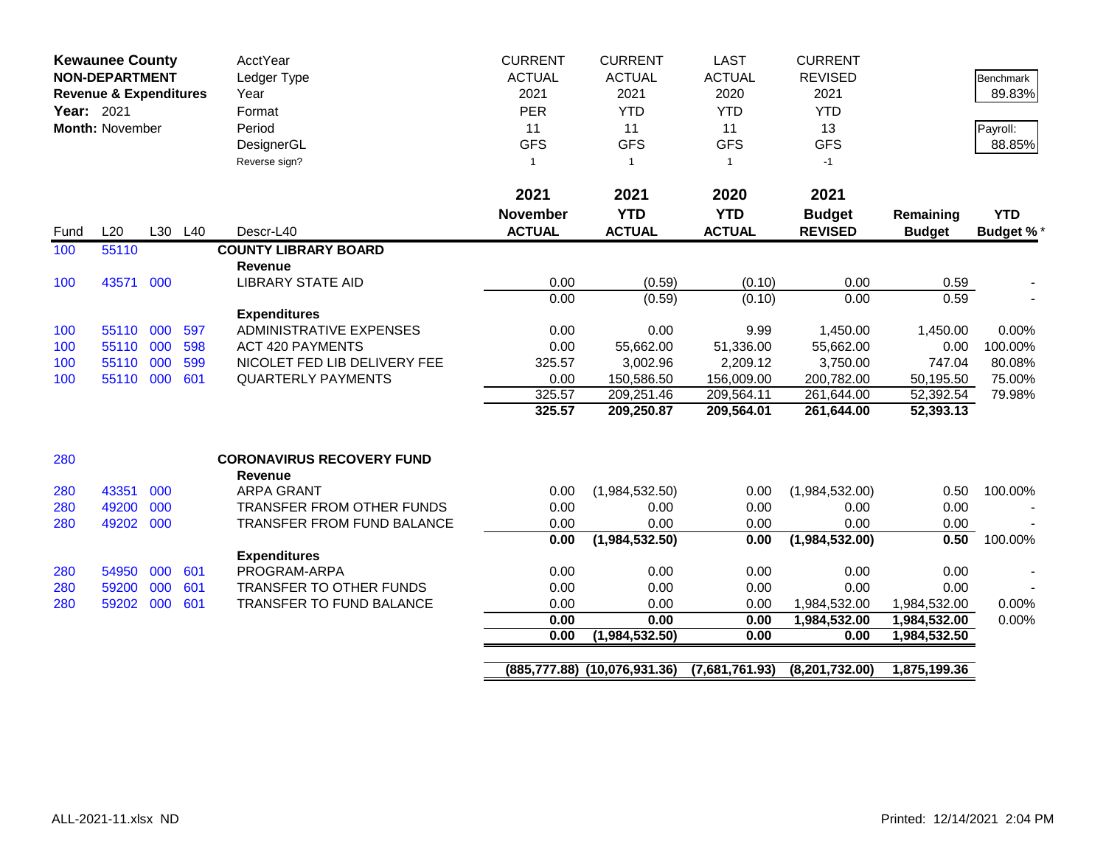| <b>Kewaunee County</b><br><b>NON-DEPARTMENT</b><br><b>Revenue &amp; Expenditures</b><br>Year: 2021<br><b>Month: November</b> |                    |     | <b>AcctYear</b><br>Ledger Type<br>Year<br>Format<br>Period<br>DesignerGL | <b>CURRENT</b><br><b>ACTUAL</b><br>2021<br>PER<br>11<br><b>GFS</b> | <b>CURRENT</b><br><b>ACTUAL</b><br>2021<br><b>YTD</b><br>11<br><b>GFS</b> | <b>LAST</b><br><b>ACTUAL</b><br>2020<br><b>YTD</b><br>11<br><b>GFS</b> | <b>CURRENT</b><br><b>REVISED</b><br>2021<br><b>YTD</b><br>13<br><b>GFS</b> |                       | <b>Benchmark</b><br>89.83%<br>Payroll:<br>88.85% |                   |
|------------------------------------------------------------------------------------------------------------------------------|--------------------|-----|--------------------------------------------------------------------------|--------------------------------------------------------------------|---------------------------------------------------------------------------|------------------------------------------------------------------------|----------------------------------------------------------------------------|-----------------------|--------------------------------------------------|-------------------|
|                                                                                                                              |                    |     |                                                                          | Reverse sign?                                                      | $\mathbf{1}$                                                              | $\overline{1}$                                                         | $\mathbf{1}$                                                               | $-1$                  |                                                  |                   |
|                                                                                                                              |                    |     |                                                                          |                                                                    | 2021                                                                      | 2021                                                                   | 2020                                                                       | 2021                  |                                                  |                   |
|                                                                                                                              |                    |     |                                                                          |                                                                    | <b>November</b>                                                           | <b>YTD</b>                                                             | <b>YTD</b>                                                                 | <b>Budget</b>         | Remaining                                        | <b>YTD</b>        |
| Fund                                                                                                                         | L20                |     | L30 L40                                                                  | Descr-L40                                                          | <b>ACTUAL</b>                                                             | <b>ACTUAL</b>                                                          | <b>ACTUAL</b>                                                              | <b>REVISED</b>        | <b>Budget</b>                                    | <b>Budget %*</b>  |
| 100                                                                                                                          | 55110              |     |                                                                          | <b>COUNTY LIBRARY BOARD</b>                                        |                                                                           |                                                                        |                                                                            |                       |                                                  |                   |
|                                                                                                                              |                    |     |                                                                          | <b>Revenue</b>                                                     |                                                                           |                                                                        |                                                                            |                       |                                                  |                   |
| 100                                                                                                                          | 43571              | 000 |                                                                          | <b>LIBRARY STATE AID</b>                                           | 0.00                                                                      | (0.59)                                                                 | (0.10)                                                                     | 0.00                  | 0.59                                             |                   |
|                                                                                                                              |                    |     |                                                                          |                                                                    | 0.00                                                                      | (0.59)                                                                 | (0.10)                                                                     | 0.00                  | 0.59                                             |                   |
|                                                                                                                              |                    |     |                                                                          | <b>Expenditures</b>                                                |                                                                           |                                                                        |                                                                            |                       |                                                  |                   |
| 100                                                                                                                          | 55110 000          |     | 597                                                                      | <b>ADMINISTRATIVE EXPENSES</b>                                     | 0.00                                                                      | 0.00                                                                   | 9.99                                                                       | 1,450.00              | 1,450.00                                         | 0.00%             |
| 100                                                                                                                          | 55110 000<br>55110 | 000 | 598<br>599                                                               | <b>ACT 420 PAYMENTS</b><br>NICOLET FED LIB DELIVERY FEE            | 0.00<br>325.57                                                            | 55,662.00                                                              | 51,336.00                                                                  | 55,662.00<br>3,750.00 | 0.00<br>747.04                                   | 100.00%<br>80.08% |
| 100<br>100                                                                                                                   | 55110 000          |     | 601                                                                      | <b>QUARTERLY PAYMENTS</b>                                          | 0.00                                                                      | 3,002.96<br>150,586.50                                                 | 2,209.12<br>156,009.00                                                     | 200,782.00            | 50,195.50                                        | 75.00%            |
|                                                                                                                              |                    |     |                                                                          |                                                                    | 325.57                                                                    | 209,251.46                                                             | 209,564.11                                                                 | 261,644.00            | 52,392.54                                        | 79.98%            |
|                                                                                                                              |                    |     |                                                                          |                                                                    | 325.57                                                                    | 209,250.87                                                             | 209,564.01                                                                 | 261,644.00            | 52,393.13                                        |                   |
|                                                                                                                              |                    |     |                                                                          |                                                                    |                                                                           |                                                                        |                                                                            |                       |                                                  |                   |
| 280                                                                                                                          |                    |     |                                                                          | <b>CORONAVIRUS RECOVERY FUND</b><br><b>Revenue</b>                 |                                                                           |                                                                        |                                                                            |                       |                                                  |                   |
| 280                                                                                                                          | 43351              | 000 |                                                                          | <b>ARPA GRANT</b>                                                  | 0.00                                                                      | (1,984,532.50)                                                         | 0.00                                                                       | (1,984,532.00)        | 0.50                                             | 100.00%           |
| 280                                                                                                                          | 49200              | 000 |                                                                          | TRANSFER FROM OTHER FUNDS                                          | 0.00                                                                      | 0.00                                                                   | 0.00                                                                       | 0.00                  | 0.00                                             |                   |
| 280                                                                                                                          | 49202              | 000 |                                                                          | <b>TRANSFER FROM FUND BALANCE</b>                                  | 0.00                                                                      | 0.00                                                                   | 0.00                                                                       | 0.00                  | 0.00                                             |                   |
|                                                                                                                              |                    |     |                                                                          |                                                                    | 0.00                                                                      | (1,984,532.50)                                                         | 0.00                                                                       | (1,984,532.00)        | 0.50                                             | 100.00%           |
|                                                                                                                              |                    |     |                                                                          | <b>Expenditures</b>                                                |                                                                           |                                                                        |                                                                            |                       |                                                  |                   |
| 280                                                                                                                          | 54950              | 000 | 601                                                                      | PROGRAM-ARPA                                                       | 0.00                                                                      | 0.00                                                                   | 0.00                                                                       | 0.00                  | 0.00                                             |                   |
| 280                                                                                                                          | 59200              | 000 | 601                                                                      | TRANSFER TO OTHER FUNDS                                            | 0.00                                                                      | 0.00                                                                   | 0.00                                                                       | 0.00                  | 0.00                                             |                   |
| 280                                                                                                                          | 59202              | 000 | 601                                                                      | <b>TRANSFER TO FUND BALANCE</b>                                    | 0.00                                                                      | 0.00                                                                   | 0.00                                                                       | 1,984,532.00          | 1,984,532.00                                     | 0.00%             |
|                                                                                                                              |                    |     |                                                                          |                                                                    | 0.00<br>0.00                                                              | 0.00                                                                   | 0.00                                                                       | 1,984,532.00          | 1,984,532.00                                     | 0.00%             |
|                                                                                                                              |                    |     |                                                                          |                                                                    |                                                                           | (1,984,532.50)                                                         | 0.00                                                                       | 0.00                  | 1,984,532.50                                     |                   |
|                                                                                                                              |                    |     |                                                                          |                                                                    |                                                                           | (885,777.88) (10,076,931.36)                                           | (7,681,761.93)                                                             | (8,201,732.00)        | 1,875,199.36                                     |                   |
|                                                                                                                              |                    |     |                                                                          |                                                                    |                                                                           |                                                                        |                                                                            |                       |                                                  |                   |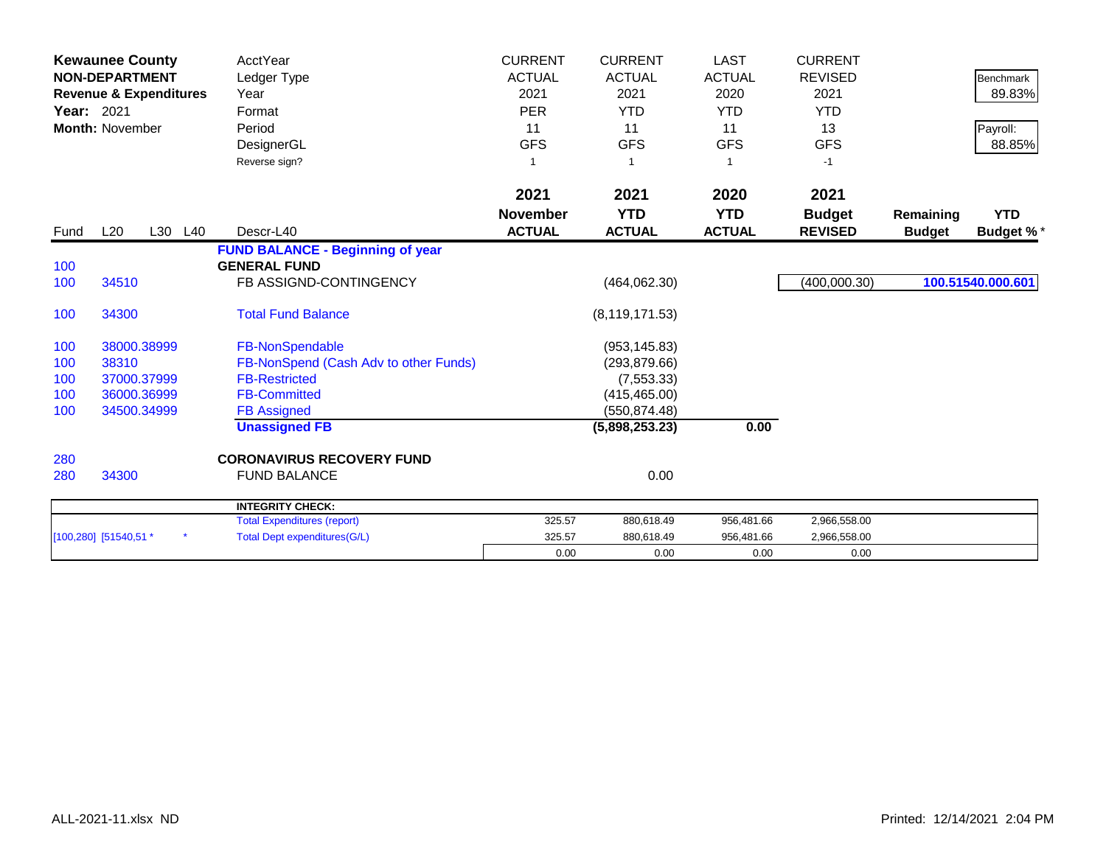| Year: 2021 | <b>Kewaunee County</b><br><b>NON-DEPARTMENT</b><br><b>Revenue &amp; Expenditures</b><br><b>Month: November</b> | <b>AcctYear</b><br>Ledger Type<br>Year<br>Format<br>Period<br>DesignerGL<br>Reverse sign? | <b>CURRENT</b><br><b>ACTUAL</b><br>2021<br><b>PER</b><br>11<br><b>GFS</b><br>-1 | <b>CURRENT</b><br><b>ACTUAL</b><br>2021<br><b>YTD</b><br>11<br><b>GFS</b> | <b>LAST</b><br><b>ACTUAL</b><br>2020<br><b>YTD</b><br>11<br><b>GFS</b><br>1 | <b>CURRENT</b><br><b>REVISED</b><br>2021<br><b>YTD</b><br>13<br><b>GFS</b><br>$-1$ |               | <b>Benchmark</b><br>89.83%<br>Payroll:<br>88.85% |
|------------|----------------------------------------------------------------------------------------------------------------|-------------------------------------------------------------------------------------------|---------------------------------------------------------------------------------|---------------------------------------------------------------------------|-----------------------------------------------------------------------------|------------------------------------------------------------------------------------|---------------|--------------------------------------------------|
|            |                                                                                                                |                                                                                           | 2021                                                                            | 2021                                                                      | 2020                                                                        | 2021                                                                               |               |                                                  |
|            |                                                                                                                |                                                                                           | <b>November</b>                                                                 | <b>YTD</b>                                                                | <b>YTD</b>                                                                  | <b>Budget</b>                                                                      | Remaining     | <b>YTD</b>                                       |
| Fund       | L20<br>L30<br>L40                                                                                              | Descr-L40                                                                                 | <b>ACTUAL</b>                                                                   | <b>ACTUAL</b>                                                             | <b>ACTUAL</b>                                                               | <b>REVISED</b>                                                                     | <b>Budget</b> | <b>Budget %*</b>                                 |
|            |                                                                                                                | <b>FUND BALANCE - Beginning of year</b>                                                   |                                                                                 |                                                                           |                                                                             |                                                                                    |               |                                                  |
| 100        |                                                                                                                | <b>GENERAL FUND</b>                                                                       |                                                                                 |                                                                           |                                                                             |                                                                                    |               |                                                  |
| 100        | 34510                                                                                                          | FB ASSIGND-CONTINGENCY                                                                    |                                                                                 | (464, 062.30)                                                             |                                                                             | (400,000.30)                                                                       |               | 100.51540.000.601                                |
| 100        | 34300                                                                                                          | <b>Total Fund Balance</b>                                                                 |                                                                                 | (8, 119, 171.53)                                                          |                                                                             |                                                                                    |               |                                                  |
| 100        | 38000.38999                                                                                                    | FB-NonSpendable                                                                           |                                                                                 | (953, 145.83)                                                             |                                                                             |                                                                                    |               |                                                  |
| 100        | 38310                                                                                                          | FB-NonSpend (Cash Adv to other Funds)                                                     |                                                                                 | (293, 879.66)                                                             |                                                                             |                                                                                    |               |                                                  |
| 100        | 37000.37999                                                                                                    | <b>FB-Restricted</b>                                                                      |                                                                                 | (7, 553.33)                                                               |                                                                             |                                                                                    |               |                                                  |
| 100        | 36000.36999                                                                                                    | <b>FB-Committed</b>                                                                       |                                                                                 | (415, 465.00)                                                             |                                                                             |                                                                                    |               |                                                  |
| 100        | 34500.34999                                                                                                    | <b>FB Assigned</b>                                                                        |                                                                                 | (550, 874.48)                                                             |                                                                             |                                                                                    |               |                                                  |
|            |                                                                                                                | <b>Unassigned FB</b>                                                                      |                                                                                 | (5,898,253.23)                                                            | 0.00                                                                        |                                                                                    |               |                                                  |
| 280        |                                                                                                                | <b>CORONAVIRUS RECOVERY FUND</b>                                                          |                                                                                 |                                                                           |                                                                             |                                                                                    |               |                                                  |
| 280        | 34300                                                                                                          | <b>FUND BALANCE</b>                                                                       |                                                                                 | 0.00                                                                      |                                                                             |                                                                                    |               |                                                  |
|            |                                                                                                                | <b>INTEGRITY CHECK:</b>                                                                   |                                                                                 |                                                                           |                                                                             |                                                                                    |               |                                                  |
|            |                                                                                                                | <b>Total Expenditures (report)</b>                                                        | 325.57                                                                          | 880,618.49                                                                | 956,481.66                                                                  | 2,966,558.00                                                                       |               |                                                  |
|            | [100,280] [51540,51 *                                                                                          | <b>Total Dept expenditures(G/L)</b>                                                       | 325.57                                                                          | 880,618.49                                                                | 956,481.66                                                                  | 2,966,558.00                                                                       |               |                                                  |
|            |                                                                                                                |                                                                                           | 0.00                                                                            | 0.00                                                                      | 0.00                                                                        | 0.00                                                                               |               |                                                  |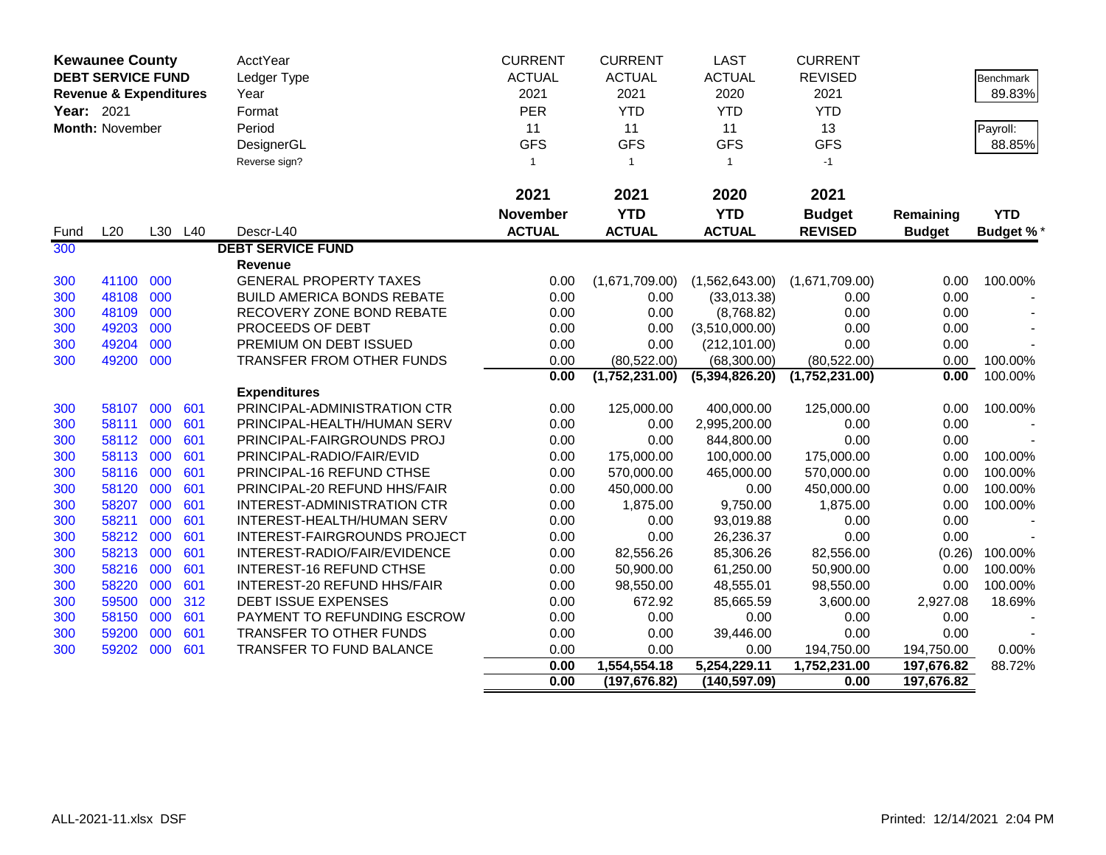|            | <b>Kewaunee County</b>            |     |         | <b>AcctYear</b>                    | <b>CURRENT</b>  | <b>CURRENT</b>                | <b>LAST</b>                   | <b>CURRENT</b>       |                          |                  |
|------------|-----------------------------------|-----|---------|------------------------------------|-----------------|-------------------------------|-------------------------------|----------------------|--------------------------|------------------|
|            | <b>DEBT SERVICE FUND</b>          |     |         | Ledger Type                        | <b>ACTUAL</b>   | <b>ACTUAL</b>                 | <b>ACTUAL</b>                 | <b>REVISED</b>       |                          | Benchmark        |
|            | <b>Revenue &amp; Expenditures</b> |     |         | Year                               | 2021            | 2021                          | 2020                          | 2021                 |                          | 89.83%           |
| Year: 2021 |                                   |     |         | Format                             | PER             | <b>YTD</b>                    | <b>YTD</b>                    | <b>YTD</b>           |                          |                  |
|            | <b>Month: November</b>            |     |         | Period                             | 11              | 11                            | 11                            | 13                   |                          | Payroll:         |
|            |                                   |     |         | DesignerGL                         | <b>GFS</b>      | <b>GFS</b>                    | <b>GFS</b>                    | <b>GFS</b>           |                          | 88.85%           |
|            |                                   |     |         | Reverse sign?                      | $\mathbf{1}$    | $\overline{1}$                | $\mathbf{1}$                  | $-1$                 |                          |                  |
|            |                                   |     |         |                                    |                 |                               |                               |                      |                          |                  |
|            |                                   |     |         |                                    | 2021            | 2021                          | 2020                          | 2021                 |                          |                  |
|            |                                   |     |         |                                    | <b>November</b> | <b>YTD</b>                    | <b>YTD</b>                    | <b>Budget</b>        | Remaining                | <b>YTD</b>       |
| Fund       | L20                               |     | L30 L40 | Descr-L40                          | <b>ACTUAL</b>   | <b>ACTUAL</b>                 | <b>ACTUAL</b>                 | <b>REVISED</b>       | <b>Budget</b>            | <b>Budget %*</b> |
| 300        |                                   |     |         | <b>DEBT SERVICE FUND</b>           |                 |                               |                               |                      |                          |                  |
|            |                                   |     |         | Revenue                            |                 |                               |                               |                      |                          |                  |
| 300        | 41100                             | 000 |         | <b>GENERAL PROPERTY TAXES</b>      | 0.00            | (1,671,709.00)                | (1,562,643.00)                | (1,671,709.00)       | 0.00                     | 100.00%          |
| 300        | 48108                             | 000 |         | <b>BUILD AMERICA BONDS REBATE</b>  | 0.00            | 0.00                          | (33,013.38)                   | 0.00                 | 0.00                     |                  |
| 300        | 48109                             | 000 |         | RECOVERY ZONE BOND REBATE          | 0.00            | 0.00                          | (8,768.82)                    | 0.00                 | 0.00                     |                  |
| 300        | 49203                             | 000 |         | PROCEEDS OF DEBT                   | 0.00            | 0.00                          | (3,510,000.00)                | 0.00                 | 0.00                     |                  |
| 300        | 49204                             | 000 |         | PREMIUM ON DEBT ISSUED             | 0.00            | 0.00                          | (212, 101.00)                 | 0.00                 | 0.00                     |                  |
| 300        | 49200                             | 000 |         | TRANSFER FROM OTHER FUNDS          | 0.00            | (80, 522.00)                  | (68,300.00)                   | (80, 522.00)         | 0.00                     | 100.00%          |
|            |                                   |     |         |                                    | 0.00            | (1,752,231.00)                | (5,394,826.20)                | (1,752,231.00)       | 0.00                     | 100.00%          |
|            |                                   |     |         | <b>Expenditures</b>                |                 |                               |                               |                      |                          |                  |
| 300        | 58107                             | 000 | 601     | PRINCIPAL-ADMINISTRATION CTR       | 0.00            | 125,000.00                    | 400,000.00                    | 125,000.00           | 0.00                     | 100.00%          |
| 300        | 58111                             | 000 | 601     | PRINCIPAL-HEALTH/HUMAN SERV        | 0.00            | 0.00                          | 2,995,200.00                  | 0.00                 | 0.00                     |                  |
| 300        | 58112                             | 000 | 601     | PRINCIPAL-FAIRGROUNDS PROJ         | 0.00            | 0.00                          | 844,800.00                    | 0.00                 | 0.00                     |                  |
| 300        | 58113                             | 000 | 601     | PRINCIPAL-RADIO/FAIR/EVID          | 0.00            | 175,000.00                    | 100,000.00                    | 175,000.00           | 0.00                     | 100.00%          |
| 300        | 58116                             | 000 | 601     | PRINCIPAL-16 REFUND CTHSE          | 0.00            | 570,000.00                    | 465,000.00                    | 570,000.00           | 0.00                     | 100.00%          |
| 300        | 58120 000                         |     | 601     | PRINCIPAL-20 REFUND HHS/FAIR       | 0.00            | 450,000.00                    | 0.00                          | 450,000.00           | 0.00                     | 100.00%          |
| 300        | 58207                             | 000 | 601     | <b>INTEREST-ADMINISTRATION CTR</b> | 0.00            | 1,875.00                      | 9,750.00                      | 1,875.00             | 0.00                     | 100.00%          |
| 300        | 58211                             | 000 | 601     | INTEREST-HEALTH/HUMAN SERV         | 0.00            | 0.00                          | 93,019.88                     | 0.00                 | 0.00                     |                  |
| 300        | 58212                             | 000 | 601     | INTEREST-FAIRGROUNDS PROJECT       | 0.00            | 0.00                          | 26,236.37                     | 0.00                 | 0.00                     |                  |
| 300        | 58213                             | 000 | 601     | INTEREST-RADIO/FAIR/EVIDENCE       | 0.00            | 82,556.26                     | 85,306.26                     | 82,556.00            | (0.26)                   | 100.00%          |
| 300        | 58216 000                         |     | 601     | <b>INTEREST-16 REFUND CTHSE</b>    | 0.00            | 50,900.00                     | 61,250.00                     | 50,900.00            | 0.00                     | 100.00%          |
| 300        | 58220                             | 000 | 601     | INTEREST-20 REFUND HHS/FAIR        | 0.00            | 98,550.00                     | 48,555.01                     | 98,550.00            | 0.00                     | 100.00%          |
| 300        | 59500                             | 000 | 312     | DEBT ISSUE EXPENSES                | 0.00            | 672.92                        | 85,665.59                     | 3,600.00             | 2,927.08                 | 18.69%           |
| 300        | 58150                             | 000 | 601     | PAYMENT TO REFUNDING ESCROW        | 0.00            | 0.00                          | 0.00                          | 0.00                 | 0.00                     |                  |
| 300        | 59200                             | 000 | 601     | TRANSFER TO OTHER FUNDS            | 0.00            | 0.00                          | 39,446.00                     | 0.00                 | 0.00                     |                  |
| 300        | 59202                             | 000 | 601     | TRANSFER TO FUND BALANCE           | 0.00            | 0.00                          | 0.00                          | 194,750.00           | 194,750.00               | 0.00%            |
|            |                                   |     |         |                                    | 0.00<br>0.00    | 1,554,554.18<br>(197, 676.82) | 5,254,229.11<br>(140, 597.09) | 1,752,231.00<br>0.00 | 197,676.82<br>197,676.82 | 88.72%           |
|            |                                   |     |         |                                    |                 |                               |                               |                      |                          |                  |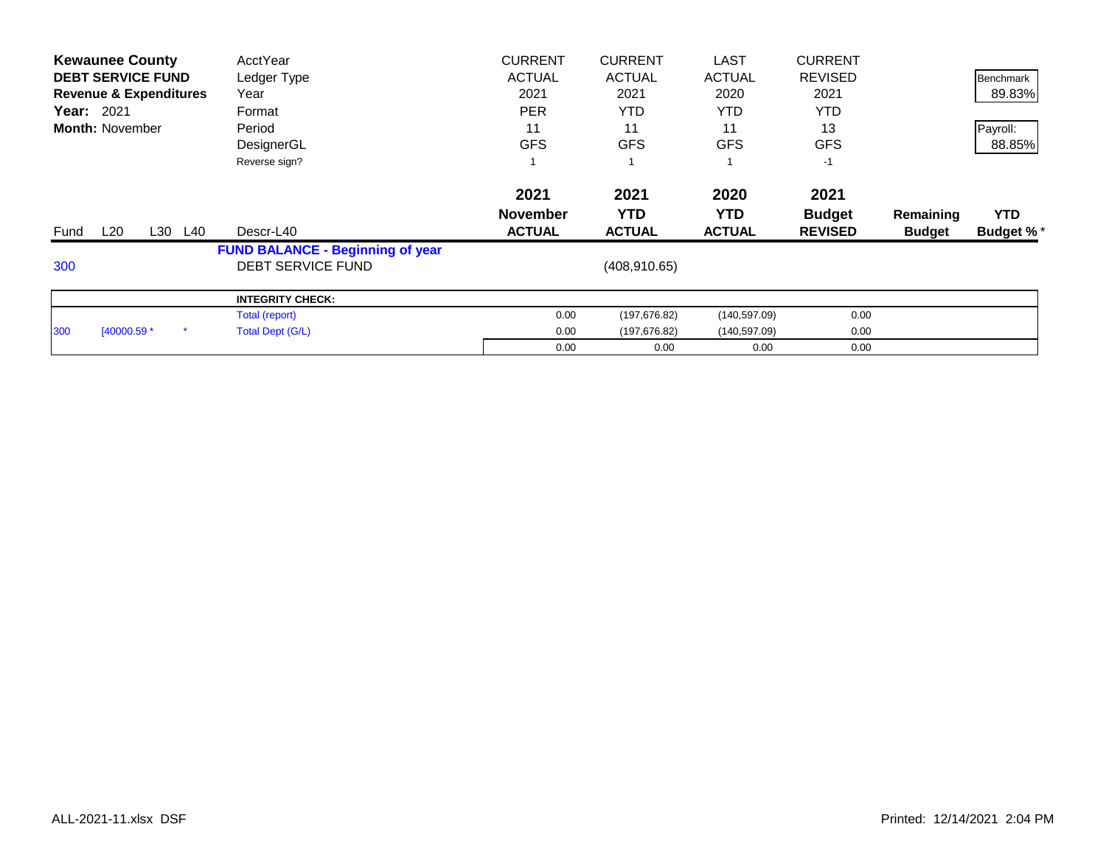| <b>Kewaunee County</b>            | AcctYear                                | <b>CURRENT</b>  | <b>CURRENT</b> | <b>LAST</b>   | <b>CURRENT</b> |               |                  |
|-----------------------------------|-----------------------------------------|-----------------|----------------|---------------|----------------|---------------|------------------|
| <b>DEBT SERVICE FUND</b>          | Ledger Type                             | <b>ACTUAL</b>   | <b>ACTUAL</b>  | <b>ACTUAL</b> | <b>REVISED</b> |               | Benchmark        |
| <b>Revenue &amp; Expenditures</b> | Year                                    | 2021            | 2021           | 2020          | 2021           |               | 89.83%           |
| <b>Year: 2021</b>                 | Format                                  | <b>PER</b>      | <b>YTD</b>     | <b>YTD</b>    | <b>YTD</b>     |               |                  |
| <b>Month: November</b>            | Period                                  | 11              | 11             | 11            | 13             |               | Payroll:         |
|                                   | DesignerGL                              | <b>GFS</b>      | <b>GFS</b>     | <b>GFS</b>    | <b>GFS</b>     |               | 88.85%           |
|                                   | Reverse sign?                           |                 |                |               | $-1$           |               |                  |
|                                   |                                         | 2021            | 2021           | 2020          | 2021           |               |                  |
|                                   |                                         | <b>November</b> | <b>YTD</b>     | YTD.          | <b>Budget</b>  | Remaining     | <b>YTD</b>       |
|                                   |                                         |                 |                |               |                |               |                  |
| L20<br>L30<br>L40<br>Fund         | Descr-L40                               | <b>ACTUAL</b>   | <b>ACTUAL</b>  | <b>ACTUAL</b> | <b>REVISED</b> | <b>Budget</b> | <b>Budget %*</b> |
|                                   | <b>FUND BALANCE - Beginning of year</b> |                 |                |               |                |               |                  |
| 300                               | <b>DEBT SERVICE FUND</b>                |                 | (408, 910.65)  |               |                |               |                  |
|                                   | <b>INTEGRITY CHECK:</b>                 |                 |                |               |                |               |                  |
|                                   | Total (report)                          | 0.00            | (197, 676.82)  | (140, 597.09) | 0.00           |               |                  |
| [40000.59 *<br>300                | Total Dept (G/L)                        | 0.00            | (197, 676.82)  | (140, 597.09) | 0.00           |               |                  |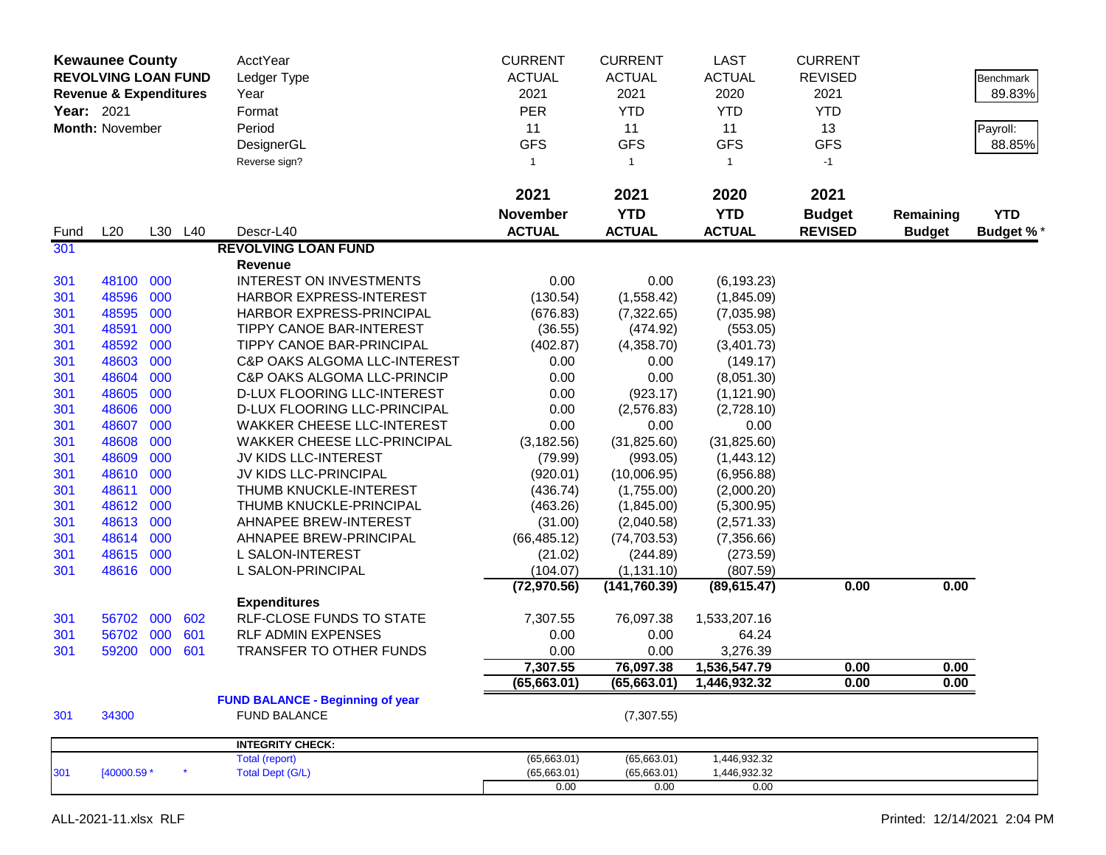|             | <b>Kewaunee County</b><br><b>REVOLVING LOAN FUND</b><br><b>Revenue &amp; Expenditures</b><br>Year: 2021<br><b>Month: November</b> |     |         | AcctYear<br>Ledger Type<br>Year<br>Format<br>Period<br>DesignerGL<br>Reverse sign? | <b>CURRENT</b><br><b>ACTUAL</b><br>2021<br><b>PER</b><br>11<br><b>GFS</b><br>$\mathbf{1}$ | <b>CURRENT</b><br><b>ACTUAL</b><br>2021<br><b>YTD</b><br>11<br><b>GFS</b><br>$\overline{1}$ | <b>LAST</b><br><b>ACTUAL</b><br>2020<br><b>YTD</b><br>11<br><b>GFS</b><br>$\mathbf{1}$ | <b>CURRENT</b><br><b>REVISED</b><br>2021<br><b>YTD</b><br>13<br><b>GFS</b><br>$-1$ |               | Benchmark<br>89.83%<br>Payroll:<br>88.85% |
|-------------|-----------------------------------------------------------------------------------------------------------------------------------|-----|---------|------------------------------------------------------------------------------------|-------------------------------------------------------------------------------------------|---------------------------------------------------------------------------------------------|----------------------------------------------------------------------------------------|------------------------------------------------------------------------------------|---------------|-------------------------------------------|
|             |                                                                                                                                   |     |         |                                                                                    | 2021                                                                                      | 2021                                                                                        | 2020                                                                                   | 2021                                                                               |               |                                           |
|             |                                                                                                                                   |     |         | Descr-L40                                                                          | <b>November</b>                                                                           | <b>YTD</b>                                                                                  | <b>YTD</b>                                                                             | <b>Budget</b>                                                                      | Remaining     | <b>YTD</b>                                |
| Fund<br>301 | L20                                                                                                                               |     | L30 L40 | <b>REVOLVING LOAN FUND</b>                                                         | <b>ACTUAL</b>                                                                             | <b>ACTUAL</b>                                                                               | <b>ACTUAL</b>                                                                          | <b>REVISED</b>                                                                     | <b>Budget</b> | <b>Budget %*</b>                          |
|             |                                                                                                                                   |     |         | Revenue                                                                            |                                                                                           |                                                                                             |                                                                                        |                                                                                    |               |                                           |
| 301         | 48100 000                                                                                                                         |     |         | <b>INTEREST ON INVESTMENTS</b>                                                     | 0.00                                                                                      | 0.00                                                                                        | (6, 193.23)                                                                            |                                                                                    |               |                                           |
| 301         | 48596                                                                                                                             | 000 |         | HARBOR EXPRESS-INTEREST                                                            | (130.54)                                                                                  | (1,558.42)                                                                                  | (1,845.09)                                                                             |                                                                                    |               |                                           |
| 301         | 48595                                                                                                                             | 000 |         | HARBOR EXPRESS-PRINCIPAL                                                           | (676.83)                                                                                  | (7,322.65)                                                                                  | (7,035.98)                                                                             |                                                                                    |               |                                           |
| 301         | 48591                                                                                                                             | 000 |         | <b>TIPPY CANOE BAR-INTEREST</b>                                                    | (36.55)                                                                                   | (474.92)                                                                                    | (553.05)                                                                               |                                                                                    |               |                                           |
| 301         | 48592                                                                                                                             | 000 |         | TIPPY CANOE BAR-PRINCIPAL                                                          | (402.87)                                                                                  | (4,358.70)                                                                                  | (3,401.73)                                                                             |                                                                                    |               |                                           |
| 301         | 48603                                                                                                                             | 000 |         | C&P OAKS ALGOMA LLC-INTEREST                                                       | 0.00                                                                                      | 0.00                                                                                        | (149.17)                                                                               |                                                                                    |               |                                           |
| 301         | 48604                                                                                                                             | 000 |         | <b>C&amp;P OAKS ALGOMA LLC-PRINCIP</b>                                             | 0.00                                                                                      | 0.00                                                                                        | (8,051.30)                                                                             |                                                                                    |               |                                           |
| 301         | 48605                                                                                                                             | 000 |         | D-LUX FLOORING LLC-INTEREST                                                        | 0.00                                                                                      | (923.17)                                                                                    | (1, 121.90)                                                                            |                                                                                    |               |                                           |
| 301         | 48606                                                                                                                             | 000 |         | D-LUX FLOORING LLC-PRINCIPAL                                                       | 0.00                                                                                      | (2,576.83)                                                                                  | (2,728.10)                                                                             |                                                                                    |               |                                           |
| 301         | 48607                                                                                                                             | 000 |         | <b>WAKKER CHEESE LLC-INTEREST</b>                                                  | 0.00                                                                                      | 0.00                                                                                        | 0.00                                                                                   |                                                                                    |               |                                           |
| 301         | 48608                                                                                                                             | 000 |         | <b>WAKKER CHEESE LLC-PRINCIPAL</b>                                                 | (3, 182.56)                                                                               | (31, 825.60)                                                                                | (31, 825.60)                                                                           |                                                                                    |               |                                           |
| 301         | 48609                                                                                                                             | 000 |         | JV KIDS LLC-INTEREST                                                               | (79.99)                                                                                   | (993.05)                                                                                    | (1,443.12)                                                                             |                                                                                    |               |                                           |
| 301         | 48610                                                                                                                             | 000 |         | JV KIDS LLC-PRINCIPAL                                                              | (920.01)                                                                                  | (10,006.95)                                                                                 | (6,956.88)                                                                             |                                                                                    |               |                                           |
| 301         | 48611                                                                                                                             | 000 |         | THUMB KNUCKLE-INTEREST                                                             | (436.74)                                                                                  | (1,755.00)                                                                                  | (2,000.20)                                                                             |                                                                                    |               |                                           |
| 301         | 48612                                                                                                                             | 000 |         | THUMB KNUCKLE-PRINCIPAL                                                            | (463.26)                                                                                  | (1,845.00)                                                                                  | (5,300.95)                                                                             |                                                                                    |               |                                           |
| 301         | 48613                                                                                                                             | 000 |         | AHNAPEE BREW-INTEREST                                                              | (31.00)                                                                                   | (2,040.58)                                                                                  | (2,571.33)                                                                             |                                                                                    |               |                                           |
| 301         | 48614                                                                                                                             | 000 |         | AHNAPEE BREW-PRINCIPAL                                                             | (66, 485.12)                                                                              | (74, 703.53)                                                                                | (7,356.66)                                                                             |                                                                                    |               |                                           |
| 301         | 48615                                                                                                                             | 000 |         | L SALON-INTEREST                                                                   | (21.02)                                                                                   | (244.89)                                                                                    | (273.59)                                                                               |                                                                                    |               |                                           |
| 301         | 48616 000                                                                                                                         |     |         | L SALON-PRINCIPAL                                                                  | (104.07)                                                                                  | (1, 131.10)                                                                                 | (807.59)                                                                               |                                                                                    |               |                                           |
|             |                                                                                                                                   |     |         |                                                                                    | (72, 970.56)                                                                              | (141, 760.39)                                                                               | (89, 615.47)                                                                           | 0.00                                                                               | 0.00          |                                           |
|             |                                                                                                                                   |     |         | <b>Expenditures</b>                                                                |                                                                                           |                                                                                             |                                                                                        |                                                                                    |               |                                           |
| 301         | 56702                                                                                                                             | 000 | 602     | <b>RLF-CLOSE FUNDS TO STATE</b>                                                    | 7,307.55                                                                                  | 76,097.38                                                                                   | 1,533,207.16                                                                           |                                                                                    |               |                                           |
| 301         | 56702                                                                                                                             | 000 | 601     | <b>RLF ADMIN EXPENSES</b>                                                          | 0.00                                                                                      | 0.00                                                                                        | 64.24                                                                                  |                                                                                    |               |                                           |
| 301         | 59200                                                                                                                             | 000 | 601     | TRANSFER TO OTHER FUNDS                                                            | 0.00                                                                                      | 0.00                                                                                        | 3,276.39                                                                               |                                                                                    |               |                                           |
|             |                                                                                                                                   |     |         |                                                                                    | 7,307.55                                                                                  | 76,097.38                                                                                   | 1,536,547.79                                                                           | 0.00                                                                               | 0.00          |                                           |
|             |                                                                                                                                   |     |         |                                                                                    | (65, 663.01)                                                                              | (65, 663.01)                                                                                | 1,446,932.32                                                                           | 0.00                                                                               | 0.00          |                                           |
| 301         | 34300                                                                                                                             |     |         | <b>FUND BALANCE - Beginning of year</b><br><b>FUND BALANCE</b>                     |                                                                                           | (7,307.55)                                                                                  |                                                                                        |                                                                                    |               |                                           |
|             |                                                                                                                                   |     |         | <b>INTEGRITY CHECK:</b>                                                            |                                                                                           |                                                                                             |                                                                                        |                                                                                    |               |                                           |
|             |                                                                                                                                   |     | $\star$ | Total (report)                                                                     | (65,663.01)                                                                               | (65,663.01)                                                                                 | 1,446,932.32                                                                           |                                                                                    |               |                                           |
| 301         | [40000.59 *                                                                                                                       |     |         | <b>Total Dept (G/L)</b>                                                            | (65,663.01)<br>0.00                                                                       | (65, 663.01)<br>0.00                                                                        | 1,446,932.32<br>0.00                                                                   |                                                                                    |               |                                           |
|             |                                                                                                                                   |     |         |                                                                                    |                                                                                           |                                                                                             |                                                                                        |                                                                                    |               |                                           |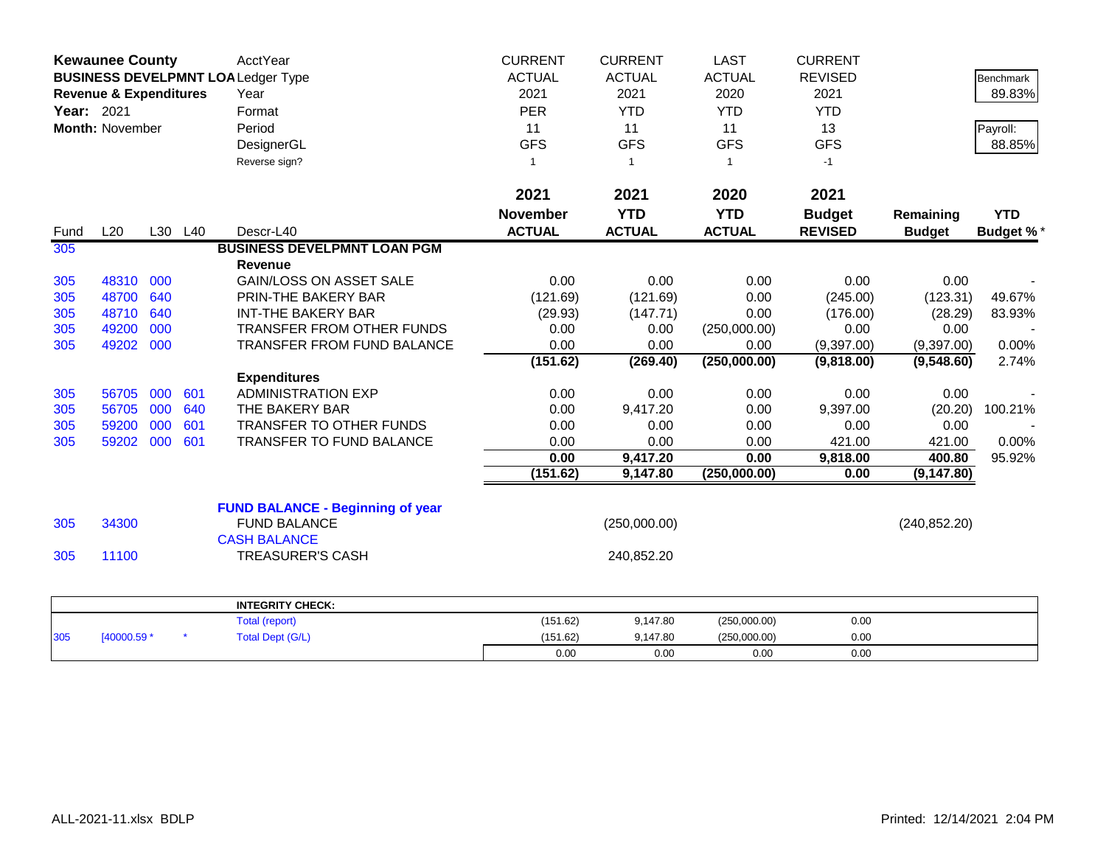|            | <b>Kewaunee County</b>            |     |         | AcctYear                                  | <b>CURRENT</b>  | <b>CURRENT</b> | <b>LAST</b>   | <b>CURRENT</b> |               |                  |
|------------|-----------------------------------|-----|---------|-------------------------------------------|-----------------|----------------|---------------|----------------|---------------|------------------|
|            |                                   |     |         | <b>BUSINESS DEVELPMNT LOA Ledger Type</b> | <b>ACTUAL</b>   | <b>ACTUAL</b>  | <b>ACTUAL</b> | <b>REVISED</b> |               | Benchmark        |
|            | <b>Revenue &amp; Expenditures</b> |     |         | Year                                      | 2021            | 2021           | 2020          | 2021           |               | 89.83%           |
| Year: 2021 |                                   |     |         | Format                                    | <b>PER</b>      | <b>YTD</b>     | <b>YTD</b>    | <b>YTD</b>     |               |                  |
|            | Month: November                   |     |         | Period                                    | 11              | 11             | 11            | 13             |               | Payroll:         |
|            |                                   |     |         | DesignerGL                                | <b>GFS</b>      | <b>GFS</b>     | <b>GFS</b>    | <b>GFS</b>     |               | 88.85%           |
|            |                                   |     |         | Reverse sign?                             | $\mathbf{1}$    | $\overline{1}$ | $\mathbf{1}$  | $-1$           |               |                  |
|            |                                   |     |         |                                           |                 |                |               |                |               |                  |
|            |                                   |     |         |                                           | 2021            | 2021           | 2020          | 2021           |               |                  |
|            |                                   |     |         |                                           | <b>November</b> | <b>YTD</b>     | <b>YTD</b>    | <b>Budget</b>  | Remaining     | <b>YTD</b>       |
| Fund       | L20                               |     | L30 L40 | Descr-L40                                 | <b>ACTUAL</b>   | <b>ACTUAL</b>  | <b>ACTUAL</b> | <b>REVISED</b> | <b>Budget</b> | <b>Budget %*</b> |
| 305        |                                   |     |         | <b>BUSINESS DEVELPMNT LOAN PGM</b>        |                 |                |               |                |               |                  |
|            |                                   |     |         | <b>Revenue</b>                            |                 |                |               |                |               |                  |
| 305        | 48310                             | 000 |         | <b>GAIN/LOSS ON ASSET SALE</b>            | 0.00            | 0.00           | 0.00          | 0.00           | 0.00          |                  |
| 305        | 48700                             | 640 |         | PRIN-THE BAKERY BAR                       | (121.69)        | (121.69)       | 0.00          | (245.00)       | (123.31)      | 49.67%           |
| 305        | 48710                             | 640 |         | <b>INT-THE BAKERY BAR</b>                 | (29.93)         | (147.71)       | 0.00          | (176.00)       | (28.29)       | 83.93%           |
| 305        | 49200                             | 000 |         | TRANSFER FROM OTHER FUNDS                 | 0.00            | 0.00           | (250,000.00)  | 0.00           | 0.00          |                  |
| 305        | 49202                             | 000 |         | TRANSFER FROM FUND BALANCE                | 0.00            | 0.00           | 0.00          | (9,397.00)     | (9,397.00)    | 0.00%            |
|            |                                   |     |         |                                           | (151.62)        | (269.40)       | (250,000.00)  | (9,818.00)     | (9,548.60)    | 2.74%            |
|            |                                   |     |         | <b>Expenditures</b>                       |                 |                |               |                |               |                  |
| 305        | 56705                             | 000 | 601     | <b>ADMINISTRATION EXP</b>                 | 0.00            | 0.00           | 0.00          | 0.00           | 0.00          |                  |
| 305        | 56705                             | 000 | 640     | THE BAKERY BAR                            | 0.00            | 9,417.20       | 0.00          | 9,397.00       | (20.20)       | 100.21%          |
| 305        | 59200                             | 000 | 601     | TRANSFER TO OTHER FUNDS                   | 0.00            | 0.00           | 0.00          | 0.00           | 0.00          |                  |
| 305        | 59202                             | 000 | 601     | TRANSFER TO FUND BALANCE                  | 0.00            | 0.00           | 0.00          | 421.00         | 421.00        | 0.00%            |
|            |                                   |     |         |                                           | 0.00            | 9,417.20       | 0.00          | 9,818.00       | 400.80        | 95.92%           |
|            |                                   |     |         |                                           | (151.62)        | 9,147.80       | (250,000.00)  | 0.00           | (9, 147.80)   |                  |
|            |                                   |     |         | <b>FUND BALANCE - Beginning of year</b>   |                 |                |               |                |               |                  |
| 305        | 34300                             |     |         | <b>FUND BALANCE</b>                       |                 | (250,000.00)   |               |                | (240, 852.20) |                  |
|            |                                   |     |         | <b>CASH BALANCE</b>                       |                 |                |               |                |               |                  |
| 305        | 11100                             |     |         | <b>TREASURER'S CASH</b>                   |                 | 240,852.20     |               |                |               |                  |
|            |                                   |     |         |                                           |                 |                |               |                |               |                  |
|            |                                   |     |         | <b>INTEGRITY CHECK:</b>                   |                 |                |               |                |               |                  |
|            |                                   |     |         | <b>Total (report)</b>                     | (151.62)        | 9,147.80       | (250,000.00)  | 0.00           |               |                  |
| 305        | [40000.59 *                       |     |         | <b>Total Dept (G/L)</b>                   | (151.62)        | 9,147.80       | (250,000.00)  | 0.00           |               |                  |
|            |                                   |     |         |                                           | 0.00            | 0.00           | 0.00          | 0.00           |               |                  |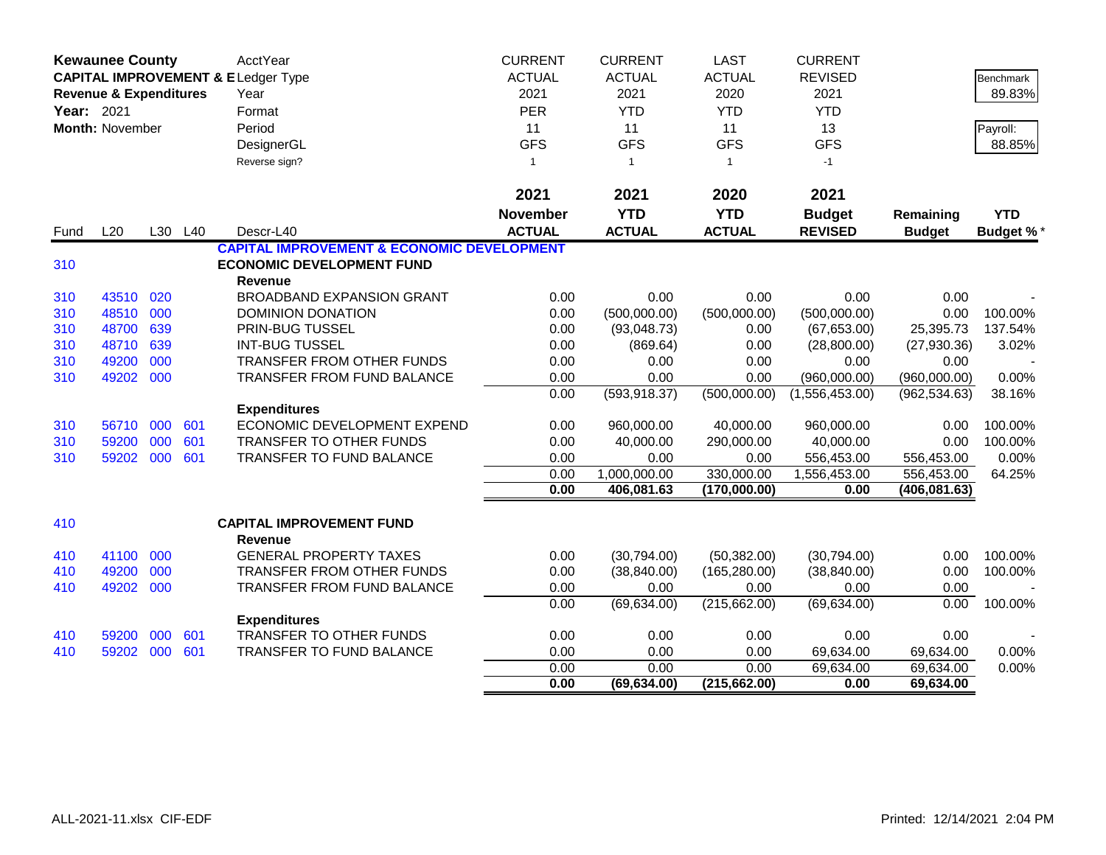|            | <b>Kewaunee County</b>            |     |         | AcctYear                                              | <b>CURRENT</b>  | <b>CURRENT</b> | <b>LAST</b>   | <b>CURRENT</b> |               |                  |
|------------|-----------------------------------|-----|---------|-------------------------------------------------------|-----------------|----------------|---------------|----------------|---------------|------------------|
|            |                                   |     |         | <b>CAPITAL IMPROVEMENT &amp; ELedger Type</b>         | <b>ACTUAL</b>   | <b>ACTUAL</b>  | <b>ACTUAL</b> | <b>REVISED</b> |               | Benchmark        |
|            | <b>Revenue &amp; Expenditures</b> |     |         | Year                                                  | 2021            | 2021           | 2020          | 2021           |               | 89.83%           |
| Year: 2021 |                                   |     |         | Format                                                | PER             | <b>YTD</b>     | <b>YTD</b>    | <b>YTD</b>     |               |                  |
|            | Month: November                   |     |         | Period                                                | 11              | 11             | 11            | 13             |               | Payroll:         |
|            |                                   |     |         | DesignerGL                                            | <b>GFS</b>      | <b>GFS</b>     | <b>GFS</b>    | <b>GFS</b>     |               | 88.85%           |
|            |                                   |     |         | Reverse sign?                                         | $\mathbf{1}$    | $\overline{1}$ | $\mathbf{1}$  | $-1$           |               |                  |
|            |                                   |     |         |                                                       |                 |                |               |                |               |                  |
|            |                                   |     |         |                                                       | 2021            | 2021           | 2020          | 2021           |               |                  |
|            |                                   |     |         |                                                       | <b>November</b> | <b>YTD</b>     | <b>YTD</b>    | <b>Budget</b>  | Remaining     | <b>YTD</b>       |
| Fund       | L20                               |     | L30 L40 | Descr-L40                                             | <b>ACTUAL</b>   | <b>ACTUAL</b>  | <b>ACTUAL</b> | <b>REVISED</b> | <b>Budget</b> | <b>Budget %*</b> |
|            |                                   |     |         | <b>CAPITAL IMPROVEMENT &amp; ECONOMIC DEVELOPMENT</b> |                 |                |               |                |               |                  |
| 310        |                                   |     |         | <b>ECONOMIC DEVELOPMENT FUND</b>                      |                 |                |               |                |               |                  |
|            |                                   |     |         | Revenue                                               |                 |                |               |                |               |                  |
| 310        | 43510                             | 020 |         | <b>BROADBAND EXPANSION GRANT</b>                      | 0.00            | 0.00           | 0.00          | 0.00           | 0.00          |                  |
| 310        | 48510                             | 000 |         | DOMINION DONATION                                     | 0.00            | (500,000.00)   | (500,000.00)  | (500,000.00)   | 0.00          | 100.00%          |
| 310        | 48700                             | 639 |         | PRIN-BUG TUSSEL                                       | 0.00            | (93,048.73)    | 0.00          | (67, 653.00)   | 25,395.73     | 137.54%          |
| 310        | 48710                             | 639 |         | <b>INT-BUG TUSSEL</b>                                 | 0.00            | (869.64)       | 0.00          | (28,800.00)    | (27,930.36)   | 3.02%            |
| 310        | 49200                             | 000 |         | TRANSFER FROM OTHER FUNDS                             | 0.00            | 0.00           | 0.00          | 0.00           | 0.00          |                  |
| 310        | 49202                             | 000 |         | <b>TRANSFER FROM FUND BALANCE</b>                     | 0.00            | 0.00           | 0.00          | (960,000.00)   | (960,000.00)  | 0.00%            |
|            |                                   |     |         |                                                       | 0.00            | (593, 918.37)  | (500,000.00)  | (1,556,453.00) | (962, 534.63) | 38.16%           |
|            |                                   |     |         | <b>Expenditures</b>                                   |                 |                |               |                |               |                  |
| 310        | 56710                             | 000 | 601     | ECONOMIC DEVELOPMENT EXPEND                           | 0.00            | 960,000.00     | 40,000.00     | 960,000.00     | 0.00          | 100.00%          |
| 310        | 59200                             | 000 | 601     | <b>TRANSFER TO OTHER FUNDS</b>                        | 0.00            | 40,000.00      | 290,000.00    | 40,000.00      | 0.00          | 100.00%          |
| 310        | 59202 000                         |     | 601     | TRANSFER TO FUND BALANCE                              | 0.00            | 0.00           | 0.00          | 556,453.00     | 556,453.00    | 0.00%            |
|            |                                   |     |         |                                                       | 0.00            | 1,000,000.00   | 330,000.00    | 1,556,453.00   | 556,453.00    | 64.25%           |
|            |                                   |     |         |                                                       | 0.00            | 406,081.63     | (170,000.00)  | 0.00           | (406, 081.63) |                  |
| 410        |                                   |     |         | <b>CAPITAL IMPROVEMENT FUND</b>                       |                 |                |               |                |               |                  |
|            |                                   |     |         | Revenue                                               |                 |                |               |                |               |                  |
| 410        | 41100                             | 000 |         | <b>GENERAL PROPERTY TAXES</b>                         | 0.00            | (30,794.00)    | (50, 382.00)  | (30,794.00)    | 0.00          | 100.00%          |
| 410        | 49200                             | 000 |         | TRANSFER FROM OTHER FUNDS                             | 0.00            | (38, 840.00)   | (165, 280.00) | (38, 840.00)   | 0.00          | 100.00%          |
| 410        | 49202                             | 000 |         | TRANSFER FROM FUND BALANCE                            | 0.00            | 0.00           | 0.00          | 0.00           | 0.00          |                  |
|            |                                   |     |         |                                                       | 0.00            | (69, 634.00)   | (215, 662.00) | (69, 634.00)   | 0.00          | 100.00%          |
|            |                                   |     |         | <b>Expenditures</b>                                   |                 |                |               |                |               |                  |
| 410        | 59200                             | 000 | 601     | TRANSFER TO OTHER FUNDS                               | 0.00            | 0.00           | 0.00          | 0.00           | 0.00          |                  |
| 410        | 59202                             | 000 | 601     | <b>TRANSFER TO FUND BALANCE</b>                       | 0.00            | 0.00           | 0.00          | 69,634.00      | 69,634.00     | 0.00%            |
|            |                                   |     |         |                                                       | 0.00            | 0.00           | 0.00          | 69,634.00      | 69,634.00     | 0.00%            |
|            |                                   |     |         |                                                       | 0.00            | (69, 634.00)   | (215, 662.00) | 0.00           | 69,634.00     |                  |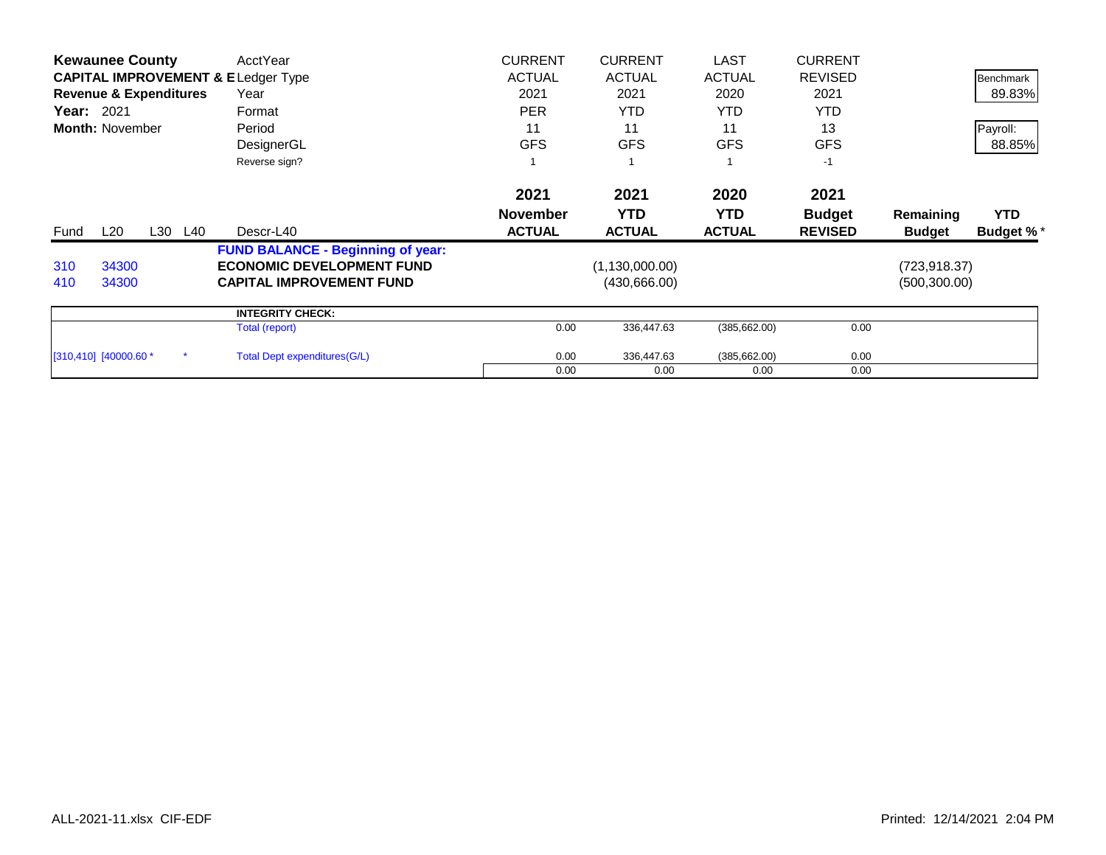|                            | <b>Kewaunee County</b>            |         | AcctYear                                      | <b>CURRENT</b>  | <b>CURRENT</b>   | <b>LAST</b>   | <b>CURRENT</b> |               |                  |
|----------------------------|-----------------------------------|---------|-----------------------------------------------|-----------------|------------------|---------------|----------------|---------------|------------------|
|                            |                                   |         | <b>CAPITAL IMPROVEMENT &amp; ELedger Type</b> | <b>ACTUAL</b>   | <b>ACTUAL</b>    | <b>ACTUAL</b> | <b>REVISED</b> |               | Benchmark        |
|                            | <b>Revenue &amp; Expenditures</b> |         | Year                                          | 2021            | 2021             | 2020          | 2021           |               | 89.83%           |
| <b>Year: 2021</b>          |                                   |         | Format                                        | <b>PER</b>      | <b>YTD</b>       | YTD.          | <b>YTD</b>     |               |                  |
|                            | <b>Month: November</b>            |         | Period                                        | 11              | 11               | 11            | 13             |               | Payroll:         |
|                            |                                   |         | DesignerGL                                    | <b>GFS</b>      | <b>GFS</b>       | <b>GFS</b>    | <b>GFS</b>     |               | 88.85%           |
|                            |                                   |         | Reverse sign?                                 |                 |                  |               | $-1$           |               |                  |
|                            |                                   |         |                                               | 2021            | 2021             | 2020          | 2021           |               |                  |
|                            |                                   |         |                                               | <b>November</b> | <b>YTD</b>       | <b>YTD</b>    | <b>Budget</b>  | Remaining     | <b>YTD</b>       |
| Fund                       | L20                               | L30 L40 | Descr-L40                                     | <b>ACTUAL</b>   | <b>ACTUAL</b>    | <b>ACTUAL</b> | <b>REVISED</b> | <b>Budget</b> | <b>Budget %*</b> |
|                            |                                   |         | <b>FUND BALANCE - Beginning of year:</b>      |                 |                  |               |                |               |                  |
| 310                        | 34300                             |         | <b>ECONOMIC DEVELOPMENT FUND</b>              |                 | (1, 130, 000.00) |               |                | (723, 918.37) |                  |
| 410                        | 34300                             |         | <b>CAPITAL IMPROVEMENT FUND</b>               |                 | (430,666.00)     |               |                | (500, 300.00) |                  |
|                            |                                   |         | <b>INTEGRITY CHECK:</b>                       |                 |                  |               |                |               |                  |
|                            |                                   |         | Total (report)                                | 0.00            | 336,447.63       | (385, 662.00) | 0.00           |               |                  |
| $[310, 410]$ $[40000.60 *$ |                                   |         | <b>Total Dept expenditures (G/L)</b>          | 0.00            | 336,447.63       | (385, 662.00) | 0.00           |               |                  |
|                            |                                   |         |                                               | 0.00            | 0.00             | 0.00          | 0.00           |               |                  |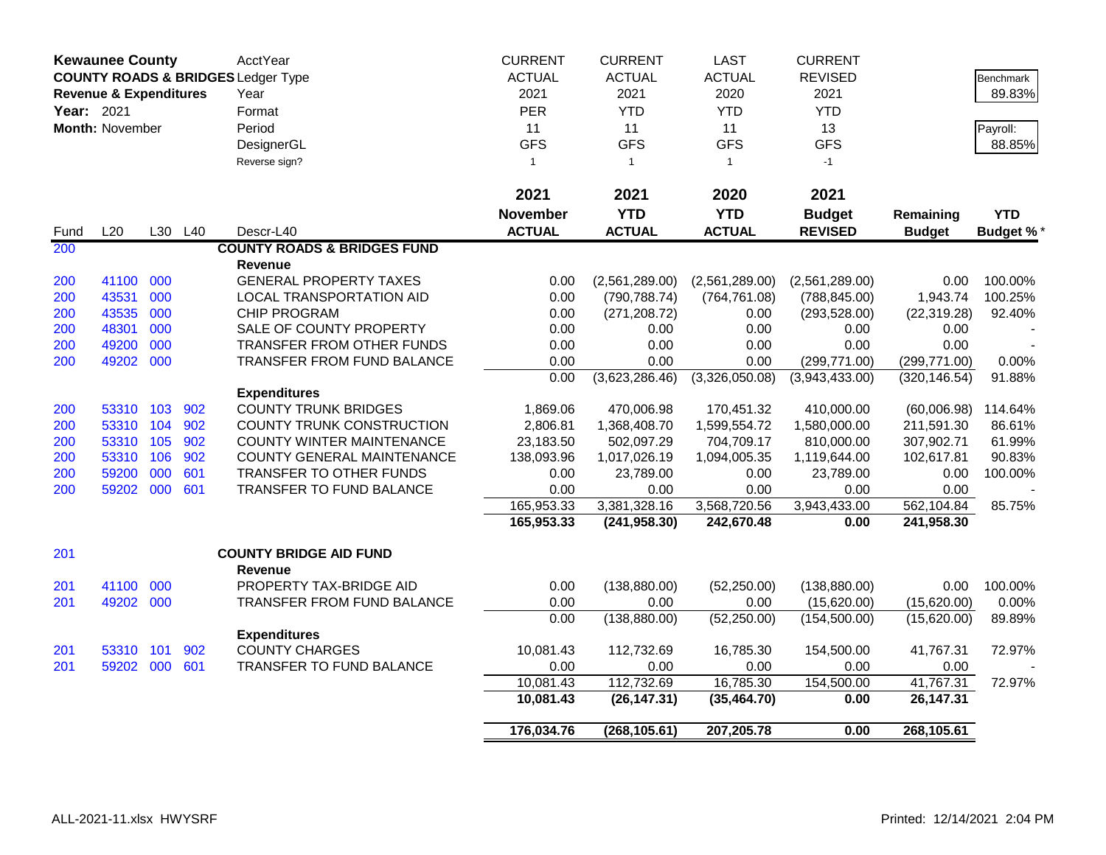|            | <b>Kewaunee County</b>            |     |         | <b>AcctYear</b>                               | <b>CURRENT</b> | <b>CURRENT</b> | <b>LAST</b>    | <b>CURRENT</b> |               |                  |
|------------|-----------------------------------|-----|---------|-----------------------------------------------|----------------|----------------|----------------|----------------|---------------|------------------|
|            |                                   |     |         | <b>COUNTY ROADS &amp; BRIDGES Ledger Type</b> | <b>ACTUAL</b>  | <b>ACTUAL</b>  | <b>ACTUAL</b>  | <b>REVISED</b> |               | Benchmark        |
|            | <b>Revenue &amp; Expenditures</b> |     |         | Year                                          | 2021           | 2021           | 2020           | 2021           |               | 89.83%           |
| Year: 2021 |                                   |     |         | Format                                        | <b>PER</b>     | <b>YTD</b>     | <b>YTD</b>     | <b>YTD</b>     |               |                  |
|            | Month: November                   |     |         | Period                                        | 11             | 11             | 11             | 13             |               | Payroll:         |
|            |                                   |     |         | DesignerGL                                    | <b>GFS</b>     | <b>GFS</b>     | <b>GFS</b>     | <b>GFS</b>     |               | 88.85%           |
|            |                                   |     |         | Reverse sign?                                 | $\mathbf{1}$   | $\overline{1}$ | $\mathbf{1}$   | $-1$           |               |                  |
|            |                                   |     |         |                                               |                |                |                |                |               |                  |
|            |                                   |     |         |                                               | 2021           | 2021           | 2020           | 2021           |               |                  |
|            |                                   |     |         |                                               | November       | <b>YTD</b>     | <b>YTD</b>     | <b>Budget</b>  | Remaining     | <b>YTD</b>       |
| Fund       | L20                               |     | L30 L40 | Descr-L40                                     | <b>ACTUAL</b>  | <b>ACTUAL</b>  | <b>ACTUAL</b>  | <b>REVISED</b> | <b>Budget</b> | <b>Budget %*</b> |
| 200        |                                   |     |         | <b>COUNTY ROADS &amp; BRIDGES FUND</b>        |                |                |                |                |               |                  |
|            |                                   |     |         | Revenue                                       |                |                |                |                |               |                  |
| 200        | 41100                             | 000 |         | <b>GENERAL PROPERTY TAXES</b>                 | 0.00           | (2,561,289.00) | (2,561,289.00) | (2,561,289.00) | 0.00          | 100.00%          |
| 200        | 43531                             | 000 |         | LOCAL TRANSPORTATION AID                      | 0.00           | (790, 788.74)  | (764, 761.08)  | (788, 845.00)  | 1,943.74      | 100.25%          |
| 200        | 43535                             | 000 |         | CHIP PROGRAM                                  | 0.00           | (271, 208.72)  | 0.00           | (293, 528.00)  | (22, 319.28)  | 92.40%           |
| 200        | 48301                             | 000 |         | SALE OF COUNTY PROPERTY                       | 0.00           | 0.00           | 0.00           | 0.00           | 0.00          |                  |
| 200        | 49200                             | 000 |         | TRANSFER FROM OTHER FUNDS                     | 0.00           | 0.00           | 0.00           | 0.00           | 0.00          |                  |
| 200        | 49202 000                         |     |         | TRANSFER FROM FUND BALANCE                    | 0.00           | 0.00           | 0.00           | (299, 771.00)  | (299, 771.00) | $0.00\%$         |
|            |                                   |     |         |                                               | 0.00           | (3,623,286.46) | (3,326,050.08) | (3,943,433.00) | (320, 146.54) | 91.88%           |
|            |                                   |     |         | <b>Expenditures</b>                           |                |                |                |                |               |                  |
| 200        | 53310 103                         |     | 902     | <b>COUNTY TRUNK BRIDGES</b>                   | 1,869.06       | 470,006.98     | 170,451.32     | 410,000.00     | (60,006.98)   | 114.64%          |
| 200        | 53310 104                         |     | 902     | COUNTY TRUNK CONSTRUCTION                     | 2,806.81       | 1,368,408.70   | 1,599,554.72   | 1,580,000.00   | 211,591.30    | 86.61%           |
| 200        | 53310 105                         |     | 902     | COUNTY WINTER MAINTENANCE                     | 23,183.50      | 502,097.29     | 704,709.17     | 810,000.00     | 307,902.71    | 61.99%           |
| 200        | 53310 106                         |     | 902     | COUNTY GENERAL MAINTENANCE                    | 138,093.96     | 1,017,026.19   | 1,094,005.35   | 1,119,644.00   | 102,617.81    | 90.83%           |
| 200        | 59200                             | 000 | 601     | TRANSFER TO OTHER FUNDS                       | 0.00           | 23,789.00      | 0.00           | 23,789.00      | 0.00          | 100.00%          |
| 200        | 59202 000                         |     | 601     | TRANSFER TO FUND BALANCE                      | 0.00           | 0.00           | 0.00           | 0.00           | 0.00          |                  |
|            |                                   |     |         |                                               | 165,953.33     | 3,381,328.16   | 3,568,720.56   | 3,943,433.00   | 562,104.84    | 85.75%           |
|            |                                   |     |         |                                               | 165,953.33     | (241, 958.30)  | 242,670.48     | 0.00           | 241,958.30    |                  |
| 201        |                                   |     |         | <b>COUNTY BRIDGE AID FUND</b>                 |                |                |                |                |               |                  |
|            |                                   |     |         | <b>Revenue</b>                                |                |                |                |                |               |                  |
| 201        | 41100                             | 000 |         | PROPERTY TAX-BRIDGE AID                       | 0.00           | (138, 880.00)  | (52, 250.00)   | (138, 880.00)  | 0.00          | 100.00%          |
| 201        | 49202 000                         |     |         | TRANSFER FROM FUND BALANCE                    | 0.00           | 0.00           | 0.00           | (15,620.00)    | (15,620.00)   | 0.00%            |
|            |                                   |     |         |                                               | 0.00           | (138, 880.00)  | (52, 250.00)   | (154, 500.00)  | (15,620.00)   | 89.89%           |
|            |                                   |     |         | <b>Expenditures</b>                           |                |                |                |                |               |                  |
| 201        | 53310 101                         |     | 902     | <b>COUNTY CHARGES</b>                         | 10,081.43      | 112,732.69     | 16,785.30      | 154,500.00     | 41,767.31     | 72.97%           |
| 201        | 59202 000                         |     | 601     | <b>TRANSFER TO FUND BALANCE</b>               | 0.00           | 0.00           | 0.00           | 0.00           | 0.00          |                  |
|            |                                   |     |         |                                               | 10,081.43      | 112,732.69     | 16,785.30      | 154,500.00     | 41,767.31     | 72.97%           |
|            |                                   |     |         |                                               | 10,081.43      | (26, 147.31)   | (35, 464.70)   | 0.00           | 26,147.31     |                  |
|            |                                   |     |         |                                               | 176,034.76     | (268, 105.61)  | 207,205.78     | 0.00           | 268,105.61    |                  |
|            |                                   |     |         |                                               |                |                |                |                |               |                  |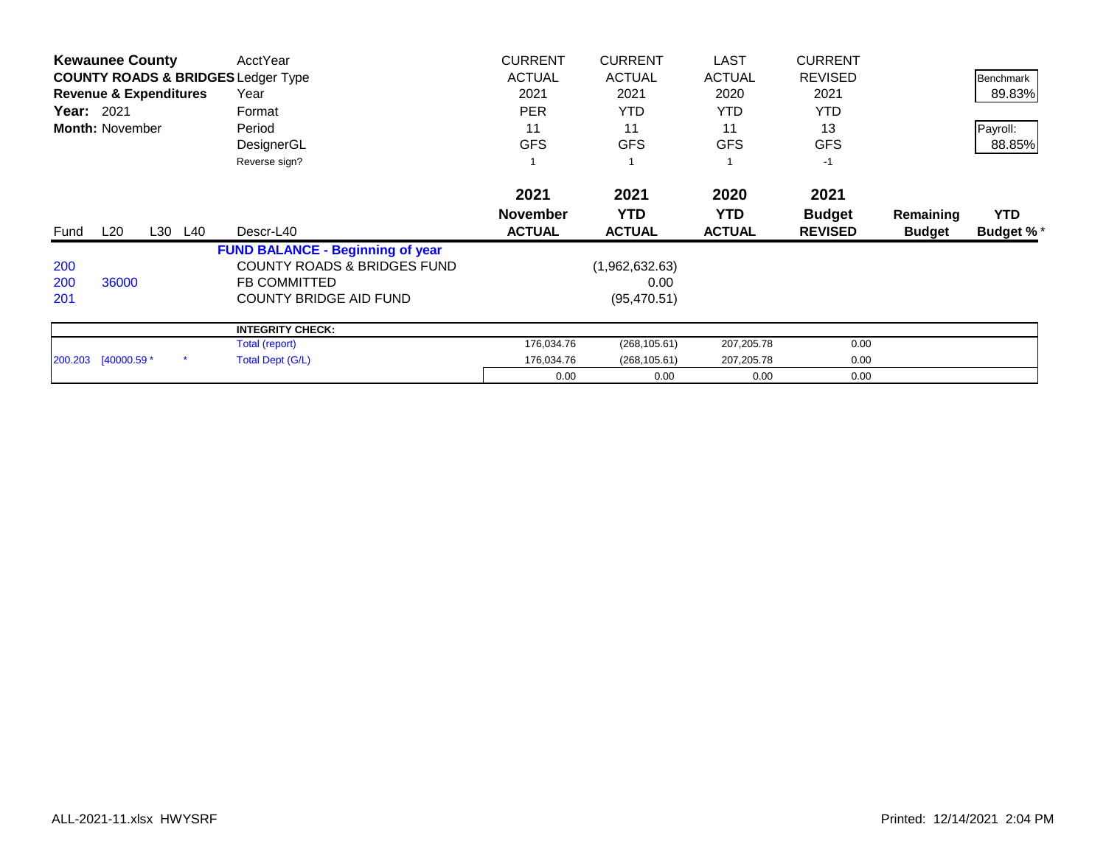|                   | <b>Kewaunee County</b>            |         | AcctYear                                      | <b>CURRENT</b>  | <b>CURRENT</b> | <b>LAST</b>   | <b>CURRENT</b> |               |                  |
|-------------------|-----------------------------------|---------|-----------------------------------------------|-----------------|----------------|---------------|----------------|---------------|------------------|
|                   |                                   |         | <b>COUNTY ROADS &amp; BRIDGES Ledger Type</b> | <b>ACTUAL</b>   | <b>ACTUAL</b>  | <b>ACTUAL</b> | <b>REVISED</b> |               | Benchmark        |
|                   | <b>Revenue &amp; Expenditures</b> |         | Year                                          | 2021            | 2021           | 2020          | 2021           |               | 89.83%           |
| <b>Year: 2021</b> |                                   |         | Format                                        | <b>PER</b>      | <b>YTD</b>     | <b>YTD</b>    | <b>YTD</b>     |               |                  |
|                   | <b>Month: November</b>            |         | Period                                        | 11              | 11             | 11            | 13             |               | Payroll:         |
|                   |                                   |         | DesignerGL                                    | <b>GFS</b>      | <b>GFS</b>     | <b>GFS</b>    | <b>GFS</b>     |               | 88.85%           |
|                   |                                   |         | Reverse sign?                                 |                 |                |               | $-1$           |               |                  |
|                   |                                   |         |                                               | 2021            | 2021           | 2020          | 2021           |               |                  |
|                   |                                   |         |                                               | <b>November</b> | <b>YTD</b>     | <b>YTD</b>    | <b>Budget</b>  | Remaining     | <b>YTD</b>       |
| Fund              | $L_{20}$                          | L30 L40 | Descr-L40                                     | <b>ACTUAL</b>   | <b>ACTUAL</b>  | <b>ACTUAL</b> | <b>REVISED</b> | <b>Budget</b> | <b>Budget %*</b> |
|                   |                                   |         |                                               |                 |                |               |                |               |                  |
|                   |                                   |         | <b>FUND BALANCE - Beginning of year</b>       |                 |                |               |                |               |                  |
| 200               |                                   |         | <b>COUNTY ROADS &amp; BRIDGES FUND</b>        |                 | (1,962,632.63) |               |                |               |                  |
| 200               | 36000                             |         | <b>FB COMMITTED</b>                           |                 | 0.00           |               |                |               |                  |
| 201               |                                   |         | <b>COUNTY BRIDGE AID FUND</b>                 |                 | (95, 470.51)   |               |                |               |                  |
|                   |                                   |         | <b>INTEGRITY CHECK:</b>                       |                 |                |               |                |               |                  |
|                   |                                   |         | Total (report)                                | 176,034.76      | (268, 105.61)  | 207,205.78    | 0.00           |               |                  |
|                   | 200.203 [40000.59 *               |         | Total Dept (G/L)                              | 176,034.76      | (268, 105.61)  | 207,205.78    | 0.00           |               |                  |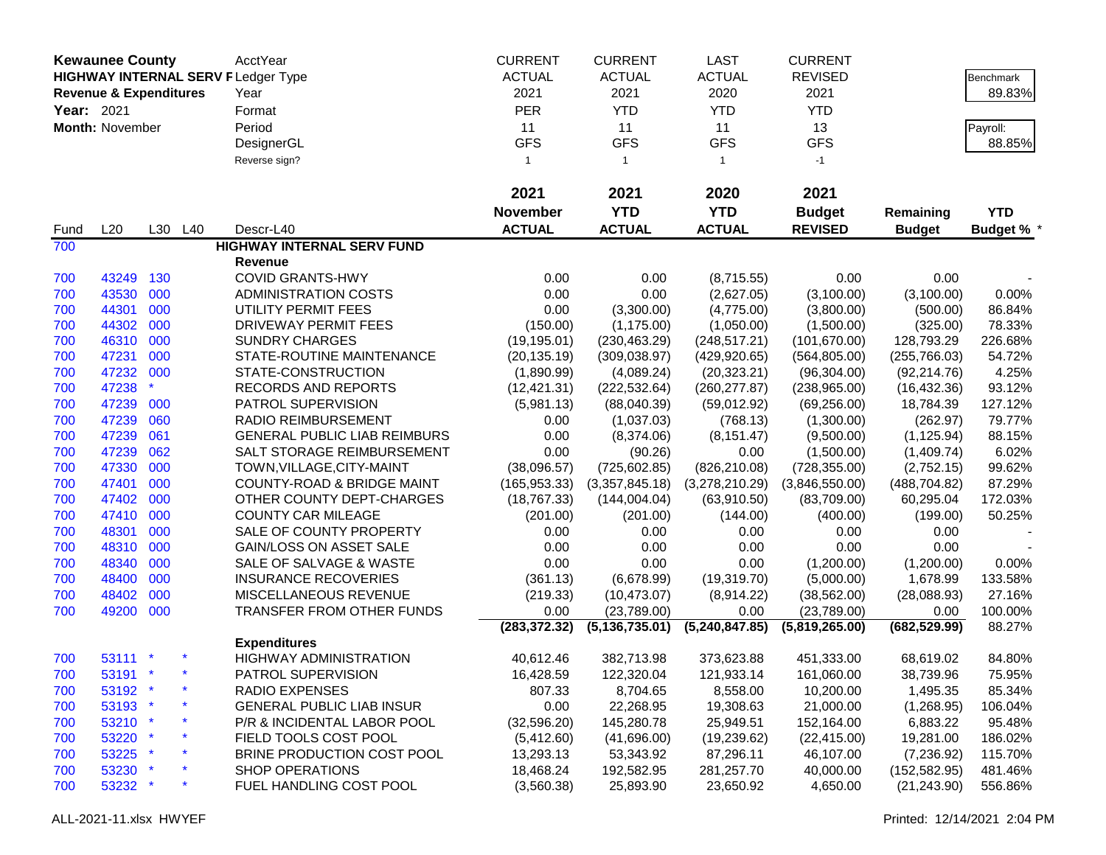|            | <b>Kewaunee County</b>            |     |         | AcctYear                                  | <b>CURRENT</b>  | <b>CURRENT</b>   | LAST           | <b>CURRENT</b> |               |                   |
|------------|-----------------------------------|-----|---------|-------------------------------------------|-----------------|------------------|----------------|----------------|---------------|-------------------|
|            |                                   |     |         | <b>HIGHWAY INTERNAL SERV FLedger Type</b> | <b>ACTUAL</b>   | <b>ACTUAL</b>    | <b>ACTUAL</b>  | <b>REVISED</b> |               | Benchmark         |
|            | <b>Revenue &amp; Expenditures</b> |     |         | Year                                      | 2021            | 2021             | 2020           | 2021           |               | 89.83%            |
| Year: 2021 |                                   |     |         | Format                                    | <b>PER</b>      | <b>YTD</b>       | <b>YTD</b>     | <b>YTD</b>     |               |                   |
|            | Month: November                   |     |         | Period                                    | 11              | 11               | 11             | 13             |               |                   |
|            |                                   |     |         |                                           | <b>GFS</b>      | <b>GFS</b>       | <b>GFS</b>     | <b>GFS</b>     |               | Payroll:          |
|            |                                   |     |         | DesignerGL                                |                 |                  |                |                |               | 88.85%            |
|            |                                   |     |         | Reverse sign?                             | $\overline{1}$  | $\mathbf{1}$     | $\overline{1}$ | $-1$           |               |                   |
|            |                                   |     |         |                                           | 2021            | 2021             | 2020           | 2021           |               |                   |
|            |                                   |     |         |                                           | <b>November</b> | <b>YTD</b>       | <b>YTD</b>     | <b>Budget</b>  | Remaining     | <b>YTD</b>        |
| Fund       | L20                               |     | L30 L40 | Descr-L40                                 | <b>ACTUAL</b>   | <b>ACTUAL</b>    | <b>ACTUAL</b>  | <b>REVISED</b> | <b>Budget</b> | <b>Budget % *</b> |
| 700        |                                   |     |         | <b>HIGHWAY INTERNAL SERV FUND</b>         |                 |                  |                |                |               |                   |
|            |                                   |     |         | <b>Revenue</b>                            |                 |                  |                |                |               |                   |
| 700        | 43249                             | 130 |         | <b>COVID GRANTS-HWY</b>                   | 0.00            | 0.00             | (8,715.55)     | 0.00           | 0.00          |                   |
| 700        | 43530                             | 000 |         | <b>ADMINISTRATION COSTS</b>               | 0.00            | 0.00             | (2,627.05)     | (3,100.00)     | (3,100.00)    | 0.00%             |
| 700        | 44301                             | 000 |         | UTILITY PERMIT FEES                       | 0.00            | (3,300.00)       | (4,775.00)     | (3,800.00)     | (500.00)      | 86.84%            |
| 700        | 44302                             | 000 |         | DRIVEWAY PERMIT FEES                      | (150.00)        | (1, 175.00)      | (1,050.00)     | (1,500.00)     | (325.00)      | 78.33%            |
| 700        | 46310                             | 000 |         | <b>SUNDRY CHARGES</b>                     | (19, 195.01)    | (230, 463.29)    | (248, 517.21)  | (101, 670.00)  | 128,793.29    | 226.68%           |
| 700        | 47231                             | 000 |         | STATE-ROUTINE MAINTENANCE                 | (20, 135.19)    | (309, 038.97)    | (429, 920.65)  | (564, 805.00)  | (255, 766.03) | 54.72%            |
| 700        | 47232 000                         |     |         | STATE-CONSTRUCTION                        | (1,890.99)      | (4,089.24)       | (20, 323.21)   | (96, 304.00)   | (92, 214.76)  | 4.25%             |
| 700        | 47238                             |     |         | RECORDS AND REPORTS                       | (12, 421.31)    | (222, 532.64)    | (260, 277.87)  | (238, 965.00)  | (16, 432.36)  | 93.12%            |
| 700        | 47239                             | 000 |         | PATROL SUPERVISION                        | (5,981.13)      | (88,040.39)      | (59,012.92)    | (69, 256.00)   | 18,784.39     | 127.12%           |
| 700        | 47239                             | 060 |         | <b>RADIO REIMBURSEMENT</b>                | 0.00            | (1,037.03)       | (768.13)       | (1,300.00)     | (262.97)      | 79.77%            |
| 700        | 47239                             | 061 |         | GENERAL PUBLIC LIAB REIMBURS              | 0.00            | (8,374.06)       | (8, 151.47)    | (9,500.00)     | (1, 125.94)   | 88.15%            |
| 700        | 47239                             | 062 |         | SALT STORAGE REIMBURSEMENT                | 0.00            | (90.26)          | 0.00           | (1,500.00)     | (1,409.74)    | 6.02%             |
| 700        | 47330                             | 000 |         | TOWN, VILLAGE, CITY-MAINT                 | (38,096.57)     | (725, 602.85)    | (826, 210.08)  | (728, 355.00)  | (2,752.15)    | 99.62%            |
| 700        | 47401                             | 000 |         | <b>COUNTY-ROAD &amp; BRIDGE MAINT</b>     | (165, 953.33)   | (3,357,845.18)   | (3,278,210.29) | (3,846,550.00) | (488, 704.82) | 87.29%            |
| 700        | 47402                             | 000 |         | OTHER COUNTY DEPT-CHARGES                 | (18, 767.33)    | (144, 004.04)    | (63,910.50)    | (83,709.00)    | 60,295.04     | 172.03%           |
| 700        | 47410 000                         |     |         | <b>COUNTY CAR MILEAGE</b>                 | (201.00)        | (201.00)         | (144.00)       | (400.00)       | (199.00)      | 50.25%            |
| 700        | 48301                             | 000 |         | SALE OF COUNTY PROPERTY                   | 0.00            | 0.00             | 0.00           | 0.00           | 0.00          |                   |
| 700        | 48310                             | 000 |         | <b>GAIN/LOSS ON ASSET SALE</b>            | 0.00            | 0.00             | 0.00           | 0.00           | 0.00          |                   |
| 700        | 48340                             | 000 |         | SALE OF SALVAGE & WASTE                   | 0.00            | 0.00             | 0.00           | (1,200.00)     | (1,200.00)    | 0.00%             |
| 700        | 48400                             | 000 |         | <b>INSURANCE RECOVERIES</b>               | (361.13)        | (6,678.99)       | (19,319.70)    | (5,000.00)     | 1,678.99      | 133.58%           |
| 700        | 48402                             | 000 |         | MISCELLANEOUS REVENUE                     | (219.33)        | (10, 473.07)     | (8,914.22)     | (38, 562.00)   | (28,088.93)   | 27.16%            |
| 700        | 49200 000                         |     |         | TRANSFER FROM OTHER FUNDS                 | 0.00            | (23,789.00)      | 0.00           | (23,789.00)    | 0.00          | 100.00%           |
|            |                                   |     |         |                                           | (283, 372.32)   | (5, 136, 735.01) | (5,240,847.85) | (5,819,265.00) | (682, 529.99) | 88.27%            |
|            |                                   |     |         | <b>Expenditures</b>                       |                 |                  |                |                |               |                   |
| 700        | 53111 *                           |     |         | <b>HIGHWAY ADMINISTRATION</b>             | 40,612.46       | 382,713.98       | 373,623.88     | 451,333.00     | 68,619.02     | 84.80%            |
| 700        | 53191 *                           |     |         | PATROL SUPERVISION                        | 16,428.59       | 122,320.04       | 121,933.14     | 161,060.00     | 38,739.96     | 75.95%            |
| 700        | 53192 *                           |     |         | RADIO EXPENSES                            | 807.33          | 8,704.65         | 8,558.00       | 10,200.00      | 1,495.35      | 85.34%            |
| 700        | 53193 *                           |     |         | <b>GENERAL PUBLIC LIAB INSUR</b>          | 0.00            | 22,268.95        | 19,308.63      | 21,000.00      | (1,268.95)    | 106.04%           |
| 700        | 53210 *                           |     |         | P/R & INCIDENTAL LABOR POOL               | (32, 596.20)    | 145,280.78       | 25,949.51      | 152,164.00     | 6,883.22      | 95.48%            |
| 700        | 53220 *                           |     |         | FIELD TOOLS COST POOL                     | (5,412.60)      | (41,696.00)      | (19, 239.62)   | (22, 415.00)   | 19,281.00     | 186.02%           |
| 700        | $53225$ *                         |     |         | BRINE PRODUCTION COST POOL                | 13,293.13       | 53,343.92        | 87,296.11      | 46,107.00      | (7,236.92)    | 115.70%           |
| 700        | 53230 *                           |     |         | <b>SHOP OPERATIONS</b>                    | 18,468.24       | 192,582.95       | 281,257.70     | 40,000.00      | (152, 582.95) | 481.46%           |
| 700        | 53232 *                           |     |         | FUEL HANDLING COST POOL                   | (3,560.38)      | 25,893.90        | 23,650.92      | 4,650.00       | (21, 243.90)  | 556.86%           |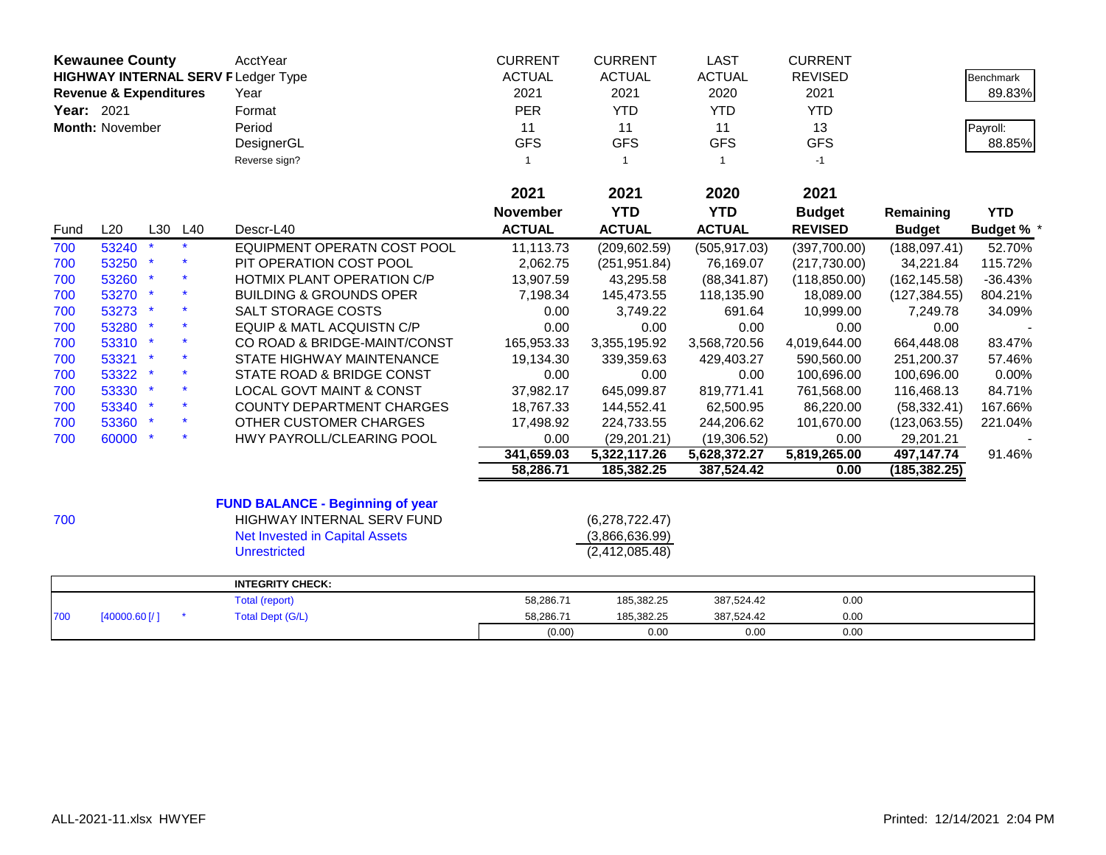|      | <b>Kewaunee County</b><br><b>HIGHWAY INTERNAL SERV F Ledger Type</b><br><b>Revenue &amp; Expenditures</b><br>Year: 2021<br>Month: November |     |     | <b>AcctYear</b><br>Year<br>Format       | <b>CURRENT</b><br><b>ACTUAL</b><br>2021<br><b>PER</b> | <b>CURRENT</b><br><b>ACTUAL</b><br>2021<br><b>YTD</b> | <b>LAST</b><br><b>ACTUAL</b><br>2020<br><b>YTD</b> | <b>CURRENT</b><br><b>REVISED</b><br>2021<br><b>YTD</b> |               | <b>Benchmark</b><br>89.83% |
|------|--------------------------------------------------------------------------------------------------------------------------------------------|-----|-----|-----------------------------------------|-------------------------------------------------------|-------------------------------------------------------|----------------------------------------------------|--------------------------------------------------------|---------------|----------------------------|
|      |                                                                                                                                            |     |     | Period                                  | 11                                                    | 11                                                    | 11                                                 | 13                                                     |               | Payroll:                   |
|      |                                                                                                                                            |     |     | DesignerGL                              | <b>GFS</b>                                            | <b>GFS</b>                                            | <b>GFS</b>                                         | <b>GFS</b>                                             |               | 88.85%                     |
|      |                                                                                                                                            |     |     | Reverse sign?                           | $\mathbf{1}$                                          | $\mathbf{1}$                                          | $\overline{1}$                                     | $-1$                                                   |               |                            |
|      |                                                                                                                                            |     |     |                                         | 2021                                                  | 2021                                                  | 2020                                               | 2021                                                   |               |                            |
|      |                                                                                                                                            |     |     |                                         | <b>November</b>                                       | <b>YTD</b>                                            | <b>YTD</b>                                         | <b>Budget</b>                                          | Remaining     | <b>YTD</b>                 |
| Fund | L20                                                                                                                                        | L30 | L40 | Descr-L40                               | <b>ACTUAL</b>                                         | <b>ACTUAL</b>                                         | <b>ACTUAL</b>                                      | <b>REVISED</b>                                         | <b>Budget</b> | <b>Budget %</b>            |
| 700  | 53240                                                                                                                                      |     |     | EQUIPMENT OPERATN COST POOL             | 11,113.73                                             | (209, 602.59)                                         | (505, 917.03)                                      | (397,700.00)                                           | (188, 097.41) | 52.70%                     |
| 700  | 53250                                                                                                                                      |     |     | PIT OPERATION COST POOL                 | 2,062.75                                              | (251, 951.84)                                         | 76,169.07                                          | (217,730.00)                                           | 34,221.84     | 115.72%                    |
| 700  | 53260                                                                                                                                      |     |     | HOTMIX PLANT OPERATION C/P              | 13,907.59                                             | 43,295.58                                             | (88, 341.87)                                       | (118, 850.00)                                          | (162, 145.58) | $-36.43%$                  |
| 700  | 53270 *                                                                                                                                    |     |     | <b>BUILDING &amp; GROUNDS OPER</b>      | 7,198.34                                              | 145,473.55                                            | 118,135.90                                         | 18,089.00                                              | (127, 384.55) | 804.21%                    |
| 700  | 53273 *                                                                                                                                    |     |     | <b>SALT STORAGE COSTS</b>               | 0.00                                                  | 3,749.22                                              | 691.64                                             | 10,999.00                                              | 7,249.78      | 34.09%                     |
| 700  | 53280 *                                                                                                                                    |     |     | EQUIP & MATL ACQUISTN C/P               | 0.00                                                  | 0.00                                                  | 0.00                                               | 0.00                                                   | 0.00          |                            |
| 700  | 53310 *                                                                                                                                    |     |     | CO ROAD & BRIDGE-MAINT/CONST            | 165,953.33                                            | 3,355,195.92                                          | 3,568,720.56                                       | 4,019,644.00                                           | 664,448.08    | 83.47%                     |
| 700  | 53321 *                                                                                                                                    |     |     | STATE HIGHWAY MAINTENANCE               | 19,134.30                                             | 339,359.63                                            | 429,403.27                                         | 590,560.00                                             | 251,200.37    | 57.46%                     |
| 700  | 53322 *                                                                                                                                    |     |     | STATE ROAD & BRIDGE CONST               | 0.00                                                  | 0.00                                                  | 0.00                                               | 100,696.00                                             | 100,696.00    | 0.00%                      |
| 700  | 53330 *                                                                                                                                    |     |     | <b>LOCAL GOVT MAINT &amp; CONST</b>     | 37,982.17                                             | 645,099.87                                            | 819,771.41                                         | 761,568.00                                             | 116,468.13    | 84.71%                     |
| 700  | 53340 *                                                                                                                                    |     |     | <b>COUNTY DEPARTMENT CHARGES</b>        | 18,767.33                                             | 144,552.41                                            | 62,500.95                                          | 86,220.00                                              | (58, 332.41)  | 167.66%                    |
| 700  | 53360 *                                                                                                                                    |     |     | OTHER CUSTOMER CHARGES                  | 17,498.92                                             | 224,733.55                                            | 244,206.62                                         | 101,670.00                                             | (123,063.55)  | 221.04%                    |
| 700  | 60000 *                                                                                                                                    |     |     | HWY PAYROLL/CLEARING POOL               | 0.00                                                  | (29, 201.21)                                          | (19,306.52)                                        | 0.00                                                   | 29,201.21     |                            |
|      |                                                                                                                                            |     |     |                                         | 341,659.03                                            | 5,322,117.26                                          | 5,628,372.27                                       | 5,819,265.00                                           | 497,147.74    | 91.46%                     |
|      |                                                                                                                                            |     |     |                                         | 58,286.71                                             | 185,382.25                                            | 387,524.42                                         | 0.00                                                   | (185, 382.25) |                            |
|      |                                                                                                                                            |     |     | <b>FUND BALANCE - Beginning of year</b> |                                                       |                                                       |                                                    |                                                        |               |                            |
| 700  |                                                                                                                                            |     |     | HIGHWAY INTERNAL SERV FUND              |                                                       | (6,278,722.47)                                        |                                                    |                                                        |               |                            |
|      |                                                                                                                                            |     |     | <b>Net Invested in Capital Assets</b>   |                                                       | (3,866,636.99)                                        |                                                    |                                                        |               |                            |
|      |                                                                                                                                            |     |     | <b>Unrestricted</b>                     |                                                       | (2, 412, 085.48)                                      |                                                    |                                                        |               |                            |
|      |                                                                                                                                            |     |     | <b>INTEGRITY CHECK:</b>                 |                                                       |                                                       |                                                    |                                                        |               |                            |
|      |                                                                                                                                            |     |     | Total (report)                          | 58,286.71                                             | 185,382.25                                            | 387,524.42                                         | 0.00                                                   |               |                            |
| 700  | [40000.60]                                                                                                                                 |     |     | <b>Total Dept (G/L)</b>                 | 58,286.71                                             | 185,382.25                                            | 387,524.42                                         | 0.00                                                   |               |                            |
|      |                                                                                                                                            |     |     |                                         | (0.00)                                                | 0.00                                                  | 0.00                                               | 0.00                                                   |               |                            |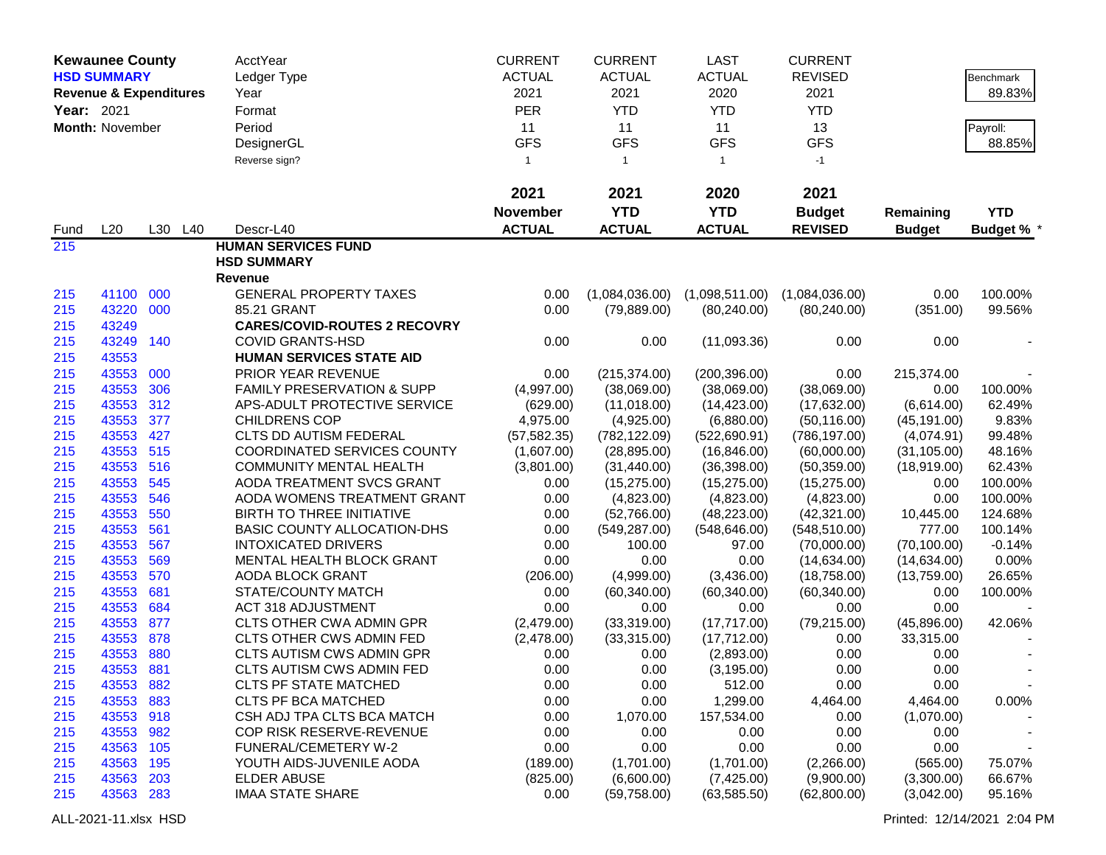|            | <b>Kewaunee County</b>            |         | AcctYear                              | <b>CURRENT</b>  | <b>CURRENT</b> | <b>LAST</b>    | <b>CURRENT</b> |               |                   |
|------------|-----------------------------------|---------|---------------------------------------|-----------------|----------------|----------------|----------------|---------------|-------------------|
|            | <b>HSD SUMMARY</b>                |         | Ledger Type                           | <b>ACTUAL</b>   | <b>ACTUAL</b>  | <b>ACTUAL</b>  | <b>REVISED</b> |               | Benchmark         |
|            | <b>Revenue &amp; Expenditures</b> |         | Year                                  | 2021            | 2021           | 2020           | 2021           |               | 89.83%            |
| Year: 2021 |                                   |         | Format                                | <b>PER</b>      | <b>YTD</b>     | <b>YTD</b>     | <b>YTD</b>     |               |                   |
|            | Month: November                   |         | Period                                | 11              | 11             | 11             | 13             |               | Payroll:          |
|            |                                   |         | DesignerGL                            | <b>GFS</b>      | <b>GFS</b>     | <b>GFS</b>     | <b>GFS</b>     |               | 88.85%            |
|            |                                   |         | Reverse sign?                         | $\overline{1}$  | $\mathbf{1}$   | $\overline{1}$ | $-1$           |               |                   |
|            |                                   |         |                                       |                 |                |                |                |               |                   |
|            |                                   |         |                                       | 2021            | 2021           | 2020           | 2021           |               |                   |
|            |                                   |         |                                       | <b>November</b> | <b>YTD</b>     | <b>YTD</b>     | <b>Budget</b>  | Remaining     | <b>YTD</b>        |
| Fund       | L20                               | L30 L40 | Descr-L40                             | <b>ACTUAL</b>   | <b>ACTUAL</b>  | <b>ACTUAL</b>  | <b>REVISED</b> | <b>Budget</b> | <b>Budget % *</b> |
| 215        |                                   |         | <b>HUMAN SERVICES FUND</b>            |                 |                |                |                |               |                   |
|            |                                   |         | <b>HSD SUMMARY</b>                    |                 |                |                |                |               |                   |
|            |                                   |         | Revenue                               |                 |                |                |                |               |                   |
| 215        | 41100 000                         |         | <b>GENERAL PROPERTY TAXES</b>         | 0.00            | (1,084,036.00) | (1,098,511.00) | (1,084,036.00) | 0.00          | 100.00%           |
| 215        | 43220 000                         |         | 85.21 GRANT                           | 0.00            | (79, 889.00)   | (80, 240.00)   | (80, 240.00)   | (351.00)      | 99.56%            |
| 215        | 43249                             |         | <b>CARES/COVID-ROUTES 2 RECOVRY</b>   |                 |                |                |                |               |                   |
| 215        | 43249                             | 140     | <b>COVID GRANTS-HSD</b>               | 0.00            | 0.00           | (11,093.36)    | 0.00           | 0.00          |                   |
| 215        | 43553                             |         | <b>HUMAN SERVICES STATE AID</b>       |                 |                |                |                |               |                   |
| 215        | 43553                             | 000     | PRIOR YEAR REVENUE                    | 0.00            | (215, 374.00)  | (200, 396.00)  | 0.00           | 215,374.00    |                   |
| 215        | 43553                             | 306     | <b>FAMILY PRESERVATION &amp; SUPP</b> | (4,997.00)      | (38,069.00)    | (38,069.00)    | (38,069.00)    | 0.00          | 100.00%           |
| 215        | 43553 312                         |         | APS-ADULT PROTECTIVE SERVICE          | (629.00)        | (11,018.00)    | (14, 423.00)   | (17,632.00)    | (6,614.00)    | 62.49%            |
| 215        | 43553                             | 377     | <b>CHILDRENS COP</b>                  | 4,975.00        | (4,925.00)     | (6,880.00)     | (50, 116.00)   | (45, 191.00)  | 9.83%             |
| 215        | 43553                             | 427     | <b>CLTS DD AUTISM FEDERAL</b>         | (57, 582.35)    | (782, 122.09)  | (522, 690.91)  | (786, 197.00)  | (4,074.91)    | 99.48%            |
| 215        | 43553 515                         |         | <b>COORDINATED SERVICES COUNTY</b>    | (1,607.00)      | (28, 895.00)   | (16, 846.00)   | (60,000.00)    | (31, 105.00)  | 48.16%            |
| 215        | 43553 516                         |         | <b>COMMUNITY MENTAL HEALTH</b>        | (3,801.00)      | (31, 440.00)   | (36, 398.00)   | (50, 359.00)   | (18,919.00)   | 62.43%            |
| 215        | 43553                             | 545     | AODA TREATMENT SVCS GRANT             | 0.00            | (15, 275.00)   | (15, 275.00)   | (15, 275.00)   | 0.00          | 100.00%           |
| 215        | 43553                             | 546     | AODA WOMENS TREATMENT GRANT           | 0.00            | (4,823.00)     | (4,823.00)     | (4,823.00)     | 0.00          | 100.00%           |
| 215        | 43553                             | 550     | BIRTH TO THREE INITIATIVE             | 0.00            | (52,766.00)    | (48, 223.00)   | (42, 321.00)   | 10,445.00     | 124.68%           |
| 215        | 43553                             | 561     | BASIC COUNTY ALLOCATION-DHS           | 0.00            | (549, 287.00)  | (548, 646.00)  | (548, 510.00)  | 777.00        | 100.14%           |
| 215        | 43553                             | 567     | <b>INTOXICATED DRIVERS</b>            | 0.00            | 100.00         | 97.00          | (70,000.00)    | (70, 100.00)  | $-0.14%$          |
| 215        | 43553                             | 569     | MENTAL HEALTH BLOCK GRANT             | 0.00            | 0.00           | 0.00           | (14, 634.00)   | (14,634.00)   | 0.00%             |
| 215        | 43553                             | 570     | AODA BLOCK GRANT                      | (206.00)        | (4,999.00)     | (3,436.00)     | (18,758.00)    | (13,759.00)   | 26.65%            |
| 215        | 43553                             | 681     | STATE/COUNTY MATCH                    | 0.00            | (60, 340.00)   | (60, 340.00)   | (60, 340.00)   | 0.00          | 100.00%           |
| 215        | 43553                             | 684     | <b>ACT 318 ADJUSTMENT</b>             | 0.00            | 0.00           | 0.00           | 0.00           | 0.00          |                   |
| 215        | 43553                             | 877     | <b>CLTS OTHER CWA ADMIN GPR</b>       | (2,479.00)      | (33,319.00)    | (17,717.00)    | (79, 215.00)   | (45,896.00)   | 42.06%            |
| 215        | 43553                             | 878     | CLTS OTHER CWS ADMIN FED              | (2,478.00)      | (33,315.00)    | (17,712.00)    | 0.00           | 33,315.00     |                   |
| 215        | 43553                             | 880     | CLTS AUTISM CWS ADMIN GPR             | 0.00            | 0.00           | (2,893.00)     | 0.00           | 0.00          |                   |
| 215        | 43553                             | 881     | <b>CLTS AUTISM CWS ADMIN FED</b>      | 0.00            | 0.00           | (3, 195.00)    | 0.00           | 0.00          |                   |
| 215        | 43553                             | 882     | <b>CLTS PF STATE MATCHED</b>          | 0.00            | 0.00           | 512.00         | 0.00           | 0.00          |                   |
| 215        | 43553                             | 883     | <b>CLTS PF BCA MATCHED</b>            | 0.00            | 0.00           | 1,299.00       | 4,464.00       | 4,464.00      | 0.00%             |
| 215        | 43553 918                         |         | CSH ADJ TPA CLTS BCA MATCH            | 0.00            | 1,070.00       | 157,534.00     | 0.00           | (1,070.00)    |                   |
| 215        | 43553 982                         |         | COP RISK RESERVE-REVENUE              | 0.00            | 0.00           | 0.00           | 0.00           | 0.00          |                   |
| 215        | 43563                             | 105     | FUNERAL/CEMETERY W-2                  | 0.00            | 0.00           | 0.00           | 0.00           | 0.00          |                   |
| 215        | 43563                             | 195     | YOUTH AIDS-JUVENILE AODA              | (189.00)        | (1,701.00)     | (1,701.00)     | (2,266.00)     | (565.00)      | 75.07%            |
| 215        | 43563                             | 203     | <b>ELDER ABUSE</b>                    | (825.00)        | (6,600.00)     | (7,425.00)     | (9,900.00)     | (3,300.00)    | 66.67%            |
| 215        | 43563 283                         |         | <b>IMAA STATE SHARE</b>               | 0.00            | (59,758.00)    | (63, 585.50)   | (62,800.00)    | (3,042.00)    | 95.16%            |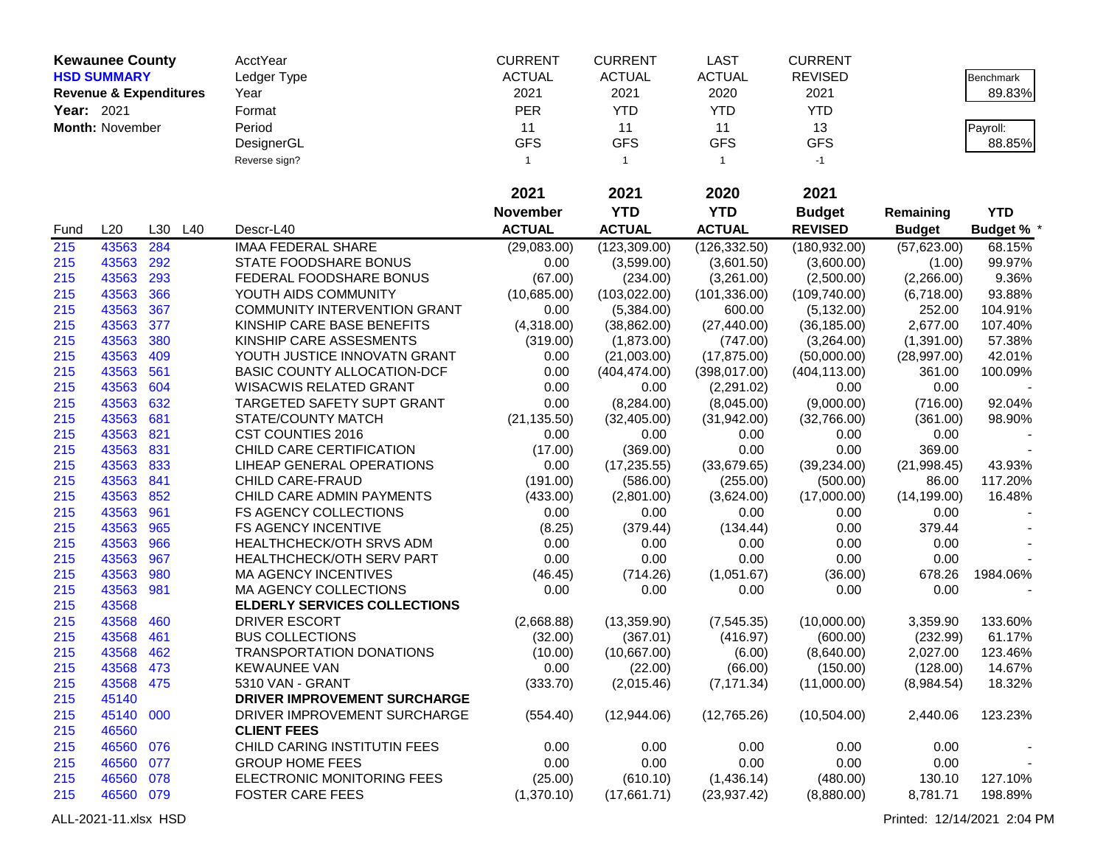|            | <b>Kewaunee County</b>            |     |     | AcctYear                            | <b>CURRENT</b>  | <b>CURRENT</b> | <b>LAST</b>    | <b>CURRENT</b> |               |                 |
|------------|-----------------------------------|-----|-----|-------------------------------------|-----------------|----------------|----------------|----------------|---------------|-----------------|
|            | <b>HSD SUMMARY</b>                |     |     | Ledger Type                         | <b>ACTUAL</b>   | <b>ACTUAL</b>  | <b>ACTUAL</b>  | <b>REVISED</b> |               | Benchmark       |
|            | <b>Revenue &amp; Expenditures</b> |     |     | Year                                | 2021            | 2021           | 2020           | 2021           |               | 89.83%          |
| Year: 2021 |                                   |     |     | Format                              | PER             | <b>YTD</b>     | <b>YTD</b>     | <b>YTD</b>     |               |                 |
|            | Month: November                   |     |     | Period                              | 11              | 11             | 11             | 13             |               | Payroll:        |
|            |                                   |     |     | DesignerGL                          | <b>GFS</b>      | <b>GFS</b>     | <b>GFS</b>     | <b>GFS</b>     |               | 88.85%          |
|            |                                   |     |     | Reverse sign?                       | $\mathbf{1}$    | $\mathbf{1}$   | $\overline{1}$ | $-1$           |               |                 |
|            |                                   |     |     |                                     |                 |                |                |                |               |                 |
|            |                                   |     |     |                                     | 2021            | 2021           | 2020           | 2021           |               |                 |
|            |                                   |     |     |                                     | <b>November</b> | <b>YTD</b>     | <b>YTD</b>     | <b>Budget</b>  | Remaining     | <b>YTD</b>      |
| Fund       | L20                               | L30 | L40 | Descr-L40                           | <b>ACTUAL</b>   | <b>ACTUAL</b>  | <b>ACTUAL</b>  | <b>REVISED</b> | <b>Budget</b> | <b>Budget %</b> |
| 215        | 43563                             | 284 |     | <b>IMAA FEDERAL SHARE</b>           | (29,083.00)     | (123, 309.00)  | (126, 332.50)  | (180, 932.00)  | (57,623.00)   | 68.15%          |
| 215        | 43563                             | 292 |     | STATE FOODSHARE BONUS               | 0.00            | (3,599.00)     | (3,601.50)     | (3,600.00)     | (1.00)        | 99.97%          |
| 215        | 43563                             | 293 |     | FEDERAL FOODSHARE BONUS             | (67.00)         | (234.00)       | (3,261.00)     | (2,500.00)     | (2,266.00)    | 9.36%           |
| 215        | 43563                             | 366 |     | YOUTH AIDS COMMUNITY                | (10,685.00)     | (103, 022.00)  | (101, 336.00)  | (109, 740.00)  | (6,718.00)    | 93.88%          |
| 215        | 43563                             | 367 |     | <b>COMMUNITY INTERVENTION GRANT</b> | 0.00            | (5,384.00)     | 600.00         | (5, 132.00)    | 252.00        | 104.91%         |
| 215        | 43563                             | 377 |     | KINSHIP CARE BASE BENEFITS          | (4,318.00)      | (38, 862.00)   | (27, 440.00)   | (36, 185.00)   | 2,677.00      | 107.40%         |
| 215        | 43563                             | 380 |     | KINSHIP CARE ASSESMENTS             | (319.00)        | (1,873.00)     | (747.00)       | (3,264.00)     | (1,391.00)    | 57.38%          |
| 215        | 43563                             | 409 |     | YOUTH JUSTICE INNOVATN GRANT        | 0.00            | (21,003.00)    | (17, 875.00)   | (50,000.00)    | (28, 997.00)  | 42.01%          |
| 215        | 43563                             | 561 |     | BASIC COUNTY ALLOCATION-DCF         | 0.00            | (404, 474.00)  | (398, 017.00)  | (404, 113.00)  | 361.00        | 100.09%         |
| 215        | 43563                             | 604 |     | WISACWIS RELATED GRANT              | 0.00            | 0.00           | (2,291.02)     | 0.00           | 0.00          |                 |
| 215        | 43563 632                         |     |     | <b>TARGETED SAFETY SUPT GRANT</b>   | 0.00            | (8, 284.00)    | (8,045.00)     | (9,000.00)     | (716.00)      | 92.04%          |
| 215        | 43563 681                         |     |     | STATE/COUNTY MATCH                  | (21, 135.50)    | (32, 405.00)   | (31,942.00)    | (32,766.00)    | (361.00)      | 98.90%          |
| 215        | 43563 821                         |     |     | <b>CST COUNTIES 2016</b>            | 0.00            | 0.00           | 0.00           | 0.00           | 0.00          |                 |
| 215        | 43563                             | 831 |     | CHILD CARE CERTIFICATION            | (17.00)         | (369.00)       | 0.00           | 0.00           | 369.00        |                 |
| 215        | 43563 833                         |     |     | LIHEAP GENERAL OPERATIONS           | 0.00            | (17, 235.55)   | (33,679.65)    | (39, 234.00)   | (21, 998.45)  | 43.93%          |
| 215        | 43563 841                         |     |     | CHILD CARE-FRAUD                    | (191.00)        | (586.00)       | (255.00)       | (500.00)       | 86.00         | 117.20%         |
| 215        | 43563 852                         |     |     | CHILD CARE ADMIN PAYMENTS           | (433.00)        | (2,801.00)     | (3,624.00)     | (17,000.00)    | (14, 199.00)  | 16.48%          |
| 215        | 43563                             | 961 |     | FS AGENCY COLLECTIONS               | 0.00            | 0.00           | 0.00           | 0.00           | 0.00          |                 |
| 215        | 43563                             | 965 |     | <b>FS AGENCY INCENTIVE</b>          | (8.25)          | (379.44)       | (134.44)       | 0.00           | 379.44        |                 |
| 215        | 43563                             | 966 |     | <b>HEALTHCHECK/OTH SRVS ADM</b>     | 0.00            | 0.00           | 0.00           | 0.00           | 0.00          |                 |
| 215        | 43563                             | 967 |     | HEALTHCHECK/OTH SERV PART           | 0.00            | 0.00           | 0.00           | 0.00           | 0.00          |                 |
| 215        | 43563                             | 980 |     | <b>MA AGENCY INCENTIVES</b>         | (46.45)         | (714.26)       | (1,051.67)     | (36.00)        | 678.26        | 1984.06%        |
| 215        | 43563                             | 981 |     | MA AGENCY COLLECTIONS               | 0.00            | 0.00           | 0.00           | 0.00           | 0.00          |                 |
| 215        | 43568                             |     |     | <b>ELDERLY SERVICES COLLECTIONS</b> |                 |                |                |                |               |                 |
| 215        | 43568                             | 460 |     | DRIVER ESCORT                       | (2,668.88)      | (13,359.90)    | (7, 545.35)    | (10,000.00)    | 3,359.90      | 133.60%         |
| 215        | 43568                             | 461 |     | <b>BUS COLLECTIONS</b>              | (32.00)         | (367.01)       | (416.97)       | (600.00)       | (232.99)      | 61.17%          |
| 215        | 43568                             | 462 |     | TRANSPORTATION DONATIONS            | (10.00)         | (10,667.00)    | (6.00)         | (8,640.00)     | 2,027.00      | 123.46%         |
| 215        | 43568                             | 473 |     | <b>KEWAUNEE VAN</b>                 | 0.00            | (22.00)        | (66.00)        | (150.00)       | (128.00)      | 14.67%          |
| 215        | 43568 475                         |     |     | 5310 VAN - GRANT                    | (333.70)        | (2,015.46)     | (7, 171.34)    | (11,000.00)    | (8,984.54)    | 18.32%          |
| 215        | 45140                             |     |     | <b>DRIVER IMPROVEMENT SURCHARGE</b> |                 |                |                |                |               |                 |
| 215        | 45140 000                         |     |     | DRIVER IMPROVEMENT SURCHARGE        | (554.40)        | (12,944.06)    | (12,765.26)    | (10,504.00)    | 2,440.06      | 123.23%         |
| 215        | 46560                             |     |     | <b>CLIENT FEES</b>                  |                 |                |                |                |               |                 |
| 215        | 46560 076                         |     |     | CHILD CARING INSTITUTIN FEES        | 0.00            | 0.00           | 0.00           | 0.00           | 0.00          |                 |
| 215        | 46560 077                         |     |     | <b>GROUP HOME FEES</b>              | 0.00            | 0.00           | 0.00           | 0.00           | 0.00          |                 |
| 215        | 46560 078                         |     |     | ELECTRONIC MONITORING FEES          | (25.00)         | (610.10)       | (1,436.14)     | (480.00)       | 130.10        | 127.10%         |
| 215        | 46560 079                         |     |     | <b>FOSTER CARE FEES</b>             | (1,370.10)      | (17,661.71)    | (23, 937.42)   | (8,880.00)     | 8,781.71      | 198.89%         |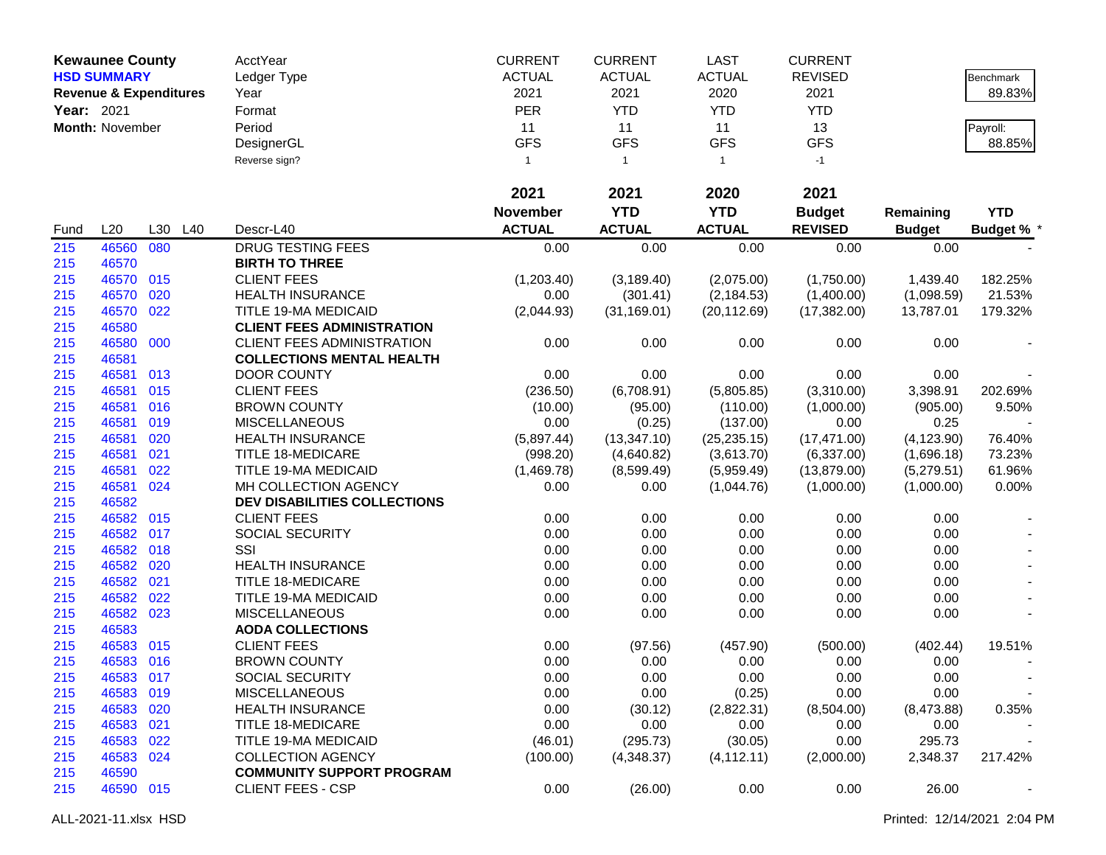|            | <b>Kewaunee County</b>            |     |     | AcctYear                            | <b>CURRENT</b>  | <b>CURRENT</b> | <b>LAST</b>    | <b>CURRENT</b> |               |                   |
|------------|-----------------------------------|-----|-----|-------------------------------------|-----------------|----------------|----------------|----------------|---------------|-------------------|
|            | <b>HSD SUMMARY</b>                |     |     | Ledger Type                         | <b>ACTUAL</b>   | <b>ACTUAL</b>  | <b>ACTUAL</b>  | <b>REVISED</b> |               | Benchmark         |
|            | <b>Revenue &amp; Expenditures</b> |     |     | Year                                | 2021            | 2021           | 2020           | 2021           |               | 89.83%            |
| Year: 2021 |                                   |     |     | Format                              | PER             | <b>YTD</b>     | <b>YTD</b>     | <b>YTD</b>     |               |                   |
|            | <b>Month: November</b>            |     |     | Period                              | 11              | 11             | 11             | 13             |               | Payroll:          |
|            |                                   |     |     | DesignerGL                          | <b>GFS</b>      | <b>GFS</b>     | <b>GFS</b>     | <b>GFS</b>     |               | 88.85%            |
|            |                                   |     |     | Reverse sign?                       | $\mathbf{1}$    | $\mathbf{1}$   | $\overline{1}$ | $-1$           |               |                   |
|            |                                   |     |     |                                     |                 |                |                |                |               |                   |
|            |                                   |     |     |                                     | 2021            | 2021           | 2020           | 2021           |               |                   |
|            |                                   |     |     |                                     | <b>November</b> | <b>YTD</b>     | <b>YTD</b>     | <b>Budget</b>  | Remaining     | <b>YTD</b>        |
| Fund       | L20                               | L30 | L40 | Descr-L40                           | <b>ACTUAL</b>   | <b>ACTUAL</b>  | <b>ACTUAL</b>  | <b>REVISED</b> | <b>Budget</b> | <b>Budget % *</b> |
| 215        | 46560 080                         |     |     | DRUG TESTING FEES                   | 0.00            | 0.00           | 0.00           | 0.00           | 0.00          |                   |
| 215        | 46570                             |     |     | <b>BIRTH TO THREE</b>               |                 |                |                |                |               |                   |
| 215        | 46570 015                         |     |     | <b>CLIENT FEES</b>                  | (1,203.40)      | (3, 189.40)    | (2,075.00)     | (1,750.00)     | 1,439.40      | 182.25%           |
| 215        | 46570                             | 020 |     | <b>HEALTH INSURANCE</b>             | 0.00            | (301.41)       | (2, 184.53)    | (1,400.00)     | (1,098.59)    | 21.53%            |
| 215        | 46570 022                         |     |     | TITLE 19-MA MEDICAID                | (2,044.93)      | (31, 169.01)   | (20, 112.69)   | (17, 382.00)   | 13,787.01     | 179.32%           |
| 215        | 46580                             |     |     | <b>CLIENT FEES ADMINISTRATION</b>   |                 |                |                |                |               |                   |
| 215        | 46580 000                         |     |     | CLIENT FEES ADMINISTRATION          | 0.00            | 0.00           | 0.00           | 0.00           | 0.00          |                   |
| 215        | 46581                             |     |     | <b>COLLECTIONS MENTAL HEALTH</b>    |                 |                |                |                |               |                   |
| 215        | 46581 013                         |     |     | <b>DOOR COUNTY</b>                  | 0.00            | 0.00           | 0.00           | 0.00           | 0.00          |                   |
| 215        | 46581 015                         |     |     | <b>CLIENT FEES</b>                  | (236.50)        | (6,708.91)     | (5,805.85)     | (3,310.00)     | 3,398.91      | 202.69%           |
| 215        | 46581 016                         |     |     | <b>BROWN COUNTY</b>                 | (10.00)         | (95.00)        | (110.00)       | (1,000.00)     | (905.00)      | 9.50%             |
| 215        | 46581 019                         |     |     | <b>MISCELLANEOUS</b>                | 0.00            | (0.25)         | (137.00)       | 0.00           | 0.25          |                   |
| 215        | 46581                             | 020 |     | <b>HEALTH INSURANCE</b>             | (5,897.44)      | (13, 347.10)   | (25, 235.15)   | (17, 471.00)   | (4, 123.90)   | 76.40%            |
| 215        | 46581                             | 021 |     | <b>TITLE 18-MEDICARE</b>            | (998.20)        | (4,640.82)     | (3,613.70)     | (6,337.00)     | (1,696.18)    | 73.23%            |
| 215        | 46581                             | 022 |     | TITLE 19-MA MEDICAID                | (1,469.78)      | (8,599.49)     | (5,959.49)     | (13,879.00)    | (5,279.51)    | 61.96%            |
| 215        | 46581 024                         |     |     | MH COLLECTION AGENCY                | 0.00            | 0.00           | (1,044.76)     | (1,000.00)     | (1,000.00)    | 0.00%             |
| 215        | 46582                             |     |     | <b>DEV DISABILITIES COLLECTIONS</b> |                 |                |                |                |               |                   |
| 215        | 46582 015                         |     |     | <b>CLIENT FEES</b>                  | 0.00            | 0.00           | 0.00           | 0.00           | 0.00          |                   |
| 215        | 46582 017                         |     |     | SOCIAL SECURITY                     | 0.00            | 0.00           | 0.00           | 0.00           | 0.00          |                   |
| 215        | 46582 018                         |     |     | SSI                                 | 0.00            | 0.00           | 0.00           | 0.00           | 0.00          |                   |
| 215        | 46582 020                         |     |     | <b>HEALTH INSURANCE</b>             | 0.00            | 0.00           | 0.00           | 0.00           | 0.00          |                   |
| 215        | 46582 021                         |     |     | <b>TITLE 18-MEDICARE</b>            | 0.00            | 0.00           | 0.00           | 0.00           | 0.00          |                   |
| 215        | 46582 022                         |     |     | TITLE 19-MA MEDICAID                | 0.00            | 0.00           | 0.00           | 0.00           | 0.00          |                   |
| 215        | 46582 023                         |     |     | <b>MISCELLANEOUS</b>                | 0.00            | 0.00           | 0.00           | 0.00           | 0.00          |                   |
| 215        | 46583                             |     |     | <b>AODA COLLECTIONS</b>             |                 |                |                |                |               |                   |
| 215        | 46583 015                         |     |     | <b>CLIENT FEES</b>                  | 0.00            | (97.56)        | (457.90)       | (500.00)       | (402.44)      | 19.51%            |
| 215        | 46583 016                         |     |     | <b>BROWN COUNTY</b>                 | 0.00            | 0.00           | 0.00           | 0.00           | 0.00          |                   |
| 215        | 46583 017                         |     |     | SOCIAL SECURITY                     | 0.00            | 0.00           | 0.00           | 0.00           | 0.00          |                   |
| 215        | 46583 019                         |     |     | <b>MISCELLANEOUS</b>                | 0.00            | 0.00           | (0.25)         | 0.00           | 0.00          |                   |
| 215        | 46583 020                         |     |     | <b>HEALTH INSURANCE</b>             | 0.00            | (30.12)        | (2,822.31)     | (8,504.00)     | (8,473.88)    | 0.35%             |
| 215        | 46583 021                         |     |     | <b>TITLE 18-MEDICARE</b>            | 0.00            | 0.00           | 0.00           | 0.00           | 0.00          |                   |
| 215        | 46583 022                         |     |     | TITLE 19-MA MEDICAID                | (46.01)         | (295.73)       | (30.05)        | 0.00           | 295.73        |                   |
| 215        | 46583 024                         |     |     | <b>COLLECTION AGENCY</b>            | (100.00)        | (4,348.37)     | (4, 112.11)    | (2,000.00)     | 2,348.37      | 217.42%           |
| 215        | 46590                             |     |     | <b>COMMUNITY SUPPORT PROGRAM</b>    |                 |                |                |                |               |                   |
| 215        | 46590 015                         |     |     | <b>CLIENT FEES - CSP</b>            | 0.00            | (26.00)        | 0.00           | 0.00           | 26.00         |                   |
|            |                                   |     |     |                                     |                 |                |                |                |               |                   |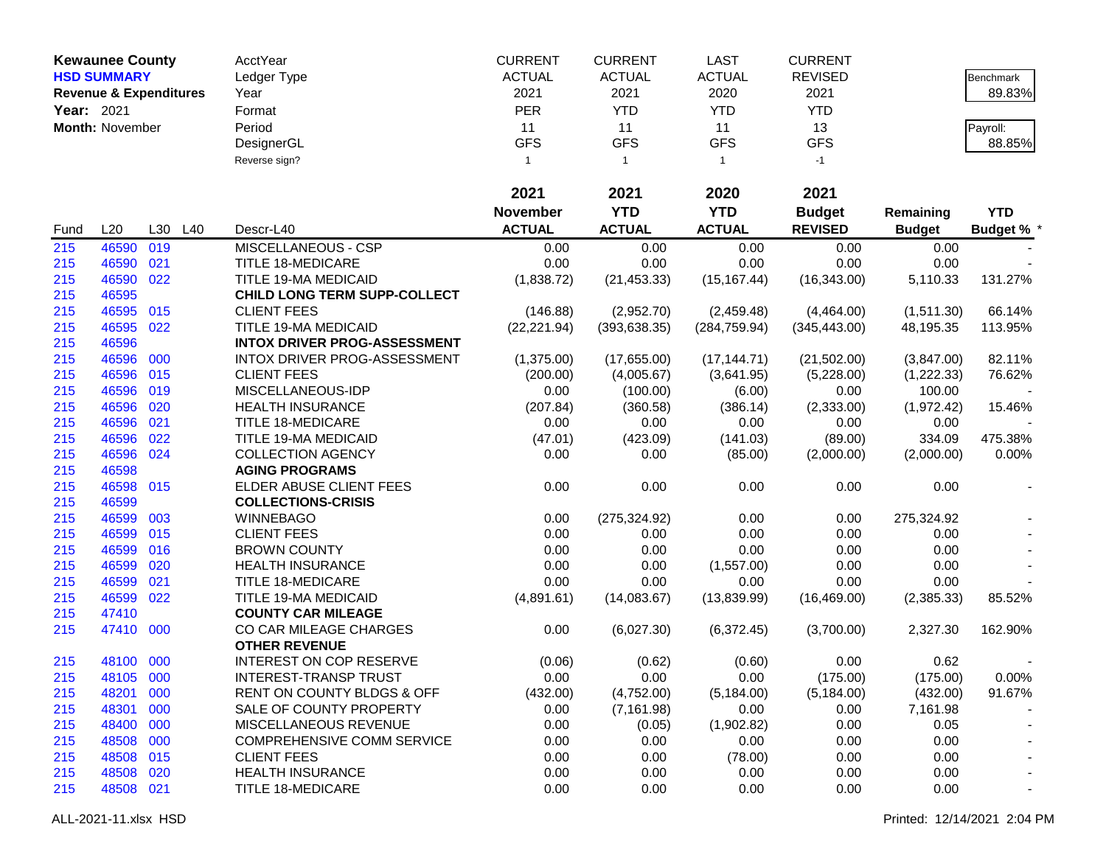|            | <b>Kewaunee County</b>            |     |         | <b>AcctYear</b>                       | <b>CURRENT</b>  | <b>CURRENT</b> | <b>LAST</b>   | <b>CURRENT</b> |               |                   |
|------------|-----------------------------------|-----|---------|---------------------------------------|-----------------|----------------|---------------|----------------|---------------|-------------------|
|            | <b>HSD SUMMARY</b>                |     |         | Ledger Type                           | <b>ACTUAL</b>   | <b>ACTUAL</b>  | <b>ACTUAL</b> | <b>REVISED</b> |               | Benchmark         |
|            | <b>Revenue &amp; Expenditures</b> |     |         | Year                                  | 2021            | 2021           | 2020          | 2021           |               | 89.83%            |
| Year: 2021 |                                   |     |         | Format                                | <b>PER</b>      | <b>YTD</b>     | <b>YTD</b>    | <b>YTD</b>     |               |                   |
|            | Month: November                   |     |         | Period                                | 11              | 11             | 11            | 13             |               | Payroll:          |
|            |                                   |     |         | DesignerGL                            | <b>GFS</b>      | <b>GFS</b>     | <b>GFS</b>    | <b>GFS</b>     |               | 88.85%            |
|            |                                   |     |         | Reverse sign?                         | $\mathbf{1}$    | $\mathbf{1}$   | $\mathbf{1}$  | $-1$           |               |                   |
|            |                                   |     |         |                                       |                 |                |               |                |               |                   |
|            |                                   |     |         |                                       | 2021            | 2021           | 2020          | 2021           |               |                   |
|            |                                   |     |         |                                       | <b>November</b> | <b>YTD</b>     | <b>YTD</b>    | <b>Budget</b>  | Remaining     | <b>YTD</b>        |
| Fund       | L20                               |     | L30 L40 | Descr-L40                             | <b>ACTUAL</b>   | <b>ACTUAL</b>  | <b>ACTUAL</b> | <b>REVISED</b> | <b>Budget</b> | <b>Budget % *</b> |
| 215        | 46590                             | 019 |         | MISCELLANEOUS - CSP                   | 0.00            | 0.00           | 0.00          | 0.00           | 0.00          |                   |
| 215        | 46590                             | 021 |         | <b>TITLE 18-MEDICARE</b>              | 0.00            | 0.00           | 0.00          | 0.00           | 0.00          |                   |
| 215        | 46590 022                         |     |         | TITLE 19-MA MEDICAID                  | (1,838.72)      | (21, 453.33)   | (15, 167.44)  | (16, 343.00)   | 5,110.33      | 131.27%           |
| 215        | 46595                             |     |         | <b>CHILD LONG TERM SUPP-COLLECT</b>   |                 |                |               |                |               |                   |
| 215        | 46595 015                         |     |         | <b>CLIENT FEES</b>                    | (146.88)        | (2,952.70)     | (2,459.48)    | (4,464.00)     | (1,511.30)    | 66.14%            |
| 215        | 46595                             | 022 |         | TITLE 19-MA MEDICAID                  | (22, 221.94)    | (393, 638.35)  | (284, 759.94) | (345, 443.00)  | 48,195.35     | 113.95%           |
| 215        | 46596                             |     |         | <b>INTOX DRIVER PROG-ASSESSMENT</b>   |                 |                |               |                |               |                   |
| 215        | 46596 000                         |     |         | INTOX DRIVER PROG-ASSESSMENT          | (1,375.00)      | (17,655.00)    | (17, 144.71)  | (21,502.00)    | (3,847.00)    | 82.11%            |
| 215        | 46596 015                         |     |         | <b>CLIENT FEES</b>                    | (200.00)        | (4,005.67)     | (3,641.95)    | (5,228.00)     | (1,222.33)    | 76.62%            |
| 215        | 46596                             | 019 |         | MISCELLANEOUS-IDP                     | 0.00            | (100.00)       | (6.00)        | 0.00           | 100.00        |                   |
| 215        | 46596                             | 020 |         | <b>HEALTH INSURANCE</b>               | (207.84)        | (360.58)       | (386.14)      | (2,333.00)     | (1,972.42)    | 15.46%            |
| 215        | 46596                             | 021 |         | <b>TITLE 18-MEDICARE</b>              | 0.00            | 0.00           | 0.00          | 0.00           | 0.00          |                   |
| 215        | 46596                             | 022 |         | TITLE 19-MA MEDICAID                  | (47.01)         | (423.09)       | (141.03)      | (89.00)        | 334.09        | 475.38%           |
| 215        | 46596 024                         |     |         | <b>COLLECTION AGENCY</b>              | 0.00            | 0.00           | (85.00)       | (2,000.00)     | (2,000.00)    | 0.00%             |
| 215        | 46598                             |     |         | <b>AGING PROGRAMS</b>                 |                 |                |               |                |               |                   |
| 215        | 46598 015                         |     |         | ELDER ABUSE CLIENT FEES               | 0.00            | 0.00           | 0.00          | 0.00           | 0.00          |                   |
| 215        | 46599                             |     |         | <b>COLLECTIONS-CRISIS</b>             |                 |                |               |                |               |                   |
| 215        | 46599                             | 003 |         | <b>WINNEBAGO</b>                      | 0.00            | (275, 324.92)  | 0.00          | 0.00           | 275,324.92    |                   |
| 215        | 46599 015                         |     |         | <b>CLIENT FEES</b>                    | 0.00            | 0.00           | 0.00          | 0.00           | 0.00          |                   |
| 215        | 46599 016                         |     |         | <b>BROWN COUNTY</b>                   | 0.00            | 0.00           | 0.00          | 0.00           | 0.00          |                   |
| 215        | 46599                             | 020 |         | <b>HEALTH INSURANCE</b>               | 0.00            | 0.00           | (1,557.00)    | 0.00           | 0.00          |                   |
| 215        | 46599                             | 021 |         | TITLE 18-MEDICARE                     | 0.00            | 0.00           | 0.00          | 0.00           | 0.00          |                   |
| 215        | 46599 022                         |     |         | TITLE 19-MA MEDICAID                  | (4,891.61)      | (14,083.67)    | (13,839.99)   | (16, 469.00)   | (2,385.33)    | 85.52%            |
| 215        | 47410                             |     |         | <b>COUNTY CAR MILEAGE</b>             |                 |                |               |                |               |                   |
| 215        | 47410 000                         |     |         | CO CAR MILEAGE CHARGES                | 0.00            | (6,027.30)     | (6,372.45)    | (3,700.00)     | 2,327.30      | 162.90%           |
|            |                                   |     |         | <b>OTHER REVENUE</b>                  |                 |                |               |                |               |                   |
| 215        | 48100 000                         |     |         | <b>INTEREST ON COP RESERVE</b>        | (0.06)          | (0.62)         | (0.60)        | 0.00           | 0.62          |                   |
| 215        | 48105 000                         |     |         | <b>INTEREST-TRANSP TRUST</b>          | 0.00            | 0.00           | 0.00          | (175.00)       | (175.00)      | 0.00%             |
| 215        | 48201 000                         |     |         | <b>RENT ON COUNTY BLDGS &amp; OFF</b> | (432.00)        | (4,752.00)     | (5, 184.00)   | (5, 184.00)    | (432.00)      | 91.67%            |
| 215        | 48301 000                         |     |         | SALE OF COUNTY PROPERTY               | 0.00            | (7, 161.98)    | 0.00          | 0.00           | 7,161.98      |                   |
| 215        | 48400 000                         |     |         | MISCELLANEOUS REVENUE                 | 0.00            | (0.05)         | (1,902.82)    | 0.00           | 0.05          |                   |
| 215        | 48508 000                         |     |         | COMPREHENSIVE COMM SERVICE            | 0.00            | 0.00           | 0.00          | 0.00           | 0.00          |                   |
| 215        | 48508 015                         |     |         | <b>CLIENT FEES</b>                    | 0.00            | 0.00           | (78.00)       | 0.00           | 0.00          |                   |
| 215        | 48508 020                         |     |         | <b>HEALTH INSURANCE</b>               | 0.00            | 0.00           | 0.00          | 0.00           | 0.00          |                   |
| 215        | 48508 021                         |     |         | <b>TITLE 18-MEDICARE</b>              | 0.00            | 0.00           | 0.00          | 0.00           | 0.00          |                   |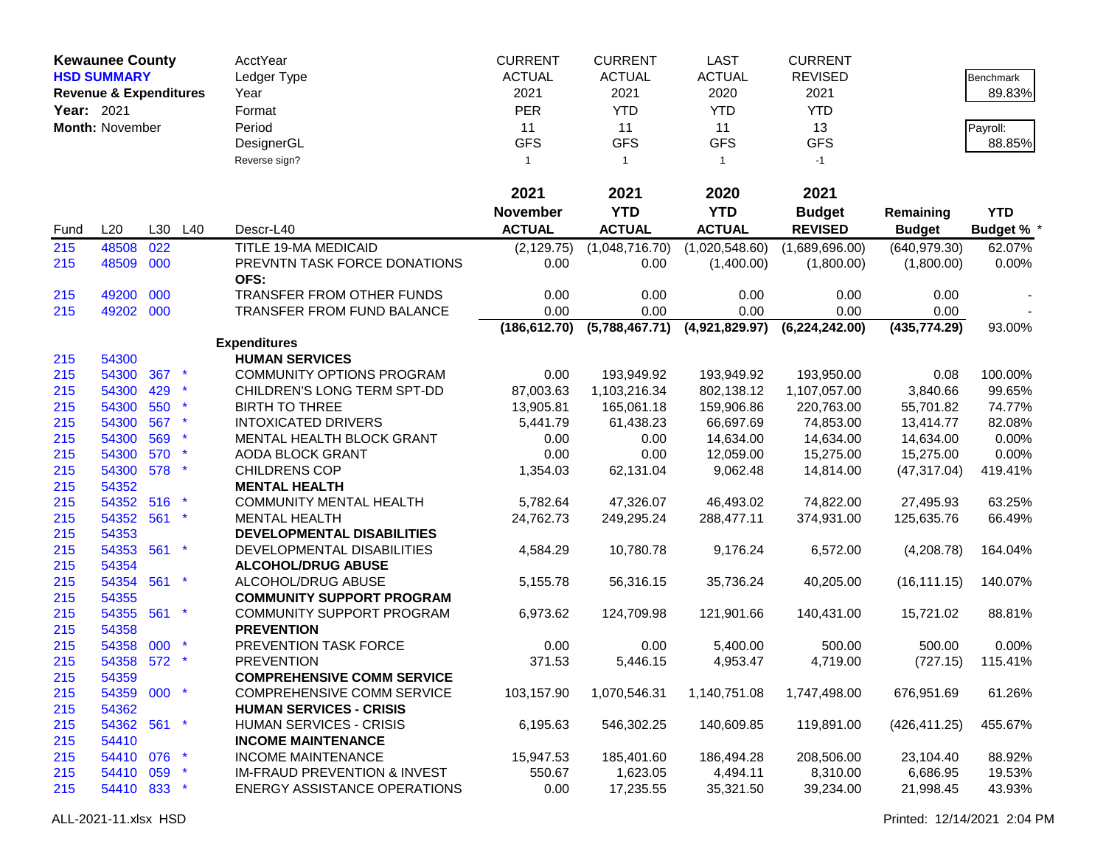|            | <b>Kewaunee County</b>            |     |                 | AcctYear                                | <b>CURRENT</b>  | <b>CURRENT</b> | <b>LAST</b>    | <b>CURRENT</b>   |               |                   |
|------------|-----------------------------------|-----|-----------------|-----------------------------------------|-----------------|----------------|----------------|------------------|---------------|-------------------|
|            | <b>HSD SUMMARY</b>                |     |                 | Ledger Type                             | <b>ACTUAL</b>   | <b>ACTUAL</b>  | <b>ACTUAL</b>  | <b>REVISED</b>   |               | Benchmark         |
|            | <b>Revenue &amp; Expenditures</b> |     |                 | Year                                    | 2021            | 2021           | 2020           | 2021             |               | 89.83%            |
| Year: 2021 |                                   |     |                 | Format                                  | <b>PER</b>      | <b>YTD</b>     | <b>YTD</b>     | <b>YTD</b>       |               |                   |
|            | Month: November                   |     |                 | Period                                  | 11              | 11             | 11             | 13               |               |                   |
|            |                                   |     |                 |                                         |                 |                |                |                  |               | Payroll:          |
|            |                                   |     |                 | DesignerGL                              | <b>GFS</b>      | <b>GFS</b>     | <b>GFS</b>     | <b>GFS</b>       |               | 88.85%            |
|            |                                   |     |                 | Reverse sign?                           | $\mathbf{1}$    | $\mathbf{1}$   | $\overline{1}$ | $-1$             |               |                   |
|            |                                   |     |                 |                                         | 2021            | 2021           | 2020           | 2021             |               |                   |
|            |                                   |     |                 |                                         | <b>November</b> | <b>YTD</b>     | <b>YTD</b>     | <b>Budget</b>    | Remaining     | <b>YTD</b>        |
| Fund       | L20                               |     | L30 L40         | Descr-L40                               | <b>ACTUAL</b>   | <b>ACTUAL</b>  | <b>ACTUAL</b>  | <b>REVISED</b>   | <b>Budget</b> | <b>Budget % *</b> |
| 215        | 48508                             | 022 |                 | TITLE 19-MA MEDICAID                    | (2, 129.75)     | (1,048,716.70) | (1,020,548.60) | (1,689,696.00)   | (640, 979.30) | 62.07%            |
| 215        | 48509 000                         |     |                 | PREVNTN TASK FORCE DONATIONS            | 0.00            | 0.00           | (1,400.00)     | (1,800.00)       | (1,800.00)    | 0.00%             |
|            |                                   |     |                 | OFS:                                    |                 |                |                |                  |               |                   |
| 215        | 49200                             | 000 |                 | TRANSFER FROM OTHER FUNDS               | 0.00            | 0.00           | 0.00           | 0.00             | 0.00          |                   |
| 215        | 49202 000                         |     |                 | <b>TRANSFER FROM FUND BALANCE</b>       | 0.00            | 0.00           | 0.00           | 0.00             | 0.00          |                   |
|            |                                   |     |                 |                                         | (186, 612.70)   | (5,788,467.71) | (4,921,829.97) | (6, 224, 242.00) | (435, 774.29) | 93.00%            |
|            |                                   |     |                 | <b>Expenditures</b>                     |                 |                |                |                  |               |                   |
| 215        | 54300                             |     |                 | <b>HUMAN SERVICES</b>                   |                 |                |                |                  |               |                   |
| 215        | 54300                             | 367 |                 | <b>COMMUNITY OPTIONS PROGRAM</b>        | 0.00            | 193,949.92     | 193,949.92     | 193,950.00       | 0.08          | 100.00%           |
| 215        | 54300                             | 429 |                 | CHILDREN'S LONG TERM SPT-DD             | 87,003.63       | 1,103,216.34   | 802,138.12     | 1,107,057.00     | 3,840.66      | 99.65%            |
| 215        | 54300                             | 550 |                 | <b>BIRTH TO THREE</b>                   | 13,905.81       | 165,061.18     | 159,906.86     | 220,763.00       | 55,701.82     | 74.77%            |
| 215        | 54300                             | 567 |                 | <b>INTOXICATED DRIVERS</b>              | 5,441.79        | 61,438.23      | 66,697.69      | 74,853.00        | 13,414.77     | 82.08%            |
| 215        | 54300                             | 569 |                 | MENTAL HEALTH BLOCK GRANT               | 0.00            | 0.00           | 14,634.00      | 14,634.00        | 14,634.00     | 0.00%             |
| 215        | 54300                             | 570 |                 | AODA BLOCK GRANT                        | 0.00            | 0.00           | 12,059.00      | 15,275.00        | 15,275.00     | 0.00%             |
| 215        | 54300                             | 578 |                 | <b>CHILDRENS COP</b>                    | 1,354.03        | 62,131.04      | 9,062.48       | 14,814.00        | (47, 317.04)  | 419.41%           |
| 215        | 54352                             |     |                 | <b>MENTAL HEALTH</b>                    |                 |                |                |                  |               |                   |
| 215        | 54352                             | 516 |                 | <b>COMMUNITY MENTAL HEALTH</b>          | 5,782.64        | 47,326.07      | 46,493.02      | 74,822.00        | 27,495.93     | 63.25%            |
| 215        | 54352                             | 561 |                 | <b>MENTAL HEALTH</b>                    | 24,762.73       | 249,295.24     | 288,477.11     | 374,931.00       | 125,635.76    | 66.49%            |
| 215        | 54353                             |     |                 | DEVELOPMENTAL DISABILITIES              |                 |                |                |                  |               |                   |
| 215        | 54353 561                         |     | $\ast$          | DEVELOPMENTAL DISABILITIES              | 4,584.29        | 10,780.78      | 9,176.24       | 6,572.00         | (4,208.78)    | 164.04%           |
| 215        | 54354                             |     |                 | <b>ALCOHOL/DRUG ABUSE</b>               |                 |                |                |                  |               |                   |
| 215        | 54354 561                         |     | $\star$         | ALCOHOL/DRUG ABUSE                      | 5,155.78        | 56,316.15      | 35,736.24      | 40,205.00        | (16, 111.15)  | 140.07%           |
| 215        | 54355                             |     |                 | <b>COMMUNITY SUPPORT PROGRAM</b>        |                 |                |                |                  |               |                   |
| 215        | 54355 561                         |     | $\star$         | COMMUNITY SUPPORT PROGRAM               | 6,973.62        | 124,709.98     | 121,901.66     | 140,431.00       | 15,721.02     | 88.81%            |
| 215        | 54358                             |     |                 | <b>PREVENTION</b>                       |                 |                |                |                  |               |                   |
| 215        | 54358                             | 000 |                 | PREVENTION TASK FORCE                   | 0.00            | 0.00           | 5,400.00       | 500.00           | 500.00        | 0.00%             |
| 215        | 54358 572                         |     |                 | <b>PREVENTION</b>                       | 371.53          | 5,446.15       | 4,953.47       | 4,719.00         | (727.15)      | 115.41%           |
| 215        | 54359                             |     |                 | <b>COMPREHENSIVE COMM SERVICE</b>       |                 |                |                |                  |               |                   |
| 215        | 54359 000 *                       |     |                 | <b>COMPREHENSIVE COMM SERVICE</b>       | 103,157.90      | 1,070,546.31   | 1,140,751.08   | 1,747,498.00     | 676,951.69    | 61.26%            |
| 215        | 54362                             |     |                 | <b>HUMAN SERVICES - CRISIS</b>          |                 |                |                |                  |               |                   |
| 215        | 54362 561                         |     | $\star$         | <b>HUMAN SERVICES - CRISIS</b>          | 6,195.63        | 546,302.25     | 140,609.85     | 119,891.00       | (426, 411.25) | 455.67%           |
| 215        | 54410                             |     |                 | <b>INCOME MAINTENANCE</b>               |                 |                |                |                  |               |                   |
| 215        | 54410 076                         |     | $\mathbf{\ast}$ | <b>INCOME MAINTENANCE</b>               | 15,947.53       | 185,401.60     | 186,494.28     | 208,506.00       | 23,104.40     | 88.92%            |
| 215        | 54410 059                         |     | Ť               | <b>IM-FRAUD PREVENTION &amp; INVEST</b> | 550.67          | 1,623.05       | 4,494.11       | 8,310.00         | 6,686.95      | 19.53%            |
|            | 54410 833 *                       |     |                 | <b>ENERGY ASSISTANCE OPERATIONS</b>     | 0.00            | 17,235.55      | 35,321.50      | 39,234.00        | 21,998.45     | 43.93%            |
| 215        |                                   |     |                 |                                         |                 |                |                |                  |               |                   |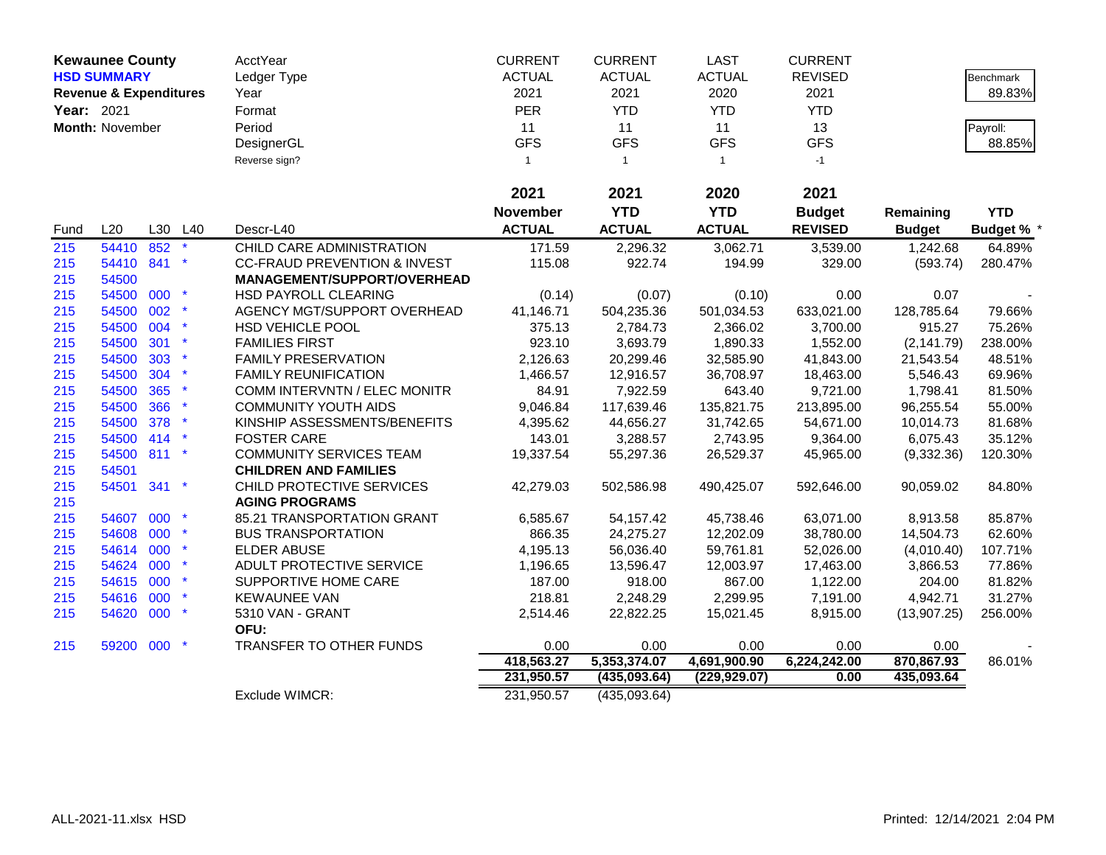|                   | <b>Kewaunee County</b>            |     |         | AcctYear                                | <b>CURRENT</b>  | <b>CURRENT</b> | <b>LAST</b>    | <b>CURRENT</b> |               |                   |
|-------------------|-----------------------------------|-----|---------|-----------------------------------------|-----------------|----------------|----------------|----------------|---------------|-------------------|
|                   | <b>HSD SUMMARY</b>                |     |         | Ledger Type                             | <b>ACTUAL</b>   | <b>ACTUAL</b>  | <b>ACTUAL</b>  | <b>REVISED</b> |               | <b>Benchmark</b>  |
|                   | <b>Revenue &amp; Expenditures</b> |     |         | Year                                    | 2021            | 2021           | 2020           | 2021           |               | 89.83%            |
| <b>Year: 2021</b> |                                   |     |         | Format                                  | <b>PER</b>      | <b>YTD</b>     | <b>YTD</b>     | <b>YTD</b>     |               |                   |
|                   | Month: November                   |     |         | Period                                  | 11              | 11             | 11             | 13             |               | Payroll:          |
|                   |                                   |     |         | DesignerGL                              | <b>GFS</b>      | <b>GFS</b>     | <b>GFS</b>     | <b>GFS</b>     |               | 88.85%            |
|                   |                                   |     |         | Reverse sign?                           | $\mathbf{1}$    | $\mathbf{1}$   | $\overline{1}$ | $-1$           |               |                   |
|                   |                                   |     |         |                                         | 2021            | 2021           | 2020           | 2021           |               |                   |
|                   |                                   |     |         |                                         | <b>November</b> | <b>YTD</b>     | <b>YTD</b>     | <b>Budget</b>  | Remaining     | <b>YTD</b>        |
| Fund              | L20                               |     | L30 L40 | Descr-L40                               | <b>ACTUAL</b>   | <b>ACTUAL</b>  | <b>ACTUAL</b>  | <b>REVISED</b> | <b>Budget</b> | <b>Budget % *</b> |
| 215               | 54410 852                         |     |         | CHILD CARE ADMINISTRATION               | 171.59          | 2,296.32       | 3,062.71       | 3,539.00       | 1,242.68      | 64.89%            |
| 215               | 54410 841                         |     | $\ast$  | <b>CC-FRAUD PREVENTION &amp; INVEST</b> | 115.08          | 922.74         | 194.99         | 329.00         | (593.74)      | 280.47%           |
| 215               | 54500                             |     |         | <b>MANAGEMENT/SUPPORT/OVERHEAD</b>      |                 |                |                |                |               |                   |
| 215               | 54500 000                         |     |         | HSD PAYROLL CLEARING                    | (0.14)          | (0.07)         | (0.10)         | 0.00           | 0.07          |                   |
| 215               | 54500                             | 002 |         | AGENCY MGT/SUPPORT OVERHEAD             | 41,146.71       | 504,235.36     | 501,034.53     | 633,021.00     | 128,785.64    | 79.66%            |
| 215               | 54500 004                         |     |         | HSD VEHICLE POOL                        | 375.13          | 2,784.73       | 2,366.02       | 3,700.00       | 915.27        | 75.26%            |
| 215               | 54500 301                         |     | $\ast$  | <b>FAMILIES FIRST</b>                   | 923.10          | 3,693.79       | 1,890.33       | 1,552.00       | (2, 141.79)   | 238.00%           |
| 215               | 54500                             | 303 |         | <b>FAMILY PRESERVATION</b>              | 2,126.63        | 20,299.46      | 32,585.90      | 41,843.00      | 21,543.54     | 48.51%            |
| 215               | 54500                             | 304 |         | <b>FAMILY REUNIFICATION</b>             | 1,466.57        | 12,916.57      | 36,708.97      | 18,463.00      | 5,546.43      | 69.96%            |
| 215               | 54500                             | 365 | $\star$ | COMM INTERVNTN / ELEC MONITR            | 84.91           | 7,922.59       | 643.40         | 9,721.00       | 1,798.41      | 81.50%            |
| 215               | 54500                             | 366 |         | <b>COMMUNITY YOUTH AIDS</b>             | 9,046.84        | 117,639.46     | 135,821.75     | 213,895.00     | 96,255.54     | 55.00%            |
| 215               | 54500                             | 378 |         | KINSHIP ASSESSMENTS/BENEFITS            | 4,395.62        | 44,656.27      | 31,742.65      | 54,671.00      | 10,014.73     | 81.68%            |
| 215               | 54500 414                         |     |         | <b>FOSTER CARE</b>                      | 143.01          | 3,288.57       | 2,743.95       | 9,364.00       | 6,075.43      | 35.12%            |
| 215               | 54500 811                         |     | $\star$ | <b>COMMUNITY SERVICES TEAM</b>          | 19,337.54       | 55,297.36      | 26,529.37      | 45,965.00      | (9,332.36)    | 120.30%           |
| 215               | 54501                             |     |         | <b>CHILDREN AND FAMILIES</b>            |                 |                |                |                |               |                   |
| 215               | 54501                             | 341 |         | CHILD PROTECTIVE SERVICES               | 42,279.03       | 502,586.98     | 490,425.07     | 592,646.00     | 90,059.02     | 84.80%            |
| 215               |                                   |     |         | <b>AGING PROGRAMS</b>                   |                 |                |                |                |               |                   |
| 215               | 54607 000                         |     |         | 85.21 TRANSPORTATION GRANT              | 6,585.67        | 54,157.42      | 45,738.46      | 63,071.00      | 8,913.58      | 85.87%            |
| 215               | 54608 000                         |     |         | <b>BUS TRANSPORTATION</b>               | 866.35          | 24,275.27      | 12,202.09      | 38,780.00      | 14,504.73     | 62.60%            |
| 215               | 54614 000                         |     | $\star$ | <b>ELDER ABUSE</b>                      | 4,195.13        | 56,036.40      | 59,761.81      | 52,026.00      | (4,010.40)    | 107.71%           |
| 215               | 54624 000                         |     | $\star$ | ADULT PROTECTIVE SERVICE                | 1,196.65        | 13,596.47      | 12,003.97      | 17,463.00      | 3,866.53      | 77.86%            |
| 215               | 54615 000                         |     |         | SUPPORTIVE HOME CARE                    | 187.00          | 918.00         | 867.00         | 1,122.00       | 204.00        | 81.82%            |
| 215               | 54616                             | 000 |         | <b>KEWAUNEE VAN</b>                     | 218.81          | 2,248.29       | 2,299.95       | 7,191.00       | 4,942.71      | 31.27%            |
| 215               | 54620 000                         |     | $\star$ | 5310 VAN - GRANT<br>OFU:                | 2,514.46        | 22,822.25      | 15,021.45      | 8,915.00       | (13,907.25)   | 256.00%           |
| 215               | 59200                             | 000 |         | <b>TRANSFER TO OTHER FUNDS</b>          | 0.00            | 0.00           | 0.00           | 0.00           | 0.00          |                   |
|                   |                                   |     |         |                                         | 418,563.27      | 5,353,374.07   | 4,691,900.90   | 6,224,242.00   | 870,867.93    | 86.01%            |
|                   |                                   |     |         |                                         | 231,950.57      | (435,093.64)   | (229, 929.07)  | 0.00           | 435,093.64    |                   |
|                   |                                   |     |         | Exclude WIMCR:                          | 231,950.57      | (435,093.64)   |                |                |               |                   |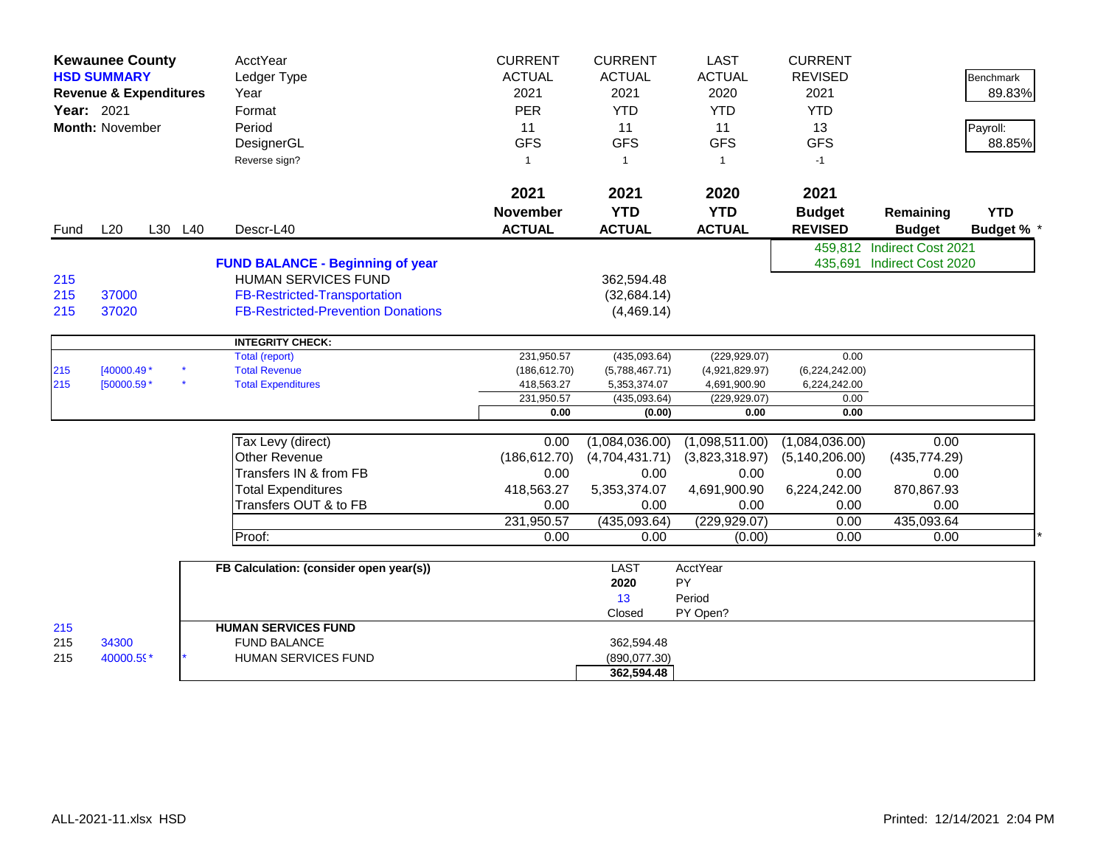|            | <b>Kewaunee County</b>            |         | AcctYear                                  | <b>CURRENT</b>  | <b>CURRENT</b> | <b>LAST</b>    | <b>CURRENT</b>   |                            |                   |
|------------|-----------------------------------|---------|-------------------------------------------|-----------------|----------------|----------------|------------------|----------------------------|-------------------|
|            | <b>HSD SUMMARY</b>                |         | Ledger Type                               | <b>ACTUAL</b>   | <b>ACTUAL</b>  | <b>ACTUAL</b>  | <b>REVISED</b>   |                            | <b>Benchmark</b>  |
|            | <b>Revenue &amp; Expenditures</b> |         | Year                                      | 2021            | 2021           | 2020           | 2021             |                            | 89.83%            |
| Year: 2021 |                                   |         | Format                                    | <b>PER</b>      | <b>YTD</b>     | <b>YTD</b>     | <b>YTD</b>       |                            |                   |
|            | <b>Month: November</b>            |         | Period                                    | 11              | 11             | 11             | 13               |                            | Payroll:          |
|            |                                   |         | DesignerGL                                | <b>GFS</b>      | <b>GFS</b>     | <b>GFS</b>     | <b>GFS</b>       |                            | 88.85%            |
|            |                                   |         | Reverse sign?                             | $\mathbf{1}$    | $\overline{1}$ | $\mathbf{1}$   | $-1$             |                            |                   |
|            |                                   |         |                                           |                 |                |                |                  |                            |                   |
|            |                                   |         |                                           | 2021            | 2021           | 2020           | 2021             |                            |                   |
|            |                                   |         |                                           | <b>November</b> | <b>YTD</b>     | <b>YTD</b>     | <b>Budget</b>    | Remaining                  | <b>YTD</b>        |
| Fund       | L20                               | L30 L40 | Descr-L40                                 | <b>ACTUAL</b>   | <b>ACTUAL</b>  | <b>ACTUAL</b>  | <b>REVISED</b>   | <b>Budget</b>              | <b>Budget % *</b> |
|            |                                   |         |                                           |                 |                |                |                  | 459,812 Indirect Cost 2021 |                   |
|            |                                   |         | <b>FUND BALANCE - Beginning of year</b>   |                 |                |                |                  | 435,691 Indirect Cost 2020 |                   |
| 215        |                                   |         | HUMAN SERVICES FUND                       |                 | 362,594.48     |                |                  |                            |                   |
| 215        | 37000                             |         | <b>FB-Restricted-Transportation</b>       |                 | (32,684.14)    |                |                  |                            |                   |
| 215        | 37020                             |         | <b>FB-Restricted-Prevention Donations</b> |                 | (4,469.14)     |                |                  |                            |                   |
|            |                                   |         |                                           |                 |                |                |                  |                            |                   |
|            |                                   |         | <b>INTEGRITY CHECK:</b>                   |                 |                |                |                  |                            |                   |
|            |                                   |         | <b>Total (report)</b>                     | 231,950.57      | (435,093.64)   | (229, 929.07)  | 0.00             |                            |                   |
| 215        | $[40000.49*$                      |         | <b>Total Revenue</b>                      | (186, 612.70)   | (5,788,467.71) | (4,921,829.97) | (6,224,242.00)   |                            |                   |
| 215        | [50000.59 *                       |         | <b>Total Expenditures</b>                 | 418,563.27      | 5,353,374.07   | 4,691,900.90   | 6,224,242.00     |                            |                   |
|            |                                   |         |                                           | 231,950.57      | (435,093.64)   | (229, 929.07)  | 0.00             |                            |                   |
|            |                                   |         |                                           | 0.00            | (0.00)         | 0.00           | 0.00             |                            |                   |
|            |                                   |         | Tax Levy (direct)                         | 0.00            | (1,084,036.00) | (1,098,511.00) | (1,084,036.00)   | 0.00                       |                   |
|            |                                   |         | <b>Other Revenue</b>                      | (186, 612.70)   | (4,704,431.71) | (3,823,318.97) | (5, 140, 206.00) | (435, 774.29)              |                   |
|            |                                   |         | Transfers IN & from FB                    | 0.00            | 0.00           | 0.00           | 0.00             | 0.00                       |                   |
|            |                                   |         | <b>Total Expenditures</b>                 | 418,563.27      | 5,353,374.07   | 4,691,900.90   | 6,224,242.00     | 870,867.93                 |                   |
|            |                                   |         | Transfers OUT & to FB                     | 0.00            | 0.00           | 0.00           | 0.00             | 0.00                       |                   |
|            |                                   |         |                                           | 231,950.57      | (435,093.64)   | (229, 929.07)  | 0.00             | 435,093.64                 |                   |
|            |                                   |         | Proof:                                    | 0.00            | 0.00           | (0.00)         | 0.00             | 0.00                       |                   |
|            |                                   |         |                                           |                 |                |                |                  |                            |                   |
|            |                                   |         | FB Calculation: (consider open year(s))   |                 | <b>LAST</b>    | AcctYear       |                  |                            |                   |
|            |                                   |         |                                           |                 | 2020           | PY             |                  |                            |                   |
|            |                                   |         |                                           |                 | 13             | Period         |                  |                            |                   |
|            |                                   |         |                                           |                 | Closed         | PY Open?       |                  |                            |                   |
| 215        |                                   |         | <b>HUMAN SERVICES FUND</b>                |                 |                |                |                  |                            |                   |
| 215        | 34300                             |         | <b>FUND BALANCE</b>                       |                 | 362.594.48     |                |                  |                            |                   |
| 215        | 40000.59*                         |         | <b>HUMAN SERVICES FUND</b>                |                 | (890, 077.30)  |                |                  |                            |                   |
|            |                                   |         |                                           |                 | 362,594.48     |                |                  |                            |                   |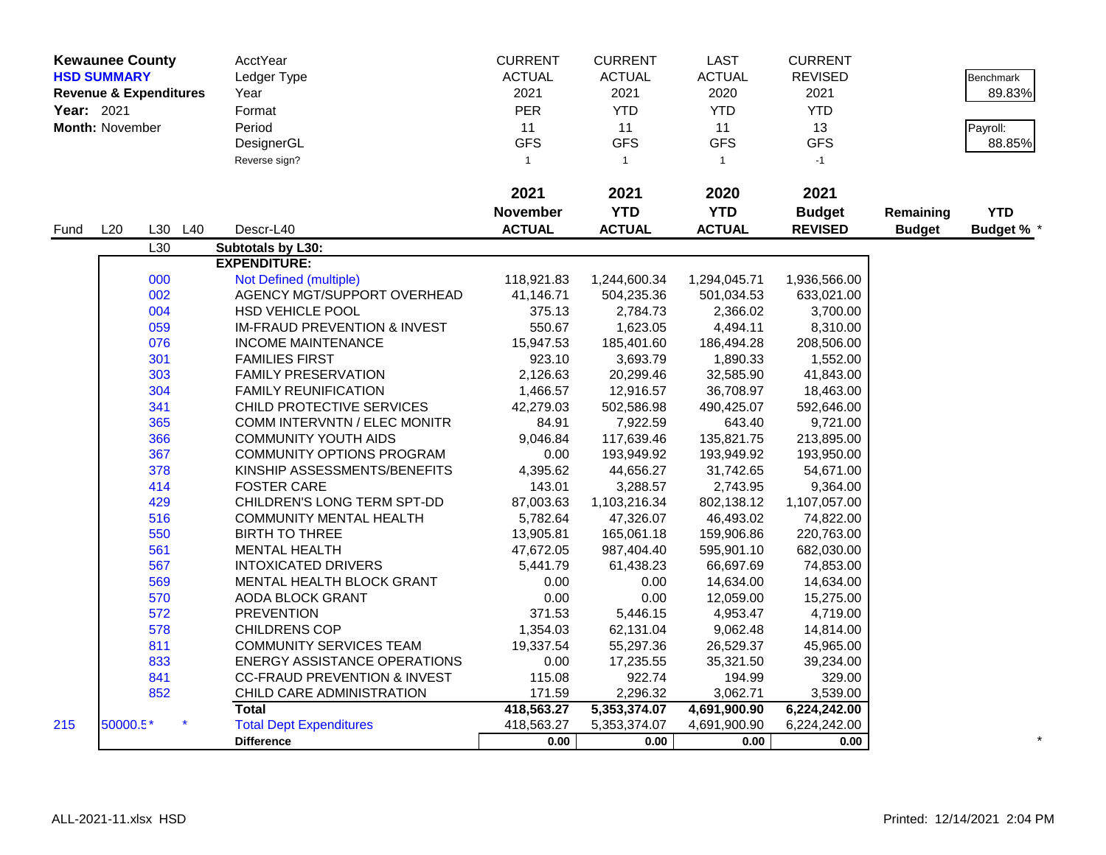|            | <b>Kewaunee County</b> |                                   | AcctYear                                | <b>CURRENT</b>  | <b>CURRENT</b> | LAST          | <b>CURRENT</b> |               |                  |
|------------|------------------------|-----------------------------------|-----------------------------------------|-----------------|----------------|---------------|----------------|---------------|------------------|
|            | <b>HSD SUMMARY</b>     |                                   | Ledger Type                             | <b>ACTUAL</b>   | <b>ACTUAL</b>  | <b>ACTUAL</b> | <b>REVISED</b> |               | <b>Benchmark</b> |
|            |                        | <b>Revenue &amp; Expenditures</b> | Year                                    | 2021            | 2021           | 2020          | 2021           |               | 89.83%           |
| Year: 2021 |                        |                                   | Format                                  | <b>PER</b>      | <b>YTD</b>     | <b>YTD</b>    | <b>YTD</b>     |               |                  |
|            | Month: November        |                                   | Period                                  | 11              | 11             | 11            | 13             |               | Payroll:         |
|            |                        |                                   | DesignerGL                              | <b>GFS</b>      | <b>GFS</b>     | <b>GFS</b>    | <b>GFS</b>     |               | 88.85%           |
|            |                        |                                   | Reverse sign?                           | $\mathbf{1}$    | $\mathbf{1}$   | $\mathbf{1}$  | $-1$           |               |                  |
|            |                        |                                   |                                         |                 |                |               |                |               |                  |
|            |                        |                                   |                                         | 2021            | 2021           | 2020          | 2021           |               |                  |
|            |                        |                                   |                                         | <b>November</b> | <b>YTD</b>     | <b>YTD</b>    | <b>Budget</b>  | Remaining     | <b>YTD</b>       |
| Fund       | L20                    | L30 L40                           | Descr-L40                               | <b>ACTUAL</b>   | <b>ACTUAL</b>  | <b>ACTUAL</b> | <b>REVISED</b> | <b>Budget</b> | Budget % *       |
|            |                        | L30                               | Subtotals by L30:                       |                 |                |               |                |               |                  |
|            |                        |                                   | <b>EXPENDITURE:</b>                     |                 |                |               |                |               |                  |
|            |                        | 000                               | Not Defined (multiple)                  | 118,921.83      | 1,244,600.34   | 1,294,045.71  | 1,936,566.00   |               |                  |
|            |                        | 002                               | AGENCY MGT/SUPPORT OVERHEAD             | 41,146.71       | 504,235.36     | 501,034.53    | 633,021.00     |               |                  |
|            |                        | 004                               | <b>HSD VEHICLE POOL</b>                 | 375.13          | 2,784.73       | 2,366.02      | 3,700.00       |               |                  |
|            |                        | 059                               | <b>IM-FRAUD PREVENTION &amp; INVEST</b> | 550.67          | 1,623.05       | 4,494.11      | 8,310.00       |               |                  |
|            |                        | 076                               | <b>INCOME MAINTENANCE</b>               | 15,947.53       | 185,401.60     | 186,494.28    | 208,506.00     |               |                  |
|            |                        | 301                               | <b>FAMILIES FIRST</b>                   | 923.10          | 3,693.79       | 1,890.33      | 1,552.00       |               |                  |
|            |                        | 303                               | <b>FAMILY PRESERVATION</b>              | 2,126.63        | 20,299.46      | 32,585.90     | 41,843.00      |               |                  |
|            |                        | 304                               | <b>FAMILY REUNIFICATION</b>             | 1,466.57        | 12,916.57      | 36,708.97     | 18,463.00      |               |                  |
|            |                        | 341                               | CHILD PROTECTIVE SERVICES               | 42,279.03       | 502,586.98     | 490,425.07    | 592,646.00     |               |                  |
|            |                        | 365                               | <b>COMM INTERVNTN / ELEC MONITR</b>     | 84.91           | 7,922.59       | 643.40        | 9,721.00       |               |                  |
|            |                        | 366                               | <b>COMMUNITY YOUTH AIDS</b>             | 9,046.84        | 117,639.46     | 135,821.75    | 213,895.00     |               |                  |
|            |                        | 367                               | COMMUNITY OPTIONS PROGRAM               | 0.00            | 193,949.92     | 193,949.92    | 193,950.00     |               |                  |
|            |                        | 378                               | KINSHIP ASSESSMENTS/BENEFITS            | 4,395.62        | 44,656.27      | 31,742.65     | 54,671.00      |               |                  |
|            |                        | 414                               | <b>FOSTER CARE</b>                      | 143.01          | 3,288.57       | 2,743.95      | 9,364.00       |               |                  |
|            |                        | 429                               | CHILDREN'S LONG TERM SPT-DD             | 87,003.63       | 1,103,216.34   | 802,138.12    | 1,107,057.00   |               |                  |
|            |                        | 516                               | <b>COMMUNITY MENTAL HEALTH</b>          | 5,782.64        | 47,326.07      | 46,493.02     | 74,822.00      |               |                  |
|            |                        | 550                               | <b>BIRTH TO THREE</b>                   | 13,905.81       | 165,061.18     | 159,906.86    | 220,763.00     |               |                  |
|            |                        | 561                               | <b>MENTAL HEALTH</b>                    | 47,672.05       | 987,404.40     | 595,901.10    | 682,030.00     |               |                  |
|            |                        | 567                               | <b>INTOXICATED DRIVERS</b>              | 5,441.79        | 61,438.23      | 66,697.69     | 74,853.00      |               |                  |
|            |                        | 569                               | MENTAL HEALTH BLOCK GRANT               | 0.00            | 0.00           | 14,634.00     | 14,634.00      |               |                  |
|            |                        | 570                               | AODA BLOCK GRANT                        | 0.00            | 0.00           | 12,059.00     | 15,275.00      |               |                  |
|            |                        | 572                               | <b>PREVENTION</b>                       | 371.53          | 5,446.15       | 4,953.47      | 4,719.00       |               |                  |
|            |                        | 578                               | <b>CHILDRENS COP</b>                    | 1,354.03        | 62,131.04      | 9,062.48      | 14,814.00      |               |                  |
|            |                        | 811                               | <b>COMMUNITY SERVICES TEAM</b>          | 19,337.54       | 55,297.36      | 26,529.37     | 45,965.00      |               |                  |
|            |                        | 833                               | <b>ENERGY ASSISTANCE OPERATIONS</b>     | 0.00            | 17,235.55      | 35,321.50     | 39,234.00      |               |                  |
|            |                        | 841                               | <b>CC-FRAUD PREVENTION &amp; INVEST</b> | 115.08          | 922.74         | 194.99        | 329.00         |               |                  |
|            |                        | 852                               | CHILD CARE ADMINISTRATION               | 171.59          | 2,296.32       | 3,062.71      | 3,539.00       |               |                  |
|            |                        |                                   | <b>Total</b>                            | 418,563.27      | 5,353,374.07   | 4,691,900.90  | 6,224,242.00   |               |                  |
| 215        | 50000.5*               |                                   | <b>Total Dept Expenditures</b>          | 418,563.27      | 5,353,374.07   | 4,691,900.90  | 6,224,242.00   |               |                  |
|            |                        |                                   | <b>Difference</b>                       | 0.00            | 0.00           | 0.00          | 0.00           |               |                  |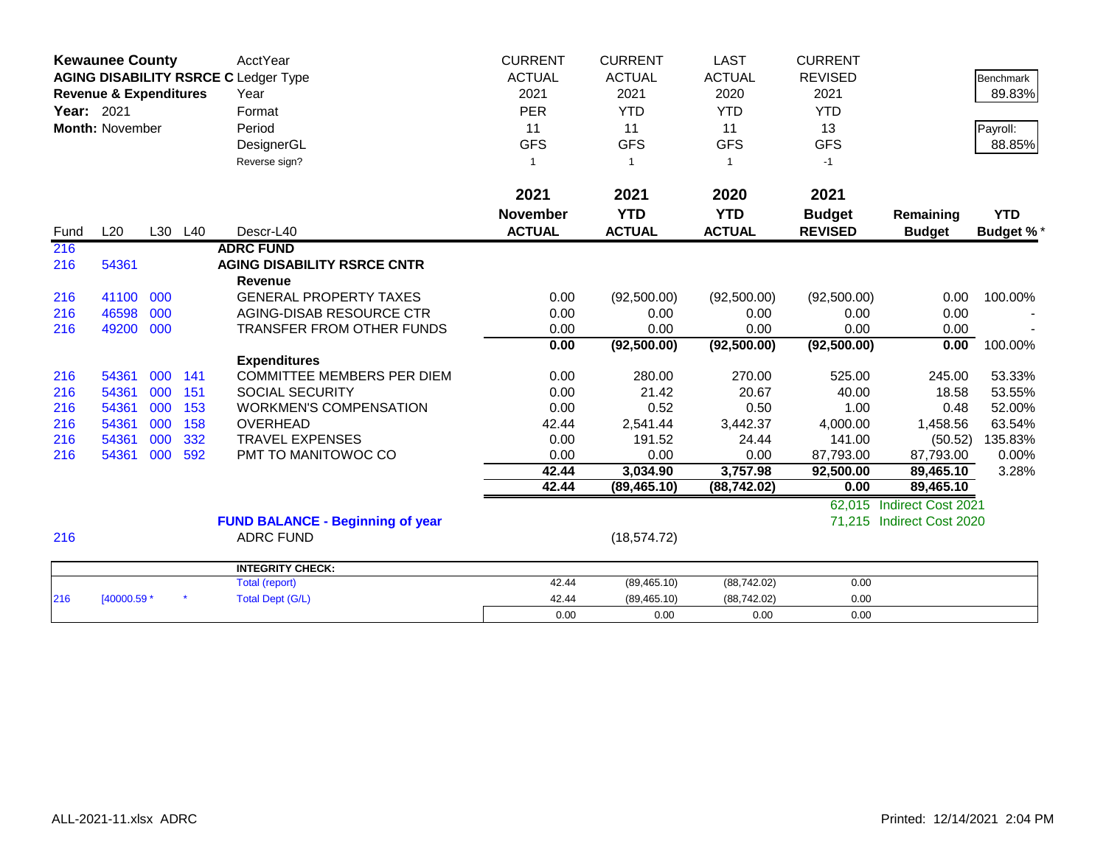|            | <b>Kewaunee County</b>            |     |         | <b>AcctYear</b>                             | <b>CURRENT</b>  | <b>CURRENT</b> | <b>LAST</b>   | <b>CURRENT</b> |                           |                  |
|------------|-----------------------------------|-----|---------|---------------------------------------------|-----------------|----------------|---------------|----------------|---------------------------|------------------|
|            |                                   |     |         | <b>AGING DISABILITY RSRCE C Ledger Type</b> | <b>ACTUAL</b>   | <b>ACTUAL</b>  | <b>ACTUAL</b> | <b>REVISED</b> |                           | <b>Benchmark</b> |
|            | <b>Revenue &amp; Expenditures</b> |     |         | Year                                        | 2021            | 2021           | 2020          | 2021           |                           | 89.83%           |
| Year: 2021 |                                   |     |         | Format                                      | <b>PER</b>      | <b>YTD</b>     | <b>YTD</b>    | <b>YTD</b>     |                           |                  |
|            | <b>Month: November</b>            |     |         | Period                                      | 11              | 11             | 11            | 13             |                           | Payroll:         |
|            |                                   |     |         | DesignerGL                                  | <b>GFS</b>      | <b>GFS</b>     | <b>GFS</b>    | <b>GFS</b>     |                           | 88.85%           |
|            |                                   |     |         | Reverse sign?                               | -1              | -1             | 1             | $-1$           |                           |                  |
|            |                                   |     |         |                                             |                 |                |               |                |                           |                  |
|            |                                   |     |         |                                             | 2021            | 2021           | 2020          | 2021           |                           |                  |
|            |                                   |     |         |                                             | <b>November</b> | <b>YTD</b>     | <b>YTD</b>    | <b>Budget</b>  | Remaining                 | <b>YTD</b>       |
| Fund       | L20                               |     | L30 L40 | Descr-L40                                   | <b>ACTUAL</b>   | <b>ACTUAL</b>  | <b>ACTUAL</b> | <b>REVISED</b> | <b>Budget</b>             | <b>Budget %*</b> |
| 216        |                                   |     |         | <b>ADRC FUND</b>                            |                 |                |               |                |                           |                  |
| 216        | 54361                             |     |         | <b>AGING DISABILITY RSRCE CNTR</b>          |                 |                |               |                |                           |                  |
|            |                                   |     |         | <b>Revenue</b>                              |                 |                |               |                |                           |                  |
| 216        | 41100                             | 000 |         | <b>GENERAL PROPERTY TAXES</b>               | 0.00            | (92,500.00)    | (92,500.00)   | (92,500.00)    | 0.00                      | 100.00%          |
| 216        | 46598                             | 000 |         | AGING-DISAB RESOURCE CTR                    | 0.00            | 0.00           | 0.00          | 0.00           | 0.00                      |                  |
| 216        | 49200                             | 000 |         | <b>TRANSFER FROM OTHER FUNDS</b>            | 0.00            | 0.00           | 0.00          | 0.00           | 0.00                      |                  |
|            |                                   |     |         |                                             | 0.00            | (92,500.00)    | (92, 500.00)  | (92, 500.00)   | 0.00                      | 100.00%          |
|            |                                   |     |         | <b>Expenditures</b>                         |                 |                |               |                |                           |                  |
| 216        | 54361                             | 000 | 141     | COMMITTEE MEMBERS PER DIEM                  | 0.00            | 280.00         | 270.00        | 525.00         | 245.00                    | 53.33%           |
| 216        | 54361                             | 000 | 151     | <b>SOCIAL SECURITY</b>                      | 0.00            | 21.42          | 20.67         | 40.00          | 18.58                     | 53.55%           |
| 216        | 54361                             | 000 | 153     | <b>WORKMEN'S COMPENSATION</b>               | 0.00            | 0.52           | 0.50          | 1.00           | 0.48                      | 52.00%           |
| 216        | 54361                             | 000 | 158     | <b>OVERHEAD</b>                             | 42.44           | 2,541.44       | 3,442.37      | 4,000.00       | 1,458.56                  | 63.54%           |
| 216        | 54361                             | 000 | 332     | <b>TRAVEL EXPENSES</b>                      | 0.00            | 191.52         | 24.44         | 141.00         | (50.52)                   | 135.83%          |
| 216        | 54361                             | 000 | 592     | PMT TO MANITOWOC CO                         | 0.00            | 0.00           | 0.00          | 87,793.00      | 87,793.00                 | 0.00%            |
|            |                                   |     |         |                                             | 42.44           | 3,034.90       | 3,757.98      | 92,500.00      | 89,465.10                 | 3.28%            |
|            |                                   |     |         |                                             | 42.44           | (89, 465.10)   | (88, 742.02)  | 0.00           | 89,465.10                 |                  |
|            |                                   |     |         |                                             |                 |                |               | 62,015         | Indirect Cost 2021        |                  |
|            |                                   |     |         | <b>FUND BALANCE - Beginning of year</b>     |                 |                |               | 71,215         | <b>Indirect Cost 2020</b> |                  |
| 216        |                                   |     |         | <b>ADRC FUND</b>                            |                 | (18, 574.72)   |               |                |                           |                  |
|            |                                   |     |         | <b>INTEGRITY CHECK:</b>                     |                 |                |               |                |                           |                  |
|            |                                   |     |         | <b>Total (report)</b>                       | 42.44           | (89, 465.10)   | (88, 742.02)  | 0.00           |                           |                  |
| 216        | [40000.59 *                       |     |         | <b>Total Dept (G/L)</b>                     | 42.44           | (89, 465.10)   | (88, 742.02)  | 0.00           |                           |                  |
|            |                                   |     |         |                                             | 0.00            | 0.00           | 0.00          | 0.00           |                           |                  |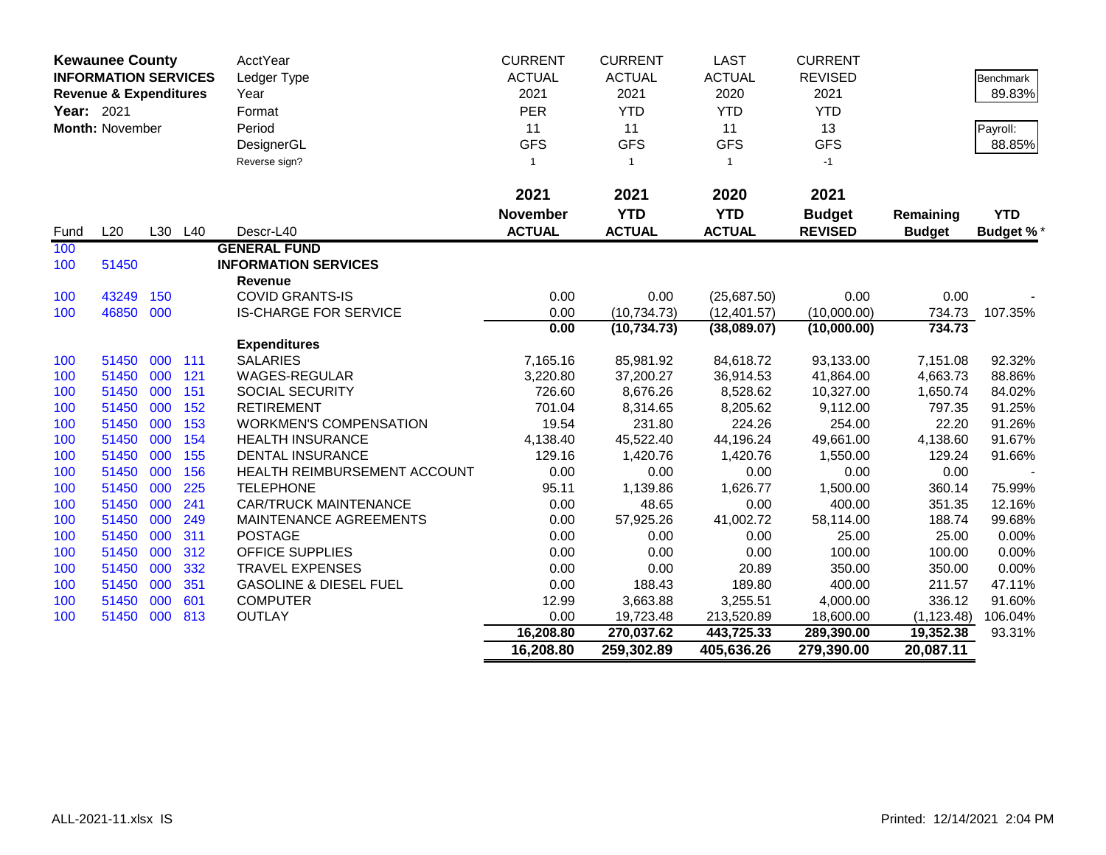|            | <b>Kewaunee County</b>            |     |         | AcctYear                          | <b>CURRENT</b>  | <b>CURRENT</b> | <b>LAST</b>   | <b>CURRENT</b> |               |                  |
|------------|-----------------------------------|-----|---------|-----------------------------------|-----------------|----------------|---------------|----------------|---------------|------------------|
|            | <b>INFORMATION SERVICES</b>       |     |         | Ledger Type                       | <b>ACTUAL</b>   | <b>ACTUAL</b>  | <b>ACTUAL</b> | <b>REVISED</b> |               | Benchmark        |
|            | <b>Revenue &amp; Expenditures</b> |     |         | Year                              | 2021            | 2021           | 2020          | 2021           |               | 89.83%           |
| Year: 2021 |                                   |     |         | Format                            | PER             | <b>YTD</b>     | <b>YTD</b>    | <b>YTD</b>     |               |                  |
|            | Month: November                   |     |         | Period                            | 11              | 11             | 11            | 13             |               | Payroll:         |
|            |                                   |     |         | DesignerGL                        | <b>GFS</b>      | <b>GFS</b>     | <b>GFS</b>    | <b>GFS</b>     |               | 88.85%           |
|            |                                   |     |         | Reverse sign?                     | $\mathbf{1}$    | $\overline{1}$ | $\mathbf{1}$  | $-1$           |               |                  |
|            |                                   |     |         |                                   |                 |                |               |                |               |                  |
|            |                                   |     |         |                                   | 2021            | 2021           | 2020          | 2021           |               |                  |
|            |                                   |     |         |                                   | <b>November</b> | <b>YTD</b>     | <b>YTD</b>    | <b>Budget</b>  | Remaining     | <b>YTD</b>       |
| Fund       | L20                               |     | L30 L40 | Descr-L40                         | <b>ACTUAL</b>   | <b>ACTUAL</b>  | <b>ACTUAL</b> | <b>REVISED</b> | <b>Budget</b> | <b>Budget %*</b> |
| 100        |                                   |     |         | <b>GENERAL FUND</b>               |                 |                |               |                |               |                  |
| 100        | 51450                             |     |         | <b>INFORMATION SERVICES</b>       |                 |                |               |                |               |                  |
|            |                                   |     |         | <b>Revenue</b>                    |                 |                |               |                |               |                  |
| 100        | 43249                             | 150 |         | <b>COVID GRANTS-IS</b>            | 0.00            | 0.00           | (25,687.50)   | 0.00           | 0.00          |                  |
| 100        | 46850                             | 000 |         | <b>IS-CHARGE FOR SERVICE</b>      | 0.00            | (10, 734.73)   | (12, 401.57)  | (10,000.00)    | 734.73        | 107.35%          |
|            |                                   |     |         |                                   | 0.00            | (10, 734.73)   | (38,089.07)   | (10,000.00)    | 734.73        |                  |
|            |                                   |     |         | <b>Expenditures</b>               |                 |                |               |                |               |                  |
| 100        | 51450                             | 000 | 111     | <b>SALARIES</b>                   | 7,165.16        | 85,981.92      | 84,618.72     | 93,133.00      | 7,151.08      | 92.32%           |
| 100        | 51450                             | 000 | 121     | WAGES-REGULAR                     | 3,220.80        | 37,200.27      | 36,914.53     | 41,864.00      | 4,663.73      | 88.86%           |
| 100        | 51450                             | 000 | 151     | <b>SOCIAL SECURITY</b>            | 726.60          | 8,676.26       | 8,528.62      | 10,327.00      | 1,650.74      | 84.02%           |
| 100        | 51450                             | 000 | 152     | <b>RETIREMENT</b>                 | 701.04          | 8,314.65       | 8,205.62      | 9,112.00       | 797.35        | 91.25%           |
| 100        | 51450                             | 000 | 153     | <b>WORKMEN'S COMPENSATION</b>     | 19.54           | 231.80         | 224.26        | 254.00         | 22.20         | 91.26%           |
| 100        | 51450                             | 000 | 154     | <b>HEALTH INSURANCE</b>           | 4,138.40        | 45,522.40      | 44,196.24     | 49,661.00      | 4,138.60      | 91.67%           |
| 100        | 51450                             | 000 | 155     | <b>DENTAL INSURANCE</b>           | 129.16          | 1,420.76       | 1,420.76      | 1,550.00       | 129.24        | 91.66%           |
| 100        | 51450                             | 000 | 156     | HEALTH REIMBURSEMENT ACCOUNT      | 0.00            | 0.00           | 0.00          | 0.00           | 0.00          |                  |
| 100        | 51450                             | 000 | 225     | <b>TELEPHONE</b>                  | 95.11           | 1,139.86       | 1,626.77      | 1,500.00       | 360.14        | 75.99%           |
| 100        | 51450                             | 000 | 241     | <b>CAR/TRUCK MAINTENANCE</b>      | 0.00            | 48.65          | 0.00          | 400.00         | 351.35        | 12.16%           |
| 100        | 51450                             | 000 | 249     | MAINTENANCE AGREEMENTS            | 0.00            | 57,925.26      | 41,002.72     | 58,114.00      | 188.74        | 99.68%           |
| 100        | 51450                             | 000 | 311     | <b>POSTAGE</b>                    | 0.00            | 0.00           | 0.00          | 25.00          | 25.00         | 0.00%            |
| 100        | 51450                             | 000 | 312     | <b>OFFICE SUPPLIES</b>            | 0.00            | 0.00           | 0.00          | 100.00         | 100.00        | 0.00%            |
| 100        | 51450                             | 000 | 332     | <b>TRAVEL EXPENSES</b>            | 0.00            | 0.00           | 20.89         | 350.00         | 350.00        | 0.00%            |
| 100        | 51450                             | 000 | 351     | <b>GASOLINE &amp; DIESEL FUEL</b> | 0.00            | 188.43         | 189.80        | 400.00         | 211.57        | 47.11%           |
| 100        | 51450                             | 000 | 601     | <b>COMPUTER</b>                   | 12.99           | 3,663.88       | 3,255.51      | 4,000.00       | 336.12        | 91.60%           |
| 100        | 51450 000                         |     | 813     | OUTLAY                            | 0.00            | 19,723.48      | 213,520.89    | 18,600.00      | (1, 123.48)   | 106.04%          |
|            |                                   |     |         |                                   | 16,208.80       | 270,037.62     | 443,725.33    | 289,390.00     | 19,352.38     | 93.31%           |
|            |                                   |     |         |                                   | 16,208.80       | 259,302.89     | 405,636.26    | 279,390.00     | 20,087.11     |                  |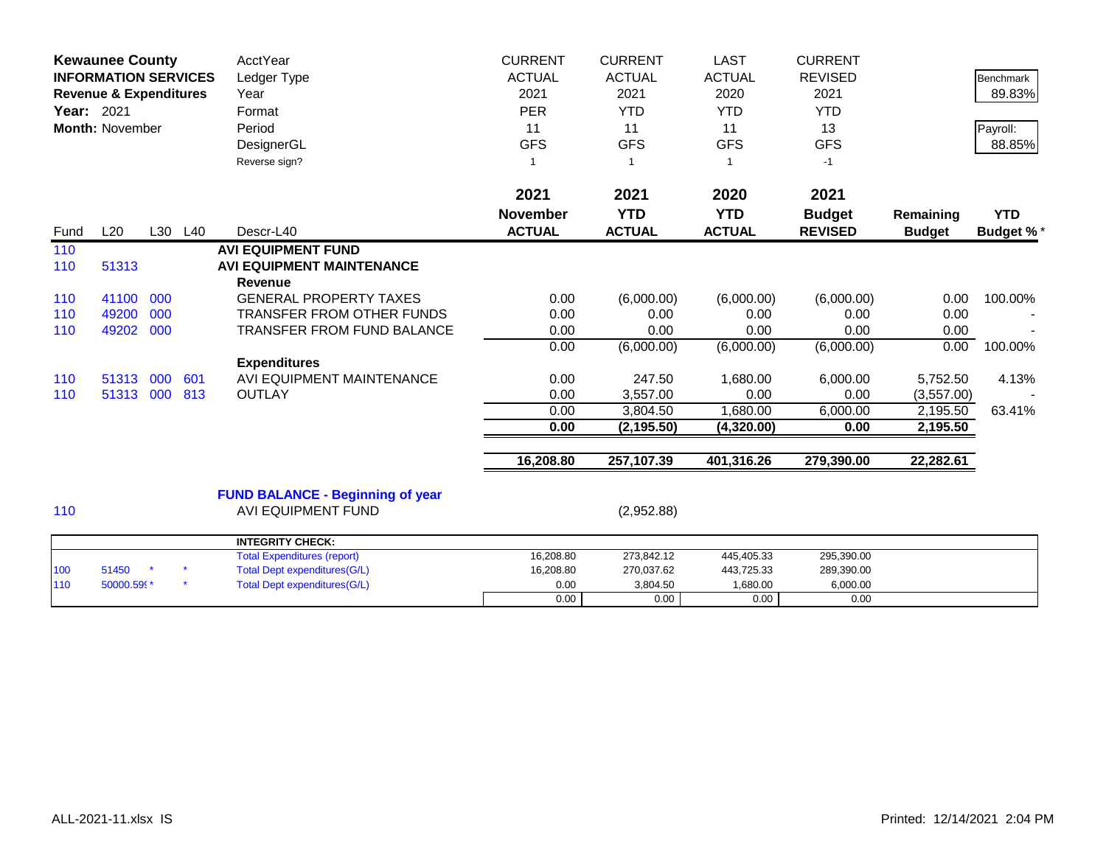| <b>Kewaunee County</b> | <b>INFORMATION SERVICES</b><br><b>Revenue &amp; Expenditures</b><br>Year: 2021<br><b>Month: November</b> |     |         | <b>AcctYear</b><br>Ledger Type<br>Year<br>Format<br>Period<br>DesignerGL<br>Reverse sign? | <b>CURRENT</b><br><b>ACTUAL</b><br>2021<br><b>PER</b><br>11<br><b>GFS</b><br>-1 | <b>CURRENT</b><br><b>ACTUAL</b><br>2021<br><b>YTD</b><br>11<br><b>GFS</b><br>-1 | <b>LAST</b><br><b>ACTUAL</b><br>2020<br><b>YTD</b><br>11<br><b>GFS</b><br>$\overline{1}$ | <b>CURRENT</b><br><b>REVISED</b><br>2021<br><b>YTD</b><br>13<br><b>GFS</b><br>$-1$ |                            | <b>Benchmark</b><br>89.83%<br>Payroll:<br>88.85% |
|------------------------|----------------------------------------------------------------------------------------------------------|-----|---------|-------------------------------------------------------------------------------------------|---------------------------------------------------------------------------------|---------------------------------------------------------------------------------|------------------------------------------------------------------------------------------|------------------------------------------------------------------------------------|----------------------------|--------------------------------------------------|
|                        |                                                                                                          |     |         |                                                                                           | 2021                                                                            | 2021                                                                            | 2020                                                                                     | 2021                                                                               |                            |                                                  |
| Fund                   | L20                                                                                                      |     | L30 L40 | Descr-L40                                                                                 | <b>November</b><br><b>ACTUAL</b>                                                | <b>YTD</b><br><b>ACTUAL</b>                                                     | <b>YTD</b><br><b>ACTUAL</b>                                                              | <b>Budget</b><br><b>REVISED</b>                                                    | Remaining<br><b>Budget</b> | <b>YTD</b><br><b>Budget %*</b>                   |
| 110<br>110             | 51313                                                                                                    |     |         | <b>AVI EQUIPMENT FUND</b><br><b>AVI EQUIPMENT MAINTENANCE</b><br><b>Revenue</b>           |                                                                                 |                                                                                 |                                                                                          |                                                                                    |                            |                                                  |
| 110                    | 41100                                                                                                    | 000 |         | <b>GENERAL PROPERTY TAXES</b>                                                             | 0.00                                                                            | (6,000.00)                                                                      | (6,000.00)                                                                               | (6,000.00)                                                                         | 0.00                       | 100.00%                                          |
| 110                    | 49200                                                                                                    | 000 |         | <b>TRANSFER FROM OTHER FUNDS</b>                                                          | 0.00                                                                            | 0.00                                                                            | 0.00                                                                                     | 0.00                                                                               | 0.00                       |                                                  |
| 110                    | 49202                                                                                                    | 000 |         | <b>TRANSFER FROM FUND BALANCE</b>                                                         | 0.00                                                                            | 0.00                                                                            | 0.00                                                                                     | 0.00                                                                               | 0.00                       |                                                  |
|                        |                                                                                                          |     |         |                                                                                           | 0.00                                                                            | (6,000.00)                                                                      | (6,000.00)                                                                               | (6,000.00)                                                                         | 0.00                       | 100.00%                                          |
|                        |                                                                                                          |     |         | <b>Expenditures</b>                                                                       |                                                                                 |                                                                                 |                                                                                          |                                                                                    |                            |                                                  |
| 110                    | 51313                                                                                                    | 000 | 601     | AVI EQUIPMENT MAINTENANCE                                                                 | 0.00                                                                            | 247.50                                                                          | 1,680.00                                                                                 | 6,000.00                                                                           | 5,752.50                   | 4.13%                                            |
| 110                    | 51313                                                                                                    | 000 | 813     | <b>OUTLAY</b>                                                                             | 0.00                                                                            | 3,557.00                                                                        | 0.00                                                                                     | 0.00                                                                               | (3,557.00)                 |                                                  |
|                        |                                                                                                          |     |         |                                                                                           | 0.00                                                                            | 3,804.50                                                                        | 1,680.00                                                                                 | 6,000.00                                                                           | 2,195.50                   | 63.41%                                           |
|                        |                                                                                                          |     |         |                                                                                           | 0.00                                                                            | (2, 195.50)                                                                     | (4,320.00)                                                                               | 0.00                                                                               | 2,195.50                   |                                                  |
|                        |                                                                                                          |     |         |                                                                                           | 16,208.80                                                                       | 257,107.39                                                                      | 401,316.26                                                                               | 279,390.00                                                                         | 22,282.61                  |                                                  |
| 110                    |                                                                                                          |     |         | <b>FUND BALANCE - Beginning of year</b><br><b>AVI EQUIPMENT FUND</b>                      |                                                                                 | (2,952.88)                                                                      |                                                                                          |                                                                                    |                            |                                                  |
|                        |                                                                                                          |     |         | <b>INTEGRITY CHECK:</b>                                                                   |                                                                                 |                                                                                 |                                                                                          |                                                                                    |                            |                                                  |
|                        |                                                                                                          |     |         | <b>Total Expenditures (report)</b>                                                        | 16,208.80                                                                       | 273,842.12                                                                      | 445,405.33                                                                               | 295,390.00                                                                         |                            |                                                  |
| 100                    | 51450                                                                                                    |     |         | <b>Total Dept expenditures(G/L)</b>                                                       | 16,208.80                                                                       | 270,037.62                                                                      | 443,725.33                                                                               | 289,390.00                                                                         |                            |                                                  |
| 110                    | 50000.599*                                                                                               |     |         | <b>Total Dept expenditures(G/L)</b>                                                       | 0.00<br>0.00                                                                    | 3,804.50<br>0.00                                                                | 1,680.00<br>0.00                                                                         | 6,000.00<br>0.00                                                                   |                            |                                                  |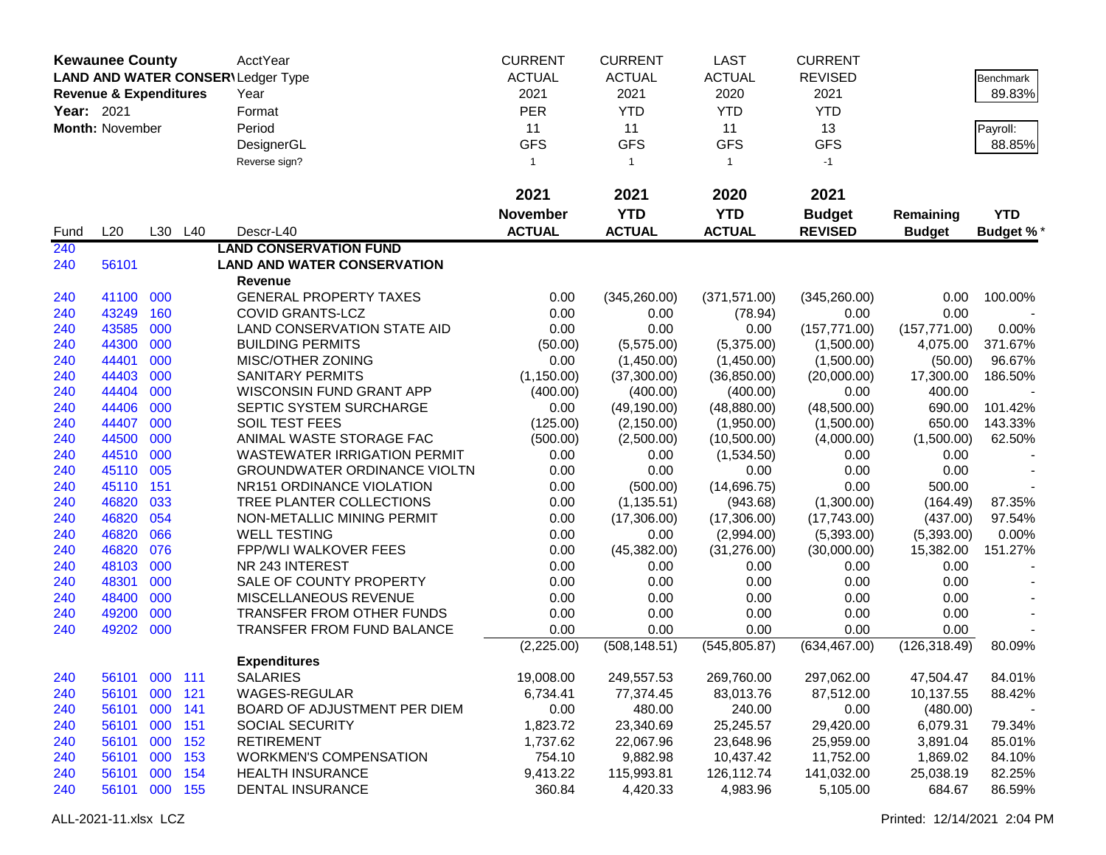|            | <b>Kewaunee County</b>            |         |         | AcctYear                                 | <b>CURRENT</b>  | <b>CURRENT</b> | <b>LAST</b>   | <b>CURRENT</b> |               |                  |
|------------|-----------------------------------|---------|---------|------------------------------------------|-----------------|----------------|---------------|----------------|---------------|------------------|
|            |                                   |         |         | <b>LAND AND WATER CONSER\Ledger Type</b> | <b>ACTUAL</b>   | <b>ACTUAL</b>  | <b>ACTUAL</b> | <b>REVISED</b> |               | Benchmark        |
|            | <b>Revenue &amp; Expenditures</b> |         |         | Year                                     | 2021            | 2021           | 2020          | 2021           |               | 89.83%           |
| Year: 2021 |                                   |         |         | Format                                   | <b>PER</b>      | <b>YTD</b>     | <b>YTD</b>    | <b>YTD</b>     |               |                  |
|            |                                   |         |         |                                          |                 |                |               |                |               |                  |
|            | Month: November                   |         |         | Period                                   | 11              | 11             | 11            | 13             |               | Payroll:         |
|            |                                   |         |         | DesignerGL                               | <b>GFS</b>      | <b>GFS</b>     | <b>GFS</b>    | <b>GFS</b>     |               | 88.85%           |
|            |                                   |         |         | Reverse sign?                            | $\overline{1}$  | $\mathbf{1}$   | $\mathbf{1}$  | $-1$           |               |                  |
|            |                                   |         |         |                                          | 2021            | 2021           | 2020          | 2021           |               |                  |
|            |                                   |         |         |                                          | <b>November</b> | <b>YTD</b>     | <b>YTD</b>    | <b>Budget</b>  | Remaining     | <b>YTD</b>       |
| Fund       | L20                               |         | L30 L40 | Descr-L40                                | <b>ACTUAL</b>   | <b>ACTUAL</b>  | <b>ACTUAL</b> | <b>REVISED</b> | <b>Budget</b> | <b>Budget %*</b> |
| 240        |                                   |         |         | <b>LAND CONSERVATION FUND</b>            |                 |                |               |                |               |                  |
| 240        | 56101                             |         |         | <b>LAND AND WATER CONSERVATION</b>       |                 |                |               |                |               |                  |
|            |                                   |         |         | Revenue                                  |                 |                |               |                |               |                  |
| 240        | 41100                             | 000     |         | <b>GENERAL PROPERTY TAXES</b>            | 0.00            | (345, 260.00)  | (371, 571.00) | (345, 260.00)  | 0.00          | 100.00%          |
| 240        | 43249                             | 160     |         | <b>COVID GRANTS-LCZ</b>                  | 0.00            | 0.00           | (78.94)       | 0.00           | 0.00          |                  |
| 240        | 43585                             | 000     |         | LAND CONSERVATION STATE AID              | 0.00            | 0.00           | 0.00          | (157, 771.00)  | (157, 771.00) | 0.00%            |
| 240        | 44300                             | 000     |         | <b>BUILDING PERMITS</b>                  | (50.00)         | (5,575.00)     | (5,375.00)    | (1,500.00)     | 4,075.00      | 371.67%          |
| 240        | 44401                             | 000     |         | MISC/OTHER ZONING                        | 0.00            | (1,450.00)     | (1,450.00)    | (1,500.00)     | (50.00)       | 96.67%           |
| 240        | 44403                             | 000     |         | <b>SANITARY PERMITS</b>                  | (1, 150.00)     | (37,300.00)    | (36, 850.00)  | (20,000.00)    | 17,300.00     | 186.50%          |
| 240        | 44404                             | 000     |         | <b>WISCONSIN FUND GRANT APP</b>          | (400.00)        | (400.00)       | (400.00)      | 0.00           | 400.00        |                  |
| 240        | 44406                             | 000     |         | SEPTIC SYSTEM SURCHARGE                  | 0.00            | (49, 190.00)   | (48, 880.00)  | (48,500.00)    | 690.00        | 101.42%          |
| 240        | 44407                             | 000     |         | SOIL TEST FEES                           | (125.00)        | (2, 150.00)    | (1,950.00)    | (1,500.00)     | 650.00        | 143.33%          |
| 240        | 44500                             | 000     |         | ANIMAL WASTE STORAGE FAC                 | (500.00)        | (2,500.00)     | (10,500.00)   | (4,000.00)     | (1,500.00)    | 62.50%           |
| 240        | 44510                             | 000     |         | <b>WASTEWATER IRRIGATION PERMIT</b>      | 0.00            | 0.00           | (1,534.50)    | 0.00           | 0.00          |                  |
| 240        | 45110                             | 005     |         | <b>GROUNDWATER ORDINANCE VIOLTN</b>      | 0.00            | 0.00           | 0.00          | 0.00           | 0.00          |                  |
| 240        | 45110                             | 151     |         | NR151 ORDINANCE VIOLATION                | 0.00            | (500.00)       | (14,696.75)   | 0.00           | 500.00        |                  |
| 240        | 46820                             | 033     |         | TREE PLANTER COLLECTIONS                 | 0.00            | (1, 135.51)    | (943.68)      | (1,300.00)     | (164.49)      | 87.35%           |
| 240        | 46820                             | 054     |         | NON-METALLIC MINING PERMIT               | 0.00            | (17,306.00)    | (17,306.00)   | (17,743.00)    | (437.00)      | 97.54%           |
| 240        | 46820                             | 066     |         | <b>WELL TESTING</b>                      | 0.00            | 0.00           | (2,994.00)    | (5,393.00)     | (5,393.00)    | 0.00%            |
| 240        | 46820                             | 076     |         | <b>FPP/WLI WALKOVER FEES</b>             | 0.00            | (45, 382.00)   | (31, 276.00)  | (30,000.00)    | 15,382.00     | 151.27%          |
| 240        | 48103                             | 000     |         | NR 243 INTEREST                          | 0.00            | 0.00           | 0.00          | 0.00           | 0.00          |                  |
| 240        | 48301                             | 000     |         | SALE OF COUNTY PROPERTY                  | 0.00            | 0.00           | 0.00          | 0.00           | 0.00          |                  |
| 240        | 48400                             | 000     |         | MISCELLANEOUS REVENUE                    | 0.00            | 0.00           | 0.00          | 0.00           | 0.00          |                  |
| 240        | 49200                             | 000     |         | <b>TRANSFER FROM OTHER FUNDS</b>         | 0.00            | 0.00           | 0.00          | 0.00           | 0.00          |                  |
| 240        | 49202                             | 000     |         | TRANSFER FROM FUND BALANCE               | 0.00            | 0.00           | 0.00          | 0.00           | 0.00          |                  |
|            |                                   |         |         |                                          | (2,225.00)      | (508, 148.51)  | (545, 805.87) | (634, 467.00)  | (126, 318.49) | 80.09%           |
|            |                                   |         |         | <b>Expenditures</b>                      |                 |                |               |                |               |                  |
| 240        | 56101 000 111                     |         |         | <b>SALARIES</b>                          | 19,008.00       | 249,557.53     | 269,760.00    | 297,062.00     | 47,504.47     | 84.01%           |
| 240        | 56101 000 121                     |         |         | WAGES-REGULAR                            | 6,734.41        | 77,374.45      | 83,013.76     | 87,512.00      | 10,137.55     | 88.42%           |
| 240        | 56101                             | 000 141 |         | BOARD OF ADJUSTMENT PER DIEM             | 0.00            | 480.00         | 240.00        | 0.00           | (480.00)      |                  |
| 240        | 56101                             | 000     | 151     | SOCIAL SECURITY                          | 1,823.72        | 23,340.69      | 25,245.57     | 29,420.00      | 6,079.31      | 79.34%           |
| 240        | 56101                             | 000     | 152     | <b>RETIREMENT</b>                        | 1,737.62        | 22,067.96      | 23,648.96     | 25,959.00      | 3,891.04      | 85.01%           |
| 240        | 56101                             | 000     | 153     | <b>WORKMEN'S COMPENSATION</b>            | 754.10          | 9,882.98       | 10,437.42     | 11,752.00      | 1,869.02      | 84.10%           |
| 240        | 56101                             | 000 154 |         | <b>HEALTH INSURANCE</b>                  | 9,413.22        | 115,993.81     | 126,112.74    | 141,032.00     | 25,038.19     | 82.25%           |
| 240        | 56101 000 155                     |         |         | <b>DENTAL INSURANCE</b>                  | 360.84          | 4,420.33       | 4,983.96      | 5,105.00       | 684.67        | 86.59%           |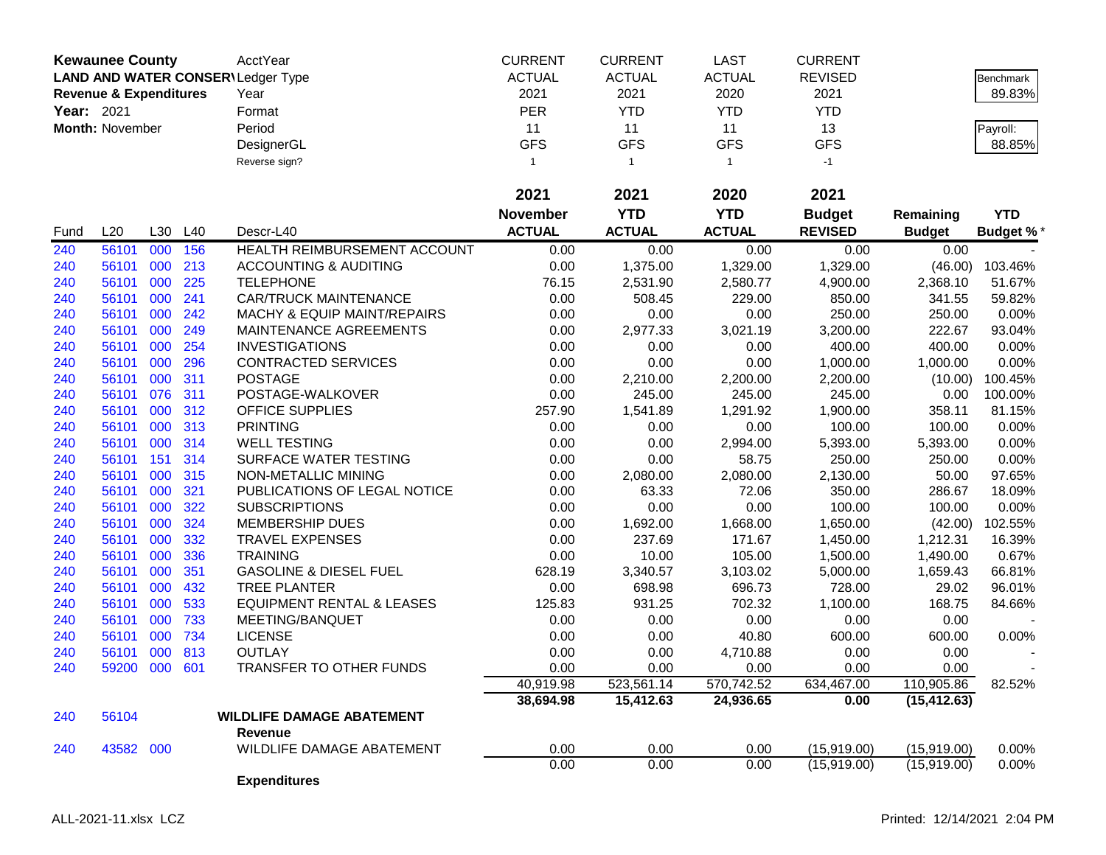|            | <b>Kewaunee County</b>            |     |     | AcctYear                                 | <b>CURRENT</b>  | <b>CURRENT</b> | <b>LAST</b>   | <b>CURRENT</b> |               |                  |
|------------|-----------------------------------|-----|-----|------------------------------------------|-----------------|----------------|---------------|----------------|---------------|------------------|
|            |                                   |     |     | <b>LAND AND WATER CONSER\Ledger Type</b> | <b>ACTUAL</b>   | <b>ACTUAL</b>  | <b>ACTUAL</b> | <b>REVISED</b> |               | <b>Benchmark</b> |
|            | <b>Revenue &amp; Expenditures</b> |     |     | Year                                     | 2021            | 2021           | 2020          | 2021           |               | 89.83%           |
| Year: 2021 |                                   |     |     | Format                                   | <b>PER</b>      | <b>YTD</b>     | <b>YTD</b>    | <b>YTD</b>     |               |                  |
|            | Month: November                   |     |     | Period                                   | 11              | 11             | 11            | 13             |               | Payroll:         |
|            |                                   |     |     | DesignerGL                               | <b>GFS</b>      | <b>GFS</b>     | <b>GFS</b>    | <b>GFS</b>     |               | 88.85%           |
|            |                                   |     |     | Reverse sign?                            | -1              | $\overline{1}$ | $\mathbf{1}$  | $-1$           |               |                  |
|            |                                   |     |     |                                          |                 |                |               |                |               |                  |
|            |                                   |     |     |                                          | 2021            | 2021           | 2020          | 2021           |               |                  |
|            |                                   |     |     |                                          | <b>November</b> | <b>YTD</b>     | <b>YTD</b>    | <b>Budget</b>  | Remaining     | <b>YTD</b>       |
| Fund       | L20                               | L30 | L40 | Descr-L40                                | <b>ACTUAL</b>   | <b>ACTUAL</b>  | <b>ACTUAL</b> | <b>REVISED</b> | <b>Budget</b> | <b>Budget %*</b> |
| 240        | 56101                             | 000 | 156 | <b>HEALTH REIMBURSEMENT ACCOUNT</b>      | 0.00            | 0.00           | 0.00          | 0.00           | 0.00          |                  |
| 240        | 56101                             | 000 | 213 | <b>ACCOUNTING &amp; AUDITING</b>         | 0.00            | 1,375.00       | 1,329.00      | 1,329.00       | (46.00)       | 103.46%          |
| 240        | 56101                             | 000 | 225 | <b>TELEPHONE</b>                         | 76.15           | 2,531.90       | 2,580.77      | 4,900.00       | 2,368.10      | 51.67%           |
| 240        | 56101                             | 000 | 241 | <b>CAR/TRUCK MAINTENANCE</b>             | 0.00            | 508.45         | 229.00        | 850.00         | 341.55        | 59.82%           |
| 240        | 56101                             | 000 | 242 | MACHY & EQUIP MAINT/REPAIRS              | 0.00            | 0.00           | 0.00          | 250.00         | 250.00        | 0.00%            |
| 240        | 56101                             | 000 | 249 | MAINTENANCE AGREEMENTS                   | 0.00            | 2,977.33       | 3,021.19      | 3,200.00       | 222.67        | 93.04%           |
| 240        | 56101                             | 000 | 254 | <b>INVESTIGATIONS</b>                    | 0.00            | 0.00           | 0.00          | 400.00         | 400.00        | 0.00%            |
| 240        | 56101                             | 000 | 296 | <b>CONTRACTED SERVICES</b>               | 0.00            | 0.00           | 0.00          | 1,000.00       | 1,000.00      | 0.00%            |
| 240        | 56101                             | 000 | 311 | <b>POSTAGE</b>                           | 0.00            | 2,210.00       | 2,200.00      | 2,200.00       | (10.00)       | 100.45%          |
| 240        | 56101                             | 076 | 311 | POSTAGE-WALKOVER                         | 0.00            | 245.00         | 245.00        | 245.00         | 0.00          | 100.00%          |
| 240        | 56101                             | 000 | 312 | <b>OFFICE SUPPLIES</b>                   | 257.90          | 1,541.89       | 1,291.92      | 1,900.00       | 358.11        | 81.15%           |
| 240        | 56101                             | 000 | 313 | <b>PRINTING</b>                          | 0.00            | 0.00           | 0.00          | 100.00         | 100.00        | 0.00%            |
| 240        | 56101                             | 000 | 314 | <b>WELL TESTING</b>                      | 0.00            | 0.00           | 2,994.00      | 5,393.00       | 5,393.00      | 0.00%            |
| 240        | 56101                             | 151 | 314 | SURFACE WATER TESTING                    | 0.00            | 0.00           | 58.75         | 250.00         | 250.00        | 0.00%            |
| 240        | 56101                             | 000 | 315 | NON-METALLIC MINING                      | 0.00            | 2,080.00       | 2,080.00      | 2,130.00       | 50.00         | 97.65%           |
| 240        | 56101                             | 000 | 321 | PUBLICATIONS OF LEGAL NOTICE             | 0.00            | 63.33          | 72.06         | 350.00         | 286.67        | 18.09%           |
| 240        | 56101                             | 000 | 322 | <b>SUBSCRIPTIONS</b>                     | 0.00            | 0.00           | 0.00          | 100.00         | 100.00        | 0.00%            |
| 240        | 56101                             | 000 | 324 | MEMBERSHIP DUES                          | 0.00            | 1,692.00       | 1,668.00      | 1,650.00       | (42.00)       | 102.55%          |
| 240        | 56101                             | 000 | 332 | <b>TRAVEL EXPENSES</b>                   | 0.00            | 237.69         | 171.67        | 1,450.00       | 1,212.31      | 16.39%           |
| 240        | 56101                             | 000 | 336 | <b>TRAINING</b>                          | 0.00            | 10.00          | 105.00        | 1,500.00       | 1,490.00      | 0.67%            |
| 240        | 56101                             | 000 | 351 | <b>GASOLINE &amp; DIESEL FUEL</b>        | 628.19          | 3,340.57       | 3,103.02      | 5,000.00       | 1,659.43      | 66.81%           |
| 240        | 56101                             | 000 | 432 | <b>TREE PLANTER</b>                      | 0.00            | 698.98         | 696.73        | 728.00         | 29.02         | 96.01%           |
| 240        | 56101                             | 000 | 533 | <b>EQUIPMENT RENTAL &amp; LEASES</b>     | 125.83          | 931.25         | 702.32        | 1,100.00       | 168.75        | 84.66%           |
| 240        | 56101                             | 000 | 733 | MEETING/BANQUET                          | 0.00            | 0.00           | 0.00          | 0.00           | 0.00          |                  |
| 240        | 56101                             | 000 | 734 | <b>LICENSE</b>                           | 0.00            | 0.00           | 40.80         | 600.00         | 600.00        | 0.00%            |
| 240        | 56101                             | 000 | 813 | <b>OUTLAY</b>                            | 0.00            | 0.00           | 4,710.88      | 0.00           | 0.00          |                  |
| 240        | 59200 000                         |     | 601 | <b>TRANSFER TO OTHER FUNDS</b>           | 0.00            | 0.00           | 0.00          | 0.00           | 0.00          |                  |
|            |                                   |     |     |                                          | 40,919.98       | 523,561.14     | 570,742.52    | 634,467.00     | 110,905.86    | 82.52%           |
|            |                                   |     |     |                                          | 38,694.98       | 15,412.63      | 24,936.65     | 0.00           | (15, 412.63)  |                  |
| 240        | 56104                             |     |     | <b>WILDLIFE DAMAGE ABATEMENT</b>         |                 |                |               |                |               |                  |
|            |                                   |     |     | Revenue                                  |                 |                |               |                |               |                  |
| 240        | 43582 000                         |     |     | WILDLIFE DAMAGE ABATEMENT                | 0.00            | 0.00           | 0.00          | (15,919.00)    | (15,919.00)   | 0.00%            |
|            |                                   |     |     |                                          | 0.00            | 0.00           | 0.00          | (15,919.00)    | (15,919.00)   | 0.00%            |
|            |                                   |     |     | <b>Expenditures</b>                      |                 |                |               |                |               |                  |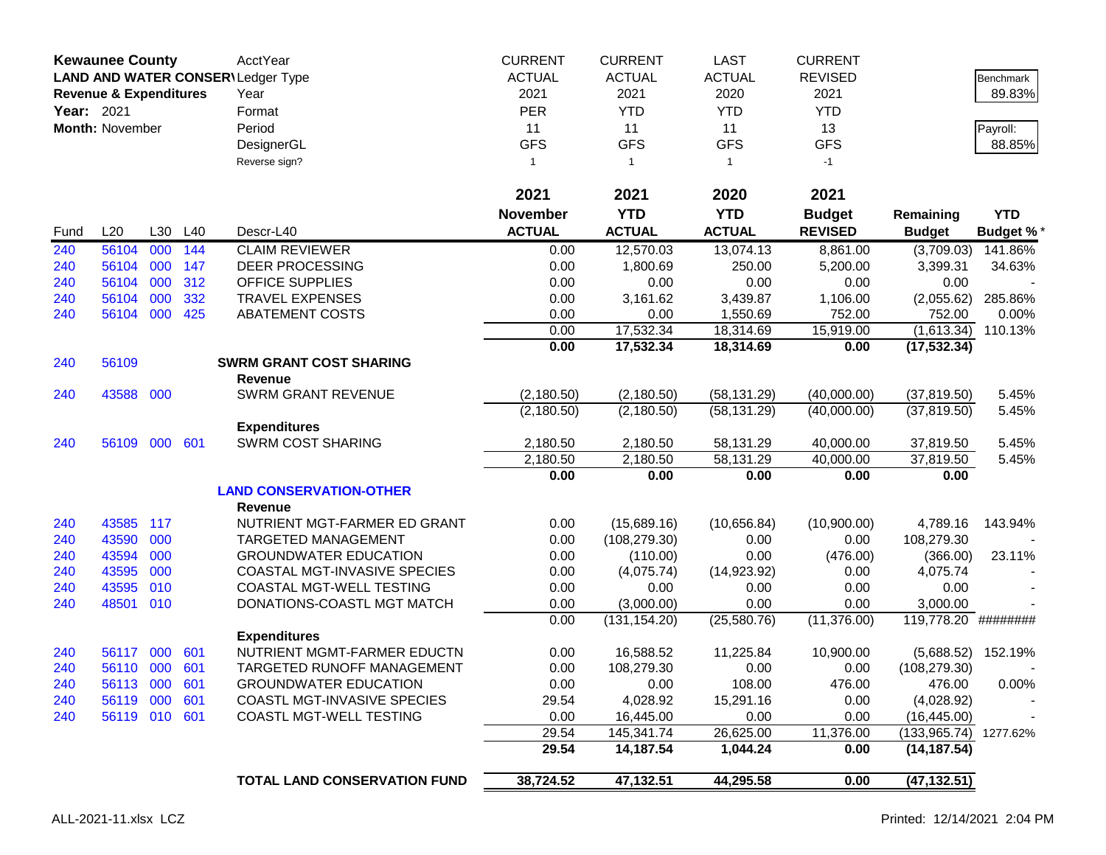| <b>Revenue &amp; Expenditures</b><br><b>PER</b><br><b>YTD</b><br>Year: 2021<br><b>YTD</b><br><b>YTD</b><br>Format<br>Month: November<br>Period<br>11<br>11<br>11<br>13<br><b>GFS</b><br><b>GFS</b><br><b>GFS</b><br><b>GFS</b><br>DesignerGL<br>Reverse sign?<br>$-1$<br>$\mathbf{1}$<br>1<br>$\overline{1}$<br>2021<br>2021<br>2020<br>2021<br><b>YTD</b><br><b>YTD</b><br><b>November</b><br><b>Budget</b><br>Remaining<br><b>ACTUAL</b><br><b>ACTUAL</b><br><b>ACTUAL</b><br>L20<br>L30<br>L40<br><b>REVISED</b><br>Descr-L40<br><b>Budget</b><br>Fund<br>56104<br>000<br>144<br><b>CLAIM REVIEWER</b><br>12,570.03<br>13,074.13<br>(3,709.03)<br>240<br>0.00<br>8,861.00<br>56104<br>000<br>147<br><b>DEER PROCESSING</b><br>1,800.69<br>5,200.00<br>3,399.31<br>240<br>0.00<br>250.00<br>240<br>56104<br>000<br>312<br>OFFICE SUPPLIES<br>0.00<br>0.00<br>0.00<br>0.00<br>0.00<br>56104<br>000<br>332<br><b>TRAVEL EXPENSES</b><br>3,161.62<br>3,439.87<br>1,106.00<br>240<br>0.00<br>(2,055.62)<br>000<br>425<br>240<br>56104<br><b>ABATEMENT COSTS</b><br>0.00<br>0.00<br>1,550.69<br>752.00<br>752.00<br>17,532.34<br>18,314.69<br>15,919.00<br>(1,613.34)<br>0.00<br>0.00<br>17,532.34<br>18,314.69<br>0.00<br>(17, 532.34)<br>56109<br><b>SWRM GRANT COST SHARING</b><br>240<br>Revenue<br><b>SWRM GRANT REVENUE</b><br>(58, 131.29)<br>240<br>43588<br>000<br>(2, 180.50)<br>(2, 180.50)<br>(40,000.00)<br>(37, 819.50)<br>(58, 131.29)<br>(40,000.00)<br>(2, 180.50)<br>(2, 180.50)<br>(37, 819.50)<br><b>Expenditures</b><br><b>SWRM COST SHARING</b><br>000<br>601<br>2,180.50<br>40,000.00<br>56109<br>2,180.50<br>58,131.29<br>37,819.50<br>240<br>2,180.50<br>2,180.50<br>40,000.00<br>58,131.29<br>37,819.50<br>0.00<br>0.00<br>0.00<br>0.00<br>0.00<br><b>LAND CONSERVATION-OTHER</b><br><b>Revenue</b><br>117<br>NUTRIENT MGT-FARMER ED GRANT<br>0.00<br>(10,656.84)<br>(10,900.00)<br>43585<br>(15,689.16)<br>4,789.16<br>240<br>43590<br>000<br>240<br><b>TARGETED MANAGEMENT</b><br>0.00<br>(108, 279.30)<br>0.00<br>0.00<br>108,279.30<br>43594<br>000<br><b>GROUNDWATER EDUCATION</b><br>0.00<br>0.00<br>(476.00)<br>(366.00)<br>240<br>(110.00)<br>43595<br>000<br>COASTAL MGT-INVASIVE SPECIES<br>240<br>0.00<br>(4,075.74)<br>(14, 923.92)<br>4,075.74<br>0.00<br>010<br>43595<br>COASTAL MGT-WELL TESTING<br>0.00<br>240<br>0.00<br>0.00<br>0.00<br>0.00<br>48501<br>010<br>0.00<br>DONATIONS-COASTL MGT MATCH<br>0.00<br>(3,000.00)<br>0.00<br>3,000.00<br>240<br>(25,580.76)<br>(11, 376.00)<br>0.00<br>(131, 154.20)<br>119,778.20 ########<br><b>Expenditures</b><br>NUTRIENT MGMT-FARMER EDUCTN<br>11,225.84<br>10,900.00<br>000<br>601<br>0.00<br>16,588.52<br>(5,688.52)<br>240<br>56117<br>240<br>56110 000<br>601<br>TARGETED RUNOFF MANAGEMENT<br>0.00<br>108,279.30<br>0.00<br>0.00<br>(108, 279.30)<br><b>GROUNDWATER EDUCATION</b><br>0.00<br>0.00<br>108.00<br>476.00<br>56113 000 601<br>476.00<br>240<br>56119 000<br>601<br>COASTL MGT-INVASIVE SPECIES<br>29.54<br>4,028.92<br>15,291.16<br>0.00<br>(4,028.92)<br>240<br>56119 010 601<br>COASTL MGT-WELL TESTING<br>0.00<br>16,445.00<br>0.00<br>0.00<br>(16, 445.00)<br>240<br>29.54<br>145,341.74<br>26,625.00<br>11,376.00<br>(133, 965.74) | <b>Kewaunee County</b> |  | AcctYear<br>LAND AND WATER CONSER\Ledger Type | <b>CURRENT</b><br><b>ACTUAL</b> | <b>CURRENT</b><br><b>ACTUAL</b> | <b>LAST</b><br><b>ACTUAL</b> | <b>CURRENT</b><br><b>REVISED</b> |              | Benchmark        |
|------------------------------------------------------------------------------------------------------------------------------------------------------------------------------------------------------------------------------------------------------------------------------------------------------------------------------------------------------------------------------------------------------------------------------------------------------------------------------------------------------------------------------------------------------------------------------------------------------------------------------------------------------------------------------------------------------------------------------------------------------------------------------------------------------------------------------------------------------------------------------------------------------------------------------------------------------------------------------------------------------------------------------------------------------------------------------------------------------------------------------------------------------------------------------------------------------------------------------------------------------------------------------------------------------------------------------------------------------------------------------------------------------------------------------------------------------------------------------------------------------------------------------------------------------------------------------------------------------------------------------------------------------------------------------------------------------------------------------------------------------------------------------------------------------------------------------------------------------------------------------------------------------------------------------------------------------------------------------------------------------------------------------------------------------------------------------------------------------------------------------------------------------------------------------------------------------------------------------------------------------------------------------------------------------------------------------------------------------------------------------------------------------------------------------------------------------------------------------------------------------------------------------------------------------------------------------------------------------------------------------------------------------------------------------------------------------------------------------------------------------------------------------------------------------------------------------------------------------------------------------------------------------------------------------------------------------------------------------------------------------------------------------------------------------------------------------------------------------------------------------------------------------------------------------------------------------------------------------------------------|------------------------|--|-----------------------------------------------|---------------------------------|---------------------------------|------------------------------|----------------------------------|--------------|------------------|
|                                                                                                                                                                                                                                                                                                                                                                                                                                                                                                                                                                                                                                                                                                                                                                                                                                                                                                                                                                                                                                                                                                                                                                                                                                                                                                                                                                                                                                                                                                                                                                                                                                                                                                                                                                                                                                                                                                                                                                                                                                                                                                                                                                                                                                                                                                                                                                                                                                                                                                                                                                                                                                                                                                                                                                                                                                                                                                                                                                                                                                                                                                                                                                                                                                                |                        |  | Year                                          | 2021                            | 2021                            | 2020                         | 2021                             |              | 89.83%           |
|                                                                                                                                                                                                                                                                                                                                                                                                                                                                                                                                                                                                                                                                                                                                                                                                                                                                                                                                                                                                                                                                                                                                                                                                                                                                                                                                                                                                                                                                                                                                                                                                                                                                                                                                                                                                                                                                                                                                                                                                                                                                                                                                                                                                                                                                                                                                                                                                                                                                                                                                                                                                                                                                                                                                                                                                                                                                                                                                                                                                                                                                                                                                                                                                                                                |                        |  |                                               |                                 |                                 |                              |                                  |              |                  |
|                                                                                                                                                                                                                                                                                                                                                                                                                                                                                                                                                                                                                                                                                                                                                                                                                                                                                                                                                                                                                                                                                                                                                                                                                                                                                                                                                                                                                                                                                                                                                                                                                                                                                                                                                                                                                                                                                                                                                                                                                                                                                                                                                                                                                                                                                                                                                                                                                                                                                                                                                                                                                                                                                                                                                                                                                                                                                                                                                                                                                                                                                                                                                                                                                                                |                        |  |                                               |                                 |                                 |                              |                                  |              | Payroll:         |
|                                                                                                                                                                                                                                                                                                                                                                                                                                                                                                                                                                                                                                                                                                                                                                                                                                                                                                                                                                                                                                                                                                                                                                                                                                                                                                                                                                                                                                                                                                                                                                                                                                                                                                                                                                                                                                                                                                                                                                                                                                                                                                                                                                                                                                                                                                                                                                                                                                                                                                                                                                                                                                                                                                                                                                                                                                                                                                                                                                                                                                                                                                                                                                                                                                                |                        |  |                                               |                                 |                                 |                              |                                  |              | 88.85%           |
|                                                                                                                                                                                                                                                                                                                                                                                                                                                                                                                                                                                                                                                                                                                                                                                                                                                                                                                                                                                                                                                                                                                                                                                                                                                                                                                                                                                                                                                                                                                                                                                                                                                                                                                                                                                                                                                                                                                                                                                                                                                                                                                                                                                                                                                                                                                                                                                                                                                                                                                                                                                                                                                                                                                                                                                                                                                                                                                                                                                                                                                                                                                                                                                                                                                |                        |  |                                               |                                 |                                 |                              |                                  |              |                  |
|                                                                                                                                                                                                                                                                                                                                                                                                                                                                                                                                                                                                                                                                                                                                                                                                                                                                                                                                                                                                                                                                                                                                                                                                                                                                                                                                                                                                                                                                                                                                                                                                                                                                                                                                                                                                                                                                                                                                                                                                                                                                                                                                                                                                                                                                                                                                                                                                                                                                                                                                                                                                                                                                                                                                                                                                                                                                                                                                                                                                                                                                                                                                                                                                                                                |                        |  |                                               |                                 |                                 |                              |                                  |              |                  |
|                                                                                                                                                                                                                                                                                                                                                                                                                                                                                                                                                                                                                                                                                                                                                                                                                                                                                                                                                                                                                                                                                                                                                                                                                                                                                                                                                                                                                                                                                                                                                                                                                                                                                                                                                                                                                                                                                                                                                                                                                                                                                                                                                                                                                                                                                                                                                                                                                                                                                                                                                                                                                                                                                                                                                                                                                                                                                                                                                                                                                                                                                                                                                                                                                                                |                        |  |                                               |                                 |                                 |                              |                                  |              | <b>YTD</b>       |
|                                                                                                                                                                                                                                                                                                                                                                                                                                                                                                                                                                                                                                                                                                                                                                                                                                                                                                                                                                                                                                                                                                                                                                                                                                                                                                                                                                                                                                                                                                                                                                                                                                                                                                                                                                                                                                                                                                                                                                                                                                                                                                                                                                                                                                                                                                                                                                                                                                                                                                                                                                                                                                                                                                                                                                                                                                                                                                                                                                                                                                                                                                                                                                                                                                                |                        |  |                                               |                                 |                                 |                              |                                  |              | <b>Budget %*</b> |
|                                                                                                                                                                                                                                                                                                                                                                                                                                                                                                                                                                                                                                                                                                                                                                                                                                                                                                                                                                                                                                                                                                                                                                                                                                                                                                                                                                                                                                                                                                                                                                                                                                                                                                                                                                                                                                                                                                                                                                                                                                                                                                                                                                                                                                                                                                                                                                                                                                                                                                                                                                                                                                                                                                                                                                                                                                                                                                                                                                                                                                                                                                                                                                                                                                                |                        |  |                                               |                                 |                                 |                              |                                  |              | 141.86%          |
|                                                                                                                                                                                                                                                                                                                                                                                                                                                                                                                                                                                                                                                                                                                                                                                                                                                                                                                                                                                                                                                                                                                                                                                                                                                                                                                                                                                                                                                                                                                                                                                                                                                                                                                                                                                                                                                                                                                                                                                                                                                                                                                                                                                                                                                                                                                                                                                                                                                                                                                                                                                                                                                                                                                                                                                                                                                                                                                                                                                                                                                                                                                                                                                                                                                |                        |  |                                               |                                 |                                 |                              |                                  |              | 34.63%           |
|                                                                                                                                                                                                                                                                                                                                                                                                                                                                                                                                                                                                                                                                                                                                                                                                                                                                                                                                                                                                                                                                                                                                                                                                                                                                                                                                                                                                                                                                                                                                                                                                                                                                                                                                                                                                                                                                                                                                                                                                                                                                                                                                                                                                                                                                                                                                                                                                                                                                                                                                                                                                                                                                                                                                                                                                                                                                                                                                                                                                                                                                                                                                                                                                                                                |                        |  |                                               |                                 |                                 |                              |                                  |              |                  |
|                                                                                                                                                                                                                                                                                                                                                                                                                                                                                                                                                                                                                                                                                                                                                                                                                                                                                                                                                                                                                                                                                                                                                                                                                                                                                                                                                                                                                                                                                                                                                                                                                                                                                                                                                                                                                                                                                                                                                                                                                                                                                                                                                                                                                                                                                                                                                                                                                                                                                                                                                                                                                                                                                                                                                                                                                                                                                                                                                                                                                                                                                                                                                                                                                                                |                        |  |                                               |                                 |                                 |                              |                                  |              | 285.86%          |
|                                                                                                                                                                                                                                                                                                                                                                                                                                                                                                                                                                                                                                                                                                                                                                                                                                                                                                                                                                                                                                                                                                                                                                                                                                                                                                                                                                                                                                                                                                                                                                                                                                                                                                                                                                                                                                                                                                                                                                                                                                                                                                                                                                                                                                                                                                                                                                                                                                                                                                                                                                                                                                                                                                                                                                                                                                                                                                                                                                                                                                                                                                                                                                                                                                                |                        |  |                                               |                                 |                                 |                              |                                  |              | 0.00%            |
|                                                                                                                                                                                                                                                                                                                                                                                                                                                                                                                                                                                                                                                                                                                                                                                                                                                                                                                                                                                                                                                                                                                                                                                                                                                                                                                                                                                                                                                                                                                                                                                                                                                                                                                                                                                                                                                                                                                                                                                                                                                                                                                                                                                                                                                                                                                                                                                                                                                                                                                                                                                                                                                                                                                                                                                                                                                                                                                                                                                                                                                                                                                                                                                                                                                |                        |  |                                               |                                 |                                 |                              |                                  |              | 110.13%          |
|                                                                                                                                                                                                                                                                                                                                                                                                                                                                                                                                                                                                                                                                                                                                                                                                                                                                                                                                                                                                                                                                                                                                                                                                                                                                                                                                                                                                                                                                                                                                                                                                                                                                                                                                                                                                                                                                                                                                                                                                                                                                                                                                                                                                                                                                                                                                                                                                                                                                                                                                                                                                                                                                                                                                                                                                                                                                                                                                                                                                                                                                                                                                                                                                                                                |                        |  |                                               |                                 |                                 |                              |                                  |              |                  |
|                                                                                                                                                                                                                                                                                                                                                                                                                                                                                                                                                                                                                                                                                                                                                                                                                                                                                                                                                                                                                                                                                                                                                                                                                                                                                                                                                                                                                                                                                                                                                                                                                                                                                                                                                                                                                                                                                                                                                                                                                                                                                                                                                                                                                                                                                                                                                                                                                                                                                                                                                                                                                                                                                                                                                                                                                                                                                                                                                                                                                                                                                                                                                                                                                                                |                        |  |                                               |                                 |                                 |                              |                                  |              |                  |
|                                                                                                                                                                                                                                                                                                                                                                                                                                                                                                                                                                                                                                                                                                                                                                                                                                                                                                                                                                                                                                                                                                                                                                                                                                                                                                                                                                                                                                                                                                                                                                                                                                                                                                                                                                                                                                                                                                                                                                                                                                                                                                                                                                                                                                                                                                                                                                                                                                                                                                                                                                                                                                                                                                                                                                                                                                                                                                                                                                                                                                                                                                                                                                                                                                                |                        |  |                                               |                                 |                                 |                              |                                  |              |                  |
|                                                                                                                                                                                                                                                                                                                                                                                                                                                                                                                                                                                                                                                                                                                                                                                                                                                                                                                                                                                                                                                                                                                                                                                                                                                                                                                                                                                                                                                                                                                                                                                                                                                                                                                                                                                                                                                                                                                                                                                                                                                                                                                                                                                                                                                                                                                                                                                                                                                                                                                                                                                                                                                                                                                                                                                                                                                                                                                                                                                                                                                                                                                                                                                                                                                |                        |  |                                               |                                 |                                 |                              |                                  |              | 5.45%            |
|                                                                                                                                                                                                                                                                                                                                                                                                                                                                                                                                                                                                                                                                                                                                                                                                                                                                                                                                                                                                                                                                                                                                                                                                                                                                                                                                                                                                                                                                                                                                                                                                                                                                                                                                                                                                                                                                                                                                                                                                                                                                                                                                                                                                                                                                                                                                                                                                                                                                                                                                                                                                                                                                                                                                                                                                                                                                                                                                                                                                                                                                                                                                                                                                                                                |                        |  |                                               |                                 |                                 |                              |                                  |              | 5.45%            |
|                                                                                                                                                                                                                                                                                                                                                                                                                                                                                                                                                                                                                                                                                                                                                                                                                                                                                                                                                                                                                                                                                                                                                                                                                                                                                                                                                                                                                                                                                                                                                                                                                                                                                                                                                                                                                                                                                                                                                                                                                                                                                                                                                                                                                                                                                                                                                                                                                                                                                                                                                                                                                                                                                                                                                                                                                                                                                                                                                                                                                                                                                                                                                                                                                                                |                        |  |                                               |                                 |                                 |                              |                                  |              |                  |
|                                                                                                                                                                                                                                                                                                                                                                                                                                                                                                                                                                                                                                                                                                                                                                                                                                                                                                                                                                                                                                                                                                                                                                                                                                                                                                                                                                                                                                                                                                                                                                                                                                                                                                                                                                                                                                                                                                                                                                                                                                                                                                                                                                                                                                                                                                                                                                                                                                                                                                                                                                                                                                                                                                                                                                                                                                                                                                                                                                                                                                                                                                                                                                                                                                                |                        |  |                                               |                                 |                                 |                              |                                  |              | 5.45%            |
|                                                                                                                                                                                                                                                                                                                                                                                                                                                                                                                                                                                                                                                                                                                                                                                                                                                                                                                                                                                                                                                                                                                                                                                                                                                                                                                                                                                                                                                                                                                                                                                                                                                                                                                                                                                                                                                                                                                                                                                                                                                                                                                                                                                                                                                                                                                                                                                                                                                                                                                                                                                                                                                                                                                                                                                                                                                                                                                                                                                                                                                                                                                                                                                                                                                |                        |  |                                               |                                 |                                 |                              |                                  |              | 5.45%            |
|                                                                                                                                                                                                                                                                                                                                                                                                                                                                                                                                                                                                                                                                                                                                                                                                                                                                                                                                                                                                                                                                                                                                                                                                                                                                                                                                                                                                                                                                                                                                                                                                                                                                                                                                                                                                                                                                                                                                                                                                                                                                                                                                                                                                                                                                                                                                                                                                                                                                                                                                                                                                                                                                                                                                                                                                                                                                                                                                                                                                                                                                                                                                                                                                                                                |                        |  |                                               |                                 |                                 |                              |                                  |              |                  |
|                                                                                                                                                                                                                                                                                                                                                                                                                                                                                                                                                                                                                                                                                                                                                                                                                                                                                                                                                                                                                                                                                                                                                                                                                                                                                                                                                                                                                                                                                                                                                                                                                                                                                                                                                                                                                                                                                                                                                                                                                                                                                                                                                                                                                                                                                                                                                                                                                                                                                                                                                                                                                                                                                                                                                                                                                                                                                                                                                                                                                                                                                                                                                                                                                                                |                        |  |                                               |                                 |                                 |                              |                                  |              |                  |
|                                                                                                                                                                                                                                                                                                                                                                                                                                                                                                                                                                                                                                                                                                                                                                                                                                                                                                                                                                                                                                                                                                                                                                                                                                                                                                                                                                                                                                                                                                                                                                                                                                                                                                                                                                                                                                                                                                                                                                                                                                                                                                                                                                                                                                                                                                                                                                                                                                                                                                                                                                                                                                                                                                                                                                                                                                                                                                                                                                                                                                                                                                                                                                                                                                                |                        |  |                                               |                                 |                                 |                              |                                  |              | 143.94%          |
|                                                                                                                                                                                                                                                                                                                                                                                                                                                                                                                                                                                                                                                                                                                                                                                                                                                                                                                                                                                                                                                                                                                                                                                                                                                                                                                                                                                                                                                                                                                                                                                                                                                                                                                                                                                                                                                                                                                                                                                                                                                                                                                                                                                                                                                                                                                                                                                                                                                                                                                                                                                                                                                                                                                                                                                                                                                                                                                                                                                                                                                                                                                                                                                                                                                |                        |  |                                               |                                 |                                 |                              |                                  |              |                  |
|                                                                                                                                                                                                                                                                                                                                                                                                                                                                                                                                                                                                                                                                                                                                                                                                                                                                                                                                                                                                                                                                                                                                                                                                                                                                                                                                                                                                                                                                                                                                                                                                                                                                                                                                                                                                                                                                                                                                                                                                                                                                                                                                                                                                                                                                                                                                                                                                                                                                                                                                                                                                                                                                                                                                                                                                                                                                                                                                                                                                                                                                                                                                                                                                                                                |                        |  |                                               |                                 |                                 |                              |                                  |              | 23.11%           |
|                                                                                                                                                                                                                                                                                                                                                                                                                                                                                                                                                                                                                                                                                                                                                                                                                                                                                                                                                                                                                                                                                                                                                                                                                                                                                                                                                                                                                                                                                                                                                                                                                                                                                                                                                                                                                                                                                                                                                                                                                                                                                                                                                                                                                                                                                                                                                                                                                                                                                                                                                                                                                                                                                                                                                                                                                                                                                                                                                                                                                                                                                                                                                                                                                                                |                        |  |                                               |                                 |                                 |                              |                                  |              |                  |
|                                                                                                                                                                                                                                                                                                                                                                                                                                                                                                                                                                                                                                                                                                                                                                                                                                                                                                                                                                                                                                                                                                                                                                                                                                                                                                                                                                                                                                                                                                                                                                                                                                                                                                                                                                                                                                                                                                                                                                                                                                                                                                                                                                                                                                                                                                                                                                                                                                                                                                                                                                                                                                                                                                                                                                                                                                                                                                                                                                                                                                                                                                                                                                                                                                                |                        |  |                                               |                                 |                                 |                              |                                  |              |                  |
|                                                                                                                                                                                                                                                                                                                                                                                                                                                                                                                                                                                                                                                                                                                                                                                                                                                                                                                                                                                                                                                                                                                                                                                                                                                                                                                                                                                                                                                                                                                                                                                                                                                                                                                                                                                                                                                                                                                                                                                                                                                                                                                                                                                                                                                                                                                                                                                                                                                                                                                                                                                                                                                                                                                                                                                                                                                                                                                                                                                                                                                                                                                                                                                                                                                |                        |  |                                               |                                 |                                 |                              |                                  |              |                  |
|                                                                                                                                                                                                                                                                                                                                                                                                                                                                                                                                                                                                                                                                                                                                                                                                                                                                                                                                                                                                                                                                                                                                                                                                                                                                                                                                                                                                                                                                                                                                                                                                                                                                                                                                                                                                                                                                                                                                                                                                                                                                                                                                                                                                                                                                                                                                                                                                                                                                                                                                                                                                                                                                                                                                                                                                                                                                                                                                                                                                                                                                                                                                                                                                                                                |                        |  |                                               |                                 |                                 |                              |                                  |              |                  |
|                                                                                                                                                                                                                                                                                                                                                                                                                                                                                                                                                                                                                                                                                                                                                                                                                                                                                                                                                                                                                                                                                                                                                                                                                                                                                                                                                                                                                                                                                                                                                                                                                                                                                                                                                                                                                                                                                                                                                                                                                                                                                                                                                                                                                                                                                                                                                                                                                                                                                                                                                                                                                                                                                                                                                                                                                                                                                                                                                                                                                                                                                                                                                                                                                                                |                        |  |                                               |                                 |                                 |                              |                                  |              |                  |
|                                                                                                                                                                                                                                                                                                                                                                                                                                                                                                                                                                                                                                                                                                                                                                                                                                                                                                                                                                                                                                                                                                                                                                                                                                                                                                                                                                                                                                                                                                                                                                                                                                                                                                                                                                                                                                                                                                                                                                                                                                                                                                                                                                                                                                                                                                                                                                                                                                                                                                                                                                                                                                                                                                                                                                                                                                                                                                                                                                                                                                                                                                                                                                                                                                                |                        |  |                                               |                                 |                                 |                              |                                  |              | 152.19%          |
|                                                                                                                                                                                                                                                                                                                                                                                                                                                                                                                                                                                                                                                                                                                                                                                                                                                                                                                                                                                                                                                                                                                                                                                                                                                                                                                                                                                                                                                                                                                                                                                                                                                                                                                                                                                                                                                                                                                                                                                                                                                                                                                                                                                                                                                                                                                                                                                                                                                                                                                                                                                                                                                                                                                                                                                                                                                                                                                                                                                                                                                                                                                                                                                                                                                |                        |  |                                               |                                 |                                 |                              |                                  |              |                  |
|                                                                                                                                                                                                                                                                                                                                                                                                                                                                                                                                                                                                                                                                                                                                                                                                                                                                                                                                                                                                                                                                                                                                                                                                                                                                                                                                                                                                                                                                                                                                                                                                                                                                                                                                                                                                                                                                                                                                                                                                                                                                                                                                                                                                                                                                                                                                                                                                                                                                                                                                                                                                                                                                                                                                                                                                                                                                                                                                                                                                                                                                                                                                                                                                                                                |                        |  |                                               |                                 |                                 |                              |                                  |              | 0.00%            |
|                                                                                                                                                                                                                                                                                                                                                                                                                                                                                                                                                                                                                                                                                                                                                                                                                                                                                                                                                                                                                                                                                                                                                                                                                                                                                                                                                                                                                                                                                                                                                                                                                                                                                                                                                                                                                                                                                                                                                                                                                                                                                                                                                                                                                                                                                                                                                                                                                                                                                                                                                                                                                                                                                                                                                                                                                                                                                                                                                                                                                                                                                                                                                                                                                                                |                        |  |                                               |                                 |                                 |                              |                                  |              |                  |
|                                                                                                                                                                                                                                                                                                                                                                                                                                                                                                                                                                                                                                                                                                                                                                                                                                                                                                                                                                                                                                                                                                                                                                                                                                                                                                                                                                                                                                                                                                                                                                                                                                                                                                                                                                                                                                                                                                                                                                                                                                                                                                                                                                                                                                                                                                                                                                                                                                                                                                                                                                                                                                                                                                                                                                                                                                                                                                                                                                                                                                                                                                                                                                                                                                                |                        |  |                                               |                                 |                                 |                              |                                  |              |                  |
|                                                                                                                                                                                                                                                                                                                                                                                                                                                                                                                                                                                                                                                                                                                                                                                                                                                                                                                                                                                                                                                                                                                                                                                                                                                                                                                                                                                                                                                                                                                                                                                                                                                                                                                                                                                                                                                                                                                                                                                                                                                                                                                                                                                                                                                                                                                                                                                                                                                                                                                                                                                                                                                                                                                                                                                                                                                                                                                                                                                                                                                                                                                                                                                                                                                |                        |  |                                               |                                 |                                 |                              |                                  |              | 1277.62%         |
|                                                                                                                                                                                                                                                                                                                                                                                                                                                                                                                                                                                                                                                                                                                                                                                                                                                                                                                                                                                                                                                                                                                                                                                                                                                                                                                                                                                                                                                                                                                                                                                                                                                                                                                                                                                                                                                                                                                                                                                                                                                                                                                                                                                                                                                                                                                                                                                                                                                                                                                                                                                                                                                                                                                                                                                                                                                                                                                                                                                                                                                                                                                                                                                                                                                |                        |  |                                               | 29.54                           | 14,187.54                       | 1,044.24                     | 0.00                             | (14, 187.54) |                  |
| <b>TOTAL LAND CONSERVATION FUND</b><br>38,724.52<br>47,132.51<br>44,295.58<br>(47, 132.51)<br>0.00                                                                                                                                                                                                                                                                                                                                                                                                                                                                                                                                                                                                                                                                                                                                                                                                                                                                                                                                                                                                                                                                                                                                                                                                                                                                                                                                                                                                                                                                                                                                                                                                                                                                                                                                                                                                                                                                                                                                                                                                                                                                                                                                                                                                                                                                                                                                                                                                                                                                                                                                                                                                                                                                                                                                                                                                                                                                                                                                                                                                                                                                                                                                             |                        |  |                                               |                                 |                                 |                              |                                  |              |                  |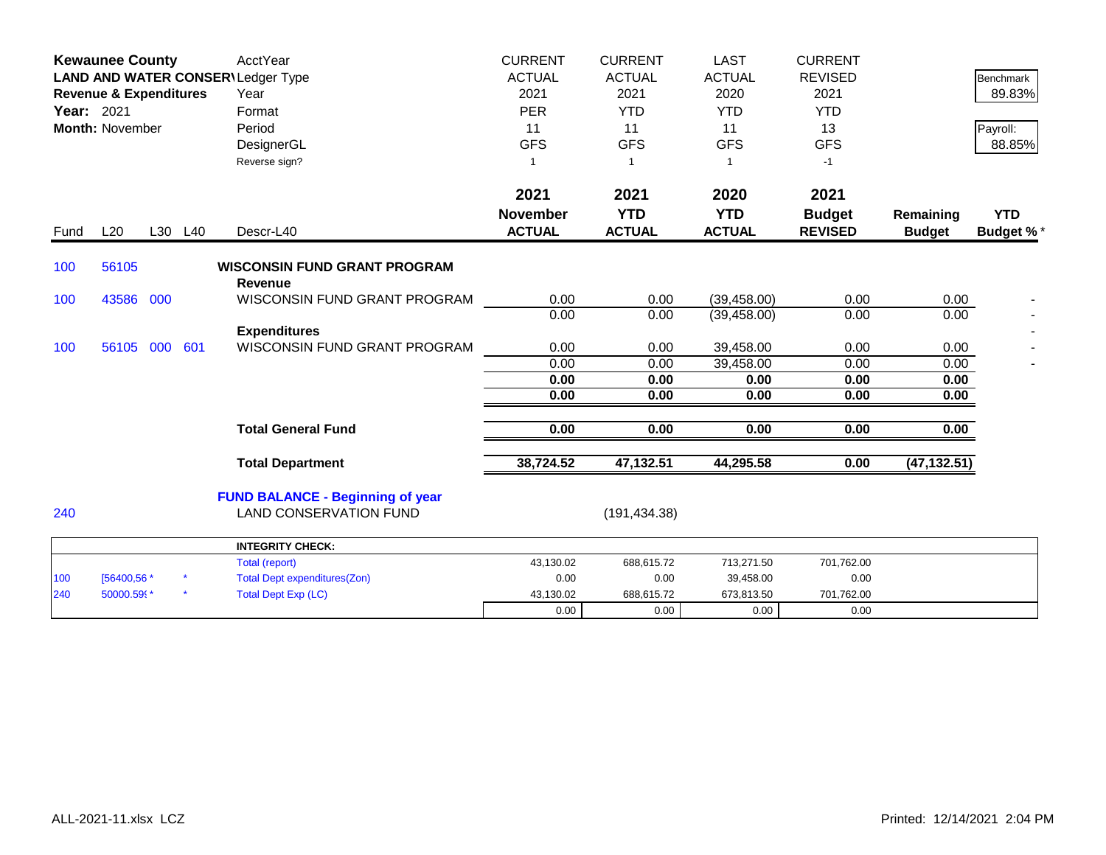| Year: 2021 | <b>Kewaunee County</b><br><b>Revenue &amp; Expenditures</b><br>Month: November |         | <b>AcctYear</b><br>LAND AND WATER CONSER\Ledger Type<br>Year<br>Format<br>Period<br>DesignerGL<br>Reverse sign? | <b>CURRENT</b><br><b>ACTUAL</b><br>2021<br><b>PER</b><br>11<br><b>GFS</b><br>-1 | <b>CURRENT</b><br><b>ACTUAL</b><br>2021<br><b>YTD</b><br>11<br><b>GFS</b><br>$\mathbf{1}$ | <b>LAST</b><br><b>ACTUAL</b><br>2020<br><b>YTD</b><br>11<br><b>GFS</b><br>-1 | <b>CURRENT</b><br><b>REVISED</b><br>2021<br><b>YTD</b><br>13<br><b>GFS</b><br>$-1$ |                            | <b>Benchmark</b><br>89.83%<br>Payroll:<br>88.85% |
|------------|--------------------------------------------------------------------------------|---------|-----------------------------------------------------------------------------------------------------------------|---------------------------------------------------------------------------------|-------------------------------------------------------------------------------------------|------------------------------------------------------------------------------|------------------------------------------------------------------------------------|----------------------------|--------------------------------------------------|
| Fund       | L20                                                                            | L30 L40 | Descr-L40                                                                                                       | 2021<br><b>November</b><br><b>ACTUAL</b>                                        | 2021<br><b>YTD</b><br><b>ACTUAL</b>                                                       | 2020<br><b>YTD</b><br><b>ACTUAL</b>                                          | 2021<br><b>Budget</b><br><b>REVISED</b>                                            | Remaining<br><b>Budget</b> | <b>YTD</b><br>Budget %*                          |
| 100        | 56105                                                                          |         | <b>WISCONSIN FUND GRANT PROGRAM</b>                                                                             |                                                                                 |                                                                                           |                                                                              |                                                                                    |                            |                                                  |
| 100        | 43586 000                                                                      |         | <b>Revenue</b><br>WISCONSIN FUND GRANT PROGRAM                                                                  | 0.00<br>0.00                                                                    | 0.00<br>0.00                                                                              | (39, 458.00)<br>(39, 458.00)                                                 | 0.00<br>0.00                                                                       | 0.00<br>0.00               |                                                  |
| 100        | 56105 000 601                                                                  |         | <b>Expenditures</b><br>WISCONSIN FUND GRANT PROGRAM                                                             | 0.00<br>0.00                                                                    | 0.00<br>0.00                                                                              | 39,458.00<br>39,458.00                                                       | 0.00<br>0.00                                                                       | 0.00<br>0.00               |                                                  |
|            |                                                                                |         |                                                                                                                 | 0.00<br>0.00                                                                    | 0.00<br>0.00                                                                              | 0.00<br>0.00                                                                 | 0.00<br>0.00                                                                       | 0.00<br>0.00               |                                                  |
|            |                                                                                |         | <b>Total General Fund</b>                                                                                       | 0.00                                                                            | 0.00                                                                                      | 0.00                                                                         | 0.00                                                                               | 0.00                       |                                                  |
|            |                                                                                |         | <b>Total Department</b>                                                                                         | 38,724.52                                                                       | 47,132.51                                                                                 | 44,295.58                                                                    | 0.00                                                                               | (47, 132.51)               |                                                  |
| 240        |                                                                                |         | <b>FUND BALANCE - Beginning of year</b><br><b>LAND CONSERVATION FUND</b>                                        |                                                                                 | (191, 434.38)                                                                             |                                                                              |                                                                                    |                            |                                                  |
|            |                                                                                |         | <b>INTEGRITY CHECK:</b>                                                                                         |                                                                                 |                                                                                           |                                                                              |                                                                                    |                            |                                                  |
| 100<br>240 | [56400,56 *<br>50000.599*                                                      |         | <b>Total (report)</b><br><b>Total Dept expenditures(Zon)</b><br><b>Total Dept Exp (LC)</b>                      | 43,130.02<br>0.00<br>43,130.02                                                  | 688,615.72<br>0.00<br>688,615.72                                                          | 713,271.50<br>39,458.00<br>673,813.50                                        | 701,762.00<br>0.00<br>701,762.00                                                   |                            |                                                  |
|            |                                                                                |         |                                                                                                                 | 0.00                                                                            | 0.00                                                                                      | 0.00                                                                         | 0.00                                                                               |                            |                                                  |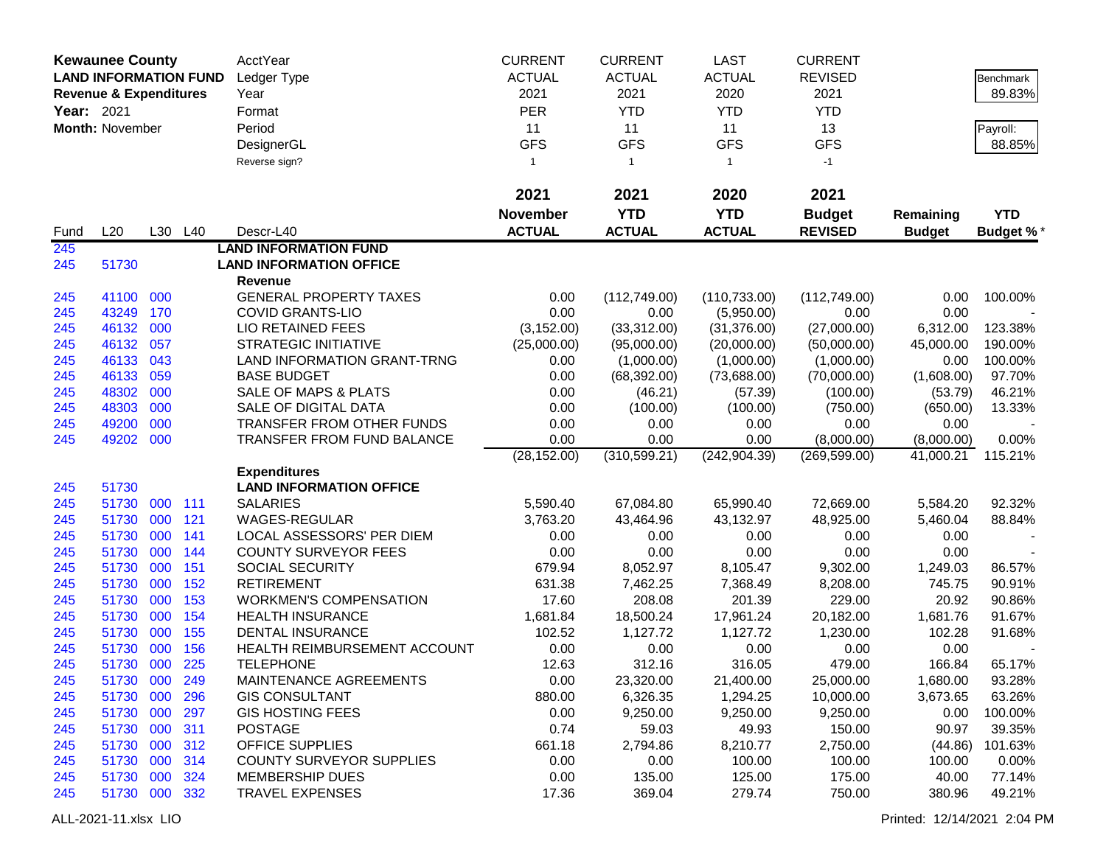|            | <b>Kewaunee County</b>            |     |            | AcctYear                                         | <b>CURRENT</b>  | <b>CURRENT</b>       | <b>LAST</b>          | <b>CURRENT</b>        |                  |                   |
|------------|-----------------------------------|-----|------------|--------------------------------------------------|-----------------|----------------------|----------------------|-----------------------|------------------|-------------------|
|            | <b>LAND INFORMATION FUND</b>      |     |            | Ledger Type                                      | <b>ACTUAL</b>   | <b>ACTUAL</b>        | <b>ACTUAL</b>        | <b>REVISED</b>        |                  | Benchmark         |
|            | <b>Revenue &amp; Expenditures</b> |     |            | Year                                             | 2021            | 2021                 | 2020                 | 2021                  |                  | 89.83%            |
| Year: 2021 |                                   |     |            | Format                                           | <b>PER</b>      | <b>YTD</b>           | <b>YTD</b>           | <b>YTD</b>            |                  |                   |
|            | Month: November                   |     |            | Period                                           | 11              | 11                   | 11                   | 13                    |                  | Payroll:          |
|            |                                   |     |            | DesignerGL                                       | <b>GFS</b>      | <b>GFS</b>           | <b>GFS</b>           | <b>GFS</b>            |                  | 88.85%            |
|            |                                   |     |            | Reverse sign?                                    | $\mathbf{1}$    | $\overline{1}$       | $\mathbf{1}$         | $-1$                  |                  |                   |
|            |                                   |     |            |                                                  |                 |                      |                      |                       |                  |                   |
|            |                                   |     |            |                                                  | 2021            | 2021                 | 2020                 | 2021                  |                  |                   |
|            |                                   |     |            |                                                  | <b>November</b> | <b>YTD</b>           | <b>YTD</b>           | <b>Budget</b>         | Remaining        | <b>YTD</b>        |
| Fund       | L20                               |     | L30 L40    | Descr-L40                                        | <b>ACTUAL</b>   | <b>ACTUAL</b>        | <b>ACTUAL</b>        | <b>REVISED</b>        | <b>Budget</b>    | Budget %*         |
| 245        |                                   |     |            | <b>LAND INFORMATION FUND</b>                     |                 |                      |                      |                       |                  |                   |
| 245        | 51730                             |     |            | <b>LAND INFORMATION OFFICE</b>                   |                 |                      |                      |                       |                  |                   |
|            |                                   |     |            | Revenue                                          |                 |                      |                      |                       |                  |                   |
| 245        | 41100 000                         |     |            | <b>GENERAL PROPERTY TAXES</b>                    | 0.00            | (112, 749.00)        | (110, 733.00)        | (112,749.00)          | 0.00             | 100.00%           |
| 245        | 43249                             | 170 |            | <b>COVID GRANTS-LIO</b>                          | 0.00            | 0.00                 | (5,950.00)           | 0.00                  | 0.00             |                   |
| 245        | 46132 000                         |     |            | <b>LIO RETAINED FEES</b>                         | (3, 152.00)     | (33,312.00)          | (31, 376.00)         | (27,000.00)           | 6,312.00         | 123.38%           |
| 245        | 46132                             | 057 |            | <b>STRATEGIC INITIATIVE</b>                      | (25,000.00)     | (95,000.00)          | (20,000.00)          | (50,000.00)           | 45,000.00        | 190.00%           |
| 245        | 46133                             | 043 |            | LAND INFORMATION GRANT-TRNG                      | 0.00            | (1,000.00)           | (1,000.00)           | (1,000.00)            | 0.00             | 100.00%           |
| 245        | 46133                             | 059 |            | <b>BASE BUDGET</b>                               | 0.00            | (68, 392.00)         | (73,688.00)          | (70,000.00)           | (1,608.00)       | 97.70%            |
| 245        | 48302                             | 000 |            | <b>SALE OF MAPS &amp; PLATS</b>                  | 0.00            | (46.21)              | (57.39)              | (100.00)              | (53.79)          | 46.21%            |
| 245        | 48303                             | 000 |            | SALE OF DIGITAL DATA                             | 0.00            | (100.00)             | (100.00)             | (750.00)              | (650.00)         | 13.33%            |
| 245        | 49200                             | 000 |            | TRANSFER FROM OTHER FUNDS                        | 0.00            | 0.00                 | 0.00                 | 0.00                  | 0.00             |                   |
| 245        | 49202 000                         |     |            | TRANSFER FROM FUND BALANCE                       | 0.00            | 0.00                 | 0.00                 | (8,000.00)            | (8,000.00)       | 0.00%             |
|            |                                   |     |            |                                                  | (28, 152.00)    | (310, 599.21)        | (242, 904.39)        | (269, 599.00)         | 41,000.21        | 115.21%           |
|            |                                   |     |            | <b>Expenditures</b>                              |                 |                      |                      |                       |                  |                   |
| 245        | 51730                             |     |            | <b>LAND INFORMATION OFFICE</b>                   |                 |                      |                      |                       |                  |                   |
| 245        | 51730                             | 000 | 111        | <b>SALARIES</b>                                  | 5,590.40        | 67,084.80            | 65,990.40            | 72,669.00             | 5,584.20         | 92.32%            |
| 245        | 51730                             | 000 | 121        | WAGES-REGULAR                                    | 3,763.20        | 43,464.96            | 43,132.97            | 48,925.00             | 5,460.04         | 88.84%            |
| 245        | 51730                             | 000 | 141        | LOCAL ASSESSORS' PER DIEM                        | 0.00            | 0.00                 | 0.00                 | 0.00                  | 0.00             |                   |
| 245        | 51730                             | 000 | 144        | <b>COUNTY SURVEYOR FEES</b>                      | 0.00            | 0.00                 | 0.00                 | 0.00                  | 0.00             |                   |
| 245        | 51730                             | 000 | 151        | <b>SOCIAL SECURITY</b>                           | 679.94          | 8,052.97             | 8,105.47             | 9,302.00              | 1,249.03         | 86.57%            |
| 245        | 51730                             | 000 | 152        | <b>RETIREMENT</b>                                | 631.38          | 7,462.25             | 7,368.49             | 8,208.00              | 745.75           | 90.91%            |
| 245        | 51730                             | 000 | 153        | <b>WORKMEN'S COMPENSATION</b>                    | 17.60           | 208.08               | 201.39               | 229.00                | 20.92            | 90.86%            |
| 245        | 51730                             | 000 | 154        | <b>HEALTH INSURANCE</b>                          | 1,681.84        | 18,500.24            | 17,961.24            | 20,182.00             | 1,681.76         | 91.67%            |
| 245        | 51730                             | 000 | 155        | <b>DENTAL INSURANCE</b>                          | 102.52          | 1,127.72             | 1,127.72             | 1,230.00              | 102.28           | 91.68%            |
| 245        | 51730<br>51730 000                | 000 | 156<br>225 | HEALTH REIMBURSEMENT ACCOUNT                     | 0.00            | 0.00                 | 0.00                 | 0.00                  | 0.00             |                   |
| 245        |                                   |     |            | <b>TELEPHONE</b>                                 | 12.63           | 312.16               | 316.05               | 479.00                | 166.84           | 65.17%            |
| 245        | 51730 000                         |     | 249        | MAINTENANCE AGREEMENTS                           | 0.00            | 23,320.00            | 21,400.00            | 25,000.00             | 1,680.00         | 93.28%            |
| 245        | 51730 000<br>51730 000            |     | 296<br>297 | <b>GIS CONSULTANT</b><br><b>GIS HOSTING FEES</b> | 880.00<br>0.00  | 6,326.35<br>9,250.00 | 1,294.25<br>9,250.00 | 10,000.00<br>9,250.00 | 3,673.65<br>0.00 | 63.26%<br>100.00% |
| 245        | 51730 000                         |     | 311        | <b>POSTAGE</b>                                   | 0.74            | 59.03                | 49.93                | 150.00                | 90.97            | 39.35%            |
| 245<br>245 | 51730 000                         |     | 312        | <b>OFFICE SUPPLIES</b>                           | 661.18          | 2,794.86             | 8,210.77             | 2,750.00              | (44.86)          | 101.63%           |
| 245        | 51730 000                         |     | 314        | <b>COUNTY SURVEYOR SUPPLIES</b>                  | 0.00            | 0.00                 | 100.00               | 100.00                | 100.00           | 0.00%             |
| 245        | 51730 000                         |     | 324        | <b>MEMBERSHIP DUES</b>                           | 0.00            | 135.00               | 125.00               | 175.00                | 40.00            | 77.14%            |
| 245        | 51730 000 332                     |     |            | <b>TRAVEL EXPENSES</b>                           | 17.36           | 369.04               | 279.74               | 750.00                | 380.96           | 49.21%            |
|            |                                   |     |            |                                                  |                 |                      |                      |                       |                  |                   |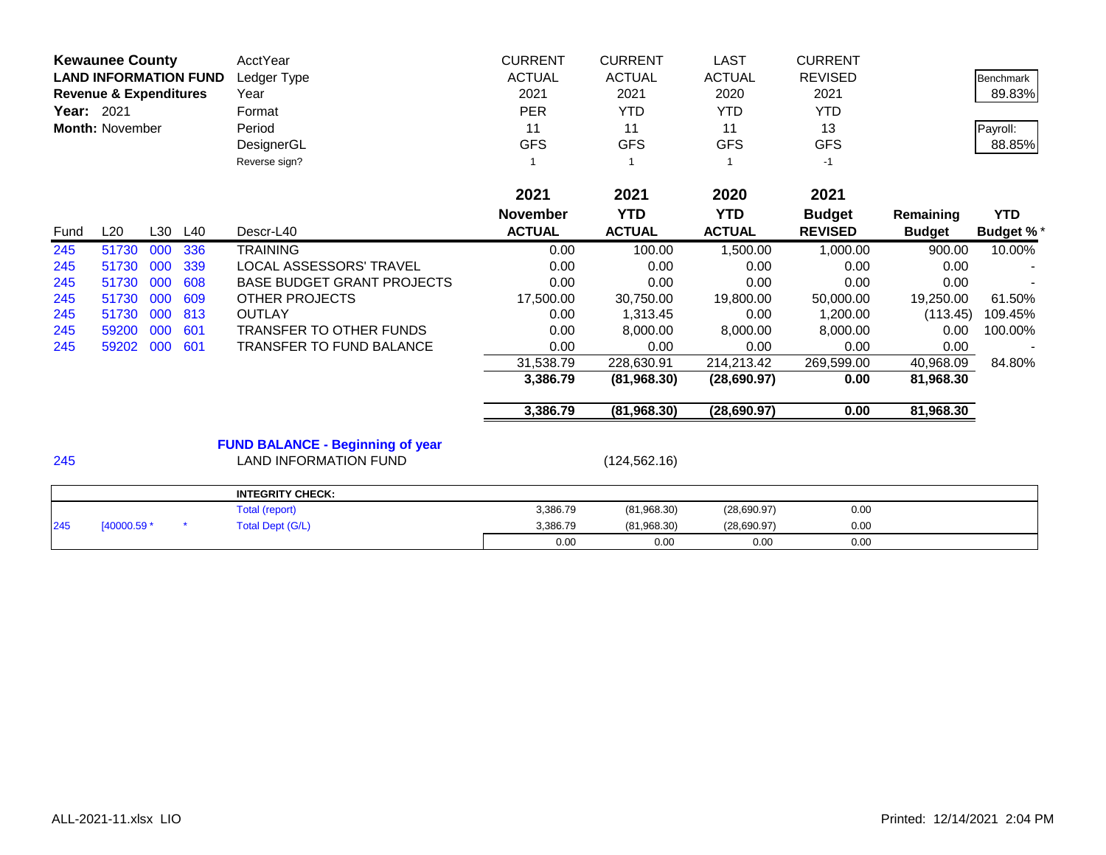| <b>Kewaunee County</b><br><b>LAND INFORMATION FUND</b><br><b>Revenue &amp; Expenditures</b><br>Year: 2021<br><b>Month: November</b> |             |     | AcctYear<br>Ledger Type<br>Year<br>Format<br>Period<br>DesignerGL<br>Reverse sign? | <b>CURRENT</b><br><b>ACTUAL</b><br>2021<br><b>PER</b><br>11<br><b>GFS</b> | <b>CURRENT</b><br><b>ACTUAL</b><br>2021<br><b>YTD</b><br>11<br><b>GFS</b> | <b>LAST</b><br><b>ACTUAL</b><br>2020<br><b>YTD</b><br>11<br><b>GFS</b> | <b>CURRENT</b><br><b>REVISED</b><br>2021<br><b>YTD</b><br>13<br><b>GFS</b><br>$-1$ |                | <b>Benchmark</b><br>89.83%<br>Payroll:<br>88.85% |                  |
|-------------------------------------------------------------------------------------------------------------------------------------|-------------|-----|------------------------------------------------------------------------------------|---------------------------------------------------------------------------|---------------------------------------------------------------------------|------------------------------------------------------------------------|------------------------------------------------------------------------------------|----------------|--------------------------------------------------|------------------|
|                                                                                                                                     |             |     |                                                                                    |                                                                           | 2021                                                                      | 2021                                                                   | 2020                                                                               | 2021           |                                                  |                  |
|                                                                                                                                     |             |     |                                                                                    |                                                                           | <b>November</b>                                                           | <b>YTD</b>                                                             | <b>YTD</b>                                                                         | <b>Budget</b>  | Remaining                                        | <b>YTD</b>       |
| Fund                                                                                                                                | L20         | L30 | L40                                                                                | Descr-L40                                                                 | <b>ACTUAL</b>                                                             | <b>ACTUAL</b>                                                          | <b>ACTUAL</b>                                                                      | <b>REVISED</b> | <b>Budget</b>                                    | <b>Budget %*</b> |
| 245                                                                                                                                 | 51730       | 000 | 336                                                                                | <b>TRAINING</b>                                                           | 0.00                                                                      | 100.00                                                                 | 1,500.00                                                                           | 1,000.00       | 900.00                                           | 10.00%           |
| 245                                                                                                                                 | 51730       | 000 | 339                                                                                | LOCAL ASSESSORS' TRAVEL                                                   | 0.00                                                                      | 0.00                                                                   | 0.00                                                                               | 0.00           | 0.00                                             |                  |
| 245                                                                                                                                 | 51730       | 000 | 608                                                                                | <b>BASE BUDGET GRANT PROJECTS</b>                                         | 0.00                                                                      | 0.00                                                                   | 0.00                                                                               | 0.00           | 0.00                                             |                  |
| 245                                                                                                                                 | 51730       | 000 | 609                                                                                | <b>OTHER PROJECTS</b>                                                     | 17,500.00                                                                 | 30,750.00                                                              | 19,800.00                                                                          | 50,000.00      | 19,250.00                                        | 61.50%           |
| 245                                                                                                                                 | 51730       | 000 | 813                                                                                | <b>OUTLAY</b>                                                             | 0.00                                                                      | 1,313.45                                                               | 0.00                                                                               | 1,200.00       | (113.45)                                         | 109.45%          |
| 245                                                                                                                                 | 59200       | 000 | 601                                                                                | TRANSFER TO OTHER FUNDS                                                   | 0.00                                                                      | 8,000.00                                                               | 8,000.00                                                                           | 8,000.00       | 0.00                                             | 100.00%          |
| 245                                                                                                                                 | 59202 000   |     | 601                                                                                | TRANSFER TO FUND BALANCE                                                  | 0.00                                                                      | 0.00                                                                   | 0.00                                                                               | 0.00           | 0.00                                             |                  |
|                                                                                                                                     |             |     |                                                                                    |                                                                           | 31,538.79                                                                 | 228,630.91                                                             | 214,213.42                                                                         | 269,599.00     | 40,968.09                                        | 84.80%           |
|                                                                                                                                     |             |     |                                                                                    |                                                                           | 3,386.79                                                                  | (81,968.30)                                                            | (28, 690.97)                                                                       | 0.00           | 81,968.30                                        |                  |
|                                                                                                                                     |             |     |                                                                                    |                                                                           | 3,386.79                                                                  | (81,968.30)                                                            | (28,690.97)                                                                        | 0.00           | 81,968.30                                        |                  |
|                                                                                                                                     |             |     |                                                                                    | <b>FUND BALANCE - Beginning of year</b>                                   |                                                                           |                                                                        |                                                                                    |                |                                                  |                  |
| 245                                                                                                                                 |             |     |                                                                                    | <b>LAND INFORMATION FUND</b>                                              |                                                                           | (124, 562.16)                                                          |                                                                                    |                |                                                  |                  |
|                                                                                                                                     |             |     |                                                                                    | <b>INTEGRITY CHECK:</b>                                                   |                                                                           |                                                                        |                                                                                    |                |                                                  |                  |
|                                                                                                                                     |             |     |                                                                                    | Total (report)                                                            | 3,386.79                                                                  | (81,968.30)                                                            | (28,690.97)                                                                        | 0.00           |                                                  |                  |
| 245                                                                                                                                 | [40000.59 * |     |                                                                                    | <b>Total Dept (G/L)</b>                                                   | 3,386.79                                                                  | (81,968.30)                                                            | (28,690.97)                                                                        | 0.00           |                                                  |                  |

0.00 0.00 0.00 0.00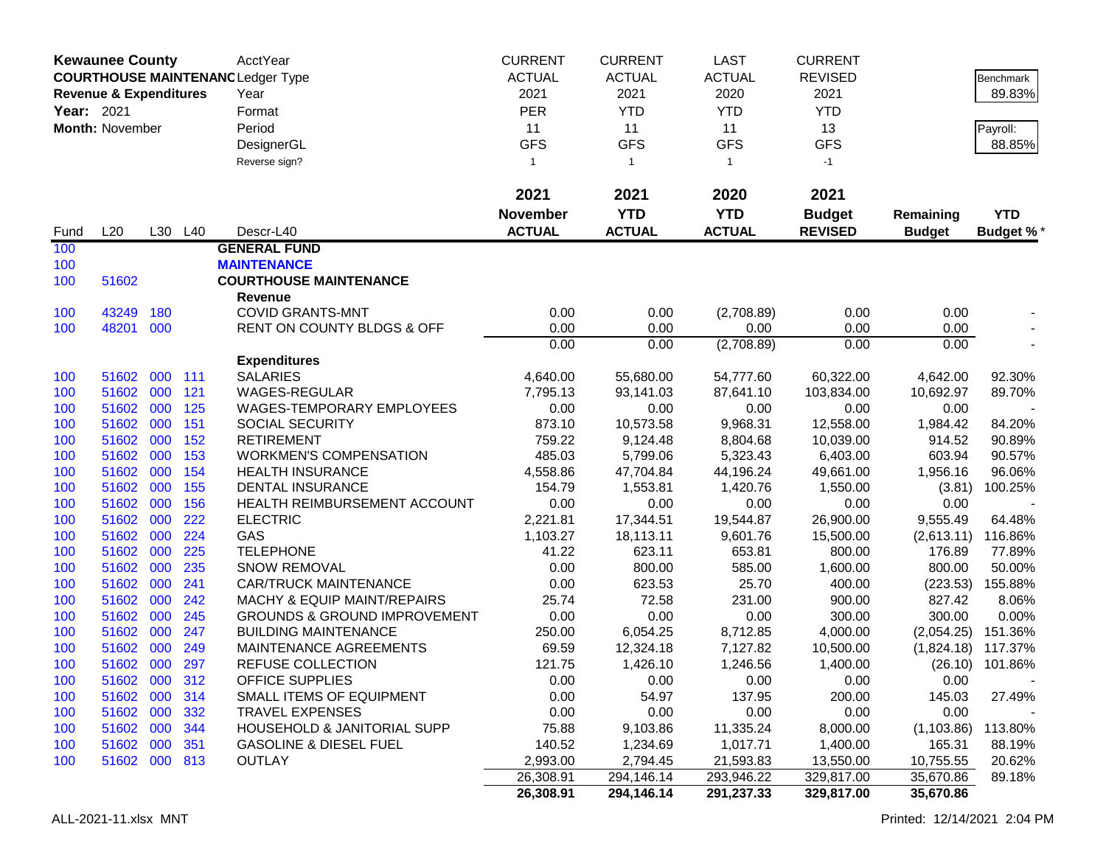|            | <b>Kewaunee County</b>                                                        |            |            | AcctYear                                | <b>CURRENT</b>   | <b>CURRENT</b>         | LAST              | <b>CURRENT</b>     |                   |                  |
|------------|-------------------------------------------------------------------------------|------------|------------|-----------------------------------------|------------------|------------------------|-------------------|--------------------|-------------------|------------------|
|            | <b>COURTHOUSE MAINTENANC Ledger Type</b><br><b>Revenue &amp; Expenditures</b> |            |            |                                         | <b>ACTUAL</b>    | <b>ACTUAL</b>          | <b>ACTUAL</b>     | <b>REVISED</b>     |                   | Benchmark        |
|            |                                                                               |            |            | Year                                    | 2021             | 2021                   | 2020              | 2021               |                   | 89.83%           |
| Year: 2021 |                                                                               |            |            | Format                                  | <b>PER</b>       | <b>YTD</b>             | <b>YTD</b>        | <b>YTD</b>         |                   |                  |
|            | <b>Month: November</b>                                                        |            |            | Period                                  | 11               | 11                     | 11                | 13                 |                   | Payroll:         |
|            |                                                                               |            |            | DesignerGL                              | <b>GFS</b>       | <b>GFS</b>             | <b>GFS</b>        | <b>GFS</b>         |                   | 88.85%           |
|            |                                                                               |            |            | Reverse sign?                           | $\mathbf{1}$     | $\mathbf{1}$           | $\mathbf{1}$      | $-1$               |                   |                  |
|            |                                                                               |            |            |                                         | 2021             | 2021                   | 2020              | 2021               |                   |                  |
|            |                                                                               |            |            |                                         | <b>November</b>  | <b>YTD</b>             | <b>YTD</b>        | <b>Budget</b>      | Remaining         | <b>YTD</b>       |
| Fund       | L20                                                                           |            | L30 L40    | Descr-L40                               | <b>ACTUAL</b>    | <b>ACTUAL</b>          | <b>ACTUAL</b>     | <b>REVISED</b>     | <b>Budget</b>     | <b>Budget %*</b> |
| 100        |                                                                               |            |            | <b>GENERAL FUND</b>                     |                  |                        |                   |                    |                   |                  |
| 100        |                                                                               |            |            | <b>MAINTENANCE</b>                      |                  |                        |                   |                    |                   |                  |
| 100        | 51602                                                                         |            |            | <b>COURTHOUSE MAINTENANCE</b>           |                  |                        |                   |                    |                   |                  |
|            |                                                                               |            |            | <b>Revenue</b>                          |                  |                        |                   |                    |                   |                  |
| 100        | 43249                                                                         | 180        |            | <b>COVID GRANTS-MNT</b>                 | 0.00             | 0.00                   | (2,708.89)        | 0.00               | 0.00              |                  |
| 100        | 48201 000                                                                     |            |            | RENT ON COUNTY BLDGS & OFF              | 0.00             | 0.00                   | 0.00              | 0.00               | 0.00              |                  |
|            |                                                                               |            |            |                                         | 0.00             | 0.00                   | (2,708.89)        | 0.00               | 0.00              |                  |
|            |                                                                               |            |            | <b>Expenditures</b>                     |                  |                        |                   |                    |                   |                  |
| 100        | 51602<br>51602                                                                | 000<br>000 | 111<br>121 | <b>SALARIES</b><br>WAGES-REGULAR        | 4,640.00         | 55,680.00<br>93,141.03 | 54,777.60         | 60,322.00          | 4,642.00          | 92.30%           |
| 100<br>100 | 51602 000                                                                     |            | 125        | WAGES-TEMPORARY EMPLOYEES               | 7,795.13<br>0.00 | 0.00                   | 87,641.10<br>0.00 | 103,834.00<br>0.00 | 10,692.97<br>0.00 | 89.70%           |
| 100        | 51602 000                                                                     |            | 151        | <b>SOCIAL SECURITY</b>                  | 873.10           | 10,573.58              | 9,968.31          | 12,558.00          | 1,984.42          | 84.20%           |
| 100        | 51602 000                                                                     |            | 152        | <b>RETIREMENT</b>                       | 759.22           | 9,124.48               | 8,804.68          | 10,039.00          | 914.52            | 90.89%           |
| 100        | 51602                                                                         | 000        | 153        | <b>WORKMEN'S COMPENSATION</b>           | 485.03           | 5,799.06               | 5,323.43          | 6,403.00           | 603.94            | 90.57%           |
| 100        | 51602                                                                         | 000        | 154        | <b>HEALTH INSURANCE</b>                 | 4,558.86         | 47,704.84              | 44,196.24         | 49,661.00          | 1,956.16          | 96.06%           |
| 100        | 51602                                                                         | 000        | 155        | <b>DENTAL INSURANCE</b>                 | 154.79           | 1,553.81               | 1,420.76          | 1,550.00           | (3.81)            | 100.25%          |
| 100        | 51602                                                                         | 000        | 156        | HEALTH REIMBURSEMENT ACCOUNT            | 0.00             | 0.00                   | 0.00              | 0.00               | 0.00              |                  |
| 100        | 51602                                                                         | 000        | 222        | <b>ELECTRIC</b>                         | 2,221.81         | 17,344.51              | 19,544.87         | 26,900.00          | 9,555.49          | 64.48%           |
| 100        | 51602                                                                         | 000        | 224        | GAS                                     | 1,103.27         | 18,113.11              | 9,601.76          | 15,500.00          | (2,613.11)        | 116.86%          |
| 100        | 51602                                                                         | 000        | 225        | <b>TELEPHONE</b>                        | 41.22            | 623.11                 | 653.81            | 800.00             | 176.89            | 77.89%           |
| 100        | 51602                                                                         | 000        | 235        | <b>SNOW REMOVAL</b>                     | 0.00             | 800.00                 | 585.00            | 1,600.00           | 800.00            | 50.00%           |
| 100        | 51602                                                                         | 000        | 241        | <b>CAR/TRUCK MAINTENANCE</b>            | 0.00             | 623.53                 | 25.70             | 400.00             | (223.53)          | 155.88%          |
| 100        | 51602 000                                                                     |            | 242        | <b>MACHY &amp; EQUIP MAINT/REPAIRS</b>  | 25.74            | 72.58                  | 231.00            | 900.00             | 827.42            | 8.06%            |
| 100        | 51602 000                                                                     |            | 245        | <b>GROUNDS &amp; GROUND IMPROVEMENT</b> | 0.00             | 0.00                   | 0.00              | 300.00             | 300.00            | 0.00%            |
| 100        | 51602                                                                         | 000        | 247        | <b>BUILDING MAINTENANCE</b>             | 250.00           | 6,054.25               | 8,712.85          | 4,000.00           | (2,054.25)        | 151.36%          |
| 100        | 51602                                                                         | 000        | 249        | MAINTENANCE AGREEMENTS                  | 69.59            | 12,324.18              | 7,127.82          | 10,500.00          | (1,824.18)        | 117.37%          |
| 100        | 51602 000                                                                     |            | 297        | REFUSE COLLECTION                       | 121.75           | 1,426.10               | 1,246.56          | 1,400.00           |                   | (26.10) 101.86%  |
| 100        | 51602 000 312                                                                 |            |            | OFFICE SUPPLIES                         | 0.00             | 0.00                   | 0.00              | 0.00               | 0.00              |                  |
| 100        | 51602 000 314                                                                 |            |            | SMALL ITEMS OF EQUIPMENT                | 0.00             | 54.97                  | 137.95            | 200.00             | 145.03            | 27.49%           |
| 100        | 51602 000                                                                     |            | 332        | <b>TRAVEL EXPENSES</b>                  | 0.00             | 0.00                   | 0.00              | 0.00               | 0.00              |                  |
| 100        | 51602 000                                                                     |            | 344        | HOUSEHOLD & JANITORIAL SUPP             | 75.88            | 9,103.86               | 11,335.24         | 8,000.00           | (1, 103.86)       | 113.80%          |
| 100        | 51602 000                                                                     |            | 351        | <b>GASOLINE &amp; DIESEL FUEL</b>       | 140.52           | 1,234.69               | 1,017.71          | 1,400.00           | 165.31            | 88.19%           |
| 100        | 51602 000 813                                                                 |            |            | <b>OUTLAY</b>                           | 2,993.00         | 2,794.45               | 21,593.83         | 13,550.00          | 10,755.55         | 20.62%           |
|            |                                                                               |            |            |                                         | 26,308.91        | 294,146.14             | 293,946.22        | 329,817.00         | 35,670.86         | 89.18%           |
|            |                                                                               |            |            |                                         | 26,308.91        | 294,146.14             | 291,237.33        | 329,817.00         | 35,670.86         |                  |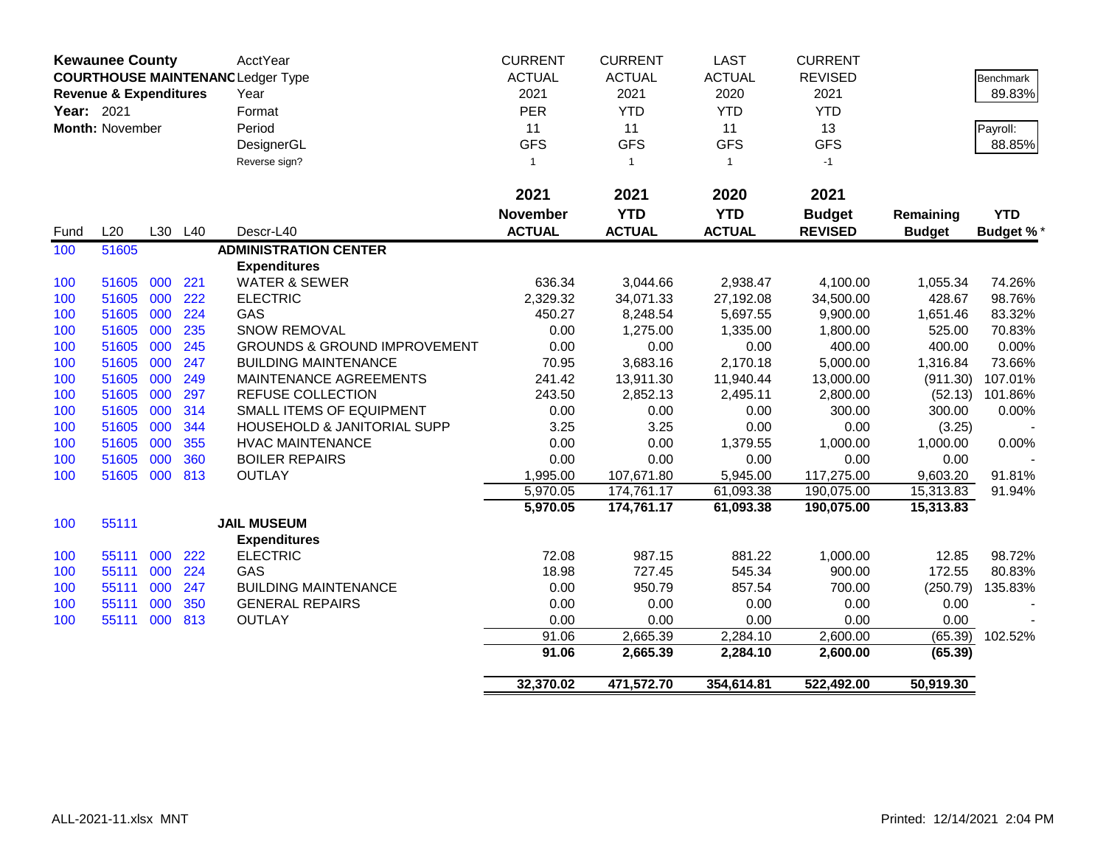|            | <b>Kewaunee County</b>            |     |     | AcctYear                                 | <b>CURRENT</b>  | <b>CURRENT</b> | <b>LAST</b>   | <b>CURRENT</b> |               |                  |
|------------|-----------------------------------|-----|-----|------------------------------------------|-----------------|----------------|---------------|----------------|---------------|------------------|
|            |                                   |     |     | <b>COURTHOUSE MAINTENANC Ledger Type</b> | <b>ACTUAL</b>   | <b>ACTUAL</b>  | <b>ACTUAL</b> | <b>REVISED</b> |               | <b>Benchmark</b> |
|            | <b>Revenue &amp; Expenditures</b> |     |     | Year                                     | 2021            | 2021           | 2020          | 2021           |               | 89.83%           |
| Year: 2021 |                                   |     |     | Format                                   | <b>PER</b>      | <b>YTD</b>     | <b>YTD</b>    | <b>YTD</b>     |               |                  |
|            | <b>Month: November</b>            |     |     | Period                                   | 11              | 11             | 11            | 13             |               | Payroll:         |
|            |                                   |     |     | DesignerGL                               | <b>GFS</b>      | <b>GFS</b>     | <b>GFS</b>    | <b>GFS</b>     |               | 88.85%           |
|            |                                   |     |     | Reverse sign?                            | 1               | $\mathbf{1}$   | $\mathbf{1}$  | $-1$           |               |                  |
|            |                                   |     |     |                                          |                 |                |               |                |               |                  |
|            |                                   |     |     |                                          | 2021            | 2021           | 2020          | 2021           |               |                  |
|            |                                   |     |     |                                          | <b>November</b> | <b>YTD</b>     | <b>YTD</b>    | <b>Budget</b>  | Remaining     | <b>YTD</b>       |
| Fund       | L20                               | L30 | L40 | Descr-L40                                | <b>ACTUAL</b>   | <b>ACTUAL</b>  | <b>ACTUAL</b> | <b>REVISED</b> | <b>Budget</b> | <b>Budget %*</b> |
| 100        | 51605                             |     |     | <b>ADMINISTRATION CENTER</b>             |                 |                |               |                |               |                  |
|            |                                   |     |     | <b>Expenditures</b>                      |                 |                |               |                |               |                  |
| 100        | 51605                             | 000 | 221 | <b>WATER &amp; SEWER</b>                 | 636.34          | 3,044.66       | 2,938.47      | 4,100.00       | 1,055.34      | 74.26%           |
| 100        | 51605                             | 000 | 222 | <b>ELECTRIC</b>                          | 2,329.32        | 34,071.33      | 27,192.08     | 34,500.00      | 428.67        | 98.76%           |
| 100        | 51605                             | 000 | 224 | GAS                                      | 450.27          | 8,248.54       | 5,697.55      | 9,900.00       | 1,651.46      | 83.32%           |
| 100        | 51605                             | 000 | 235 | <b>SNOW REMOVAL</b>                      | 0.00            | 1,275.00       | 1,335.00      | 1,800.00       | 525.00        | 70.83%           |
| 100        | 51605                             | 000 | 245 | <b>GROUNDS &amp; GROUND IMPROVEMENT</b>  | 0.00            | 0.00           | 0.00          | 400.00         | 400.00        | 0.00%            |
| 100        | 51605                             | 000 | 247 | <b>BUILDING MAINTENANCE</b>              | 70.95           | 3,683.16       | 2,170.18      | 5,000.00       | 1,316.84      | 73.66%           |
| 100        | 51605                             | 000 | 249 | MAINTENANCE AGREEMENTS                   | 241.42          | 13,911.30      | 11,940.44     | 13,000.00      | (911.30)      | 107.01%          |
| 100        | 51605                             | 000 | 297 | <b>REFUSE COLLECTION</b>                 | 243.50          | 2,852.13       | 2,495.11      | 2,800.00       | (52.13)       | 101.86%          |
| 100        | 51605                             | 000 | 314 | SMALL ITEMS OF EQUIPMENT                 | 0.00            | 0.00           | 0.00          | 300.00         | 300.00        | 0.00%            |
| 100        | 51605                             | 000 | 344 | HOUSEHOLD & JANITORIAL SUPP              | 3.25            | 3.25           | 0.00          | 0.00           | (3.25)        |                  |
| 100        | 51605                             | 000 | 355 | <b>HVAC MAINTENANCE</b>                  | 0.00            | 0.00           | 1,379.55      | 1,000.00       | 1,000.00      | 0.00%            |
| 100        | 51605                             | 000 | 360 | <b>BOILER REPAIRS</b>                    | 0.00            | 0.00           | 0.00          | 0.00           | 0.00          |                  |
| 100        | 51605                             | 000 | 813 | <b>OUTLAY</b>                            | 1,995.00        | 107,671.80     | 5,945.00      | 117,275.00     | 9,603.20      | 91.81%           |
|            |                                   |     |     |                                          | 5,970.05        | 174,761.17     | 61,093.38     | 190,075.00     | 15,313.83     | 91.94%           |
|            |                                   |     |     |                                          | 5,970.05        | 174,761.17     | 61,093.38     | 190,075.00     | 15,313.83     |                  |
| 100        | 55111                             |     |     | <b>JAIL MUSEUM</b>                       |                 |                |               |                |               |                  |
|            |                                   |     |     | <b>Expenditures</b>                      |                 |                |               |                |               |                  |
| 100        | 55111                             | 000 | 222 | <b>ELECTRIC</b>                          | 72.08           | 987.15         | 881.22        | 1,000.00       | 12.85         | 98.72%           |
| 100        | 55111                             | 000 | 224 | GAS                                      | 18.98           | 727.45         | 545.34        | 900.00         | 172.55        | 80.83%           |
| 100        | 55111                             | 000 | 247 | <b>BUILDING MAINTENANCE</b>              | 0.00            | 950.79         | 857.54        | 700.00         | (250.79)      | 135.83%          |
| 100        | 55111                             | 000 | 350 | <b>GENERAL REPAIRS</b>                   | 0.00            | 0.00           | 0.00          | 0.00           | 0.00          |                  |
| 100        | 55111                             | 000 | 813 | <b>OUTLAY</b>                            | 0.00            | 0.00           | 0.00          | 0.00           | 0.00          |                  |
|            |                                   |     |     |                                          | 91.06           | 2,665.39       | 2,284.10      | 2,600.00       | (65.39)       | 102.52%          |
|            |                                   |     |     |                                          | 91.06           | 2,665.39       | 2,284.10      | 2,600.00       | (65.39)       |                  |
|            |                                   |     |     |                                          | 32,370.02       | 471,572.70     | 354,614.81    | 522,492.00     | 50,919.30     |                  |
|            |                                   |     |     |                                          |                 |                |               |                |               |                  |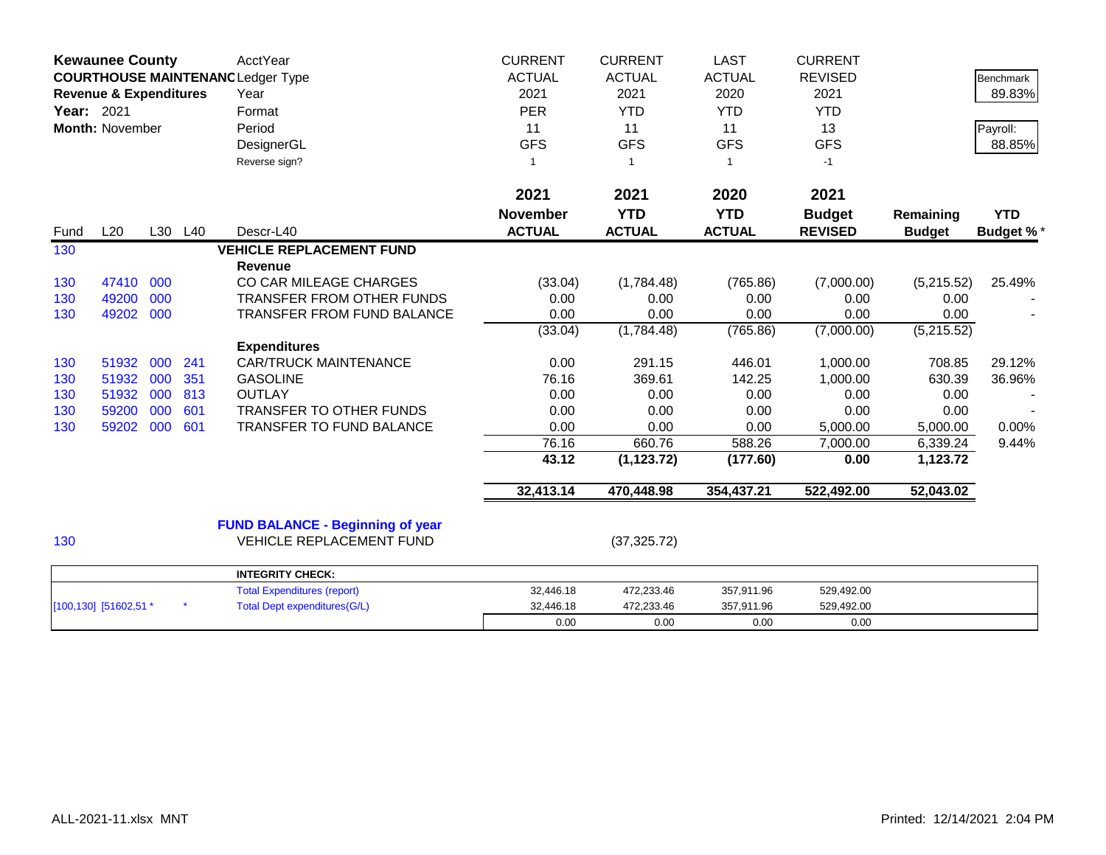|      | <b>Kewaunee County</b><br><b>COURTHOUSE MAINTENANC Ledger Type</b><br><b>Revenue &amp; Expenditures</b><br><b>Year: 2021</b><br><b>Month: November</b> |     |         | AcctYear<br>Year<br>Format<br>Period<br>DesignerGL<br>Reverse sign? | <b>CURRENT</b><br><b>ACTUAL</b><br>2021<br><b>PER</b><br>11<br><b>GFS</b><br>1 | <b>CURRENT</b><br><b>ACTUAL</b><br>2021<br><b>YTD</b><br>11<br><b>GFS</b><br>$\overline{1}$ | <b>LAST</b><br><b>ACTUAL</b><br>2020<br><b>YTD</b><br>11<br><b>GFS</b><br>1 | <b>CURRENT</b><br><b>REVISED</b><br>2021<br><b>YTD</b><br>13<br><b>GFS</b><br>$-1$ |               | <b>Benchmark</b><br>89.83%<br>Payroll:<br>88.85% |
|------|--------------------------------------------------------------------------------------------------------------------------------------------------------|-----|---------|---------------------------------------------------------------------|--------------------------------------------------------------------------------|---------------------------------------------------------------------------------------------|-----------------------------------------------------------------------------|------------------------------------------------------------------------------------|---------------|--------------------------------------------------|
|      |                                                                                                                                                        |     |         |                                                                     | 2021                                                                           | 2021                                                                                        | 2020                                                                        | 2021                                                                               |               |                                                  |
|      |                                                                                                                                                        |     |         |                                                                     | <b>November</b>                                                                | <b>YTD</b>                                                                                  | <b>YTD</b>                                                                  | <b>Budget</b>                                                                      | Remaining     | <b>YTD</b>                                       |
| Fund | L20                                                                                                                                                    |     | L30 L40 | Descr-L40                                                           | <b>ACTUAL</b>                                                                  | <b>ACTUAL</b>                                                                               | <b>ACTUAL</b>                                                               | <b>REVISED</b>                                                                     | <b>Budget</b> | <b>Budget %*</b>                                 |
| 130  |                                                                                                                                                        |     |         | <b>VEHICLE REPLACEMENT FUND</b><br>Revenue                          |                                                                                |                                                                                             |                                                                             |                                                                                    |               |                                                  |
| 130  | 47410                                                                                                                                                  | 000 |         | CO CAR MILEAGE CHARGES                                              | (33.04)                                                                        | (1,784.48)                                                                                  | (765.86)                                                                    | (7,000.00)                                                                         | (5,215.52)    | 25.49%                                           |
| 130  | 49200                                                                                                                                                  | 000 |         | <b>TRANSFER FROM OTHER FUNDS</b>                                    | 0.00                                                                           | 0.00                                                                                        | 0.00                                                                        | 0.00                                                                               | 0.00          |                                                  |
| 130  | 49202                                                                                                                                                  | 000 |         | TRANSFER FROM FUND BALANCE                                          | 0.00                                                                           | 0.00                                                                                        | 0.00                                                                        | 0.00                                                                               | 0.00          |                                                  |
|      |                                                                                                                                                        |     |         |                                                                     | (33.04)                                                                        | (1,784.48)                                                                                  | (765.86)                                                                    | (7,000.00)                                                                         | (5,215.52)    |                                                  |
|      |                                                                                                                                                        |     |         | <b>Expenditures</b>                                                 |                                                                                |                                                                                             |                                                                             |                                                                                    |               |                                                  |
| 130  | 51932                                                                                                                                                  | 000 | 241     | <b>CAR/TRUCK MAINTENANCE</b>                                        | 0.00                                                                           | 291.15                                                                                      | 446.01                                                                      | 1,000.00                                                                           | 708.85        | 29.12%                                           |
| 130  | 51932                                                                                                                                                  | 000 | 351     | <b>GASOLINE</b>                                                     | 76.16                                                                          | 369.61                                                                                      | 142.25                                                                      | 1,000.00                                                                           | 630.39        | 36.96%                                           |
| 130  | 51932                                                                                                                                                  | 000 | 813     | <b>OUTLAY</b>                                                       | 0.00                                                                           | 0.00                                                                                        | 0.00                                                                        | 0.00                                                                               | 0.00          |                                                  |
| 130  | 59200                                                                                                                                                  | 000 | 601     | <b>TRANSFER TO OTHER FUNDS</b>                                      | 0.00                                                                           | 0.00                                                                                        | 0.00                                                                        | 0.00                                                                               | 0.00          |                                                  |
| 130  | 59202                                                                                                                                                  | 000 | 601     | TRANSFER TO FUND BALANCE                                            | 0.00                                                                           | 0.00                                                                                        | 0.00                                                                        | 5,000.00                                                                           | 5,000.00      | 0.00%                                            |
|      |                                                                                                                                                        |     |         |                                                                     | 76.16                                                                          | 660.76                                                                                      | 588.26                                                                      | 7,000.00                                                                           | 6,339.24      | 9.44%                                            |
|      |                                                                                                                                                        |     |         |                                                                     | 43.12                                                                          | (1, 123.72)                                                                                 | (177.60)                                                                    | 0.00                                                                               | 1,123.72      |                                                  |
|      |                                                                                                                                                        |     |         |                                                                     | 32,413.14                                                                      | 470,448.98                                                                                  | 354,437.21                                                                  | 522,492.00                                                                         | 52,043.02     |                                                  |
|      |                                                                                                                                                        |     |         | <b>FUND BALANCE - Beginning of year</b>                             |                                                                                |                                                                                             |                                                                             |                                                                                    |               |                                                  |
| 130  |                                                                                                                                                        |     |         | <b>VEHICLE REPLACEMENT FUND</b>                                     |                                                                                | (37, 325.72)                                                                                |                                                                             |                                                                                    |               |                                                  |
|      |                                                                                                                                                        |     |         | <b>INTEGRITY CHECK:</b>                                             |                                                                                |                                                                                             |                                                                             |                                                                                    |               |                                                  |
|      |                                                                                                                                                        |     |         | <b>Total Expenditures (report)</b>                                  | 32,446.18                                                                      | 472,233.46                                                                                  | 357,911.96                                                                  | 529,492.00                                                                         |               |                                                  |
|      | [100,130] [51602,51 *                                                                                                                                  |     |         | <b>Total Dept expenditures(G/L)</b>                                 | 32,446.18                                                                      | 472,233.46                                                                                  | 357,911.96                                                                  | 529,492.00                                                                         |               |                                                  |
|      |                                                                                                                                                        |     |         |                                                                     | 0.00                                                                           | 0.00                                                                                        | 0.00                                                                        | 0.00                                                                               |               |                                                  |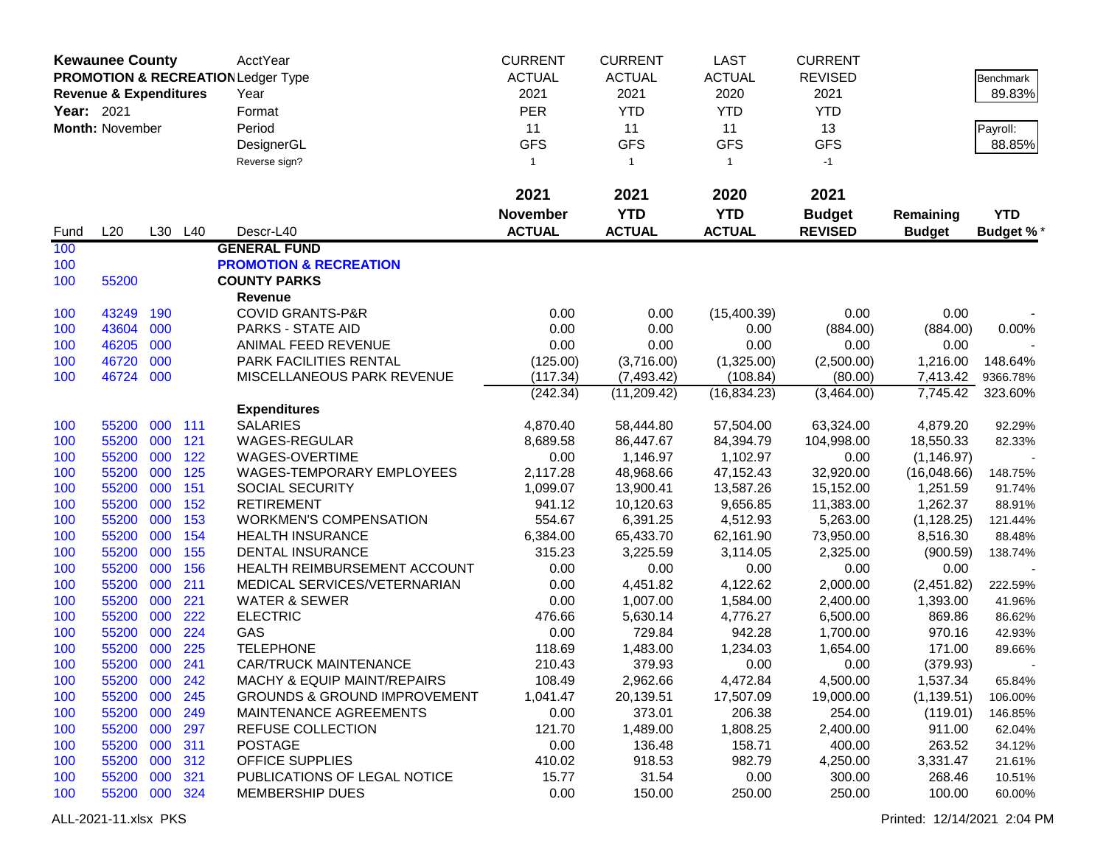|            | <b>Kewaunee County</b>                                                             |            |            | AcctYear                                    | <b>CURRENT</b>   | <b>CURRENT</b>         | <b>LAST</b>            | <b>CURRENT</b>         |                         |                   |
|------------|------------------------------------------------------------------------------------|------------|------------|---------------------------------------------|------------------|------------------------|------------------------|------------------------|-------------------------|-------------------|
|            | <b>PROMOTION &amp; RECREATION Ledger Type</b><br><b>Revenue &amp; Expenditures</b> |            |            |                                             | <b>ACTUAL</b>    | <b>ACTUAL</b>          | <b>ACTUAL</b>          | <b>REVISED</b>         |                         | Benchmark         |
|            |                                                                                    |            |            | Year                                        | 2021             | 2021                   | 2020                   | 2021                   |                         | 89.83%            |
| Year: 2021 |                                                                                    |            |            | Format                                      | <b>PER</b>       | <b>YTD</b>             | <b>YTD</b>             | <b>YTD</b>             |                         |                   |
|            | Month: November                                                                    |            |            | Period                                      | 11               | 11                     | 11                     | 13                     |                         | Payroll:          |
|            |                                                                                    |            |            | DesignerGL                                  | <b>GFS</b>       | <b>GFS</b>             | <b>GFS</b>             | <b>GFS</b>             |                         | 88.85%            |
|            |                                                                                    |            |            | Reverse sign?                               | $\mathbf{1}$     | $\overline{1}$         | $\mathbf{1}$           | $-1$                   |                         |                   |
|            |                                                                                    |            |            |                                             |                  |                        |                        |                        |                         |                   |
|            |                                                                                    |            |            |                                             | 2021             | 2021                   | 2020                   | 2021                   |                         |                   |
|            |                                                                                    |            |            |                                             | <b>November</b>  | <b>YTD</b>             | <b>YTD</b>             | <b>Budget</b>          | Remaining               | <b>YTD</b>        |
| Fund       | L20                                                                                |            | L30 L40    | Descr-L40                                   | <b>ACTUAL</b>    | <b>ACTUAL</b>          | <b>ACTUAL</b>          | <b>REVISED</b>         | <b>Budget</b>           | Budget %*         |
| 100        |                                                                                    |            |            | <b>GENERAL FUND</b>                         |                  |                        |                        |                        |                         |                   |
| 100        |                                                                                    |            |            | <b>PROMOTION &amp; RECREATION</b>           |                  |                        |                        |                        |                         |                   |
| 100        | 55200                                                                              |            |            | <b>COUNTY PARKS</b>                         |                  |                        |                        |                        |                         |                   |
|            |                                                                                    |            |            | Revenue                                     |                  |                        |                        |                        |                         |                   |
| 100        | 43249                                                                              | 190        |            | <b>COVID GRANTS-P&amp;R</b>                 | 0.00             | 0.00                   | (15,400.39)            | 0.00                   | 0.00                    |                   |
| 100        | 43604                                                                              | 000        |            | <b>PARKS - STATE AID</b>                    | 0.00             | 0.00                   | 0.00                   | (884.00)               | (884.00)                | 0.00%             |
| 100        | 46205                                                                              | 000        |            | ANIMAL FEED REVENUE                         | 0.00             | 0.00                   | 0.00                   | 0.00                   | 0.00                    |                   |
| 100        | 46720                                                                              | 000        |            | PARK FACILITIES RENTAL                      | (125.00)         | (3,716.00)             | (1,325.00)             | (2,500.00)             | 1,216.00                | 148.64%           |
| 100        | 46724                                                                              | 000        |            | MISCELLANEOUS PARK REVENUE                  | (117.34)         | (7, 493.42)            | (108.84)               | (80.00)                | 7,413.42                | 9366.78%          |
|            |                                                                                    |            |            |                                             | (242.34)         | (11, 209.42)           | (16, 834.23)           | (3,464.00)             | 7,745.42                | 323.60%           |
|            |                                                                                    |            |            | <b>Expenditures</b>                         |                  |                        |                        |                        |                         |                   |
| 100        | 55200                                                                              | 000        | 111        | <b>SALARIES</b>                             | 4,870.40         | 58,444.80              | 57,504.00              | 63,324.00              | 4,879.20                | 92.29%            |
| 100        | 55200<br>55200                                                                     | 000<br>000 | 121<br>122 | WAGES-REGULAR                               | 8,689.58         | 86,447.67<br>1,146.97  | 84,394.79<br>1,102.97  | 104,998.00             | 18,550.33               | 82.33%            |
| 100        | 55200                                                                              | 000        | 125        | WAGES-OVERTIME<br>WAGES-TEMPORARY EMPLOYEES | 0.00<br>2,117.28 |                        |                        | 0.00                   | (1, 146.97)             |                   |
| 100<br>100 | 55200                                                                              | 000        | 151        | <b>SOCIAL SECURITY</b>                      | 1,099.07         | 48,968.66<br>13,900.41 | 47,152.43<br>13,587.26 | 32,920.00<br>15,152.00 | (16,048.66)<br>1,251.59 | 148.75%<br>91.74% |
| 100        | 55200                                                                              | 000        | 152        | <b>RETIREMENT</b>                           | 941.12           | 10,120.63              | 9,656.85               | 11,383.00              | 1,262.37                | 88.91%            |
| 100        | 55200                                                                              | 000        | 153        | <b>WORKMEN'S COMPENSATION</b>               | 554.67           | 6,391.25               | 4,512.93               | 5,263.00               | (1, 128.25)             | 121.44%           |
| 100        | 55200                                                                              | 000        | 154        | <b>HEALTH INSURANCE</b>                     | 6,384.00         | 65,433.70              | 62,161.90              | 73,950.00              | 8,516.30                | 88.48%            |
| 100        | 55200                                                                              | 000        | 155        | <b>DENTAL INSURANCE</b>                     | 315.23           | 3,225.59               | 3,114.05               | 2,325.00               | (900.59)                | 138.74%           |
| 100        | 55200                                                                              | 000        | 156        | HEALTH REIMBURSEMENT ACCOUNT                | 0.00             | 0.00                   | 0.00                   | 0.00                   | 0.00                    |                   |
| 100        | 55200                                                                              | 000        | 211        | MEDICAL SERVICES/VETERNARIAN                | 0.00             | 4,451.82               | 4,122.62               | 2,000.00               | (2,451.82)              | 222.59%           |
| 100        | 55200                                                                              | 000        | 221        | <b>WATER &amp; SEWER</b>                    | 0.00             | 1,007.00               | 1,584.00               | 2,400.00               | 1,393.00                | 41.96%            |
| 100        | 55200                                                                              | 000        | 222        | <b>ELECTRIC</b>                             | 476.66           | 5,630.14               | 4,776.27               | 6,500.00               | 869.86                  | 86.62%            |
| 100        | 55200                                                                              | 000        | 224        | GAS                                         | 0.00             | 729.84                 | 942.28                 | 1,700.00               | 970.16                  | 42.93%            |
| 100        | 55200                                                                              | 000        | 225        | <b>TELEPHONE</b>                            | 118.69           | 1,483.00               | 1,234.03               | 1,654.00               | 171.00                  | 89.66%            |
| 100        | 55200 000                                                                          |            | 241        | <b>CAR/TRUCK MAINTENANCE</b>                | 210.43           | 379.93                 | 0.00                   | 0.00                   | (379.93)                |                   |
| 100        | 55200 000                                                                          |            | 242        | <b>MACHY &amp; EQUIP MAINT/REPAIRS</b>      | 108.49           | 2,962.66               | 4,472.84               | 4,500.00               | 1,537.34                | 65.84%            |
| 100        | 55200 000                                                                          |            | 245        | <b>GROUNDS &amp; GROUND IMPROVEMENT</b>     | 1,041.47         | 20,139.51              | 17,507.09              | 19,000.00              | (1, 139.51)             | 106.00%           |
| 100        | 55200 000                                                                          |            | 249        | MAINTENANCE AGREEMENTS                      | 0.00             | 373.01                 | 206.38                 | 254.00                 | (119.01)                | 146.85%           |
| 100        | 55200 000                                                                          |            | 297        | REFUSE COLLECTION                           | 121.70           | 1,489.00               | 1,808.25               | 2,400.00               | 911.00                  | 62.04%            |
| 100        | 55200 000                                                                          |            | 311        | <b>POSTAGE</b>                              | 0.00             | 136.48                 | 158.71                 | 400.00                 | 263.52                  | 34.12%            |
| 100        | 55200 000                                                                          |            | 312        | <b>OFFICE SUPPLIES</b>                      | 410.02           | 918.53                 | 982.79                 | 4,250.00               | 3,331.47                | 21.61%            |
| 100        | 55200 000                                                                          |            | 321        | PUBLICATIONS OF LEGAL NOTICE                | 15.77            | 31.54                  | 0.00                   | 300.00                 | 268.46                  | 10.51%            |
| 100        | 55200 000 324                                                                      |            |            | <b>MEMBERSHIP DUES</b>                      | 0.00             | 150.00                 | 250.00                 | 250.00                 | 100.00                  | 60.00%            |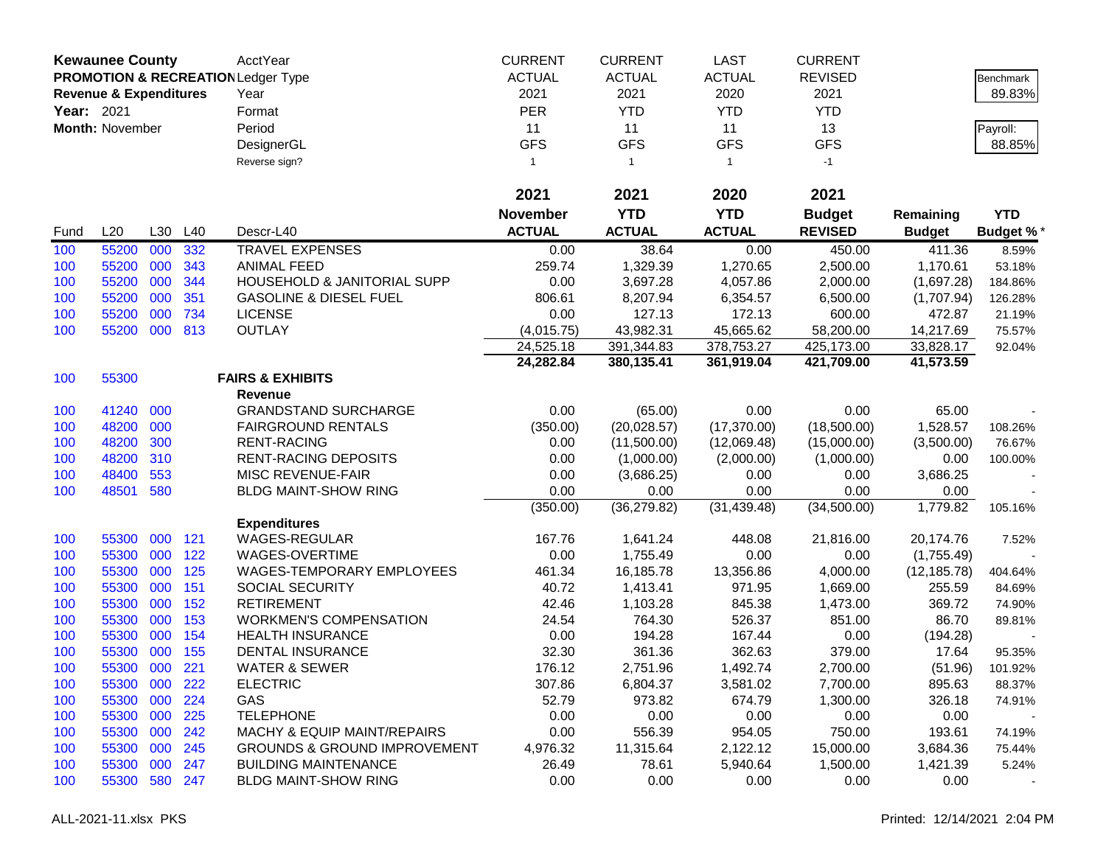|            | <b>Kewaunee County</b>            |     |         | AcctYear                                | <b>CURRENT</b>  | <b>CURRENT</b> | <b>LAST</b>   | <b>CURRENT</b> |               |                  |
|------------|-----------------------------------|-----|---------|-----------------------------------------|-----------------|----------------|---------------|----------------|---------------|------------------|
|            |                                   |     |         | PROMOTION & RECREATION Ledger Type      | <b>ACTUAL</b>   | <b>ACTUAL</b>  | <b>ACTUAL</b> | <b>REVISED</b> |               | Benchmark        |
|            | <b>Revenue &amp; Expenditures</b> |     |         | Year                                    | 2021            | 2021           | 2020          | 2021           |               | 89.83%           |
| Year: 2021 |                                   |     |         | Format                                  | <b>PER</b>      | <b>YTD</b>     | <b>YTD</b>    | <b>YTD</b>     |               |                  |
|            | <b>Month: November</b>            |     |         | Period                                  | 11              | 11             | 11            | 13             |               | Payroll:         |
|            |                                   |     |         | DesignerGL                              | <b>GFS</b>      | <b>GFS</b>     | <b>GFS</b>    | <b>GFS</b>     |               | 88.85%           |
|            |                                   |     |         | Reverse sign?                           | $\mathbf{1}$    | $\mathbf{1}$   | $\mathbf{1}$  | $-1$           |               |                  |
|            |                                   |     |         |                                         |                 |                |               |                |               |                  |
|            |                                   |     |         |                                         | 2021            | 2021           | 2020          | 2021           |               |                  |
|            |                                   |     |         |                                         | <b>November</b> | <b>YTD</b>     | <b>YTD</b>    | <b>Budget</b>  | Remaining     | <b>YTD</b>       |
| Fund       | L20                               | L30 | L40     | Descr-L40                               | <b>ACTUAL</b>   | <b>ACTUAL</b>  | <b>ACTUAL</b> | <b>REVISED</b> | <b>Budget</b> | <b>Budget %*</b> |
| 100        | 55200                             | 000 | 332     | <b>TRAVEL EXPENSES</b>                  | 0.00            | 38.64          | 0.00          | 450.00         | 411.36        | 8.59%            |
| 100        | 55200                             | 000 | 343     | <b>ANIMAL FEED</b>                      | 259.74          | 1,329.39       | 1,270.65      | 2,500.00       | 1,170.61      | 53.18%           |
| 100        | 55200                             | 000 | 344     | HOUSEHOLD & JANITORIAL SUPP             | 0.00            | 3,697.28       | 4,057.86      | 2,000.00       | (1,697.28)    | 184.86%          |
| 100        | 55200                             | 000 | 351     | <b>GASOLINE &amp; DIESEL FUEL</b>       | 806.61          | 8,207.94       | 6,354.57      | 6,500.00       | (1,707.94)    | 126.28%          |
| 100        | 55200                             | 000 | 734     | <b>LICENSE</b>                          | 0.00            | 127.13         | 172.13        | 600.00         | 472.87        | 21.19%           |
| 100        | 55200                             | 000 | 813     | <b>OUTLAY</b>                           | (4,015.75)      | 43,982.31      | 45,665.62     | 58,200.00      | 14,217.69     | 75.57%           |
|            |                                   |     |         |                                         | 24,525.18       | 391,344.83     | 378,753.27    | 425,173.00     | 33,828.17     | 92.04%           |
|            |                                   |     |         |                                         | 24,282.84       | 380,135.41     | 361,919.04    | 421,709.00     | 41,573.59     |                  |
| 100        | 55300                             |     |         | <b>FAIRS &amp; EXHIBITS</b>             |                 |                |               |                |               |                  |
|            |                                   |     |         | <b>Revenue</b>                          |                 |                |               |                |               |                  |
| 100        | 41240                             | 000 |         | <b>GRANDSTAND SURCHARGE</b>             | 0.00            | (65.00)        | 0.00          | 0.00           | 65.00         |                  |
| 100        | 48200                             | 000 |         | <b>FAIRGROUND RENTALS</b>               | (350.00)        | (20,028.57)    | (17, 370.00)  | (18,500.00)    | 1,528.57      | 108.26%          |
| 100        | 48200                             | 300 |         | <b>RENT-RACING</b>                      | 0.00            | (11,500.00)    | (12,069.48)   | (15,000.00)    | (3,500.00)    | 76.67%           |
| 100        | 48200                             | 310 |         | <b>RENT-RACING DEPOSITS</b>             | 0.00            | (1,000.00)     | (2,000.00)    | (1,000.00)     | 0.00          | 100.00%          |
| 100        | 48400                             | 553 |         | <b>MISC REVENUE-FAIR</b>                | 0.00            | (3,686.25)     | 0.00          | 0.00           | 3,686.25      |                  |
| 100        | 48501                             | 580 |         | <b>BLDG MAINT-SHOW RING</b>             | 0.00            | 0.00           | 0.00          | 0.00           | 0.00          |                  |
|            |                                   |     |         |                                         | (350.00)        | (36, 279.82)   | (31, 439.48)  | (34,500.00)    | 1,779.82      | 105.16%          |
|            |                                   |     |         | <b>Expenditures</b>                     |                 |                |               |                |               |                  |
| 100        | 55300                             | 000 | 121     | <b>WAGES-REGULAR</b>                    | 167.76          | 1,641.24       | 448.08        | 21,816.00      | 20,174.76     | 7.52%            |
| 100        | 55300                             | 000 | 122     | WAGES-OVERTIME                          | 0.00            | 1,755.49       | 0.00          | 0.00           | (1,755.49)    |                  |
| 100        | 55300                             | 000 | 125     | WAGES-TEMPORARY EMPLOYEES               | 461.34          | 16,185.78      | 13,356.86     | 4,000.00       | (12, 185.78)  | 404.64%          |
| 100        | 55300                             | 000 | 151     | SOCIAL SECURITY                         | 40.72           | 1,413.41       | 971.95        | 1,669.00       | 255.59        | 84.69%           |
| 100        | 55300                             | 000 | 152     | <b>RETIREMENT</b>                       | 42.46           | 1,103.28       | 845.38        | 1,473.00       | 369.72        | 74.90%           |
| 100        | 55300                             | 000 | 153     | <b>WORKMEN'S COMPENSATION</b>           | 24.54           | 764.30         | 526.37        | 851.00         | 86.70         | 89.81%           |
| 100        | 55300                             | 000 | 154     | <b>HEALTH INSURANCE</b>                 | 0.00            | 194.28         | 167.44        | 0.00           | (194.28)      |                  |
| 100        | 55300                             | 000 | 155     | <b>DENTAL INSURANCE</b>                 | 32.30           | 361.36         | 362.63        | 379.00         | 17.64         | 95.35%           |
| 100        | 55300                             | 000 | 221     | <b>WATER &amp; SEWER</b>                | 176.12          | 2,751.96       | 1,492.74      | 2,700.00       | (51.96)       | 101.92%          |
| 100        | 55300                             | 000 | 222     | <b>ELECTRIC</b>                         | 307.86          | 6,804.37       | 3,581.02      | 7,700.00       | 895.63        | 88.37%           |
| 100        | 55300                             |     | 000 224 | GAS                                     | 52.79           | 973.82         | 674.79        | 1,300.00       | 326.18        | 74.91%           |
| 100        | 55300                             | 000 | 225     | <b>TELEPHONE</b>                        | 0.00            | 0.00           | 0.00          | 0.00           | 0.00          |                  |
| 100        | 55300                             | 000 | 242     | <b>MACHY &amp; EQUIP MAINT/REPAIRS</b>  | 0.00            | 556.39         | 954.05        | 750.00         | 193.61        | 74.19%           |
| 100        | 55300                             | 000 | 245     | <b>GROUNDS &amp; GROUND IMPROVEMENT</b> | 4,976.32        | 11,315.64      | 2,122.12      | 15,000.00      | 3,684.36      | 75.44%           |
| 100        | 55300                             | 000 | 247     | <b>BUILDING MAINTENANCE</b>             | 26.49           | 78.61          | 5,940.64      | 1,500.00       | 1,421.39      | 5.24%            |
| 100        | 55300                             |     | 580 247 | <b>BLDG MAINT-SHOW RING</b>             | 0.00            | 0.00           | 0.00          | 0.00           | 0.00          |                  |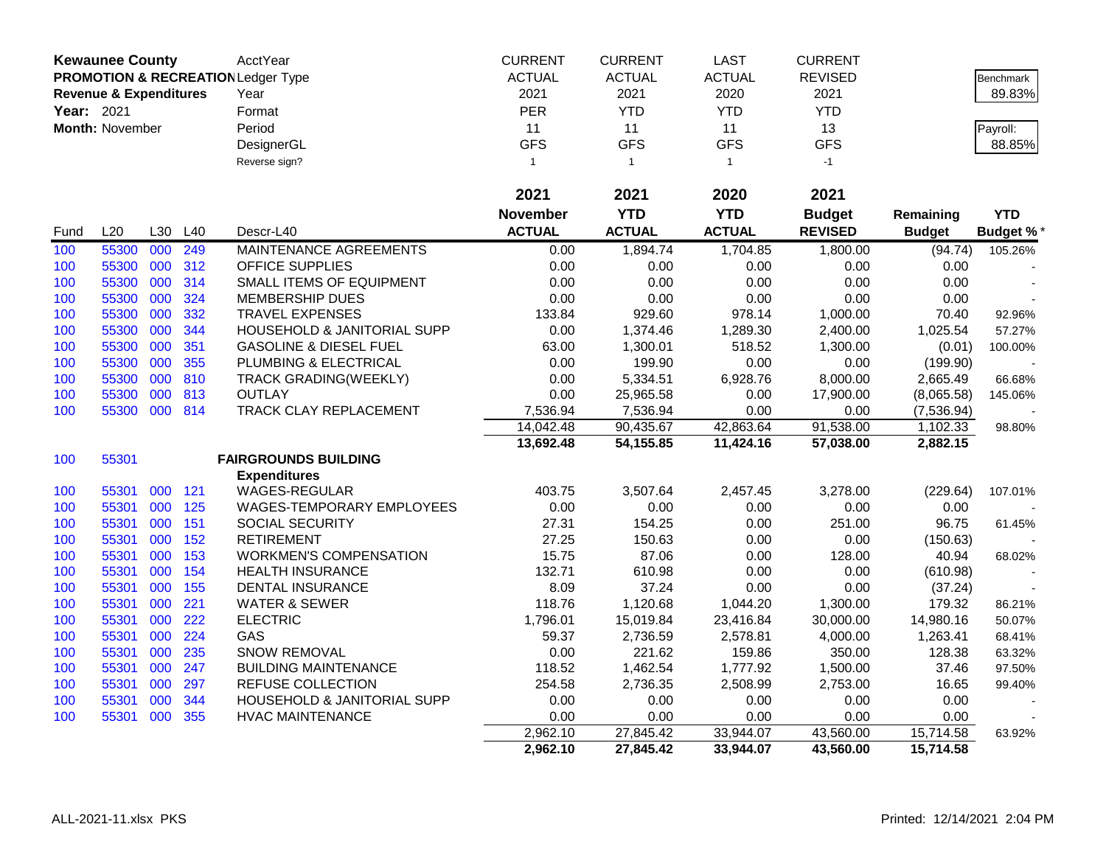| <b>Kewaunee County</b> |                                   |     | AcctYear | <b>CURRENT</b>                                | <b>CURRENT</b>  | <b>LAST</b>    | <b>CURRENT</b> |                |               |                  |
|------------------------|-----------------------------------|-----|----------|-----------------------------------------------|-----------------|----------------|----------------|----------------|---------------|------------------|
|                        |                                   |     |          | <b>PROMOTION &amp; RECREATION Ledger Type</b> | <b>ACTUAL</b>   | <b>ACTUAL</b>  | <b>ACTUAL</b>  | <b>REVISED</b> |               | <b>Benchmark</b> |
|                        | <b>Revenue &amp; Expenditures</b> |     |          | Year                                          | 2021            | 2021           | 2020           | 2021           |               | 89.83%           |
| Year: 2021             |                                   |     |          | Format                                        | <b>PER</b>      | <b>YTD</b>     | <b>YTD</b>     | <b>YTD</b>     |               |                  |
|                        | Month: November                   |     |          | Period                                        | 11              | 11             | 11             | 13             |               | Payroll:         |
|                        |                                   |     |          | DesignerGL                                    | <b>GFS</b>      | <b>GFS</b>     | <b>GFS</b>     | <b>GFS</b>     |               | 88.85%           |
|                        |                                   |     |          | Reverse sign?                                 | $\mathbf{1}$    | $\overline{1}$ | $\mathbf{1}$   | $-1$           |               |                  |
|                        |                                   |     |          |                                               |                 |                |                |                |               |                  |
|                        |                                   |     |          |                                               | 2021            | 2021           | 2020           | 2021           |               |                  |
|                        |                                   |     |          |                                               | <b>November</b> | <b>YTD</b>     | <b>YTD</b>     | <b>Budget</b>  | Remaining     | <b>YTD</b>       |
| Fund                   | L20                               | L30 | L40      | Descr-L40                                     | <b>ACTUAL</b>   | <b>ACTUAL</b>  | <b>ACTUAL</b>  | <b>REVISED</b> | <b>Budget</b> | <b>Budget %*</b> |
| 100                    | 55300                             | 000 | 249      | MAINTENANCE AGREEMENTS                        | 0.00            | 1,894.74       | 1,704.85       | 1,800.00       | (94.74)       | 105.26%          |
| 100                    | 55300                             | 000 | 312      | <b>OFFICE SUPPLIES</b>                        | 0.00            | 0.00           | 0.00           | 0.00           | 0.00          |                  |
| 100                    | 55300                             | 000 | 314      | SMALL ITEMS OF EQUIPMENT                      | 0.00            | 0.00           | 0.00           | 0.00           | 0.00          |                  |
| 100                    | 55300                             | 000 | 324      | <b>MEMBERSHIP DUES</b>                        | 0.00            | 0.00           | 0.00           | 0.00           | 0.00          |                  |
| 100                    | 55300                             | 000 | 332      | <b>TRAVEL EXPENSES</b>                        | 133.84          | 929.60         | 978.14         | 1,000.00       | 70.40         | 92.96%           |
| 100                    | 55300                             | 000 | 344      | HOUSEHOLD & JANITORIAL SUPP                   | 0.00            | 1,374.46       | 1,289.30       | 2,400.00       | 1,025.54      | 57.27%           |
| 100                    | 55300                             | 000 | 351      | <b>GASOLINE &amp; DIESEL FUEL</b>             | 63.00           | 1,300.01       | 518.52         | 1,300.00       | (0.01)        | 100.00%          |
| 100                    | 55300                             | 000 | 355      | PLUMBING & ELECTRICAL                         | 0.00            | 199.90         | 0.00           | 0.00           | (199.90)      |                  |
| 100                    | 55300                             | 000 | 810      | <b>TRACK GRADING(WEEKLY)</b>                  | 0.00            | 5,334.51       | 6,928.76       | 8,000.00       | 2,665.49      | 66.68%           |
| 100                    | 55300                             | 000 | 813      | <b>OUTLAY</b>                                 | 0.00            | 25,965.58      | 0.00           | 17,900.00      | (8,065.58)    | 145.06%          |
| 100                    | 55300                             | 000 | 814      | TRACK CLAY REPLACEMENT                        | 7,536.94        | 7,536.94       | 0.00           | 0.00           | (7,536.94)    |                  |
|                        |                                   |     |          |                                               | 14,042.48       | 90,435.67      | 42,863.64      | 91,538.00      | 1,102.33      | 98.80%           |
|                        |                                   |     |          |                                               | 13,692.48       | 54, 155.85     | 11,424.16      | 57,038.00      | 2,882.15      |                  |
| 100                    | 55301                             |     |          | <b>FAIRGROUNDS BUILDING</b>                   |                 |                |                |                |               |                  |
|                        |                                   |     |          | <b>Expenditures</b>                           |                 |                |                |                |               |                  |
| 100                    | 55301                             | 000 | 121      | <b>WAGES-REGULAR</b>                          | 403.75          | 3,507.64       | 2,457.45       | 3,278.00       | (229.64)      | 107.01%          |
| 100                    | 55301                             | 000 | 125      | WAGES-TEMPORARY EMPLOYEES                     | 0.00            | 0.00           | 0.00           | 0.00           | 0.00          |                  |
| 100                    | 55301                             | 000 | 151      | SOCIAL SECURITY                               | 27.31           | 154.25         | 0.00           | 251.00         | 96.75         | 61.45%           |
| 100                    | 55301                             | 000 | 152      | <b>RETIREMENT</b>                             | 27.25           | 150.63         | 0.00           | 0.00           | (150.63)      |                  |
| 100                    | 55301                             | 000 | 153      | <b>WORKMEN'S COMPENSATION</b>                 | 15.75           | 87.06          | 0.00           | 128.00         | 40.94         | 68.02%           |
| 100                    | 55301                             | 000 | 154      | <b>HEALTH INSURANCE</b>                       | 132.71          | 610.98         | 0.00           | 0.00           | (610.98)      |                  |
| 100                    | 55301                             | 000 | 155      | DENTAL INSURANCE                              | 8.09            | 37.24          | 0.00           | 0.00           | (37.24)       |                  |
| 100                    | 55301                             | 000 | 221      | <b>WATER &amp; SEWER</b>                      | 118.76          | 1,120.68       | 1,044.20       | 1,300.00       | 179.32        | 86.21%           |
| 100                    | 55301                             | 000 | 222      | <b>ELECTRIC</b>                               | 1,796.01        | 15,019.84      | 23,416.84      | 30,000.00      | 14,980.16     | 50.07%           |
| 100                    | 55301                             | 000 | 224      | GAS                                           | 59.37           | 2,736.59       | 2,578.81       | 4,000.00       | 1,263.41      | 68.41%           |
| 100                    | 55301                             | 000 | 235      | <b>SNOW REMOVAL</b>                           | 0.00            | 221.62         | 159.86         | 350.00         | 128.38        | 63.32%           |
| 100                    | 55301                             | 000 | 247      | <b>BUILDING MAINTENANCE</b>                   | 118.52          | 1,462.54       | 1,777.92       | 1,500.00       | 37.46         | 97.50%           |
| 100                    | 55301                             | 000 | 297      | REFUSE COLLECTION                             | 254.58          | 2,736.35       | 2,508.99       | 2,753.00       | 16.65         | 99.40%           |
| 100                    | 55301                             | 000 | 344      | <b>HOUSEHOLD &amp; JANITORIAL SUPP</b>        | 0.00            | 0.00           | 0.00           | 0.00           | 0.00          |                  |
| 100                    | 55301                             | 000 | 355      | <b>HVAC MAINTENANCE</b>                       | 0.00            | 0.00           | 0.00           | 0.00           | 0.00          |                  |
|                        |                                   |     |          |                                               | 2,962.10        | 27,845.42      | 33,944.07      | 43,560.00      | 15,714.58     | 63.92%           |
|                        |                                   |     |          |                                               | 2,962.10        | 27,845.42      | 33,944.07      | 43,560.00      | 15,714.58     |                  |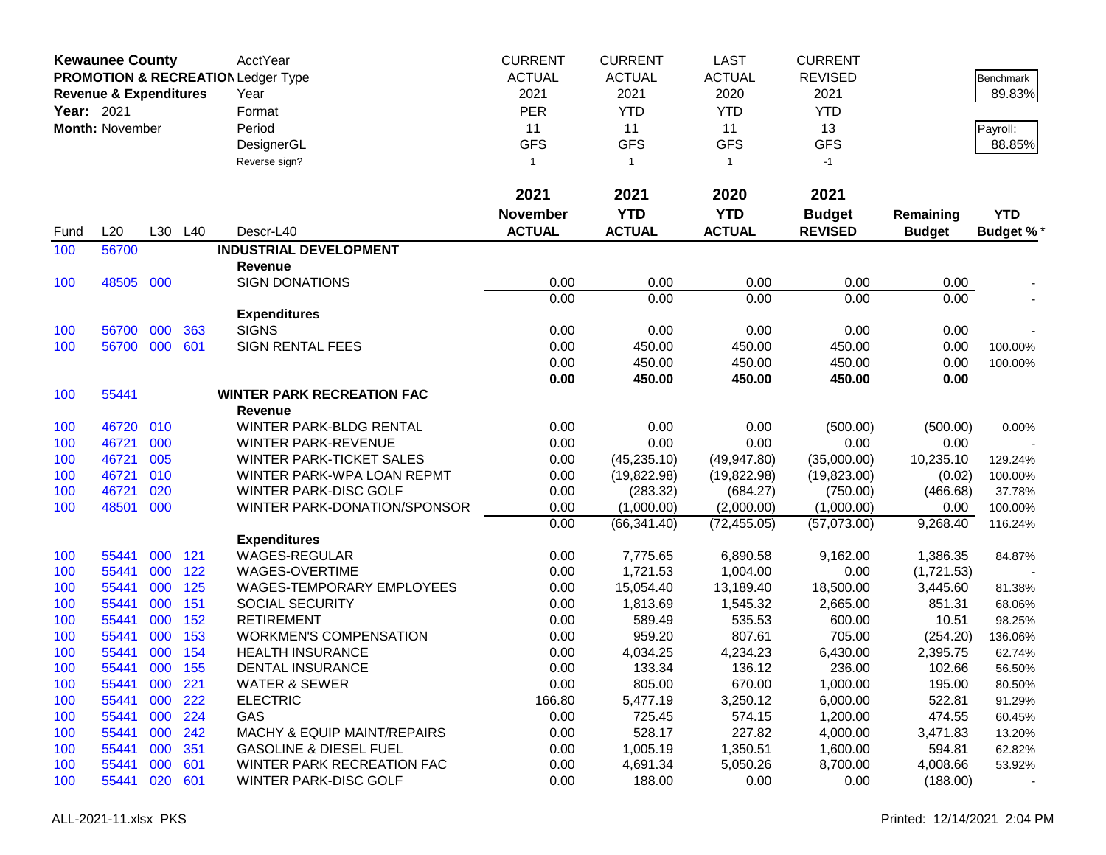|            | <b>Kewaunee County</b>            |            |            | AcctYear                                      | <b>CURRENT</b>  | <b>CURRENT</b>     | <b>LAST</b>        | <b>CURRENT</b>     |                 |                   |
|------------|-----------------------------------|------------|------------|-----------------------------------------------|-----------------|--------------------|--------------------|--------------------|-----------------|-------------------|
|            |                                   |            |            | <b>PROMOTION &amp; RECREATION Ledger Type</b> | <b>ACTUAL</b>   | <b>ACTUAL</b>      | <b>ACTUAL</b>      | <b>REVISED</b>     |                 | Benchmark         |
|            | <b>Revenue &amp; Expenditures</b> |            |            | Year                                          | 2021            | 2021               | 2020               | 2021               |                 | 89.83%            |
| Year: 2021 |                                   |            |            | Format                                        | <b>PER</b>      | <b>YTD</b>         | <b>YTD</b>         | <b>YTD</b>         |                 |                   |
|            | Month: November                   |            |            | Period                                        | 11              | 11                 | 11                 | 13                 |                 | Payroll:          |
|            |                                   |            |            | DesignerGL                                    | <b>GFS</b>      | <b>GFS</b>         | <b>GFS</b>         | <b>GFS</b>         |                 | 88.85%            |
|            |                                   |            |            | Reverse sign?                                 | $\mathbf{1}$    | $\mathbf{1}$       | $\mathbf{1}$       | $-1$               |                 |                   |
|            |                                   |            |            |                                               |                 |                    |                    |                    |                 |                   |
|            |                                   |            |            |                                               | 2021            | 2021               | 2020               | 2021               |                 |                   |
|            |                                   |            |            |                                               | <b>November</b> | <b>YTD</b>         | <b>YTD</b>         | <b>Budget</b>      | Remaining       | <b>YTD</b>        |
| Fund       | L20                               | L30        | L40        | Descr-L40                                     | <b>ACTUAL</b>   | <b>ACTUAL</b>      | <b>ACTUAL</b>      | <b>REVISED</b>     | <b>Budget</b>   | Budget %*         |
| 100        | 56700                             |            |            | <b>INDUSTRIAL DEVELOPMENT</b>                 |                 |                    |                    |                    |                 |                   |
|            |                                   |            |            | <b>Revenue</b>                                |                 |                    |                    |                    |                 |                   |
| 100        | 48505                             | 000        |            | <b>SIGN DONATIONS</b>                         | 0.00            | 0.00               | 0.00               | 0.00               | 0.00            |                   |
|            |                                   |            |            |                                               | 0.00            | 0.00               | 0.00               | 0.00               | 0.00            |                   |
|            |                                   |            |            | <b>Expenditures</b>                           |                 |                    |                    |                    |                 |                   |
| 100        | 56700                             | 000        | 363        | <b>SIGNS</b>                                  | 0.00            | 0.00               | 0.00               | 0.00               | 0.00            |                   |
| 100        | 56700                             | 000        | 601        | <b>SIGN RENTAL FEES</b>                       | 0.00            | 450.00             | 450.00             | 450.00             | 0.00            | 100.00%           |
|            |                                   |            |            |                                               | 0.00            | 450.00             | 450.00             | 450.00             | 0.00            | 100.00%           |
|            |                                   |            |            |                                               | 0.00            | 450.00             | 450.00             | 450.00             | 0.00            |                   |
| 100        | 55441                             |            |            | <b>WINTER PARK RECREATION FAC</b>             |                 |                    |                    |                    |                 |                   |
|            |                                   |            |            | Revenue                                       |                 |                    |                    |                    |                 |                   |
| 100        | 46720                             | 010        |            | WINTER PARK-BLDG RENTAL                       | 0.00            | 0.00               | 0.00               | (500.00)           | (500.00)        | 0.00%             |
| 100        | 46721                             | 000        |            | <b>WINTER PARK-REVENUE</b>                    | 0.00            | 0.00               | 0.00               | 0.00               | 0.00            |                   |
| 100        | 46721                             | 005        |            | <b>WINTER PARK-TICKET SALES</b>               | 0.00            | (45, 235.10)       | (49, 947.80)       | (35,000.00)        | 10,235.10       | 129.24%           |
| 100        | 46721                             | 010        |            | WINTER PARK-WPA LOAN REPMT                    | 0.00            | (19,822.98)        | (19, 822.98)       | (19,823.00)        | (0.02)          | 100.00%           |
| 100        | 46721                             | 020        |            | WINTER PARK-DISC GOLF                         | 0.00            | (283.32)           | (684.27)           | (750.00)           | (466.68)        | 37.78%            |
| 100        | 48501                             | 000        |            | WINTER PARK-DONATION/SPONSOR                  | 0.00            | (1,000.00)         | (2,000.00)         | (1,000.00)         | 0.00            | 100.00%           |
|            |                                   |            |            |                                               | 0.00            | (66, 341.40)       | (72, 455.05)       | (57,073.00)        | 9,268.40        | 116.24%           |
|            |                                   |            |            | <b>Expenditures</b>                           |                 |                    |                    |                    |                 |                   |
| 100        | 55441                             | 000        | 121        | <b>WAGES-REGULAR</b>                          | 0.00            | 7,775.65           | 6,890.58           | 9,162.00           | 1,386.35        | 84.87%            |
| 100        | 55441                             | 000        | 122        | WAGES-OVERTIME                                | 0.00            | 1,721.53           | 1,004.00           | 0.00               | (1,721.53)      |                   |
| 100        | 55441                             | 000        | 125        | WAGES-TEMPORARY EMPLOYEES                     | 0.00            | 15,054.40          | 13,189.40          | 18,500.00          | 3,445.60        | 81.38%            |
| 100        | 55441<br>55441                    | 000<br>000 | 151<br>152 | SOCIAL SECURITY<br><b>RETIREMENT</b>          | 0.00            | 1,813.69<br>589.49 | 1,545.32<br>535.53 | 2,665.00<br>600.00 | 851.31<br>10.51 | 68.06%<br>98.25%  |
| 100<br>100 | 55441                             | 000        | 153        | <b>WORKMEN'S COMPENSATION</b>                 | 0.00<br>0.00    | 959.20             | 807.61             | 705.00             | (254.20)        |                   |
| 100        | 55441                             | 000        | 154        | <b>HEALTH INSURANCE</b>                       | 0.00            | 4,034.25           | 4,234.23           | 6,430.00           | 2,395.75        | 136.06%<br>62.74% |
| 100        | 55441                             | 000        | 155        | DENTAL INSURANCE                              | 0.00            | 133.34             | 136.12             | 236.00             | 102.66          | 56.50%            |
| 100        | 55441                             | 000        | 221        | <b>WATER &amp; SEWER</b>                      | 0.00            | 805.00             | 670.00             | 1,000.00           | 195.00          | 80.50%            |
| 100        | 55441                             | 000        | 222        | <b>ELECTRIC</b>                               | 166.80          | 5,477.19           | 3,250.12           | 6,000.00           | 522.81          | 91.29%            |
|            | 55441                             | 000        | 224        | GAS                                           | 0.00            |                    | 574.15             | 1,200.00           | 474.55          |                   |
| 100<br>100 | 55441                             | 000        | 242        | <b>MACHY &amp; EQUIP MAINT/REPAIRS</b>        | 0.00            | 725.45<br>528.17   | 227.82             | 4,000.00           | 3,471.83        | 60.45%<br>13.20%  |
| 100        | 55441                             | 000        | 351        | <b>GASOLINE &amp; DIESEL FUEL</b>             | 0.00            | 1,005.19           | 1,350.51           | 1,600.00           | 594.81          | 62.82%            |
| 100        | 55441                             | 000        | 601        | WINTER PARK RECREATION FAC                    | 0.00            | 4,691.34           | 5,050.26           | 8,700.00           | 4,008.66        | 53.92%            |
|            |                                   |            |            |                                               |                 |                    |                    |                    |                 |                   |
| 100        | 55441                             | 020        | 601        | WINTER PARK-DISC GOLF                         | 0.00            | 188.00             | 0.00               | 0.00               | (188.00)        |                   |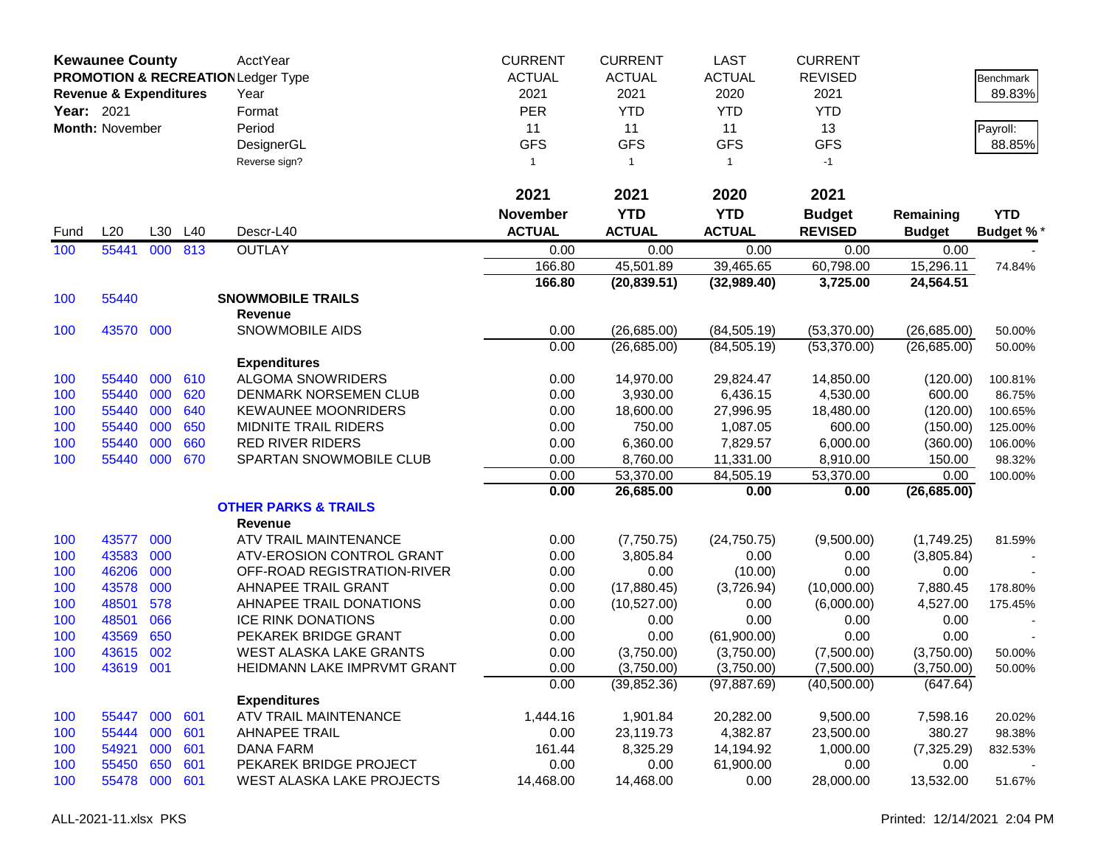| <b>ACTUAL</b><br><b>ACTUAL</b><br><b>REVISED</b><br><b>PROMOTION &amp; RECREATION Ledger Type</b><br><b>ACTUAL</b><br>Benchmark<br>2021<br>2021<br>2020<br>2021<br>89.83%<br><b>Revenue &amp; Expenditures</b><br>Year<br><b>PER</b><br><b>YTD</b><br>Year: 2021<br><b>YTD</b><br><b>YTD</b><br>Format<br>Month: November<br>Period<br>11<br>11<br>11<br>13<br>Payroll:<br><b>GFS</b><br><b>GFS</b><br><b>GFS</b><br><b>GFS</b><br>DesignerGL<br>88.85%<br>Reverse sign?<br>$-1$<br>$\mathbf{1}$<br>$\overline{1}$<br>$\mathbf{1}$<br>2021<br>2021<br>2021<br>2020<br><b>YTD</b><br><b>YTD</b><br><b>November</b><br><b>Budget</b><br><b>YTD</b><br>Remaining<br><b>ACTUAL</b><br><b>ACTUAL</b><br>L20<br>L30<br>L40<br><b>ACTUAL</b><br><b>REVISED</b><br>Descr-L40<br><b>Budget</b><br><b>Budget %*</b><br>Fund<br><b>OUTLAY</b><br>55441<br>813<br>100<br>000<br>0.00<br>0.00<br>0.00<br>0.00<br>0.00<br>166.80<br>45,501.89<br>39,465.65<br>60,798.00<br>15,296.11<br>74.84%<br>166.80<br>(20, 839.51)<br>(32,989.40)<br>3,725.00<br>24,564.51<br>55440<br><b>SNOWMOBILE TRAILS</b><br>100<br><b>Revenue</b><br><b>SNOWMOBILE AIDS</b><br>0.00<br>100<br>43570 000<br>(26,685.00)<br>(84, 505.19)<br>(53,370.00)<br>(26,685.00)<br>50.00%<br>0.00<br>(26, 685.00)<br>(84, 505.19)<br>(53,370.00)<br>(26,685.00)<br>50.00%<br><b>Expenditures</b><br>000<br>610<br><b>ALGOMA SNOWRIDERS</b><br>55440<br>0.00<br>14,970.00<br>29,824.47<br>14,850.00<br>100<br>(120.00)<br>100.81%<br>000<br>55440<br>620<br>DENMARK NORSEMEN CLUB<br>3,930.00<br>6,436.15<br>4,530.00<br>600.00<br>100<br>0.00<br>86.75%<br>55440<br>000<br>640<br><b>KEWAUNEE MOONRIDERS</b><br>100<br>0.00<br>18,600.00<br>27,996.95<br>18,480.00<br>(120.00)<br>100.65%<br>55440<br>000<br>650<br><b>MIDNITE TRAIL RIDERS</b><br>750.00<br>1,087.05<br>600.00<br>100<br>0.00<br>(150.00)<br>125.00%<br>55440<br>000<br>660<br><b>RED RIVER RIDERS</b><br>0.00<br>6,360.00<br>7,829.57<br>6,000.00<br>100<br>(360.00)<br>106.00%<br>000<br>670<br>SPARTAN SNOWMOBILE CLUB<br>11,331.00<br>100<br>55440<br>0.00<br>8,760.00<br>8,910.00<br>150.00<br>98.32%<br>0.00<br>53,370.00<br>84,505.19<br>53,370.00<br>0.00<br>100.00%<br>0.00<br>26,685.00<br>0.00<br>(26, 685.00)<br>0.00<br><b>OTHER PARKS &amp; TRAILS</b><br><b>Revenue</b><br>43577<br>000<br>ATV TRAIL MAINTENANCE<br>0.00<br>(24, 750.75)<br>100<br>(7,750.75)<br>(9,500.00)<br>(1,749.25)<br>81.59%<br>43583<br>000<br>100<br>ATV-EROSION CONTROL GRANT<br>0.00<br>3,805.84<br>0.00<br>0.00<br>(3,805.84)<br>46206<br>000<br>100<br>OFF-ROAD REGISTRATION-RIVER<br>0.00<br>0.00<br>(10.00)<br>0.00<br>0.00<br>43578<br>000<br>AHNAPEE TRAIL GRANT<br>100<br>0.00<br>(17,880.45)<br>(3,726.94)<br>(10,000.00)<br>7,880.45<br>178.80%<br>48501<br>578<br>AHNAPEE TRAIL DONATIONS<br>100<br>0.00<br>(10,527.00)<br>0.00<br>(6,000.00)<br>4,527.00<br>175.45%<br>48501<br>066<br>0.00<br>100<br><b>ICE RINK DONATIONS</b><br>0.00<br>0.00<br>0.00<br>0.00<br>650<br>43569<br>PEKAREK BRIDGE GRANT<br>0.00<br>0.00<br>100<br>0.00<br>(61,900.00)<br>0.00<br>43615<br>002<br>100<br><b>WEST ALASKA LAKE GRANTS</b><br>0.00<br>(3,750.00)<br>(3,750.00)<br>(7,500.00)<br>(3,750.00)<br>50.00%<br>100<br>43619<br>001<br>HEIDMANN LAKE IMPRVMT GRANT<br>0.00<br>(3,750.00)<br>(3,750.00)<br>(7,500.00)<br>(3,750.00)<br>50.00%<br>0.00<br>(39, 852.36)<br>(40,500.00)<br>(647.64)<br>(97, 887.69)<br><b>Expenditures</b><br>ATV TRAIL MAINTENANCE<br>55447<br>000<br>601<br>1,444.16<br>1,901.84<br>20,282.00<br>9,500.00<br>7,598.16<br>100<br>20.02%<br>000<br>4,382.87<br>23,500.00<br>100<br>55444<br>601<br><b>AHNAPEE TRAIL</b><br>0.00<br>23,119.73<br>380.27<br>98.38%<br>000<br>161.44<br>14,194.92<br>54921<br>601<br><b>DANA FARM</b><br>8,325.29<br>1,000.00<br>(7, 325.29)<br>100<br>832.53%<br>650<br>61,900.00<br>55450<br>601<br>PEKAREK BRIDGE PROJECT<br>0.00<br>0.00<br>0.00<br>0.00<br>100 |     | <b>Kewaunee County</b> |     |     | AcctYear                  | <b>CURRENT</b> | <b>CURRENT</b> | <b>LAST</b> | <b>CURRENT</b> |           |        |
|--------------------------------------------------------------------------------------------------------------------------------------------------------------------------------------------------------------------------------------------------------------------------------------------------------------------------------------------------------------------------------------------------------------------------------------------------------------------------------------------------------------------------------------------------------------------------------------------------------------------------------------------------------------------------------------------------------------------------------------------------------------------------------------------------------------------------------------------------------------------------------------------------------------------------------------------------------------------------------------------------------------------------------------------------------------------------------------------------------------------------------------------------------------------------------------------------------------------------------------------------------------------------------------------------------------------------------------------------------------------------------------------------------------------------------------------------------------------------------------------------------------------------------------------------------------------------------------------------------------------------------------------------------------------------------------------------------------------------------------------------------------------------------------------------------------------------------------------------------------------------------------------------------------------------------------------------------------------------------------------------------------------------------------------------------------------------------------------------------------------------------------------------------------------------------------------------------------------------------------------------------------------------------------------------------------------------------------------------------------------------------------------------------------------------------------------------------------------------------------------------------------------------------------------------------------------------------------------------------------------------------------------------------------------------------------------------------------------------------------------------------------------------------------------------------------------------------------------------------------------------------------------------------------------------------------------------------------------------------------------------------------------------------------------------------------------------------------------------------------------------------------------------------------------------------------------------------------------------------------------------------------------------------------------------------------------------------------------------------------------------------------------------------------------------------------------------------------------------------------------------------------------------------------------------------------------------------------------------------------------------------------------------------------------------------------------------------------------------------------------------------------------------------------------------------------------------------------------------------------------------------------------------------------------------------------------|-----|------------------------|-----|-----|---------------------------|----------------|----------------|-------------|----------------|-----------|--------|
|                                                                                                                                                                                                                                                                                                                                                                                                                                                                                                                                                                                                                                                                                                                                                                                                                                                                                                                                                                                                                                                                                                                                                                                                                                                                                                                                                                                                                                                                                                                                                                                                                                                                                                                                                                                                                                                                                                                                                                                                                                                                                                                                                                                                                                                                                                                                                                                                                                                                                                                                                                                                                                                                                                                                                                                                                                                                                                                                                                                                                                                                                                                                                                                                                                                                                                                                                                                                                                                                                                                                                                                                                                                                                                                                                                                                                                                                                                                                            |     |                        |     |     |                           |                |                |             |                |           |        |
|                                                                                                                                                                                                                                                                                                                                                                                                                                                                                                                                                                                                                                                                                                                                                                                                                                                                                                                                                                                                                                                                                                                                                                                                                                                                                                                                                                                                                                                                                                                                                                                                                                                                                                                                                                                                                                                                                                                                                                                                                                                                                                                                                                                                                                                                                                                                                                                                                                                                                                                                                                                                                                                                                                                                                                                                                                                                                                                                                                                                                                                                                                                                                                                                                                                                                                                                                                                                                                                                                                                                                                                                                                                                                                                                                                                                                                                                                                                                            |     |                        |     |     |                           |                |                |             |                |           |        |
|                                                                                                                                                                                                                                                                                                                                                                                                                                                                                                                                                                                                                                                                                                                                                                                                                                                                                                                                                                                                                                                                                                                                                                                                                                                                                                                                                                                                                                                                                                                                                                                                                                                                                                                                                                                                                                                                                                                                                                                                                                                                                                                                                                                                                                                                                                                                                                                                                                                                                                                                                                                                                                                                                                                                                                                                                                                                                                                                                                                                                                                                                                                                                                                                                                                                                                                                                                                                                                                                                                                                                                                                                                                                                                                                                                                                                                                                                                                                            |     |                        |     |     |                           |                |                |             |                |           |        |
|                                                                                                                                                                                                                                                                                                                                                                                                                                                                                                                                                                                                                                                                                                                                                                                                                                                                                                                                                                                                                                                                                                                                                                                                                                                                                                                                                                                                                                                                                                                                                                                                                                                                                                                                                                                                                                                                                                                                                                                                                                                                                                                                                                                                                                                                                                                                                                                                                                                                                                                                                                                                                                                                                                                                                                                                                                                                                                                                                                                                                                                                                                                                                                                                                                                                                                                                                                                                                                                                                                                                                                                                                                                                                                                                                                                                                                                                                                                                            |     |                        |     |     |                           |                |                |             |                |           |        |
|                                                                                                                                                                                                                                                                                                                                                                                                                                                                                                                                                                                                                                                                                                                                                                                                                                                                                                                                                                                                                                                                                                                                                                                                                                                                                                                                                                                                                                                                                                                                                                                                                                                                                                                                                                                                                                                                                                                                                                                                                                                                                                                                                                                                                                                                                                                                                                                                                                                                                                                                                                                                                                                                                                                                                                                                                                                                                                                                                                                                                                                                                                                                                                                                                                                                                                                                                                                                                                                                                                                                                                                                                                                                                                                                                                                                                                                                                                                                            |     |                        |     |     |                           |                |                |             |                |           |        |
|                                                                                                                                                                                                                                                                                                                                                                                                                                                                                                                                                                                                                                                                                                                                                                                                                                                                                                                                                                                                                                                                                                                                                                                                                                                                                                                                                                                                                                                                                                                                                                                                                                                                                                                                                                                                                                                                                                                                                                                                                                                                                                                                                                                                                                                                                                                                                                                                                                                                                                                                                                                                                                                                                                                                                                                                                                                                                                                                                                                                                                                                                                                                                                                                                                                                                                                                                                                                                                                                                                                                                                                                                                                                                                                                                                                                                                                                                                                                            |     |                        |     |     |                           |                |                |             |                |           |        |
|                                                                                                                                                                                                                                                                                                                                                                                                                                                                                                                                                                                                                                                                                                                                                                                                                                                                                                                                                                                                                                                                                                                                                                                                                                                                                                                                                                                                                                                                                                                                                                                                                                                                                                                                                                                                                                                                                                                                                                                                                                                                                                                                                                                                                                                                                                                                                                                                                                                                                                                                                                                                                                                                                                                                                                                                                                                                                                                                                                                                                                                                                                                                                                                                                                                                                                                                                                                                                                                                                                                                                                                                                                                                                                                                                                                                                                                                                                                                            |     |                        |     |     |                           |                |                |             |                |           |        |
|                                                                                                                                                                                                                                                                                                                                                                                                                                                                                                                                                                                                                                                                                                                                                                                                                                                                                                                                                                                                                                                                                                                                                                                                                                                                                                                                                                                                                                                                                                                                                                                                                                                                                                                                                                                                                                                                                                                                                                                                                                                                                                                                                                                                                                                                                                                                                                                                                                                                                                                                                                                                                                                                                                                                                                                                                                                                                                                                                                                                                                                                                                                                                                                                                                                                                                                                                                                                                                                                                                                                                                                                                                                                                                                                                                                                                                                                                                                                            |     |                        |     |     |                           |                |                |             |                |           |        |
|                                                                                                                                                                                                                                                                                                                                                                                                                                                                                                                                                                                                                                                                                                                                                                                                                                                                                                                                                                                                                                                                                                                                                                                                                                                                                                                                                                                                                                                                                                                                                                                                                                                                                                                                                                                                                                                                                                                                                                                                                                                                                                                                                                                                                                                                                                                                                                                                                                                                                                                                                                                                                                                                                                                                                                                                                                                                                                                                                                                                                                                                                                                                                                                                                                                                                                                                                                                                                                                                                                                                                                                                                                                                                                                                                                                                                                                                                                                                            |     |                        |     |     |                           |                |                |             |                |           |        |
|                                                                                                                                                                                                                                                                                                                                                                                                                                                                                                                                                                                                                                                                                                                                                                                                                                                                                                                                                                                                                                                                                                                                                                                                                                                                                                                                                                                                                                                                                                                                                                                                                                                                                                                                                                                                                                                                                                                                                                                                                                                                                                                                                                                                                                                                                                                                                                                                                                                                                                                                                                                                                                                                                                                                                                                                                                                                                                                                                                                                                                                                                                                                                                                                                                                                                                                                                                                                                                                                                                                                                                                                                                                                                                                                                                                                                                                                                                                                            |     |                        |     |     |                           |                |                |             |                |           |        |
|                                                                                                                                                                                                                                                                                                                                                                                                                                                                                                                                                                                                                                                                                                                                                                                                                                                                                                                                                                                                                                                                                                                                                                                                                                                                                                                                                                                                                                                                                                                                                                                                                                                                                                                                                                                                                                                                                                                                                                                                                                                                                                                                                                                                                                                                                                                                                                                                                                                                                                                                                                                                                                                                                                                                                                                                                                                                                                                                                                                                                                                                                                                                                                                                                                                                                                                                                                                                                                                                                                                                                                                                                                                                                                                                                                                                                                                                                                                                            |     |                        |     |     |                           |                |                |             |                |           |        |
|                                                                                                                                                                                                                                                                                                                                                                                                                                                                                                                                                                                                                                                                                                                                                                                                                                                                                                                                                                                                                                                                                                                                                                                                                                                                                                                                                                                                                                                                                                                                                                                                                                                                                                                                                                                                                                                                                                                                                                                                                                                                                                                                                                                                                                                                                                                                                                                                                                                                                                                                                                                                                                                                                                                                                                                                                                                                                                                                                                                                                                                                                                                                                                                                                                                                                                                                                                                                                                                                                                                                                                                                                                                                                                                                                                                                                                                                                                                                            |     |                        |     |     |                           |                |                |             |                |           |        |
|                                                                                                                                                                                                                                                                                                                                                                                                                                                                                                                                                                                                                                                                                                                                                                                                                                                                                                                                                                                                                                                                                                                                                                                                                                                                                                                                                                                                                                                                                                                                                                                                                                                                                                                                                                                                                                                                                                                                                                                                                                                                                                                                                                                                                                                                                                                                                                                                                                                                                                                                                                                                                                                                                                                                                                                                                                                                                                                                                                                                                                                                                                                                                                                                                                                                                                                                                                                                                                                                                                                                                                                                                                                                                                                                                                                                                                                                                                                                            |     |                        |     |     |                           |                |                |             |                |           |        |
|                                                                                                                                                                                                                                                                                                                                                                                                                                                                                                                                                                                                                                                                                                                                                                                                                                                                                                                                                                                                                                                                                                                                                                                                                                                                                                                                                                                                                                                                                                                                                                                                                                                                                                                                                                                                                                                                                                                                                                                                                                                                                                                                                                                                                                                                                                                                                                                                                                                                                                                                                                                                                                                                                                                                                                                                                                                                                                                                                                                                                                                                                                                                                                                                                                                                                                                                                                                                                                                                                                                                                                                                                                                                                                                                                                                                                                                                                                                                            |     |                        |     |     |                           |                |                |             |                |           |        |
|                                                                                                                                                                                                                                                                                                                                                                                                                                                                                                                                                                                                                                                                                                                                                                                                                                                                                                                                                                                                                                                                                                                                                                                                                                                                                                                                                                                                                                                                                                                                                                                                                                                                                                                                                                                                                                                                                                                                                                                                                                                                                                                                                                                                                                                                                                                                                                                                                                                                                                                                                                                                                                                                                                                                                                                                                                                                                                                                                                                                                                                                                                                                                                                                                                                                                                                                                                                                                                                                                                                                                                                                                                                                                                                                                                                                                                                                                                                                            |     |                        |     |     |                           |                |                |             |                |           |        |
|                                                                                                                                                                                                                                                                                                                                                                                                                                                                                                                                                                                                                                                                                                                                                                                                                                                                                                                                                                                                                                                                                                                                                                                                                                                                                                                                                                                                                                                                                                                                                                                                                                                                                                                                                                                                                                                                                                                                                                                                                                                                                                                                                                                                                                                                                                                                                                                                                                                                                                                                                                                                                                                                                                                                                                                                                                                                                                                                                                                                                                                                                                                                                                                                                                                                                                                                                                                                                                                                                                                                                                                                                                                                                                                                                                                                                                                                                                                                            |     |                        |     |     |                           |                |                |             |                |           |        |
|                                                                                                                                                                                                                                                                                                                                                                                                                                                                                                                                                                                                                                                                                                                                                                                                                                                                                                                                                                                                                                                                                                                                                                                                                                                                                                                                                                                                                                                                                                                                                                                                                                                                                                                                                                                                                                                                                                                                                                                                                                                                                                                                                                                                                                                                                                                                                                                                                                                                                                                                                                                                                                                                                                                                                                                                                                                                                                                                                                                                                                                                                                                                                                                                                                                                                                                                                                                                                                                                                                                                                                                                                                                                                                                                                                                                                                                                                                                                            |     |                        |     |     |                           |                |                |             |                |           |        |
|                                                                                                                                                                                                                                                                                                                                                                                                                                                                                                                                                                                                                                                                                                                                                                                                                                                                                                                                                                                                                                                                                                                                                                                                                                                                                                                                                                                                                                                                                                                                                                                                                                                                                                                                                                                                                                                                                                                                                                                                                                                                                                                                                                                                                                                                                                                                                                                                                                                                                                                                                                                                                                                                                                                                                                                                                                                                                                                                                                                                                                                                                                                                                                                                                                                                                                                                                                                                                                                                                                                                                                                                                                                                                                                                                                                                                                                                                                                                            |     |                        |     |     |                           |                |                |             |                |           |        |
|                                                                                                                                                                                                                                                                                                                                                                                                                                                                                                                                                                                                                                                                                                                                                                                                                                                                                                                                                                                                                                                                                                                                                                                                                                                                                                                                                                                                                                                                                                                                                                                                                                                                                                                                                                                                                                                                                                                                                                                                                                                                                                                                                                                                                                                                                                                                                                                                                                                                                                                                                                                                                                                                                                                                                                                                                                                                                                                                                                                                                                                                                                                                                                                                                                                                                                                                                                                                                                                                                                                                                                                                                                                                                                                                                                                                                                                                                                                                            |     |                        |     |     |                           |                |                |             |                |           |        |
|                                                                                                                                                                                                                                                                                                                                                                                                                                                                                                                                                                                                                                                                                                                                                                                                                                                                                                                                                                                                                                                                                                                                                                                                                                                                                                                                                                                                                                                                                                                                                                                                                                                                                                                                                                                                                                                                                                                                                                                                                                                                                                                                                                                                                                                                                                                                                                                                                                                                                                                                                                                                                                                                                                                                                                                                                                                                                                                                                                                                                                                                                                                                                                                                                                                                                                                                                                                                                                                                                                                                                                                                                                                                                                                                                                                                                                                                                                                                            |     |                        |     |     |                           |                |                |             |                |           |        |
|                                                                                                                                                                                                                                                                                                                                                                                                                                                                                                                                                                                                                                                                                                                                                                                                                                                                                                                                                                                                                                                                                                                                                                                                                                                                                                                                                                                                                                                                                                                                                                                                                                                                                                                                                                                                                                                                                                                                                                                                                                                                                                                                                                                                                                                                                                                                                                                                                                                                                                                                                                                                                                                                                                                                                                                                                                                                                                                                                                                                                                                                                                                                                                                                                                                                                                                                                                                                                                                                                                                                                                                                                                                                                                                                                                                                                                                                                                                                            |     |                        |     |     |                           |                |                |             |                |           |        |
|                                                                                                                                                                                                                                                                                                                                                                                                                                                                                                                                                                                                                                                                                                                                                                                                                                                                                                                                                                                                                                                                                                                                                                                                                                                                                                                                                                                                                                                                                                                                                                                                                                                                                                                                                                                                                                                                                                                                                                                                                                                                                                                                                                                                                                                                                                                                                                                                                                                                                                                                                                                                                                                                                                                                                                                                                                                                                                                                                                                                                                                                                                                                                                                                                                                                                                                                                                                                                                                                                                                                                                                                                                                                                                                                                                                                                                                                                                                                            |     |                        |     |     |                           |                |                |             |                |           |        |
|                                                                                                                                                                                                                                                                                                                                                                                                                                                                                                                                                                                                                                                                                                                                                                                                                                                                                                                                                                                                                                                                                                                                                                                                                                                                                                                                                                                                                                                                                                                                                                                                                                                                                                                                                                                                                                                                                                                                                                                                                                                                                                                                                                                                                                                                                                                                                                                                                                                                                                                                                                                                                                                                                                                                                                                                                                                                                                                                                                                                                                                                                                                                                                                                                                                                                                                                                                                                                                                                                                                                                                                                                                                                                                                                                                                                                                                                                                                                            |     |                        |     |     |                           |                |                |             |                |           |        |
|                                                                                                                                                                                                                                                                                                                                                                                                                                                                                                                                                                                                                                                                                                                                                                                                                                                                                                                                                                                                                                                                                                                                                                                                                                                                                                                                                                                                                                                                                                                                                                                                                                                                                                                                                                                                                                                                                                                                                                                                                                                                                                                                                                                                                                                                                                                                                                                                                                                                                                                                                                                                                                                                                                                                                                                                                                                                                                                                                                                                                                                                                                                                                                                                                                                                                                                                                                                                                                                                                                                                                                                                                                                                                                                                                                                                                                                                                                                                            |     |                        |     |     |                           |                |                |             |                |           |        |
|                                                                                                                                                                                                                                                                                                                                                                                                                                                                                                                                                                                                                                                                                                                                                                                                                                                                                                                                                                                                                                                                                                                                                                                                                                                                                                                                                                                                                                                                                                                                                                                                                                                                                                                                                                                                                                                                                                                                                                                                                                                                                                                                                                                                                                                                                                                                                                                                                                                                                                                                                                                                                                                                                                                                                                                                                                                                                                                                                                                                                                                                                                                                                                                                                                                                                                                                                                                                                                                                                                                                                                                                                                                                                                                                                                                                                                                                                                                                            |     |                        |     |     |                           |                |                |             |                |           |        |
|                                                                                                                                                                                                                                                                                                                                                                                                                                                                                                                                                                                                                                                                                                                                                                                                                                                                                                                                                                                                                                                                                                                                                                                                                                                                                                                                                                                                                                                                                                                                                                                                                                                                                                                                                                                                                                                                                                                                                                                                                                                                                                                                                                                                                                                                                                                                                                                                                                                                                                                                                                                                                                                                                                                                                                                                                                                                                                                                                                                                                                                                                                                                                                                                                                                                                                                                                                                                                                                                                                                                                                                                                                                                                                                                                                                                                                                                                                                                            |     |                        |     |     |                           |                |                |             |                |           |        |
|                                                                                                                                                                                                                                                                                                                                                                                                                                                                                                                                                                                                                                                                                                                                                                                                                                                                                                                                                                                                                                                                                                                                                                                                                                                                                                                                                                                                                                                                                                                                                                                                                                                                                                                                                                                                                                                                                                                                                                                                                                                                                                                                                                                                                                                                                                                                                                                                                                                                                                                                                                                                                                                                                                                                                                                                                                                                                                                                                                                                                                                                                                                                                                                                                                                                                                                                                                                                                                                                                                                                                                                                                                                                                                                                                                                                                                                                                                                                            |     |                        |     |     |                           |                |                |             |                |           |        |
|                                                                                                                                                                                                                                                                                                                                                                                                                                                                                                                                                                                                                                                                                                                                                                                                                                                                                                                                                                                                                                                                                                                                                                                                                                                                                                                                                                                                                                                                                                                                                                                                                                                                                                                                                                                                                                                                                                                                                                                                                                                                                                                                                                                                                                                                                                                                                                                                                                                                                                                                                                                                                                                                                                                                                                                                                                                                                                                                                                                                                                                                                                                                                                                                                                                                                                                                                                                                                                                                                                                                                                                                                                                                                                                                                                                                                                                                                                                                            |     |                        |     |     |                           |                |                |             |                |           |        |
|                                                                                                                                                                                                                                                                                                                                                                                                                                                                                                                                                                                                                                                                                                                                                                                                                                                                                                                                                                                                                                                                                                                                                                                                                                                                                                                                                                                                                                                                                                                                                                                                                                                                                                                                                                                                                                                                                                                                                                                                                                                                                                                                                                                                                                                                                                                                                                                                                                                                                                                                                                                                                                                                                                                                                                                                                                                                                                                                                                                                                                                                                                                                                                                                                                                                                                                                                                                                                                                                                                                                                                                                                                                                                                                                                                                                                                                                                                                                            |     |                        |     |     |                           |                |                |             |                |           |        |
|                                                                                                                                                                                                                                                                                                                                                                                                                                                                                                                                                                                                                                                                                                                                                                                                                                                                                                                                                                                                                                                                                                                                                                                                                                                                                                                                                                                                                                                                                                                                                                                                                                                                                                                                                                                                                                                                                                                                                                                                                                                                                                                                                                                                                                                                                                                                                                                                                                                                                                                                                                                                                                                                                                                                                                                                                                                                                                                                                                                                                                                                                                                                                                                                                                                                                                                                                                                                                                                                                                                                                                                                                                                                                                                                                                                                                                                                                                                                            |     |                        |     |     |                           |                |                |             |                |           |        |
|                                                                                                                                                                                                                                                                                                                                                                                                                                                                                                                                                                                                                                                                                                                                                                                                                                                                                                                                                                                                                                                                                                                                                                                                                                                                                                                                                                                                                                                                                                                                                                                                                                                                                                                                                                                                                                                                                                                                                                                                                                                                                                                                                                                                                                                                                                                                                                                                                                                                                                                                                                                                                                                                                                                                                                                                                                                                                                                                                                                                                                                                                                                                                                                                                                                                                                                                                                                                                                                                                                                                                                                                                                                                                                                                                                                                                                                                                                                                            |     |                        |     |     |                           |                |                |             |                |           |        |
|                                                                                                                                                                                                                                                                                                                                                                                                                                                                                                                                                                                                                                                                                                                                                                                                                                                                                                                                                                                                                                                                                                                                                                                                                                                                                                                                                                                                                                                                                                                                                                                                                                                                                                                                                                                                                                                                                                                                                                                                                                                                                                                                                                                                                                                                                                                                                                                                                                                                                                                                                                                                                                                                                                                                                                                                                                                                                                                                                                                                                                                                                                                                                                                                                                                                                                                                                                                                                                                                                                                                                                                                                                                                                                                                                                                                                                                                                                                                            |     |                        |     |     |                           |                |                |             |                |           |        |
|                                                                                                                                                                                                                                                                                                                                                                                                                                                                                                                                                                                                                                                                                                                                                                                                                                                                                                                                                                                                                                                                                                                                                                                                                                                                                                                                                                                                                                                                                                                                                                                                                                                                                                                                                                                                                                                                                                                                                                                                                                                                                                                                                                                                                                                                                                                                                                                                                                                                                                                                                                                                                                                                                                                                                                                                                                                                                                                                                                                                                                                                                                                                                                                                                                                                                                                                                                                                                                                                                                                                                                                                                                                                                                                                                                                                                                                                                                                                            |     |                        |     |     |                           |                |                |             |                |           |        |
|                                                                                                                                                                                                                                                                                                                                                                                                                                                                                                                                                                                                                                                                                                                                                                                                                                                                                                                                                                                                                                                                                                                                                                                                                                                                                                                                                                                                                                                                                                                                                                                                                                                                                                                                                                                                                                                                                                                                                                                                                                                                                                                                                                                                                                                                                                                                                                                                                                                                                                                                                                                                                                                                                                                                                                                                                                                                                                                                                                                                                                                                                                                                                                                                                                                                                                                                                                                                                                                                                                                                                                                                                                                                                                                                                                                                                                                                                                                                            |     |                        |     |     |                           |                |                |             |                |           |        |
|                                                                                                                                                                                                                                                                                                                                                                                                                                                                                                                                                                                                                                                                                                                                                                                                                                                                                                                                                                                                                                                                                                                                                                                                                                                                                                                                                                                                                                                                                                                                                                                                                                                                                                                                                                                                                                                                                                                                                                                                                                                                                                                                                                                                                                                                                                                                                                                                                                                                                                                                                                                                                                                                                                                                                                                                                                                                                                                                                                                                                                                                                                                                                                                                                                                                                                                                                                                                                                                                                                                                                                                                                                                                                                                                                                                                                                                                                                                                            |     |                        |     |     |                           |                |                |             |                |           |        |
|                                                                                                                                                                                                                                                                                                                                                                                                                                                                                                                                                                                                                                                                                                                                                                                                                                                                                                                                                                                                                                                                                                                                                                                                                                                                                                                                                                                                                                                                                                                                                                                                                                                                                                                                                                                                                                                                                                                                                                                                                                                                                                                                                                                                                                                                                                                                                                                                                                                                                                                                                                                                                                                                                                                                                                                                                                                                                                                                                                                                                                                                                                                                                                                                                                                                                                                                                                                                                                                                                                                                                                                                                                                                                                                                                                                                                                                                                                                                            |     |                        |     |     |                           |                |                |             |                |           |        |
|                                                                                                                                                                                                                                                                                                                                                                                                                                                                                                                                                                                                                                                                                                                                                                                                                                                                                                                                                                                                                                                                                                                                                                                                                                                                                                                                                                                                                                                                                                                                                                                                                                                                                                                                                                                                                                                                                                                                                                                                                                                                                                                                                                                                                                                                                                                                                                                                                                                                                                                                                                                                                                                                                                                                                                                                                                                                                                                                                                                                                                                                                                                                                                                                                                                                                                                                                                                                                                                                                                                                                                                                                                                                                                                                                                                                                                                                                                                                            |     |                        |     |     |                           |                |                |             |                |           |        |
|                                                                                                                                                                                                                                                                                                                                                                                                                                                                                                                                                                                                                                                                                                                                                                                                                                                                                                                                                                                                                                                                                                                                                                                                                                                                                                                                                                                                                                                                                                                                                                                                                                                                                                                                                                                                                                                                                                                                                                                                                                                                                                                                                                                                                                                                                                                                                                                                                                                                                                                                                                                                                                                                                                                                                                                                                                                                                                                                                                                                                                                                                                                                                                                                                                                                                                                                                                                                                                                                                                                                                                                                                                                                                                                                                                                                                                                                                                                                            |     |                        |     |     |                           |                |                |             |                |           |        |
|                                                                                                                                                                                                                                                                                                                                                                                                                                                                                                                                                                                                                                                                                                                                                                                                                                                                                                                                                                                                                                                                                                                                                                                                                                                                                                                                                                                                                                                                                                                                                                                                                                                                                                                                                                                                                                                                                                                                                                                                                                                                                                                                                                                                                                                                                                                                                                                                                                                                                                                                                                                                                                                                                                                                                                                                                                                                                                                                                                                                                                                                                                                                                                                                                                                                                                                                                                                                                                                                                                                                                                                                                                                                                                                                                                                                                                                                                                                                            |     |                        |     |     |                           |                |                |             |                |           |        |
|                                                                                                                                                                                                                                                                                                                                                                                                                                                                                                                                                                                                                                                                                                                                                                                                                                                                                                                                                                                                                                                                                                                                                                                                                                                                                                                                                                                                                                                                                                                                                                                                                                                                                                                                                                                                                                                                                                                                                                                                                                                                                                                                                                                                                                                                                                                                                                                                                                                                                                                                                                                                                                                                                                                                                                                                                                                                                                                                                                                                                                                                                                                                                                                                                                                                                                                                                                                                                                                                                                                                                                                                                                                                                                                                                                                                                                                                                                                                            |     |                        |     |     |                           |                |                |             |                |           |        |
|                                                                                                                                                                                                                                                                                                                                                                                                                                                                                                                                                                                                                                                                                                                                                                                                                                                                                                                                                                                                                                                                                                                                                                                                                                                                                                                                                                                                                                                                                                                                                                                                                                                                                                                                                                                                                                                                                                                                                                                                                                                                                                                                                                                                                                                                                                                                                                                                                                                                                                                                                                                                                                                                                                                                                                                                                                                                                                                                                                                                                                                                                                                                                                                                                                                                                                                                                                                                                                                                                                                                                                                                                                                                                                                                                                                                                                                                                                                                            |     |                        |     |     |                           |                |                |             |                |           |        |
|                                                                                                                                                                                                                                                                                                                                                                                                                                                                                                                                                                                                                                                                                                                                                                                                                                                                                                                                                                                                                                                                                                                                                                                                                                                                                                                                                                                                                                                                                                                                                                                                                                                                                                                                                                                                                                                                                                                                                                                                                                                                                                                                                                                                                                                                                                                                                                                                                                                                                                                                                                                                                                                                                                                                                                                                                                                                                                                                                                                                                                                                                                                                                                                                                                                                                                                                                                                                                                                                                                                                                                                                                                                                                                                                                                                                                                                                                                                                            |     |                        |     |     |                           |                |                |             |                |           |        |
|                                                                                                                                                                                                                                                                                                                                                                                                                                                                                                                                                                                                                                                                                                                                                                                                                                                                                                                                                                                                                                                                                                                                                                                                                                                                                                                                                                                                                                                                                                                                                                                                                                                                                                                                                                                                                                                                                                                                                                                                                                                                                                                                                                                                                                                                                                                                                                                                                                                                                                                                                                                                                                                                                                                                                                                                                                                                                                                                                                                                                                                                                                                                                                                                                                                                                                                                                                                                                                                                                                                                                                                                                                                                                                                                                                                                                                                                                                                                            | 100 | 55478                  | 000 | 601 | WEST ALASKA LAKE PROJECTS | 14,468.00      | 14,468.00      | 0.00        | 28,000.00      | 13,532.00 | 51.67% |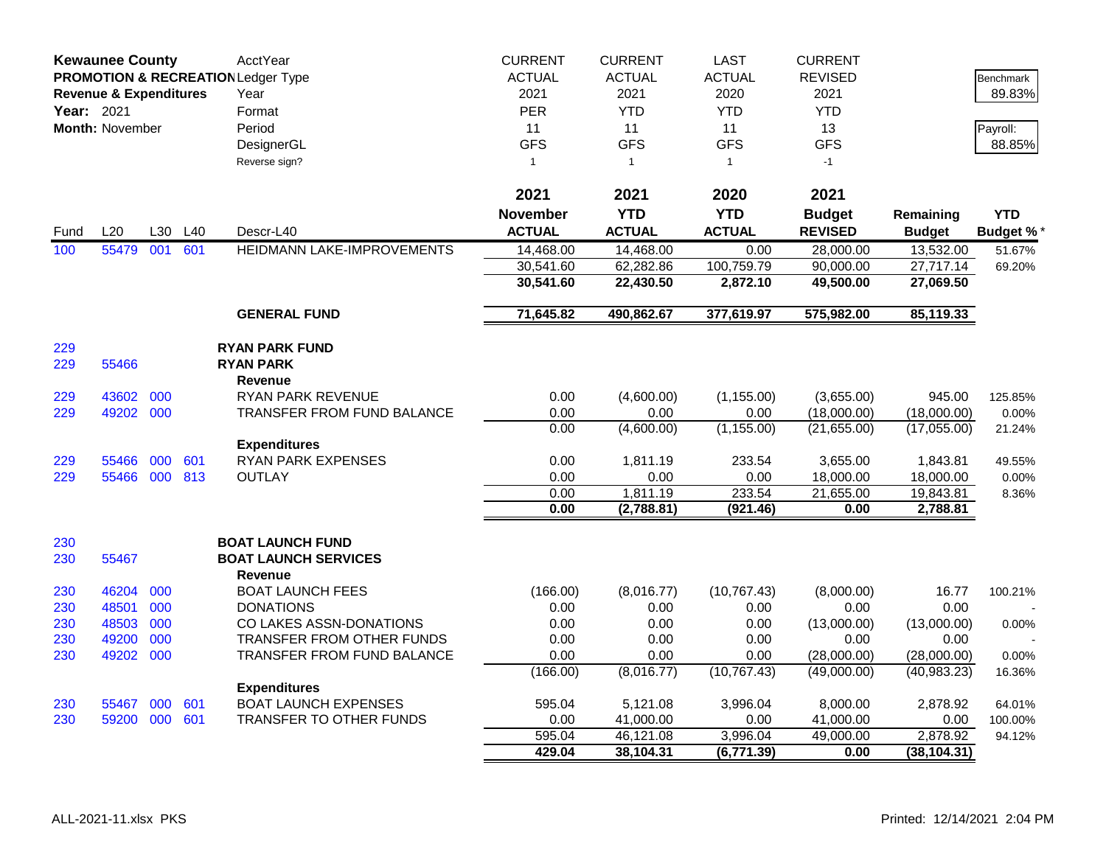|            | <b>Kewaunee County</b>            |     |     | AcctYear                                      | <b>CURRENT</b>  | <b>CURRENT</b> | <b>LAST</b>         | <b>CURRENT</b>            |               |                  |
|------------|-----------------------------------|-----|-----|-----------------------------------------------|-----------------|----------------|---------------------|---------------------------|---------------|------------------|
|            |                                   |     |     | <b>PROMOTION &amp; RECREATION Ledger Type</b> | <b>ACTUAL</b>   | <b>ACTUAL</b>  | <b>ACTUAL</b>       | <b>REVISED</b>            |               | Benchmark        |
|            | <b>Revenue &amp; Expenditures</b> |     |     | Year                                          | 2021            | 2021           | 2020                | 2021                      |               | 89.83%           |
| Year: 2021 |                                   |     |     | Format                                        | <b>PER</b>      | <b>YTD</b>     | <b>YTD</b>          | <b>YTD</b>                |               |                  |
|            | <b>Month: November</b>            |     |     | Period                                        | 11              | 11             | 11                  | 13                        |               | Payroll:         |
|            |                                   |     |     | DesignerGL                                    | <b>GFS</b>      | <b>GFS</b>     | <b>GFS</b>          | <b>GFS</b>                |               | 88.85%           |
|            |                                   |     |     | Reverse sign?                                 | $\mathbf{1}$    | $\mathbf{1}$   | $\mathbf{1}$        | $-1$                      |               |                  |
|            |                                   |     |     |                                               |                 |                |                     |                           |               |                  |
|            |                                   |     |     |                                               | 2021            | 2021           | 2020                | 2021                      |               |                  |
|            |                                   |     |     |                                               | <b>November</b> | <b>YTD</b>     | <b>YTD</b>          | <b>Budget</b>             | Remaining     | <b>YTD</b>       |
| Fund       | L20                               | L30 | L40 | Descr-L40                                     | <b>ACTUAL</b>   | <b>ACTUAL</b>  | <b>ACTUAL</b>       | <b>REVISED</b>            | <b>Budget</b> | <b>Budget %</b>  |
| 100        | 55479                             | 001 | 601 | HEIDMANN LAKE-IMPROVEMENTS                    | 14.468.00       | 14,468.00      | 0.00                | 28,000.00                 | 13,532.00     | 51.67%           |
|            |                                   |     |     |                                               | 30,541.60       | 62,282.86      | 100,759.79          | 90,000.00                 | 27,717.14     | 69.20%           |
|            |                                   |     |     |                                               | 30,541.60       | 22,430.50      | 2,872.10            | 49,500.00                 | 27,069.50     |                  |
|            |                                   |     |     | <b>GENERAL FUND</b>                           | 71,645.82       | 490,862.67     | 377,619.97          | 575,982.00                | 85,119.33     |                  |
|            |                                   |     |     |                                               |                 |                |                     |                           |               |                  |
| 229        |                                   |     |     | <b>RYAN PARK FUND</b>                         |                 |                |                     |                           |               |                  |
| 229        | 55466                             |     |     | <b>RYAN PARK</b>                              |                 |                |                     |                           |               |                  |
|            | 43602                             | 000 |     | <b>Revenue</b><br>RYAN PARK REVENUE           | 0.00            | (4,600.00)     | (1, 155.00)         |                           | 945.00        |                  |
| 229<br>229 | 49202 000                         |     |     | <b>TRANSFER FROM FUND BALANCE</b>             | 0.00            | 0.00           |                     | (3,655.00)<br>(18,000.00) | (18,000.00)   | 125.85%<br>0.00% |
|            |                                   |     |     |                                               | 0.00            | (4,600.00)     | 0.00<br>(1, 155.00) | (21,655.00)               | (17,055.00)   |                  |
|            |                                   |     |     | <b>Expenditures</b>                           |                 |                |                     |                           |               | 21.24%           |
| 229        | 55466                             | 000 | 601 | <b>RYAN PARK EXPENSES</b>                     | 0.00            | 1,811.19       | 233.54              | 3,655.00                  | 1,843.81      | 49.55%           |
| 229        | 55466 000 813                     |     |     | <b>OUTLAY</b>                                 | 0.00            | 0.00           | 0.00                | 18,000.00                 | 18,000.00     | 0.00%            |
|            |                                   |     |     |                                               | 0.00            | 1,811.19       | 233.54              | 21,655.00                 | 19,843.81     | 8.36%            |
|            |                                   |     |     |                                               | 0.00            | (2,788.81)     | (921.46)            | 0.00                      | 2,788.81      |                  |
| 230        |                                   |     |     | <b>BOAT LAUNCH FUND</b>                       |                 |                |                     |                           |               |                  |
| 230        | 55467                             |     |     | <b>BOAT LAUNCH SERVICES</b>                   |                 |                |                     |                           |               |                  |
|            |                                   |     |     | Revenue                                       |                 |                |                     |                           |               |                  |
| 230        | 46204                             | 000 |     | <b>BOAT LAUNCH FEES</b>                       | (166.00)        | (8,016.77)     | (10, 767.43)        | (8,000.00)                | 16.77         | 100.21%          |
| 230        | 48501                             | 000 |     | <b>DONATIONS</b>                              | 0.00            | 0.00           | 0.00                | 0.00                      | 0.00          |                  |
| 230        | 48503                             | 000 |     | CO LAKES ASSN-DONATIONS                       | 0.00            | 0.00           | 0.00                | (13,000.00)               | (13,000.00)   | 0.00%            |
| 230        | 49200                             | 000 |     | TRANSFER FROM OTHER FUNDS                     | 0.00            | 0.00           | 0.00                | 0.00                      | 0.00          |                  |
| 230        | 49202                             | 000 |     | TRANSFER FROM FUND BALANCE                    | 0.00            | 0.00           | 0.00                | (28,000.00)               | (28,000.00)   | 0.00%            |
|            |                                   |     |     |                                               | (166.00)        | (8,016.77)     | (10, 767.43)        | (49,000.00)               | (40, 983.23)  | 16.36%           |
|            |                                   |     |     | <b>Expenditures</b>                           |                 |                |                     |                           |               |                  |
| 230        | 55467                             | 000 | 601 | <b>BOAT LAUNCH EXPENSES</b>                   | 595.04          | 5,121.08       | 3,996.04            | 8,000.00                  | 2,878.92      | 64.01%           |
| 230        | 59200 000                         |     | 601 | TRANSFER TO OTHER FUNDS                       | 0.00            | 41,000.00      | 0.00                | 41,000.00                 | 0.00          | 100.00%          |
|            |                                   |     |     |                                               | 595.04          | 46,121.08      | 3,996.04            | 49,000.00                 | 2,878.92      | 94.12%           |
|            |                                   |     |     |                                               | 429.04          | 38,104.31      | (6, 771.39)         | 0.00                      | (38, 104.31)  |                  |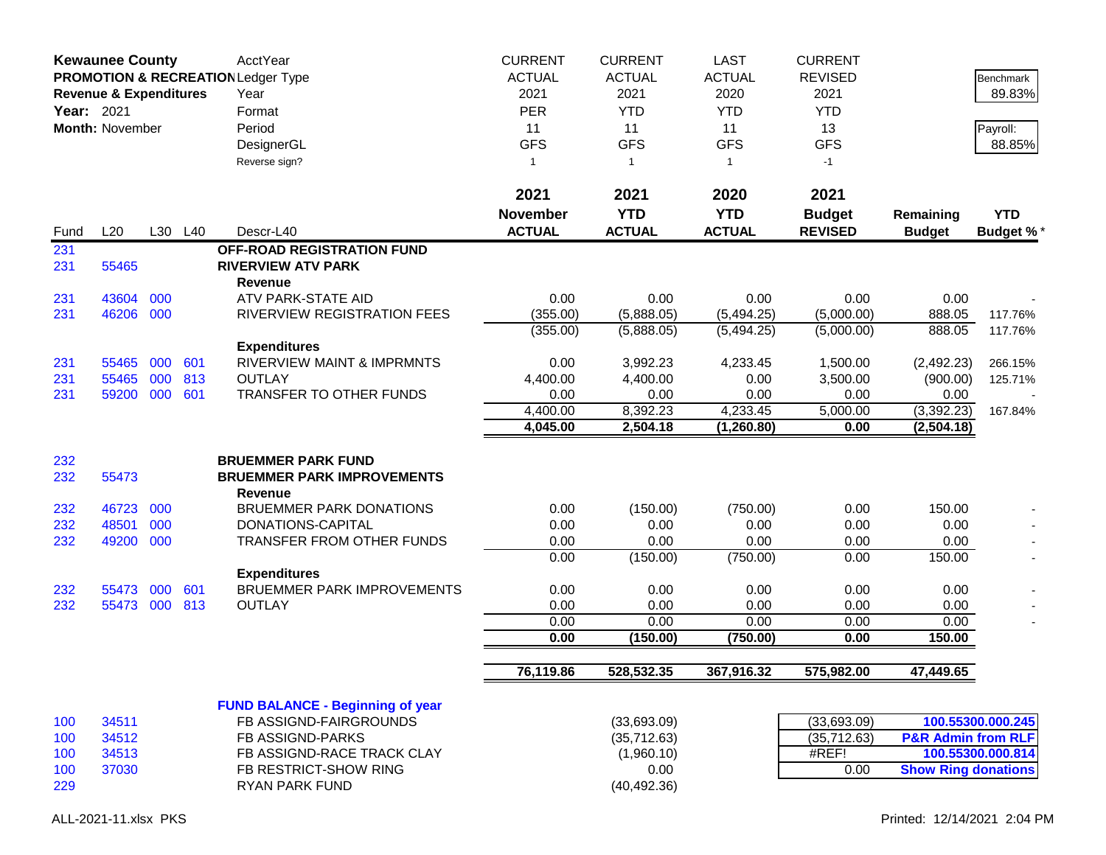|             | <b>Kewaunee County</b><br><b>PROMOTION &amp; RECREATION Ledger Type</b><br><b>Revenue &amp; Expenditures</b><br>Year: 2021<br><b>Month: November</b> |            |            | AcctYear<br>Year<br>Format                                                       | <b>CURRENT</b><br><b>ACTUAL</b><br>2021<br><b>PER</b> | <b>CURRENT</b><br><b>ACTUAL</b><br>2021<br><b>YTD</b> | <b>LAST</b><br><b>ACTUAL</b><br>2020<br><b>YTD</b> | <b>CURRENT</b><br><b>REVISED</b><br>2021<br><b>YTD</b> |                               | Benchmark<br>89.83% |
|-------------|------------------------------------------------------------------------------------------------------------------------------------------------------|------------|------------|----------------------------------------------------------------------------------|-------------------------------------------------------|-------------------------------------------------------|----------------------------------------------------|--------------------------------------------------------|-------------------------------|---------------------|
|             |                                                                                                                                                      |            |            | Period                                                                           | 11<br><b>GFS</b>                                      | 11<br><b>GFS</b>                                      | 11<br><b>GFS</b>                                   | 13                                                     |                               | Payroll:<br>88.85%  |
|             |                                                                                                                                                      |            |            | DesignerGL<br>Reverse sign?                                                      | $\mathbf{1}$                                          | $\overline{1}$                                        | $\mathbf{1}$                                       | <b>GFS</b><br>$-1$                                     |                               |                     |
|             | L20                                                                                                                                                  |            |            |                                                                                  | 2021<br><b>November</b><br><b>ACTUAL</b>              | 2021<br><b>YTD</b><br><b>ACTUAL</b>                   | 2020<br><b>YTD</b><br><b>ACTUAL</b>                | 2021<br><b>Budget</b>                                  | Remaining                     | <b>YTD</b>          |
| Fund<br>231 |                                                                                                                                                      |            | L30 L40    | Descr-L40<br><b>OFF-ROAD REGISTRATION FUND</b>                                   |                                                       |                                                       |                                                    | <b>REVISED</b>                                         | <b>Budget</b>                 | <b>Budget %*</b>    |
| 231         | 55465                                                                                                                                                |            |            | <b>RIVERVIEW ATV PARK</b><br>Revenue                                             |                                                       |                                                       |                                                    |                                                        |                               |                     |
| 231         | 43604                                                                                                                                                | 000        |            | ATV PARK-STATE AID                                                               | 0.00                                                  | 0.00                                                  | 0.00                                               | 0.00                                                   | 0.00                          |                     |
| 231         | 46206                                                                                                                                                | 000        |            | RIVERVIEW REGISTRATION FEES                                                      | (355.00)                                              | (5,888.05)                                            | (5,494.25)                                         | (5,000.00)                                             | 888.05                        | 117.76%             |
|             |                                                                                                                                                      |            |            |                                                                                  | (355.00)                                              | (5,888.05)                                            | (5,494.25)                                         | (5,000.00)                                             | 888.05                        | 117.76%             |
| 231<br>231  | 55465<br>55465                                                                                                                                       | 000<br>000 | 601<br>813 | <b>Expenditures</b><br><b>RIVERVIEW MAINT &amp; IMPRMNTS</b><br><b>OUTLAY</b>    | 0.00<br>4,400.00                                      | 3,992.23<br>4,400.00                                  | 4,233.45<br>0.00                                   | 1,500.00<br>3,500.00                                   | (2,492.23)<br>(900.00)        | 266.15%<br>125.71%  |
| 231         | 59200                                                                                                                                                | 000        | 601        | TRANSFER TO OTHER FUNDS                                                          | 0.00                                                  | 0.00                                                  | 0.00                                               | 0.00                                                   | 0.00                          |                     |
|             |                                                                                                                                                      |            |            |                                                                                  | 4,400.00<br>4,045.00                                  | 8,392.23<br>2,504.18                                  | 4,233.45<br>(1,260.80)                             | 5,000.00<br>0.00                                       | (3,392.23)<br>(2,504.18)      | 167.84%             |
| 232<br>232  | 55473                                                                                                                                                |            |            | <b>BRUEMMER PARK FUND</b><br><b>BRUEMMER PARK IMPROVEMENTS</b><br><b>Revenue</b> |                                                       |                                                       |                                                    |                                                        |                               |                     |
| 232         | 46723                                                                                                                                                | 000        |            | <b>BRUEMMER PARK DONATIONS</b>                                                   | 0.00                                                  | (150.00)                                              | (750.00)                                           | 0.00                                                   | 150.00                        |                     |
| 232         | 48501                                                                                                                                                | 000        |            | DONATIONS-CAPITAL                                                                | 0.00                                                  | 0.00                                                  | 0.00                                               | 0.00                                                   | 0.00                          |                     |
| 232         | 49200                                                                                                                                                | 000        |            | TRANSFER FROM OTHER FUNDS                                                        | 0.00                                                  | 0.00                                                  | 0.00                                               | 0.00                                                   | 0.00                          |                     |
|             |                                                                                                                                                      |            |            | <b>Expenditures</b>                                                              | 0.00                                                  | (150.00)                                              | (750.00)                                           | 0.00                                                   | 150.00                        |                     |
| 232         | 55473                                                                                                                                                | 000        | 601        | <b>BRUEMMER PARK IMPROVEMENTS</b>                                                | 0.00                                                  | 0.00                                                  | 0.00                                               | 0.00                                                   | 0.00                          |                     |
| 232         | 55473 000                                                                                                                                            |            | 813        | <b>OUTLAY</b>                                                                    | 0.00                                                  | 0.00                                                  | 0.00                                               | 0.00                                                   | 0.00                          |                     |
|             |                                                                                                                                                      |            |            |                                                                                  | 0.00                                                  | 0.00                                                  | 0.00                                               | 0.00                                                   | 0.00                          |                     |
|             |                                                                                                                                                      |            |            |                                                                                  | 0.00                                                  | (150.00)                                              | (750.00)                                           | 0.00                                                   | 150.00                        |                     |
|             |                                                                                                                                                      |            |            |                                                                                  | 76,119.86                                             | 528,532.35                                            | 367,916.32                                         | 575,982.00                                             | 47,449.65                     |                     |
|             |                                                                                                                                                      |            |            | <b>FUND BALANCE - Beginning of year</b>                                          |                                                       |                                                       |                                                    |                                                        |                               |                     |
| 100         | 34511                                                                                                                                                |            |            | FB ASSIGND-FAIRGROUNDS                                                           |                                                       | (33,693.09)                                           |                                                    | (33,693.09)                                            |                               | 100.55300.000.245   |
| 100         | 34512<br>34513                                                                                                                                       |            |            | <b>FB ASSIGND-PARKS</b><br>FB ASSIGND-RACE TRACK CLAY                            |                                                       | (35, 712.63)<br>(1,960.10)                            |                                                    | (35, 712.63)<br>#REF!                                  | <b>P&amp;R Admin from RLF</b> | 100.55300.000.814   |
| 100<br>100  | 37030                                                                                                                                                |            |            | FB RESTRICT-SHOW RING                                                            |                                                       | 0.00                                                  |                                                    | 0.00                                                   | <b>Show Ring donations</b>    |                     |
| 229         |                                                                                                                                                      |            |            | RYAN PARK FUND                                                                   |                                                       | (40, 492.36)                                          |                                                    |                                                        |                               |                     |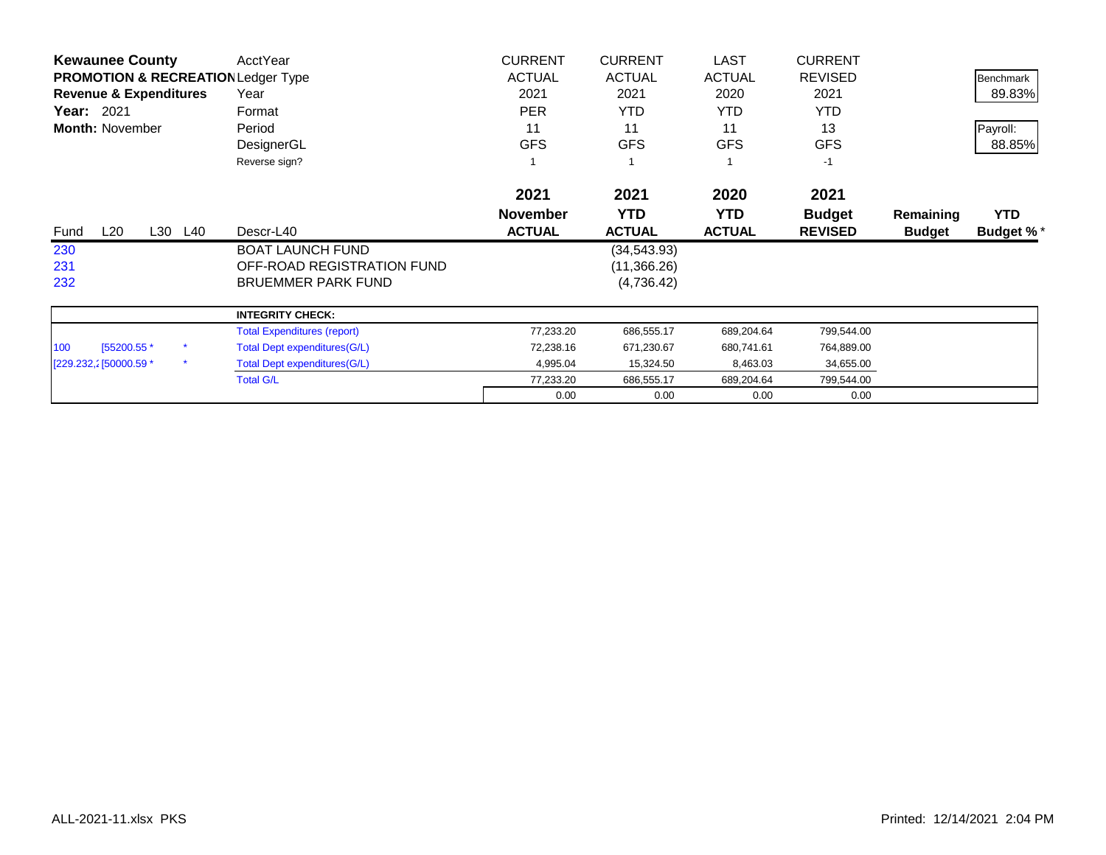| <b>Kewaunee County</b>                        | AcctYear                            | <b>CURRENT</b>  | <b>CURRENT</b> | <b>LAST</b>   | <b>CURRENT</b> |               |                  |
|-----------------------------------------------|-------------------------------------|-----------------|----------------|---------------|----------------|---------------|------------------|
| <b>PROMOTION &amp; RECREATION Ledger Type</b> |                                     | <b>ACTUAL</b>   | <b>ACTUAL</b>  | <b>ACTUAL</b> | <b>REVISED</b> |               | <b>Benchmark</b> |
| <b>Revenue &amp; Expenditures</b>             | Year                                | 2021            | 2021           | 2020          | 2021           |               | 89.83%           |
| Year: 2021                                    | Format                              | <b>PER</b>      | <b>YTD</b>     | YTD.          | <b>YTD</b>     |               |                  |
| <b>Month: November</b>                        | Period                              | 11              | 11             | 11            | 13             |               | Payroll:         |
|                                               | DesignerGL                          | <b>GFS</b>      | <b>GFS</b>     | <b>GFS</b>    | <b>GFS</b>     |               | 88.85%           |
|                                               | Reverse sign?                       |                 |                |               | $-1$           |               |                  |
|                                               |                                     | 2021            | 2021           | 2020          | 2021           |               |                  |
|                                               |                                     | <b>November</b> | <b>YTD</b>     | <b>YTD</b>    | <b>Budget</b>  | Remaining     | <b>YTD</b>       |
| L20<br>L30<br>L40<br>Fund                     | Descr-L40                           | <b>ACTUAL</b>   | <b>ACTUAL</b>  | <b>ACTUAL</b> | <b>REVISED</b> | <b>Budget</b> | Budget %*        |
| 230                                           | <b>BOAT LAUNCH FUND</b>             |                 | (34, 543.93)   |               |                |               |                  |
| 231                                           | OFF-ROAD REGISTRATION FUND          |                 | (11,366.26)    |               |                |               |                  |
| 232                                           | <b>BRUEMMER PARK FUND</b>           |                 | (4,736.42)     |               |                |               |                  |
|                                               | <b>INTEGRITY CHECK:</b>             |                 |                |               |                |               |                  |
|                                               | <b>Total Expenditures (report)</b>  | 77,233.20       | 686,555.17     | 689,204.64    | 799,544.00     |               |                  |
| 100<br>[55200.55 *                            | Total Dept expenditures (G/L)       | 72,238.16       | 671,230.67     | 680,741.61    | 764,889.00     |               |                  |
| $\star$<br>[229.232,2] 50000.59 *             | <b>Total Dept expenditures(G/L)</b> | 4,995.04        | 15,324.50      | 8,463.03      | 34,655.00      |               |                  |
|                                               | <b>Total G/L</b>                    | 77,233.20       | 686,555.17     | 689,204.64    | 799,544.00     |               |                  |
|                                               |                                     | 0.00            | 0.00           | 0.00          | 0.00           |               |                  |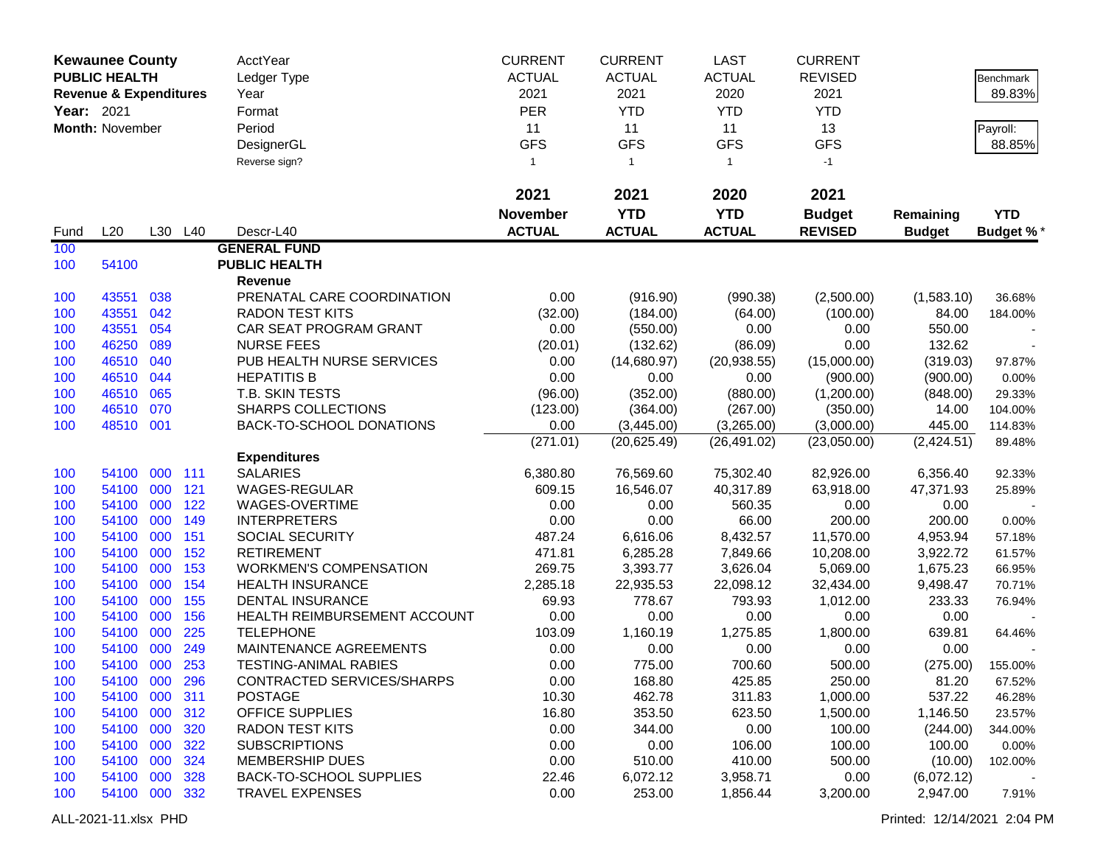|            | <b>Kewaunee County</b>            |     |         | <b>AcctYear</b>                | <b>CURRENT</b>  | <b>CURRENT</b>   | <b>LAST</b>      | <b>CURRENT</b>   |               |            |
|------------|-----------------------------------|-----|---------|--------------------------------|-----------------|------------------|------------------|------------------|---------------|------------|
|            | <b>PUBLIC HEALTH</b>              |     |         | Ledger Type                    | <b>ACTUAL</b>   | <b>ACTUAL</b>    | <b>ACTUAL</b>    | <b>REVISED</b>   |               | Benchmark  |
|            | <b>Revenue &amp; Expenditures</b> |     |         | Year                           | 2021            | 2021             | 2020             | 2021             |               | 89.83%     |
| Year: 2021 |                                   |     |         | Format                         | <b>PER</b>      | <b>YTD</b>       | <b>YTD</b>       | <b>YTD</b>       |               |            |
|            |                                   |     |         |                                |                 |                  |                  |                  |               |            |
|            | Month: November                   |     |         | Period                         | 11              | 11<br><b>GFS</b> | 11<br><b>GFS</b> | 13<br><b>GFS</b> |               | Payroll:   |
|            |                                   |     |         | DesignerGL                     | <b>GFS</b>      |                  |                  |                  |               | 88.85%     |
|            |                                   |     |         | Reverse sign?                  | $\mathbf{1}$    | $\overline{1}$   | $\mathbf{1}$     | $-1$             |               |            |
|            |                                   |     |         |                                | 2021            | 2021             | 2020             | 2021             |               |            |
|            |                                   |     |         |                                | <b>November</b> | <b>YTD</b>       | <b>YTD</b>       | <b>Budget</b>    | Remaining     | <b>YTD</b> |
| Fund       | L20                               |     | L30 L40 | Descr-L40                      | <b>ACTUAL</b>   | <b>ACTUAL</b>    | <b>ACTUAL</b>    | <b>REVISED</b>   | <b>Budget</b> | Budget %*  |
| 100        |                                   |     |         | <b>GENERAL FUND</b>            |                 |                  |                  |                  |               |            |
| 100        | 54100                             |     |         | <b>PUBLIC HEALTH</b>           |                 |                  |                  |                  |               |            |
|            |                                   |     |         | Revenue                        |                 |                  |                  |                  |               |            |
| 100        | 43551                             | 038 |         | PRENATAL CARE COORDINATION     | 0.00            | (916.90)         | (990.38)         | (2,500.00)       | (1,583.10)    | 36.68%     |
| 100        | 43551                             | 042 |         | <b>RADON TEST KITS</b>         | (32.00)         | (184.00)         | (64.00)          | (100.00)         | 84.00         | 184.00%    |
| 100        | 43551                             | 054 |         | CAR SEAT PROGRAM GRANT         | 0.00            | (550.00)         | 0.00             | 0.00             | 550.00        |            |
| 100        | 46250                             | 089 |         | <b>NURSE FEES</b>              | (20.01)         | (132.62)         | (86.09)          | 0.00             | 132.62        |            |
| 100        | 46510                             | 040 |         | PUB HEALTH NURSE SERVICES      | 0.00            | (14,680.97)      | (20, 938.55)     | (15,000.00)      | (319.03)      | 97.87%     |
| 100        | 46510                             | 044 |         | <b>HEPATITIS B</b>             | 0.00            | 0.00             | 0.00             | (900.00)         | (900.00)      | 0.00%      |
| 100        | 46510                             | 065 |         | T.B. SKIN TESTS                | (96.00)         | (352.00)         | (880.00)         | (1,200.00)       | (848.00)      | 29.33%     |
| 100        | 46510                             | 070 |         | <b>SHARPS COLLECTIONS</b>      | (123.00)        | (364.00)         | (267.00)         | (350.00)         | 14.00         | 104.00%    |
| 100        | 48510 001                         |     |         | BACK-TO-SCHOOL DONATIONS       | 0.00            | (3,445.00)       | (3,265.00)       | (3,000.00)       | 445.00        | 114.83%    |
|            |                                   |     |         |                                | (271.01)        | (20, 625.49)     | (26, 491.02)     | (23,050.00)      | (2,424.51)    | 89.48%     |
|            |                                   |     |         | <b>Expenditures</b>            |                 |                  |                  |                  |               |            |
| 100        | 54100                             | 000 | 111     | <b>SALARIES</b>                | 6,380.80        | 76,569.60        | 75,302.40        | 82,926.00        | 6,356.40      | 92.33%     |
| 100        | 54100                             | 000 | 121     | <b>WAGES-REGULAR</b>           | 609.15          | 16,546.07        | 40,317.89        | 63,918.00        | 47,371.93     | 25.89%     |
| 100        | 54100                             | 000 | 122     | WAGES-OVERTIME                 | 0.00            | 0.00             | 560.35           | 0.00             | 0.00          |            |
| 100        | 54100                             | 000 | 149     | <b>INTERPRETERS</b>            | 0.00            | 0.00             | 66.00            | 200.00           | 200.00        | 0.00%      |
| 100        | 54100                             | 000 | 151     | SOCIAL SECURITY                | 487.24          | 6,616.06         | 8,432.57         | 11,570.00        | 4,953.94      | 57.18%     |
| 100        | 54100                             | 000 | 152     | <b>RETIREMENT</b>              | 471.81          | 6,285.28         | 7,849.66         | 10,208.00        | 3,922.72      | 61.57%     |
| 100        | 54100                             | 000 | 153     | <b>WORKMEN'S COMPENSATION</b>  | 269.75          | 3,393.77         | 3,626.04         | 5,069.00         | 1,675.23      | 66.95%     |
| 100        | 54100                             | 000 | 154     | <b>HEALTH INSURANCE</b>        | 2,285.18        | 22,935.53        | 22,098.12        | 32,434.00        | 9,498.47      | 70.71%     |
| 100        | 54100                             | 000 | 155     | <b>DENTAL INSURANCE</b>        | 69.93           | 778.67           | 793.93           | 1,012.00         | 233.33        | 76.94%     |
| 100        | 54100                             | 000 | 156     | HEALTH REIMBURSEMENT ACCOUNT   | 0.00            | 0.00             | 0.00             | 0.00             | 0.00          |            |
| 100        | 54100                             | 000 | 225     | <b>TELEPHONE</b>               | 103.09          | 1,160.19         | 1,275.85         | 1,800.00         | 639.81        | 64.46%     |
| 100        | 54100                             | 000 | 249     | MAINTENANCE AGREEMENTS         | 0.00            | 0.00             | 0.00             | 0.00             | 0.00          |            |
| 100        | 54100 000                         |     | 253     | <b>TESTING-ANIMAL RABIES</b>   | 0.00            | 775.00           | 700.60           | 500.00           | (275.00)      | 155.00%    |
| 100        | 54100 000 296                     |     |         | CONTRACTED SERVICES/SHARPS     | 0.00            | 168.80           | 425.85           | 250.00           | 81.20         | 67.52%     |
| 100        | 54100 000                         |     | 311     | <b>POSTAGE</b>                 | 10.30           | 462.78           | 311.83           | 1,000.00         | 537.22        | 46.28%     |
| 100        | 54100 000                         |     | 312     | OFFICE SUPPLIES                | 16.80           | 353.50           | 623.50           | 1,500.00         | 1,146.50      | 23.57%     |
| 100        | 54100 000                         |     | 320     | <b>RADON TEST KITS</b>         | 0.00            | 344.00           | 0.00             | 100.00           | (244.00)      | 344.00%    |
| 100        | 54100 000                         |     | 322     | <b>SUBSCRIPTIONS</b>           | 0.00            | 0.00             | 106.00           | 100.00           | 100.00        | 0.00%      |
| 100        | 54100 000                         |     | 324     | <b>MEMBERSHIP DUES</b>         | 0.00            | 510.00           | 410.00           | 500.00           | (10.00)       | 102.00%    |
| 100        | 54100 000                         |     | 328     | <b>BACK-TO-SCHOOL SUPPLIES</b> | 22.46           | 6,072.12         | 3,958.71         | 0.00             | (6,072.12)    |            |
| 100        | 54100 000 332                     |     |         | <b>TRAVEL EXPENSES</b>         | 0.00            | 253.00           | 1,856.44         | 3,200.00         | 2,947.00      | 7.91%      |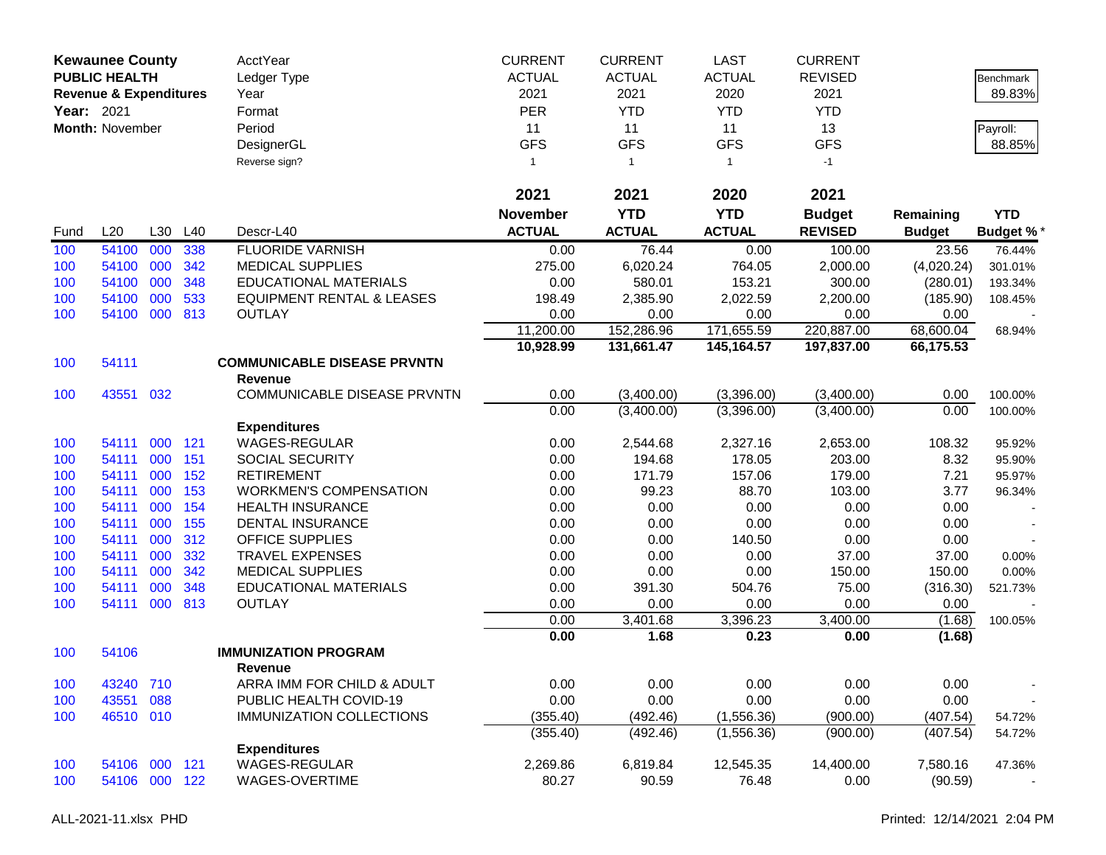|            | <b>Kewaunee County</b>            |         |     | AcctYear                             | <b>CURRENT</b>  | <b>CURRENT</b> | <b>LAST</b>   | <b>CURRENT</b> |               |                  |
|------------|-----------------------------------|---------|-----|--------------------------------------|-----------------|----------------|---------------|----------------|---------------|------------------|
|            | <b>PUBLIC HEALTH</b>              |         |     | Ledger Type                          | <b>ACTUAL</b>   | <b>ACTUAL</b>  | <b>ACTUAL</b> | <b>REVISED</b> |               | Benchmark        |
|            | <b>Revenue &amp; Expenditures</b> |         |     | Year                                 | 2021            | 2021           | 2020          | 2021           |               | 89.83%           |
| Year: 2021 |                                   |         |     | Format                               | <b>PER</b>      | <b>YTD</b>     | <b>YTD</b>    | <b>YTD</b>     |               |                  |
|            | <b>Month: November</b>            |         |     | Period                               | 11              | 11             | 11            | 13             |               | Payroll:         |
|            |                                   |         |     | DesignerGL                           | <b>GFS</b>      | <b>GFS</b>     | <b>GFS</b>    | <b>GFS</b>     |               | 88.85%           |
|            |                                   |         |     | Reverse sign?                        | 1               | $\overline{1}$ | $\mathbf{1}$  | $-1$           |               |                  |
|            |                                   |         |     |                                      | 2021            | 2021           | 2020          | 2021           |               |                  |
|            |                                   |         |     |                                      | <b>November</b> | <b>YTD</b>     | <b>YTD</b>    | <b>Budget</b>  | Remaining     | <b>YTD</b>       |
| Fund       | L20                               | L30     | L40 | Descr-L40                            | <b>ACTUAL</b>   | <b>ACTUAL</b>  | <b>ACTUAL</b> | <b>REVISED</b> | <b>Budget</b> | <b>Budget %*</b> |
| 100        | 54100                             | 000     | 338 | <b>FLUORIDE VARNISH</b>              | 0.00            | 76.44          | 0.00          | 100.00         | 23.56         | 76.44%           |
| 100        | 54100                             | 000     | 342 | <b>MEDICAL SUPPLIES</b>              | 275.00          | 6,020.24       | 764.05        | 2,000.00       | (4,020.24)    | 301.01%          |
| 100        | 54100                             | 000     | 348 | <b>EDUCATIONAL MATERIALS</b>         | 0.00            | 580.01         | 153.21        | 300.00         | (280.01)      | 193.34%          |
| 100        | 54100                             | 000     | 533 | <b>EQUIPMENT RENTAL &amp; LEASES</b> | 198.49          | 2,385.90       | 2,022.59      | 2,200.00       | (185.90)      | 108.45%          |
| 100        | 54100                             | 000     | 813 | <b>OUTLAY</b>                        | 0.00            | 0.00           | 0.00          | 0.00           | 0.00          |                  |
|            |                                   |         |     |                                      | 11,200.00       | 152,286.96     | 171,655.59    | 220,887.00     | 68,600.04     | 68.94%           |
|            |                                   |         |     |                                      | 10,928.99       | 131,661.47     | 145,164.57    | 197,837.00     | 66,175.53     |                  |
| 100        | 54111                             |         |     | <b>COMMUNICABLE DISEASE PRVNTN</b>   |                 |                |               |                |               |                  |
|            |                                   |         |     | <b>Revenue</b>                       |                 |                |               |                |               |                  |
| 100        | 43551                             | 032     |     | COMMUNICABLE DISEASE PRVNTN          | 0.00            | (3,400.00)     | (3,396.00)    | (3,400.00)     | 0.00          | 100.00%          |
|            |                                   |         |     |                                      | 0.00            | (3,400.00)     | (3,396.00)    | (3,400.00)     | 0.00          | 100.00%          |
|            |                                   |         |     | <b>Expenditures</b>                  |                 |                |               |                |               |                  |
| 100        | 54111                             | 000     | 121 | <b>WAGES-REGULAR</b>                 | 0.00            | 2,544.68       | 2,327.16      | 2,653.00       | 108.32        | 95.92%           |
| 100        | 54111                             | 000     | 151 | <b>SOCIAL SECURITY</b>               | 0.00            | 194.68         | 178.05        | 203.00         | 8.32          | 95.90%           |
| 100        | 54111                             | 000     | 152 | <b>RETIREMENT</b>                    | 0.00            | 171.79         | 157.06        | 179.00         | 7.21          | 95.97%           |
| 100        | 54111                             | 000     | 153 | <b>WORKMEN'S COMPENSATION</b>        | 0.00            | 99.23          | 88.70         | 103.00         | 3.77          | 96.34%           |
| 100        | 54111                             | 000     | 154 | <b>HEALTH INSURANCE</b>              | 0.00            | 0.00           | 0.00          | 0.00           | 0.00          |                  |
| 100        | 54111                             | 000     | 155 | <b>DENTAL INSURANCE</b>              | 0.00            | 0.00           | 0.00          | 0.00           | 0.00          |                  |
| 100        | 54111                             | 000     | 312 | <b>OFFICE SUPPLIES</b>               | 0.00            | 0.00           | 140.50        | 0.00           | 0.00          |                  |
| 100        | 54111                             | 000     | 332 | <b>TRAVEL EXPENSES</b>               | 0.00            | 0.00           | 0.00          | 37.00          | 37.00         | 0.00%            |
| 100        | 54111                             | 000     | 342 | <b>MEDICAL SUPPLIES</b>              | 0.00            | 0.00           | 0.00          | 150.00         | 150.00        | 0.00%            |
| 100        | 54111                             | 000     | 348 | <b>EDUCATIONAL MATERIALS</b>         | 0.00            | 391.30         | 504.76        | 75.00          | (316.30)      | 521.73%          |
| 100        | 54111                             | 000     | 813 | <b>OUTLAY</b>                        | 0.00            | 0.00           | 0.00          | 0.00           | 0.00          |                  |
|            |                                   |         |     |                                      | 0.00            | 3,401.68       | 3,396.23      | 3,400.00       | (1.68)        | 100.05%          |
| 100        | 54106                             |         |     | <b>IMMUNIZATION PROGRAM</b>          | 0.00            | 1.68           | 0.23          | 0.00           | (1.68)        |                  |
|            |                                   |         |     | <b>Revenue</b>                       |                 |                |               |                |               |                  |
| 100        | 43240                             | 710     |     | ARRA IMM FOR CHILD & ADULT           | 0.00            | 0.00           | 0.00          | 0.00           | 0.00          |                  |
| 100        | 43551                             | 088     |     | PUBLIC HEALTH COVID-19               | 0.00            | 0.00           | 0.00          | 0.00           | 0.00          |                  |
| 100        | 46510 010                         |         |     | <b>IMMUNIZATION COLLECTIONS</b>      | (355.40)        | (492.46)       | (1,556.36)    | (900.00)       | (407.54)      | 54.72%           |
|            |                                   |         |     |                                      | (355.40)        | (492.46)       | (1,556.36)    | (900.00)       | (407.54)      | 54.72%           |
|            |                                   |         |     | <b>Expenditures</b>                  |                 |                |               |                |               |                  |
| 100        | 54106                             | 000 121 |     | <b>WAGES-REGULAR</b>                 | 2,269.86        | 6,819.84       | 12,545.35     | 14,400.00      | 7,580.16      | 47.36%           |
| 100        | 54106                             | 000 122 |     | WAGES-OVERTIME                       | 80.27           | 90.59          | 76.48         | 0.00           | (90.59)       |                  |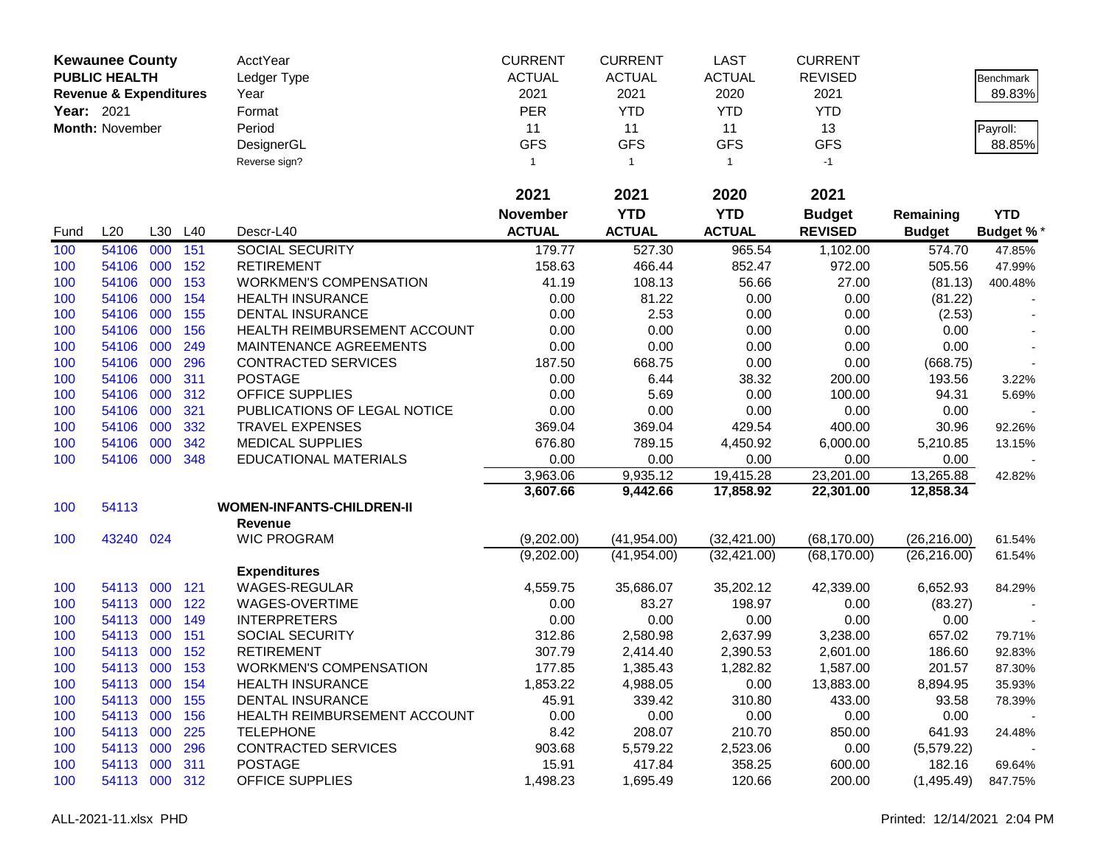|            | <b>Kewaunee County</b>            |     |     | AcctYear                         | <b>CURRENT</b>  | <b>CURRENT</b> | <b>LAST</b>   | <b>CURRENT</b> |               |            |
|------------|-----------------------------------|-----|-----|----------------------------------|-----------------|----------------|---------------|----------------|---------------|------------|
|            | <b>PUBLIC HEALTH</b>              |     |     | Ledger Type                      | <b>ACTUAL</b>   | <b>ACTUAL</b>  | <b>ACTUAL</b> | <b>REVISED</b> |               | Benchmark  |
|            | <b>Revenue &amp; Expenditures</b> |     |     | Year                             | 2021            | 2021           | 2020          | 2021           |               | 89.83%     |
| Year: 2021 |                                   |     |     | Format                           | <b>PER</b>      | <b>YTD</b>     | <b>YTD</b>    | <b>YTD</b>     |               |            |
|            | Month: November                   |     |     | Period                           | 11              | 11             | 11            | 13             |               | Payroll:   |
|            |                                   |     |     | DesignerGL                       | <b>GFS</b>      | <b>GFS</b>     | <b>GFS</b>    | <b>GFS</b>     |               | 88.85%     |
|            |                                   |     |     | Reverse sign?                    | 1               | $\overline{1}$ | $\mathbf{1}$  | $-1$           |               |            |
|            |                                   |     |     |                                  |                 |                |               |                |               |            |
|            |                                   |     |     |                                  | 2021            | 2021           | 2020          | 2021           |               |            |
|            |                                   |     |     |                                  | <b>November</b> | <b>YTD</b>     | <b>YTD</b>    | <b>Budget</b>  | Remaining     | <b>YTD</b> |
| Fund       | L20                               | L30 | L40 | Descr-L40                        | <b>ACTUAL</b>   | <b>ACTUAL</b>  | <b>ACTUAL</b> | <b>REVISED</b> | <b>Budget</b> | Budget %*  |
| 100        | 54106                             | 000 | 151 | <b>SOCIAL SECURITY</b>           | 179.77          | 527.30         | 965.54        | 1,102.00       | 574.70        | 47.85%     |
| 100        | 54106                             | 000 | 152 | <b>RETIREMENT</b>                | 158.63          | 466.44         | 852.47        | 972.00         | 505.56        | 47.99%     |
| 100        | 54106                             | 000 | 153 | <b>WORKMEN'S COMPENSATION</b>    | 41.19           | 108.13         | 56.66         | 27.00          | (81.13)       | 400.48%    |
| 100        | 54106                             | 000 | 154 | <b>HEALTH INSURANCE</b>          | 0.00            | 81.22          | 0.00          | 0.00           | (81.22)       |            |
| 100        | 54106                             | 000 | 155 | DENTAL INSURANCE                 | 0.00            | 2.53           | 0.00          | 0.00           | (2.53)        |            |
| 100        | 54106                             | 000 | 156 | HEALTH REIMBURSEMENT ACCOUNT     | 0.00            | 0.00           | 0.00          | 0.00           | 0.00          |            |
| 100        | 54106                             | 000 | 249 | MAINTENANCE AGREEMENTS           | 0.00            | 0.00           | 0.00          | 0.00           | 0.00          |            |
| 100        | 54106                             | 000 | 296 | <b>CONTRACTED SERVICES</b>       | 187.50          | 668.75         | 0.00          | 0.00           | (668.75)      |            |
| 100        | 54106                             | 000 | 311 | <b>POSTAGE</b>                   | 0.00            | 6.44           | 38.32         | 200.00         | 193.56        | 3.22%      |
| 100        | 54106                             | 000 | 312 | <b>OFFICE SUPPLIES</b>           | 0.00            | 5.69           | 0.00          | 100.00         | 94.31         | 5.69%      |
| 100        | 54106                             | 000 | 321 | PUBLICATIONS OF LEGAL NOTICE     | 0.00            | 0.00           | 0.00          | 0.00           | 0.00          |            |
| 100        | 54106                             | 000 | 332 | <b>TRAVEL EXPENSES</b>           | 369.04          | 369.04         | 429.54        | 400.00         | 30.96         | 92.26%     |
| 100        | 54106                             | 000 | 342 | <b>MEDICAL SUPPLIES</b>          | 676.80          | 789.15         | 4,450.92      | 6,000.00       | 5,210.85      | 13.15%     |
| 100        | 54106                             | 000 | 348 | <b>EDUCATIONAL MATERIALS</b>     | 0.00            | 0.00           | 0.00          | 0.00           | 0.00          |            |
|            |                                   |     |     |                                  | 3,963.06        | 9,935.12       | 19,415.28     | 23,201.00      | 13,265.88     | 42.82%     |
|            |                                   |     |     |                                  | 3,607.66        | 9,442.66       | 17,858.92     | 22,301.00      | 12,858.34     |            |
| 100        | 54113                             |     |     | <b>WOMEN-INFANTS-CHILDREN-II</b> |                 |                |               |                |               |            |
|            |                                   |     |     | Revenue                          |                 |                |               |                |               |            |
| 100        | 43240 024                         |     |     | <b>WIC PROGRAM</b>               | (9,202.00)      | (41, 954.00)   | (32, 421.00)  | (68, 170.00)   | (26, 216.00)  | 61.54%     |
|            |                                   |     |     |                                  | (9,202.00)      | (41, 954.00)   | (32, 421.00)  | (68, 170.00)   | (26, 216.00)  | 61.54%     |
|            |                                   |     |     | <b>Expenditures</b>              |                 |                |               |                |               |            |
| 100        | 54113                             | 000 | 121 | WAGES-REGULAR                    | 4,559.75        | 35,686.07      | 35,202.12     | 42,339.00      | 6,652.93      | 84.29%     |
| 100        | 54113 000                         |     | 122 | WAGES-OVERTIME                   | 0.00            | 83.27          | 198.97        | 0.00           | (83.27)       |            |
| 100        | 54113                             | 000 | 149 | <b>INTERPRETERS</b>              | 0.00            | 0.00           | 0.00          | 0.00           | 0.00          |            |
| 100        | 54113                             | 000 | 151 | <b>SOCIAL SECURITY</b>           | 312.86          | 2,580.98       | 2,637.99      | 3,238.00       | 657.02        | 79.71%     |
| 100        | 54113                             | 000 | 152 | <b>RETIREMENT</b>                | 307.79          | 2,414.40       | 2,390.53      | 2,601.00       | 186.60        | 92.83%     |
| 100        | 54113 000                         |     | 153 | <b>WORKMEN'S COMPENSATION</b>    | 177.85          | 1,385.43       | 1,282.82      | 1,587.00       | 201.57        | 87.30%     |
| 100        | 54113 000                         |     | 154 | <b>HEALTH INSURANCE</b>          | 1,853.22        | 4,988.05       | 0.00          | 13,883.00      | 8,894.95      | 35.93%     |
| 100        | 54113 000                         |     | 155 | <b>DENTAL INSURANCE</b>          | 45.91           | 339.42         | 310.80        | 433.00         | 93.58         | 78.39%     |
| 100        | 54113 000                         |     | 156 | HEALTH REIMBURSEMENT ACCOUNT     | 0.00            | 0.00           | 0.00          | 0.00           | 0.00          |            |
| 100        | 54113 000                         |     | 225 | <b>TELEPHONE</b>                 | 8.42            | 208.07         | 210.70        | 850.00         | 641.93        | 24.48%     |
| 100        | 54113 000                         |     | 296 | <b>CONTRACTED SERVICES</b>       | 903.68          | 5,579.22       | 2,523.06      | 0.00           | (5,579.22)    |            |
| 100        | 54113 000                         |     | 311 | <b>POSTAGE</b>                   | 15.91           | 417.84         | 358.25        | 600.00         | 182.16        | 69.64%     |
| 100        | 54113 000 312                     |     |     | <b>OFFICE SUPPLIES</b>           | 1,498.23        | 1,695.49       | 120.66        | 200.00         | (1,495.49)    | 847.75%    |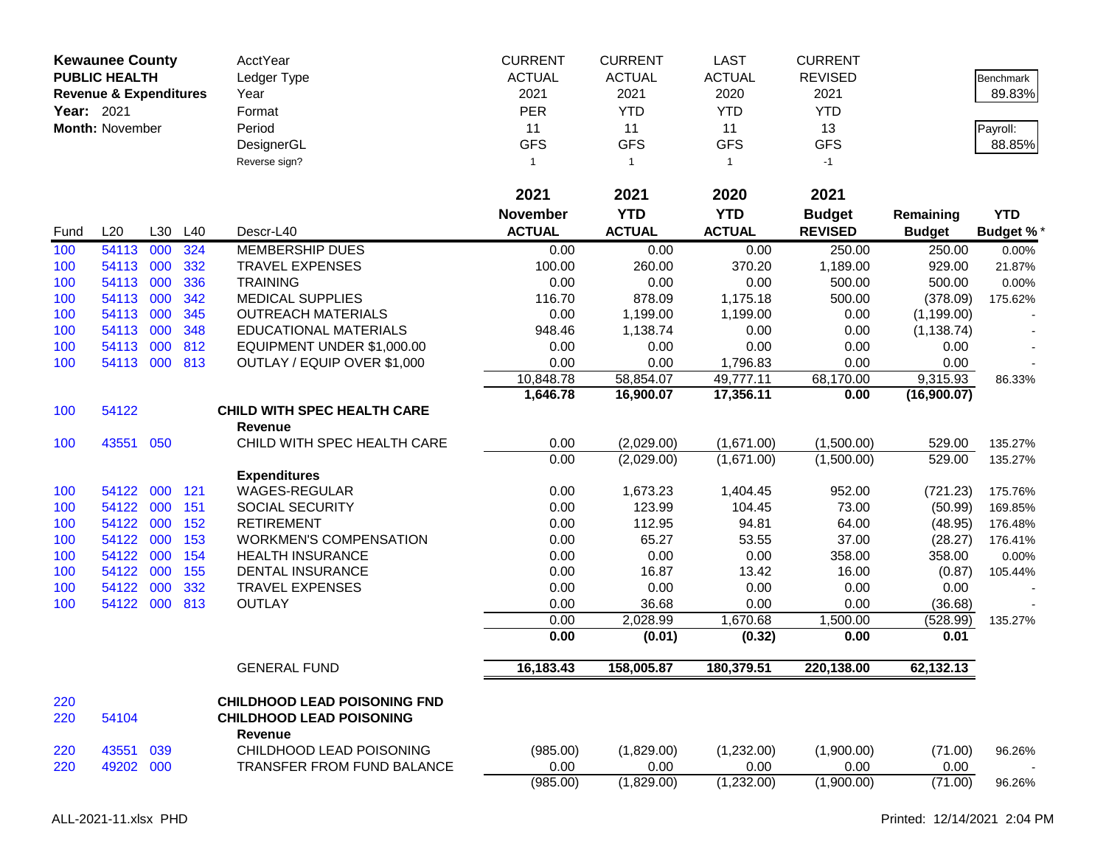|            | <b>Kewaunee County</b>            |         |     | <b>AcctYear</b>                                                        | <b>CURRENT</b>  | <b>CURRENT</b> | <b>LAST</b>   | <b>CURRENT</b> |               |                  |
|------------|-----------------------------------|---------|-----|------------------------------------------------------------------------|-----------------|----------------|---------------|----------------|---------------|------------------|
|            | <b>PUBLIC HEALTH</b>              |         |     | Ledger Type                                                            | <b>ACTUAL</b>   | <b>ACTUAL</b>  | <b>ACTUAL</b> | <b>REVISED</b> |               | Benchmark        |
|            | <b>Revenue &amp; Expenditures</b> |         |     | Year                                                                   | 2021            | 2021           | 2020          | 2021           |               | 89.83%           |
| Year: 2021 |                                   |         |     | Format                                                                 | <b>PER</b>      | <b>YTD</b>     | <b>YTD</b>    | <b>YTD</b>     |               |                  |
|            | Month: November                   |         |     | Period                                                                 | 11              | 11             | 11            | 13             |               | Payroll:         |
|            |                                   |         |     | DesignerGL                                                             | <b>GFS</b>      | <b>GFS</b>     | <b>GFS</b>    | <b>GFS</b>     |               | 88.85%           |
|            |                                   |         |     | Reverse sign?                                                          | $\mathbf{1}$    | $\mathbf{1}$   | $\mathbf{1}$  | $-1$           |               |                  |
|            |                                   |         |     |                                                                        |                 |                |               |                |               |                  |
|            |                                   |         |     |                                                                        | 2021            | 2021           | 2020          | 2021           |               |                  |
|            |                                   |         |     |                                                                        | <b>November</b> | <b>YTD</b>     | <b>YTD</b>    | <b>Budget</b>  | Remaining     | <b>YTD</b>       |
| Fund       | L20                               | L30     | L40 | Descr-L40                                                              | <b>ACTUAL</b>   | <b>ACTUAL</b>  | <b>ACTUAL</b> | <b>REVISED</b> | <b>Budget</b> | <b>Budget %*</b> |
| 100        | 54113                             | 000     | 324 | <b>MEMBERSHIP DUES</b>                                                 | 0.00            | 0.00           | 0.00          | 250.00         | 250.00        | 0.00%            |
| 100        | 54113                             | 000     | 332 | <b>TRAVEL EXPENSES</b>                                                 | 100.00          | 260.00         | 370.20        | 1,189.00       | 929.00        | 21.87%           |
| 100        | 54113                             | 000     | 336 | <b>TRAINING</b>                                                        | 0.00            | 0.00           | 0.00          | 500.00         | 500.00        | 0.00%            |
| 100        | 54113                             | 000     | 342 | <b>MEDICAL SUPPLIES</b>                                                | 116.70          | 878.09         | 1,175.18      | 500.00         | (378.09)      | 175.62%          |
| 100        | 54113                             | 000     | 345 | <b>OUTREACH MATERIALS</b>                                              | 0.00            | 1,199.00       | 1,199.00      | 0.00           | (1, 199.00)   |                  |
| 100        | 54113                             | 000     | 348 | <b>EDUCATIONAL MATERIALS</b>                                           | 948.46          | 1,138.74       | 0.00          | 0.00           | (1, 138.74)   |                  |
| 100        | 54113                             | 000     | 812 | EQUIPMENT UNDER \$1,000.00                                             | 0.00            | 0.00           | 0.00          | 0.00           | 0.00          |                  |
| 100        | 54113                             | 000 813 |     | OUTLAY / EQUIP OVER \$1,000                                            | 0.00            | 0.00           | 1,796.83      | 0.00           | 0.00          |                  |
|            |                                   |         |     |                                                                        | 10,848.78       | 58,854.07      | 49,777.11     | 68,170.00      | 9,315.93      | 86.33%           |
|            |                                   |         |     |                                                                        | 1,646.78        | 16,900.07      | 17,356.11     | 0.00           | (16,900.07)   |                  |
| 100        | 54122                             |         |     | <b>CHILD WITH SPEC HEALTH CARE</b>                                     |                 |                |               |                |               |                  |
|            |                                   |         |     | <b>Revenue</b>                                                         |                 |                |               |                |               |                  |
| 100        | 43551                             | 050     |     | CHILD WITH SPEC HEALTH CARE                                            | 0.00            | (2,029.00)     | (1,671.00)    | (1,500.00)     | 529.00        | 135.27%          |
|            |                                   |         |     |                                                                        | 0.00            | (2,029.00)     | (1,671.00)    | (1,500.00)     | 529.00        | 135.27%          |
|            |                                   |         |     | <b>Expenditures</b>                                                    |                 |                |               |                |               |                  |
| 100        | 54122                             | 000     | 121 | <b>WAGES-REGULAR</b>                                                   | 0.00            | 1,673.23       | 1,404.45      | 952.00         | (721.23)      | 175.76%          |
| 100        | 54122                             | 000     | 151 | SOCIAL SECURITY                                                        | 0.00            | 123.99         | 104.45        | 73.00          | (50.99)       | 169.85%          |
| 100        | 54122                             | 000     | 152 | <b>RETIREMENT</b>                                                      | 0.00            | 112.95         | 94.81         | 64.00          | (48.95)       | 176.48%          |
| 100        | 54122                             | 000     | 153 | <b>WORKMEN'S COMPENSATION</b>                                          | 0.00            | 65.27          | 53.55         | 37.00          | (28.27)       | 176.41%          |
| 100        | 54122                             | 000     | 154 | <b>HEALTH INSURANCE</b>                                                | 0.00            | 0.00           | 0.00          | 358.00         | 358.00        | 0.00%            |
| 100        | 54122                             | 000     | 155 | <b>DENTAL INSURANCE</b>                                                | 0.00            | 16.87          | 13.42         | 16.00          | (0.87)        | 105.44%          |
| 100        | 54122                             | 000     | 332 | <b>TRAVEL EXPENSES</b>                                                 | 0.00            | 0.00           | 0.00          | 0.00           | 0.00          |                  |
| 100        | 54122                             | 000     | 813 | <b>OUTLAY</b>                                                          | 0.00            | 36.68          | 0.00          | 0.00           | (36.68)       |                  |
|            |                                   |         |     |                                                                        | 0.00            | 2,028.99       | 1,670.68      | 1,500.00       | (528.99)      | 135.27%          |
|            |                                   |         |     |                                                                        | 0.00            | (0.01)         | (0.32)        | 0.00           | 0.01          |                  |
|            |                                   |         |     | <b>GENERAL FUND</b>                                                    | 16,183.43       | 158,005.87     | 180,379.51    | 220,138.00     | 62,132.13     |                  |
| 220<br>220 | 54104                             |         |     | <b>CHILDHOOD LEAD POISONING FND</b><br><b>CHILDHOOD LEAD POISONING</b> |                 |                |               |                |               |                  |
|            |                                   |         |     | <b>Revenue</b>                                                         |                 |                |               |                |               |                  |
| 220        | 43551                             | 039     |     | CHILDHOOD LEAD POISONING                                               | (985.00)        | (1,829.00)     | (1,232.00)    | (1,900.00)     | (71.00)       | 96.26%           |
| 220        | 49202 000                         |         |     | <b>TRANSFER FROM FUND BALANCE</b>                                      | 0.00            | 0.00           | 0.00          | 0.00           | 0.00          |                  |
|            |                                   |         |     |                                                                        | (985.00)        | (1,829.00)     | (1,232.00)    | (1,900.00)     | (71.00)       | 96.26%           |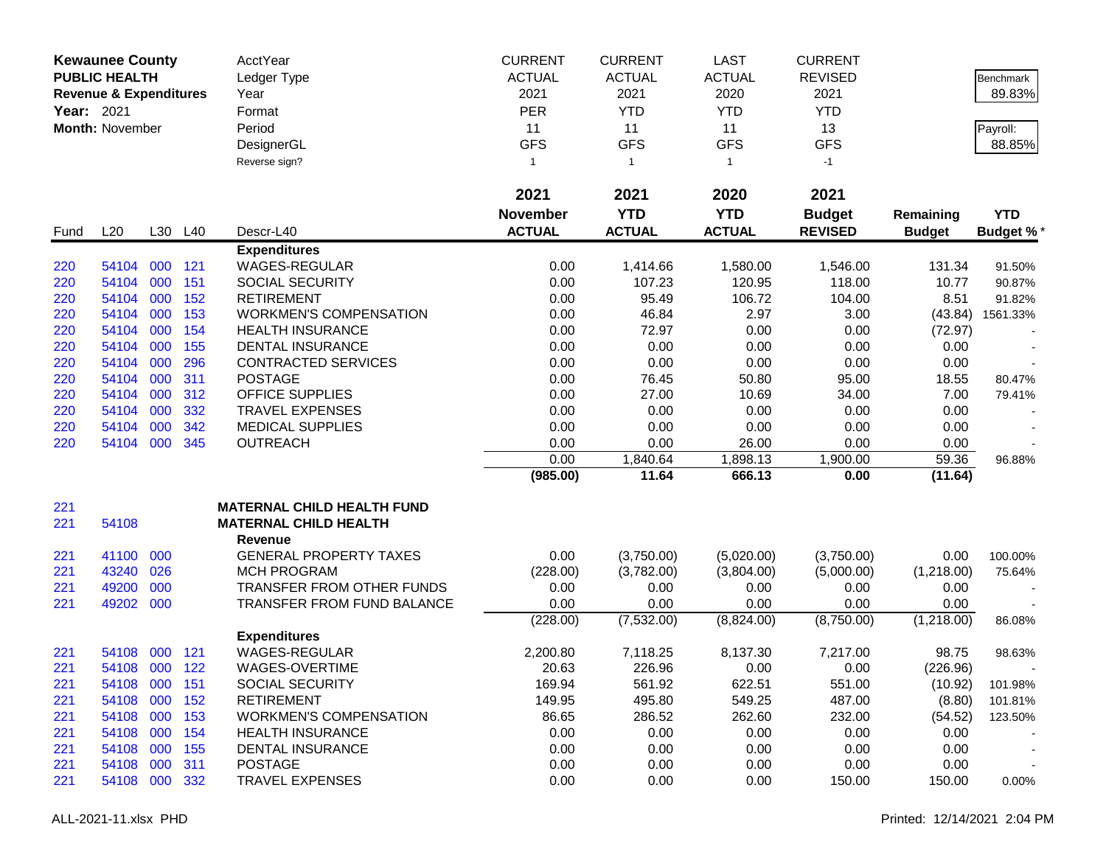|            | <b>Kewaunee County</b>            |         |                | AcctYear                                           | <b>CURRENT</b>  | <b>CURRENT</b> | <b>LAST</b>    | <b>CURRENT</b>   |                 |                  |
|------------|-----------------------------------|---------|----------------|----------------------------------------------------|-----------------|----------------|----------------|------------------|-----------------|------------------|
|            | <b>PUBLIC HEALTH</b>              |         |                | Ledger Type                                        | <b>ACTUAL</b>   | <b>ACTUAL</b>  | <b>ACTUAL</b>  | <b>REVISED</b>   |                 | Benchmark        |
|            | <b>Revenue &amp; Expenditures</b> |         |                | Year                                               | 2021            | 2021           | 2020           | 2021             |                 | 89.83%           |
| Year: 2021 |                                   |         |                | Format                                             | <b>PER</b>      | <b>YTD</b>     | <b>YTD</b>     | <b>YTD</b>       |                 |                  |
|            | <b>Month: November</b>            |         |                | Period                                             | 11              | 11             | 11             | 13               |                 | Payroll:         |
|            |                                   |         |                | DesignerGL                                         | <b>GFS</b>      | <b>GFS</b>     | <b>GFS</b>     | <b>GFS</b>       |                 | 88.85%           |
|            |                                   |         |                | Reverse sign?                                      | 1               | $\overline{1}$ | $\mathbf{1}$   | $-1$             |                 |                  |
|            |                                   |         |                |                                                    | 2021            | 2021           | 2020           | 2021             |                 |                  |
|            |                                   |         |                |                                                    | <b>November</b> | <b>YTD</b>     | <b>YTD</b>     | <b>Budget</b>    | Remaining       | <b>YTD</b>       |
| Fund       | L20                               |         | L30 L40        | Descr-L40                                          | <b>ACTUAL</b>   | <b>ACTUAL</b>  | <b>ACTUAL</b>  | <b>REVISED</b>   | <b>Budget</b>   | <b>Budget %*</b> |
|            |                                   |         |                | <b>Expenditures</b>                                |                 |                |                |                  |                 |                  |
| 220        | 54104                             | 000     | 121            | <b>WAGES-REGULAR</b>                               | 0.00            | 1,414.66       | 1,580.00       | 1,546.00         | 131.34          | 91.50%           |
| 220        | 54104                             | 000     | 151            | <b>SOCIAL SECURITY</b>                             | 0.00            | 107.23         | 120.95         | 118.00           | 10.77           | 90.87%           |
| 220        | 54104                             | 000     | 152            | <b>RETIREMENT</b>                                  | 0.00            | 95.49          | 106.72         | 104.00           | 8.51            | 91.82%           |
| 220        | 54104                             | 000     | 153            | <b>WORKMEN'S COMPENSATION</b>                      | 0.00            | 46.84          | 2.97           | 3.00             | (43.84)         | 1561.33%         |
| 220        | 54104                             | 000     | 154            | <b>HEALTH INSURANCE</b>                            | 0.00            | 72.97          | 0.00           | 0.00             | (72.97)         |                  |
| 220        | 54104                             | 000     | 155            | <b>DENTAL INSURANCE</b>                            | 0.00            | 0.00           | 0.00           | 0.00             | 0.00            |                  |
| 220        | 54104                             | 000     | 296            | <b>CONTRACTED SERVICES</b>                         | 0.00            | 0.00           | 0.00           | 0.00             | 0.00            |                  |
| 220        | 54104                             | 000     | 311            | <b>POSTAGE</b>                                     | 0.00            | 76.45          | 50.80          | 95.00            | 18.55           | 80.47%           |
| 220        | 54104                             | 000     | 312            | <b>OFFICE SUPPLIES</b>                             | 0.00            | 27.00          | 10.69          | 34.00            | 7.00            | 79.41%           |
| 220        | 54104                             | 000     | 332            | <b>TRAVEL EXPENSES</b>                             | 0.00            | 0.00           | 0.00           | 0.00             | 0.00            |                  |
| 220        | 54104                             | 000     | 342            | <b>MEDICAL SUPPLIES</b>                            | 0.00            | 0.00           | 0.00           | 0.00             | 0.00            |                  |
| 220        | 54104                             | 000     | 345            | <b>OUTREACH</b>                                    | 0.00            | 0.00           | 26.00          | 0.00             | 0.00            |                  |
|            |                                   |         |                |                                                    | 0.00            | 1,840.64       | 1,898.13       | 1,900.00         | 59.36           | 96.88%           |
|            |                                   |         |                |                                                    | (985.00)        | 11.64          | 666.13         | 0.00             | (11.64)         |                  |
| 221        |                                   |         |                | <b>MATERNAL CHILD HEALTH FUND</b>                  |                 |                |                |                  |                 |                  |
| 221        | 54108                             |         |                | <b>MATERNAL CHILD HEALTH</b>                       |                 |                |                |                  |                 |                  |
|            |                                   |         |                | <b>Revenue</b>                                     |                 |                |                |                  |                 |                  |
| 221        | 41100                             | 000     |                | <b>GENERAL PROPERTY TAXES</b>                      | 0.00            | (3,750.00)     | (5,020.00)     | (3,750.00)       | 0.00            | 100.00%          |
| 221        | 43240                             | 026     |                | <b>MCH PROGRAM</b>                                 | (228.00)        | (3,782.00)     | (3,804.00)     | (5,000.00)       | (1,218.00)      | 75.64%           |
| 221        | 49200                             | 000     |                | TRANSFER FROM OTHER FUNDS                          | 0.00            | 0.00           | 0.00           | 0.00             | 0.00            |                  |
| 221        | 49202                             | 000     |                | TRANSFER FROM FUND BALANCE                         | 0.00            | 0.00           | 0.00           | 0.00             | 0.00            |                  |
|            |                                   |         |                |                                                    | (228.00)        | (7,532.00)     | (8,824.00)     | (8,750.00)       | (1,218.00)      | 86.08%           |
|            |                                   |         |                | <b>Expenditures</b>                                |                 |                |                |                  |                 |                  |
| 221        | 54108                             | 000     | 121            | <b>WAGES-REGULAR</b>                               | 2,200.80        | 7,118.25       | 8,137.30       | 7,217.00         | 98.75           | 98.63%           |
| 221        | 54108                             | 000     | 122            | WAGES-OVERTIME                                     | 20.63           | 226.96         | 0.00           | 0.00             | (226.96)        |                  |
| 221        | 54108                             | 000 151 |                | SOCIAL SECURITY                                    | 169.94          | 561.92         | 622.51         | 551.00           | (10.92)         | 101.98%          |
| 221        | 54108                             | 000     | 152<br>000 153 | <b>RETIREMENT</b><br><b>WORKMEN'S COMPENSATION</b> | 149.95<br>86.65 | 495.80         | 549.25         | 487.00<br>232.00 | (8.80)          | 101.81%          |
| 221<br>221 | 54108<br>54108                    | 000     | 154            | <b>HEALTH INSURANCE</b>                            | 0.00            | 286.52<br>0.00 | 262.60<br>0.00 | 0.00             | (54.52)<br>0.00 | 123.50%          |
| 221        | 54108                             | 000     | 155            | <b>DENTAL INSURANCE</b>                            | 0.00            | 0.00           | 0.00           | 0.00             | 0.00            |                  |
| 221        | 54108                             | 000     | 311            | <b>POSTAGE</b>                                     | 0.00            | 0.00           | 0.00           | 0.00             | 0.00            |                  |
| 221        | 54108                             | 000 332 |                | <b>TRAVEL EXPENSES</b>                             | 0.00            | 0.00           | 0.00           | 150.00           | 150.00          | 0.00%            |
|            |                                   |         |                |                                                    |                 |                |                |                  |                 |                  |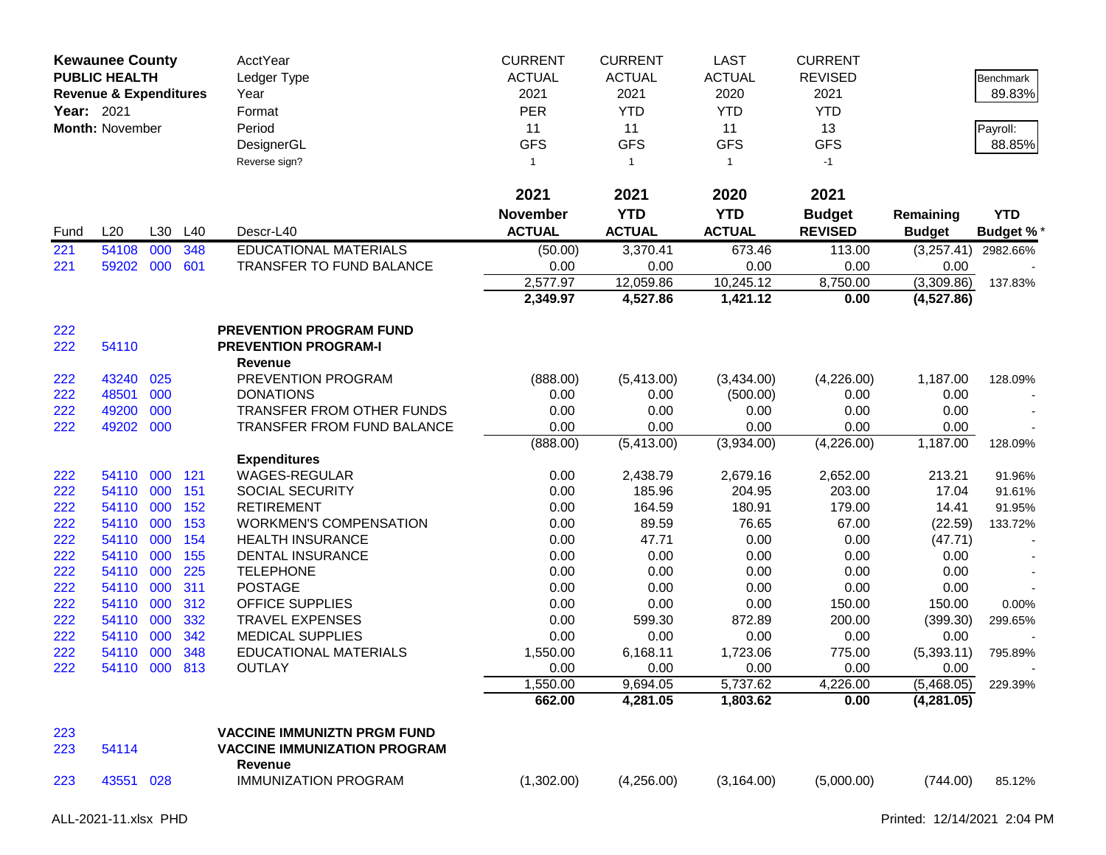| <b>Year: 2021</b> | <b>Kewaunee County</b><br><b>PUBLIC HEALTH</b><br><b>Revenue &amp; Expenditures</b><br>Month: November |     |            | <b>AcctYear</b><br>Ledger Type<br>Year<br>Format<br>Period<br>DesignerGL<br>Reverse sign? | <b>CURRENT</b><br><b>ACTUAL</b><br>2021<br><b>PER</b><br>11<br><b>GFS</b><br>$\mathbf{1}$ | <b>CURRENT</b><br><b>ACTUAL</b><br>2021<br><b>YTD</b><br>11<br><b>GFS</b><br>$\overline{1}$ | <b>LAST</b><br><b>ACTUAL</b><br>2020<br><b>YTD</b><br>11<br><b>GFS</b><br>$\mathbf{1}$ | <b>CURRENT</b><br><b>REVISED</b><br>2021<br><b>YTD</b><br>13<br><b>GFS</b><br>$-1$ |                    | Benchmark<br>89.83%<br>Payroll:<br>88.85% |
|-------------------|--------------------------------------------------------------------------------------------------------|-----|------------|-------------------------------------------------------------------------------------------|-------------------------------------------------------------------------------------------|---------------------------------------------------------------------------------------------|----------------------------------------------------------------------------------------|------------------------------------------------------------------------------------|--------------------|-------------------------------------------|
|                   |                                                                                                        |     |            |                                                                                           | 2021                                                                                      | 2021                                                                                        | 2020                                                                                   | 2021                                                                               |                    |                                           |
|                   |                                                                                                        |     |            |                                                                                           | <b>November</b>                                                                           | <b>YTD</b>                                                                                  | <b>YTD</b>                                                                             | <b>Budget</b>                                                                      | Remaining          | <b>YTD</b>                                |
| Fund              | L20                                                                                                    | L30 | L40        | Descr-L40                                                                                 | <b>ACTUAL</b>                                                                             | <b>ACTUAL</b>                                                                               | <b>ACTUAL</b>                                                                          | <b>REVISED</b>                                                                     | <b>Budget</b>      | <b>Budget %*</b>                          |
| 221               | 54108                                                                                                  | 000 | 348        | <b>EDUCATIONAL MATERIALS</b>                                                              | (50.00)                                                                                   | 3,370.41                                                                                    | 673.46                                                                                 | 113.00                                                                             | (3,257.41)         | 2982.66%                                  |
| 221               | 59202                                                                                                  | 000 | 601        | TRANSFER TO FUND BALANCE                                                                  | 0.00                                                                                      | 0.00                                                                                        | 0.00                                                                                   | 0.00                                                                               | 0.00               |                                           |
|                   |                                                                                                        |     |            |                                                                                           | 2,577.97                                                                                  | 12,059.86                                                                                   | 10,245.12                                                                              | 8,750.00                                                                           | (3,309.86)         | 137.83%                                   |
|                   |                                                                                                        |     |            |                                                                                           | 2,349.97                                                                                  | 4,527.86                                                                                    | 1,421.12                                                                               | 0.00                                                                               | (4,527.86)         |                                           |
| 222               |                                                                                                        |     |            | <b>PREVENTION PROGRAM FUND</b>                                                            |                                                                                           |                                                                                             |                                                                                        |                                                                                    |                    |                                           |
| 222               | 54110                                                                                                  |     |            | <b>PREVENTION PROGRAM-I</b>                                                               |                                                                                           |                                                                                             |                                                                                        |                                                                                    |                    |                                           |
|                   |                                                                                                        |     |            | Revenue                                                                                   |                                                                                           |                                                                                             |                                                                                        |                                                                                    |                    |                                           |
| 222               | 43240                                                                                                  | 025 |            | PREVENTION PROGRAM                                                                        | (888.00)                                                                                  | (5,413.00)                                                                                  | (3,434.00)                                                                             | (4,226.00)                                                                         | 1,187.00           | 128.09%                                   |
| 222               | 48501                                                                                                  | 000 |            | <b>DONATIONS</b>                                                                          | 0.00                                                                                      | 0.00                                                                                        | (500.00)                                                                               | 0.00                                                                               | 0.00               |                                           |
| 222               | 49200                                                                                                  | 000 |            | TRANSFER FROM OTHER FUNDS                                                                 | 0.00                                                                                      | 0.00                                                                                        | 0.00                                                                                   | 0.00                                                                               | 0.00               |                                           |
| 222               | 49202                                                                                                  | 000 |            | <b>TRANSFER FROM FUND BALANCE</b>                                                         | 0.00                                                                                      | 0.00                                                                                        | 0.00                                                                                   | 0.00                                                                               | 0.00               |                                           |
|                   |                                                                                                        |     |            |                                                                                           | (888.00)                                                                                  | (5,413.00)                                                                                  | (3,934.00)                                                                             | (4,226.00)                                                                         | 1,187.00           | 128.09%                                   |
|                   |                                                                                                        |     |            | <b>Expenditures</b>                                                                       |                                                                                           |                                                                                             |                                                                                        |                                                                                    |                    |                                           |
| 222               | 54110                                                                                                  | 000 | 121        | WAGES-REGULAR                                                                             | 0.00                                                                                      | 2,438.79                                                                                    | 2,679.16                                                                               | 2,652.00                                                                           | 213.21             | 91.96%                                    |
| 222               | 54110                                                                                                  | 000 | 151        | <b>SOCIAL SECURITY</b>                                                                    | 0.00                                                                                      | 185.96                                                                                      | 204.95                                                                                 | 203.00                                                                             | 17.04              | 91.61%                                    |
| 222               | 54110 000                                                                                              |     | 152        | <b>RETIREMENT</b>                                                                         | 0.00                                                                                      | 164.59                                                                                      | 180.91                                                                                 | 179.00                                                                             | 14.41              | 91.95%                                    |
| 222               | 54110                                                                                                  | 000 | 153        | <b>WORKMEN'S COMPENSATION</b>                                                             | 0.00                                                                                      | 89.59                                                                                       | 76.65                                                                                  | 67.00                                                                              | (22.59)            | 133.72%                                   |
| 222               | 54110                                                                                                  | 000 | 154        | <b>HEALTH INSURANCE</b>                                                                   | 0.00                                                                                      | 47.71                                                                                       | 0.00                                                                                   | 0.00                                                                               | (47.71)            |                                           |
| 222               | 54110                                                                                                  | 000 | 155        | <b>DENTAL INSURANCE</b>                                                                   | 0.00                                                                                      | 0.00                                                                                        | 0.00                                                                                   | 0.00                                                                               | 0.00               |                                           |
| 222               | 54110                                                                                                  | 000 | 225        | <b>TELEPHONE</b>                                                                          | 0.00                                                                                      | 0.00                                                                                        | 0.00                                                                                   | 0.00                                                                               | 0.00               |                                           |
| 222               | 54110                                                                                                  | 000 | 311        | <b>POSTAGE</b>                                                                            | 0.00                                                                                      | 0.00                                                                                        | 0.00                                                                                   | 0.00                                                                               | 0.00               |                                           |
| 222               | 54110                                                                                                  | 000 | 312        | <b>OFFICE SUPPLIES</b>                                                                    | 0.00                                                                                      | 0.00                                                                                        | 0.00                                                                                   | 150.00                                                                             | 150.00             | 0.00%                                     |
| 222               | 54110                                                                                                  | 000 | 332        | <b>TRAVEL EXPENSES</b>                                                                    | 0.00                                                                                      | 599.30                                                                                      | 872.89                                                                                 | 200.00                                                                             | (399.30)           | 299.65%                                   |
| 222               | 54110                                                                                                  | 000 | 342        | <b>MEDICAL SUPPLIES</b>                                                                   | 0.00                                                                                      | 0.00                                                                                        | 0.00                                                                                   | 0.00                                                                               | 0.00               |                                           |
| 222<br>222        | 54110<br>54110 000                                                                                     | 000 | 348<br>813 | <b>EDUCATIONAL MATERIALS</b><br><b>OUTLAY</b>                                             | 1,550.00<br>0.00                                                                          | 6,168.11<br>0.00                                                                            | 1,723.06<br>0.00                                                                       | 775.00<br>0.00                                                                     | (5,393.11)<br>0.00 | 795.89%                                   |
|                   |                                                                                                        |     |            |                                                                                           | 1,550.00                                                                                  | 9,694.05                                                                                    | 5,737.62                                                                               | 4,226.00                                                                           | (5,468.05)         | 229.39%                                   |
|                   |                                                                                                        |     |            |                                                                                           | 662.00                                                                                    | 4,281.05                                                                                    | 1,803.62                                                                               | 0.00                                                                               | (4,281.05)         |                                           |
|                   |                                                                                                        |     |            |                                                                                           |                                                                                           |                                                                                             |                                                                                        |                                                                                    |                    |                                           |
| 223               |                                                                                                        |     |            | <b>VACCINE IMMUNIZTN PRGM FUND</b>                                                        |                                                                                           |                                                                                             |                                                                                        |                                                                                    |                    |                                           |
| 223               | 54114                                                                                                  |     |            | <b>VACCINE IMMUNIZATION PROGRAM</b>                                                       |                                                                                           |                                                                                             |                                                                                        |                                                                                    |                    |                                           |
|                   |                                                                                                        |     |            | Revenue                                                                                   |                                                                                           |                                                                                             |                                                                                        |                                                                                    |                    |                                           |
| 223               | 43551                                                                                                  | 028 |            | <b>IMMUNIZATION PROGRAM</b>                                                               | (1,302.00)                                                                                | (4,256.00)                                                                                  | (3, 164.00)                                                                            | (5,000.00)                                                                         | (744.00)           | 85.12%                                    |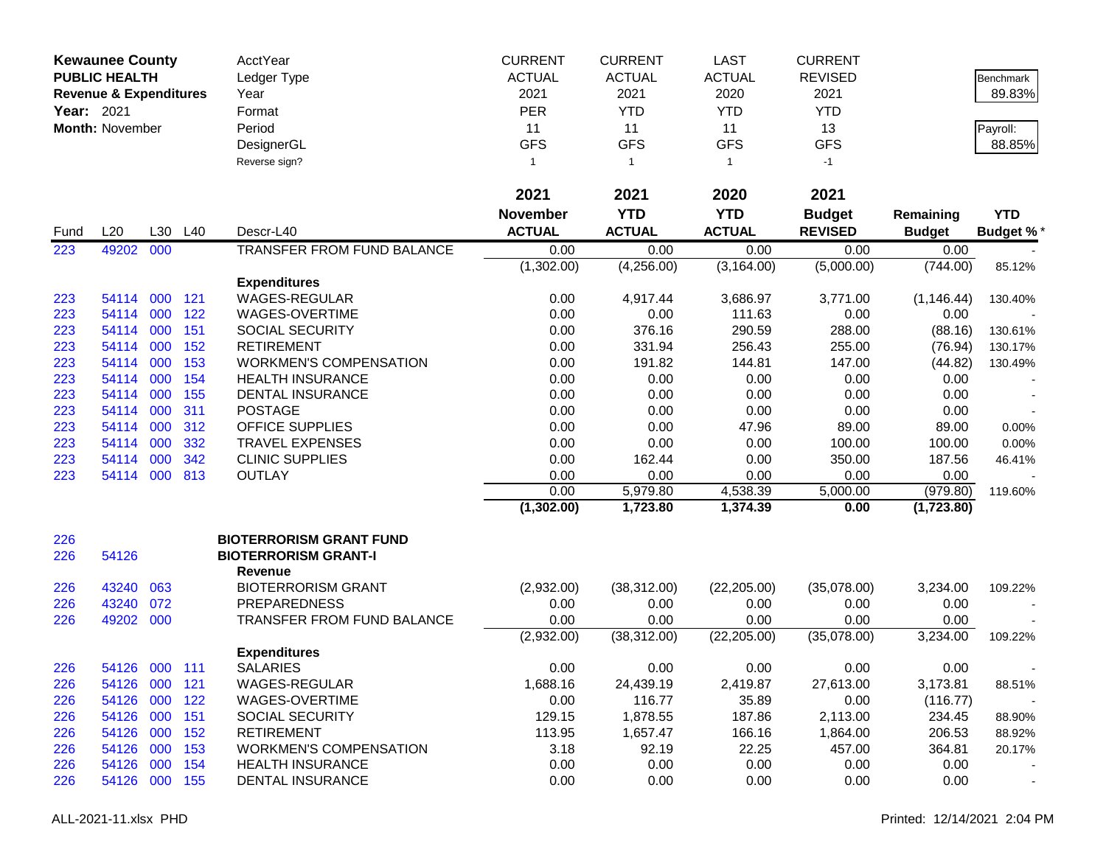|                   | <b>Kewaunee County</b>            |         |     | <b>AcctYear</b>                               | <b>CURRENT</b>  | <b>CURRENT</b> | <b>LAST</b>   | <b>CURRENT</b> |               |                          |
|-------------------|-----------------------------------|---------|-----|-----------------------------------------------|-----------------|----------------|---------------|----------------|---------------|--------------------------|
|                   | <b>PUBLIC HEALTH</b>              |         |     | Ledger Type                                   | <b>ACTUAL</b>   | <b>ACTUAL</b>  | <b>ACTUAL</b> | <b>REVISED</b> |               | <b>Benchmark</b>         |
|                   | <b>Revenue &amp; Expenditures</b> |         |     | Year                                          | 2021            | 2021           | 2020          | 2021           |               | 89.83%                   |
| <b>Year: 2021</b> |                                   |         |     | Format                                        | <b>PER</b>      | <b>YTD</b>     | <b>YTD</b>    | <b>YTD</b>     |               |                          |
|                   | <b>Month: November</b>            |         |     | Period                                        | 11              | 11             | 11            | 13             |               | Payroll:                 |
|                   |                                   |         |     | DesignerGL                                    | <b>GFS</b>      | <b>GFS</b>     | <b>GFS</b>    | <b>GFS</b>     |               | 88.85%                   |
|                   |                                   |         |     | Reverse sign?                                 | $\mathbf{1}$    | $\overline{1}$ | $\mathbf{1}$  | $-1$           |               |                          |
|                   |                                   |         |     |                                               | 2021            | 2021           | 2020          | 2021           |               |                          |
|                   |                                   |         |     |                                               | <b>November</b> | <b>YTD</b>     | <b>YTD</b>    | <b>Budget</b>  | Remaining     | <b>YTD</b>               |
| Fund              | L20                               | L30     | L40 | Descr-L40                                     | <b>ACTUAL</b>   | <b>ACTUAL</b>  | <b>ACTUAL</b> | <b>REVISED</b> | <b>Budget</b> | <b>Budget %</b>          |
| 223               | 49202                             | 000     |     | TRANSFER FROM FUND BALANCE                    | 0.00            | 0.00           | 0.00          | 0.00           | 0.00          |                          |
|                   |                                   |         |     |                                               | (1,302.00)      | (4,256.00)     | (3, 164.00)   | (5,000.00)     | (744.00)      | 85.12%                   |
|                   |                                   |         |     | <b>Expenditures</b>                           |                 |                |               |                |               |                          |
| 223               | 54114                             | 000     | 121 | <b>WAGES-REGULAR</b>                          | 0.00            | 4,917.44       | 3,686.97      | 3,771.00       | (1, 146.44)   | 130.40%                  |
| 223               | 54114                             | 000     | 122 | WAGES-OVERTIME                                | 0.00            | 0.00           | 111.63        | 0.00           | 0.00          |                          |
| 223               | 54114                             | 000     | 151 | <b>SOCIAL SECURITY</b>                        | 0.00            | 376.16         | 290.59        | 288.00         | (88.16)       | 130.61%                  |
| 223               | 54114                             | 000     | 152 | <b>RETIREMENT</b>                             | 0.00            | 331.94         | 256.43        | 255.00         | (76.94)       | 130.17%                  |
| 223               | 54114                             | 000     | 153 | <b>WORKMEN'S COMPENSATION</b>                 | 0.00            | 191.82         | 144.81        | 147.00         | (44.82)       | 130.49%                  |
| 223               | 54114                             | 000     | 154 | <b>HEALTH INSURANCE</b>                       | 0.00            | 0.00           | 0.00          | 0.00           | 0.00          |                          |
| 223               | 54114                             | 000     | 155 | <b>DENTAL INSURANCE</b>                       | 0.00            | 0.00           | 0.00          | 0.00           | 0.00          |                          |
| 223               | 54114                             | 000     | 311 | <b>POSTAGE</b>                                | 0.00            | 0.00           | 0.00          | 0.00           | 0.00          |                          |
| 223               | 54114                             | 000     | 312 | <b>OFFICE SUPPLIES</b>                        | 0.00            | 0.00           | 47.96         | 89.00          | 89.00         | 0.00%                    |
| 223               | 54114                             | 000     | 332 | <b>TRAVEL EXPENSES</b>                        | 0.00            | 0.00           | 0.00          | 100.00         | 100.00        | 0.00%                    |
| 223               | 54114                             | 000     | 342 | <b>CLINIC SUPPLIES</b>                        | 0.00            | 162.44         | 0.00          | 350.00         | 187.56        | 46.41%                   |
| 223               | 54114                             | 000     | 813 | <b>OUTLAY</b>                                 | 0.00            | 0.00           | 0.00          | 0.00           | 0.00          |                          |
|                   |                                   |         |     |                                               | 0.00            | 5,979.80       | 4,538.39      | 5,000.00       | (979.80)      | 119.60%                  |
|                   |                                   |         |     |                                               | (1,302.00)      | 1,723.80       | 1,374.39      | 0.00           | (1,723.80)    |                          |
| 226               |                                   |         |     | <b>BIOTERRORISM GRANT FUND</b>                |                 |                |               |                |               |                          |
| 226               | 54126                             |         |     | <b>BIOTERRORISM GRANT-I</b><br><b>Revenue</b> |                 |                |               |                |               |                          |
| 226               | 43240                             | 063     |     | <b>BIOTERRORISM GRANT</b>                     | (2,932.00)      | (38, 312.00)   | (22, 205.00)  | (35,078.00)    | 3,234.00      | 109.22%                  |
| 226               | 43240                             | 072     |     | <b>PREPAREDNESS</b>                           | 0.00            | 0.00           | 0.00          | 0.00           | 0.00          |                          |
| 226               | 49202                             | 000     |     | TRANSFER FROM FUND BALANCE                    | 0.00            | 0.00           | 0.00          | 0.00           | 0.00          |                          |
|                   |                                   |         |     |                                               | (2,932.00)      | (38, 312.00)   | (22, 205.00)  | (35,078.00)    | 3,234.00      | 109.22%                  |
|                   |                                   |         |     | <b>Expenditures</b>                           |                 |                |               |                |               |                          |
| 226               | 54126                             | 000 111 |     | <b>SALARIES</b>                               | 0.00            | 0.00           | 0.00          | 0.00           | 0.00          |                          |
| 226               | 54126                             | 000 121 |     | WAGES-REGULAR                                 | 1,688.16        | 24,439.19      | 2,419.87      | 27,613.00      | 3,173.81      | 88.51%                   |
| 226               | 54126                             | 000     | 122 | WAGES-OVERTIME                                | 0.00            | 116.77         | 35.89         | 0.00           | (116.77)      |                          |
| 226               | 54126 000                         |         | 151 | <b>SOCIAL SECURITY</b>                        | 129.15          | 1,878.55       | 187.86        | 2,113.00       | 234.45        | 88.90%                   |
| 226               | 54126                             | 000     | 152 | <b>RETIREMENT</b>                             | 113.95          | 1,657.47       | 166.16        | 1,864.00       | 206.53        | 88.92%                   |
| 226               | 54126                             | 000     | 153 | <b>WORKMEN'S COMPENSATION</b>                 | 3.18            | 92.19          | 22.25         | 457.00         | 364.81        | 20.17%                   |
| 226               | 54126                             | 000 154 |     | <b>HEALTH INSURANCE</b>                       | 0.00            | 0.00           | 0.00          | 0.00           | 0.00          |                          |
| 226               | 54126 000 155                     |         |     | DENTAL INSURANCE                              | 0.00            | 0.00           | 0.00          | 0.00           | 0.00          | $\overline{\phantom{a}}$ |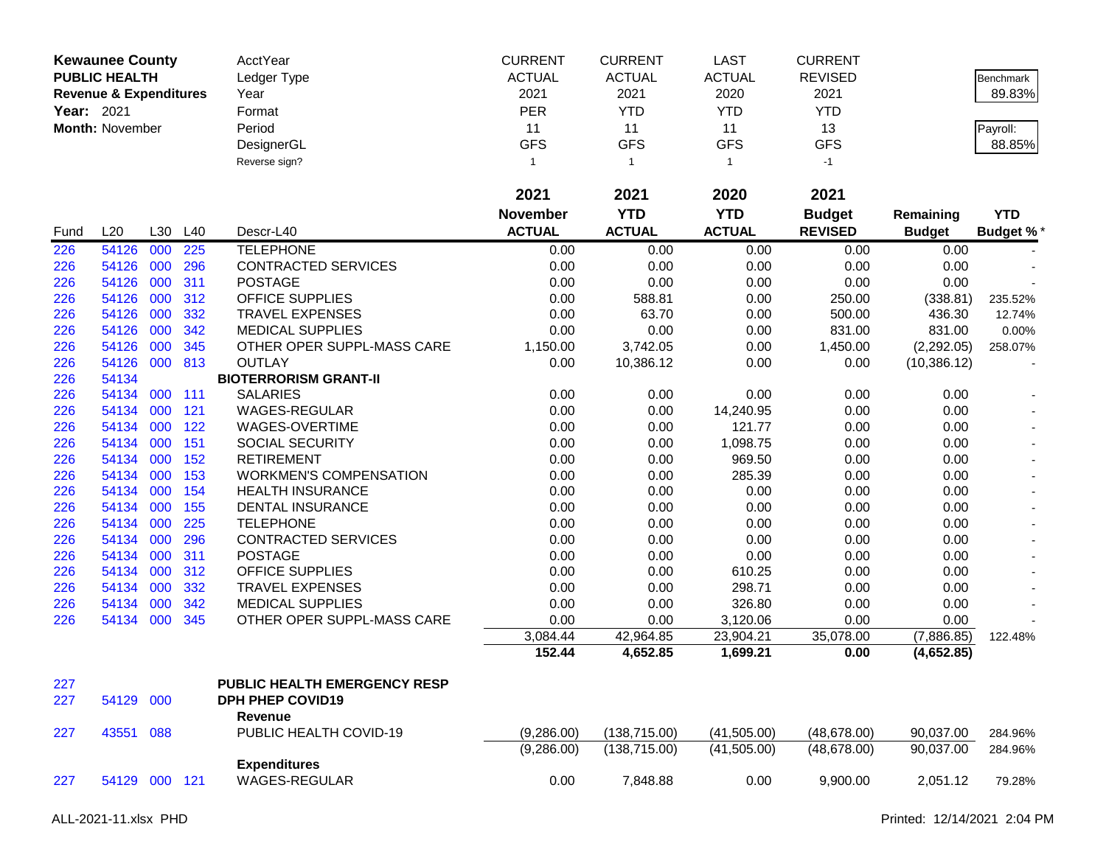|            | <b>Kewaunee County</b>            |     |         | AcctYear                      | <b>CURRENT</b>  | <b>CURRENT</b> | <b>LAST</b>    | <b>CURRENT</b> |               |                  |
|------------|-----------------------------------|-----|---------|-------------------------------|-----------------|----------------|----------------|----------------|---------------|------------------|
|            | <b>PUBLIC HEALTH</b>              |     |         | Ledger Type                   | <b>ACTUAL</b>   | <b>ACTUAL</b>  | <b>ACTUAL</b>  | <b>REVISED</b> |               | Benchmark        |
|            | <b>Revenue &amp; Expenditures</b> |     |         | Year                          | 2021            | 2021           | 2020           | 2021           |               | 89.83%           |
| Year: 2021 |                                   |     |         | Format                        | <b>PER</b>      | <b>YTD</b>     | <b>YTD</b>     | <b>YTD</b>     |               |                  |
|            | Month: November                   |     |         | Period                        | 11              | 11             | 11             | 13             |               | Payroll:         |
|            |                                   |     |         | DesignerGL                    | <b>GFS</b>      | <b>GFS</b>     | <b>GFS</b>     | <b>GFS</b>     |               | 88.85%           |
|            |                                   |     |         | Reverse sign?                 | $\mathbf{1}$    | $\mathbf{1}$   | $\overline{1}$ | $-1$           |               |                  |
|            |                                   |     |         |                               |                 |                |                |                |               |                  |
|            |                                   |     |         |                               | 2021            | 2021           | 2020           | 2021           |               |                  |
|            |                                   |     |         |                               | <b>November</b> | <b>YTD</b>     | <b>YTD</b>     | <b>Budget</b>  | Remaining     | <b>YTD</b>       |
| Fund       | L20                               |     | L30 L40 | Descr-L40                     | <b>ACTUAL</b>   | <b>ACTUAL</b>  | <b>ACTUAL</b>  | <b>REVISED</b> | <b>Budget</b> | <b>Budget %*</b> |
| 226        | 54126                             | 000 | 225     | <b>TELEPHONE</b>              | 0.00            | 0.00           | 0.00           | 0.00           | 0.00          |                  |
| 226        | 54126                             | 000 | 296     | CONTRACTED SERVICES           | 0.00            | 0.00           | 0.00           | 0.00           | 0.00          |                  |
| 226        | 54126 000                         |     | 311     | <b>POSTAGE</b>                | 0.00            | 0.00           | 0.00           | 0.00           | 0.00          |                  |
| 226        | 54126 000                         |     | 312     | <b>OFFICE SUPPLIES</b>        | 0.00            | 588.81         | 0.00           | 250.00         | (338.81)      | 235.52%          |
| 226        | 54126 000                         |     | 332     | <b>TRAVEL EXPENSES</b>        | 0.00            | 63.70          | 0.00           | 500.00         | 436.30        | 12.74%           |
| 226        | 54126 000                         |     | 342     | <b>MEDICAL SUPPLIES</b>       | 0.00            | 0.00           | 0.00           | 831.00         | 831.00        | 0.00%            |
| 226        | 54126 000                         |     | 345     | OTHER OPER SUPPL-MASS CARE    | 1,150.00        | 3,742.05       | 0.00           | 1,450.00       | (2,292.05)    | 258.07%          |
| 226        | 54126 000 813                     |     |         | <b>OUTLAY</b>                 | 0.00            | 10,386.12      | 0.00           | 0.00           | (10, 386.12)  |                  |
| 226        | 54134                             |     |         | <b>BIOTERRORISM GRANT-II</b>  |                 |                |                |                |               |                  |
| 226        | 54134 000                         |     | 111     | <b>SALARIES</b>               | 0.00            | 0.00           | 0.00           | 0.00           | 0.00          |                  |
| 226        | 54134 000                         |     | 121     | WAGES-REGULAR                 | 0.00            | 0.00           | 14,240.95      | 0.00           | 0.00          |                  |
| 226        | 54134 000 122                     |     |         | WAGES-OVERTIME                | 0.00            | 0.00           | 121.77         | 0.00           | 0.00          |                  |
| 226        | 54134 000                         |     | 151     | SOCIAL SECURITY               | 0.00            | 0.00           | 1,098.75       | 0.00           | 0.00          |                  |
| 226        | 54134                             | 000 | 152     | <b>RETIREMENT</b>             | 0.00            | 0.00           | 969.50         | 0.00           | 0.00          |                  |
| 226        | 54134                             | 000 | 153     | <b>WORKMEN'S COMPENSATION</b> | 0.00            | 0.00           | 285.39         | 0.00           | 0.00          |                  |
| 226        | 54134 000                         |     | 154     | <b>HEALTH INSURANCE</b>       | 0.00            | 0.00           | 0.00           | 0.00           | 0.00          |                  |
| 226        | 54134 000                         |     | 155     | <b>DENTAL INSURANCE</b>       | 0.00            | 0.00           | 0.00           | 0.00           | 0.00          |                  |
| 226        | 54134 000                         |     | 225     | <b>TELEPHONE</b>              | 0.00            | 0.00           | 0.00           | 0.00           | 0.00          |                  |
| 226        | 54134                             | 000 | 296     | CONTRACTED SERVICES           | 0.00            | 0.00           | 0.00           | 0.00           | 0.00          |                  |
| 226        | 54134                             | 000 | 311     | <b>POSTAGE</b>                | 0.00            | 0.00           | 0.00           | 0.00           | 0.00          |                  |
| 226        | 54134                             | 000 | 312     | OFFICE SUPPLIES               | 0.00            | 0.00           | 610.25         | 0.00           | 0.00          |                  |
| 226        | 54134 000                         |     | 332     | <b>TRAVEL EXPENSES</b>        | 0.00            | 0.00           | 298.71         | 0.00           | 0.00          |                  |
| 226        | 54134                             | 000 | 342     | <b>MEDICAL SUPPLIES</b>       | 0.00            | 0.00           | 326.80         | 0.00           | 0.00          |                  |
| 226        | 54134 000                         |     | 345     | OTHER OPER SUPPL-MASS CARE    | 0.00            | 0.00           | 3,120.06       | 0.00           | 0.00          |                  |
|            |                                   |     |         |                               | 3,084.44        | 42,964.85      | 23,904.21      | 35,078.00      | (7,886.85)    | 122.48%          |
|            |                                   |     |         |                               | 152.44          | 4,652.85       | 1,699.21       | 0.00           | (4,652.85)    |                  |
|            |                                   |     |         | PUBLIC HEALTH EMERGENCY RESP  |                 |                |                |                |               |                  |
| 227        |                                   |     |         |                               |                 |                |                |                |               |                  |
| 227        | 54129 000                         |     |         | <b>DPH PHEP COVID19</b>       |                 |                |                |                |               |                  |
|            |                                   |     |         | Revenue                       |                 |                |                |                |               |                  |
| 227        | 43551 088                         |     |         | PUBLIC HEALTH COVID-19        | (9,286.00)      | (138, 715.00)  | (41,505.00)    | (48, 678.00)   | 90,037.00     | 284.96%          |
|            |                                   |     |         |                               | (9,286.00)      | (138, 715.00)  | (41,505.00)    | (48, 678.00)   | 90,037.00     | 284.96%          |
|            |                                   |     |         | <b>Expenditures</b>           |                 |                |                |                |               |                  |
| 227        | 54129 000 121                     |     |         | <b>WAGES-REGULAR</b>          | 0.00            | 7,848.88       | 0.00           | 9,900.00       | 2,051.12      | 79.28%           |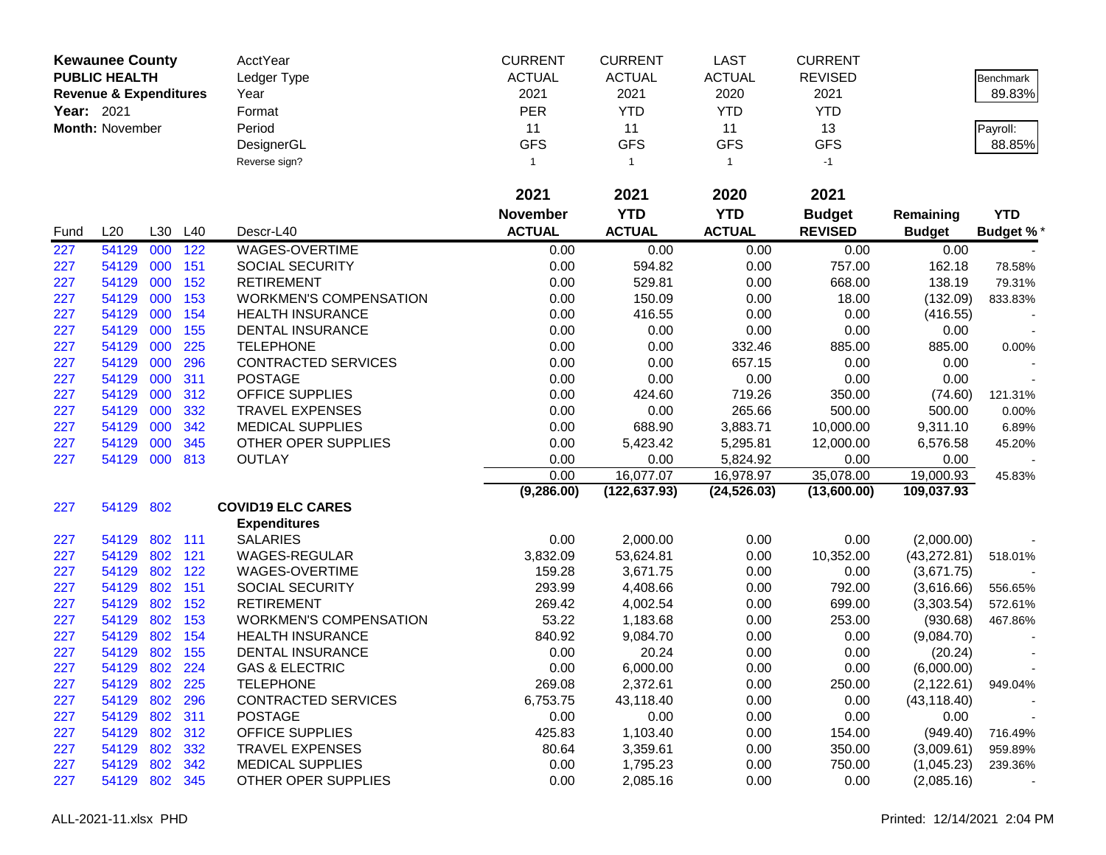|            | <b>Kewaunee County</b>            |         |         | AcctYear                      | <b>CURRENT</b>  | <b>CURRENT</b> | <b>LAST</b>   | <b>CURRENT</b> |               |                 |
|------------|-----------------------------------|---------|---------|-------------------------------|-----------------|----------------|---------------|----------------|---------------|-----------------|
|            | <b>PUBLIC HEALTH</b>              |         |         | Ledger Type                   | <b>ACTUAL</b>   | <b>ACTUAL</b>  | <b>ACTUAL</b> | <b>REVISED</b> |               | Benchmark       |
|            | <b>Revenue &amp; Expenditures</b> |         |         | Year                          | 2021            | 2021           | 2020          | 2021           |               | 89.83%          |
| Year: 2021 |                                   |         |         | Format                        | <b>PER</b>      | <b>YTD</b>     | <b>YTD</b>    | <b>YTD</b>     |               |                 |
|            | <b>Month: November</b>            |         |         | Period                        | 11              | 11             | 11            | 13             |               | Payroll:        |
|            |                                   |         |         | DesignerGL                    | <b>GFS</b>      | <b>GFS</b>     | <b>GFS</b>    | <b>GFS</b>     |               | 88.85%          |
|            |                                   |         |         | Reverse sign?                 | -1              | $\overline{1}$ | $\mathbf{1}$  | $-1$           |               |                 |
|            |                                   |         |         |                               |                 |                |               |                |               |                 |
|            |                                   |         |         |                               | 2021            | 2021           | 2020          | 2021           |               |                 |
|            |                                   |         |         |                               | <b>November</b> | <b>YTD</b>     | <b>YTD</b>    | <b>Budget</b>  | Remaining     | <b>YTD</b>      |
| Fund       | L20                               | L30     | L40     | Descr-L40                     | <b>ACTUAL</b>   | <b>ACTUAL</b>  | <b>ACTUAL</b> | <b>REVISED</b> | <b>Budget</b> | <b>Budget %</b> |
| 227        | 54129                             | 000     | 122     | WAGES-OVERTIME                | 0.00            | 0.00           | 0.00          | 0.00           | 0.00          |                 |
| 227        | 54129                             | 000     | 151     | <b>SOCIAL SECURITY</b>        | 0.00            | 594.82         | 0.00          | 757.00         | 162.18        | 78.58%          |
| 227        | 54129                             | 000     | 152     | <b>RETIREMENT</b>             | 0.00            | 529.81         | 0.00          | 668.00         | 138.19        | 79.31%          |
| 227        | 54129                             | 000     | 153     | <b>WORKMEN'S COMPENSATION</b> | 0.00            | 150.09         | 0.00          | 18.00          | (132.09)      | 833.83%         |
| 227        | 54129                             | 000     | 154     | <b>HEALTH INSURANCE</b>       | 0.00            | 416.55         | 0.00          | 0.00           | (416.55)      |                 |
| 227        | 54129                             | 000     | 155     | <b>DENTAL INSURANCE</b>       | 0.00            | 0.00           | 0.00          | 0.00           | 0.00          |                 |
| 227        | 54129                             | 000     | 225     | <b>TELEPHONE</b>              | 0.00            | 0.00           | 332.46        | 885.00         | 885.00        | 0.00%           |
| 227        | 54129                             | 000     | 296     | <b>CONTRACTED SERVICES</b>    | 0.00            | 0.00           | 657.15        | 0.00           | 0.00          |                 |
| 227        | 54129                             | 000     | 311     | <b>POSTAGE</b>                | 0.00            | 0.00           | 0.00          | 0.00           | 0.00          |                 |
| 227        | 54129                             | 000     | 312     | OFFICE SUPPLIES               | 0.00            | 424.60         | 719.26        | 350.00         | (74.60)       | 121.31%         |
| 227        | 54129                             | 000     | 332     | <b>TRAVEL EXPENSES</b>        | 0.00            | 0.00           | 265.66        | 500.00         | 500.00        | 0.00%           |
| 227        | 54129                             | 000     | 342     | <b>MEDICAL SUPPLIES</b>       | 0.00            | 688.90         | 3,883.71      | 10,000.00      | 9,311.10      | 6.89%           |
| 227        | 54129                             | 000     | 345     | OTHER OPER SUPPLIES           | 0.00            | 5,423.42       | 5,295.81      | 12,000.00      | 6,576.58      | 45.20%          |
| 227        | 54129 000 813                     |         |         | <b>OUTLAY</b>                 | 0.00            | 0.00           | 5,824.92      | 0.00           | 0.00          |                 |
|            |                                   |         |         |                               | 0.00            | 16,077.07      | 16,978.97     | 35,078.00      | 19,000.93     | 45.83%          |
|            |                                   |         |         |                               | (9, 286.00)     | (122, 637.93)  | (24, 526.03)  | (13,600.00)    | 109,037.93    |                 |
| 227        | 54129 802                         |         |         | <b>COVID19 ELC CARES</b>      |                 |                |               |                |               |                 |
|            |                                   |         |         | <b>Expenditures</b>           |                 |                |               |                |               |                 |
| 227        | 54129                             | 802 111 |         | <b>SALARIES</b>               | 0.00            | 2,000.00       | 0.00          | 0.00           | (2,000.00)    |                 |
| 227        | 54129                             | 802     | 121     | WAGES-REGULAR                 | 3,832.09        | 53,624.81      | 0.00          | 10,352.00      | (43, 272.81)  | 518.01%         |
| 227        | 54129                             | 802     | 122     | WAGES-OVERTIME                | 159.28          | 3,671.75       | 0.00          | 0.00           | (3,671.75)    |                 |
| 227        | 54129                             | 802     | 151     | SOCIAL SECURITY               | 293.99          | 4,408.66       | 0.00          | 792.00         | (3,616.66)    | 556.65%         |
| 227        | 54129                             | 802     | 152     | <b>RETIREMENT</b>             | 269.42          | 4,002.54       | 0.00          | 699.00         | (3,303.54)    | 572.61%         |
| 227        | 54129                             | 802     | 153     | <b>WORKMEN'S COMPENSATION</b> | 53.22           | 1,183.68       | 0.00          | 253.00         | (930.68)      | 467.86%         |
| 227        | 54129                             | 802     | 154     | <b>HEALTH INSURANCE</b>       | 840.92          | 9,084.70       | 0.00          | 0.00           | (9,084.70)    |                 |
| 227        | 54129                             | 802     | 155     | <b>DENTAL INSURANCE</b>       | 0.00            | 20.24          | 0.00          | 0.00           | (20.24)       |                 |
| 227        | 54129                             | 802     | 224     | <b>GAS &amp; ELECTRIC</b>     | 0.00            | 6,000.00       | 0.00          | 0.00           | (6,000.00)    |                 |
| 227        | 54129                             | 802 225 |         | <b>TELEPHONE</b>              | 269.08          | 2,372.61       | 0.00          | 250.00         | (2, 122.61)   | 949.04%         |
| 227        | 54129                             | 802 296 |         | CONTRACTED SERVICES           | 6,753.75        | 43,118.40      | 0.00          | 0.00           | (43, 118.40)  |                 |
| 227        | 54129                             | 802 311 |         | <b>POSTAGE</b>                | 0.00            | 0.00           | 0.00          | 0.00           | 0.00          |                 |
| 227        | 54129                             |         | 802 312 | <b>OFFICE SUPPLIES</b>        | 425.83          | 1,103.40       | 0.00          | 154.00         | (949.40)      | 716.49%         |
| 227        | 54129                             | 802     | 332     | <b>TRAVEL EXPENSES</b>        | 80.64           | 3,359.61       | 0.00          | 350.00         | (3,009.61)    | 959.89%         |
| 227        | 54129                             | 802     | 342     | <b>MEDICAL SUPPLIES</b>       | 0.00            | 1,795.23       | 0.00          | 750.00         | (1,045.23)    | 239.36%         |
| 227        | 54129 802 345                     |         |         | OTHER OPER SUPPLIES           | 0.00            | 2,085.16       | 0.00          | 0.00           | (2,085.16)    |                 |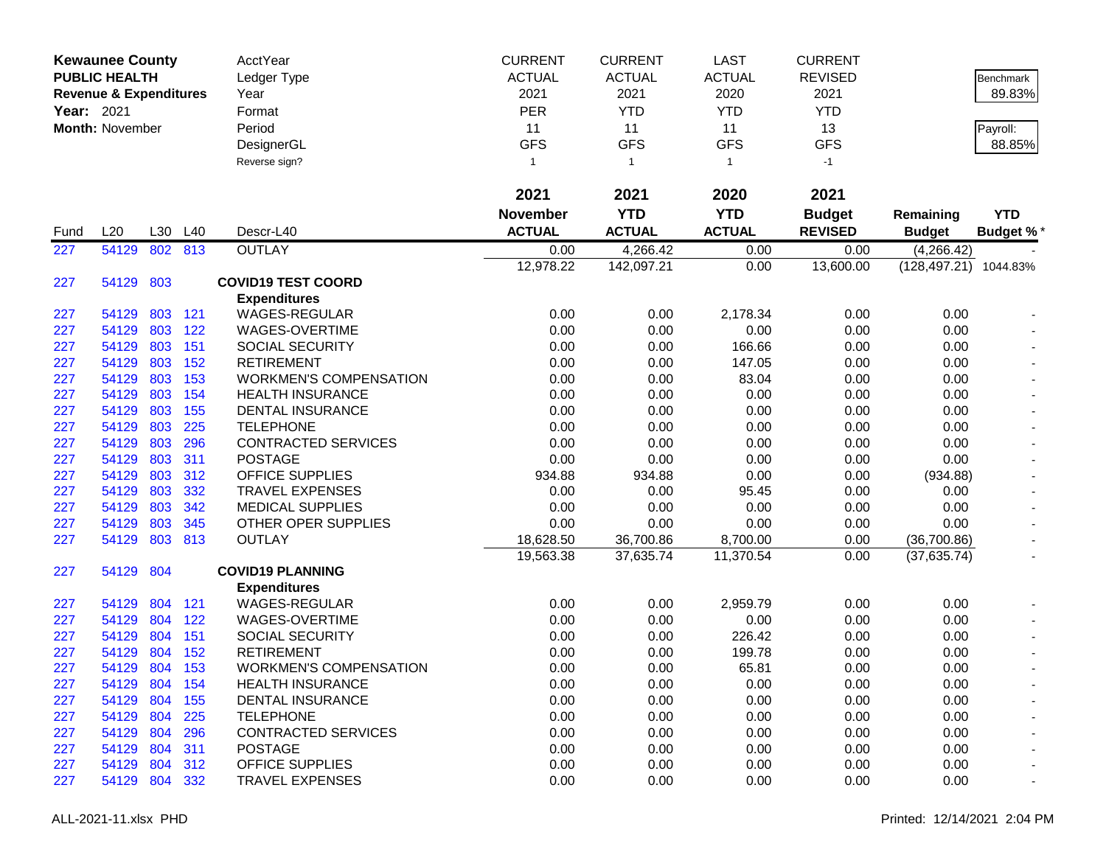|                   | <b>Kewaunee County</b><br><b>PUBLIC HEALTH</b> |     |         | <b>AcctYear</b><br>Ledger Type | <b>CURRENT</b><br><b>ACTUAL</b> | <b>CURRENT</b><br><b>ACTUAL</b> | <b>LAST</b><br><b>ACTUAL</b> | <b>CURRENT</b><br><b>REVISED</b> |                       | Benchmark                |
|-------------------|------------------------------------------------|-----|---------|--------------------------------|---------------------------------|---------------------------------|------------------------------|----------------------------------|-----------------------|--------------------------|
|                   | <b>Revenue &amp; Expenditures</b>              |     |         | Year                           | 2021                            | 2021                            | 2020                         | 2021                             |                       | 89.83%                   |
| <b>Year: 2021</b> |                                                |     |         | Format                         | <b>PER</b>                      | <b>YTD</b>                      | <b>YTD</b>                   | <b>YTD</b>                       |                       |                          |
|                   | Month: November                                |     |         | Period                         | 11                              | 11                              | 11                           | 13                               |                       | Payroll:                 |
|                   |                                                |     |         | DesignerGL                     | <b>GFS</b>                      | <b>GFS</b>                      | <b>GFS</b>                   | <b>GFS</b>                       |                       | 88.85%                   |
|                   |                                                |     |         | Reverse sign?                  | 1                               | $\overline{1}$                  | $\mathbf{1}$                 | $-1$                             |                       |                          |
|                   |                                                |     |         |                                | 2021                            | 2021                            | 2020                         | 2021                             |                       |                          |
|                   |                                                |     |         |                                | <b>November</b>                 | <b>YTD</b>                      | <b>YTD</b>                   | <b>Budget</b>                    | Remaining             | <b>YTD</b>               |
| Fund              | L20                                            | L30 | L40     | Descr-L40                      | <b>ACTUAL</b>                   | <b>ACTUAL</b>                   | <b>ACTUAL</b>                | <b>REVISED</b>                   | <b>Budget</b>         | <b>Budget %*</b>         |
| 227               | 54129                                          | 802 | 813     | <b>OUTLAY</b>                  | 0.00                            | 4,266.42                        | 0.00                         | 0.00                             | (4,266.42)            |                          |
|                   |                                                |     |         |                                | 12,978.22                       | 142,097.21                      | 0.00                         | 13,600.00                        | (128,497.21) 1044.83% |                          |
| 227               | 54129                                          | 803 |         | <b>COVID19 TEST COORD</b>      |                                 |                                 |                              |                                  |                       |                          |
|                   |                                                |     |         | <b>Expenditures</b>            |                                 |                                 |                              |                                  |                       |                          |
| 227               | 54129                                          |     | 803 121 | <b>WAGES-REGULAR</b>           | 0.00                            | 0.00                            | 2,178.34                     | 0.00                             | 0.00                  |                          |
| 227               | 54129                                          | 803 | 122     | WAGES-OVERTIME                 | 0.00                            | 0.00                            | 0.00                         | 0.00                             | 0.00                  |                          |
| 227               | 54129                                          | 803 | 151     | <b>SOCIAL SECURITY</b>         | 0.00                            | 0.00                            | 166.66                       | 0.00                             | 0.00                  |                          |
| 227               | 54129                                          | 803 | 152     | <b>RETIREMENT</b>              | 0.00                            | 0.00                            | 147.05                       | 0.00                             | 0.00                  |                          |
| 227               | 54129                                          | 803 | 153     | <b>WORKMEN'S COMPENSATION</b>  | 0.00                            | 0.00                            | 83.04                        | 0.00                             | 0.00                  |                          |
| 227               | 54129                                          | 803 | 154     | <b>HEALTH INSURANCE</b>        | 0.00                            | 0.00                            | 0.00                         | 0.00                             | 0.00                  |                          |
| 227               | 54129                                          | 803 | 155     | <b>DENTAL INSURANCE</b>        | 0.00                            | 0.00                            | 0.00                         | 0.00                             | 0.00                  |                          |
| 227               | 54129                                          | 803 | 225     | <b>TELEPHONE</b>               | 0.00                            | 0.00                            | 0.00                         | 0.00                             | 0.00                  |                          |
| 227               | 54129                                          | 803 | 296     | <b>CONTRACTED SERVICES</b>     | 0.00                            | 0.00                            | 0.00                         | 0.00                             | 0.00                  |                          |
| 227               | 54129                                          | 803 | 311     | <b>POSTAGE</b>                 | 0.00                            | 0.00                            | 0.00                         | 0.00                             | 0.00                  |                          |
| 227               | 54129                                          | 803 | 312     | <b>OFFICE SUPPLIES</b>         | 934.88                          | 934.88                          | 0.00                         | 0.00                             | (934.88)              |                          |
| 227               | 54129                                          | 803 | 332     | <b>TRAVEL EXPENSES</b>         | 0.00                            | 0.00                            | 95.45                        | 0.00                             | 0.00                  |                          |
| 227               | 54129                                          | 803 | 342     | <b>MEDICAL SUPPLIES</b>        | 0.00                            | 0.00                            | 0.00                         | 0.00                             | 0.00                  |                          |
| 227               | 54129                                          | 803 | 345     | OTHER OPER SUPPLIES            | 0.00                            | 0.00                            | 0.00                         | 0.00                             | 0.00                  |                          |
| 227               | 54129                                          | 803 | 813     | <b>OUTLAY</b>                  | 18,628.50                       | 36,700.86                       | 8,700.00                     | 0.00                             | (36,700.86)           | $\blacksquare$           |
|                   |                                                |     |         |                                | 19,563.38                       | 37,635.74                       | 11,370.54                    | 0.00                             | (37, 635.74)          |                          |
| 227               | 54129                                          | 804 |         | <b>COVID19 PLANNING</b>        |                                 |                                 |                              |                                  |                       |                          |
|                   |                                                |     |         | <b>Expenditures</b>            |                                 |                                 |                              |                                  |                       |                          |
| 227               | 54129                                          | 804 | 121     | <b>WAGES-REGULAR</b>           | 0.00                            | 0.00                            | 2,959.79                     | 0.00                             | 0.00                  |                          |
| 227               | 54129                                          | 804 | 122     | WAGES-OVERTIME                 | 0.00                            | 0.00                            | 0.00                         | 0.00                             | 0.00                  |                          |
| 227               | 54129                                          | 804 | 151     | SOCIAL SECURITY                | 0.00                            | 0.00                            | 226.42                       | 0.00                             | 0.00                  |                          |
| 227               | 54129                                          | 804 | 152     | <b>RETIREMENT</b>              | 0.00                            | 0.00                            | 199.78                       | 0.00                             | 0.00                  |                          |
| 227               | 54129                                          | 804 | 153     | <b>WORKMEN'S COMPENSATION</b>  | 0.00                            | 0.00                            | 65.81                        | 0.00                             | 0.00                  |                          |
| 227               | 54129                                          |     | 804 154 | <b>HEALTH INSURANCE</b>        | 0.00                            | 0.00                            | 0.00                         | 0.00                             | 0.00                  | $\overline{\phantom{a}}$ |
| 227               | 54129                                          | 804 | 155     | DENTAL INSURANCE               | 0.00                            | 0.00                            | 0.00                         | 0.00                             | 0.00                  |                          |
| 227               | 54129 804                                      |     | 225     | <b>TELEPHONE</b>               | 0.00                            | 0.00                            | 0.00                         | 0.00                             | 0.00                  |                          |
| 227               | 54129                                          | 804 | 296     | <b>CONTRACTED SERVICES</b>     | 0.00                            | 0.00                            | 0.00                         | 0.00                             | 0.00                  |                          |
| 227               | 54129                                          | 804 | 311     | <b>POSTAGE</b>                 | 0.00                            | 0.00                            | 0.00                         | 0.00                             | 0.00                  |                          |
| 227               | 54129                                          | 804 | 312     | <b>OFFICE SUPPLIES</b>         | 0.00                            | 0.00                            | 0.00                         | 0.00                             | 0.00                  |                          |
| 227               | 54129 804 332                                  |     |         | <b>TRAVEL EXPENSES</b>         | 0.00                            | 0.00                            | 0.00                         | 0.00                             | 0.00                  |                          |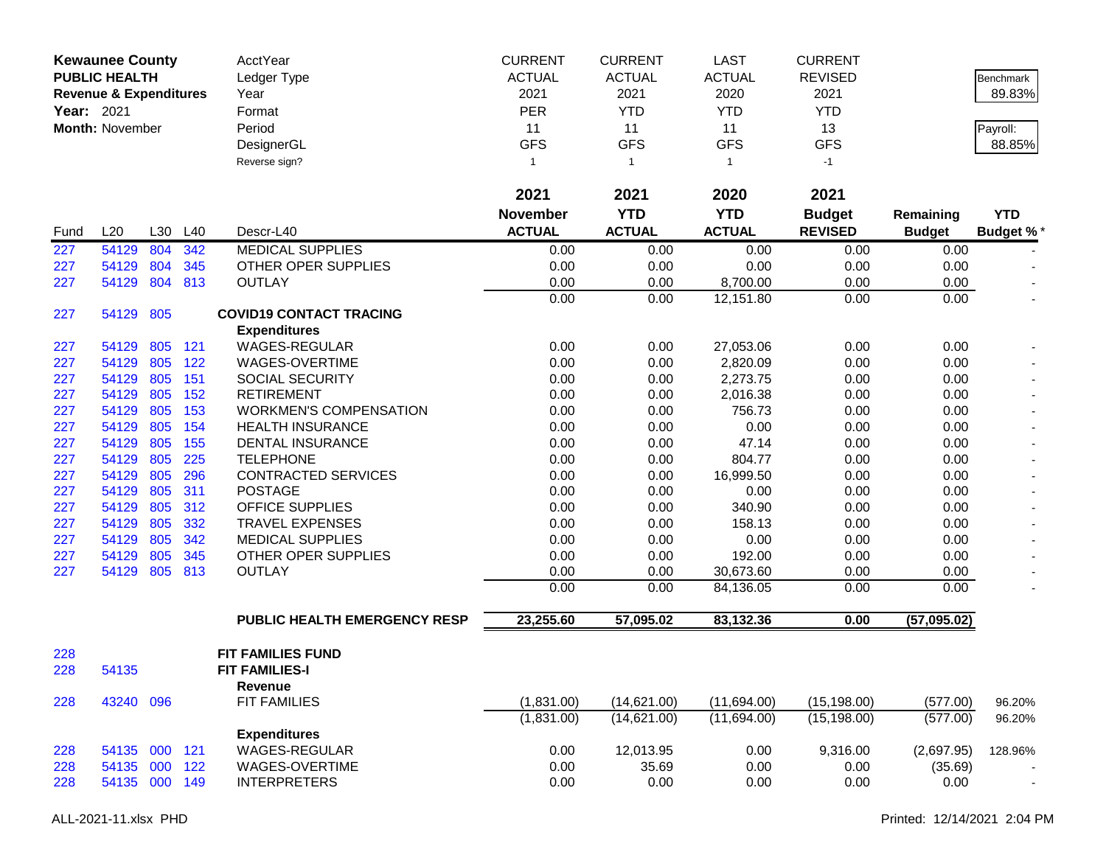| <b>Year: 2021</b> | <b>Kewaunee County</b><br><b>PUBLIC HEALTH</b><br><b>Revenue &amp; Expenditures</b><br><b>Month: November</b> |         |         | AcctYear<br>Ledger Type<br>Year<br>Format<br>Period<br>DesignerGL | <b>CURRENT</b><br><b>ACTUAL</b><br>2021<br><b>PER</b><br>11<br><b>GFS</b> | <b>CURRENT</b><br><b>ACTUAL</b><br>2021<br><b>YTD</b><br>11<br><b>GFS</b> | <b>LAST</b><br><b>ACTUAL</b><br>2020<br><b>YTD</b><br>11<br><b>GFS</b> | <b>CURRENT</b><br><b>REVISED</b><br>2021<br><b>YTD</b><br>13<br><b>GFS</b> |               | Benchmark<br>89.83%<br>Payroll:<br>88.85% |
|-------------------|---------------------------------------------------------------------------------------------------------------|---------|---------|-------------------------------------------------------------------|---------------------------------------------------------------------------|---------------------------------------------------------------------------|------------------------------------------------------------------------|----------------------------------------------------------------------------|---------------|-------------------------------------------|
|                   |                                                                                                               |         |         | Reverse sign?                                                     | 1                                                                         | $\overline{1}$                                                            | $\mathbf{1}$                                                           | $-1$                                                                       |               |                                           |
|                   |                                                                                                               |         |         |                                                                   | 2021                                                                      | 2021                                                                      | 2020                                                                   | 2021                                                                       |               |                                           |
|                   |                                                                                                               |         |         |                                                                   | <b>November</b>                                                           | <b>YTD</b>                                                                | <b>YTD</b>                                                             | <b>Budget</b>                                                              | Remaining     | <b>YTD</b>                                |
| Fund              | L20                                                                                                           | L30     | L40     | Descr-L40                                                         | <b>ACTUAL</b>                                                             | <b>ACTUAL</b>                                                             | <b>ACTUAL</b>                                                          | <b>REVISED</b>                                                             | <b>Budget</b> | <b>Budget %*</b>                          |
| 227               | 54129                                                                                                         | 804     | 342     | <b>MEDICAL SUPPLIES</b>                                           | 0.00                                                                      | 0.00                                                                      | 0.00                                                                   | 0.00                                                                       | 0.00          |                                           |
| 227               | 54129                                                                                                         | 804     | 345     | OTHER OPER SUPPLIES                                               | 0.00                                                                      | 0.00                                                                      | 0.00                                                                   | 0.00                                                                       | 0.00          |                                           |
| 227               | 54129                                                                                                         | 804     | 813     | <b>OUTLAY</b>                                                     | 0.00                                                                      | 0.00                                                                      | 8,700.00                                                               | 0.00                                                                       | 0.00          |                                           |
|                   |                                                                                                               |         |         |                                                                   | 0.00                                                                      | 0.00                                                                      | 12,151.80                                                              | 0.00                                                                       | 0.00          |                                           |
| 227               | 54129                                                                                                         | 805     |         | <b>COVID19 CONTACT TRACING</b>                                    |                                                                           |                                                                           |                                                                        |                                                                            |               |                                           |
| 227               | 54129                                                                                                         | 805     | 121     | <b>Expenditures</b><br><b>WAGES-REGULAR</b>                       | 0.00                                                                      | 0.00                                                                      | 27,053.06                                                              | 0.00                                                                       | 0.00          |                                           |
| 227               | 54129                                                                                                         | 805     | 122     | WAGES-OVERTIME                                                    | 0.00                                                                      | 0.00                                                                      | 2,820.09                                                               | 0.00                                                                       | 0.00          |                                           |
| 227               | 54129                                                                                                         | 805     | 151     | SOCIAL SECURITY                                                   | 0.00                                                                      | 0.00                                                                      | 2,273.75                                                               | 0.00                                                                       | 0.00          |                                           |
| 227               | 54129                                                                                                         | 805     | 152     | <b>RETIREMENT</b>                                                 | 0.00                                                                      | 0.00                                                                      | 2,016.38                                                               | 0.00                                                                       | 0.00          |                                           |
| 227               | 54129                                                                                                         | 805     | 153     | <b>WORKMEN'S COMPENSATION</b>                                     | 0.00                                                                      | 0.00                                                                      | 756.73                                                                 | 0.00                                                                       | 0.00          |                                           |
| 227               | 54129                                                                                                         | 805     | 154     | <b>HEALTH INSURANCE</b>                                           | 0.00                                                                      | 0.00                                                                      | 0.00                                                                   | 0.00                                                                       | 0.00          |                                           |
| 227               | 54129                                                                                                         | 805     | 155     | DENTAL INSURANCE                                                  | 0.00                                                                      | 0.00                                                                      | 47.14                                                                  | 0.00                                                                       | 0.00          |                                           |
| 227               | 54129                                                                                                         | 805     | 225     | <b>TELEPHONE</b>                                                  | 0.00                                                                      | 0.00                                                                      | 804.77                                                                 | 0.00                                                                       | 0.00          |                                           |
| 227               | 54129                                                                                                         | 805     | 296     | <b>CONTRACTED SERVICES</b>                                        | 0.00                                                                      | 0.00                                                                      | 16,999.50                                                              | 0.00                                                                       | 0.00          |                                           |
| 227               | 54129                                                                                                         | 805     | 311     | <b>POSTAGE</b>                                                    | 0.00                                                                      | 0.00                                                                      | 0.00                                                                   | 0.00                                                                       | 0.00          |                                           |
| 227               | 54129                                                                                                         | 805     | 312     | OFFICE SUPPLIES                                                   | 0.00                                                                      | 0.00                                                                      | 340.90                                                                 | 0.00                                                                       | 0.00          |                                           |
| 227               | 54129                                                                                                         | 805     | 332     | <b>TRAVEL EXPENSES</b>                                            | 0.00                                                                      | 0.00                                                                      | 158.13                                                                 | 0.00                                                                       | 0.00          |                                           |
| 227               | 54129                                                                                                         | 805     | 342     | <b>MEDICAL SUPPLIES</b>                                           | 0.00                                                                      | 0.00                                                                      | 0.00                                                                   | 0.00                                                                       | 0.00          | $\blacksquare$                            |
| 227               | 54129                                                                                                         | 805     | 345     | OTHER OPER SUPPLIES                                               | 0.00                                                                      | 0.00                                                                      | 192.00                                                                 | 0.00                                                                       | 0.00          |                                           |
| 227               | 54129                                                                                                         | 805     | 813     | <b>OUTLAY</b>                                                     | 0.00                                                                      | 0.00                                                                      | 30,673.60                                                              | 0.00                                                                       | 0.00          |                                           |
|                   |                                                                                                               |         |         |                                                                   | 0.00                                                                      | 0.00                                                                      | 84,136.05                                                              | 0.00                                                                       | 0.00          |                                           |
|                   |                                                                                                               |         |         | PUBLIC HEALTH EMERGENCY RESP                                      | 23,255.60                                                                 | 57,095.02                                                                 | 83,132.36                                                              | 0.00                                                                       | (57,095.02)   |                                           |
| 228               |                                                                                                               |         |         | FIT FAMILIES FUND                                                 |                                                                           |                                                                           |                                                                        |                                                                            |               |                                           |
| 228               | 54135                                                                                                         |         |         | <b>FIT FAMILIES-I</b>                                             |                                                                           |                                                                           |                                                                        |                                                                            |               |                                           |
|                   |                                                                                                               |         |         | Revenue                                                           |                                                                           |                                                                           |                                                                        |                                                                            |               |                                           |
| 228               | 43240                                                                                                         | 096     |         | <b>FIT FAMILIES</b>                                               | (1,831.00)                                                                | (14,621.00)                                                               | (11,694.00)                                                            | (15, 198.00)                                                               | (577.00)      | 96.20%                                    |
|                   |                                                                                                               |         |         |                                                                   | (1,831.00)                                                                | (14,621.00)                                                               | (11,694.00)                                                            | (15, 198.00)                                                               | (577.00)      | 96.20%                                    |
|                   |                                                                                                               |         |         | <b>Expenditures</b>                                               |                                                                           |                                                                           |                                                                        |                                                                            |               |                                           |
| 228               | 54135                                                                                                         | 000 121 |         | <b>WAGES-REGULAR</b>                                              | 0.00                                                                      | 12,013.95                                                                 | 0.00                                                                   | 9,316.00                                                                   | (2,697.95)    | 128.96%                                   |
| 228               | 54135                                                                                                         | 000     | 122     | WAGES-OVERTIME                                                    | 0.00                                                                      | 35.69                                                                     | 0.00                                                                   | 0.00                                                                       | (35.69)       |                                           |
| 228               | 54135                                                                                                         |         | 000 149 | <b>INTERPRETERS</b>                                               | 0.00                                                                      | 0.00                                                                      | 0.00                                                                   | 0.00                                                                       | 0.00          | $\blacksquare$                            |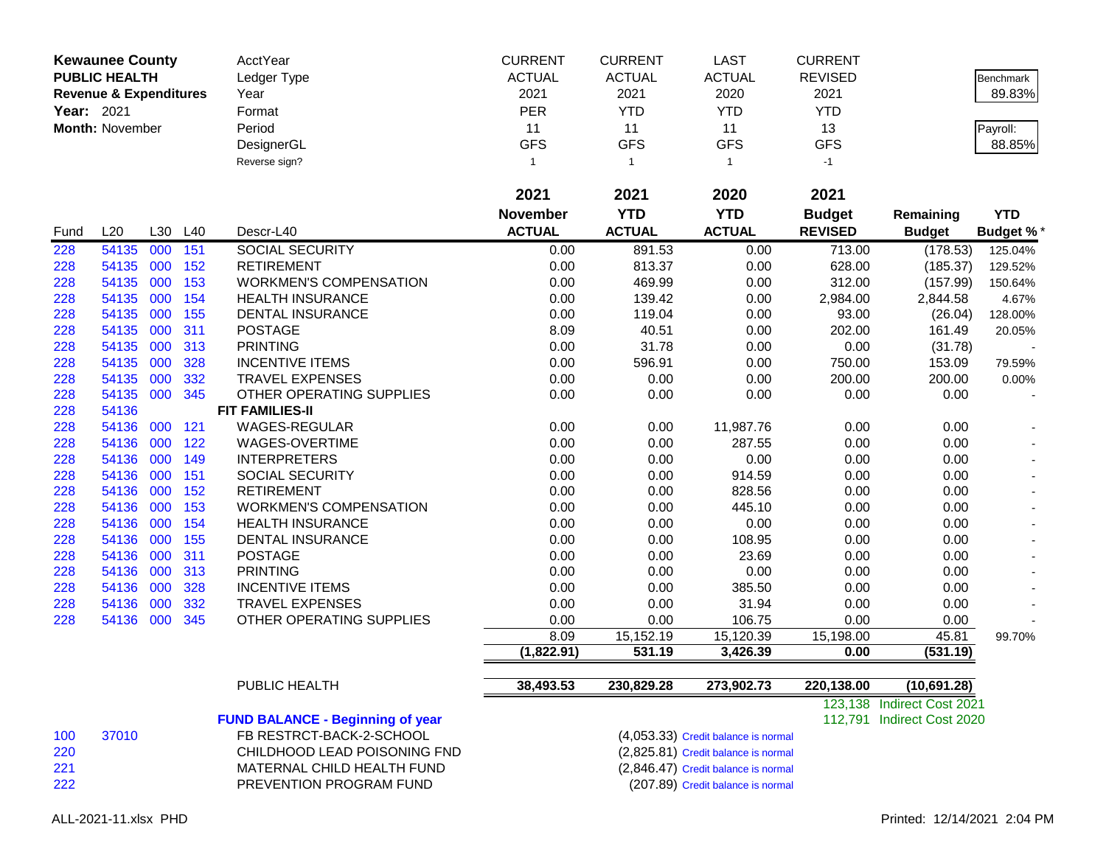| Year: 2021 | <b>Kewaunee County</b><br><b>PUBLIC HEALTH</b><br><b>Revenue &amp; Expenditures</b><br>Month: November |            |     | AcctYear<br>Ledger Type<br>Year<br>Format<br>Period<br>DesignerGL<br>Reverse sign? | <b>CURRENT</b><br><b>ACTUAL</b><br>2021<br>PER<br>11<br><b>GFS</b><br>$\mathbf{1}$ | <b>CURRENT</b><br><b>ACTUAL</b><br>2021<br><b>YTD</b><br>11<br><b>GFS</b><br>$\overline{1}$ | LAST<br><b>ACTUAL</b><br>2020<br><b>YTD</b><br>11<br><b>GFS</b><br>$\mathbf{1}$ | <b>CURRENT</b><br><b>REVISED</b><br>2021<br><b>YTD</b><br>13<br><b>GFS</b><br>$-1$ |                            | <b>Benchmark</b><br>89.83%<br>Payroll:<br>88.85% |
|------------|--------------------------------------------------------------------------------------------------------|------------|-----|------------------------------------------------------------------------------------|------------------------------------------------------------------------------------|---------------------------------------------------------------------------------------------|---------------------------------------------------------------------------------|------------------------------------------------------------------------------------|----------------------------|--------------------------------------------------|
|            |                                                                                                        |            |     |                                                                                    | 2021                                                                               | 2021                                                                                        | 2020                                                                            | 2021                                                                               |                            |                                                  |
|            |                                                                                                        |            |     |                                                                                    | <b>November</b>                                                                    | <b>YTD</b>                                                                                  | <b>YTD</b>                                                                      | <b>Budget</b>                                                                      | Remaining                  | <b>YTD</b>                                       |
| Fund       | L20                                                                                                    | L30        | L40 | Descr-L40                                                                          | <b>ACTUAL</b>                                                                      | <b>ACTUAL</b>                                                                               | <b>ACTUAL</b>                                                                   | <b>REVISED</b>                                                                     | <b>Budget</b>              | <b>Budget %*</b>                                 |
| 228        | 54135                                                                                                  | 000        | 151 | <b>SOCIAL SECURITY</b>                                                             | 0.00                                                                               | 891.53                                                                                      | 0.00                                                                            | 713.00                                                                             | (178.53)                   | 125.04%                                          |
| 228        | 54135                                                                                                  | 000        | 152 | <b>RETIREMENT</b>                                                                  | 0.00                                                                               | 813.37                                                                                      | 0.00                                                                            | 628.00                                                                             | (185.37)                   | 129.52%                                          |
| 228        | 54135                                                                                                  | 000        | 153 | <b>WORKMEN'S COMPENSATION</b>                                                      | 0.00                                                                               | 469.99                                                                                      | 0.00                                                                            | 312.00                                                                             | (157.99)                   | 150.64%                                          |
| 228        | 54135                                                                                                  | 000        | 154 | <b>HEALTH INSURANCE</b>                                                            | 0.00                                                                               | 139.42                                                                                      | 0.00                                                                            | 2,984.00                                                                           | 2,844.58                   | 4.67%                                            |
| 228        | 54135                                                                                                  | 000        | 155 | DENTAL INSURANCE                                                                   | 0.00                                                                               | 119.04                                                                                      | 0.00                                                                            | 93.00                                                                              | (26.04)                    | 128.00%                                          |
| 228        | 54135                                                                                                  | 000        | 311 | <b>POSTAGE</b>                                                                     | 8.09                                                                               | 40.51                                                                                       | 0.00                                                                            | 202.00                                                                             | 161.49                     | 20.05%                                           |
| 228        | 54135                                                                                                  | 000        | 313 | <b>PRINTING</b>                                                                    | 0.00                                                                               | 31.78                                                                                       | 0.00                                                                            | 0.00                                                                               | (31.78)                    |                                                  |
| 228        | 54135                                                                                                  | 000        | 328 | <b>INCENTIVE ITEMS</b>                                                             | 0.00                                                                               | 596.91                                                                                      | 0.00                                                                            | 750.00                                                                             | 153.09                     | 79.59%                                           |
| 228        | 54135                                                                                                  | 000        | 332 | <b>TRAVEL EXPENSES</b>                                                             | 0.00                                                                               | 0.00                                                                                        | 0.00                                                                            | 200.00                                                                             | 200.00                     | 0.00%                                            |
| 228        | 54135                                                                                                  | 000        | 345 | OTHER OPERATING SUPPLIES                                                           | 0.00                                                                               | 0.00                                                                                        | 0.00                                                                            | 0.00                                                                               | 0.00                       |                                                  |
| 228        | 54136                                                                                                  |            |     | <b>FIT FAMILIES-II</b>                                                             |                                                                                    |                                                                                             |                                                                                 |                                                                                    |                            |                                                  |
| 228        | 54136                                                                                                  | 000        | 121 | WAGES-REGULAR                                                                      | 0.00                                                                               | 0.00                                                                                        | 11,987.76                                                                       | 0.00                                                                               | 0.00                       |                                                  |
| 228        | 54136                                                                                                  | 000        | 122 | WAGES-OVERTIME                                                                     | 0.00                                                                               | 0.00                                                                                        | 287.55                                                                          | 0.00                                                                               | 0.00                       |                                                  |
| 228        | 54136                                                                                                  | 000        | 149 | <b>INTERPRETERS</b>                                                                | 0.00                                                                               | 0.00                                                                                        | 0.00                                                                            | 0.00                                                                               | 0.00                       |                                                  |
| 228        | 54136                                                                                                  | 000        | 151 | <b>SOCIAL SECURITY</b>                                                             | 0.00                                                                               | 0.00                                                                                        | 914.59                                                                          | 0.00                                                                               | 0.00                       |                                                  |
| 228        | 54136                                                                                                  | 000        | 152 | <b>RETIREMENT</b>                                                                  | 0.00                                                                               | 0.00                                                                                        | 828.56                                                                          | 0.00                                                                               | 0.00                       |                                                  |
| 228        | 54136                                                                                                  | 000        | 153 | <b>WORKMEN'S COMPENSATION</b>                                                      | 0.00                                                                               | 0.00                                                                                        | 445.10                                                                          | 0.00                                                                               | 0.00                       |                                                  |
| 228        | 54136                                                                                                  | 000        | 154 | <b>HEALTH INSURANCE</b>                                                            | 0.00                                                                               | 0.00                                                                                        | 0.00                                                                            | 0.00                                                                               | 0.00                       |                                                  |
| 228        | 54136                                                                                                  | 000        | 155 | DENTAL INSURANCE                                                                   | 0.00                                                                               | 0.00                                                                                        | 108.95                                                                          | 0.00                                                                               | 0.00                       |                                                  |
| 228        | 54136                                                                                                  | 000        | 311 | <b>POSTAGE</b>                                                                     | 0.00                                                                               | 0.00                                                                                        | 23.69                                                                           | 0.00                                                                               | 0.00                       |                                                  |
| 228        | 54136                                                                                                  | 000        | 313 | <b>PRINTING</b>                                                                    | 0.00                                                                               | 0.00                                                                                        | 0.00                                                                            | 0.00                                                                               | 0.00                       |                                                  |
| 228        | 54136                                                                                                  | 000        | 328 | <b>INCENTIVE ITEMS</b>                                                             | 0.00                                                                               | 0.00                                                                                        | 385.50                                                                          | 0.00                                                                               | 0.00                       |                                                  |
| 228        | 54136                                                                                                  | 000<br>000 | 332 | <b>TRAVEL EXPENSES</b>                                                             | 0.00                                                                               | 0.00                                                                                        | 31.94                                                                           | 0.00                                                                               | 0.00                       |                                                  |
| 228        | 54136                                                                                                  |            | 345 | OTHER OPERATING SUPPLIES                                                           | 0.00<br>8.09                                                                       | 0.00<br>15,152.19                                                                           | 106.75<br>15,120.39                                                             | 0.00                                                                               | 0.00<br>45.81              |                                                  |
|            |                                                                                                        |            |     |                                                                                    | (1,822.91)                                                                         | 531.19                                                                                      | 3,426.39                                                                        | 15,198.00<br>0.00                                                                  | (531.19)                   | 99.70%                                           |
|            |                                                                                                        |            |     |                                                                                    |                                                                                    |                                                                                             |                                                                                 |                                                                                    |                            |                                                  |
|            |                                                                                                        |            |     | PUBLIC HEALTH                                                                      | 38,493.53                                                                          | 230,829.28                                                                                  | 273,902.73                                                                      | 220,138.00                                                                         | (10,691.28)                |                                                  |
|            |                                                                                                        |            |     |                                                                                    |                                                                                    |                                                                                             |                                                                                 |                                                                                    | 123,138 Indirect Cost 2021 |                                                  |
|            |                                                                                                        |            |     | <b>FUND BALANCE - Beginning of year</b>                                            |                                                                                    |                                                                                             |                                                                                 |                                                                                    | 112,791 Indirect Cost 2020 |                                                  |
| 100        | 37010                                                                                                  |            |     | FB RESTRCT-BACK-2-SCHOOL<br>CHILDHOOD LEAD POISONING FND                           |                                                                                    |                                                                                             | (4,053.33) Credit balance is normal                                             |                                                                                    |                            |                                                  |
| 220        |                                                                                                        |            |     |                                                                                    |                                                                                    |                                                                                             | (2,825.81) Credit balance is normal                                             |                                                                                    |                            |                                                  |
| 221<br>222 |                                                                                                        |            |     | MATERNAL CHILD HEALTH FUND<br>PREVENTION PROGRAM FUND                              |                                                                                    |                                                                                             | (2,846.47) Credit balance is normal<br>(207.89) Credit balance is normal        |                                                                                    |                            |                                                  |
|            |                                                                                                        |            |     |                                                                                    |                                                                                    |                                                                                             |                                                                                 |                                                                                    |                            |                                                  |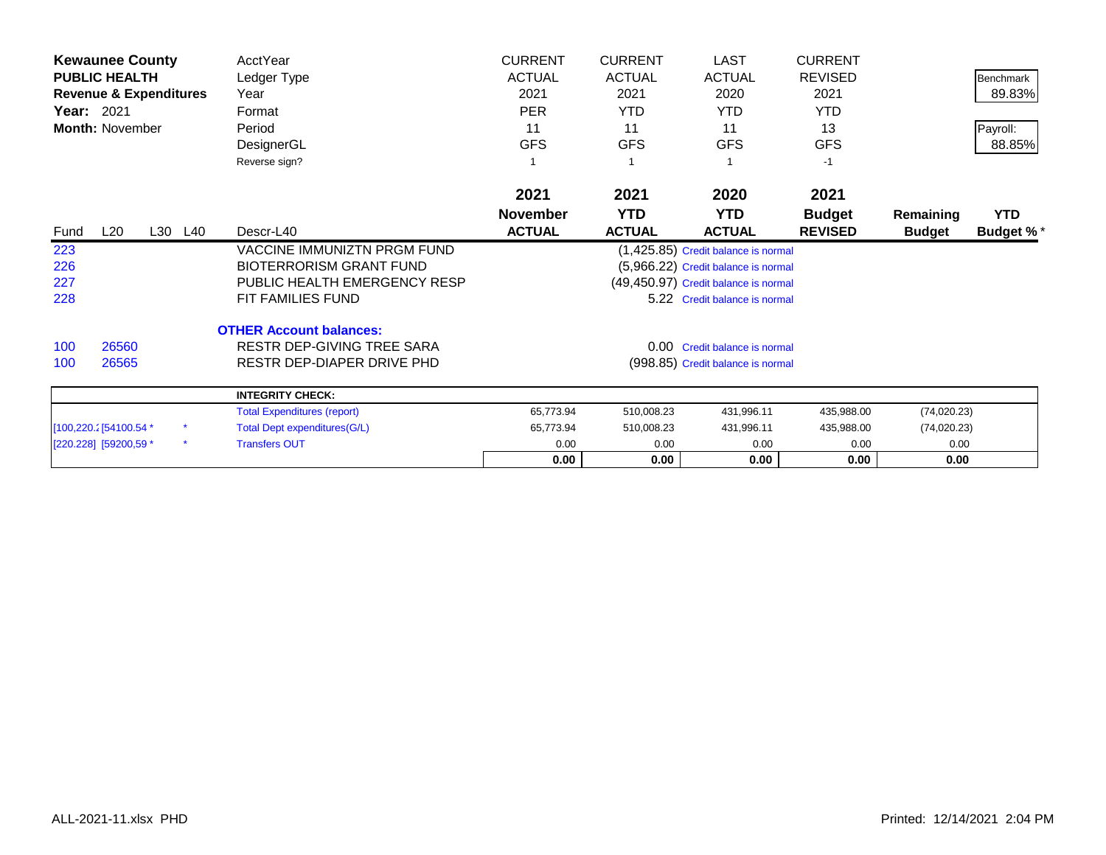|                        | <b>Kewaunee County</b>            |         | AcctYear                            | <b>CURRENT</b>  | <b>CURRENT</b> | <b>LAST</b>                          | <b>CURRENT</b> |               |                  |
|------------------------|-----------------------------------|---------|-------------------------------------|-----------------|----------------|--------------------------------------|----------------|---------------|------------------|
| <b>PUBLIC HEALTH</b>   |                                   |         | Ledger Type                         | <b>ACTUAL</b>   | <b>ACTUAL</b>  | <b>ACTUAL</b>                        | <b>REVISED</b> |               | <b>Benchmark</b> |
|                        | <b>Revenue &amp; Expenditures</b> |         | Year                                | 2021            | 2021           | 2020                                 | 2021           |               | 89.83%           |
| <b>Year: 2021</b>      |                                   |         | Format                              | <b>PER</b>      | <b>YTD</b>     | <b>YTD</b>                           | <b>YTD</b>     |               |                  |
|                        | <b>Month: November</b>            |         | Period                              | 11              | 11             | 11                                   | 13             |               | Payroll:         |
|                        |                                   |         | DesignerGL                          | <b>GFS</b>      | <b>GFS</b>     | <b>GFS</b>                           | <b>GFS</b>     |               | 88.85%           |
|                        |                                   |         | Reverse sign?                       |                 |                |                                      | $-1$           |               |                  |
|                        |                                   |         |                                     | 2021            | 2021           | 2020                                 | 2021           |               |                  |
|                        |                                   |         |                                     | <b>November</b> | <b>YTD</b>     | <b>YTD</b>                           | <b>Budget</b>  | Remaining     | <b>YTD</b>       |
| Fund                   | L20                               | L30 L40 | Descr-L40                           | <b>ACTUAL</b>   | <b>ACTUAL</b>  | <b>ACTUAL</b>                        | <b>REVISED</b> | <b>Budget</b> | <b>Budget %*</b> |
| 223                    |                                   |         | <b>VACCINE IMMUNIZTN PRGM FUND</b>  |                 |                | (1,425.85) Credit balance is normal  |                |               |                  |
| 226                    |                                   |         | <b>BIOTERRORISM GRANT FUND</b>      |                 |                | (5,966.22) Credit balance is normal  |                |               |                  |
| 227                    |                                   |         | PUBLIC HEALTH EMERGENCY RESP        |                 |                | (49,450.97) Credit balance is normal |                |               |                  |
| 228                    |                                   |         | FIT FAMILIES FUND                   |                 |                | 5.22 Credit balance is normal        |                |               |                  |
|                        |                                   |         | <b>OTHER Account balances:</b>      |                 |                |                                      |                |               |                  |
| 100                    | 26560                             |         | RESTR DEP-GIVING TREE SARA          |                 |                | 0.00 Credit balance is normal        |                |               |                  |
| 100                    | 26565                             |         | RESTR DEP-DIAPER DRIVE PHD          |                 |                | (998.85) Credit balance is normal    |                |               |                  |
|                        |                                   |         | <b>INTEGRITY CHECK:</b>             |                 |                |                                      |                |               |                  |
|                        |                                   |         | <b>Total Expenditures (report)</b>  | 65,773.94       | 510,008.23     | 431,996.11                           | 435,988.00     | (74, 020.23)  |                  |
| [100,220.2] 54100.54 * |                                   |         | <b>Total Dept expenditures(G/L)</b> | 65,773.94       | 510,008.23     | 431,996.11                           | 435,988.00     | (74,020.23)   |                  |
| [220.228] [59200,59 *  |                                   |         | <b>Transfers OUT</b>                | 0.00            | 0.00           | 0.00                                 | 0.00           | 0.00          |                  |

**0.00 0.00 0.00 0.00 0.00**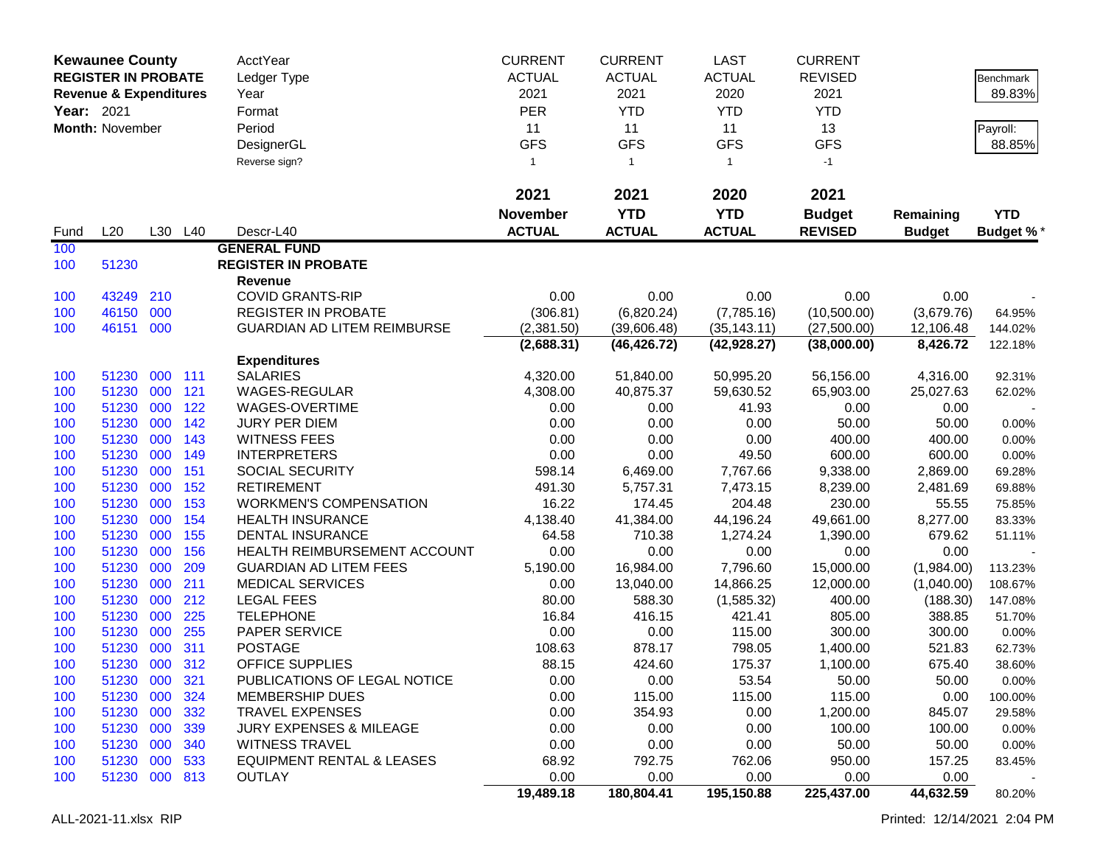| <b>Kewaunee County</b> |                                   |            | <b>AcctYear</b> | <b>CURRENT</b>                         | <b>CURRENT</b>  | <b>LAST</b>    | <b>CURRENT</b> |                |               |                |
|------------------------|-----------------------------------|------------|-----------------|----------------------------------------|-----------------|----------------|----------------|----------------|---------------|----------------|
|                        | <b>REGISTER IN PROBATE</b>        |            |                 | Ledger Type                            | <b>ACTUAL</b>   | <b>ACTUAL</b>  | <b>ACTUAL</b>  | <b>REVISED</b> |               | Benchmark      |
|                        | <b>Revenue &amp; Expenditures</b> |            |                 | Year                                   | 2021            | 2021           | 2020           | 2021           |               | 89.83%         |
| Year: 2021             |                                   |            |                 | Format                                 | <b>PER</b>      | <b>YTD</b>     | <b>YTD</b>     | <b>YTD</b>     |               |                |
|                        | Month: November                   |            |                 | Period                                 | 11              | 11             | 11             | 13             |               | Payroll:       |
|                        |                                   |            |                 | DesignerGL                             | <b>GFS</b>      | <b>GFS</b>     | <b>GFS</b>     | <b>GFS</b>     |               | 88.85%         |
|                        |                                   |            |                 | Reverse sign?                          | $\mathbf{1}$    | $\overline{1}$ | $\mathbf{1}$   | $-1$           |               |                |
|                        |                                   |            |                 |                                        | 2021            | 2021           | 2020           | 2021           |               |                |
|                        |                                   |            |                 |                                        | <b>November</b> | <b>YTD</b>     | <b>YTD</b>     | <b>Budget</b>  | Remaining     | <b>YTD</b>     |
| Fund                   | L20                               |            | L30 L40         | Descr-L40                              | <b>ACTUAL</b>   | <b>ACTUAL</b>  | <b>ACTUAL</b>  | <b>REVISED</b> | <b>Budget</b> | Budget %*      |
| 100                    |                                   |            |                 | <b>GENERAL FUND</b>                    |                 |                |                |                |               |                |
| 100                    | 51230                             |            |                 | <b>REGISTER IN PROBATE</b>             |                 |                |                |                |               |                |
|                        |                                   |            |                 | Revenue                                |                 |                |                |                |               |                |
| 100                    | 43249                             | 210        |                 | <b>COVID GRANTS-RIP</b>                | 0.00            | 0.00           | 0.00           | 0.00           | 0.00          |                |
| 100                    | 46150                             | 000        |                 | <b>REGISTER IN PROBATE</b>             | (306.81)        | (6,820.24)     | (7,785.16)     | (10,500.00)    | (3,679.76)    | 64.95%         |
| 100                    | 46151 000                         |            |                 | <b>GUARDIAN AD LITEM REIMBURSE</b>     | (2,381.50)      | (39,606.48)    | (35, 143.11)   | (27,500.00)    | 12,106.48     | 144.02%        |
|                        |                                   |            |                 |                                        | (2,688.31)      | (46, 426.72)   | (42, 928.27)   | (38,000.00)    | 8,426.72      | 122.18%        |
|                        |                                   |            |                 | <b>Expenditures</b>                    |                 |                |                |                |               |                |
| 100                    | 51230                             | 000        | 111             | <b>SALARIES</b>                        | 4,320.00        | 51,840.00      | 50,995.20      | 56,156.00      | 4,316.00      | 92.31%         |
| 100                    | 51230                             | 000        | 121             | <b>WAGES-REGULAR</b>                   | 4,308.00        | 40,875.37      | 59,630.52      | 65,903.00      | 25,027.63     | 62.02%         |
| 100<br>100             | 51230<br>51230                    | 000<br>000 | 122<br>142      | WAGES-OVERTIME<br><b>JURY PER DIEM</b> | 0.00<br>0.00    | 0.00<br>0.00   | 41.93<br>0.00  | 0.00<br>50.00  | 0.00<br>50.00 |                |
| 100                    | 51230                             | 000        | 143             | <b>WITNESS FEES</b>                    | 0.00            | 0.00           | 0.00           | 400.00         | 400.00        | 0.00%<br>0.00% |
| 100                    | 51230                             | 000        | 149             | <b>INTERPRETERS</b>                    | 0.00            | 0.00           | 49.50          | 600.00         | 600.00        | 0.00%          |
| 100                    | 51230                             | 000        | 151             | SOCIAL SECURITY                        | 598.14          | 6,469.00       | 7,767.66       | 9,338.00       | 2,869.00      | 69.28%         |
| 100                    | 51230                             | 000        | 152             | <b>RETIREMENT</b>                      | 491.30          | 5,757.31       | 7,473.15       | 8,239.00       | 2,481.69      | 69.88%         |
| 100                    | 51230                             | 000        | 153             | <b>WORKMEN'S COMPENSATION</b>          | 16.22           | 174.45         | 204.48         | 230.00         | 55.55         | 75.85%         |
| 100                    | 51230                             | 000        | 154             | <b>HEALTH INSURANCE</b>                | 4,138.40        | 41,384.00      | 44,196.24      | 49,661.00      | 8,277.00      | 83.33%         |
| 100                    | 51230                             | 000        | 155             | <b>DENTAL INSURANCE</b>                | 64.58           | 710.38         | 1,274.24       | 1,390.00       | 679.62        | 51.11%         |
| 100                    | 51230                             | 000        | 156             | <b>HEALTH REIMBURSEMENT ACCOUNT</b>    | 0.00            | 0.00           | 0.00           | 0.00           | 0.00          |                |
| 100                    | 51230                             | 000        | 209             | <b>GUARDIAN AD LITEM FEES</b>          | 5,190.00        | 16,984.00      | 7,796.60       | 15,000.00      | (1,984.00)    | 113.23%        |
| 100                    | 51230                             | 000        | 211             | <b>MEDICAL SERVICES</b>                | 0.00            | 13,040.00      | 14,866.25      | 12,000.00      | (1,040.00)    | 108.67%        |
| 100                    | 51230                             | 000        | 212             | <b>LEGAL FEES</b>                      | 80.00           | 588.30         | (1,585.32)     | 400.00         | (188.30)      | 147.08%        |
| 100                    | 51230                             | 000        | 225             | <b>TELEPHONE</b>                       | 16.84           | 416.15         | 421.41         | 805.00         | 388.85        | 51.70%         |
| 100                    | 51230                             | 000        | 255             | PAPER SERVICE                          | 0.00            | 0.00           | 115.00         | 300.00         | 300.00        | 0.00%          |
| 100                    | 51230                             | 000        | 311             | <b>POSTAGE</b>                         | 108.63          | 878.17         | 798.05         | 1,400.00       | 521.83        | 62.73%         |
| 100                    | 51230 000 312                     |            |                 | <b>OFFICE SUPPLIES</b>                 | 88.15           | 424.60         | 175.37         | 1,100.00       | 675.40        | 38.60%         |
| 100                    | 51230 000                         |            | <b>321</b>      | PUBLICATIONS OF LEGAL NOTICE           | 0.00            | 0.00           | 53.54          | 50.00          | 50.00         | $0.00\%$       |
| 100                    | 51230                             | 000        | 324             | <b>MEMBERSHIP DUES</b>                 | 0.00            | 115.00         | 115.00         | 115.00         | 0.00          | 100.00%        |
| 100                    | 51230                             | 000        | 332             | <b>TRAVEL EXPENSES</b>                 | 0.00            | 354.93         | 0.00           | 1,200.00       | 845.07        | 29.58%         |
| 100                    | 51230 000                         |            | 339             | <b>JURY EXPENSES &amp; MILEAGE</b>     | 0.00            | 0.00           | 0.00           | 100.00         | 100.00        | 0.00%          |
| 100                    | 51230 000                         |            | 340             | <b>WITNESS TRAVEL</b>                  | 0.00            | 0.00           | 0.00           | 50.00          | 50.00         | 0.00%          |
| 100                    | 51230 000                         |            | 533             | <b>EQUIPMENT RENTAL &amp; LEASES</b>   | 68.92           | 792.75         | 762.06         | 950.00         | 157.25        | 83.45%         |
| 100                    | 51230 000 813                     |            |                 | <b>OUTLAY</b>                          | 0.00            | 0.00           | 0.00           | 0.00           | 0.00          |                |
|                        |                                   |            |                 |                                        | 19,489.18       | 180,804.41     | 195,150.88     | 225,437.00     | 44,632.59     | 80.20%         |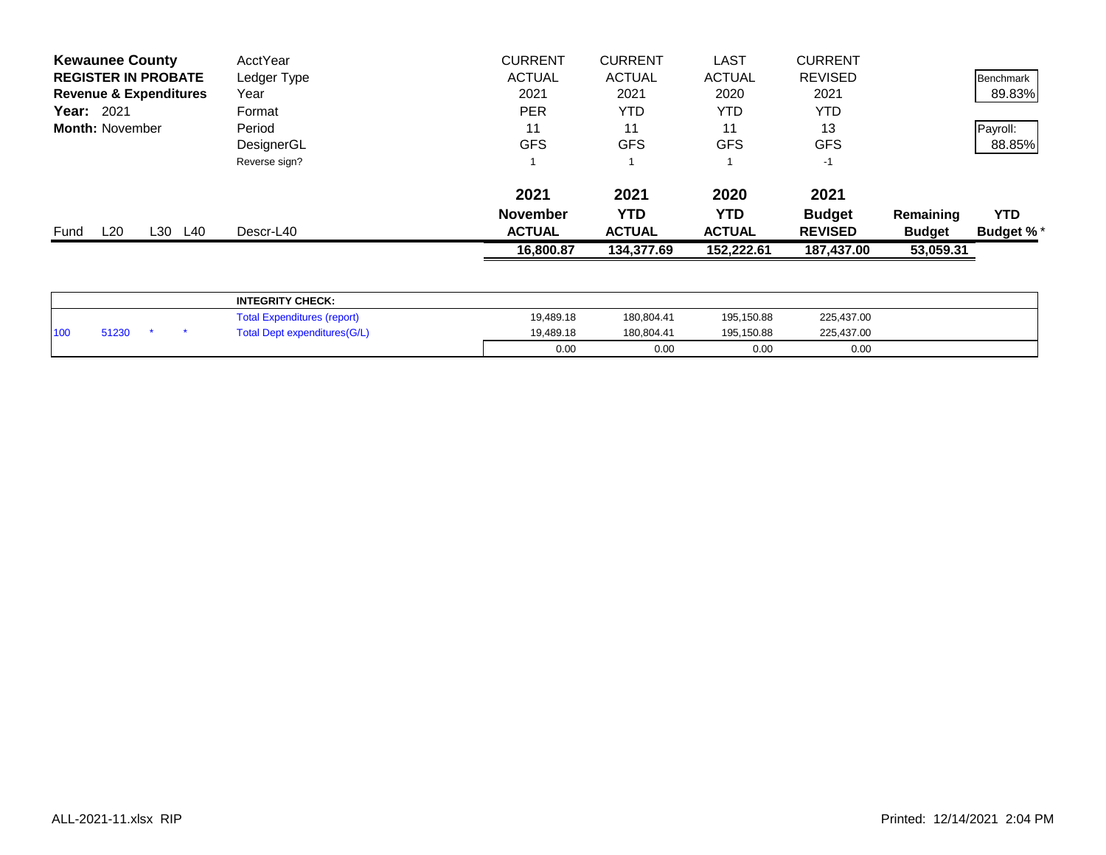| <b>Kewaunee County</b>            | AcctYear      | <b>CURRENT</b>  | <b>CURRENT</b> | <b>LAST</b>   | <b>CURRENT</b> |               |                  |
|-----------------------------------|---------------|-----------------|----------------|---------------|----------------|---------------|------------------|
| <b>REGISTER IN PROBATE</b>        | Ledger Type   | <b>ACTUAL</b>   | <b>ACTUAL</b>  | <b>ACTUAL</b> | <b>REVISED</b> |               | Benchmark        |
| <b>Revenue &amp; Expenditures</b> | Year          | 2021            | 2021           | 2020          | 2021           |               | 89.83%           |
| <b>Year: 2021</b>                 | Format        | <b>PER</b>      | YTD            | YTD           | <b>YTD</b>     |               |                  |
| <b>Month: November</b>            | Period        | 11              | 11             | 11            | 13             |               | Payroll:         |
|                                   | DesignerGL    | <b>GFS</b>      | <b>GFS</b>     | <b>GFS</b>    | <b>GFS</b>     |               | 88.85%           |
|                                   | Reverse sign? |                 |                |               | $-1$           |               |                  |
|                                   |               | 2021            | 2021           | 2020          | 2021           |               |                  |
|                                   |               | <b>November</b> | <b>YTD</b>     | YTD           | <b>Budget</b>  | Remaining     | <b>YTD</b>       |
| L20<br>L30<br>L40<br>Fund         | Descr-L40     | <b>ACTUAL</b>   | <b>ACTUAL</b>  | <b>ACTUAL</b> | <b>REVISED</b> | <b>Budget</b> | <b>Budget %*</b> |
|                                   |               | 16,800.87       | 134,377.69     | 152,222.61    | 187,437.00     | 53,059.31     |                  |
|                                   |               |                 |                |               |                |               |                  |

|                 |       |  | <b>INTEGRITY CHECK:</b>            |           |            |            |            |  |
|-----------------|-------|--|------------------------------------|-----------|------------|------------|------------|--|
|                 |       |  | <b>Total Expenditures (report)</b> | 19,489.18 | 180,804.41 | 195,150.88 | 225,437.00 |  |
| 10 <sub>0</sub> | 51230 |  | Total Dept expenditures(G/L)       | 19,489.18 | 180.804.41 | 195,150.88 | 225,437.00 |  |
|                 |       |  |                                    | 0.00      | 0.00       | 0.00       | 0.00       |  |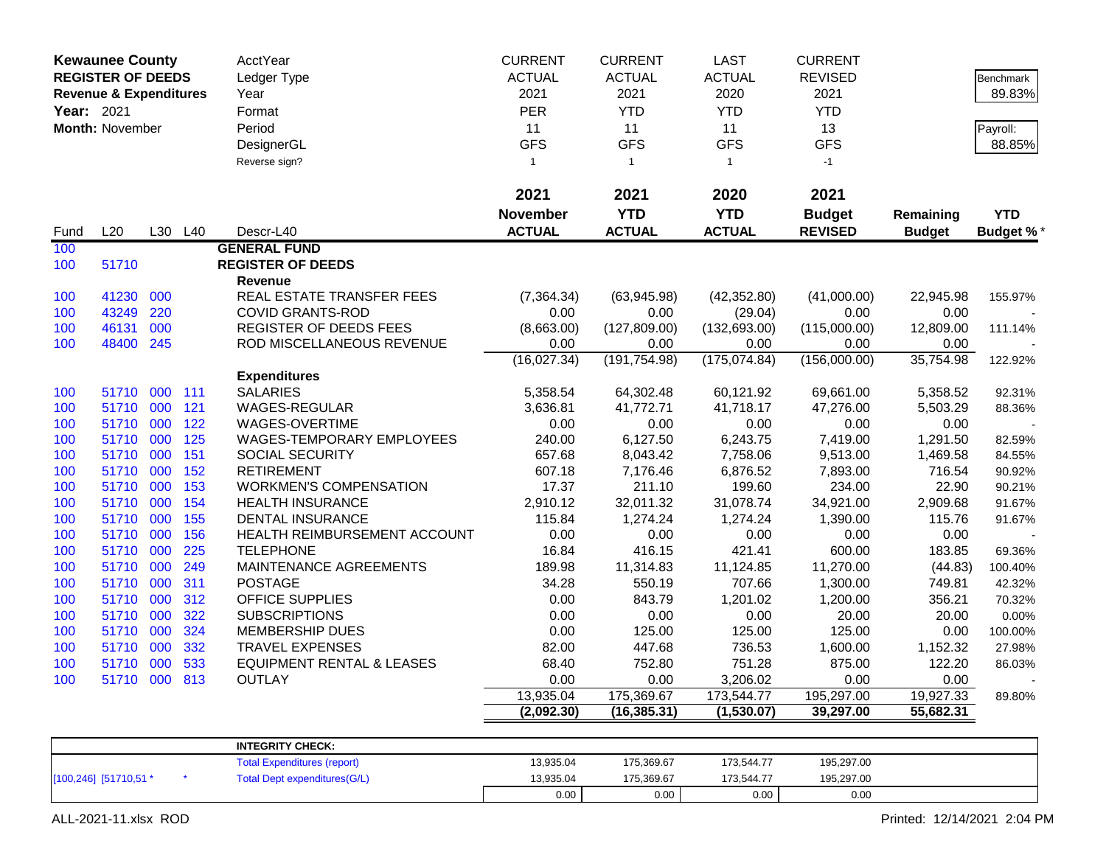| <b>Kewaunee County</b> |                                   |         | AcctYear | <b>CURRENT</b>                       | <b>CURRENT</b>  | <b>LAST</b>   | <b>CURRENT</b> |                |               |                  |
|------------------------|-----------------------------------|---------|----------|--------------------------------------|-----------------|---------------|----------------|----------------|---------------|------------------|
|                        | <b>REGISTER OF DEEDS</b>          |         |          | Ledger Type                          | <b>ACTUAL</b>   | <b>ACTUAL</b> | <b>ACTUAL</b>  | <b>REVISED</b> |               | <b>Benchmark</b> |
|                        | <b>Revenue &amp; Expenditures</b> |         |          | Year                                 | 2021            | 2021          | 2020           | 2021           |               | 89.83%           |
| Year: 2021             |                                   |         |          | Format                               | PER             | <b>YTD</b>    | <b>YTD</b>     | <b>YTD</b>     |               |                  |
|                        | <b>Month: November</b>            |         |          | Period                               | 11              | 11            | 11             | 13             |               | Payroll:         |
|                        |                                   |         |          | DesignerGL                           | <b>GFS</b>      | <b>GFS</b>    | <b>GFS</b>     | <b>GFS</b>     |               | 88.85%           |
|                        |                                   |         |          | Reverse sign?                        | $\mathbf{1}$    | $\mathbf{1}$  | $\mathbf{1}$   | $-1$           |               |                  |
|                        |                                   |         |          |                                      |                 |               |                |                |               |                  |
|                        |                                   |         |          |                                      | 2021            | 2021          | 2020           | 2021           |               |                  |
|                        |                                   |         |          |                                      | <b>November</b> | <b>YTD</b>    | <b>YTD</b>     | <b>Budget</b>  | Remaining     | <b>YTD</b>       |
| Fund                   | L20                               | L30 L40 |          | Descr-L40                            | <b>ACTUAL</b>   | <b>ACTUAL</b> | <b>ACTUAL</b>  | <b>REVISED</b> | <b>Budget</b> | <b>Budget %</b>  |
| 100                    |                                   |         |          | <b>GENERAL FUND</b>                  |                 |               |                |                |               |                  |
| 100                    | 51710                             |         |          | <b>REGISTER OF DEEDS</b>             |                 |               |                |                |               |                  |
|                        |                                   |         |          | Revenue                              |                 |               |                |                |               |                  |
| 100                    | 41230                             | 000     |          | REAL ESTATE TRANSFER FEES            | (7, 364.34)     | (63,945.98)   | (42, 352.80)   | (41,000.00)    | 22,945.98     | 155.97%          |
| 100                    | 43249                             | 220     |          | <b>COVID GRANTS-ROD</b>              | 0.00            | 0.00          | (29.04)        | 0.00           | 0.00          |                  |
| 100                    | 46131                             | 000     |          | REGISTER OF DEEDS FEES               | (8,663.00)      | (127, 809.00) | (132, 693.00)  | (115,000.00)   | 12,809.00     | 111.14%          |
| 100                    | 48400                             | 245     |          | ROD MISCELLANEOUS REVENUE            | 0.00            | 0.00          | 0.00           | 0.00           | 0.00          |                  |
|                        |                                   |         |          |                                      | (16,027.34)     | (191, 754.98) | (175, 074.84)  | (156,000.00)   | 35,754.98     | 122.92%          |
|                        |                                   |         |          | <b>Expenditures</b>                  |                 |               |                |                |               |                  |
| 100                    | 51710                             | 000     | 111      | <b>SALARIES</b>                      | 5,358.54        | 64,302.48     | 60,121.92      | 69,661.00      | 5,358.52      | 92.31%           |
| 100                    | 51710 000                         |         | 121      | WAGES-REGULAR                        | 3,636.81        | 41,772.71     | 41,718.17      | 47,276.00      | 5,503.29      | 88.36%           |
| 100                    | 51710 000                         |         | 122      | WAGES-OVERTIME                       | 0.00            | 0.00          | 0.00           | 0.00           | 0.00          |                  |
| 100                    | 51710 000                         |         | 125      | WAGES-TEMPORARY EMPLOYEES            | 240.00          | 6,127.50      | 6,243.75       | 7,419.00       | 1,291.50      | 82.59%           |
| 100                    | 51710 000                         |         | 151      | SOCIAL SECURITY                      | 657.68          | 8,043.42      | 7,758.06       | 9,513.00       | 1,469.58      | 84.55%           |
| 100                    | 51710                             | 000     | 152      | <b>RETIREMENT</b>                    | 607.18          | 7,176.46      | 6,876.52       | 7,893.00       | 716.54        | 90.92%           |
| 100                    | 51710 000                         |         | 153      | <b>WORKMEN'S COMPENSATION</b>        | 17.37           | 211.10        | 199.60         | 234.00         | 22.90         | 90.21%           |
| 100                    | 51710 000                         |         | 154      | <b>HEALTH INSURANCE</b>              | 2,910.12        | 32,011.32     | 31,078.74      | 34,921.00      | 2,909.68      | 91.67%           |
| 100                    | 51710                             | 000     | 155      | <b>DENTAL INSURANCE</b>              | 115.84          | 1,274.24      | 1,274.24       | 1,390.00       | 115.76        | 91.67%           |
| 100                    | 51710 000                         |         | 156      | HEALTH REIMBURSEMENT ACCOUNT         | 0.00            | 0.00          | 0.00           | 0.00           | 0.00          |                  |
| 100                    | 51710                             | 000     | 225      | <b>TELEPHONE</b>                     | 16.84           | 416.15        | 421.41         | 600.00         | 183.85        | 69.36%           |
| 100                    | 51710                             | 000     | 249      | MAINTENANCE AGREEMENTS               | 189.98          | 11,314.83     | 11,124.85      | 11,270.00      | (44.83)       | 100.40%          |
| 100                    | 51710 000                         |         | 311      | <b>POSTAGE</b>                       | 34.28           | 550.19        | 707.66         | 1,300.00       | 749.81        | 42.32%           |
| 100                    | 51710 000                         |         | 312      | OFFICE SUPPLIES                      | 0.00            | 843.79        | 1,201.02       | 1,200.00       | 356.21        | 70.32%           |
| 100                    | 51710 000                         |         | 322      | <b>SUBSCRIPTIONS</b>                 | 0.00            | 0.00          | 0.00           | 20.00          | 20.00         | 0.00%            |
| 100                    | 51710                             | 000     | 324      | <b>MEMBERSHIP DUES</b>               | 0.00            | 125.00        | 125.00         | 125.00         | 0.00          | 100.00%          |
| 100                    | 51710 000                         |         | 332      | <b>TRAVEL EXPENSES</b>               | 82.00           | 447.68        | 736.53         | 1,600.00       | 1,152.32      | 27.98%           |
| 100                    | 51710                             | 000     | 533      | <b>EQUIPMENT RENTAL &amp; LEASES</b> | 68.40           | 752.80        | 751.28         | 875.00         | 122.20        | 86.03%           |
| 100                    | 51710 000                         |         | 813      | <b>OUTLAY</b>                        | 0.00            | 0.00          | 3,206.02       | 0.00           | 0.00          |                  |
|                        |                                   |         |          |                                      | 13,935.04       | 175,369.67    | 173,544.77     | 195,297.00     | 19,927.33     | 89.80%           |
|                        |                                   |         |          |                                      | (2,092.30)      | (16, 385.31)  | (1,530.07)     | 39,297.00      | 55,682.31     |                  |
|                        |                                   |         |          |                                      |                 |               |                |                |               |                  |
|                        |                                   |         |          | <b>INTEGRITY CHECK:</b>              |                 |               |                |                |               |                  |
|                        |                                   |         |          | <b>Total Expenditures (report)</b>   | 13,935.04       | 175,369.67    | 173,544.77     | 195,297.00     |               |                  |

0.00 0.00 0.00 0.00

[100,246] [51710,51 \* \* Total Dept expenditures(G/L) 13,935.04 175,369.67 173,544.77 195,297.00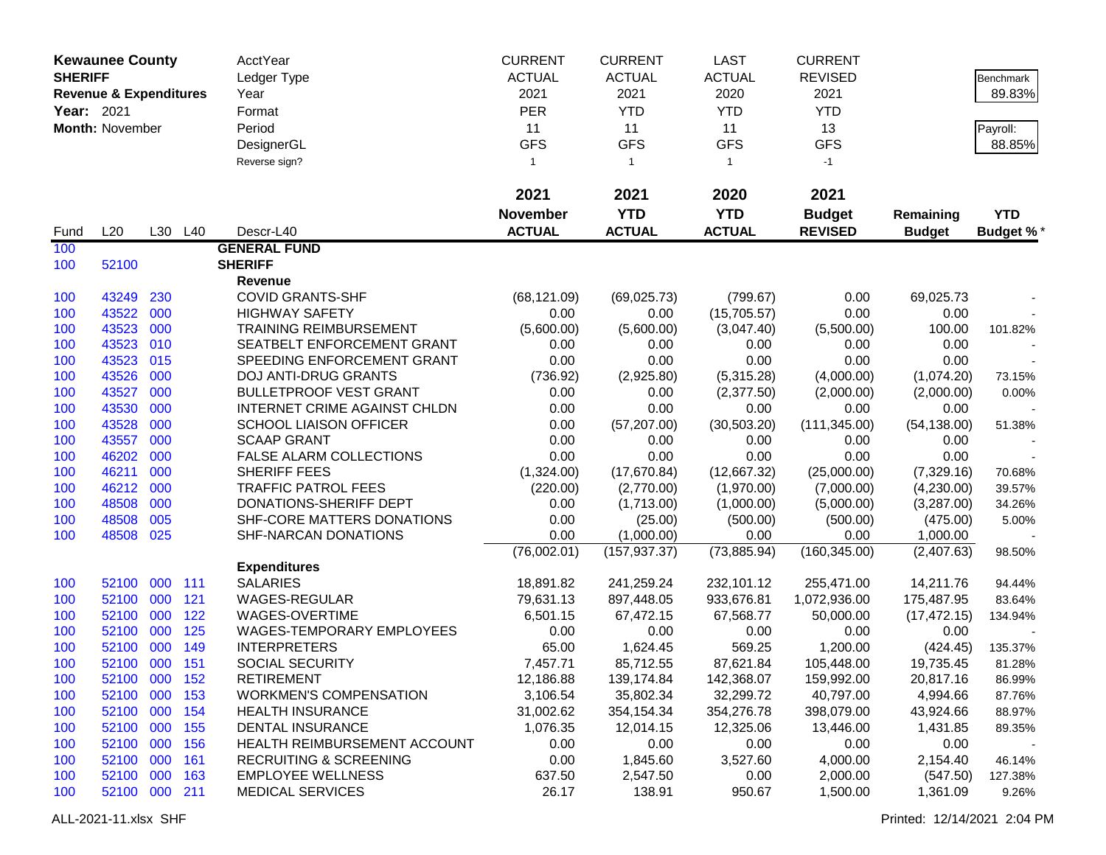| AcctYear<br><b>CURRENT</b><br><b>CURRENT</b><br>LAST<br><b>CURRENT</b><br><b>Kewaunee County</b><br><b>SHERIFF</b><br><b>ACTUAL</b><br><b>ACTUAL</b><br><b>ACTUAL</b><br><b>REVISED</b><br>Ledger Type<br><b>Benchmark</b><br>2021<br>2021<br>2020<br>2021<br>89.83%<br><b>Revenue &amp; Expenditures</b><br>Year<br><b>PER</b><br>Year: 2021<br><b>YTD</b><br><b>YTD</b><br><b>YTD</b><br>Format<br>Month: November<br>Period<br>11<br>11<br>11<br>13<br>Payroll:<br><b>GFS</b><br><b>GFS</b><br><b>GFS</b><br><b>GFS</b><br>88.85%<br>DesignerGL<br>Reverse sign?<br>$-1$<br>$\mathbf{1}$<br>$\overline{1}$<br>$\mathbf{1}$<br>2021<br>2021<br>2020<br>2021<br><b>YTD</b><br><b>YTD</b><br><b>Budget</b><br><b>November</b><br><b>YTD</b><br>Remaining<br><b>ACTUAL</b><br><b>ACTUAL</b><br><b>ACTUAL</b><br><b>REVISED</b><br>L20<br>L30 L40<br>Descr-L40<br><b>Budget</b><br><b>Budget %*</b><br>Fund<br>100<br><b>GENERAL FUND</b><br><b>SHERIFF</b><br>100<br>52100<br>Revenue<br>100<br>43249<br>230<br><b>COVID GRANTS-SHF</b><br>(68, 121.09)<br>(69,025.73)<br>(799.67)<br>0.00<br>69,025.73<br>43522<br>100<br>000<br><b>HIGHWAY SAFETY</b><br>0.00<br>0.00<br>(15,705.57)<br>0.00<br>0.00<br>43523<br>000<br><b>TRAINING REIMBURSEMENT</b><br>100<br>(5,600.00)<br>(5,600.00)<br>(5,500.00)<br>100.00<br>(3,047.40)<br>101.82%<br>43523<br>010<br>SEATBELT ENFORCEMENT GRANT<br>100<br>0.00<br>0.00<br>0.00<br>0.00<br>0.00<br>43523<br>015<br>0.00<br>0.00<br>0.00<br>100<br>SPEEDING ENFORCEMENT GRANT<br>0.00<br>0.00<br>43526<br>000<br>100<br><b>DOJ ANTI-DRUG GRANTS</b><br>(736.92)<br>(2,925.80)<br>(5,315.28)<br>(4,000.00)<br>(1,074.20)<br>73.15%<br>43527<br>000<br><b>BULLETPROOF VEST GRANT</b><br>100<br>0.00<br>0.00<br>(2,377.50)<br>(2,000.00)<br>(2,000.00)<br>0.00%<br>43530<br>000<br>INTERNET CRIME AGAINST CHLDN<br>0.00<br>0.00<br>0.00<br>0.00<br>0.00<br>100<br>43528<br>000<br><b>SCHOOL LIAISON OFFICER</b><br>0.00<br>(57, 207.00)<br>(30, 503.20)<br>(111, 345.00)<br>(54, 138.00)<br>100<br>51.38%<br>43557<br>000<br><b>SCAAP GRANT</b><br>0.00<br>0.00<br>0.00<br>0.00<br>0.00<br>100<br>46202<br>000<br>FALSE ALARM COLLECTIONS<br>0.00<br>0.00<br>0.00<br>0.00<br>0.00<br>100<br>46211<br>000<br>SHERIFF FEES<br>(1,324.00)<br>(12,667.32)<br>100<br>(17,670.84)<br>(25,000.00)<br>(7,329.16)<br>70.68%<br>46212<br>000<br><b>TRAFFIC PATROL FEES</b><br>100<br>(220.00)<br>(7,000.00)<br>39.57%<br>(2,770.00)<br>(1,970.00)<br>(4,230.00)<br>48508<br>000<br>100<br>DONATIONS-SHERIFF DEPT<br>0.00<br>(1,713.00)<br>(1,000.00)<br>(5,000.00)<br>(3,287.00)<br>34.26%<br>48508<br>005<br>100<br>SHF-CORE MATTERS DONATIONS<br>0.00<br>(500.00)<br>(500.00)<br>(25.00)<br>(475.00)<br>5.00%<br>100<br>48508<br>025<br>SHF-NARCAN DONATIONS<br>0.00<br>(1,000.00)<br>0.00<br>0.00<br>1,000.00<br>(76,002.01)<br>(73,885.94)<br>(160, 345.00)<br>(157, 937.37)<br>(2,407.63)<br>98.50%<br><b>Expenditures</b><br><b>SALARIES</b><br>52100<br>000<br>111<br>18,891.82<br>241,259.24<br>232,101.12<br>255,471.00<br>14,211.76<br>100 |
|--------------------------------------------------------------------------------------------------------------------------------------------------------------------------------------------------------------------------------------------------------------------------------------------------------------------------------------------------------------------------------------------------------------------------------------------------------------------------------------------------------------------------------------------------------------------------------------------------------------------------------------------------------------------------------------------------------------------------------------------------------------------------------------------------------------------------------------------------------------------------------------------------------------------------------------------------------------------------------------------------------------------------------------------------------------------------------------------------------------------------------------------------------------------------------------------------------------------------------------------------------------------------------------------------------------------------------------------------------------------------------------------------------------------------------------------------------------------------------------------------------------------------------------------------------------------------------------------------------------------------------------------------------------------------------------------------------------------------------------------------------------------------------------------------------------------------------------------------------------------------------------------------------------------------------------------------------------------------------------------------------------------------------------------------------------------------------------------------------------------------------------------------------------------------------------------------------------------------------------------------------------------------------------------------------------------------------------------------------------------------------------------------------------------------------------------------------------------------------------------------------------------------------------------------------------------------------------------------------------------------------------------------------------------------------------------------------------------------------------------------------------------------------------------------------------------------------------------------------------------------------------------------------------------------------------------------------------------------------------------------------------------------------------------------------------------------------|
|                                                                                                                                                                                                                                                                                                                                                                                                                                                                                                                                                                                                                                                                                                                                                                                                                                                                                                                                                                                                                                                                                                                                                                                                                                                                                                                                                                                                                                                                                                                                                                                                                                                                                                                                                                                                                                                                                                                                                                                                                                                                                                                                                                                                                                                                                                                                                                                                                                                                                                                                                                                                                                                                                                                                                                                                                                                                                                                                                                                                                                                                                |
|                                                                                                                                                                                                                                                                                                                                                                                                                                                                                                                                                                                                                                                                                                                                                                                                                                                                                                                                                                                                                                                                                                                                                                                                                                                                                                                                                                                                                                                                                                                                                                                                                                                                                                                                                                                                                                                                                                                                                                                                                                                                                                                                                                                                                                                                                                                                                                                                                                                                                                                                                                                                                                                                                                                                                                                                                                                                                                                                                                                                                                                                                |
|                                                                                                                                                                                                                                                                                                                                                                                                                                                                                                                                                                                                                                                                                                                                                                                                                                                                                                                                                                                                                                                                                                                                                                                                                                                                                                                                                                                                                                                                                                                                                                                                                                                                                                                                                                                                                                                                                                                                                                                                                                                                                                                                                                                                                                                                                                                                                                                                                                                                                                                                                                                                                                                                                                                                                                                                                                                                                                                                                                                                                                                                                |
|                                                                                                                                                                                                                                                                                                                                                                                                                                                                                                                                                                                                                                                                                                                                                                                                                                                                                                                                                                                                                                                                                                                                                                                                                                                                                                                                                                                                                                                                                                                                                                                                                                                                                                                                                                                                                                                                                                                                                                                                                                                                                                                                                                                                                                                                                                                                                                                                                                                                                                                                                                                                                                                                                                                                                                                                                                                                                                                                                                                                                                                                                |
|                                                                                                                                                                                                                                                                                                                                                                                                                                                                                                                                                                                                                                                                                                                                                                                                                                                                                                                                                                                                                                                                                                                                                                                                                                                                                                                                                                                                                                                                                                                                                                                                                                                                                                                                                                                                                                                                                                                                                                                                                                                                                                                                                                                                                                                                                                                                                                                                                                                                                                                                                                                                                                                                                                                                                                                                                                                                                                                                                                                                                                                                                |
|                                                                                                                                                                                                                                                                                                                                                                                                                                                                                                                                                                                                                                                                                                                                                                                                                                                                                                                                                                                                                                                                                                                                                                                                                                                                                                                                                                                                                                                                                                                                                                                                                                                                                                                                                                                                                                                                                                                                                                                                                                                                                                                                                                                                                                                                                                                                                                                                                                                                                                                                                                                                                                                                                                                                                                                                                                                                                                                                                                                                                                                                                |
|                                                                                                                                                                                                                                                                                                                                                                                                                                                                                                                                                                                                                                                                                                                                                                                                                                                                                                                                                                                                                                                                                                                                                                                                                                                                                                                                                                                                                                                                                                                                                                                                                                                                                                                                                                                                                                                                                                                                                                                                                                                                                                                                                                                                                                                                                                                                                                                                                                                                                                                                                                                                                                                                                                                                                                                                                                                                                                                                                                                                                                                                                |
|                                                                                                                                                                                                                                                                                                                                                                                                                                                                                                                                                                                                                                                                                                                                                                                                                                                                                                                                                                                                                                                                                                                                                                                                                                                                                                                                                                                                                                                                                                                                                                                                                                                                                                                                                                                                                                                                                                                                                                                                                                                                                                                                                                                                                                                                                                                                                                                                                                                                                                                                                                                                                                                                                                                                                                                                                                                                                                                                                                                                                                                                                |
|                                                                                                                                                                                                                                                                                                                                                                                                                                                                                                                                                                                                                                                                                                                                                                                                                                                                                                                                                                                                                                                                                                                                                                                                                                                                                                                                                                                                                                                                                                                                                                                                                                                                                                                                                                                                                                                                                                                                                                                                                                                                                                                                                                                                                                                                                                                                                                                                                                                                                                                                                                                                                                                                                                                                                                                                                                                                                                                                                                                                                                                                                |
|                                                                                                                                                                                                                                                                                                                                                                                                                                                                                                                                                                                                                                                                                                                                                                                                                                                                                                                                                                                                                                                                                                                                                                                                                                                                                                                                                                                                                                                                                                                                                                                                                                                                                                                                                                                                                                                                                                                                                                                                                                                                                                                                                                                                                                                                                                                                                                                                                                                                                                                                                                                                                                                                                                                                                                                                                                                                                                                                                                                                                                                                                |
|                                                                                                                                                                                                                                                                                                                                                                                                                                                                                                                                                                                                                                                                                                                                                                                                                                                                                                                                                                                                                                                                                                                                                                                                                                                                                                                                                                                                                                                                                                                                                                                                                                                                                                                                                                                                                                                                                                                                                                                                                                                                                                                                                                                                                                                                                                                                                                                                                                                                                                                                                                                                                                                                                                                                                                                                                                                                                                                                                                                                                                                                                |
|                                                                                                                                                                                                                                                                                                                                                                                                                                                                                                                                                                                                                                                                                                                                                                                                                                                                                                                                                                                                                                                                                                                                                                                                                                                                                                                                                                                                                                                                                                                                                                                                                                                                                                                                                                                                                                                                                                                                                                                                                                                                                                                                                                                                                                                                                                                                                                                                                                                                                                                                                                                                                                                                                                                                                                                                                                                                                                                                                                                                                                                                                |
|                                                                                                                                                                                                                                                                                                                                                                                                                                                                                                                                                                                                                                                                                                                                                                                                                                                                                                                                                                                                                                                                                                                                                                                                                                                                                                                                                                                                                                                                                                                                                                                                                                                                                                                                                                                                                                                                                                                                                                                                                                                                                                                                                                                                                                                                                                                                                                                                                                                                                                                                                                                                                                                                                                                                                                                                                                                                                                                                                                                                                                                                                |
|                                                                                                                                                                                                                                                                                                                                                                                                                                                                                                                                                                                                                                                                                                                                                                                                                                                                                                                                                                                                                                                                                                                                                                                                                                                                                                                                                                                                                                                                                                                                                                                                                                                                                                                                                                                                                                                                                                                                                                                                                                                                                                                                                                                                                                                                                                                                                                                                                                                                                                                                                                                                                                                                                                                                                                                                                                                                                                                                                                                                                                                                                |
|                                                                                                                                                                                                                                                                                                                                                                                                                                                                                                                                                                                                                                                                                                                                                                                                                                                                                                                                                                                                                                                                                                                                                                                                                                                                                                                                                                                                                                                                                                                                                                                                                                                                                                                                                                                                                                                                                                                                                                                                                                                                                                                                                                                                                                                                                                                                                                                                                                                                                                                                                                                                                                                                                                                                                                                                                                                                                                                                                                                                                                                                                |
|                                                                                                                                                                                                                                                                                                                                                                                                                                                                                                                                                                                                                                                                                                                                                                                                                                                                                                                                                                                                                                                                                                                                                                                                                                                                                                                                                                                                                                                                                                                                                                                                                                                                                                                                                                                                                                                                                                                                                                                                                                                                                                                                                                                                                                                                                                                                                                                                                                                                                                                                                                                                                                                                                                                                                                                                                                                                                                                                                                                                                                                                                |
|                                                                                                                                                                                                                                                                                                                                                                                                                                                                                                                                                                                                                                                                                                                                                                                                                                                                                                                                                                                                                                                                                                                                                                                                                                                                                                                                                                                                                                                                                                                                                                                                                                                                                                                                                                                                                                                                                                                                                                                                                                                                                                                                                                                                                                                                                                                                                                                                                                                                                                                                                                                                                                                                                                                                                                                                                                                                                                                                                                                                                                                                                |
|                                                                                                                                                                                                                                                                                                                                                                                                                                                                                                                                                                                                                                                                                                                                                                                                                                                                                                                                                                                                                                                                                                                                                                                                                                                                                                                                                                                                                                                                                                                                                                                                                                                                                                                                                                                                                                                                                                                                                                                                                                                                                                                                                                                                                                                                                                                                                                                                                                                                                                                                                                                                                                                                                                                                                                                                                                                                                                                                                                                                                                                                                |
|                                                                                                                                                                                                                                                                                                                                                                                                                                                                                                                                                                                                                                                                                                                                                                                                                                                                                                                                                                                                                                                                                                                                                                                                                                                                                                                                                                                                                                                                                                                                                                                                                                                                                                                                                                                                                                                                                                                                                                                                                                                                                                                                                                                                                                                                                                                                                                                                                                                                                                                                                                                                                                                                                                                                                                                                                                                                                                                                                                                                                                                                                |
|                                                                                                                                                                                                                                                                                                                                                                                                                                                                                                                                                                                                                                                                                                                                                                                                                                                                                                                                                                                                                                                                                                                                                                                                                                                                                                                                                                                                                                                                                                                                                                                                                                                                                                                                                                                                                                                                                                                                                                                                                                                                                                                                                                                                                                                                                                                                                                                                                                                                                                                                                                                                                                                                                                                                                                                                                                                                                                                                                                                                                                                                                |
|                                                                                                                                                                                                                                                                                                                                                                                                                                                                                                                                                                                                                                                                                                                                                                                                                                                                                                                                                                                                                                                                                                                                                                                                                                                                                                                                                                                                                                                                                                                                                                                                                                                                                                                                                                                                                                                                                                                                                                                                                                                                                                                                                                                                                                                                                                                                                                                                                                                                                                                                                                                                                                                                                                                                                                                                                                                                                                                                                                                                                                                                                |
|                                                                                                                                                                                                                                                                                                                                                                                                                                                                                                                                                                                                                                                                                                                                                                                                                                                                                                                                                                                                                                                                                                                                                                                                                                                                                                                                                                                                                                                                                                                                                                                                                                                                                                                                                                                                                                                                                                                                                                                                                                                                                                                                                                                                                                                                                                                                                                                                                                                                                                                                                                                                                                                                                                                                                                                                                                                                                                                                                                                                                                                                                |
|                                                                                                                                                                                                                                                                                                                                                                                                                                                                                                                                                                                                                                                                                                                                                                                                                                                                                                                                                                                                                                                                                                                                                                                                                                                                                                                                                                                                                                                                                                                                                                                                                                                                                                                                                                                                                                                                                                                                                                                                                                                                                                                                                                                                                                                                                                                                                                                                                                                                                                                                                                                                                                                                                                                                                                                                                                                                                                                                                                                                                                                                                |
|                                                                                                                                                                                                                                                                                                                                                                                                                                                                                                                                                                                                                                                                                                                                                                                                                                                                                                                                                                                                                                                                                                                                                                                                                                                                                                                                                                                                                                                                                                                                                                                                                                                                                                                                                                                                                                                                                                                                                                                                                                                                                                                                                                                                                                                                                                                                                                                                                                                                                                                                                                                                                                                                                                                                                                                                                                                                                                                                                                                                                                                                                |
|                                                                                                                                                                                                                                                                                                                                                                                                                                                                                                                                                                                                                                                                                                                                                                                                                                                                                                                                                                                                                                                                                                                                                                                                                                                                                                                                                                                                                                                                                                                                                                                                                                                                                                                                                                                                                                                                                                                                                                                                                                                                                                                                                                                                                                                                                                                                                                                                                                                                                                                                                                                                                                                                                                                                                                                                                                                                                                                                                                                                                                                                                |
|                                                                                                                                                                                                                                                                                                                                                                                                                                                                                                                                                                                                                                                                                                                                                                                                                                                                                                                                                                                                                                                                                                                                                                                                                                                                                                                                                                                                                                                                                                                                                                                                                                                                                                                                                                                                                                                                                                                                                                                                                                                                                                                                                                                                                                                                                                                                                                                                                                                                                                                                                                                                                                                                                                                                                                                                                                                                                                                                                                                                                                                                                |
|                                                                                                                                                                                                                                                                                                                                                                                                                                                                                                                                                                                                                                                                                                                                                                                                                                                                                                                                                                                                                                                                                                                                                                                                                                                                                                                                                                                                                                                                                                                                                                                                                                                                                                                                                                                                                                                                                                                                                                                                                                                                                                                                                                                                                                                                                                                                                                                                                                                                                                                                                                                                                                                                                                                                                                                                                                                                                                                                                                                                                                                                                |
|                                                                                                                                                                                                                                                                                                                                                                                                                                                                                                                                                                                                                                                                                                                                                                                                                                                                                                                                                                                                                                                                                                                                                                                                                                                                                                                                                                                                                                                                                                                                                                                                                                                                                                                                                                                                                                                                                                                                                                                                                                                                                                                                                                                                                                                                                                                                                                                                                                                                                                                                                                                                                                                                                                                                                                                                                                                                                                                                                                                                                                                                                |
|                                                                                                                                                                                                                                                                                                                                                                                                                                                                                                                                                                                                                                                                                                                                                                                                                                                                                                                                                                                                                                                                                                                                                                                                                                                                                                                                                                                                                                                                                                                                                                                                                                                                                                                                                                                                                                                                                                                                                                                                                                                                                                                                                                                                                                                                                                                                                                                                                                                                                                                                                                                                                                                                                                                                                                                                                                                                                                                                                                                                                                                                                |
|                                                                                                                                                                                                                                                                                                                                                                                                                                                                                                                                                                                                                                                                                                                                                                                                                                                                                                                                                                                                                                                                                                                                                                                                                                                                                                                                                                                                                                                                                                                                                                                                                                                                                                                                                                                                                                                                                                                                                                                                                                                                                                                                                                                                                                                                                                                                                                                                                                                                                                                                                                                                                                                                                                                                                                                                                                                                                                                                                                                                                                                                                |
|                                                                                                                                                                                                                                                                                                                                                                                                                                                                                                                                                                                                                                                                                                                                                                                                                                                                                                                                                                                                                                                                                                                                                                                                                                                                                                                                                                                                                                                                                                                                                                                                                                                                                                                                                                                                                                                                                                                                                                                                                                                                                                                                                                                                                                                                                                                                                                                                                                                                                                                                                                                                                                                                                                                                                                                                                                                                                                                                                                                                                                                                                |
| 94.44%<br>52100                                                                                                                                                                                                                                                                                                                                                                                                                                                                                                                                                                                                                                                                                                                                                                                                                                                                                                                                                                                                                                                                                                                                                                                                                                                                                                                                                                                                                                                                                                                                                                                                                                                                                                                                                                                                                                                                                                                                                                                                                                                                                                                                                                                                                                                                                                                                                                                                                                                                                                                                                                                                                                                                                                                                                                                                                                                                                                                                                                                                                                                                |
| 121<br>000<br>WAGES-REGULAR<br>79,631.13<br>897,448.05<br>933,676.81<br>1,072,936.00<br>100<br>175,487.95<br>83.64%<br>122<br>52100 000<br>WAGES-OVERTIME<br>6,501.15<br>67,472.15<br>67,568.77<br>50,000.00<br>100<br>(17, 472.15)                                                                                                                                                                                                                                                                                                                                                                                                                                                                                                                                                                                                                                                                                                                                                                                                                                                                                                                                                                                                                                                                                                                                                                                                                                                                                                                                                                                                                                                                                                                                                                                                                                                                                                                                                                                                                                                                                                                                                                                                                                                                                                                                                                                                                                                                                                                                                                                                                                                                                                                                                                                                                                                                                                                                                                                                                                            |
| 134.94%<br>125<br>100<br>52100 000<br>WAGES-TEMPORARY EMPLOYEES<br>0.00<br>0.00<br>0.00<br>0.00<br>0.00                                                                                                                                                                                                                                                                                                                                                                                                                                                                                                                                                                                                                                                                                                                                                                                                                                                                                                                                                                                                                                                                                                                                                                                                                                                                                                                                                                                                                                                                                                                                                                                                                                                                                                                                                                                                                                                                                                                                                                                                                                                                                                                                                                                                                                                                                                                                                                                                                                                                                                                                                                                                                                                                                                                                                                                                                                                                                                                                                                        |
| 100<br>52100 000<br>149<br><b>INTERPRETERS</b><br>65.00<br>1,624.45<br>569.25<br>1,200.00<br>(424.45)<br>135.37%                                                                                                                                                                                                                                                                                                                                                                                                                                                                                                                                                                                                                                                                                                                                                                                                                                                                                                                                                                                                                                                                                                                                                                                                                                                                                                                                                                                                                                                                                                                                                                                                                                                                                                                                                                                                                                                                                                                                                                                                                                                                                                                                                                                                                                                                                                                                                                                                                                                                                                                                                                                                                                                                                                                                                                                                                                                                                                                                                               |
| 52100 000 151<br>100<br>SOCIAL SECURITY<br>87,621.84<br>7,457.71<br>85,712.55<br>105,448.00<br>19,735.45<br>81.28%                                                                                                                                                                                                                                                                                                                                                                                                                                                                                                                                                                                                                                                                                                                                                                                                                                                                                                                                                                                                                                                                                                                                                                                                                                                                                                                                                                                                                                                                                                                                                                                                                                                                                                                                                                                                                                                                                                                                                                                                                                                                                                                                                                                                                                                                                                                                                                                                                                                                                                                                                                                                                                                                                                                                                                                                                                                                                                                                                             |
| 52100 000 152<br><b>RETIREMENT</b><br>12,186.88<br>139,174.84<br>142,368.07<br>100<br>159,992.00<br>20,817.16<br>86.99%                                                                                                                                                                                                                                                                                                                                                                                                                                                                                                                                                                                                                                                                                                                                                                                                                                                                                                                                                                                                                                                                                                                                                                                                                                                                                                                                                                                                                                                                                                                                                                                                                                                                                                                                                                                                                                                                                                                                                                                                                                                                                                                                                                                                                                                                                                                                                                                                                                                                                                                                                                                                                                                                                                                                                                                                                                                                                                                                                        |
| 52100 000 153<br><b>WORKMEN'S COMPENSATION</b><br>3,106.54<br>35,802.34<br>32,299.72<br>40,797.00<br>4,994.66<br>100<br>87.76%                                                                                                                                                                                                                                                                                                                                                                                                                                                                                                                                                                                                                                                                                                                                                                                                                                                                                                                                                                                                                                                                                                                                                                                                                                                                                                                                                                                                                                                                                                                                                                                                                                                                                                                                                                                                                                                                                                                                                                                                                                                                                                                                                                                                                                                                                                                                                                                                                                                                                                                                                                                                                                                                                                                                                                                                                                                                                                                                                 |
| 52100 000 154<br>354,154.34<br>354,276.78<br><b>HEALTH INSURANCE</b><br>31,002.62<br>398,079.00<br>43,924.66<br>100<br>88.97%                                                                                                                                                                                                                                                                                                                                                                                                                                                                                                                                                                                                                                                                                                                                                                                                                                                                                                                                                                                                                                                                                                                                                                                                                                                                                                                                                                                                                                                                                                                                                                                                                                                                                                                                                                                                                                                                                                                                                                                                                                                                                                                                                                                                                                                                                                                                                                                                                                                                                                                                                                                                                                                                                                                                                                                                                                                                                                                                                  |
| 52100 000<br><b>DENTAL INSURANCE</b><br>12,325.06<br>155<br>1,076.35<br>12,014.15<br>13,446.00<br>1,431.85<br>100<br>89.35%                                                                                                                                                                                                                                                                                                                                                                                                                                                                                                                                                                                                                                                                                                                                                                                                                                                                                                                                                                                                                                                                                                                                                                                                                                                                                                                                                                                                                                                                                                                                                                                                                                                                                                                                                                                                                                                                                                                                                                                                                                                                                                                                                                                                                                                                                                                                                                                                                                                                                                                                                                                                                                                                                                                                                                                                                                                                                                                                                    |
| 52100 000<br>156<br>0.00<br>0.00<br>0.00<br>HEALTH REIMBURSEMENT ACCOUNT<br>0.00<br>0.00<br>100                                                                                                                                                                                                                                                                                                                                                                                                                                                                                                                                                                                                                                                                                                                                                                                                                                                                                                                                                                                                                                                                                                                                                                                                                                                                                                                                                                                                                                                                                                                                                                                                                                                                                                                                                                                                                                                                                                                                                                                                                                                                                                                                                                                                                                                                                                                                                                                                                                                                                                                                                                                                                                                                                                                                                                                                                                                                                                                                                                                |
| 52100 000<br>1,845.60<br>161<br><b>RECRUITING &amp; SCREENING</b><br>0.00<br>3,527.60<br>4,000.00<br>2,154.40<br>46.14%<br>100                                                                                                                                                                                                                                                                                                                                                                                                                                                                                                                                                                                                                                                                                                                                                                                                                                                                                                                                                                                                                                                                                                                                                                                                                                                                                                                                                                                                                                                                                                                                                                                                                                                                                                                                                                                                                                                                                                                                                                                                                                                                                                                                                                                                                                                                                                                                                                                                                                                                                                                                                                                                                                                                                                                                                                                                                                                                                                                                                 |
| 52100 000<br><b>EMPLOYEE WELLNESS</b><br>163<br>637.50<br>2,547.50<br>0.00<br>2,000.00<br>(547.50)<br>100<br>127.38%                                                                                                                                                                                                                                                                                                                                                                                                                                                                                                                                                                                                                                                                                                                                                                                                                                                                                                                                                                                                                                                                                                                                                                                                                                                                                                                                                                                                                                                                                                                                                                                                                                                                                                                                                                                                                                                                                                                                                                                                                                                                                                                                                                                                                                                                                                                                                                                                                                                                                                                                                                                                                                                                                                                                                                                                                                                                                                                                                           |
| 52100 000 211<br><b>MEDICAL SERVICES</b><br>26.17<br>1,500.00<br>1,361.09<br>138.91<br>950.67<br>9.26%<br>100                                                                                                                                                                                                                                                                                                                                                                                                                                                                                                                                                                                                                                                                                                                                                                                                                                                                                                                                                                                                                                                                                                                                                                                                                                                                                                                                                                                                                                                                                                                                                                                                                                                                                                                                                                                                                                                                                                                                                                                                                                                                                                                                                                                                                                                                                                                                                                                                                                                                                                                                                                                                                                                                                                                                                                                                                                                                                                                                                                  |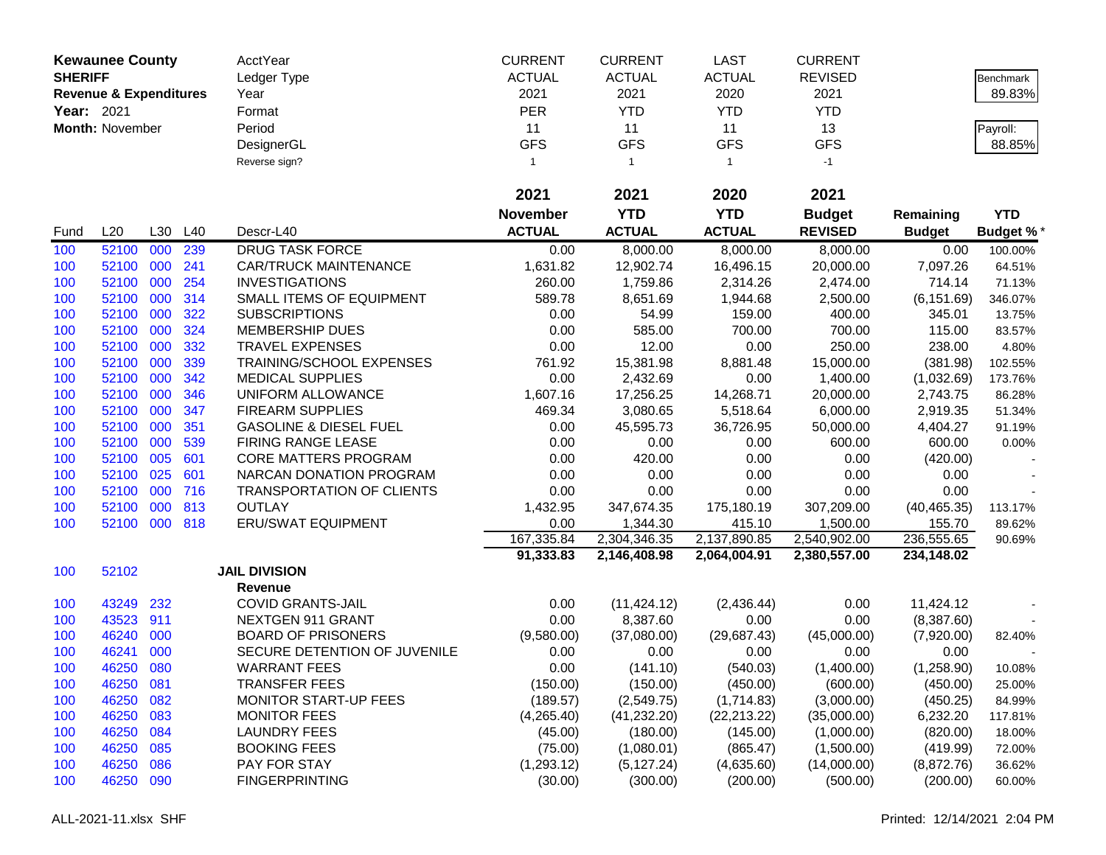| <b>Kewaunee County</b> |                                   |     | AcctYear | <b>CURRENT</b>                    | <b>CURRENT</b>  | <b>LAST</b>   | <b>CURRENT</b> |                |               |            |
|------------------------|-----------------------------------|-----|----------|-----------------------------------|-----------------|---------------|----------------|----------------|---------------|------------|
| <b>SHERIFF</b>         |                                   |     |          | Ledger Type                       | <b>ACTUAL</b>   | <b>ACTUAL</b> | <b>ACTUAL</b>  | <b>REVISED</b> |               | Benchmark  |
|                        | <b>Revenue &amp; Expenditures</b> |     |          | Year                              | 2021            | 2021          | 2020           | 2021           |               | 89.83%     |
| Year: 2021             |                                   |     |          | Format                            | <b>PER</b>      | <b>YTD</b>    | <b>YTD</b>     | <b>YTD</b>     |               |            |
|                        | Month: November                   |     |          | Period                            | 11              | 11            | 11             | 13             |               | Payroll:   |
|                        |                                   |     |          | DesignerGL                        | <b>GFS</b>      | <b>GFS</b>    | <b>GFS</b>     | <b>GFS</b>     |               | 88.85%     |
|                        |                                   |     |          | Reverse sign?                     | $\mathbf{1}$    | $\mathbf{1}$  | $\mathbf{1}$   | $-1$           |               |            |
|                        |                                   |     |          |                                   |                 |               |                |                |               |            |
|                        |                                   |     |          |                                   | 2021            | 2021          | 2020           | 2021           |               |            |
|                        |                                   |     |          |                                   | <b>November</b> | <b>YTD</b>    | <b>YTD</b>     | <b>Budget</b>  | Remaining     | <b>YTD</b> |
| Fund                   | L20                               | L30 | L40      | Descr-L40                         | <b>ACTUAL</b>   | <b>ACTUAL</b> | <b>ACTUAL</b>  | <b>REVISED</b> | <b>Budget</b> | Budget %*  |
| 100                    | 52100                             | 000 | 239      | <b>DRUG TASK FORCE</b>            | 0.00            | 8,000.00      | 8,000.00       | 8,000.00       | 0.00          | 100.00%    |
| 100                    | 52100                             | 000 | 241      | <b>CAR/TRUCK MAINTENANCE</b>      | 1,631.82        | 12,902.74     | 16,496.15      | 20,000.00      | 7,097.26      | 64.51%     |
| 100                    | 52100                             | 000 | 254      | <b>INVESTIGATIONS</b>             | 260.00          | 1,759.86      | 2,314.26       | 2,474.00       | 714.14        | 71.13%     |
| 100                    | 52100                             | 000 | 314      | SMALL ITEMS OF EQUIPMENT          | 589.78          | 8,651.69      | 1,944.68       | 2,500.00       | (6, 151.69)   | 346.07%    |
| 100                    | 52100                             | 000 | 322      | <b>SUBSCRIPTIONS</b>              | 0.00            | 54.99         | 159.00         | 400.00         | 345.01        | 13.75%     |
| 100                    | 52100                             | 000 | 324      | <b>MEMBERSHIP DUES</b>            | 0.00            | 585.00        | 700.00         | 700.00         | 115.00        | 83.57%     |
| 100                    | 52100                             | 000 | 332      | <b>TRAVEL EXPENSES</b>            | 0.00            | 12.00         | 0.00           | 250.00         | 238.00        | 4.80%      |
| 100                    | 52100                             | 000 | 339      | TRAINING/SCHOOL EXPENSES          | 761.92          | 15,381.98     | 8,881.48       | 15,000.00      | (381.98)      | 102.55%    |
| 100                    | 52100                             | 000 | 342      | <b>MEDICAL SUPPLIES</b>           | 0.00            | 2,432.69      | 0.00           | 1,400.00       | (1,032.69)    | 173.76%    |
| 100                    | 52100                             | 000 | 346      | UNIFORM ALLOWANCE                 | 1,607.16        | 17,256.25     | 14,268.71      | 20,000.00      | 2,743.75      | 86.28%     |
| 100                    | 52100                             | 000 | 347      | <b>FIREARM SUPPLIES</b>           | 469.34          | 3,080.65      | 5,518.64       | 6,000.00       | 2,919.35      | 51.34%     |
| 100                    | 52100                             | 000 | 351      | <b>GASOLINE &amp; DIESEL FUEL</b> | 0.00            | 45,595.73     | 36,726.95      | 50,000.00      | 4,404.27      | 91.19%     |
| 100                    | 52100                             | 000 | 539      | FIRING RANGE LEASE                | 0.00            | 0.00          | 0.00           | 600.00         | 600.00        | 0.00%      |
| 100                    | 52100                             | 005 | 601      | <b>CORE MATTERS PROGRAM</b>       | 0.00            | 420.00        | 0.00           | 0.00           | (420.00)      |            |
| 100                    | 52100                             | 025 | 601      | NARCAN DONATION PROGRAM           | 0.00            | 0.00          | 0.00           | 0.00           | 0.00          |            |
| 100                    | 52100                             | 000 | 716      | <b>TRANSPORTATION OF CLIENTS</b>  | 0.00            | 0.00          | 0.00           | 0.00           | 0.00          |            |
| 100                    | 52100                             | 000 | 813      | <b>OUTLAY</b>                     | 1,432.95        | 347,674.35    | 175,180.19     | 307,209.00     | (40, 465.35)  | 113.17%    |
| 100                    | 52100                             | 000 | 818      | <b>ERU/SWAT EQUIPMENT</b>         | 0.00            | 1,344.30      | 415.10         | 1,500.00       | 155.70        | 89.62%     |
|                        |                                   |     |          |                                   | 167,335.84      | 2,304,346.35  | 2,137,890.85   | 2,540,902.00   | 236,555.65    | 90.69%     |
|                        |                                   |     |          |                                   | 91,333.83       | 2,146,408.98  | 2,064,004.91   | 2,380,557.00   | 234,148.02    |            |
| 100                    | 52102                             |     |          | <b>JAIL DIVISION</b>              |                 |               |                |                |               |            |
|                        |                                   |     |          | <b>Revenue</b>                    |                 |               |                |                |               |            |
| 100                    | 43249                             | 232 |          | <b>COVID GRANTS-JAIL</b>          | 0.00            | (11, 424.12)  | (2, 436.44)    | 0.00           | 11,424.12     |            |
| 100                    | 43523                             | 911 |          | NEXTGEN 911 GRANT                 | 0.00            | 8,387.60      | 0.00           | 0.00           | (8,387.60)    |            |
| 100                    | 46240                             | 000 |          | <b>BOARD OF PRISONERS</b>         | (9,580.00)      | (37,080.00)   | (29, 687.43)   | (45,000.00)    | (7,920.00)    | 82.40%     |
| 100                    | 46241                             | 000 |          | SECURE DETENTION OF JUVENILE      | 0.00            | 0.00          | 0.00           | 0.00           | 0.00          |            |
| 100                    | 46250                             | 080 |          | <b>WARRANT FEES</b>               | 0.00            | (141.10)      | (540.03)       | (1,400.00)     | (1,258.90)    | 10.08%     |
| 100                    | 46250                             | 081 |          | <b>TRANSFER FEES</b>              | (150.00)        | (150.00)      | (450.00)       | (600.00)       | (450.00)      | 25.00%     |
| 100                    | 46250                             | 082 |          | <b>MONITOR START-UP FEES</b>      | (189.57)        | (2,549.75)    | (1,714.83)     | (3,000.00)     | (450.25)      | 84.99%     |
| 100                    | 46250                             | 083 |          | <b>MONITOR FEES</b>               | (4,265.40)      | (41, 232.20)  | (22, 213.22)   | (35,000.00)    | 6,232.20      | 117.81%    |
| 100                    | 46250                             | 084 |          | <b>LAUNDRY FEES</b>               | (45.00)         | (180.00)      | (145.00)       | (1,000.00)     | (820.00)      | 18.00%     |
| 100                    | 46250                             | 085 |          | <b>BOOKING FEES</b>               | (75.00)         | (1,080.01)    | (865.47)       | (1,500.00)     | (419.99)      | 72.00%     |
| 100                    | 46250                             | 086 |          | PAY FOR STAY                      | (1,293.12)      | (5, 127.24)   | (4,635.60)     | (14,000.00)    | (8,872.76)    | 36.62%     |
| 100                    | 46250                             | 090 |          | <b>FINGERPRINTING</b>             | (30.00)         | (300.00)      | (200.00)       | (500.00)       | (200.00)      | 60.00%     |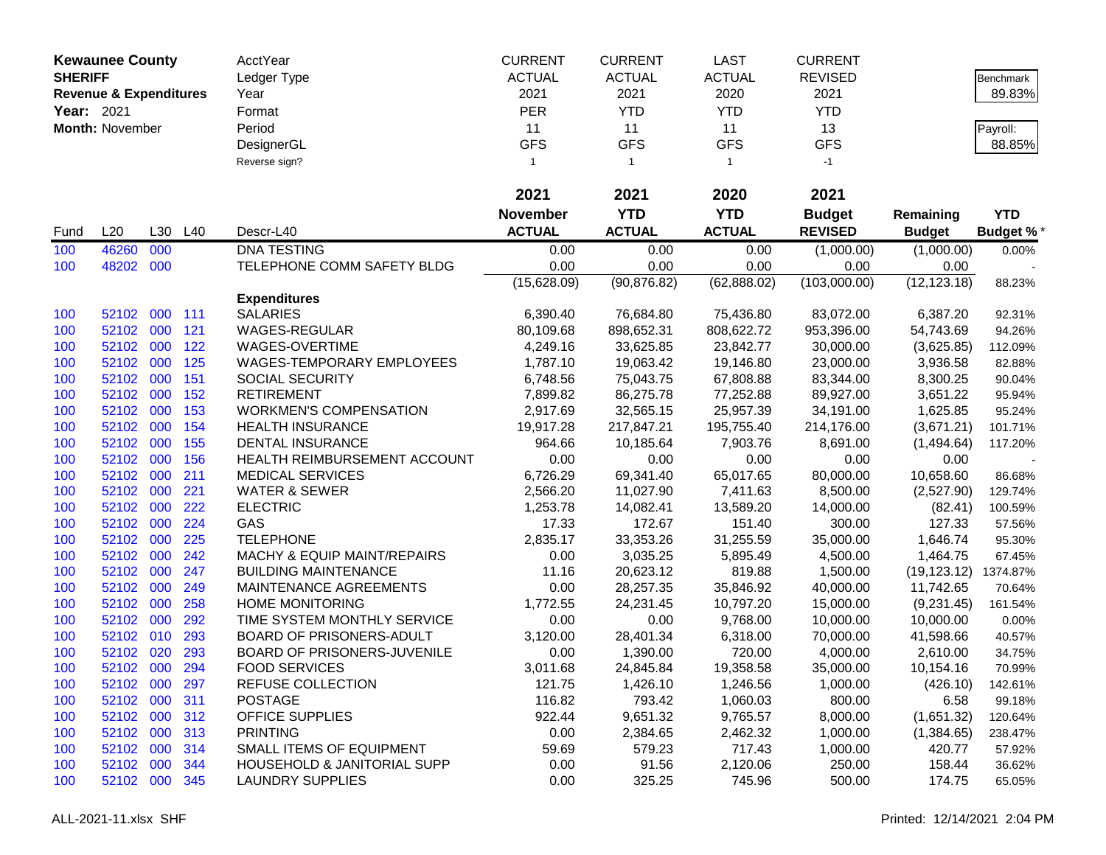| <b>Kewaunee County</b> |                                   |         | <b>AcctYear</b> | <b>CURRENT</b>                         | <b>CURRENT</b>  | <b>LAST</b>    | <b>CURRENT</b> |                |               |                  |
|------------------------|-----------------------------------|---------|-----------------|----------------------------------------|-----------------|----------------|----------------|----------------|---------------|------------------|
| <b>SHERIFF</b>         |                                   |         |                 | Ledger Type                            | <b>ACTUAL</b>   | <b>ACTUAL</b>  | <b>ACTUAL</b>  | <b>REVISED</b> |               | <b>Benchmark</b> |
|                        | <b>Revenue &amp; Expenditures</b> |         |                 | Year                                   | 2021            | 2021           | 2020           | 2021           |               | 89.83%           |
| Year: 2021             |                                   |         |                 | Format                                 | <b>PER</b>      | <b>YTD</b>     | <b>YTD</b>     | <b>YTD</b>     |               |                  |
|                        | Month: November                   |         |                 | Period                                 | 11              | 11             | 11             | 13             |               | Payroll:         |
|                        |                                   |         |                 | DesignerGL                             | <b>GFS</b>      | <b>GFS</b>     | <b>GFS</b>     | <b>GFS</b>     |               | 88.85%           |
|                        |                                   |         |                 | Reverse sign?                          | $\mathbf{1}$    | $\overline{1}$ | $\mathbf{1}$   | $-1$           |               |                  |
|                        |                                   |         |                 |                                        |                 |                |                |                |               |                  |
|                        |                                   |         |                 |                                        | 2021            | 2021           | 2020           | 2021           |               |                  |
|                        |                                   |         |                 |                                        | <b>November</b> | <b>YTD</b>     | <b>YTD</b>     | <b>Budget</b>  | Remaining     | <b>YTD</b>       |
| Fund                   | L20                               | L30     | L40             | Descr-L40                              | <b>ACTUAL</b>   | <b>ACTUAL</b>  | <b>ACTUAL</b>  | <b>REVISED</b> | <b>Budget</b> | <b>Budget %*</b> |
| 100                    | 46260                             | 000     |                 | <b>DNA TESTING</b>                     | 0.00            | 0.00           | 0.00           | (1,000.00)     | (1,000.00)    | 0.00%            |
| 100                    | 48202                             | 000     |                 | TELEPHONE COMM SAFETY BLDG             | 0.00            | 0.00           | 0.00           | 0.00           | 0.00          |                  |
|                        |                                   |         |                 |                                        | (15,628.09)     | (90, 876.82)   | (62,888.02)    | (103,000.00)   | (12, 123.18)  | 88.23%           |
|                        |                                   |         |                 | <b>Expenditures</b>                    |                 |                |                |                |               |                  |
| 100                    | 52102                             | 000 111 |                 | <b>SALARIES</b>                        | 6,390.40        | 76,684.80      | 75,436.80      | 83,072.00      | 6,387.20      | 92.31%           |
| 100                    | 52102                             | 000     | 121             | WAGES-REGULAR                          | 80,109.68       | 898,652.31     | 808,622.72     | 953,396.00     | 54,743.69     | 94.26%           |
| 100                    | 52102 000                         |         | 122             | WAGES-OVERTIME                         | 4,249.16        | 33,625.85      | 23,842.77      | 30,000.00      | (3,625.85)    | 112.09%          |
| 100                    | 52102 000                         |         | 125             | <b>WAGES-TEMPORARY EMPLOYEES</b>       | 1,787.10        | 19,063.42      | 19,146.80      | 23,000.00      | 3,936.58      | 82.88%           |
| 100                    | 52102                             | 000     | 151             | SOCIAL SECURITY                        | 6,748.56        | 75,043.75      | 67,808.88      | 83,344.00      | 8,300.25      | 90.04%           |
| 100                    | 52102                             | 000     | 152             | <b>RETIREMENT</b>                      | 7,899.82        | 86,275.78      | 77,252.88      | 89,927.00      | 3,651.22      | 95.94%           |
| 100                    | 52102                             | 000     | 153             | <b>WORKMEN'S COMPENSATION</b>          | 2,917.69        | 32,565.15      | 25,957.39      | 34,191.00      | 1,625.85      | 95.24%           |
| 100                    | 52102                             | 000     | 154             | <b>HEALTH INSURANCE</b>                | 19,917.28       | 217,847.21     | 195,755.40     | 214,176.00     | (3,671.21)    | 101.71%          |
| 100                    | 52102                             | 000     | 155             | DENTAL INSURANCE                       | 964.66          | 10,185.64      | 7,903.76       | 8,691.00       | (1,494.64)    | 117.20%          |
| 100                    | 52102                             | 000     | 156             | HEALTH REIMBURSEMENT ACCOUNT           | 0.00            | 0.00           | 0.00           | 0.00           | 0.00          |                  |
| 100                    | 52102                             | 000     | 211             | <b>MEDICAL SERVICES</b>                | 6,726.29        | 69,341.40      | 65,017.65      | 80,000.00      | 10,658.60     | 86.68%           |
| 100                    | 52102 000                         |         | 221             | <b>WATER &amp; SEWER</b>               | 2,566.20        | 11,027.90      | 7,411.63       | 8,500.00       | (2,527.90)    | 129.74%          |
| 100                    | 52102 000                         |         | 222             | <b>ELECTRIC</b>                        | 1,253.78        | 14,082.41      | 13,589.20      | 14,000.00      | (82.41)       | 100.59%          |
| 100                    | 52102                             | 000     | 224             | GAS                                    | 17.33           | 172.67         | 151.40         | 300.00         | 127.33        | 57.56%           |
| 100                    | 52102                             | 000     | 225             | <b>TELEPHONE</b>                       | 2,835.17        | 33,353.26      | 31,255.59      | 35,000.00      | 1,646.74      | 95.30%           |
| 100                    | 52102                             | 000     | 242             | MACHY & EQUIP MAINT/REPAIRS            | 0.00            | 3,035.25       | 5,895.49       | 4,500.00       | 1,464.75      | 67.45%           |
| 100                    | 52102                             | 000     | 247             | <b>BUILDING MAINTENANCE</b>            | 11.16           | 20,623.12      | 819.88         | 1,500.00       | (19, 123.12)  | 1374.87%         |
| 100                    | 52102                             | 000     | 249             | MAINTENANCE AGREEMENTS                 | 0.00            | 28,257.35      | 35,846.92      | 40,000.00      | 11,742.65     | 70.64%           |
| 100                    | 52102                             | 000     | 258             | <b>HOME MONITORING</b>                 | 1,772.55        | 24,231.45      | 10,797.20      | 15,000.00      | (9,231.45)    | 161.54%          |
| 100                    | 52102                             | 000     | 292             | TIME SYSTEM MONTHLY SERVICE            | 0.00            | 0.00           | 9,768.00       | 10,000.00      | 10,000.00     | 0.00%            |
| 100                    | 52102                             | 010     | 293             | BOARD OF PRISONERS-ADULT               | 3,120.00        | 28,401.34      | 6,318.00       | 70,000.00      | 41,598.66     | 40.57%           |
| 100                    | 52102                             | 020     | 293             | BOARD OF PRISONERS-JUVENILE            | 0.00            | 1,390.00       | 720.00         | 4,000.00       | 2,610.00      | 34.75%           |
| 100                    | 52102 000                         |         | 294             | <b>FOOD SERVICES</b>                   | 3,011.68        | 24,845.84      | 19,358.58      | 35,000.00      | 10,154.16     | 70.99%           |
| 100                    | 52102 000                         |         | 297             | <b>REFUSE COLLECTION</b>               | 121.75          | 1,426.10       | 1,246.56       | 1,000.00       | (426.10)      | 142.61%          |
| 100                    | 52102 000                         |         | 311             | <b>POSTAGE</b>                         | 116.82          | 793.42         | 1,060.03       | 800.00         | 6.58          | 99.18%           |
| 100                    | 52102 000 312                     |         |                 | <b>OFFICE SUPPLIES</b>                 | 922.44          | 9,651.32       | 9,765.57       | 8,000.00       | (1,651.32)    | 120.64%          |
| 100                    | 52102 000 313                     |         |                 | <b>PRINTING</b>                        | 0.00            | 2,384.65       | 2,462.32       | 1,000.00       | (1,384.65)    | 238.47%          |
| 100                    | 52102 000                         |         | 314             | SMALL ITEMS OF EQUIPMENT               | 59.69           | 579.23         | 717.43         | 1,000.00       | 420.77        | 57.92%           |
| 100                    | 52102 000                         |         | 344             | <b>HOUSEHOLD &amp; JANITORIAL SUPP</b> | 0.00            | 91.56          | 2,120.06       | 250.00         | 158.44        | 36.62%           |
| 100                    | 52102 000                         |         | 345             | <b>LAUNDRY SUPPLIES</b>                | 0.00            | 325.25         | 745.96         | 500.00         | 174.75        | 65.05%           |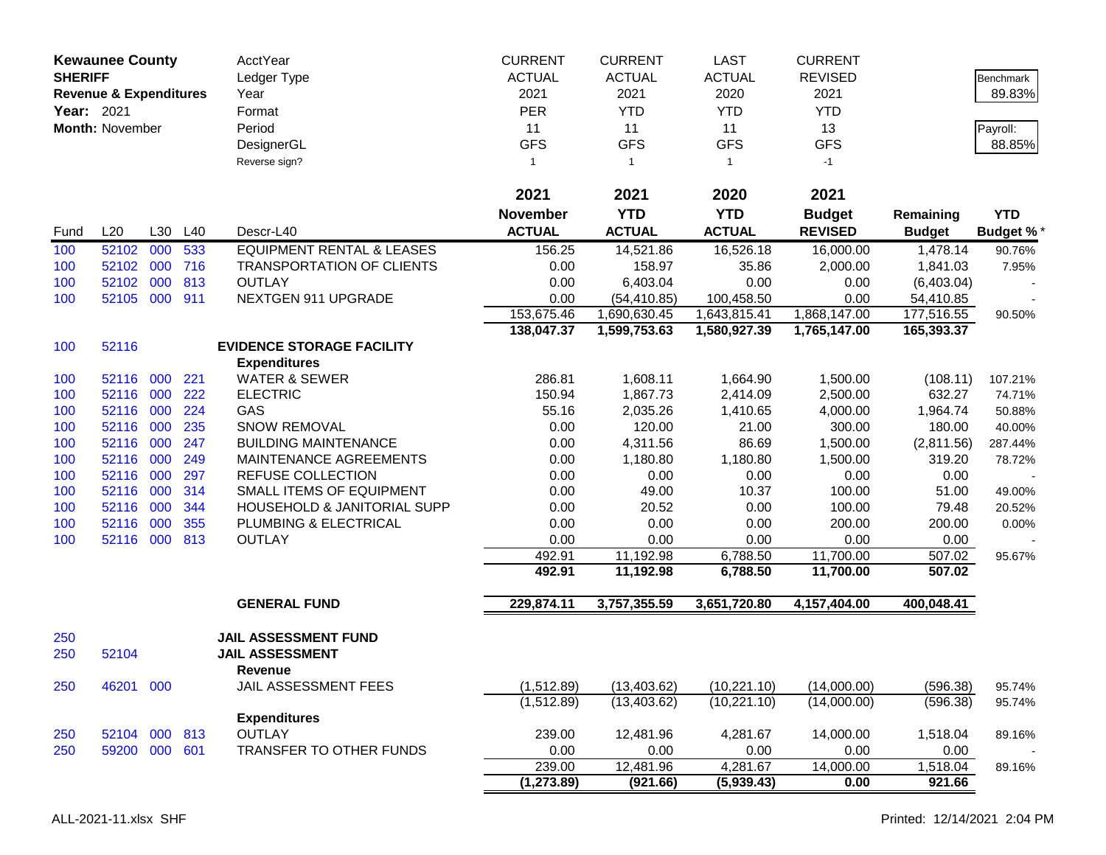| <b>Kewaunee County</b><br><b>SHERIFF</b><br><b>Revenue &amp; Expenditures</b><br>Year: 2021 |                 |     | <b>AcctYear</b><br>Ledger Type<br>Year<br>Format | <b>CURRENT</b><br><b>ACTUAL</b><br>2021<br><b>PER</b> | <b>CURRENT</b><br><b>ACTUAL</b><br>2021<br><b>YTD</b> | <b>LAST</b><br><b>ACTUAL</b><br>2020<br><b>YTD</b> | <b>CURRENT</b><br><b>REVISED</b><br>2021<br><b>YTD</b> |                | <b>Benchmark</b><br>89.83% |                  |
|---------------------------------------------------------------------------------------------|-----------------|-----|--------------------------------------------------|-------------------------------------------------------|-------------------------------------------------------|----------------------------------------------------|--------------------------------------------------------|----------------|----------------------------|------------------|
|                                                                                             | Month: November |     |                                                  | Period                                                | 11                                                    | 11                                                 | 11                                                     | 13             |                            | Payroll:         |
|                                                                                             |                 |     |                                                  | DesignerGL                                            | <b>GFS</b>                                            | <b>GFS</b>                                         | <b>GFS</b>                                             | <b>GFS</b>     |                            | 88.85%           |
|                                                                                             |                 |     |                                                  | Reverse sign?                                         | $\mathbf{1}$                                          | $\overline{1}$                                     | $\mathbf{1}$                                           | $-1$           |                            |                  |
|                                                                                             |                 |     |                                                  |                                                       |                                                       |                                                    |                                                        |                |                            |                  |
|                                                                                             |                 |     |                                                  |                                                       | 2021                                                  | 2021                                               | 2020                                                   | 2021           |                            |                  |
|                                                                                             |                 |     |                                                  |                                                       | <b>November</b>                                       | <b>YTD</b>                                         | <b>YTD</b>                                             | <b>Budget</b>  | Remaining                  | <b>YTD</b>       |
| Fund                                                                                        | L20             |     | L30 L40                                          | Descr-L40                                             | <b>ACTUAL</b>                                         | <b>ACTUAL</b>                                      | <b>ACTUAL</b>                                          | <b>REVISED</b> | <b>Budget</b>              | <b>Budget %*</b> |
| 100                                                                                         | 52102           | 000 | 533                                              | <b>EQUIPMENT RENTAL &amp; LEASES</b>                  | 156.25                                                | 14,521.86                                          | 16,526.18                                              | 16,000.00      | 1,478.14                   | 90.76%           |
| 100                                                                                         | 52102           | 000 | 716                                              | <b>TRANSPORTATION OF CLIENTS</b>                      | 0.00                                                  | 158.97                                             | 35.86                                                  | 2,000.00       | 1,841.03                   | 7.95%            |
| 100                                                                                         | 52102           | 000 | 813                                              | <b>OUTLAY</b>                                         | 0.00                                                  | 6,403.04                                           | 0.00                                                   | 0.00           | (6,403.04)                 |                  |
| 100                                                                                         | 52105 000       |     | 911                                              | NEXTGEN 911 UPGRADE                                   | 0.00                                                  | (54, 410.85)                                       | 100,458.50                                             | 0.00           | 54,410.85                  |                  |
|                                                                                             |                 |     |                                                  |                                                       | 153,675.46                                            | 1,690,630.45                                       | 1,643,815.41                                           | 1,868,147.00   | 177,516.55                 | 90.50%           |
|                                                                                             |                 |     |                                                  |                                                       | 138,047.37                                            | 1,599,753.63                                       | 1,580,927.39                                           | 1,765,147.00   | 165,393.37                 |                  |
| 100                                                                                         | 52116           |     |                                                  | <b>EVIDENCE STORAGE FACILITY</b>                      |                                                       |                                                    |                                                        |                |                            |                  |
|                                                                                             |                 |     |                                                  | <b>Expenditures</b>                                   |                                                       |                                                    |                                                        |                |                            |                  |
| 100                                                                                         | 52116 000       |     | 221                                              | <b>WATER &amp; SEWER</b>                              | 286.81                                                | 1,608.11                                           | 1,664.90                                               | 1,500.00       | (108.11)                   | 107.21%          |
| 100                                                                                         | 52116 000       |     | 222                                              | <b>ELECTRIC</b>                                       | 150.94                                                | 1,867.73                                           | 2,414.09                                               | 2,500.00       | 632.27                     | 74.71%           |
| 100                                                                                         | 52116 000       |     | 224                                              | GAS                                                   | 55.16                                                 | 2,035.26                                           | 1,410.65                                               | 4,000.00       | 1,964.74                   | 50.88%           |
| 100                                                                                         | 52116 000       |     | 235                                              | <b>SNOW REMOVAL</b>                                   | 0.00                                                  | 120.00                                             | 21.00                                                  | 300.00         | 180.00                     | 40.00%           |
| 100                                                                                         | 52116 000       |     | 247                                              | <b>BUILDING MAINTENANCE</b>                           | 0.00                                                  | 4,311.56                                           | 86.69                                                  | 1,500.00       | (2,811.56)                 | 287.44%          |
| 100                                                                                         | 52116 000       |     | 249                                              | MAINTENANCE AGREEMENTS                                | 0.00                                                  | 1,180.80                                           | 1,180.80                                               | 1,500.00       | 319.20                     | 78.72%           |
| 100                                                                                         | 52116 000       |     | 297                                              | <b>REFUSE COLLECTION</b>                              | 0.00                                                  | 0.00                                               | 0.00                                                   | 0.00           | 0.00                       |                  |
| 100                                                                                         | 52116           | 000 | 314                                              | SMALL ITEMS OF EQUIPMENT                              | 0.00                                                  | 49.00                                              | 10.37                                                  | 100.00         | 51.00                      | 49.00%           |
| 100                                                                                         | 52116           | 000 | 344                                              | HOUSEHOLD & JANITORIAL SUPP                           | 0.00                                                  | 20.52                                              | 0.00                                                   | 100.00         | 79.48                      | 20.52%           |
| 100                                                                                         | 52116 000       |     | 355                                              | PLUMBING & ELECTRICAL                                 | 0.00                                                  | 0.00                                               | 0.00                                                   | 200.00         | 200.00                     | 0.00%            |
| 100                                                                                         | 52116 000 813   |     |                                                  | <b>OUTLAY</b>                                         | 0.00                                                  | 0.00                                               | 0.00                                                   | 0.00           | 0.00                       |                  |
|                                                                                             |                 |     |                                                  |                                                       | 492.91                                                | 11,192.98                                          | 6,788.50                                               | 11,700.00      | 507.02                     | 95.67%           |
|                                                                                             |                 |     |                                                  |                                                       | 492.91                                                | 11,192.98                                          | 6,788.50                                               | 11,700.00      | 507.02                     |                  |
|                                                                                             |                 |     |                                                  | <b>GENERAL FUND</b>                                   | 229,874.11                                            | 3,757,355.59                                       | 3,651,720.80                                           | 4,157,404.00   | 400,048.41                 |                  |
|                                                                                             |                 |     |                                                  |                                                       |                                                       |                                                    |                                                        |                |                            |                  |
| 250<br>250                                                                                  | 52104           |     |                                                  | <b>JAIL ASSESSMENT FUND</b><br><b>JAIL ASSESSMENT</b> |                                                       |                                                    |                                                        |                |                            |                  |
| 250                                                                                         | 46201 000       |     |                                                  | Revenue<br>JAIL ASSESSMENT FEES                       | (1,512.89)                                            | (13, 403.62)                                       | (10, 221.10)                                           | (14,000.00)    | (596.38)                   | 95.74%           |
|                                                                                             |                 |     |                                                  |                                                       | (1,512.89)                                            | (13, 403.62)                                       | (10, 221.10)                                           | (14,000.00)    | (596.38)                   | 95.74%           |
|                                                                                             |                 |     |                                                  | <b>Expenditures</b>                                   |                                                       |                                                    |                                                        |                |                            |                  |
| 250                                                                                         | 52104 000 813   |     |                                                  | <b>OUTLAY</b>                                         | 239.00                                                | 12,481.96                                          | 4,281.67                                               | 14,000.00      | 1,518.04                   | 89.16%           |
| 250                                                                                         | 59200 000       |     | 601                                              | TRANSFER TO OTHER FUNDS                               | 0.00                                                  | 0.00                                               | 0.00                                                   | 0.00           | 0.00                       |                  |
|                                                                                             |                 |     |                                                  |                                                       | 239.00                                                | 12,481.96                                          | 4,281.67                                               | 14,000.00      | 1,518.04                   | 89.16%           |
|                                                                                             |                 |     |                                                  |                                                       | (1, 273.89)                                           | (921.66)                                           | (5,939.43)                                             | 0.00           | 921.66                     |                  |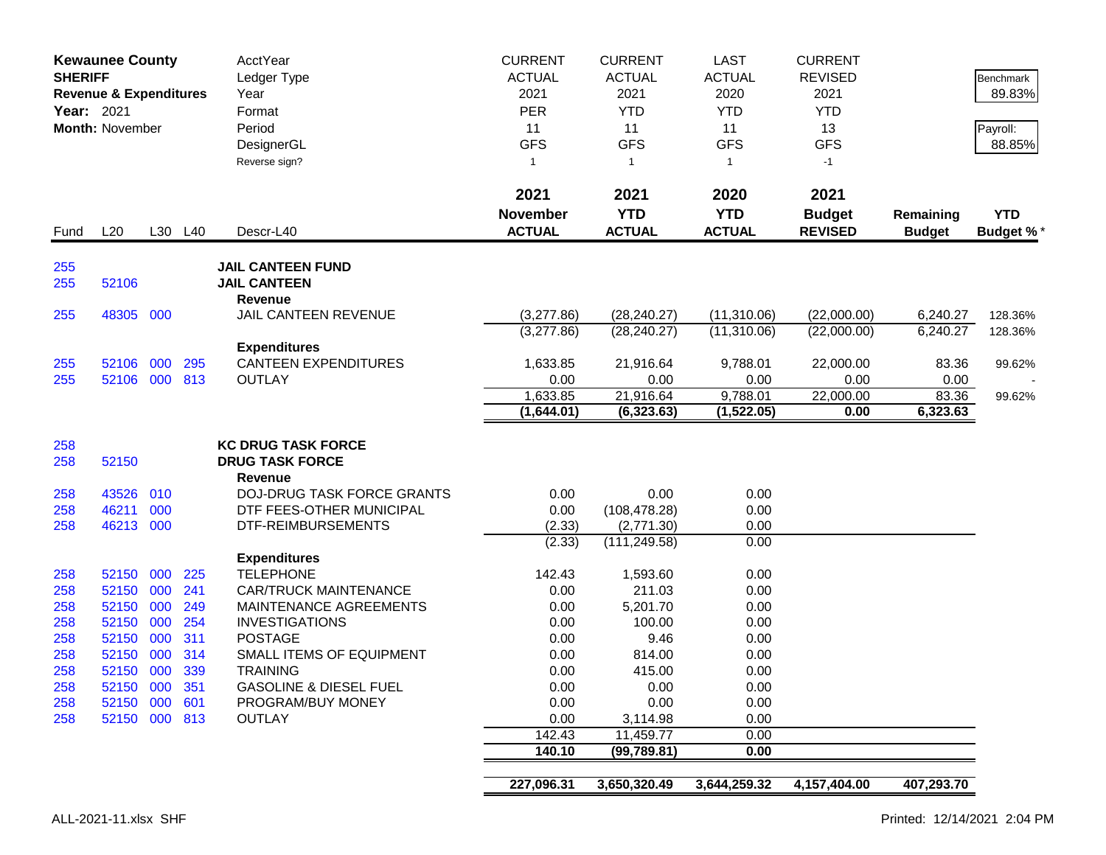| <b>Kewaunee County</b><br><b>SHERIFF</b><br><b>Revenue &amp; Expenditures</b><br>Year: 2021<br><b>Month: November</b> |                    |            |            | <b>AcctYear</b><br>Ledger Type<br>Year<br>Format<br>Period<br>DesignerGL<br>Reverse sign? | <b>CURRENT</b><br><b>ACTUAL</b><br>2021<br><b>PER</b><br>11<br><b>GFS</b><br>$\mathbf{1}$ | <b>CURRENT</b><br><b>ACTUAL</b><br>2021<br><b>YTD</b><br>11<br><b>GFS</b><br>$\overline{1}$ | <b>LAST</b><br><b>ACTUAL</b><br>2020<br><b>YTD</b><br>11<br><b>GFS</b><br>$\mathbf{1}$ | <b>CURRENT</b><br><b>REVISED</b><br>2021<br><b>YTD</b><br>13<br><b>GFS</b><br>$-1$ |                            | <b>Benchmark</b><br>89.83%<br>Payroll:<br>88.85% |
|-----------------------------------------------------------------------------------------------------------------------|--------------------|------------|------------|-------------------------------------------------------------------------------------------|-------------------------------------------------------------------------------------------|---------------------------------------------------------------------------------------------|----------------------------------------------------------------------------------------|------------------------------------------------------------------------------------|----------------------------|--------------------------------------------------|
| Fund                                                                                                                  | L20                |            | L30 L40    | Descr-L40                                                                                 | 2021<br><b>November</b><br><b>ACTUAL</b>                                                  | 2021<br><b>YTD</b><br><b>ACTUAL</b>                                                         | 2020<br><b>YTD</b><br><b>ACTUAL</b>                                                    | 2021<br><b>Budget</b><br><b>REVISED</b>                                            | Remaining<br><b>Budget</b> | <b>YTD</b><br><b>Budget %*</b>                   |
| 255<br>255                                                                                                            | 52106              |            |            | <b>JAIL CANTEEN FUND</b><br><b>JAIL CANTEEN</b>                                           |                                                                                           |                                                                                             |                                                                                        |                                                                                    |                            |                                                  |
| 255                                                                                                                   | 48305 000          |            |            | Revenue<br>JAIL CANTEEN REVENUE                                                           | (3,277.86)                                                                                | (28, 240.27)                                                                                | (11,310.06)                                                                            | (22,000.00)                                                                        | 6,240.27                   | 128.36%                                          |
|                                                                                                                       |                    |            |            |                                                                                           | (3,277.86)                                                                                | (28, 240.27)                                                                                | (11,310.06)                                                                            | (22,000.00)                                                                        | 6,240.27                   | 128.36%                                          |
|                                                                                                                       |                    |            |            | <b>Expenditures</b>                                                                       |                                                                                           |                                                                                             |                                                                                        |                                                                                    |                            |                                                  |
| 255                                                                                                                   | 52106 000          |            | 295        | <b>CANTEEN EXPENDITURES</b>                                                               | 1,633.85                                                                                  | 21,916.64                                                                                   | 9,788.01                                                                               | 22,000.00                                                                          | 83.36                      | 99.62%                                           |
| 255                                                                                                                   | 52106 000 813      |            |            | <b>OUTLAY</b>                                                                             | 0.00                                                                                      | 0.00                                                                                        | 0.00                                                                                   | 0.00                                                                               | 0.00                       |                                                  |
|                                                                                                                       |                    |            |            |                                                                                           | 1,633.85                                                                                  | 21,916.64                                                                                   | 9,788.01                                                                               | 22,000.00                                                                          | 83.36                      | 99.62%                                           |
|                                                                                                                       |                    |            |            |                                                                                           | (1,644.01)                                                                                | (6,323.63)                                                                                  | (1,522.05)                                                                             | 0.00                                                                               | 6,323.63                   |                                                  |
|                                                                                                                       |                    |            |            |                                                                                           |                                                                                           |                                                                                             |                                                                                        |                                                                                    |                            |                                                  |
| 258<br>258                                                                                                            | 52150              |            |            | <b>KC DRUG TASK FORCE</b><br><b>DRUG TASK FORCE</b>                                       |                                                                                           |                                                                                             |                                                                                        |                                                                                    |                            |                                                  |
|                                                                                                                       |                    |            |            | <b>Revenue</b>                                                                            |                                                                                           |                                                                                             |                                                                                        |                                                                                    |                            |                                                  |
| 258                                                                                                                   | 43526              | 010        |            | <b>DOJ-DRUG TASK FORCE GRANTS</b>                                                         | 0.00                                                                                      | 0.00                                                                                        | 0.00                                                                                   |                                                                                    |                            |                                                  |
| 258                                                                                                                   | 46211              | 000        |            | DTF FEES-OTHER MUNICIPAL                                                                  | 0.00                                                                                      | (108, 478.28)                                                                               | 0.00                                                                                   |                                                                                    |                            |                                                  |
| 258                                                                                                                   | 46213 000          |            |            | DTF-REIMBURSEMENTS                                                                        | (2.33)                                                                                    | (2,771.30)                                                                                  | 0.00                                                                                   |                                                                                    |                            |                                                  |
|                                                                                                                       |                    |            |            |                                                                                           | (2.33)                                                                                    | (111, 249.58)                                                                               | 0.00                                                                                   |                                                                                    |                            |                                                  |
|                                                                                                                       |                    |            |            | <b>Expenditures</b>                                                                       |                                                                                           |                                                                                             |                                                                                        |                                                                                    |                            |                                                  |
| 258                                                                                                                   | 52150 000          |            | 225        | <b>TELEPHONE</b>                                                                          | 142.43                                                                                    | 1,593.60                                                                                    | 0.00                                                                                   |                                                                                    |                            |                                                  |
| 258                                                                                                                   | 52150              | 000        | 241        | <b>CAR/TRUCK MAINTENANCE</b>                                                              | 0.00                                                                                      | 211.03                                                                                      | 0.00                                                                                   |                                                                                    |                            |                                                  |
| 258                                                                                                                   | 52150              | 000        | 249        | <b>MAINTENANCE AGREEMENTS</b>                                                             | 0.00                                                                                      | 5,201.70                                                                                    | 0.00                                                                                   |                                                                                    |                            |                                                  |
| 258                                                                                                                   | 52150              | 000        | 254        | <b>INVESTIGATIONS</b>                                                                     | 0.00                                                                                      | 100.00                                                                                      | 0.00                                                                                   |                                                                                    |                            |                                                  |
| 258                                                                                                                   | 52150              | 000<br>000 | 311<br>314 | <b>POSTAGE</b><br>SMALL ITEMS OF EQUIPMENT                                                | 0.00                                                                                      | 9.46                                                                                        | 0.00                                                                                   |                                                                                    |                            |                                                  |
| 258<br>258                                                                                                            | 52150<br>52150 000 |            | 339        | <b>TRAINING</b>                                                                           | 0.00<br>0.00                                                                              | 814.00<br>415.00                                                                            | 0.00<br>0.00                                                                           |                                                                                    |                            |                                                  |
| 258                                                                                                                   | 52150 000 351      |            |            | <b>GASOLINE &amp; DIESEL FUEL</b>                                                         | 0.00                                                                                      | 0.00                                                                                        | 0.00                                                                                   |                                                                                    |                            |                                                  |
| 258                                                                                                                   | 52150 000 601      |            |            | PROGRAM/BUY MONEY                                                                         | 0.00                                                                                      | 0.00                                                                                        | 0.00                                                                                   |                                                                                    |                            |                                                  |
| 258                                                                                                                   | 52150 000 813      |            |            | <b>OUTLAY</b>                                                                             | 0.00                                                                                      | 3,114.98                                                                                    | 0.00                                                                                   |                                                                                    |                            |                                                  |
|                                                                                                                       |                    |            |            |                                                                                           | 142.43                                                                                    | 11,459.77                                                                                   | 0.00                                                                                   |                                                                                    |                            |                                                  |
|                                                                                                                       |                    |            |            |                                                                                           | 140.10                                                                                    | (99, 789.81)                                                                                | 0.00                                                                                   |                                                                                    |                            |                                                  |
|                                                                                                                       |                    |            |            |                                                                                           |                                                                                           |                                                                                             |                                                                                        |                                                                                    |                            |                                                  |
|                                                                                                                       |                    |            |            |                                                                                           | 227,096.31                                                                                | 3,650,320.49                                                                                | 3,644,259.32                                                                           | 4,157,404.00                                                                       | 407,293.70                 |                                                  |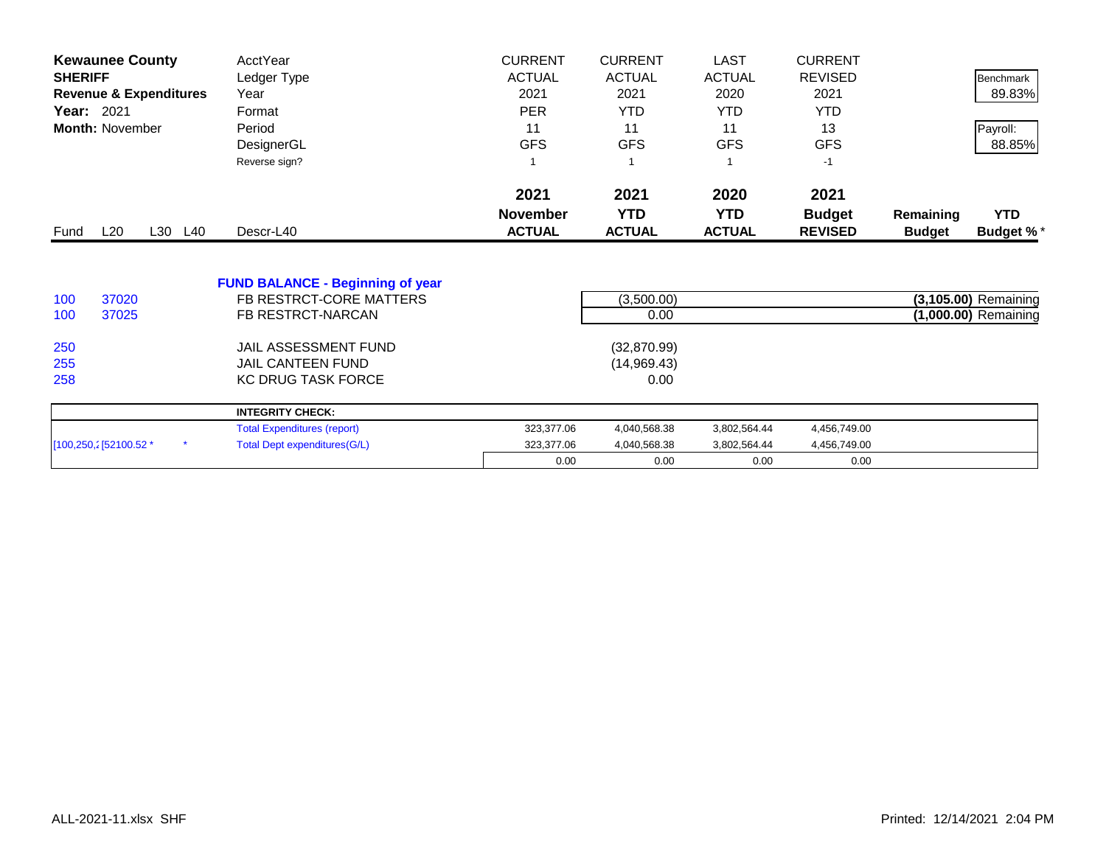| <b>Kewaunee County</b>            |         | AcctYear                                | <b>CURRENT</b>  | <b>CURRENT</b> | <b>LAST</b>   | <b>CURRENT</b> |               |                      |
|-----------------------------------|---------|-----------------------------------------|-----------------|----------------|---------------|----------------|---------------|----------------------|
| <b>SHERIFF</b>                    |         | Ledger Type                             | <b>ACTUAL</b>   | <b>ACTUAL</b>  | <b>ACTUAL</b> | <b>REVISED</b> |               | <b>Benchmark</b>     |
| <b>Revenue &amp; Expenditures</b> |         | Year                                    | 2021            | 2021           | 2020          | 2021           |               | 89.83%               |
| Year: 2021                        |         | Format                                  | <b>PER</b>      | <b>YTD</b>     | YTD.          | <b>YTD</b>     |               |                      |
| <b>Month: November</b>            |         | Period                                  | 11              | 11             | 11            | 13             |               | Payroll:             |
|                                   |         | DesignerGL                              | <b>GFS</b>      | <b>GFS</b>     | <b>GFS</b>    | <b>GFS</b>     |               | 88.85%               |
|                                   |         | Reverse sign?                           | 1               |                |               | $-1$           |               |                      |
|                                   |         |                                         | 2021            | 2021           | 2020          | 2021           |               |                      |
|                                   |         |                                         | <b>November</b> | <b>YTD</b>     | <b>YTD</b>    | <b>Budget</b>  | Remaining     | <b>YTD</b>           |
| L20<br>Fund                       | L30 L40 | Descr-L40                               | <b>ACTUAL</b>   | <b>ACTUAL</b>  | <b>ACTUAL</b> | <b>REVISED</b> | <b>Budget</b> | Budget %*            |
|                                   |         | <b>FUND BALANCE - Beginning of year</b> |                 |                |               |                |               |                      |
| 37020<br>100                      |         | FB RESTRCT-CORE MATTERS                 |                 | (3,500.00)     |               |                |               | (3,105.00) Remaining |
| 37025<br>100                      |         | FB RESTRCT-NARCAN                       |                 | 0.00           |               |                |               | (1,000.00) Remaining |
|                                   |         |                                         |                 |                |               |                |               |                      |
| 250                               |         | JAIL ASSESSMENT FUND                    |                 | (32,870.99)    |               |                |               |                      |
| 255                               |         | <b>JAIL CANTEEN FUND</b>                |                 | (14,969.43)    |               |                |               |                      |
| 258                               |         | <b>KC DRUG TASK FORCE</b>               |                 | 0.00           |               |                |               |                      |
|                                   |         | <b>INTEGRITY CHECK:</b>                 |                 |                |               |                |               |                      |
|                                   |         | <b>Total Expenditures (report)</b>      | 323,377.06      | 4,040,568.38   | 3,802,564.44  | 4,456,749.00   |               |                      |
| [100,250,2] 52100.52 *            |         | <b>Total Dept expenditures(G/L)</b>     | 323,377.06      | 4,040,568.38   | 3,802,564.44  | 4,456,749.00   |               |                      |
|                                   |         |                                         | 0.00            | 0.00           | 0.00          | 0.00           |               |                      |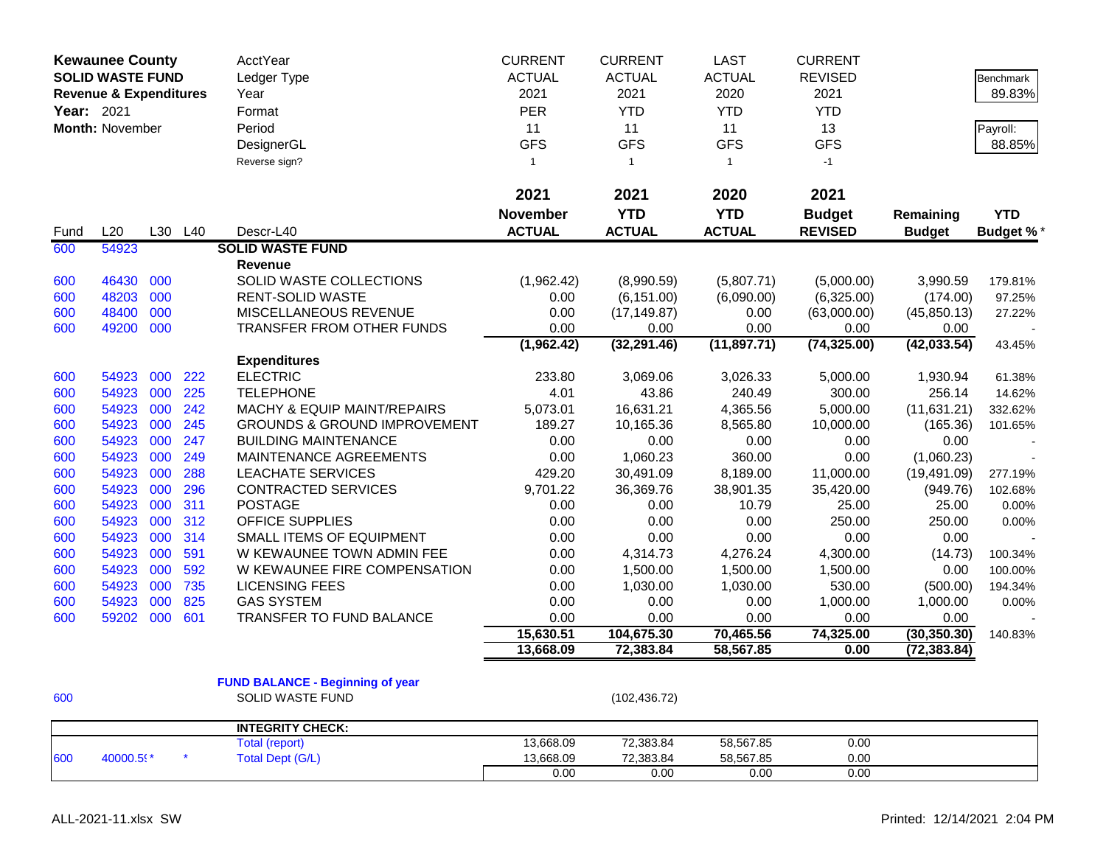| <b>Kewaunee County</b> |                                   |     |         | AcctYear                                | <b>CURRENT</b>  | <b>CURRENT</b> | <b>LAST</b>   | <b>CURRENT</b> |               |                  |
|------------------------|-----------------------------------|-----|---------|-----------------------------------------|-----------------|----------------|---------------|----------------|---------------|------------------|
|                        | <b>SOLID WASTE FUND</b>           |     |         | Ledger Type                             | <b>ACTUAL</b>   | <b>ACTUAL</b>  | <b>ACTUAL</b> | <b>REVISED</b> |               | <b>Benchmark</b> |
|                        | <b>Revenue &amp; Expenditures</b> |     |         | Year                                    | 2021            | 2021           | 2020          | 2021           |               | 89.83%           |
| Year: 2021             |                                   |     |         | Format                                  | PER             | <b>YTD</b>     | <b>YTD</b>    | <b>YTD</b>     |               |                  |
|                        | Month: November                   |     |         | Period                                  | 11              | 11             | 11            | 13             |               | Payroll:         |
|                        |                                   |     |         | DesignerGL                              | <b>GFS</b>      | <b>GFS</b>     | <b>GFS</b>    | <b>GFS</b>     |               | 88.85%           |
|                        |                                   |     |         | Reverse sign?                           | $\mathbf{1}$    | $\overline{1}$ | $\mathbf{1}$  | $-1$           |               |                  |
|                        |                                   |     |         |                                         | 2021            | 2021           | 2020          | 2021           |               |                  |
|                        |                                   |     |         |                                         | <b>November</b> | <b>YTD</b>     | <b>YTD</b>    | <b>Budget</b>  | Remaining     | <b>YTD</b>       |
| Fund                   | L20                               |     | L30 L40 | Descr-L40                               | <b>ACTUAL</b>   | <b>ACTUAL</b>  | <b>ACTUAL</b> | <b>REVISED</b> | <b>Budget</b> | <b>Budget %*</b> |
| 600                    | 54923                             |     |         | <b>SOLID WASTE FUND</b>                 |                 |                |               |                |               |                  |
|                        |                                   |     |         | <b>Revenue</b>                          |                 |                |               |                |               |                  |
| 600                    | 46430                             | 000 |         | SOLID WASTE COLLECTIONS                 | (1,962.42)      | (8,990.59)     | (5,807.71)    | (5,000.00)     | 3,990.59      | 179.81%          |
| 600                    | 48203                             | 000 |         | <b>RENT-SOLID WASTE</b>                 | 0.00            | (6, 151.00)    | (6,090.00)    | (6,325.00)     | (174.00)      | 97.25%           |
| 600                    | 48400                             | 000 |         | <b>MISCELLANEOUS REVENUE</b>            | 0.00            | (17, 149.87)   | 0.00          | (63,000.00)    | (45, 850.13)  | 27.22%           |
| 600                    | 49200                             | 000 |         | TRANSFER FROM OTHER FUNDS               | 0.00            | 0.00           | 0.00          | 0.00           | 0.00          |                  |
|                        |                                   |     |         |                                         | (1,962.42)      | (32, 291.46)   | (11, 897.71)  | (74, 325.00)   | (42, 033.54)  | 43.45%           |
|                        |                                   |     |         | <b>Expenditures</b>                     |                 |                |               |                |               |                  |
| 600                    | 54923                             | 000 | 222     | <b>ELECTRIC</b>                         | 233.80          | 3,069.06       | 3,026.33      | 5,000.00       | 1,930.94      | 61.38%           |
| 600                    | 54923                             | 000 | 225     | <b>TELEPHONE</b>                        | 4.01            | 43.86          | 240.49        | 300.00         | 256.14        | 14.62%           |
| 600                    | 54923                             | 000 | 242     | MACHY & EQUIP MAINT/REPAIRS             | 5,073.01        | 16,631.21      | 4,365.56      | 5,000.00       | (11, 631.21)  | 332.62%          |
| 600                    | 54923                             | 000 | 245     | <b>GROUNDS &amp; GROUND IMPROVEMENT</b> | 189.27          | 10,165.36      | 8,565.80      | 10,000.00      | (165.36)      | 101.65%          |
| 600                    | 54923                             | 000 | 247     | <b>BUILDING MAINTENANCE</b>             | 0.00            | 0.00           | 0.00          | 0.00           | 0.00          |                  |
| 600                    | 54923                             | 000 | 249     | MAINTENANCE AGREEMENTS                  | 0.00            | 1,060.23       | 360.00        | 0.00           | (1,060.23)    |                  |
| 600                    | 54923                             | 000 | 288     | <b>LEACHATE SERVICES</b>                | 429.20          | 30,491.09      | 8,189.00      | 11,000.00      | (19, 491.09)  | 277.19%          |
| 600                    | 54923                             | 000 | 296     | CONTRACTED SERVICES                     | 9,701.22        | 36,369.76      | 38,901.35     | 35,420.00      | (949.76)      | 102.68%          |
| 600                    | 54923                             | 000 | 311     | <b>POSTAGE</b>                          | 0.00            | 0.00           | 10.79         | 25.00          | 25.00         | 0.00%            |
| 600                    | 54923                             | 000 | 312     | <b>OFFICE SUPPLIES</b>                  | 0.00            | 0.00           | 0.00          | 250.00         | 250.00        | 0.00%            |
| 600                    | 54923                             | 000 | 314     | <b>SMALL ITEMS OF EQUIPMENT</b>         | 0.00            | 0.00           | 0.00          | 0.00           | 0.00          |                  |
| 600                    | 54923                             | 000 | 591     | W KEWAUNEE TOWN ADMIN FEE               | 0.00            | 4,314.73       | 4,276.24      | 4,300.00       | (14.73)       | 100.34%          |
| 600                    | 54923                             | 000 | 592     | W KEWAUNEE FIRE COMPENSATION            | 0.00            | 1,500.00       | 1,500.00      | 1,500.00       | 0.00          | 100.00%          |
| 600                    | 54923                             | 000 | 735     | <b>LICENSING FEES</b>                   | 0.00            | 1,030.00       | 1,030.00      | 530.00         | (500.00)      | 194.34%          |
| 600                    | 54923                             | 000 | 825     | <b>GAS SYSTEM</b>                       | 0.00            | 0.00           | 0.00          | 1,000.00       | 1,000.00      | 0.00%            |
| 600                    | 59202                             | 000 | 601     | <b>TRANSFER TO FUND BALANCE</b>         | 0.00            | 0.00           | 0.00          | 0.00           | 0.00          |                  |
|                        |                                   |     |         |                                         | 15,630.51       | 104,675.30     | 70,465.56     | 74,325.00      | (30, 350.30)  | 140.83%          |
|                        |                                   |     |         |                                         | 13,668.09       | 72,383.84      | 58,567.85     | 0.00           | (72, 383.84)  |                  |
|                        |                                   |     |         |                                         |                 |                |               |                |               |                  |
|                        |                                   |     |         | <b>FUND BALANCE - Beginning of year</b> |                 |                |               |                |               |                  |
| 600                    |                                   |     |         | <b>SOLID WASTE FUND</b>                 |                 | (102, 436.72)  |               |                |               |                  |
|                        |                                   |     |         | <b>INTEGRITY CHECK:</b>                 |                 |                |               |                |               |                  |
|                        |                                   |     |         | <b>Total (report)</b>                   | 13,668.09       | 72,383.84      | 58,567.85     | 0.00           |               |                  |
| 600                    | 40000.59*                         |     |         | <b>Total Dept (G/L)</b>                 | 13,668.09       | 72,383.84      | 58,567.85     | 0.00           |               |                  |
|                        |                                   |     |         |                                         | 0.00            | 0.00           | 0.00          | 0.00           |               |                  |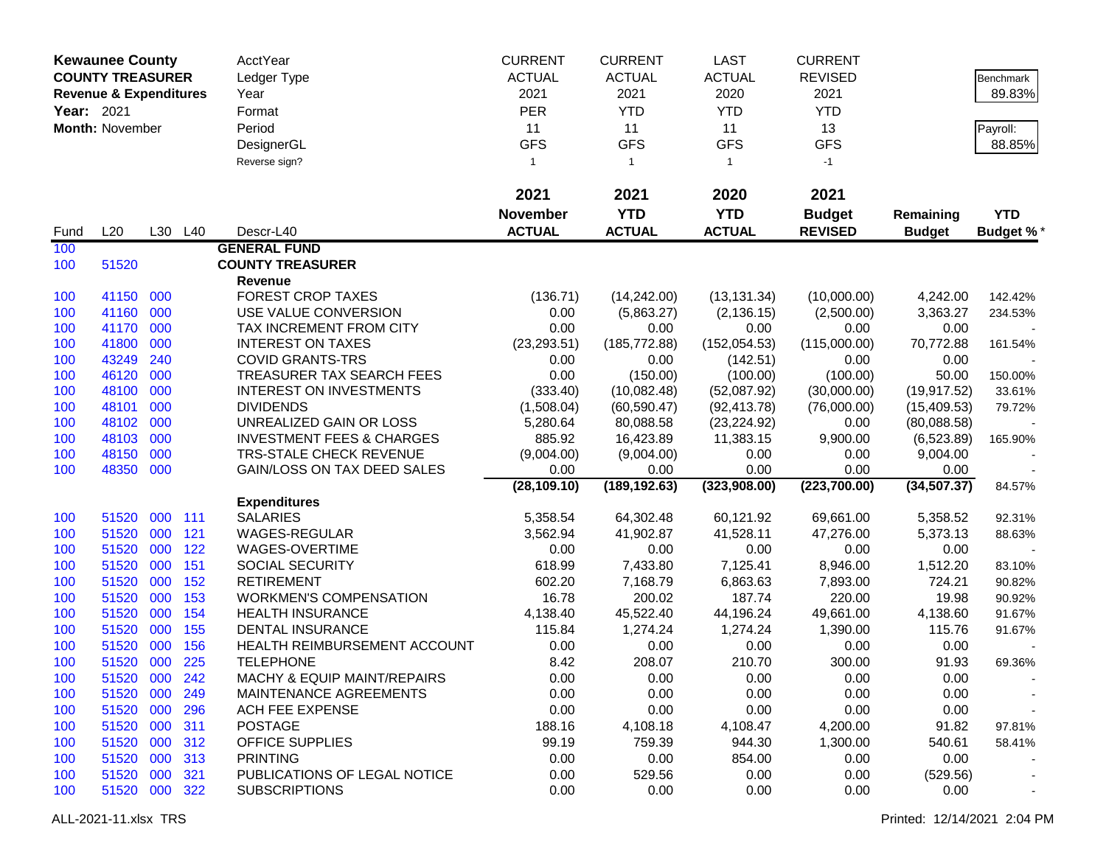| <b>Kewaunee County</b> |                                   |     | <b>AcctYear</b> | <b>CURRENT</b>                       | <b>CURRENT</b>  | <b>LAST</b>    | <b>CURRENT</b> |                |               |                  |
|------------------------|-----------------------------------|-----|-----------------|--------------------------------------|-----------------|----------------|----------------|----------------|---------------|------------------|
|                        | <b>COUNTY TREASURER</b>           |     |                 | Ledger Type                          | <b>ACTUAL</b>   | <b>ACTUAL</b>  | <b>ACTUAL</b>  | <b>REVISED</b> |               | Benchmark        |
|                        | <b>Revenue &amp; Expenditures</b> |     |                 | Year                                 | 2021            | 2021           | 2020           | 2021           |               | 89.83%           |
| Year: 2021             |                                   |     |                 | Format                               | <b>PER</b>      | <b>YTD</b>     | <b>YTD</b>     | <b>YTD</b>     |               |                  |
|                        | Month: November                   |     |                 | Period                               | 11              | 11             | 11             | 13             |               | Payroll:         |
|                        |                                   |     |                 | DesignerGL                           | <b>GFS</b>      | <b>GFS</b>     | <b>GFS</b>     | <b>GFS</b>     |               | 88.85%           |
|                        |                                   |     |                 |                                      | $\mathbf{1}$    |                | $\mathbf{1}$   | $-1$           |               |                  |
|                        |                                   |     |                 | Reverse sign?                        |                 | $\overline{1}$ |                |                |               |                  |
|                        |                                   |     |                 |                                      | 2021            | 2021           | 2020           | 2021           |               |                  |
|                        |                                   |     |                 |                                      | <b>November</b> | <b>YTD</b>     | <b>YTD</b>     | <b>Budget</b>  | Remaining     | <b>YTD</b>       |
| Fund                   | L20                               |     | L30 L40         | Descr-L40                            | <b>ACTUAL</b>   | <b>ACTUAL</b>  | <b>ACTUAL</b>  | <b>REVISED</b> | <b>Budget</b> | <b>Budget %*</b> |
| 100                    |                                   |     |                 | <b>GENERAL FUND</b>                  |                 |                |                |                |               |                  |
| 100                    | 51520                             |     |                 | <b>COUNTY TREASURER</b>              |                 |                |                |                |               |                  |
|                        |                                   |     |                 | Revenue                              |                 |                |                |                |               |                  |
| 100                    | 41150 000                         |     |                 | <b>FOREST CROP TAXES</b>             | (136.71)        | (14, 242.00)   | (13, 131.34)   | (10,000.00)    | 4,242.00      | 142.42%          |
| 100                    | 41160 000                         |     |                 | USE VALUE CONVERSION                 | 0.00            | (5,863.27)     | (2, 136.15)    | (2,500.00)     | 3,363.27      | 234.53%          |
| 100                    | 41170                             | 000 |                 | TAX INCREMENT FROM CITY              | 0.00            | 0.00           | 0.00           | 0.00           | 0.00          |                  |
| 100                    | 41800                             | 000 |                 | <b>INTEREST ON TAXES</b>             | (23, 293.51)    | (185, 772.88)  | (152, 054.53)  | (115,000.00)   | 70,772.88     | 161.54%          |
| 100                    | 43249                             | 240 |                 | <b>COVID GRANTS-TRS</b>              | 0.00            | 0.00           | (142.51)       | 0.00           | 0.00          |                  |
| 100                    | 46120                             | 000 |                 | TREASURER TAX SEARCH FEES            | 0.00            | (150.00)       | (100.00)       | (100.00)       | 50.00         | 150.00%          |
| 100                    | 48100                             | 000 |                 | <b>INTEREST ON INVESTMENTS</b>       | (333.40)        | (10,082.48)    | (52,087.92)    | (30,000.00)    | (19, 917.52)  | 33.61%           |
| 100                    | 48101                             | 000 |                 | <b>DIVIDENDS</b>                     | (1,508.04)      | (60, 590.47)   | (92, 413.78)   | (76,000.00)    | (15, 409.53)  | 79.72%           |
| 100                    | 48102                             | 000 |                 | UNREALIZED GAIN OR LOSS              | 5,280.64        | 80,088.58      | (23, 224.92)   | 0.00           | (80,088.58)   |                  |
| 100                    | 48103                             | 000 |                 | <b>INVESTMENT FEES &amp; CHARGES</b> | 885.92          | 16,423.89      | 11,383.15      | 9,900.00       | (6,523.89)    | 165.90%          |
| 100                    | 48150                             | 000 |                 | <b>TRS-STALE CHECK REVENUE</b>       | (9,004.00)      | (9,004.00)     | 0.00           | 0.00           | 9,004.00      |                  |
| 100                    | 48350                             | 000 |                 | GAIN/LOSS ON TAX DEED SALES          | 0.00            | 0.00           | 0.00           | 0.00           | 0.00          |                  |
|                        |                                   |     |                 |                                      | (28, 109.10)    | (189, 192.63)  | (323,908.00)   | (223,700.00)   | (34, 507.37)  | 84.57%           |
|                        |                                   |     |                 | <b>Expenditures</b>                  |                 |                |                |                |               |                  |
| 100                    | 51520                             | 000 | 111             | <b>SALARIES</b>                      | 5,358.54        | 64,302.48      | 60,121.92      | 69,661.00      | 5,358.52      | 92.31%           |
| 100                    | 51520                             | 000 | 121             | WAGES-REGULAR                        | 3,562.94        | 41,902.87      | 41,528.11      | 47,276.00      | 5,373.13      | 88.63%           |
| 100                    | 51520                             | 000 | 122             | WAGES-OVERTIME                       | 0.00            | 0.00           | 0.00           | 0.00           | 0.00          |                  |
| 100                    | 51520                             | 000 | 151             | <b>SOCIAL SECURITY</b>               | 618.99          | 7,433.80       | 7,125.41       | 8,946.00       | 1,512.20      | 83.10%           |
| 100                    | 51520                             | 000 | 152             | <b>RETIREMENT</b>                    | 602.20          | 7,168.79       | 6,863.63       | 7,893.00       | 724.21        | 90.82%           |
| 100                    | 51520                             | 000 | 153             | <b>WORKMEN'S COMPENSATION</b>        | 16.78           | 200.02         | 187.74         | 220.00         | 19.98         | 90.92%           |
| 100                    | 51520                             | 000 | 154             | <b>HEALTH INSURANCE</b>              | 4,138.40        | 45,522.40      | 44,196.24      | 49,661.00      | 4,138.60      | 91.67%           |
| 100                    | 51520                             | 000 | 155             | <b>DENTAL INSURANCE</b>              | 115.84          | 1,274.24       | 1,274.24       | 1,390.00       | 115.76        | 91.67%           |
| 100                    | 51520                             | 000 | 156             | HEALTH REIMBURSEMENT ACCOUNT         | 0.00            | 0.00           | 0.00           | 0.00           | 0.00          |                  |
| 100                    | 51520 000                         |     | 225             | <b>TELEPHONE</b>                     | 8.42            | 208.07         | 210.70         | 300.00         | 91.93         | 69.36%           |
| 100                    | 51520 000 242                     |     |                 | MACHY & EQUIP MAINT/REPAIRS          | 0.00            | 0.00           | 0.00           | 0.00           | 0.00          |                  |
| 100                    | 51520 000                         |     | 249             | MAINTENANCE AGREEMENTS               | 0.00            | 0.00           | 0.00           | 0.00           | 0.00          |                  |
| 100                    | 51520 000                         |     | 296             | ACH FEE EXPENSE                      | 0.00            | 0.00           | 0.00           | 0.00           | 0.00          |                  |
| 100                    | 51520 000                         |     | 311             | <b>POSTAGE</b>                       | 188.16          | 4,108.18       | 4,108.47       | 4,200.00       | 91.82         | 97.81%           |
| 100                    | 51520 000                         |     | 312             | OFFICE SUPPLIES                      | 99.19           | 759.39         | 944.30         | 1,300.00       | 540.61        | 58.41%           |
| 100                    | 51520                             | 000 | 313             | <b>PRINTING</b>                      | 0.00            | 0.00           | 854.00         | 0.00           | 0.00          |                  |
| 100                    | 51520 000                         |     | 321             | PUBLICATIONS OF LEGAL NOTICE         | 0.00            | 529.56         | 0.00           | 0.00           | (529.56)      |                  |
| 100                    | 51520 000 322                     |     |                 | <b>SUBSCRIPTIONS</b>                 | 0.00            | 0.00           | 0.00           | 0.00           | 0.00          |                  |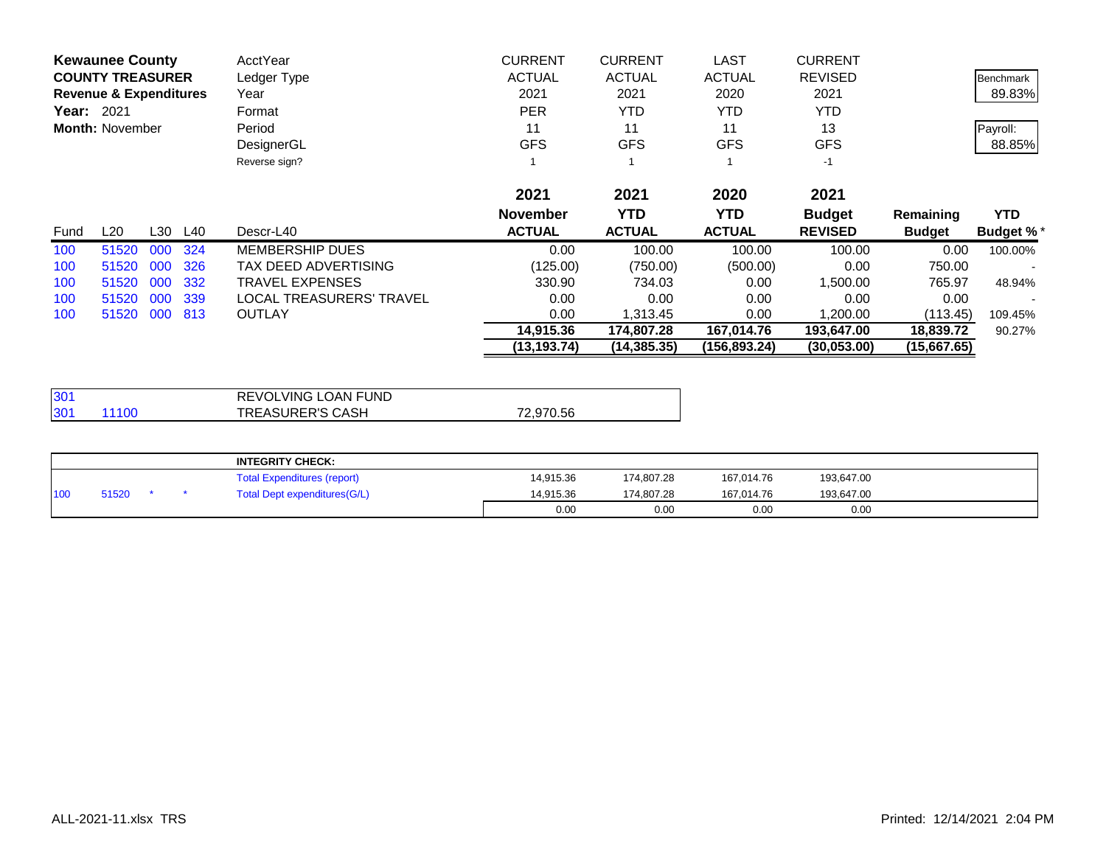|            | <b>Kewaunee County</b>            |     |         | AcctYear                 | <b>CURRENT</b>  | <b>CURRENT</b> | <b>LAST</b>   | <b>CURRENT</b> |               |                  |
|------------|-----------------------------------|-----|---------|--------------------------|-----------------|----------------|---------------|----------------|---------------|------------------|
|            | <b>COUNTY TREASURER</b>           |     |         | Ledger Type              | <b>ACTUAL</b>   | <b>ACTUAL</b>  | <b>ACTUAL</b> | <b>REVISED</b> |               | Benchmark        |
|            | <b>Revenue &amp; Expenditures</b> |     |         | Year                     | 2021            | 2021           | 2020          | 2021           |               | 89.83%           |
| Year: 2021 |                                   |     |         | Format                   | <b>PER</b>      | <b>YTD</b>     | <b>YTD</b>    | <b>YTD</b>     |               |                  |
|            | <b>Month: November</b>            |     |         | Period                   | 11              | 11             | 11            | 13             |               | Payroll:         |
|            |                                   |     |         | DesignerGL               | <b>GFS</b>      | <b>GFS</b>     | <b>GFS</b>    | <b>GFS</b>     |               | 88.85%           |
|            |                                   |     |         | Reverse sign?            |                 |                |               | $-1$           |               |                  |
|            |                                   |     |         |                          | 2021            | 2021           | 2020          | 2021           |               |                  |
|            |                                   |     |         |                          | <b>November</b> | <b>YTD</b>     | <b>YTD</b>    | <b>Budget</b>  | Remaining     | <b>YTD</b>       |
| Fund       | L20                               |     | L30 L40 | Descr-L40                | <b>ACTUAL</b>   | <b>ACTUAL</b>  | <b>ACTUAL</b> | <b>REVISED</b> | <b>Budget</b> | <b>Budget %*</b> |
| 100        | 51520                             | 000 | 324     | <b>MEMBERSHIP DUES</b>   | 0.00            | 100.00         | 100.00        | 100.00         | 0.00          | 100.00%          |
| 100        | 51520                             | 000 | 326     | TAX DEED ADVERTISING     | (125.00)        | (750.00)       | (500.00)      | 0.00           | 750.00        |                  |
| 100        | 51520                             | 000 | 332     | <b>TRAVEL EXPENSES</b>   | 330.90          | 734.03         | 0.00          | 1,500.00       | 765.97        | 48.94%           |
| 100        | 51520                             | 000 | 339     | LOCAL TREASURERS' TRAVEL | 0.00            | 0.00           | 0.00          | 0.00           | 0.00          |                  |
| 100        | 51520                             | 000 | 813     | <b>OUTLAY</b>            | 0.00            | 1,313.45       | 0.00          | 1,200.00       | (113.45)      | 109.45%          |
|            |                                   |     |         |                          | 14,915.36       | 174,807.28     | 167,014.76    | 193,647.00     | 18,839.72     | 90.27%           |
|            |                                   |     |         |                          | (13, 193.74)    | (14, 385.35)   | (156,893.24)  | (30,053.00)    | (15,667.65)   |                  |

| 130 <sup>4</sup>         | <b>REVOLVING LOAN FUND</b> |           |
|--------------------------|----------------------------|-----------|
| 130 <sup>2</sup><br>1100 | <b>TREASURER'S CASH</b>    | 72.970.56 |

|     |       |  | <b>INTEGRITY CHECK:</b>            |           |            |            |            |  |
|-----|-------|--|------------------------------------|-----------|------------|------------|------------|--|
|     |       |  | <b>Total Expenditures (report)</b> | 14.915.36 | 174.807.28 | 167,014.76 | 193,647.00 |  |
| 100 | 51520 |  | Total Dept expenditures(G/L)       | 14.915.36 | 174.807.28 | 167.014.76 | 193,647.00 |  |
|     |       |  |                                    | 0.00      | 0.00       | 0.00       | 0.00       |  |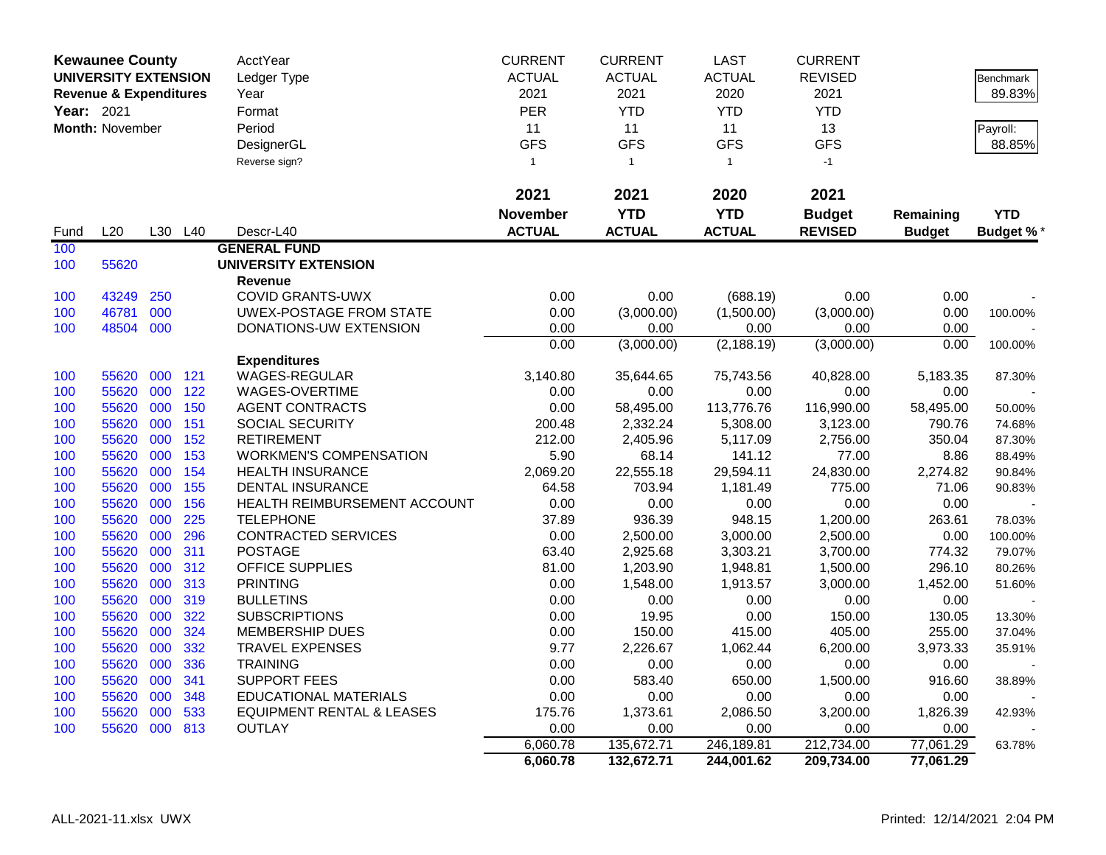|            | <b>Kewaunee County</b>            |            |                 | AcctYear                                         | <b>CURRENT</b>  | <b>CURRENT</b>        | <b>LAST</b>            | <b>CURRENT</b>         |                     |                  |
|------------|-----------------------------------|------------|-----------------|--------------------------------------------------|-----------------|-----------------------|------------------------|------------------------|---------------------|------------------|
|            | <b>UNIVERSITY EXTENSION</b>       |            |                 | Ledger Type                                      | <b>ACTUAL</b>   | <b>ACTUAL</b>         | <b>ACTUAL</b>          | <b>REVISED</b>         |                     | Benchmark        |
|            | <b>Revenue &amp; Expenditures</b> |            |                 | Year                                             | 2021            | 2021                  | 2020                   | 2021                   |                     | 89.83%           |
| Year: 2021 |                                   |            |                 | Format                                           | <b>PER</b>      | <b>YTD</b>            | <b>YTD</b>             | <b>YTD</b>             |                     |                  |
|            | <b>Month: November</b>            |            |                 | Period                                           | 11              | 11                    | 11                     | 13                     |                     | Payroll:         |
|            |                                   |            |                 | DesignerGL                                       | <b>GFS</b>      | <b>GFS</b>            | <b>GFS</b>             | <b>GFS</b>             |                     | 88.85%           |
|            |                                   |            |                 | Reverse sign?                                    | $\mathbf{1}$    | $\overline{1}$        | $\mathbf{1}$           | $-1$                   |                     |                  |
|            |                                   |            |                 |                                                  |                 |                       |                        |                        |                     |                  |
|            |                                   |            |                 |                                                  | 2021            | 2021                  | 2020                   | 2021                   |                     |                  |
|            |                                   |            |                 |                                                  | <b>November</b> | <b>YTD</b>            | <b>YTD</b>             | <b>Budget</b>          | Remaining           | <b>YTD</b>       |
|            | L20                               | L30        | L <sub>40</sub> | Descr-L40                                        | <b>ACTUAL</b>   | <b>ACTUAL</b>         | <b>ACTUAL</b>          | <b>REVISED</b>         |                     |                  |
| Fund       |                                   |            |                 |                                                  |                 |                       |                        |                        | <b>Budget</b>       | <b>Budget %*</b> |
| 100        |                                   |            |                 | <b>GENERAL FUND</b>                              |                 |                       |                        |                        |                     |                  |
| 100        | 55620                             |            |                 | <b>UNIVERSITY EXTENSION</b>                      |                 |                       |                        |                        |                     |                  |
|            |                                   |            |                 | <b>Revenue</b>                                   |                 |                       |                        |                        |                     |                  |
| 100        | 43249                             | 250        |                 | <b>COVID GRANTS-UWX</b>                          | 0.00            | 0.00                  | (688.19)               | 0.00                   | 0.00                |                  |
| 100        | 46781                             | 000        |                 | UWEX-POSTAGE FROM STATE                          | 0.00            | (3,000.00)            | (1,500.00)             | (3,000.00)             | 0.00                | 100.00%          |
| 100        | 48504 000                         |            |                 | DONATIONS-UW EXTENSION                           | 0.00            | 0.00<br>(3,000.00)    | 0.00<br>(2, 188.19)    | 0.00<br>(3,000.00)     | 0.00<br>0.00        |                  |
|            |                                   |            |                 |                                                  | 0.00            |                       |                        |                        |                     | 100.00%          |
|            | 55620                             | 000        | 121             | <b>Expenditures</b><br><b>WAGES-REGULAR</b>      | 3,140.80        |                       | 75,743.56              |                        |                     |                  |
| 100        | 55620                             | 000        | 122             | WAGES-OVERTIME                                   |                 | 35,644.65<br>0.00     | 0.00                   | 40,828.00<br>0.00      | 5,183.35<br>0.00    | 87.30%           |
| 100        |                                   |            | 150             |                                                  | 0.00            |                       |                        |                        |                     |                  |
| 100<br>100 | 55620<br>55620                    | 000<br>000 | 151             | <b>AGENT CONTRACTS</b><br><b>SOCIAL SECURITY</b> | 0.00<br>200.48  | 58,495.00<br>2,332.24 | 113,776.76<br>5,308.00 | 116,990.00<br>3,123.00 | 58,495.00<br>790.76 | 50.00%           |
|            | 55620                             | 000        | 152             | <b>RETIREMENT</b>                                | 212.00          | 2,405.96              | 5,117.09               |                        | 350.04              | 74.68%<br>87.30% |
| 100<br>100 | 55620                             | 000        | 153             | <b>WORKMEN'S COMPENSATION</b>                    | 5.90            | 68.14                 | 141.12                 | 2,756.00<br>77.00      | 8.86                | 88.49%           |
|            | 55620                             | 000        | 154             | <b>HEALTH INSURANCE</b>                          | 2,069.20        | 22,555.18             | 29,594.11              | 24,830.00              | 2,274.82            |                  |
| 100<br>100 | 55620                             | 000        | 155             | <b>DENTAL INSURANCE</b>                          | 64.58           | 703.94                | 1,181.49               | 775.00                 | 71.06               | 90.84%<br>90.83% |
| 100        | 55620                             | 000        | 156             | HEALTH REIMBURSEMENT ACCOUNT                     | 0.00            | 0.00                  | 0.00                   | 0.00                   | 0.00                |                  |
| 100        | 55620                             | 000        | 225             | <b>TELEPHONE</b>                                 | 37.89           | 936.39                | 948.15                 | 1,200.00               | 263.61              | 78.03%           |
| 100        | 55620                             | 000        | 296             | <b>CONTRACTED SERVICES</b>                       | 0.00            | 2,500.00              | 3,000.00               | 2,500.00               | 0.00                | 100.00%          |
| 100        | 55620                             | 000        | 311             | <b>POSTAGE</b>                                   | 63.40           | 2,925.68              | 3,303.21               | 3,700.00               | 774.32              | 79.07%           |
| 100        | 55620                             | 000        | 312             | <b>OFFICE SUPPLIES</b>                           | 81.00           | 1,203.90              | 1,948.81               | 1,500.00               | 296.10              | 80.26%           |
| 100        | 55620                             | 000        | 313             | <b>PRINTING</b>                                  | 0.00            | 1,548.00              | 1,913.57               | 3,000.00               | 1,452.00            | 51.60%           |
| 100        | 55620                             | 000        | 319             | <b>BULLETINS</b>                                 | 0.00            | 0.00                  | 0.00                   | 0.00                   | 0.00                |                  |
| 100        | 55620                             | 000        | 322             | <b>SUBSCRIPTIONS</b>                             | 0.00            | 19.95                 | 0.00                   | 150.00                 | 130.05              | 13.30%           |
| 100        | 55620                             | 000        | 324             | <b>MEMBERSHIP DUES</b>                           | 0.00            | 150.00                | 415.00                 | 405.00                 | 255.00              | 37.04%           |
| 100        | 55620                             | 000        | 332             | <b>TRAVEL EXPENSES</b>                           | 9.77            | 2,226.67              | 1,062.44               | 6,200.00               | 3,973.33            | 35.91%           |
| 100        | 55620                             | 000        | 336             | <b>TRAINING</b>                                  | 0.00            | 0.00                  | 0.00                   | 0.00                   | 0.00                |                  |
| 100        | 55620                             | 000        | 341             | <b>SUPPORT FEES</b>                              | 0.00            | 583.40                | 650.00                 | 1,500.00               | 916.60              | 38.89%           |
| 100        | 55620                             | 000        | 348             | <b>EDUCATIONAL MATERIALS</b>                     | 0.00            | 0.00                  | 0.00                   | 0.00                   | 0.00                |                  |
| 100        | 55620                             | 000        | 533             | <b>EQUIPMENT RENTAL &amp; LEASES</b>             | 175.76          | 1,373.61              | 2,086.50               | 3,200.00               | 1,826.39            | 42.93%           |
| 100        | 55620                             | 000        | 813             | <b>OUTLAY</b>                                    | 0.00            | 0.00                  | 0.00                   | 0.00                   | 0.00                |                  |
|            |                                   |            |                 |                                                  | 6,060.78        | 135,672.71            | 246,189.81             | 212,734.00             | 77,061.29           | 63.78%           |
|            |                                   |            |                 |                                                  | 6,060.78        | 132,672.71            | 244,001.62             | 209,734.00             | 77,061.29           |                  |
|            |                                   |            |                 |                                                  |                 |                       |                        |                        |                     |                  |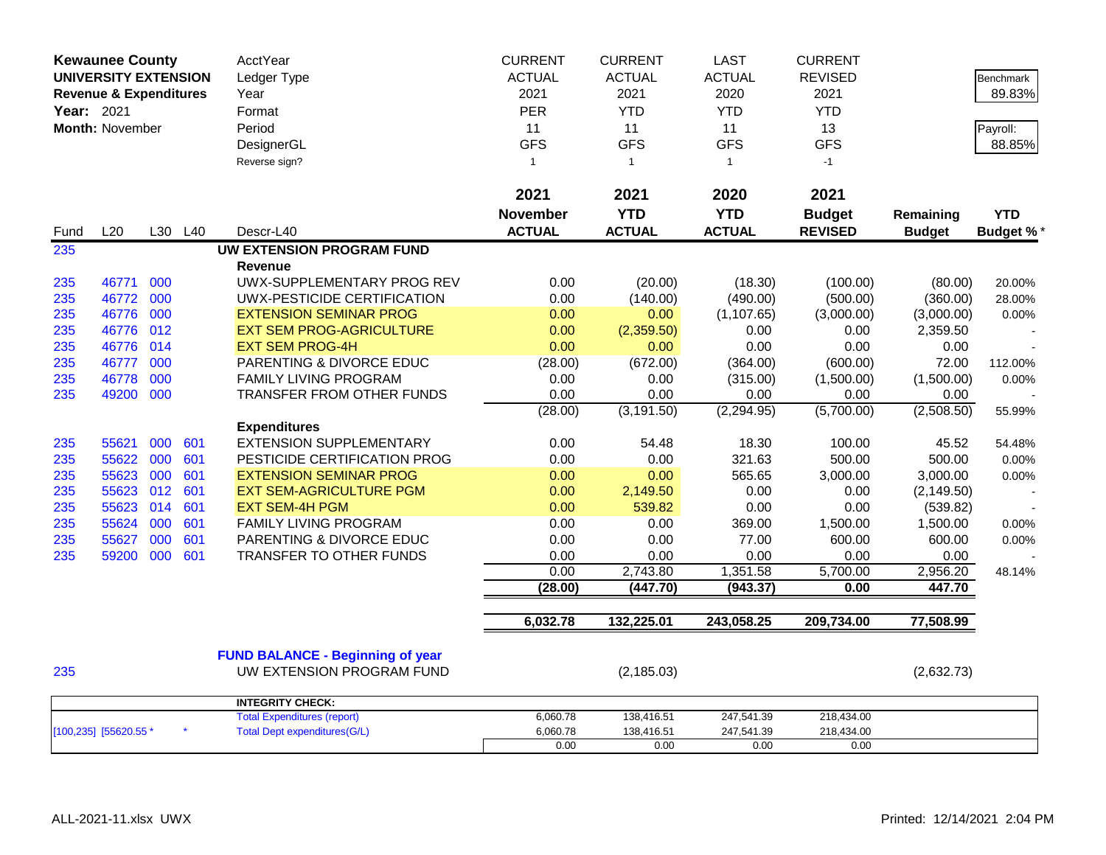|            | <b>Kewaunee County</b>            |     |         | AcctYear                                | <b>CURRENT</b>  | <b>CURRENT</b> | <b>LAST</b>   | <b>CURRENT</b> |               |                  |
|------------|-----------------------------------|-----|---------|-----------------------------------------|-----------------|----------------|---------------|----------------|---------------|------------------|
|            | <b>UNIVERSITY EXTENSION</b>       |     |         | Ledger Type                             | <b>ACTUAL</b>   | <b>ACTUAL</b>  | <b>ACTUAL</b> | <b>REVISED</b> |               | <b>Benchmark</b> |
|            | <b>Revenue &amp; Expenditures</b> |     |         | Year                                    | 2021            | 2021           | 2020          | 2021           |               | 89.83%           |
| Year: 2021 |                                   |     |         | Format                                  | <b>PER</b>      | <b>YTD</b>     | <b>YTD</b>    | <b>YTD</b>     |               |                  |
|            | Month: November                   |     |         | Period                                  | 11              | 11             | 11            | 13             |               | Payroll:         |
|            |                                   |     |         | DesignerGL                              | <b>GFS</b>      | <b>GFS</b>     | <b>GFS</b>    | <b>GFS</b>     |               | 88.85%           |
|            |                                   |     |         | Reverse sign?                           | $\mathbf{1}$    | $\overline{1}$ | $\mathbf{1}$  | $-1$           |               |                  |
|            |                                   |     |         |                                         |                 |                |               |                |               |                  |
|            |                                   |     |         |                                         | 2021            | 2021           | 2020          | 2021           |               |                  |
|            |                                   |     |         |                                         | <b>November</b> | <b>YTD</b>     | <b>YTD</b>    | <b>Budget</b>  | Remaining     | <b>YTD</b>       |
| Fund       | L20                               |     | L30 L40 | Descr-L40                               | <b>ACTUAL</b>   | <b>ACTUAL</b>  | <b>ACTUAL</b> | <b>REVISED</b> | <b>Budget</b> | <b>Budget %*</b> |
| 235        |                                   |     |         | <b>UW EXTENSION PROGRAM FUND</b>        |                 |                |               |                |               |                  |
|            |                                   |     |         | <b>Revenue</b>                          |                 |                |               |                |               |                  |
| 235        | 46771                             | 000 |         | UWX-SUPPLEMENTARY PROG REV              | 0.00            | (20.00)        | (18.30)       | (100.00)       | (80.00)       | 20.00%           |
| 235        | 46772                             | 000 |         | UWX-PESTICIDE CERTIFICATION             | 0.00            | (140.00)       | (490.00)      | (500.00)       | (360.00)      | 28.00%           |
| 235        | 46776                             | 000 |         | <b>EXTENSION SEMINAR PROG</b>           | 0.00            | 0.00           | (1, 107.65)   | (3,000.00)     | (3,000.00)    | 0.00%            |
| 235        | 46776                             | 012 |         | <b>EXT SEM PROG-AGRICULTURE</b>         | 0.00            | (2,359.50)     | 0.00          | 0.00           | 2,359.50      |                  |
| 235        | 46776 014                         |     |         | <b>EXT SEM PROG-4H</b>                  | 0.00            | 0.00           | 0.00          | 0.00           | 0.00          |                  |
| 235        | 46777                             | 000 |         | PARENTING & DIVORCE EDUC                | (28.00)         | (672.00)       | (364.00)      | (600.00)       | 72.00         | 112.00%          |
| 235        | 46778                             | 000 |         | FAMILY LIVING PROGRAM                   | 0.00            | 0.00           | (315.00)      | (1,500.00)     | (1,500.00)    | 0.00%            |
| 235        | 49200                             | 000 |         | TRANSFER FROM OTHER FUNDS               | 0.00            | 0.00           | 0.00          | 0.00           | 0.00          |                  |
|            |                                   |     |         |                                         | (28.00)         | (3, 191.50)    | (2, 294.95)   | (5,700.00)     | (2,508.50)    | 55.99%           |
|            |                                   |     |         | <b>Expenditures</b>                     |                 |                |               |                |               |                  |
| 235        | 55621                             | 000 | 601     | <b>EXTENSION SUPPLEMENTARY</b>          | 0.00            | 54.48          | 18.30         | 100.00         | 45.52         | 54.48%           |
| 235        | 55622                             | 000 | 601     | PESTICIDE CERTIFICATION PROG            | 0.00            | 0.00           | 321.63        | 500.00         | 500.00        | 0.00%            |
| 235        | 55623                             | 000 | 601     | <b>EXTENSION SEMINAR PROG</b>           | 0.00            | 0.00           | 565.65        | 3,000.00       | 3,000.00      | 0.00%            |
| 235        | 55623                             | 012 | 601     | <b>EXT SEM-AGRICULTURE PGM</b>          | 0.00            | 2,149.50       | 0.00          | 0.00           | (2, 149.50)   |                  |
| 235        | 55623                             | 014 | 601     | <b>EXT SEM-4H PGM</b>                   | 0.00            | 539.82         | 0.00          | 0.00           | (539.82)      |                  |
| 235        | 55624                             | 000 | 601     | FAMILY LIVING PROGRAM                   | 0.00            | 0.00           | 369.00        | 1,500.00       | 1,500.00      | 0.00%            |
| 235        | 55627                             | 000 | 601     | PARENTING & DIVORCE EDUC                | 0.00            | 0.00           | 77.00         | 600.00         | 600.00        | 0.00%            |
| 235        | 59200                             | 000 | 601     | TRANSFER TO OTHER FUNDS                 | 0.00            | 0.00           | 0.00          | 0.00           | 0.00          |                  |
|            |                                   |     |         |                                         | 0.00            | 2,743.80       | 1,351.58      | 5,700.00       | 2,956.20      | 48.14%           |
|            |                                   |     |         |                                         | (28.00)         | (447.70)       | (943.37)      | 0.00           | 447.70        |                  |
|            |                                   |     |         |                                         |                 |                |               |                |               |                  |
|            |                                   |     |         |                                         | 6,032.78        | 132,225.01     | 243,058.25    | 209,734.00     | 77,508.99     |                  |
|            |                                   |     |         | <b>FUND BALANCE - Beginning of year</b> |                 |                |               |                |               |                  |
| 235        |                                   |     |         | UW EXTENSION PROGRAM FUND               |                 | (2, 185.03)    |               |                | (2,632.73)    |                  |
|            |                                   |     |         |                                         |                 |                |               |                |               |                  |
|            |                                   |     |         | <b>INTEGRITY CHECK:</b>                 |                 |                |               |                |               |                  |
|            |                                   |     |         | <b>Total Expenditures (report)</b>      | 6,060.78        | 138,416.51     | 247,541.39    | 218,434.00     |               |                  |
|            | [100,235] [55620.55 *             |     |         | <b>Total Dept expenditures(G/L)</b>     | 6,060.78        | 138,416.51     | 247,541.39    | 218,434.00     |               |                  |
|            |                                   |     |         |                                         | 0.00            | 0.00           | 0.00          | 0.00           |               |                  |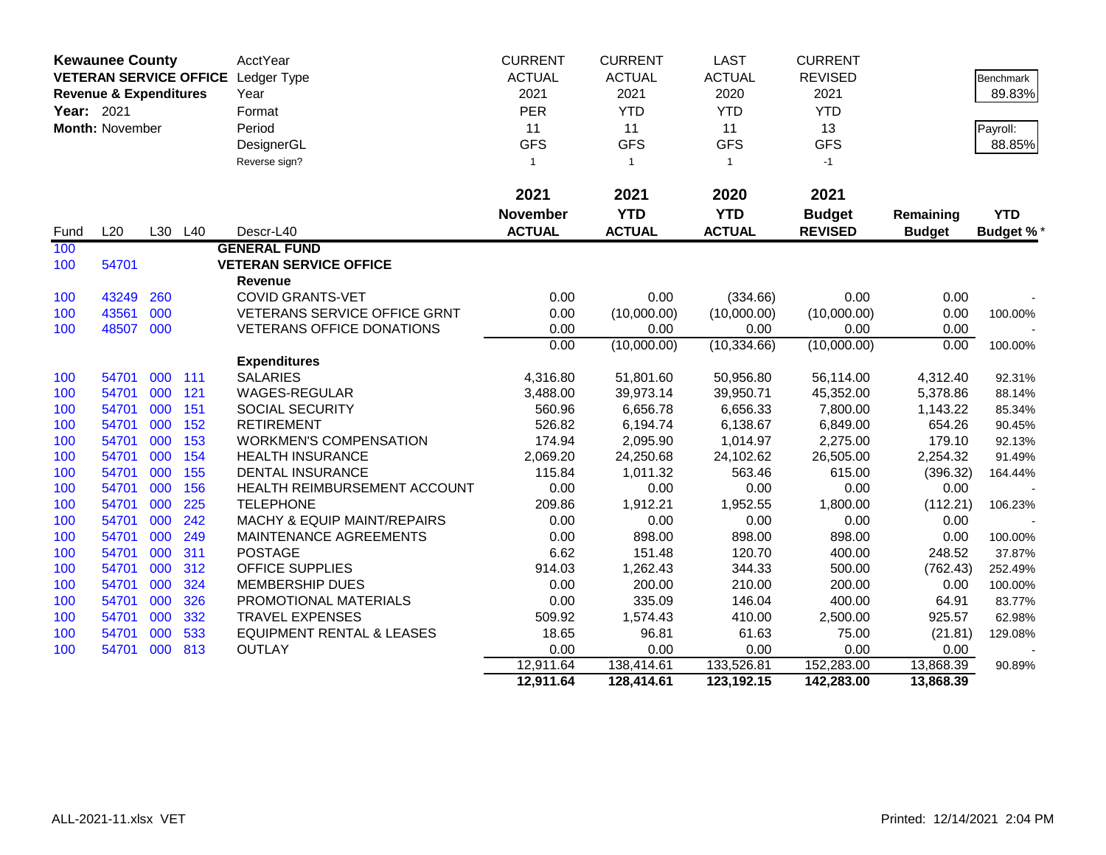|            | <b>Kewaunee County</b>            |     |         | AcctYear                               | <b>CURRENT</b>  | <b>CURRENT</b>     | <b>LAST</b>        | <b>CURRENT</b>     |                   |                  |
|------------|-----------------------------------|-----|---------|----------------------------------------|-----------------|--------------------|--------------------|--------------------|-------------------|------------------|
|            |                                   |     |         | VETERAN SERVICE OFFICE Ledger Type     | <b>ACTUAL</b>   | <b>ACTUAL</b>      | <b>ACTUAL</b>      | <b>REVISED</b>     |                   | Benchmark        |
|            | <b>Revenue &amp; Expenditures</b> |     |         | Year                                   | 2021            | 2021               | 2020               | 2021               |                   | 89.83%           |
| Year: 2021 |                                   |     |         | Format                                 | PER             | <b>YTD</b>         | <b>YTD</b>         | <b>YTD</b>         |                   |                  |
|            | Month: November                   |     |         | Period                                 | 11              | 11                 | 11                 | 13                 |                   | Payroll:         |
|            |                                   |     |         | DesignerGL                             | <b>GFS</b>      | <b>GFS</b>         | <b>GFS</b>         | <b>GFS</b>         |                   | 88.85%           |
|            |                                   |     |         | Reverse sign?                          | $\overline{1}$  | $\mathbf{1}$       | $\mathbf{1}$       | $-1$               |                   |                  |
|            |                                   |     |         |                                        |                 |                    |                    |                    |                   |                  |
|            |                                   |     |         |                                        | 2021            | 2021               | 2020               | 2021               |                   |                  |
|            |                                   |     |         |                                        | <b>November</b> | <b>YTD</b>         | <b>YTD</b>         | <b>Budget</b>      | Remaining         | <b>YTD</b>       |
| Fund       | L20                               |     | L30 L40 | Descr-L40                              | <b>ACTUAL</b>   | <b>ACTUAL</b>      | <b>ACTUAL</b>      | <b>REVISED</b>     | <b>Budget</b>     | <b>Budget %*</b> |
| 100        |                                   |     |         | <b>GENERAL FUND</b>                    |                 |                    |                    |                    |                   |                  |
| 100        | 54701                             |     |         | <b>VETERAN SERVICE OFFICE</b>          |                 |                    |                    |                    |                   |                  |
|            |                                   |     |         | <b>Revenue</b>                         |                 |                    |                    |                    |                   |                  |
| 100        | 43249                             | 260 |         | <b>COVID GRANTS-VET</b>                | 0.00            | 0.00               | (334.66)           | 0.00               | 0.00              |                  |
| 100        | 43561                             | 000 |         | VETERANS SERVICE OFFICE GRNT           | 0.00            | (10,000.00)        | (10,000.00)        | (10,000.00)        | 0.00              | 100.00%          |
| 100        | 48507                             | 000 |         | <b>VETERANS OFFICE DONATIONS</b>       | 0.00            | 0.00               | 0.00               | 0.00               | 0.00              |                  |
|            |                                   |     |         |                                        | 0.00            | (10,000.00)        | (10, 334.66)       | (10,000.00)        | 0.00              | 100.00%          |
|            |                                   |     |         | <b>Expenditures</b>                    |                 |                    |                    |                    |                   |                  |
| 100        | 54701                             | 000 | 111     | <b>SALARIES</b>                        | 4,316.80        | 51,801.60          | 50,956.80          | 56,114.00          | 4,312.40          | 92.31%           |
| 100        | 54701                             | 000 | 121     | WAGES-REGULAR                          | 3,488.00        | 39,973.14          | 39,950.71          | 45,352.00          | 5,378.86          | 88.14%           |
| 100        | 54701                             | 000 | 151     | SOCIAL SECURITY                        | 560.96          | 6,656.78           | 6,656.33           | 7,800.00           | 1,143.22          | 85.34%           |
| 100        | 54701                             | 000 | 152     | <b>RETIREMENT</b>                      | 526.82          | 6,194.74           | 6,138.67           | 6,849.00           | 654.26            | 90.45%           |
| 100        | 54701                             | 000 | 153     | <b>WORKMEN'S COMPENSATION</b>          | 174.94          | 2,095.90           | 1,014.97           | 2,275.00           | 179.10            | 92.13%           |
| 100        | 54701                             | 000 | 154     | <b>HEALTH INSURANCE</b>                | 2,069.20        | 24,250.68          | 24,102.62          | 26,505.00          | 2,254.32          | 91.49%           |
| 100        | 54701                             | 000 | 155     | <b>DENTAL INSURANCE</b>                | 115.84          | 1,011.32           | 563.46             | 615.00             | (396.32)          | 164.44%          |
| 100        | 54701                             | 000 | 156     | HEALTH REIMBURSEMENT ACCOUNT           | 0.00            | 0.00               | 0.00               | 0.00               | 0.00              |                  |
| 100        | 54701                             | 000 | 225     | <b>TELEPHONE</b>                       | 209.86          | 1,912.21           | 1,952.55           | 1,800.00           | (112.21)          | 106.23%          |
| 100        | 54701                             | 000 | 242     | <b>MACHY &amp; EQUIP MAINT/REPAIRS</b> | 0.00            | 0.00               | 0.00               | 0.00               | 0.00              |                  |
| 100        | 54701                             | 000 | 249     | MAINTENANCE AGREEMENTS                 | 0.00            | 898.00             | 898.00             | 898.00             | 0.00              | 100.00%          |
| 100        | 54701                             | 000 | 311     | <b>POSTAGE</b>                         | 6.62            | 151.48             | 120.70             | 400.00             | 248.52            | 37.87%           |
| 100        | 54701                             | 000 | 312     | OFFICE SUPPLIES                        | 914.03          | 1,262.43           | 344.33             | 500.00             | (762.43)          | 252.49%          |
| 100        | 54701                             | 000 | 324     | <b>MEMBERSHIP DUES</b>                 | 0.00            | 200.00             | 210.00             | 200.00             | 0.00              | 100.00%          |
| 100        | 54701                             | 000 | 326     | PROMOTIONAL MATERIALS                  | 0.00            | 335.09             | 146.04             | 400.00             | 64.91             | 83.77%           |
| 100        | 54701                             | 000 | 332     | <b>TRAVEL EXPENSES</b>                 | 509.92          | 1,574.43           | 410.00             | 2,500.00           | 925.57            | 62.98%           |
| 100        | 54701                             | 000 | 533     | <b>EQUIPMENT RENTAL &amp; LEASES</b>   | 18.65<br>0.00   | 96.81              | 61.63              | 75.00              | (21.81)           | 129.08%          |
| 100        | 54701                             | 000 | 813     | <b>OUTLAY</b>                          | 12,911.64       | 0.00<br>138,414.61 | 0.00<br>133,526.81 | 0.00<br>152,283.00 | 0.00<br>13,868.39 | 90.89%           |
|            |                                   |     |         |                                        | 12,911.64       | 128,414.61         | 123,192.15         | 142,283.00         | 13,868.39         |                  |
|            |                                   |     |         |                                        |                 |                    |                    |                    |                   |                  |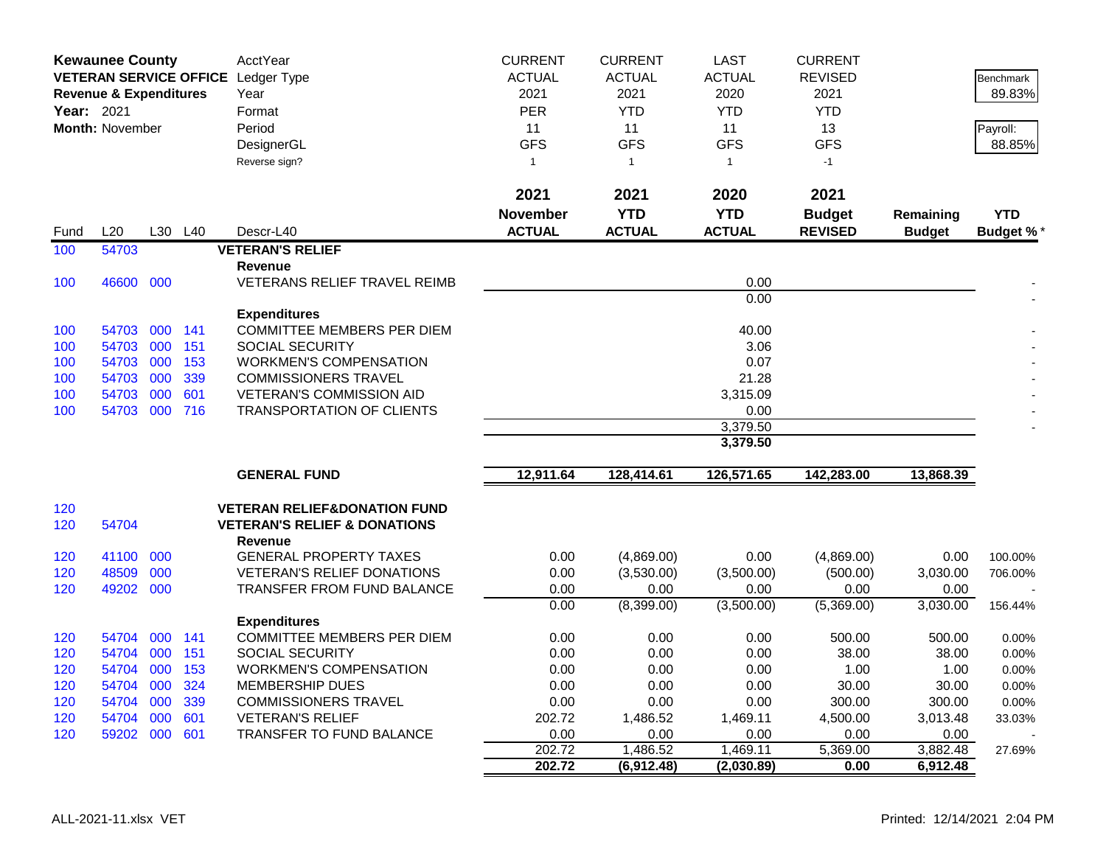| <b>ACTUAL</b><br><b>ACTUAL</b><br><b>ACTUAL</b><br>VETERAN SERVICE OFFICE Ledger Type<br><b>REVISED</b><br><b>Benchmark</b><br>2021<br>2021<br>2020<br>2021<br>89.83%<br><b>Revenue &amp; Expenditures</b><br>Year<br>Year: 2021<br><b>PER</b><br><b>YTD</b><br><b>YTD</b><br><b>YTD</b><br>Format<br>Month: November<br>Period<br>11<br>11<br>11<br>13<br>Payroll:<br><b>GFS</b><br><b>GFS</b><br><b>GFS</b><br><b>GFS</b><br>88.85%<br>DesignerGL<br>Reverse sign?<br>$\mathbf{1}$<br>$\overline{1}$<br>$\mathbf{1}$<br>$-1$<br>2021<br>2021<br>2021<br>2020<br><b>YTD</b><br><b>YTD</b><br><b>November</b><br><b>YTD</b><br><b>Budget</b><br>Remaining<br><b>ACTUAL</b><br><b>ACTUAL</b><br>L20<br>L30<br>L40<br><b>ACTUAL</b><br><b>REVISED</b><br>Descr-L40<br><b>Budget</b><br><b>Budget %*</b><br>Fund<br>54703<br><b>VETERAN'S RELIEF</b><br>100<br><b>Revenue</b><br>46600 000<br>0.00<br>100<br>VETERANS RELIEF TRAVEL REIMB<br>0.00<br><b>Expenditures</b><br>000 141<br><b>COMMITTEE MEMBERS PER DIEM</b><br>40.00<br>100<br>54703<br>54703 000<br>151<br><b>SOCIAL SECURITY</b><br>3.06<br>100<br>0.07<br>54703 000<br>153<br><b>WORKMEN'S COMPENSATION</b><br>100<br>339<br>21.28<br>54703<br>000<br><b>COMMISSIONERS TRAVEL</b><br>100<br>54703 000<br>601<br><b>VETERAN'S COMMISSION AID</b><br>3,315.09<br>100<br>54703 000 716<br><b>TRANSPORTATION OF CLIENTS</b><br>0.00<br>100<br>3,379.50<br>3,379.50<br>12,911.64<br>128,414.61<br>126,571.65<br>142,283.00<br>13,868.39<br><b>GENERAL FUND</b><br>120<br><b>VETERAN RELIEF&amp;DONATION FUND</b><br>54704<br>120<br><b>VETERAN'S RELIEF &amp; DONATIONS</b><br><b>Revenue</b><br>41100<br>000<br><b>GENERAL PROPERTY TAXES</b><br>0.00<br>(4,869.00)<br>0.00<br>(4,869.00)<br>0.00<br>120<br>100.00%<br>000<br>48509<br><b>VETERAN'S RELIEF DONATIONS</b><br>0.00<br>(3,530.00)<br>(3,500.00)<br>3,030.00<br>120<br>(500.00)<br>706.00%<br>49202 000<br>TRANSFER FROM FUND BALANCE<br>0.00<br>0.00<br>120<br>0.00<br>0.00<br>0.00<br>0.00<br>(8,399.00)<br>(3,500.00)<br>(5,369.00)<br>3,030.00<br>156.44%<br><b>Expenditures</b><br>000<br><b>COMMITTEE MEMBERS PER DIEM</b><br>0.00<br>0.00<br>0.00<br>500.00<br>54704<br>141<br>500.00<br>120<br>0.00%<br>0.00<br>38.00<br>120<br>54704 000<br>151<br><b>SOCIAL SECURITY</b><br>0.00<br>0.00<br>38.00<br>0.00%<br>54704 000<br>153<br>0.00<br>0.00<br>1.00<br>1.00<br>120<br><b>WORKMEN'S COMPENSATION</b><br>0.00<br>0.00%<br>324<br>54704<br>000<br><b>MEMBERSHIP DUES</b><br>0.00<br>0.00<br>0.00<br>30.00<br>30.00<br>120<br>0.00%<br>339<br>300.00<br>300.00<br>120<br>54704<br>000<br><b>COMMISSIONERS TRAVEL</b><br>0.00<br>0.00<br>0.00<br>0.00%<br>54704 000<br>601<br><b>VETERAN'S RELIEF</b><br>202.72<br>1,486.52<br>1,469.11<br>4,500.00<br>3,013.48<br>120<br>33.03%<br>59202 000<br>601<br>TRANSFER TO FUND BALANCE<br>0.00<br>0.00<br>0.00<br>0.00<br>0.00<br>120<br>202.72<br>1,486.52<br>1,469.11<br>5,369.00<br>3,882.48<br>27.69%<br>202.72<br>(6,912.48)<br>(2,030.89)<br>0.00<br>6,912.48 | <b>Kewaunee County</b> |  | AcctYear | <b>CURRENT</b> | <b>CURRENT</b> | <b>LAST</b> | <b>CURRENT</b> |  |
|--------------------------------------------------------------------------------------------------------------------------------------------------------------------------------------------------------------------------------------------------------------------------------------------------------------------------------------------------------------------------------------------------------------------------------------------------------------------------------------------------------------------------------------------------------------------------------------------------------------------------------------------------------------------------------------------------------------------------------------------------------------------------------------------------------------------------------------------------------------------------------------------------------------------------------------------------------------------------------------------------------------------------------------------------------------------------------------------------------------------------------------------------------------------------------------------------------------------------------------------------------------------------------------------------------------------------------------------------------------------------------------------------------------------------------------------------------------------------------------------------------------------------------------------------------------------------------------------------------------------------------------------------------------------------------------------------------------------------------------------------------------------------------------------------------------------------------------------------------------------------------------------------------------------------------------------------------------------------------------------------------------------------------------------------------------------------------------------------------------------------------------------------------------------------------------------------------------------------------------------------------------------------------------------------------------------------------------------------------------------------------------------------------------------------------------------------------------------------------------------------------------------------------------------------------------------------------------------------------------------------------------------------------------------------------------------------------------------------------------------------------------------------------------------------------------------------------------------------------------------------------------------------------------------------------------------------------------------------------------------------------------------------------------------|------------------------|--|----------|----------------|----------------|-------------|----------------|--|
|                                                                                                                                                                                                                                                                                                                                                                                                                                                                                                                                                                                                                                                                                                                                                                                                                                                                                                                                                                                                                                                                                                                                                                                                                                                                                                                                                                                                                                                                                                                                                                                                                                                                                                                                                                                                                                                                                                                                                                                                                                                                                                                                                                                                                                                                                                                                                                                                                                                                                                                                                                                                                                                                                                                                                                                                                                                                                                                                                                                                                                            |                        |  |          |                |                |             |                |  |
|                                                                                                                                                                                                                                                                                                                                                                                                                                                                                                                                                                                                                                                                                                                                                                                                                                                                                                                                                                                                                                                                                                                                                                                                                                                                                                                                                                                                                                                                                                                                                                                                                                                                                                                                                                                                                                                                                                                                                                                                                                                                                                                                                                                                                                                                                                                                                                                                                                                                                                                                                                                                                                                                                                                                                                                                                                                                                                                                                                                                                                            |                        |  |          |                |                |             |                |  |
|                                                                                                                                                                                                                                                                                                                                                                                                                                                                                                                                                                                                                                                                                                                                                                                                                                                                                                                                                                                                                                                                                                                                                                                                                                                                                                                                                                                                                                                                                                                                                                                                                                                                                                                                                                                                                                                                                                                                                                                                                                                                                                                                                                                                                                                                                                                                                                                                                                                                                                                                                                                                                                                                                                                                                                                                                                                                                                                                                                                                                                            |                        |  |          |                |                |             |                |  |
|                                                                                                                                                                                                                                                                                                                                                                                                                                                                                                                                                                                                                                                                                                                                                                                                                                                                                                                                                                                                                                                                                                                                                                                                                                                                                                                                                                                                                                                                                                                                                                                                                                                                                                                                                                                                                                                                                                                                                                                                                                                                                                                                                                                                                                                                                                                                                                                                                                                                                                                                                                                                                                                                                                                                                                                                                                                                                                                                                                                                                                            |                        |  |          |                |                |             |                |  |
|                                                                                                                                                                                                                                                                                                                                                                                                                                                                                                                                                                                                                                                                                                                                                                                                                                                                                                                                                                                                                                                                                                                                                                                                                                                                                                                                                                                                                                                                                                                                                                                                                                                                                                                                                                                                                                                                                                                                                                                                                                                                                                                                                                                                                                                                                                                                                                                                                                                                                                                                                                                                                                                                                                                                                                                                                                                                                                                                                                                                                                            |                        |  |          |                |                |             |                |  |
|                                                                                                                                                                                                                                                                                                                                                                                                                                                                                                                                                                                                                                                                                                                                                                                                                                                                                                                                                                                                                                                                                                                                                                                                                                                                                                                                                                                                                                                                                                                                                                                                                                                                                                                                                                                                                                                                                                                                                                                                                                                                                                                                                                                                                                                                                                                                                                                                                                                                                                                                                                                                                                                                                                                                                                                                                                                                                                                                                                                                                                            |                        |  |          |                |                |             |                |  |
|                                                                                                                                                                                                                                                                                                                                                                                                                                                                                                                                                                                                                                                                                                                                                                                                                                                                                                                                                                                                                                                                                                                                                                                                                                                                                                                                                                                                                                                                                                                                                                                                                                                                                                                                                                                                                                                                                                                                                                                                                                                                                                                                                                                                                                                                                                                                                                                                                                                                                                                                                                                                                                                                                                                                                                                                                                                                                                                                                                                                                                            |                        |  |          |                |                |             |                |  |
|                                                                                                                                                                                                                                                                                                                                                                                                                                                                                                                                                                                                                                                                                                                                                                                                                                                                                                                                                                                                                                                                                                                                                                                                                                                                                                                                                                                                                                                                                                                                                                                                                                                                                                                                                                                                                                                                                                                                                                                                                                                                                                                                                                                                                                                                                                                                                                                                                                                                                                                                                                                                                                                                                                                                                                                                                                                                                                                                                                                                                                            |                        |  |          |                |                |             |                |  |
|                                                                                                                                                                                                                                                                                                                                                                                                                                                                                                                                                                                                                                                                                                                                                                                                                                                                                                                                                                                                                                                                                                                                                                                                                                                                                                                                                                                                                                                                                                                                                                                                                                                                                                                                                                                                                                                                                                                                                                                                                                                                                                                                                                                                                                                                                                                                                                                                                                                                                                                                                                                                                                                                                                                                                                                                                                                                                                                                                                                                                                            |                        |  |          |                |                |             |                |  |
|                                                                                                                                                                                                                                                                                                                                                                                                                                                                                                                                                                                                                                                                                                                                                                                                                                                                                                                                                                                                                                                                                                                                                                                                                                                                                                                                                                                                                                                                                                                                                                                                                                                                                                                                                                                                                                                                                                                                                                                                                                                                                                                                                                                                                                                                                                                                                                                                                                                                                                                                                                                                                                                                                                                                                                                                                                                                                                                                                                                                                                            |                        |  |          |                |                |             |                |  |
|                                                                                                                                                                                                                                                                                                                                                                                                                                                                                                                                                                                                                                                                                                                                                                                                                                                                                                                                                                                                                                                                                                                                                                                                                                                                                                                                                                                                                                                                                                                                                                                                                                                                                                                                                                                                                                                                                                                                                                                                                                                                                                                                                                                                                                                                                                                                                                                                                                                                                                                                                                                                                                                                                                                                                                                                                                                                                                                                                                                                                                            |                        |  |          |                |                |             |                |  |
|                                                                                                                                                                                                                                                                                                                                                                                                                                                                                                                                                                                                                                                                                                                                                                                                                                                                                                                                                                                                                                                                                                                                                                                                                                                                                                                                                                                                                                                                                                                                                                                                                                                                                                                                                                                                                                                                                                                                                                                                                                                                                                                                                                                                                                                                                                                                                                                                                                                                                                                                                                                                                                                                                                                                                                                                                                                                                                                                                                                                                                            |                        |  |          |                |                |             |                |  |
|                                                                                                                                                                                                                                                                                                                                                                                                                                                                                                                                                                                                                                                                                                                                                                                                                                                                                                                                                                                                                                                                                                                                                                                                                                                                                                                                                                                                                                                                                                                                                                                                                                                                                                                                                                                                                                                                                                                                                                                                                                                                                                                                                                                                                                                                                                                                                                                                                                                                                                                                                                                                                                                                                                                                                                                                                                                                                                                                                                                                                                            |                        |  |          |                |                |             |                |  |
|                                                                                                                                                                                                                                                                                                                                                                                                                                                                                                                                                                                                                                                                                                                                                                                                                                                                                                                                                                                                                                                                                                                                                                                                                                                                                                                                                                                                                                                                                                                                                                                                                                                                                                                                                                                                                                                                                                                                                                                                                                                                                                                                                                                                                                                                                                                                                                                                                                                                                                                                                                                                                                                                                                                                                                                                                                                                                                                                                                                                                                            |                        |  |          |                |                |             |                |  |
|                                                                                                                                                                                                                                                                                                                                                                                                                                                                                                                                                                                                                                                                                                                                                                                                                                                                                                                                                                                                                                                                                                                                                                                                                                                                                                                                                                                                                                                                                                                                                                                                                                                                                                                                                                                                                                                                                                                                                                                                                                                                                                                                                                                                                                                                                                                                                                                                                                                                                                                                                                                                                                                                                                                                                                                                                                                                                                                                                                                                                                            |                        |  |          |                |                |             |                |  |
|                                                                                                                                                                                                                                                                                                                                                                                                                                                                                                                                                                                                                                                                                                                                                                                                                                                                                                                                                                                                                                                                                                                                                                                                                                                                                                                                                                                                                                                                                                                                                                                                                                                                                                                                                                                                                                                                                                                                                                                                                                                                                                                                                                                                                                                                                                                                                                                                                                                                                                                                                                                                                                                                                                                                                                                                                                                                                                                                                                                                                                            |                        |  |          |                |                |             |                |  |
|                                                                                                                                                                                                                                                                                                                                                                                                                                                                                                                                                                                                                                                                                                                                                                                                                                                                                                                                                                                                                                                                                                                                                                                                                                                                                                                                                                                                                                                                                                                                                                                                                                                                                                                                                                                                                                                                                                                                                                                                                                                                                                                                                                                                                                                                                                                                                                                                                                                                                                                                                                                                                                                                                                                                                                                                                                                                                                                                                                                                                                            |                        |  |          |                |                |             |                |  |
|                                                                                                                                                                                                                                                                                                                                                                                                                                                                                                                                                                                                                                                                                                                                                                                                                                                                                                                                                                                                                                                                                                                                                                                                                                                                                                                                                                                                                                                                                                                                                                                                                                                                                                                                                                                                                                                                                                                                                                                                                                                                                                                                                                                                                                                                                                                                                                                                                                                                                                                                                                                                                                                                                                                                                                                                                                                                                                                                                                                                                                            |                        |  |          |                |                |             |                |  |
|                                                                                                                                                                                                                                                                                                                                                                                                                                                                                                                                                                                                                                                                                                                                                                                                                                                                                                                                                                                                                                                                                                                                                                                                                                                                                                                                                                                                                                                                                                                                                                                                                                                                                                                                                                                                                                                                                                                                                                                                                                                                                                                                                                                                                                                                                                                                                                                                                                                                                                                                                                                                                                                                                                                                                                                                                                                                                                                                                                                                                                            |                        |  |          |                |                |             |                |  |
|                                                                                                                                                                                                                                                                                                                                                                                                                                                                                                                                                                                                                                                                                                                                                                                                                                                                                                                                                                                                                                                                                                                                                                                                                                                                                                                                                                                                                                                                                                                                                                                                                                                                                                                                                                                                                                                                                                                                                                                                                                                                                                                                                                                                                                                                                                                                                                                                                                                                                                                                                                                                                                                                                                                                                                                                                                                                                                                                                                                                                                            |                        |  |          |                |                |             |                |  |
|                                                                                                                                                                                                                                                                                                                                                                                                                                                                                                                                                                                                                                                                                                                                                                                                                                                                                                                                                                                                                                                                                                                                                                                                                                                                                                                                                                                                                                                                                                                                                                                                                                                                                                                                                                                                                                                                                                                                                                                                                                                                                                                                                                                                                                                                                                                                                                                                                                                                                                                                                                                                                                                                                                                                                                                                                                                                                                                                                                                                                                            |                        |  |          |                |                |             |                |  |
|                                                                                                                                                                                                                                                                                                                                                                                                                                                                                                                                                                                                                                                                                                                                                                                                                                                                                                                                                                                                                                                                                                                                                                                                                                                                                                                                                                                                                                                                                                                                                                                                                                                                                                                                                                                                                                                                                                                                                                                                                                                                                                                                                                                                                                                                                                                                                                                                                                                                                                                                                                                                                                                                                                                                                                                                                                                                                                                                                                                                                                            |                        |  |          |                |                |             |                |  |
|                                                                                                                                                                                                                                                                                                                                                                                                                                                                                                                                                                                                                                                                                                                                                                                                                                                                                                                                                                                                                                                                                                                                                                                                                                                                                                                                                                                                                                                                                                                                                                                                                                                                                                                                                                                                                                                                                                                                                                                                                                                                                                                                                                                                                                                                                                                                                                                                                                                                                                                                                                                                                                                                                                                                                                                                                                                                                                                                                                                                                                            |                        |  |          |                |                |             |                |  |
|                                                                                                                                                                                                                                                                                                                                                                                                                                                                                                                                                                                                                                                                                                                                                                                                                                                                                                                                                                                                                                                                                                                                                                                                                                                                                                                                                                                                                                                                                                                                                                                                                                                                                                                                                                                                                                                                                                                                                                                                                                                                                                                                                                                                                                                                                                                                                                                                                                                                                                                                                                                                                                                                                                                                                                                                                                                                                                                                                                                                                                            |                        |  |          |                |                |             |                |  |
|                                                                                                                                                                                                                                                                                                                                                                                                                                                                                                                                                                                                                                                                                                                                                                                                                                                                                                                                                                                                                                                                                                                                                                                                                                                                                                                                                                                                                                                                                                                                                                                                                                                                                                                                                                                                                                                                                                                                                                                                                                                                                                                                                                                                                                                                                                                                                                                                                                                                                                                                                                                                                                                                                                                                                                                                                                                                                                                                                                                                                                            |                        |  |          |                |                |             |                |  |
|                                                                                                                                                                                                                                                                                                                                                                                                                                                                                                                                                                                                                                                                                                                                                                                                                                                                                                                                                                                                                                                                                                                                                                                                                                                                                                                                                                                                                                                                                                                                                                                                                                                                                                                                                                                                                                                                                                                                                                                                                                                                                                                                                                                                                                                                                                                                                                                                                                                                                                                                                                                                                                                                                                                                                                                                                                                                                                                                                                                                                                            |                        |  |          |                |                |             |                |  |
|                                                                                                                                                                                                                                                                                                                                                                                                                                                                                                                                                                                                                                                                                                                                                                                                                                                                                                                                                                                                                                                                                                                                                                                                                                                                                                                                                                                                                                                                                                                                                                                                                                                                                                                                                                                                                                                                                                                                                                                                                                                                                                                                                                                                                                                                                                                                                                                                                                                                                                                                                                                                                                                                                                                                                                                                                                                                                                                                                                                                                                            |                        |  |          |                |                |             |                |  |
|                                                                                                                                                                                                                                                                                                                                                                                                                                                                                                                                                                                                                                                                                                                                                                                                                                                                                                                                                                                                                                                                                                                                                                                                                                                                                                                                                                                                                                                                                                                                                                                                                                                                                                                                                                                                                                                                                                                                                                                                                                                                                                                                                                                                                                                                                                                                                                                                                                                                                                                                                                                                                                                                                                                                                                                                                                                                                                                                                                                                                                            |                        |  |          |                |                |             |                |  |
|                                                                                                                                                                                                                                                                                                                                                                                                                                                                                                                                                                                                                                                                                                                                                                                                                                                                                                                                                                                                                                                                                                                                                                                                                                                                                                                                                                                                                                                                                                                                                                                                                                                                                                                                                                                                                                                                                                                                                                                                                                                                                                                                                                                                                                                                                                                                                                                                                                                                                                                                                                                                                                                                                                                                                                                                                                                                                                                                                                                                                                            |                        |  |          |                |                |             |                |  |
|                                                                                                                                                                                                                                                                                                                                                                                                                                                                                                                                                                                                                                                                                                                                                                                                                                                                                                                                                                                                                                                                                                                                                                                                                                                                                                                                                                                                                                                                                                                                                                                                                                                                                                                                                                                                                                                                                                                                                                                                                                                                                                                                                                                                                                                                                                                                                                                                                                                                                                                                                                                                                                                                                                                                                                                                                                                                                                                                                                                                                                            |                        |  |          |                |                |             |                |  |
|                                                                                                                                                                                                                                                                                                                                                                                                                                                                                                                                                                                                                                                                                                                                                                                                                                                                                                                                                                                                                                                                                                                                                                                                                                                                                                                                                                                                                                                                                                                                                                                                                                                                                                                                                                                                                                                                                                                                                                                                                                                                                                                                                                                                                                                                                                                                                                                                                                                                                                                                                                                                                                                                                                                                                                                                                                                                                                                                                                                                                                            |                        |  |          |                |                |             |                |  |
|                                                                                                                                                                                                                                                                                                                                                                                                                                                                                                                                                                                                                                                                                                                                                                                                                                                                                                                                                                                                                                                                                                                                                                                                                                                                                                                                                                                                                                                                                                                                                                                                                                                                                                                                                                                                                                                                                                                                                                                                                                                                                                                                                                                                                                                                                                                                                                                                                                                                                                                                                                                                                                                                                                                                                                                                                                                                                                                                                                                                                                            |                        |  |          |                |                |             |                |  |
|                                                                                                                                                                                                                                                                                                                                                                                                                                                                                                                                                                                                                                                                                                                                                                                                                                                                                                                                                                                                                                                                                                                                                                                                                                                                                                                                                                                                                                                                                                                                                                                                                                                                                                                                                                                                                                                                                                                                                                                                                                                                                                                                                                                                                                                                                                                                                                                                                                                                                                                                                                                                                                                                                                                                                                                                                                                                                                                                                                                                                                            |                        |  |          |                |                |             |                |  |
|                                                                                                                                                                                                                                                                                                                                                                                                                                                                                                                                                                                                                                                                                                                                                                                                                                                                                                                                                                                                                                                                                                                                                                                                                                                                                                                                                                                                                                                                                                                                                                                                                                                                                                                                                                                                                                                                                                                                                                                                                                                                                                                                                                                                                                                                                                                                                                                                                                                                                                                                                                                                                                                                                                                                                                                                                                                                                                                                                                                                                                            |                        |  |          |                |                |             |                |  |
|                                                                                                                                                                                                                                                                                                                                                                                                                                                                                                                                                                                                                                                                                                                                                                                                                                                                                                                                                                                                                                                                                                                                                                                                                                                                                                                                                                                                                                                                                                                                                                                                                                                                                                                                                                                                                                                                                                                                                                                                                                                                                                                                                                                                                                                                                                                                                                                                                                                                                                                                                                                                                                                                                                                                                                                                                                                                                                                                                                                                                                            |                        |  |          |                |                |             |                |  |
|                                                                                                                                                                                                                                                                                                                                                                                                                                                                                                                                                                                                                                                                                                                                                                                                                                                                                                                                                                                                                                                                                                                                                                                                                                                                                                                                                                                                                                                                                                                                                                                                                                                                                                                                                                                                                                                                                                                                                                                                                                                                                                                                                                                                                                                                                                                                                                                                                                                                                                                                                                                                                                                                                                                                                                                                                                                                                                                                                                                                                                            |                        |  |          |                |                |             |                |  |
|                                                                                                                                                                                                                                                                                                                                                                                                                                                                                                                                                                                                                                                                                                                                                                                                                                                                                                                                                                                                                                                                                                                                                                                                                                                                                                                                                                                                                                                                                                                                                                                                                                                                                                                                                                                                                                                                                                                                                                                                                                                                                                                                                                                                                                                                                                                                                                                                                                                                                                                                                                                                                                                                                                                                                                                                                                                                                                                                                                                                                                            |                        |  |          |                |                |             |                |  |
|                                                                                                                                                                                                                                                                                                                                                                                                                                                                                                                                                                                                                                                                                                                                                                                                                                                                                                                                                                                                                                                                                                                                                                                                                                                                                                                                                                                                                                                                                                                                                                                                                                                                                                                                                                                                                                                                                                                                                                                                                                                                                                                                                                                                                                                                                                                                                                                                                                                                                                                                                                                                                                                                                                                                                                                                                                                                                                                                                                                                                                            |                        |  |          |                |                |             |                |  |
|                                                                                                                                                                                                                                                                                                                                                                                                                                                                                                                                                                                                                                                                                                                                                                                                                                                                                                                                                                                                                                                                                                                                                                                                                                                                                                                                                                                                                                                                                                                                                                                                                                                                                                                                                                                                                                                                                                                                                                                                                                                                                                                                                                                                                                                                                                                                                                                                                                                                                                                                                                                                                                                                                                                                                                                                                                                                                                                                                                                                                                            |                        |  |          |                |                |             |                |  |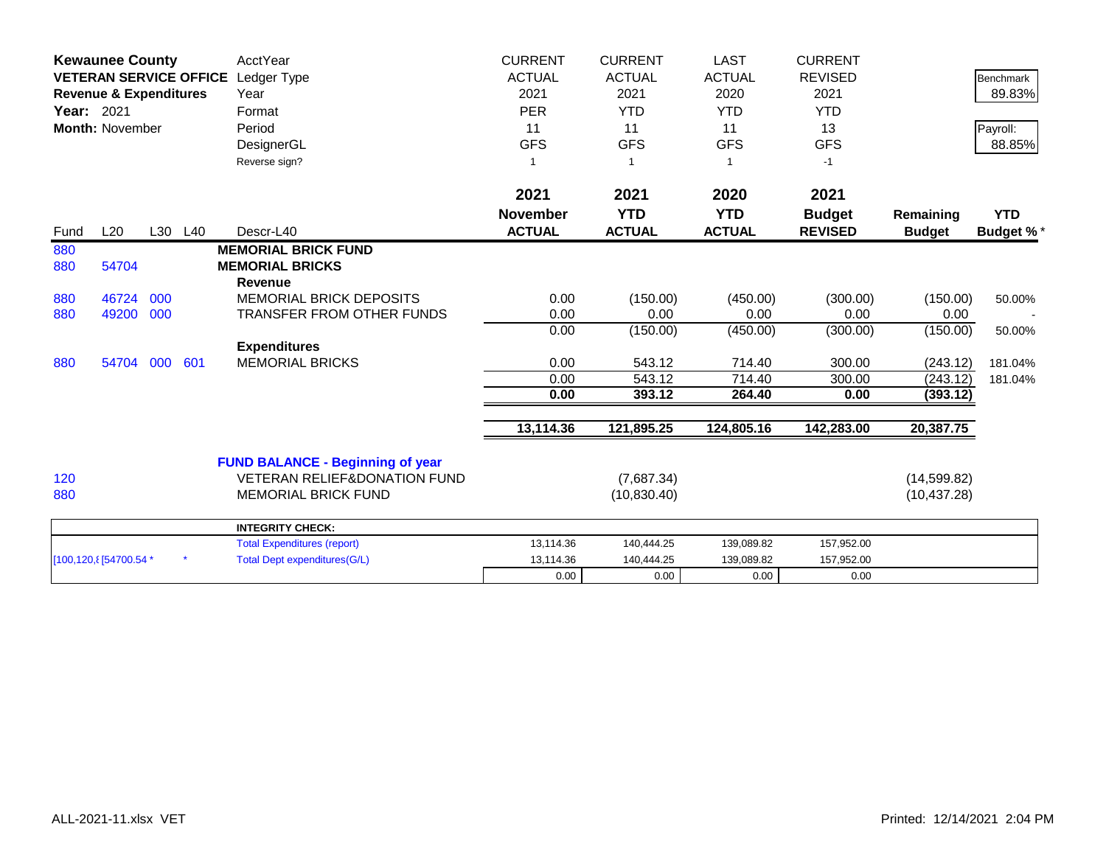|            | <b>Kewaunee County</b>            |     |         | AcctYear                                | <b>CURRENT</b>  | <b>CURRENT</b> | <b>LAST</b>   | <b>CURRENT</b> |               |                  |
|------------|-----------------------------------|-----|---------|-----------------------------------------|-----------------|----------------|---------------|----------------|---------------|------------------|
|            | <b>VETERAN SERVICE OFFICE</b>     |     |         | Ledger Type                             | <b>ACTUAL</b>   | <b>ACTUAL</b>  | <b>ACTUAL</b> | <b>REVISED</b> |               | <b>Benchmark</b> |
|            | <b>Revenue &amp; Expenditures</b> |     |         | Year                                    | 2021            | 2021           | 2020          | 2021           |               | 89.83%           |
| Year: 2021 |                                   |     |         | Format                                  | <b>PER</b>      | <b>YTD</b>     | <b>YTD</b>    | <b>YTD</b>     |               |                  |
|            | <b>Month: November</b>            |     |         | Period                                  | 11              | 11             | 11            | 13             |               | Payroll:         |
|            |                                   |     |         | DesignerGL                              | <b>GFS</b>      | <b>GFS</b>     | <b>GFS</b>    | <b>GFS</b>     |               | 88.85%           |
|            |                                   |     |         | Reverse sign?                           | 1               |                |               | $-1$           |               |                  |
|            |                                   |     |         |                                         | 2021            | 2021           | 2020          | 2021           |               |                  |
|            |                                   |     |         |                                         | <b>November</b> | <b>YTD</b>     | <b>YTD</b>    | <b>Budget</b>  | Remaining     | <b>YTD</b>       |
| Fund       | L20                               |     | L30 L40 | Descr-L40                               | <b>ACTUAL</b>   | <b>ACTUAL</b>  | <b>ACTUAL</b> | <b>REVISED</b> | <b>Budget</b> | <b>Budget %*</b> |
| 880        |                                   |     |         | <b>MEMORIAL BRICK FUND</b>              |                 |                |               |                |               |                  |
| 880        | 54704                             |     |         | <b>MEMORIAL BRICKS</b>                  |                 |                |               |                |               |                  |
|            |                                   |     |         | <b>Revenue</b>                          |                 |                |               |                |               |                  |
| 880        | 46724                             | 000 |         | <b>MEMORIAL BRICK DEPOSITS</b>          | 0.00            | (150.00)       | (450.00)      | (300.00)       | (150.00)      | 50.00%           |
| 880        | 49200                             | 000 |         | <b>TRANSFER FROM OTHER FUNDS</b>        | 0.00            | 0.00           | 0.00          | 0.00           | 0.00          |                  |
|            |                                   |     |         |                                         | 0.00            | (150.00)       | (450.00)      | (300.00)       | (150.00)      | 50.00%           |
|            |                                   |     |         | <b>Expenditures</b>                     |                 |                |               |                |               |                  |
| 880        | 54704                             | 000 | 601     | <b>MEMORIAL BRICKS</b>                  | 0.00            | 543.12         | 714.40        | 300.00         | (243.12)      | 181.04%          |
|            |                                   |     |         |                                         | 0.00            | 543.12         | 714.40        | 300.00         | (243.12)      | 181.04%          |
|            |                                   |     |         |                                         | 0.00            | 393.12         | 264.40        | 0.00           | (393.12)      |                  |
|            |                                   |     |         |                                         | 13,114.36       | 121,895.25     | 124,805.16    | 142,283.00     | 20,387.75     |                  |
|            |                                   |     |         | <b>FUND BALANCE - Beginning of year</b> |                 |                |               |                |               |                  |
| 120        |                                   |     |         | <b>VETERAN RELIEF&amp;DONATION FUND</b> |                 | (7,687.34)     |               |                | (14, 599.82)  |                  |
| 880        |                                   |     |         | <b>MEMORIAL BRICK FUND</b>              |                 | (10, 830.40)   |               |                | (10, 437.28)  |                  |
|            |                                   |     |         | <b>INTEGRITY CHECK:</b>                 |                 |                |               |                |               |                  |
|            |                                   |     |         | <b>Total Expenditures (report)</b>      | 13,114.36       | 140,444.25     | 139,089.82    | 157,952.00     |               |                  |
|            | [100,120, 8] 54700.54 *           |     |         | <b>Total Dept expenditures(G/L)</b>     | 13,114.36       | 140,444.25     | 139,089.82    | 157,952.00     |               |                  |
|            |                                   |     |         |                                         | 0.00            | 0.00           | 0.00          | 0.00           |               |                  |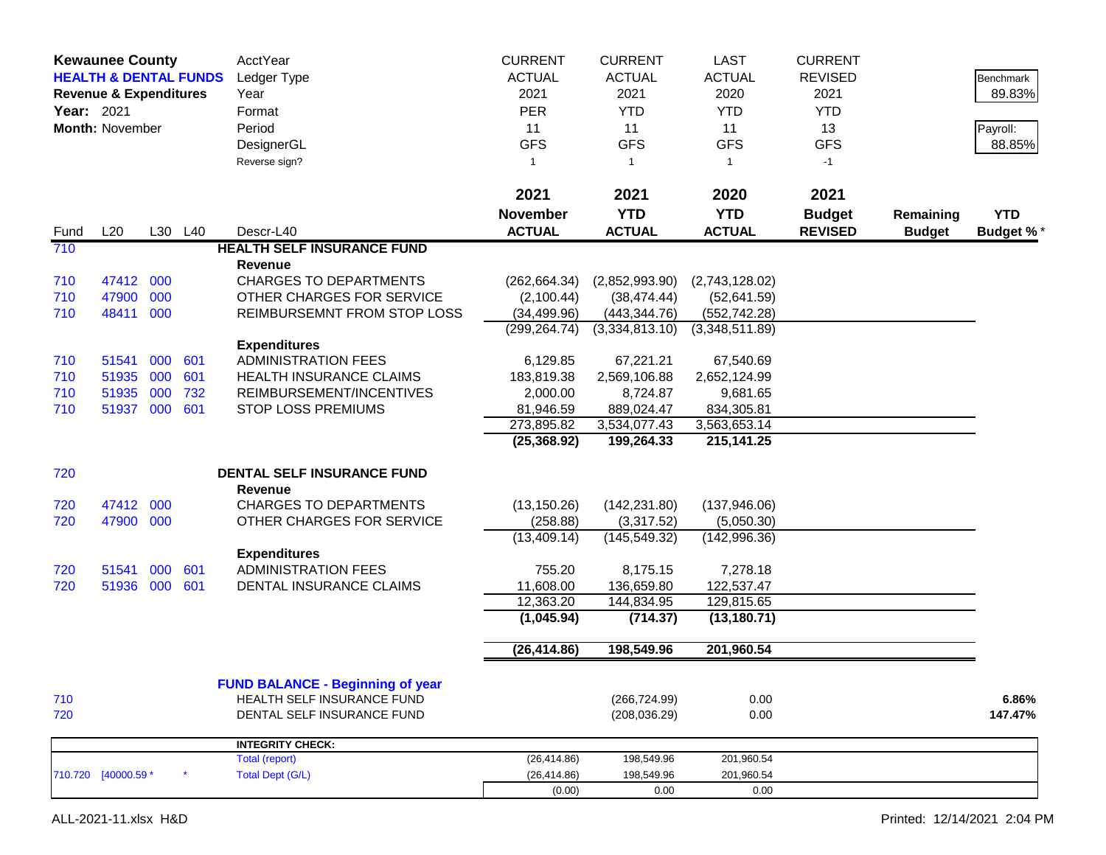|             | <b>Kewaunee County</b><br><b>HEALTH &amp; DENTAL FUNDS</b><br><b>Revenue &amp; Expenditures</b><br>Year: 2021<br>Month: November |     |         | AcctYear<br>Ledger Type<br>Year<br>Format<br>Period<br>DesignerGL<br>Reverse sign? | <b>CURRENT</b><br><b>ACTUAL</b><br>2021<br><b>PER</b><br>11<br><b>GFS</b><br>$\mathbf{1}$ | <b>CURRENT</b><br><b>ACTUAL</b><br>2021<br><b>YTD</b><br>11<br><b>GFS</b><br>$\mathbf{1}$ | <b>LAST</b><br><b>ACTUAL</b><br>2020<br><b>YTD</b><br>11<br><b>GFS</b><br>1 | <b>CURRENT</b><br><b>REVISED</b><br>2021<br><b>YTD</b><br>13<br><b>GFS</b><br>$-1$ |               | Benchmark<br>89.83%<br>Payroll:<br>88.85% |
|-------------|----------------------------------------------------------------------------------------------------------------------------------|-----|---------|------------------------------------------------------------------------------------|-------------------------------------------------------------------------------------------|-------------------------------------------------------------------------------------------|-----------------------------------------------------------------------------|------------------------------------------------------------------------------------|---------------|-------------------------------------------|
|             |                                                                                                                                  |     |         |                                                                                    | 2021                                                                                      | 2021                                                                                      | 2020                                                                        | 2021                                                                               |               |                                           |
|             | L20                                                                                                                              |     | L30 L40 | Descr-L40                                                                          | <b>November</b><br><b>ACTUAL</b>                                                          | <b>YTD</b><br><b>ACTUAL</b>                                                               | <b>YTD</b><br><b>ACTUAL</b>                                                 | <b>Budget</b><br><b>REVISED</b>                                                    | Remaining     | <b>YTD</b>                                |
| Fund<br>710 |                                                                                                                                  |     |         | <b>HEALTH SELF INSURANCE FUND</b>                                                  |                                                                                           |                                                                                           |                                                                             |                                                                                    | <b>Budget</b> | <b>Budget %*</b>                          |
|             |                                                                                                                                  |     |         | Revenue                                                                            |                                                                                           |                                                                                           |                                                                             |                                                                                    |               |                                           |
| 710         | 47412 000                                                                                                                        |     |         | <b>CHARGES TO DEPARTMENTS</b>                                                      | (262, 664.34)                                                                             | (2,852,993.90)                                                                            | (2,743,128.02)                                                              |                                                                                    |               |                                           |
| 710         | 47900                                                                                                                            | 000 |         | OTHER CHARGES FOR SERVICE                                                          | (2,100.44)                                                                                | (38, 474.44)                                                                              | (52,641.59)                                                                 |                                                                                    |               |                                           |
| 710         | 48411                                                                                                                            | 000 |         | REIMBURSEMNT FROM STOP LOSS                                                        | (34, 499.96)                                                                              | (443, 344.76)                                                                             | (552, 742.28)                                                               |                                                                                    |               |                                           |
|             |                                                                                                                                  |     |         |                                                                                    | (299, 264.74)                                                                             | (3,334,813.10)                                                                            | (3,348,511.89)                                                              |                                                                                    |               |                                           |
|             |                                                                                                                                  |     |         | <b>Expenditures</b>                                                                |                                                                                           |                                                                                           |                                                                             |                                                                                    |               |                                           |
| 710         | 51541                                                                                                                            | 000 | 601     | <b>ADMINISTRATION FEES</b>                                                         | 6,129.85                                                                                  | 67,221.21                                                                                 | 67,540.69                                                                   |                                                                                    |               |                                           |
| 710         | 51935                                                                                                                            | 000 | 601     | <b>HEALTH INSURANCE CLAIMS</b>                                                     | 183,819.38                                                                                | 2,569,106.88                                                                              | 2,652,124.99                                                                |                                                                                    |               |                                           |
| 710         | 51935                                                                                                                            | 000 | 732     | REIMBURSEMENT/INCENTIVES                                                           | 2,000.00                                                                                  | 8,724.87                                                                                  | 9,681.65                                                                    |                                                                                    |               |                                           |
| 710         | 51937 000                                                                                                                        |     | 601     | <b>STOP LOSS PREMIUMS</b>                                                          | 81,946.59<br>273,895.82                                                                   | 889,024.47<br>3,534,077.43                                                                | 834,305.81<br>3,563,653.14                                                  |                                                                                    |               |                                           |
|             |                                                                                                                                  |     |         |                                                                                    | (25, 368.92)                                                                              | 199,264.33                                                                                | 215, 141. 25                                                                |                                                                                    |               |                                           |
| 720         |                                                                                                                                  |     |         | DENTAL SELF INSURANCE FUND                                                         |                                                                                           |                                                                                           |                                                                             |                                                                                    |               |                                           |
|             |                                                                                                                                  |     |         | Revenue                                                                            |                                                                                           |                                                                                           |                                                                             |                                                                                    |               |                                           |
| 720         | 47412                                                                                                                            | 000 |         | <b>CHARGES TO DEPARTMENTS</b>                                                      | (13, 150.26)                                                                              | (142, 231.80)                                                                             | (137, 946.06)                                                               |                                                                                    |               |                                           |
| 720         | 47900 000                                                                                                                        |     |         | OTHER CHARGES FOR SERVICE                                                          | (258.88)                                                                                  | (3,317.52)                                                                                | (5,050.30)                                                                  |                                                                                    |               |                                           |
|             |                                                                                                                                  |     |         |                                                                                    | (13, 409.14)                                                                              | (145, 549.32)                                                                             | (142, 996.36)                                                               |                                                                                    |               |                                           |
| 720         | 51541                                                                                                                            | 000 | 601     | <b>Expenditures</b><br><b>ADMINISTRATION FEES</b>                                  | 755.20                                                                                    | 8,175.15                                                                                  | 7,278.18                                                                    |                                                                                    |               |                                           |
| 720         | 51936 000                                                                                                                        |     | 601     | DENTAL INSURANCE CLAIMS                                                            | 11,608.00                                                                                 | 136,659.80                                                                                | 122,537.47                                                                  |                                                                                    |               |                                           |
|             |                                                                                                                                  |     |         |                                                                                    | 12,363.20                                                                                 | 144,834.95                                                                                | 129,815.65                                                                  |                                                                                    |               |                                           |
|             |                                                                                                                                  |     |         |                                                                                    | (1,045.94)                                                                                | (714.37)                                                                                  | (13, 180.71)                                                                |                                                                                    |               |                                           |
|             |                                                                                                                                  |     |         |                                                                                    | (26, 414.86)                                                                              | 198,549.96                                                                                | 201,960.54                                                                  |                                                                                    |               |                                           |
|             |                                                                                                                                  |     |         |                                                                                    |                                                                                           |                                                                                           |                                                                             |                                                                                    |               |                                           |
|             |                                                                                                                                  |     |         | <b>FUND BALANCE - Beginning of year</b>                                            |                                                                                           |                                                                                           |                                                                             |                                                                                    |               |                                           |
| 710         |                                                                                                                                  |     |         | HEALTH SELF INSURANCE FUND                                                         |                                                                                           | (266, 724.99)                                                                             | 0.00                                                                        |                                                                                    |               | 6.86%                                     |
| 720         |                                                                                                                                  |     |         | DENTAL SELF INSURANCE FUND                                                         |                                                                                           | (208, 036.29)                                                                             | 0.00                                                                        |                                                                                    |               | 147.47%                                   |
|             |                                                                                                                                  |     |         | <b>INTEGRITY CHECK:</b>                                                            |                                                                                           |                                                                                           |                                                                             |                                                                                    |               |                                           |
|             |                                                                                                                                  |     |         | Total (report)                                                                     | (26, 414.86)                                                                              | 198,549.96                                                                                | 201,960.54                                                                  |                                                                                    |               |                                           |
|             | 710.720 [40000.59 *                                                                                                              |     |         | <b>Total Dept (G/L)</b>                                                            | (26, 414.86)                                                                              | 198,549.96                                                                                | 201,960.54                                                                  |                                                                                    |               |                                           |
|             |                                                                                                                                  |     |         |                                                                                    | (0.00)                                                                                    | 0.00                                                                                      | 0.00                                                                        |                                                                                    |               |                                           |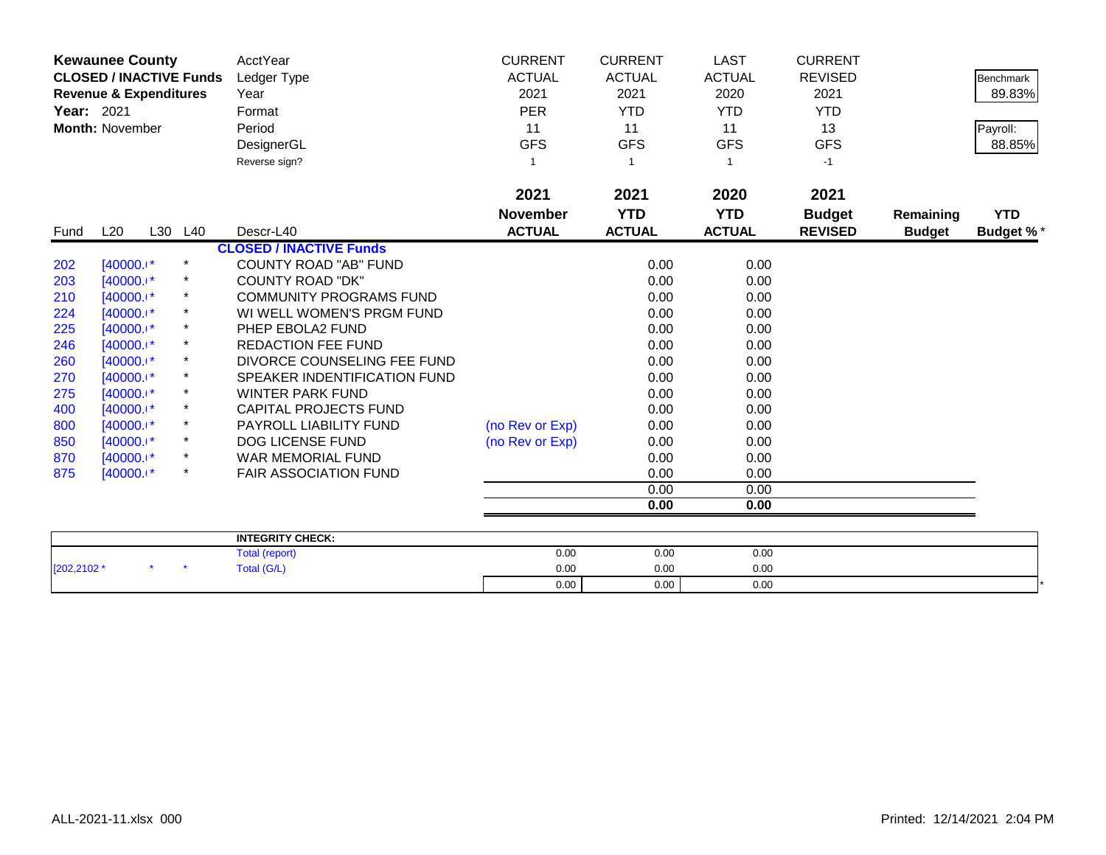|            | <b>Kewaunee County</b>            |         |          | AcctYear                           | <b>CURRENT</b>  | <b>CURRENT</b> | <b>LAST</b>   | <b>CURRENT</b> |               |                  |
|------------|-----------------------------------|---------|----------|------------------------------------|-----------------|----------------|---------------|----------------|---------------|------------------|
|            | <b>CLOSED / INACTIVE Funds</b>    |         |          | Ledger Type                        | <b>ACTUAL</b>   | <b>ACTUAL</b>  | <b>ACTUAL</b> | <b>REVISED</b> |               | <b>Benchmark</b> |
|            | <b>Revenue &amp; Expenditures</b> |         |          | Year                               | 2021            | 2021           | 2020          | 2021           |               | 89.83%           |
| Year: 2021 |                                   |         |          | Format                             | <b>PER</b>      | <b>YTD</b>     | <b>YTD</b>    | <b>YTD</b>     |               |                  |
|            | <b>Month: November</b>            |         |          | Period                             | 11              | 11             | 11            | 13             |               | Payroll:         |
|            |                                   |         |          | DesignerGL                         | <b>GFS</b>      | <b>GFS</b>     | <b>GFS</b>    | <b>GFS</b>     |               | 88.85%           |
|            |                                   |         |          | Reverse sign?                      | -1              |                | 1             | $-1$           |               |                  |
|            |                                   |         |          |                                    | 2021            | 2021           | 2020          | 2021           |               |                  |
|            |                                   |         |          |                                    | <b>November</b> | <b>YTD</b>     | <b>YTD</b>    | <b>Budget</b>  | Remaining     | <b>YTD</b>       |
| Fund       | L20                               | L30 L40 |          | Descr-L40                          | <b>ACTUAL</b>   | <b>ACTUAL</b>  | <b>ACTUAL</b> | <b>REVISED</b> | <b>Budget</b> | <b>Budget %*</b> |
|            |                                   |         |          | <b>CLOSED / INACTIVE Funds</b>     |                 |                |               |                |               |                  |
| 202        | $[40000.1*$                       |         | $\ast$   | <b>COUNTY ROAD "AB" FUND</b>       |                 | 0.00           | 0.00          |                |               |                  |
| 203        | $[40000.1*$                       |         |          | <b>COUNTY ROAD "DK"</b>            |                 | 0.00           | 0.00          |                |               |                  |
| 210        | $[40000.1*$                       |         |          | <b>COMMUNITY PROGRAMS FUND</b>     |                 | 0.00           | 0.00          |                |               |                  |
| 224        | $[40000.1*]$                      |         |          | WI WELL WOMEN'S PRGM FUND          |                 | 0.00           | 0.00          |                |               |                  |
| 225        | $[40000.1*]$                      |         |          | PHEP EBOLA2 FUND                   |                 | 0.00           | 0.00          |                |               |                  |
| 246        | $[40000.1*]$                      |         | $^\star$ | <b>REDACTION FEE FUND</b>          |                 | 0.00           | 0.00          |                |               |                  |
| 260        | $[40000.1*$                       |         |          | DIVORCE COUNSELING FEE FUND        |                 | 0.00           | 0.00          |                |               |                  |
| 270        | $[40000.1*]$                      |         |          | SPEAKER INDENTIFICATION FUND       |                 | 0.00           | 0.00          |                |               |                  |
| 275        | $[40000.1*$                       |         |          | <b>WINTER PARK FUND</b>            |                 | 0.00           | 0.00          |                |               |                  |
| 400        | $[40000.1*$                       |         |          | <b>CAPITAL PROJECTS FUND</b>       |                 | 0.00           | 0.00          |                |               |                  |
| 800        | $[40000.1*]$                      |         | $^\star$ | PAYROLL LIABILITY FUND             | (no Rev or Exp) | 0.00           | 0.00          |                |               |                  |
| 850        | $[40000.1*]$                      |         |          | <b>DOG LICENSE FUND</b>            | (no Rev or Exp) | 0.00           | 0.00          |                |               |                  |
| 870        | $[40000.1*]$                      |         |          | WAR MEMORIAL FUND                  |                 | 0.00           | 0.00          |                |               |                  |
| 875        | $[40000.1*$                       |         | $^\star$ | <b>FAIR ASSOCIATION FUND</b>       |                 | 0.00           | 0.00          |                |               |                  |
|            |                                   |         |          |                                    |                 | 0.00           | 0.00          |                |               |                  |
|            |                                   |         |          |                                    |                 | 0.00           | 0.00          |                |               |                  |
|            |                                   |         |          |                                    |                 |                |               |                |               |                  |
|            |                                   |         |          | <b>INTEGRITY CHECK:</b><br>$T = 1$ | 0.00            | 0.00           | 0.00          |                |               |                  |

|             |  | <b>INTEGRITY CHECK:</b>             |      |      |      |  |
|-------------|--|-------------------------------------|------|------|------|--|
|             |  | <i>Irons</i><br>rotal<br>ι (ισροιι) | 0.00 | 0.00 | 0.00 |  |
| [202,2102 * |  | <b>Total (G/L)</b>                  | 0.00 | 0.00 | 0.00 |  |
|             |  |                                     | 0.00 | 0.00 | 0.00 |  |